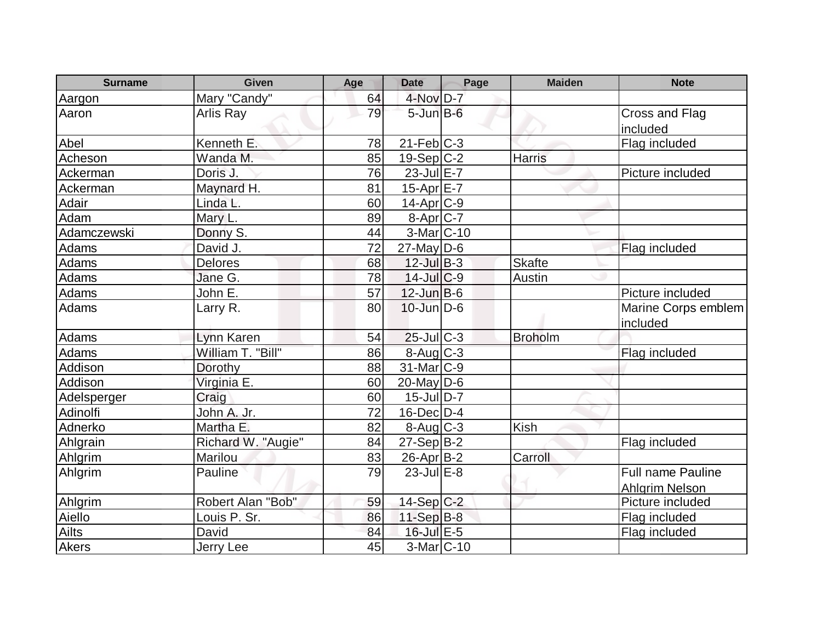| <b>Surname</b> | <b>Given</b>       | Age | <b>Date</b>                      | Page | <b>Maiden</b>  | <b>Note</b>                     |
|----------------|--------------------|-----|----------------------------------|------|----------------|---------------------------------|
| Aargon         | Mary "Candy"       | 64  | 4-Nov D-7                        |      |                |                                 |
| Aaron          | Arlis Ray          | 79  | $5 - Jun$ $B - 6$                |      |                | Cross and Flag<br>included      |
| Abel           | Kenneth E.         | 78  | $21$ -Feb $ C-3 $                |      |                | Flag included                   |
| Acheson        | Wanda M.           | 85  | $19-Sep C-2$                     |      | <b>Harris</b>  |                                 |
| Ackerman       | Doris J.           | 76  | $23$ -Jul $E-7$                  |      |                | Picture included                |
| Ackerman       | Maynard H.         | 81  | 15-Apr E-7                       |      |                |                                 |
| Adair          | Linda L.           | 60  | 14-Apr <sub>C-9</sub>            |      |                |                                 |
| Adam           | Mary L.            | 89  | $8-Apr$ $C-7$                    |      |                |                                 |
| Adamczewski    | Donny S.           | 44  | $3-Mar$ C-10                     |      |                |                                 |
| Adams          | David J.           | 72  | $27$ -May D-6                    |      |                | Flag included                   |
| <b>Adams</b>   | <b>Delores</b>     | 68  | $12$ -Jul $B-3$                  |      | <b>Skafte</b>  |                                 |
| Adams          | Jane G.            | 78  | $14$ -Jul $C-9$                  |      | Austin         |                                 |
| Adams          | John E.            | 57  | $12$ -Jun $B$ -6                 |      |                | Picture included                |
| Adams          | Larry R.           | 80  | $10$ -Jun $D-6$                  |      |                | Marine Corps emblem<br>included |
| Adams          | Lynn Karen         | 54  | $25$ -Jul C-3                    |      | <b>Broholm</b> |                                 |
| Adams          | William T. "Bill"  | 86  | 8-Aug C-3                        |      |                | Flag included                   |
| Addison        | Dorothy            | 88  | 31-Mar C-9                       |      |                |                                 |
| Addison        | Virginia E.        | 60  | $20$ -May D-6                    |      |                |                                 |
| Adelsperger    | Craig              | 60  | $15$ -JulD-7                     |      |                |                                 |
| Adinolfi       | John A. Jr.        | 72  | $16$ -Dec $D-4$                  |      |                |                                 |
| Adnerko        | Martha E.          | 82  | $8 - \text{Aug}$ <sub>C</sub> -3 |      | <b>Kish</b>    |                                 |
| Ahlgrain       | Richard W. "Augie" | 84  | $27-Sep B-2$                     |      |                | Flag included                   |
| Ahlgrim        | Marilou            | 83  | 26-Apr B-2                       |      | Carroll        |                                 |
| Ahlgrim        | Pauline            | 79  | $23$ -Jul $E-8$                  |      |                | <b>Full name Pauline</b>        |
|                |                    |     |                                  |      |                | <b>Ahlgrim Nelson</b>           |
| Ahlgrim        | Robert Alan "Bob"  | 59  | 14-Sep C-2                       |      |                | Picture included                |
| Aiello         | Louis P. Sr.       | 86  | $11-Sep$ B-8                     |      |                | Flag included                   |
| Ailts          | David              | 84  | 16-Jul E-5                       |      |                | Flag included                   |
| Akers          | <b>Jerry Lee</b>   | 45  | $3-Mar$ C-10                     |      |                |                                 |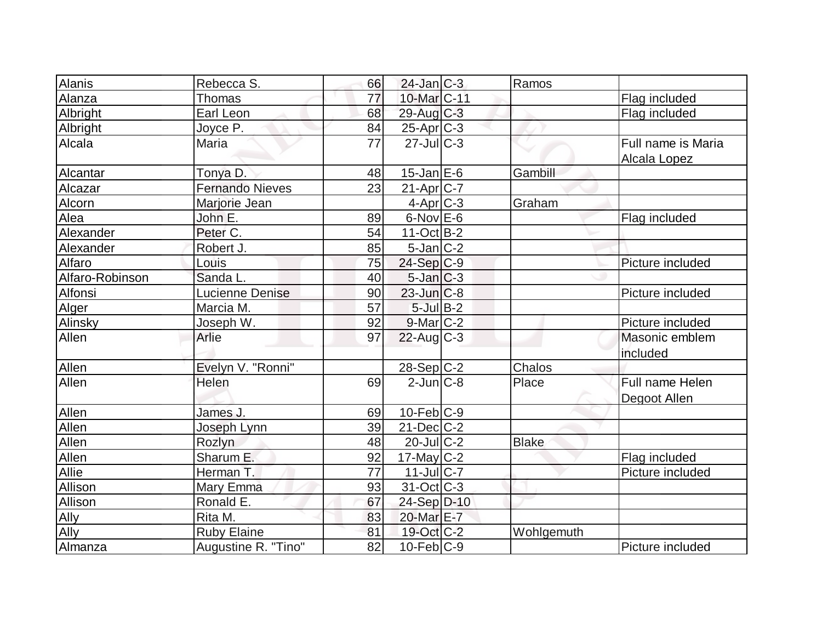| <b>Alanis</b>   | Rebecca S.             | 66 | $24$ -Jan $ C-3 $        | Ramos        |                    |
|-----------------|------------------------|----|--------------------------|--------------|--------------------|
| Alanza          | <b>Thomas</b>          | 77 | 10-Mar <sub>C-11</sub>   |              | Flag included      |
| Albright        | Earl Leon              | 68 | 29-Aug C-3               |              | Flag included      |
| Albright        | Joyce P.               | 84 | $25$ -Apr $C-3$          |              |                    |
| Alcala          | Maria                  | 77 | $27$ -JulC-3             |              | Full name is Maria |
|                 |                        |    |                          |              | Alcala Lopez       |
| Alcantar        | Tonya D.               | 48 | $15$ -Jan $E$ -6         | Gambill      |                    |
| Alcazar         | <b>Fernando Nieves</b> | 23 | $21-Apr$ C-7             |              |                    |
| Alcorn          | Marjorie Jean          |    | $4$ -Apr $C$ -3          | Graham       |                    |
| Alea            | John E.                | 89 | $6$ -Nov $E$ -6          |              | Flag included      |
| Alexander       | Peter C.               | 54 | $11-Oct$ B-2             |              |                    |
| Alexander       | Robert J.              | 85 | $5$ -Jan $ C-2 $         |              |                    |
| Alfaro          | Louis                  | 75 | $24-Sep C-9$             |              | Picture included   |
| Alfaro-Robinson | Sanda L.               | 40 | $5$ -Jan $C-3$           |              |                    |
| Alfonsi         | Lucienne Denise        | 90 | $23$ -Jun $ C-8$         |              | Picture included   |
| Alger           | Marcia M.              | 57 | $5$ -Jul $B-2$           |              |                    |
| <b>Alinsky</b>  | Joseph W.              | 92 | $9$ -Mar $ C-2 $         |              | Picture included   |
| Allen           | Arlie                  | 97 | $22$ -Aug C-3            |              | Masonic emblem     |
|                 |                        |    |                          |              | included           |
| Allen           | Evelyn V. "Ronni"      |    | $28-Sep C-2$             | Chalos       |                    |
| Allen           | Helen                  | 69 | $2$ -Jun $C-8$           | Place        | Full name Helen    |
|                 |                        |    |                          |              | Degoot Allen       |
| Allen           | James J.               | 69 | $10$ -Feb $ C-9$         |              |                    |
| Allen           | Joseph Lynn            | 39 | $21$ -Dec $C-2$          |              |                    |
| Allen           | Rozlyn                 | 48 | $20$ -JulC-2             | <b>Blake</b> |                    |
| <b>Allen</b>    | Sharum E.              | 92 | $17$ -May C-2            |              | Flag included      |
| Allie           | Herman T.              | 77 | $11$ -Jul $C$ -7         |              | Picture included   |
| <b>Allison</b>  | Mary Emma              | 93 | $31-Oct$ <sub>C</sub> -3 |              |                    |
| Allison         | Ronald E.              | 67 | 24-Sep D-10              |              |                    |
| Ally            | Rita M.                | 83 | 20-Mar <sub>E</sub> -7   |              |                    |
| Ally            | <b>Ruby Elaine</b>     | 81 | 19-Oct C-2               | Wohlgemuth   |                    |
| Almanza         | Augustine R. "Tino"    | 82 | $10-Feb C-9$             |              | Picture included   |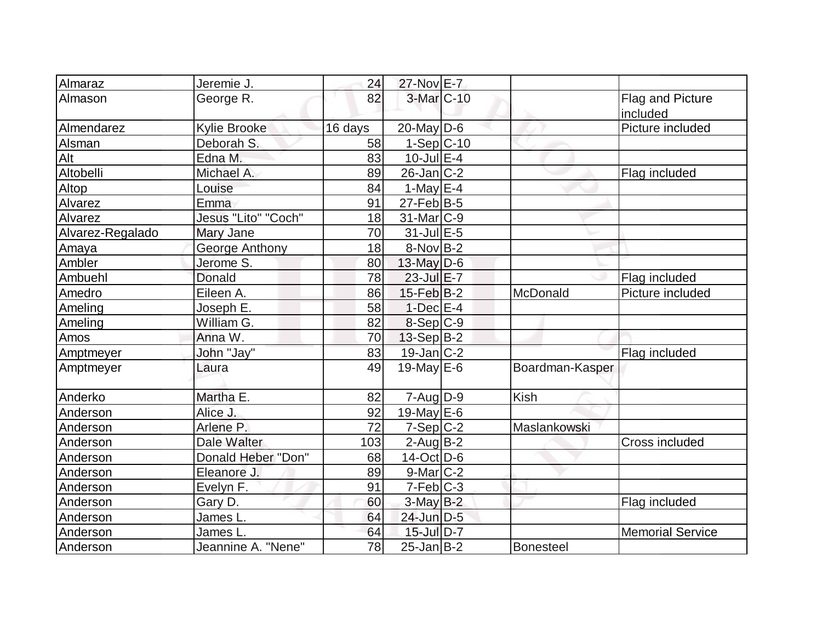| Almaraz          | Jeremie J.          | 24      | 27-Nov E-7        |                 |                              |
|------------------|---------------------|---------|-------------------|-----------------|------------------------------|
| Almason          | George R.           | 82      | 3-Mar C-10        |                 | Flag and Picture<br>included |
| Almendarez       | <b>Kylie Brooke</b> | 16 days | $20$ -May D-6     |                 | Picture included             |
| Alsman           | Deborah S.          | 58      | 1-Sep C-10        |                 |                              |
| Alt              | Edna M.             | 83      | $10$ -Jul $E-4$   |                 |                              |
| Altobelli        | Michael A.          | 89      | $26$ -Jan $ C-2 $ |                 | Flag included                |
| Altop            | Louise              | 84      | 1-May $E-4$       |                 |                              |
| Alvarez          | Emma                | 91      | $27$ -Feb $ B-5$  |                 |                              |
| Alvarez          | Jesus "Lito" "Coch" | 18      | $31$ -Mar $ C-9$  |                 |                              |
| Alvarez-Regalado | Mary Jane           | 70      | $31$ -Jul $E-5$   |                 |                              |
| Amaya            | George Anthony      | 18      | $8-Nov B-2$       |                 |                              |
| Ambler           | Jerome S.           | 80      | $13$ -May D-6     |                 |                              |
| Ambuehl          | Donald              | 78      | $23$ -Jul $E-7$   |                 | Flag included                |
| Amedro           | Eileen A.           | 86      | $15$ -Feb $ B-2 $ | McDonald        | Picture included             |
| Ameling          | Joseph E.           | 58      | $1-Dec$ $E-4$     |                 |                              |
| Ameling          | William G.          | 82      | $8-Sep C-9$       |                 |                              |
| Amos             | Anna W.             | 70      | $13-Sep B-2$      |                 |                              |
| Amptmeyer        | John "Jay"          | 83      | $19$ -Jan $ C-2 $ |                 | Flag included                |
| Amptmeyer        | Laura               | 49      | 19-May $E-6$      | Boardman-Kasper |                              |
| Anderko          | Martha E.           | 82      | $7 - Aug   D-9$   | <b>Kish</b>     |                              |
| Anderson         | Alice J.            | 92      | 19-May $E-6$      |                 |                              |
| Anderson         | Arlene P.           | 72      | $7-Sep C-2$       | Maslankowski    |                              |
| Anderson         | Dale Walter         | 103     | $2$ -Aug B-2      |                 | Cross included               |
| Anderson         | Donald Heber "Don"  | 68      | $14$ -Oct $ D-6 $ |                 |                              |
| Anderson         | Eleanore J.         | 89      | $9$ -Mar $ C-2 $  |                 |                              |
| Anderson         | Evelyn F.           | 91      | $7-Feb$ $C-3$     |                 |                              |
| Anderson         | Gary D.             | 60      | $3-May$ B-2       |                 | Flag included                |
| Anderson         | James L.            | 64      | 24-Jun D-5        |                 |                              |
| Anderson         | James L             | 64      | 15-Jul D-7        |                 | <b>Memorial Service</b>      |
| Anderson         | Jeannine A. "Nene"  | 78      | $25$ -Jan $ B-2 $ | Bonesteel       |                              |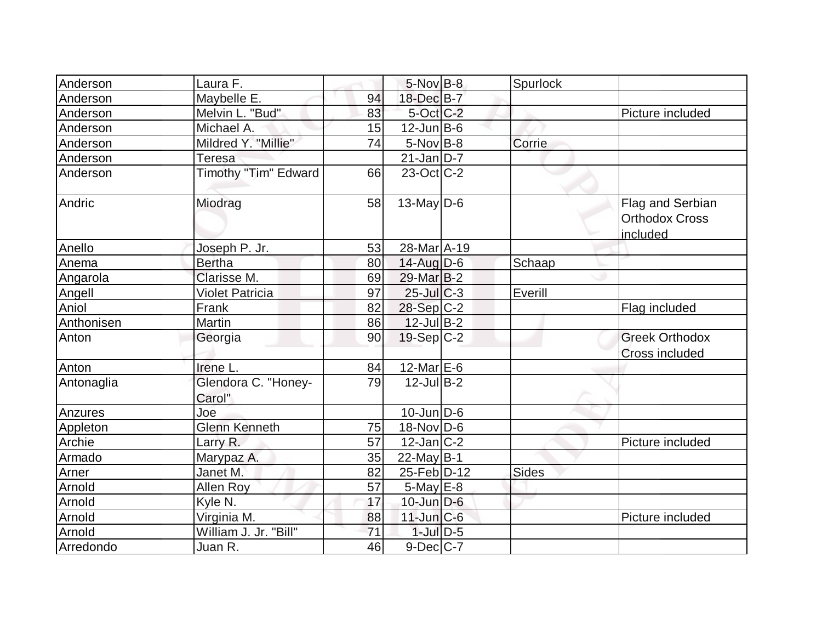| Anderson   | Laura F.                      |    | $5$ -Nov $B-8$         | Spurlock |                                                       |
|------------|-------------------------------|----|------------------------|----------|-------------------------------------------------------|
| Anderson   | Maybelle E.                   | 94 | 18-Dec B-7             |          |                                                       |
| Anderson   | Melvin L. "Bud"               | 83 | $5$ -Oct $C$ -2        |          | Picture included                                      |
| Anderson   | Michael A.                    | 15 | $12$ -Jun $B$ -6       |          |                                                       |
| Anderson   | Mildred Y. "Millie"           | 74 | $5$ -Nov B-8           | Corrie   |                                                       |
| Anderson   | <b>Teresa</b>                 |    | $21$ -Jan $ D-7 $      |          |                                                       |
| Anderson   | Timothy "Tim" Edward          | 66 | $23-Oct$ $C-2$         |          |                                                       |
| Andric     | Miodrag                       | 58 | $13$ -May D-6          |          | Flag and Serbian<br><b>Orthodox Cross</b><br>included |
| Anello     | Joseph P. Jr.                 | 53 | 28-Mar <sub>A-19</sub> |          |                                                       |
| Anema      | <b>Bertha</b>                 | 80 | $14$ -Aug $D-6$        | Schaap   |                                                       |
| Angarola   | Clarisse M.                   | 69 | $29$ -Mar $B-2$        |          |                                                       |
| Angell     | <b>Violet Patricia</b>        | 97 | $25$ -Jul C-3          | Everill  |                                                       |
| Aniol      | Frank                         | 82 | $28-Sep C-2$           |          | Flag included                                         |
| Anthonisen | Martin                        | 86 | $12$ -Jul B-2          |          |                                                       |
| Anton      | Georgia                       | 90 | $19-Sep C-2$           |          | <b>Greek Orthodox</b><br><b>Cross included</b>        |
| Anton      | Irene L.                      | 84 | $12$ -Mar $E$ -6       |          |                                                       |
| Antonaglia | Glendora C. "Honey-<br>Carol" | 79 | $12$ -Jul B-2          |          |                                                       |
| Anzures    | Joe                           |    | $10$ -Jun $D-6$        |          |                                                       |
| Appleton   | <b>Glenn Kenneth</b>          | 75 | $18-Nov D-6$           |          |                                                       |
| Archie     | Larry R.                      | 57 | $12$ -Jan $ C-2 $      |          | Picture included                                      |
| Armado     | Marypaz A.                    | 35 | 22-May $B-1$           |          |                                                       |
| Arner      | Janet M.                      | 82 | 25-Feb D-12            | Sides    |                                                       |
| Arnold     | Allen Roy                     | 57 | $5$ -May $E$ -8        |          |                                                       |
| Arnold     | Kyle N.                       | 17 | $10$ -Jun $D-6$        |          |                                                       |
| Arnold     | Virginia M.                   | 88 | $11$ -Jun $ C-6$       |          | Picture included                                      |
| Arnold     | William J. Jr. "Bill"         | 71 | $1$ -Jul $D-5$         |          |                                                       |
| Arredondo  | Juan R.                       | 46 | $9$ -Dec $ C-7 $       |          |                                                       |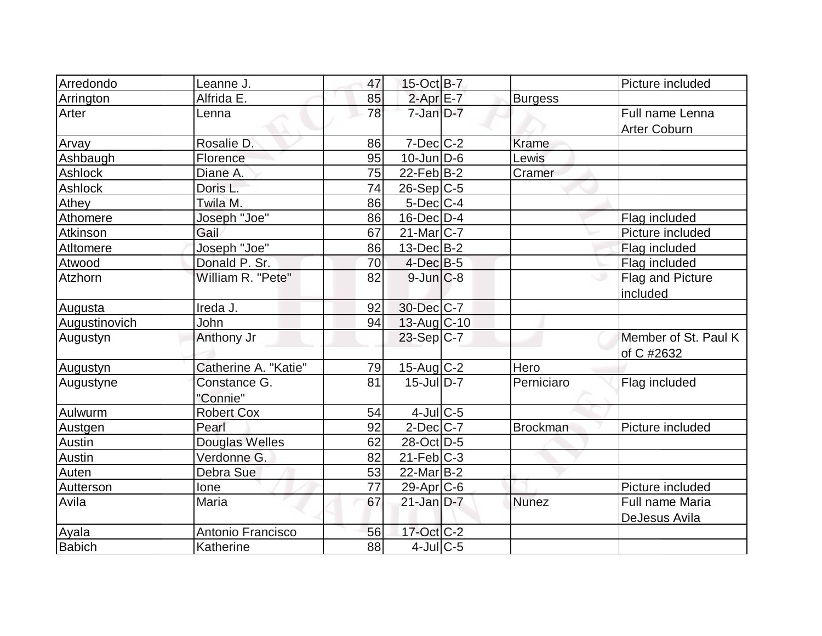| Arredondo     | Leanne J.                | 47 | $15$ -Oct B-7         |                 | Picture included                       |
|---------------|--------------------------|----|-----------------------|-----------------|----------------------------------------|
| Arrington     | Alfrida E.               | 85 | $2$ -Apr $E$ -7       | <b>Burgess</b>  |                                        |
| Arter         | Lenna                    | 78 | $7 - Jan D - 7$       |                 | Full name Lenna<br><b>Arter Coburn</b> |
| Arvay         | Rosalie D.               | 86 | $7$ -Dec $ C-2 $      | Krame           |                                        |
| Ashbaugh      | Florence                 | 95 | $10$ -Jun $D-6$       | Lewis           |                                        |
| Ashlock       | Diane A.                 | 75 | $22$ -Feb $ B-2 $     | Cramer          |                                        |
| Ashlock       | Doris L.                 | 74 | $26-Sep C-5$          |                 |                                        |
| <b>Athey</b>  | Twila M.                 | 86 | $5$ -Dec $C$ -4       |                 |                                        |
| Athomere      | Joseph "Joe"             | 86 | $16$ -Dec $D-4$       |                 | Flag included                          |
| Atkinson      | Gail                     | 67 | $21$ -Mar $ C-7 $     |                 | Picture included                       |
| Atltomere     | Joseph "Joe"             | 86 | $13$ -Dec $B-2$       |                 | Flag included                          |
| Atwood        | Donald P. Sr.            | 70 | $4$ -Dec $B$ -5       |                 | Flag included                          |
| Atzhorn       | William R. "Pete"        | 82 | $9$ -Jun $C-8$        |                 | Flag and Picture<br>included           |
| Augusta       | Ireda J.                 | 92 | 30-Dec C-7            |                 |                                        |
| Augustinovich | John                     | 94 | $13$ -Aug C-10        |                 |                                        |
| Augustyn      | Anthony Jr               |    | $23-Sep C-7$          |                 | Member of St. Paul K<br>of C #2632     |
| Augustyn      | Catherine A. "Katie"     | 79 | $15$ -Aug C-2         | Hero            |                                        |
| Augustyne     | Constance G.<br>"Connie" | 81 | $15$ -JulD-7          | Perniciaro      | Flag included                          |
| Aulwurm       | <b>Robert Cox</b>        | 54 | $4$ -Jul $C$ -5       |                 |                                        |
| Austgen       | Pearl                    | 92 | $2$ -Dec $ C-7 $      | <b>Brockman</b> | Picture included                       |
| Austin        | Douglas Welles           | 62 | 28-Oct D-5            |                 |                                        |
| <b>Austin</b> | Verdonne G.              | 82 | $21$ -Feb $ C-3 $     |                 |                                        |
| Auten         | Debra Sue                | 53 | $22$ -Mar $ B-2 $     |                 |                                        |
| Autterson     | lone                     | 77 | 29-Apr <sub>C-6</sub> |                 | Picture included                       |
| Avila         | Maria                    | 67 | $21$ -Jan D-7         | Nunez           | Full name Maria<br>DeJesus Avila       |
| Ayala         | Antonio Francisco        | 56 | $17$ -Oct $C-2$       |                 |                                        |
| <b>Babich</b> | Katherine                | 88 | $4$ -Jul $C$ -5       |                 |                                        |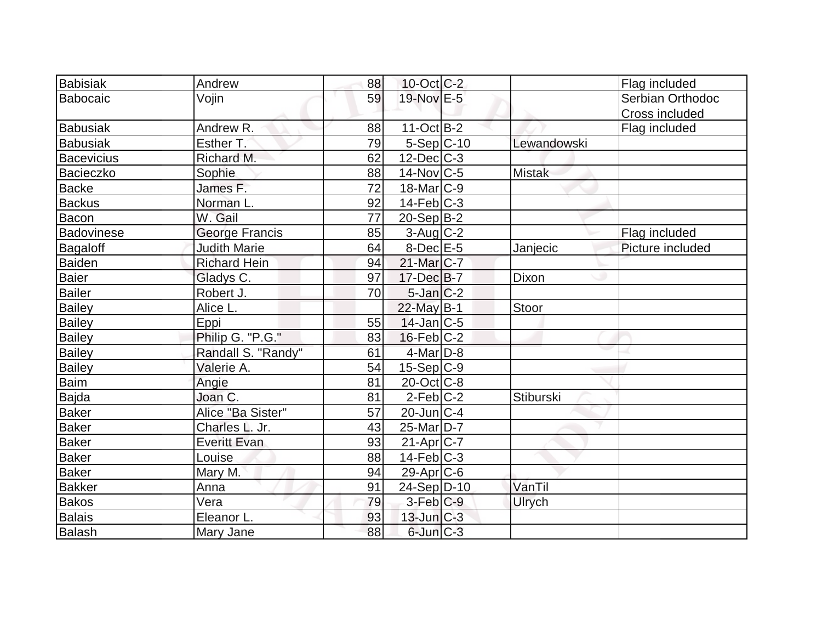| <b>Babisiak</b>   | Andrew              | 88 | $10$ -Oct $ C-2 $ |                  | Flag included    |
|-------------------|---------------------|----|-------------------|------------------|------------------|
| Babocaic          | Vojin               | 59 | 19-Nov E-5        |                  | Serbian Orthodoc |
|                   |                     |    |                   |                  | Cross included   |
| <b>Babusiak</b>   | Andrew R.           | 88 | $11-Oct$ B-2      |                  | Flag included    |
| <b>Babusiak</b>   | Esther T.           | 79 | 5-Sep C-10        | Lewandowski      |                  |
| <b>Bacevicius</b> | Richard M.          | 62 | $12$ -Dec $C-3$   |                  |                  |
| Bacieczko         | Sophie              | 88 | $14$ -Nov $ C-5 $ | <b>Mistak</b>    |                  |
| <b>Backe</b>      | James F.            | 72 | $18$ -Mar $ C-9 $ |                  |                  |
| <b>Backus</b>     | Norman L.           | 92 | $14$ -Feb $ C-3$  |                  |                  |
| Bacon             | W. Gail             | 77 | $20-Sep B-2$      |                  |                  |
| <b>Badovinese</b> | George Francis      | 85 | $3$ -Aug C-2      |                  | Flag included    |
| Bagaloff          | <b>Judith Marie</b> | 64 | $8$ -Dec $E$ -5   | Janjecic         | Picture included |
| Baiden            | <b>Richard Hein</b> | 94 | 21-Mar C-7        |                  |                  |
| <b>Baier</b>      | Gladys C.           | 97 | $17 - Dec$ B-7    | Dixon            |                  |
| <b>Bailer</b>     | Robert J.           | 70 | $5$ -Jan $ C-2 $  |                  |                  |
| <b>Bailey</b>     | Alice L.            |    | 22-May B-1        | Stoor            |                  |
| <b>Bailey</b>     | Eppi                | 55 | $14$ -Jan $ C-5 $ |                  |                  |
| Bailey            | Philip G. "P.G."    | 83 | $16$ -Feb $ C-2 $ |                  |                  |
| <b>Bailey</b>     | Randall S. "Randy"  | 61 | $4$ -Mar $D-8$    |                  |                  |
| <b>Bailey</b>     | Valerie A.          | 54 | $15-Sep C-9$      |                  |                  |
| Baim              | Angie               | 81 | $20$ -Oct $C$ -8  |                  |                  |
| Bajda             | Joan C.             | 81 | $2$ -Feb $ C-2 $  | <b>Stiburski</b> |                  |
| <b>Baker</b>      | Alice "Ba Sister"   | 57 | $20$ -Jun $ C-4 $ |                  |                  |
| <b>Baker</b>      | Charles L. Jr.      | 43 | $25$ -Mar $ D-7 $ |                  |                  |
| <b>Baker</b>      | <b>Everitt Evan</b> | 93 | $21-Apr$ C-7      |                  |                  |
| Baker             | Louise              | 88 | $14$ -Feb $ C-3 $ |                  |                  |
| <b>Baker</b>      | Mary M.             | 94 | $29$ -Apr $ C$ -6 |                  |                  |
| <b>Bakker</b>     | Anna                | 91 | 24-Sep D-10       | VanTil           |                  |
| <b>Bakos</b>      | Vera                | 79 | 3-Feb C-9         | <b>Ulrych</b>    |                  |
| Balais            | Eleanor L.          | 93 | $13$ -Jun $ C-3 $ |                  |                  |
| Balash            | Mary Jane           | 88 | $6$ -Jun $C-3$    |                  |                  |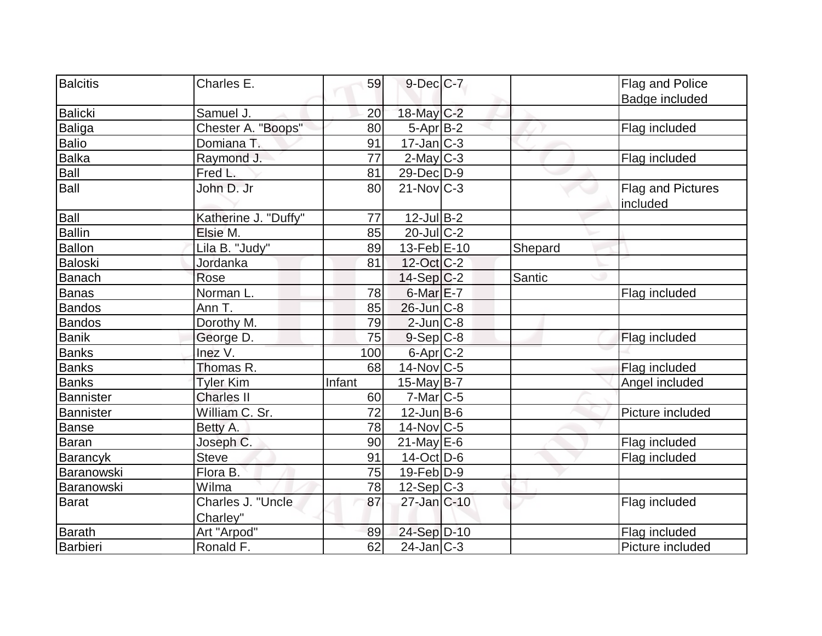| Balcitis         | Charles E.           | 59     | $9$ -Dec $C$ -7   |         | Flag and Police   |
|------------------|----------------------|--------|-------------------|---------|-------------------|
|                  |                      |        |                   |         | Badge included    |
| <b>Balicki</b>   | Samuel J.            | 20     | 18-May C-2        |         |                   |
| Baliga           | Chester A. "Boops"   | 80     | $5-Apr$ B-2       |         | Flag included     |
| <b>Balio</b>     | Domiana T.           | 91     | $17 - Jan$ $C-3$  |         |                   |
| Balka            | Raymond J.           | 77     | $2$ -May $C-3$    |         | Flag included     |
| <b>Ball</b>      | Fred L.              | 81     | 29-Dec D-9        |         |                   |
| Ball             | John D. Jr           | 80     | $21$ -Nov $ C-3 $ |         | Flag and Pictures |
|                  |                      |        |                   |         | included          |
| Ball             | Katherine J. "Duffy" | 77     | $12$ -Jul B-2     |         |                   |
| <b>Ballin</b>    | Elsie M.             | 85     | $20$ -JulC-2      |         |                   |
| <b>Ballon</b>    | Lila B. "Judy"       | 89     | $13-Feb$ E-10     | Shepard |                   |
| <b>Baloski</b>   | Jordanka             | 81     | 12-Oct C-2        |         |                   |
| <b>Banach</b>    | Rose                 |        | 14-Sep C-2        | Santic  |                   |
| <b>Banas</b>     | Norman L.            | 78     | 6-Mar E-7         |         | Flag included     |
| Bandos           | Ann T.               | 85     | 26-Jun C-8        |         |                   |
| <b>Bandos</b>    | Dorothy M.           | 79     | $2$ -Jun $C-8$    |         |                   |
| <b>Banik</b>     | George D.            | 75     | $9-Sep C-8$       |         | Flag included     |
| <b>Banks</b>     | Inez V.              | 100    | $6$ -Apr $C$ -2   |         |                   |
| <b>Banks</b>     | Thomas R.            | 68     | $14$ -Nov $ C-5 $ |         | Flag included     |
| <b>Banks</b>     | <b>Tyler Kim</b>     | Infant | $15$ -May B-7     |         | Angel included    |
| <b>Bannister</b> | <b>Charles II</b>    | 60     | $7$ -Mar $ C-5 $  |         |                   |
| Bannister        | William C. Sr.       | 72     | $12$ -Jun $B$ -6  |         | Picture included  |
| <b>Banse</b>     | Betty A.             | 78     | $14$ -Nov $ C-5 $ |         |                   |
| <b>Baran</b>     | Joseph C.            | 90     | $21$ -May E-6     |         | Flag included     |
| <b>Barancyk</b>  | <b>Steve</b>         | 91     | $14$ -Oct $ D-6 $ |         | Flag included     |
| Baranowski       | Flora B.             | 75     | $19$ -Feb $ D-9$  |         |                   |
| Baranowski       | Wilma                | 78     | $12-Sep C-3$      |         |                   |
| Barat            | Charles J. "Uncle    | 87     | 27-Jan C-10       |         | Flag included     |
|                  | Charley"             |        |                   |         |                   |
| <b>Barath</b>    | Art "Arpod"          | 89     | 24-Sep D-10       |         | Flag included     |
| Barbieri         | Ronald F.            | 62     | $24$ -Jan $ C-3 $ |         | Picture included  |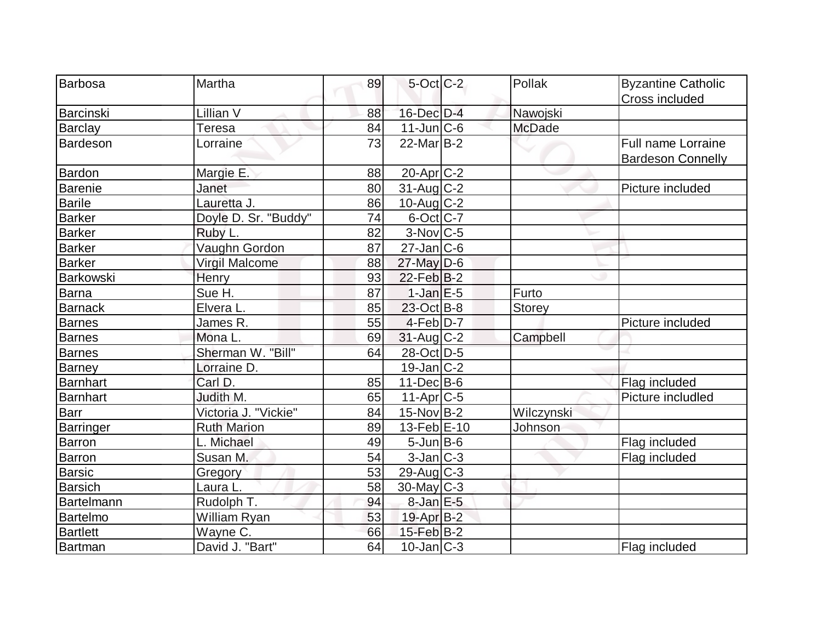| Barbosa          | Martha               | 89 | $5$ -Oct $C$ -2        | Pollak        | <b>Byzantine Catholic</b> |
|------------------|----------------------|----|------------------------|---------------|---------------------------|
|                  |                      |    |                        |               | Cross included            |
| Barcinski        | Lillian V            | 88 | 16-Dec D-4             | Nawojski      |                           |
| <b>Barclay</b>   | <b>Teresa</b>        | 84 | $11$ -Jun $ C$ -6      | <b>McDade</b> |                           |
| <b>Bardeson</b>  | Lorraine             | 73 | $22$ -Mar $B-2$        |               | Full name Lorraine        |
|                  |                      |    |                        |               | Bardeson Connelly         |
| <b>Bardon</b>    | Margie E.            | 88 | 20-Apr <sub>IC-2</sub> |               |                           |
| <b>Barenie</b>   | Janet                | 80 | $31$ -Aug C-2          |               | Picture included          |
| <b>Barile</b>    | Lauretta J.          | 86 | $10$ -Aug C-2          |               |                           |
| <b>Barker</b>    | Doyle D. Sr. "Buddy" | 74 | $6$ -Oct $ C-7 $       |               |                           |
| <b>Barker</b>    | Ruby L.              | 82 | $3-Nov$ $C-5$          |               |                           |
| <b>Barker</b>    | Vaughn Gordon        | 87 | $27$ -Jan $ C$ -6      |               |                           |
| <b>Barker</b>    | Virgil Malcome       | 88 | $27$ -May D-6          |               |                           |
| Barkowski        | Henry                | 93 | $22$ -Feb $ B-2 $      |               |                           |
| <b>Barna</b>     | Sue H.               | 87 | $1-Jan$ $E-5$          | Furto         |                           |
| <b>Barnack</b>   | Elvera L.            | 85 | $23-Oct$ B-8           | Storey        |                           |
| <b>Barnes</b>    | James R.             | 55 | $4-Feb D-7$            |               | Picture included          |
| <b>Barnes</b>    | Mona L.              | 69 | 31-Aug C-2             | Campbell      |                           |
| <b>Barnes</b>    | Sherman W. "Bill"    | 64 | 28-Oct D-5             |               |                           |
| <b>Barney</b>    | Lorraine D.          |    | $19$ -Jan $ C-2 $      |               |                           |
| <b>Barnhart</b>  | Carl D.              | 85 | $11 - Dec$ B-6         |               | Flag included             |
| Barnhart         | Judith M.            | 65 | $11-Apr$ $C-5$         |               | Picture includled         |
| Barr             | Victoria J. "Vickie" | 84 | $15$ -Nov $ B-2 $      | Wilczynski    |                           |
| <b>Barringer</b> | <b>Ruth Marion</b>   | 89 | $13$ -Feb $E-10$       | Johnson       |                           |
| Barron           | L. Michael           | 49 | $5$ -Jun $B$ -6        |               | Flag included             |
| Barron           | Susan M.             | 54 | $3$ -Jan $ C-3 $       |               | Flag included             |
| <b>Barsic</b>    | Gregory              | 53 | $29$ -Aug C-3          |               |                           |
| <b>Barsich</b>   | Laura L.             | 58 | $30$ -May C-3          |               |                           |
| Bartelmann       | Rudolph T.           | 94 | $8$ -Jan $E$ -5        |               |                           |
| Bartelmo         | William Ryan         | 53 | $19$ -Apr $B-2$        |               |                           |
| <b>Bartlett</b>  | Wayne C.             | 66 | $15$ -Feb $B$ -2       |               |                           |
| Bartman          | David J. "Bart"      | 64 | $10$ -Jan $ C-3 $      |               | Flag included             |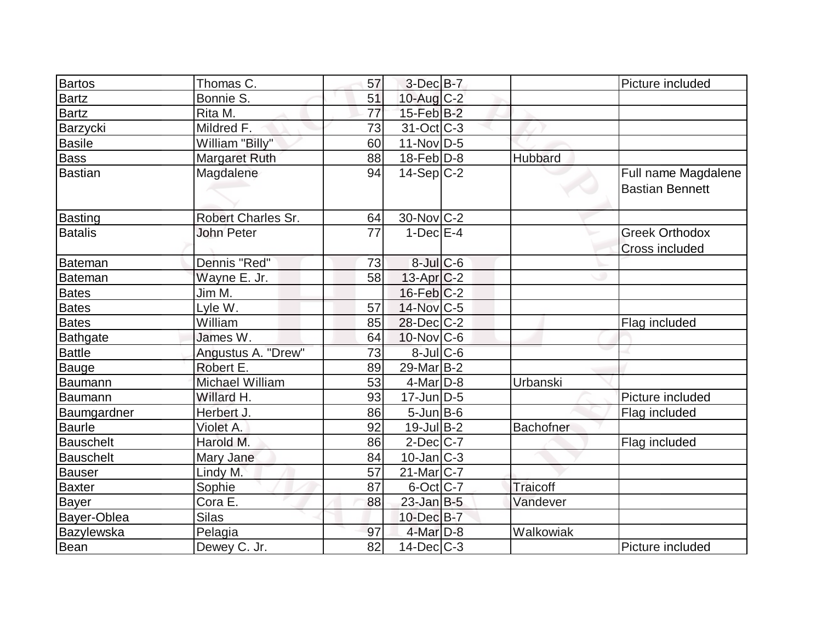| <b>Bartos</b>    | Thomas C.            | 57 | $3$ -Dec $B$ -7          |           | Picture included                              |
|------------------|----------------------|----|--------------------------|-----------|-----------------------------------------------|
| <b>Bartz</b>     | Bonnie S.            | 51 | $10$ -Aug C-2            |           |                                               |
| <b>Bartz</b>     | Rita M.              | 77 | $15$ -Feb $B$ -2         |           |                                               |
| Barzycki         | Mildred F.           | 73 | $31-Oct$ <sub>C</sub> -3 |           |                                               |
| <b>Basile</b>    | William "Billy"      | 60 | $11-Nov D-5$             |           |                                               |
| <b>Bass</b>      | <b>Margaret Ruth</b> | 88 | $18$ -Feb $D-8$          | Hubbard   |                                               |
| <b>Bastian</b>   | Magdalene            | 94 | $14-Sep C-2$             |           | Full name Magdalene<br><b>Bastian Bennett</b> |
| Basting          | Robert Charles Sr.   | 64 | $30$ -Nov $ C-2 $        |           |                                               |
| <b>Batalis</b>   | <b>John Peter</b>    | 77 | $1-Dec$ $E-4$            |           | <b>Greek Orthodox</b>                         |
|                  |                      |    |                          |           | <b>Cross included</b>                         |
| Bateman          | Dennis "Red"         | 73 | $8$ -Jul $C$ -6          |           |                                               |
| <b>Bateman</b>   | Wayne E. Jr.         | 58 | 13-Apr C-2               |           |                                               |
| Bates            | Jim M.               |    | $16$ -Feb $ C-2 $        |           |                                               |
| <b>Bates</b>     | Lyle W.              | 57 | 14-Nov C-5               |           |                                               |
| <b>Bates</b>     | William              | 85 | 28-Dec C-2               |           | Flag included                                 |
| <b>Bathgate</b>  | James W.             | 64 | $10$ -Nov $C$ -6         |           |                                               |
| <b>Battle</b>    | Angustus A. "Drew"   | 73 | $8$ -Jul $C$ -6          |           |                                               |
| <b>Bauge</b>     | Robert E.            | 89 | 29-Mar <sub>B-2</sub>    |           |                                               |
| Baumann          | Michael William      | 53 | $4$ -Mar $D-8$           | Urbanski  |                                               |
| Baumann          | Willard H.           | 93 | $17$ -Jun $D-5$          |           | Picture included                              |
| Baumgardner      | Herbert J.           | 86 | $5$ -Jun $B$ -6          |           | Flag included                                 |
| <b>Baurle</b>    | Violet A.            | 92 | $19$ -Jul B-2            | Bachofner |                                               |
| <b>Bauschelt</b> | Harold M.            | 86 | $2$ -Dec $ C-7 $         |           | Flag included                                 |
| <b>Bauschelt</b> | Mary Jane            | 84 | $10$ -Jan $ C-3 $        |           |                                               |
| <b>Bauser</b>    | Lindy M.             | 57 | $21$ -Mar $ C-7 $        |           |                                               |
| <b>Baxter</b>    | Sophie               | 87 | 6-Oct C-7                | Traicoff  |                                               |
| <b>Bayer</b>     | Cora E.              | 88 | $23$ -Jan B-5            | Vandever  |                                               |
| Bayer-Oblea      | <b>Silas</b>         |    | 10-Dec B-7               |           |                                               |
| Bazylewska       | Pelagia              | 97 | $4$ -Mar $D-8$           | Walkowiak |                                               |
| Bean             | Dewey C. Jr.         | 82 | $14$ -Dec $C-3$          |           | Picture included                              |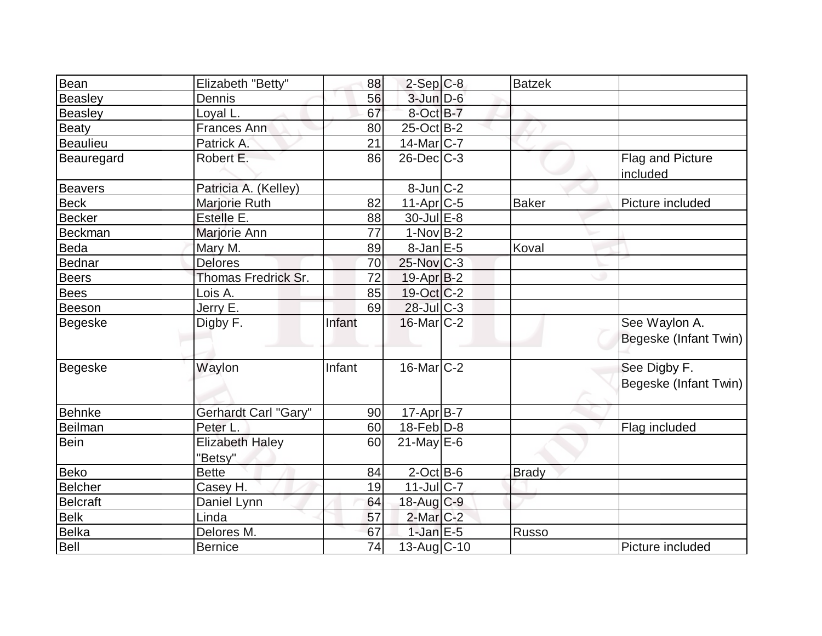| Bean            | Elizabeth "Betty"                 | 88     | $2-Sep C-8$        | <b>Batzek</b> |                                        |
|-----------------|-----------------------------------|--------|--------------------|---------------|----------------------------------------|
| <b>Beasley</b>  | Dennis                            | 56     | $3$ -Jun $D-6$     |               |                                        |
| <b>Beasley</b>  | Loyal L.                          | 67     | 8-Oct B-7          |               |                                        |
| <b>Beaty</b>    | <b>Frances Ann</b>                | 80     | $25$ -Oct B-2      |               |                                        |
| <b>Beaulieu</b> | Patrick A.                        | 21     | $14$ -Mar $ C-7 $  |               |                                        |
| Beauregard      | Robert E.                         | 86     | $26$ -Dec $C-3$    |               | Flag and Picture<br>included           |
| <b>Beavers</b>  | Patricia A. (Kelley)              |        | $8$ -Jun $C$ -2    |               |                                        |
| <b>Beck</b>     | Marjorie Ruth                     | 82     | $11-Apr$ $C-5$     | <b>Baker</b>  | Picture included                       |
| <b>Becker</b>   | Estelle E.                        | 88     | $30 -$ Jul $E - 8$ |               |                                        |
| Beckman         | Marjorie Ann                      | 77     | $1-Nov B-2$        |               |                                        |
| Beda            | Mary M.                           | 89     | $8$ -Jan $E$ -5    | Koval         |                                        |
| Bednar          | <b>Delores</b>                    | 70     | $25$ -Nov $ C-3 $  |               |                                        |
| <b>Beers</b>    | Thomas Fredrick Sr.               | 72     | $19-Apr B-2$       |               |                                        |
| <b>Bees</b>     | Lois A.                           | 85     | $19-Oct$ $C-2$     |               |                                        |
| Beeson          | Jerry E.                          | 69     | $28$ -Jul C-3      |               |                                        |
| Begeske         | Digby F.                          | Infant | $16$ -Mar $ C-2 $  |               | See Waylon A.<br>Begeske (Infant Twin) |
| <b>Begeske</b>  | Waylon                            | Infant | $16$ -Mar $C-2$    |               | See Digby F.<br>Begeske (Infant Twin)  |
| <b>Behnke</b>   | Gerhardt Carl "Gary"              | 90     | $17$ -Apr $ B-7 $  |               |                                        |
| <b>Beilman</b>  | Peter L.                          | 60     | $18$ -Feb $ D-8 $  |               | Flag included                          |
| Bein            | <b>Elizabeth Haley</b><br>"Betsy" | 60     | $21$ -May E-6      |               |                                        |
| Beko            | <b>Bette</b>                      | 84     | $2$ -Oct B-6       | <b>Brady</b>  |                                        |
| <b>Belcher</b>  | Casey H.                          | 19     | $11$ -Jul $C$ -7   |               |                                        |
| <b>Belcraft</b> | Daniel Lynn                       | 64     | 18-Aug C-9         |               |                                        |
| <b>Belk</b>     | Linda                             | 57     | $2$ -Mar $C-2$     |               |                                        |
| <b>Belka</b>    | Delores M.                        | 67     | $1$ -Jan $E$ -5    | Russo         |                                        |
| Bell            | <b>Bernice</b>                    | 74     | $13$ -Aug $C-10$   |               | Picture included                       |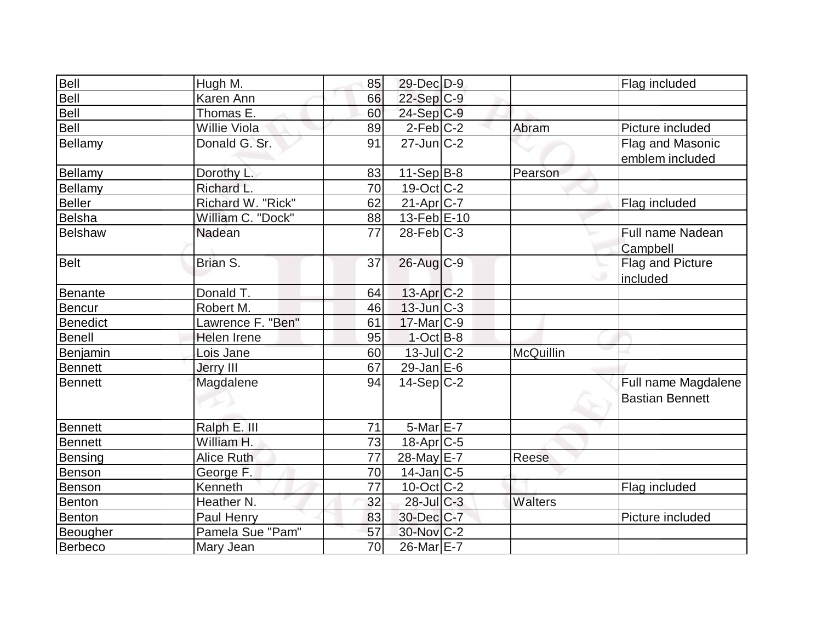| Bell            | Hugh M.           | 85 | 29-Dec D-9        |           | Flag included          |
|-----------------|-------------------|----|-------------------|-----------|------------------------|
| Bell            | Karen Ann         | 66 | 22-Sep C-9        |           |                        |
| Bell            | Thomas E.         | 60 | $24-Sep C-9$      |           |                        |
| Bell            | Willie Viola      | 89 | $2$ -Feb $ C-2 $  | Abram     | Picture included       |
| Bellamy         | Donald G. Sr.     | 91 | $27 - Jun$ $C-2$  |           | Flag and Masonic       |
|                 |                   |    |                   |           | emblem included        |
| Bellamy         | Dorothy L.        | 83 | $11-Sep B-8$      | Pearson   |                        |
| <b>Bellamy</b>  | Richard L.        | 70 | 19-Oct C-2        |           |                        |
| <b>Beller</b>   | Richard W. "Rick" | 62 | 21-Apr C-7        |           | Flag included          |
| <b>Belsha</b>   | William C. "Dock" | 88 | 13-Feb E-10       |           |                        |
| <b>Belshaw</b>  | Nadean            | 77 | $28$ -Feb $ C-3 $ |           | Full name Nadean       |
|                 |                   |    |                   |           | Campbell               |
| <b>Belt</b>     | Brian S.          | 37 | 26-Aug C-9        |           | Flag and Picture       |
|                 |                   |    |                   |           | included               |
| Benante         | Donald T.         | 64 | $13$ -Apr $C-2$   |           |                        |
| <b>Bencur</b>   | Robert M.         | 46 | 13-Jun C-3        |           |                        |
| <b>Benedict</b> | Lawrence F. "Ben" | 61 | $17$ -Mar $ C-9$  |           |                        |
| <b>Benell</b>   | Helen Irene       | 95 | $1-Oct$ B-8       |           |                        |
| Benjamin        | Lois Jane         | 60 | $13$ -Jul $C-2$   | McQuillin |                        |
| Bennett         | Jerry III         | 67 | $29$ -Jan E-6     |           |                        |
| Bennett         | Magdalene         | 94 | $14-Sep C-2$      |           | Full name Magdalene    |
|                 |                   |    |                   |           | <b>Bastian Bennett</b> |
|                 |                   |    |                   |           |                        |
| <b>Bennett</b>  | Ralph E. III      | 71 | 5-Mar E-7         |           |                        |
| <b>Bennett</b>  | William H.        | 73 | 18-Apr C-5        |           |                        |
| <b>Bensing</b>  | <b>Alice Ruth</b> | 77 | 28-May E-7        | Reese     |                        |
| Benson          | George F.         | 70 | $14$ -Jan $ C-5 $ |           |                        |
| Benson          | Kenneth           | 77 | $10$ -Oct $ C-2 $ |           | Flag included          |
| Benton          | Heather N.        | 32 | $28$ -Jul C-3     | Walters   |                        |
| Benton          | Paul Henry        | 83 | 30-Dec C-7        |           | Picture included       |
| Beougher        | Pamela Sue "Pam"  | 57 | 30-Nov C-2        |           |                        |
| Berbeco         | Mary Jean         | 70 | 26-Mar E-7        |           |                        |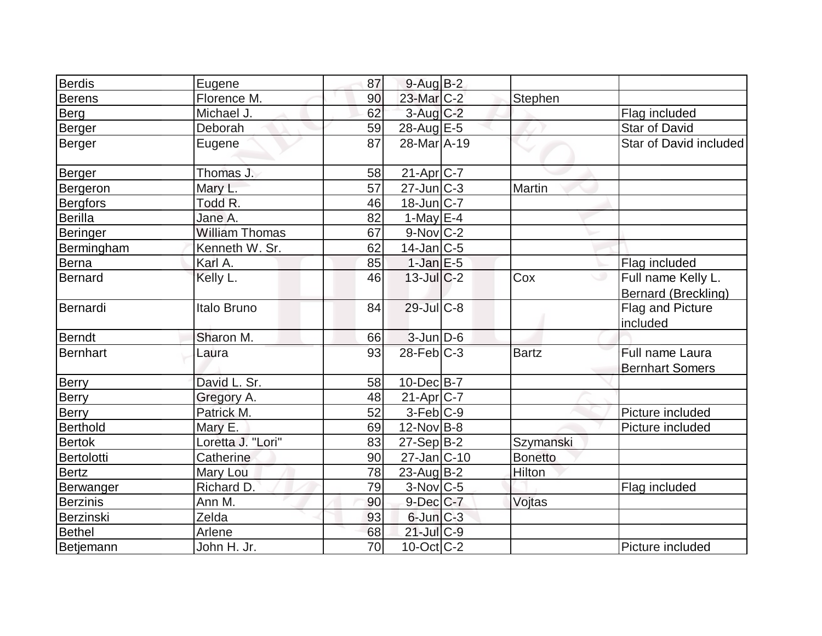| Berdis           |                       | 87              | $9-Auq$ $B-2$          |                |                            |
|------------------|-----------------------|-----------------|------------------------|----------------|----------------------------|
| <b>Berens</b>    | Eugene<br>Florence M. | 90              | $23$ -Mar $C-2$        |                |                            |
|                  |                       |                 |                        | <b>Stephen</b> |                            |
| Berg             | Michael J.            | 62              | $3$ -Aug $C-2$         |                | Flag included              |
| Berger           | Deborah               | 59              | 28-Aug E-5             |                | <b>Star of David</b>       |
| Berger           | Eugene                | 87              | 28-Mar A-19            |                | Star of David included     |
| Berger           | Thomas J.             | 58              | 21-Apr C-7             |                |                            |
| Bergeron         | Mary L.               | $\overline{57}$ | $27$ -Jun $C-3$        | Martin         |                            |
| <b>Bergfors</b>  | Todd R.               | 46              | 18-Jun C-7             |                |                            |
| <b>Berilla</b>   | Jane A.               | 82              | $1$ -May E-4           |                |                            |
| <b>Beringer</b>  | <b>William Thomas</b> | 67              | $9-Nov$ C-2            |                |                            |
| Bermingham       | Kenneth W. Sr.        | 62              | $14$ -Jan $ C-5 $      |                |                            |
| Berna            | Karl A.               | 85              | $1$ -Jan $E-5$         |                | Flag included              |
| Bernard          | Kelly L.              | 46              | $13$ -JulC-2           | Cox            | Full name Kelly L.         |
|                  |                       |                 |                        |                | <b>Bernard (Breckling)</b> |
| Bernardi         | Italo Bruno           | 84              | $29$ -Jul $C-8$        |                | Flag and Picture           |
|                  |                       |                 |                        |                | included                   |
| <b>Berndt</b>    | Sharon M.             | 66              | $3$ -Jun $D-6$         |                |                            |
| <b>Bernhart</b>  | Laura                 | 93              | $28$ -Feb $ C-3 $      | <b>Bartz</b>   | Full name Laura            |
|                  |                       |                 |                        |                | <b>Bernhart Somers</b>     |
| <b>Berry</b>     | David L. Sr.          | 58              | $10$ -Dec $B$ -7       |                |                            |
| Berry            | Gregory A.            | 48              | $21-Apr$ $C-7$         |                |                            |
| Berry            | Patrick M.            | 52              | $3-Feb$ <sub>C-9</sub> |                | Picture included           |
| Berthold         | Mary E.               | 69              | $12$ -Nov B-8          |                | Picture included           |
| <b>Bertok</b>    | Loretta J. "Lori"     | 83              | $27-Sep B-2$           | Szymanski      |                            |
| Bertolotti       | Catherine             | 90              | 27-Jan C-10            | <b>Bonetto</b> |                            |
| <b>Bertz</b>     | Mary Lou              | 78              | $23$ -Aug $B-2$        | Hilton         |                            |
| Berwanger        | Richard D.            | 79              | $3-Nov$ <sub>C-5</sub> |                | Flag included              |
| Berzinis         | Ann M.                | 90              | $9$ -Dec $C$ -7        | Vojtas         |                            |
| Berzinski        | Zelda                 | 93              | $6$ -Jun $C-3$         |                |                            |
| <b>Bethel</b>    | Arlene                | 68              | $21$ -Jul C-9          |                |                            |
| <b>Betjemann</b> | John H. Jr.           | 70              | $10$ -Oct $ C-2 $      |                | Picture included           |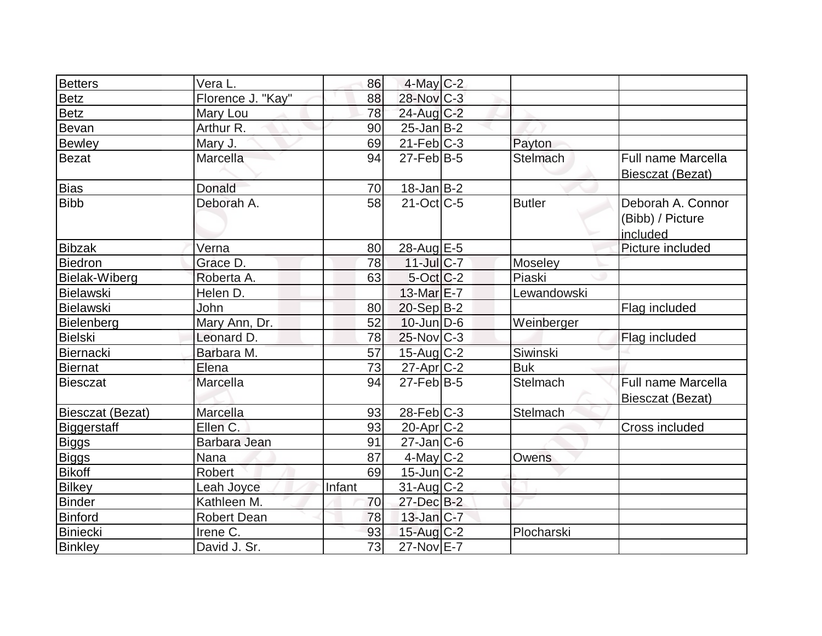| <b>Betters</b>     | Vera L.            | 86     | 4-May C-2              |               |                                                   |
|--------------------|--------------------|--------|------------------------|---------------|---------------------------------------------------|
| <b>Betz</b>        | Florence J. "Kay"  | 88     | $28$ -Nov $C-3$        |               |                                                   |
| <b>Betz</b>        | Mary Lou           | 78     | $24$ -Aug C-2          |               |                                                   |
| Bevan              | Arthur R.          | 90     | $25$ -Jan B-2          |               |                                                   |
| <b>Bewley</b>      | Mary J.            | 69     | $21$ -Feb $C-3$        | Payton        |                                                   |
| <b>Bezat</b>       | Marcella           | 94     | $27$ -Feb $ B-5 $      | Stelmach      | <b>Full name Marcella</b><br>Biesczat (Bezat)     |
| <b>Bias</b>        | Donald             | 70     | $18$ -Jan $ B-2 $      |               |                                                   |
| <b>Bibb</b>        | Deborah A.         | 58     | $21$ -Oct $C-5$        | <b>Butler</b> | Deborah A. Connor<br>(Bibb) / Picture<br>included |
| <b>Bibzak</b>      | Verna              | 80     | 28-Aug E-5             |               | Picture included                                  |
| <b>Biedron</b>     | Grace D.           | 78     | $11$ -Jul C-7          | Moseley       |                                                   |
| Bielak-Wiberg      | Roberta A.         | 63     | $5$ -Oct $C-2$         | Piaski        |                                                   |
| Bielawski          | Helen D.           |        | $13$ -Mar $E-7$        | Lewandowski   |                                                   |
| <b>Bielawski</b>   | John               | 80     | 20-Sep B-2             |               | Flag included                                     |
| Bielenberg         | Mary Ann, Dr.      | 52     | $10$ -Jun $D-6$        | Weinberger    |                                                   |
| <b>Bielski</b>     | Leonard D.         | 78     | $25$ -Nov $ C-3 $      |               | Flag included                                     |
| Biernacki          | Barbara M.         | 57     | $15$ -Aug C-2          | Siwinski      |                                                   |
| <b>Biernat</b>     | Elena              | 73     | $27$ -Apr $C-2$        | <b>Buk</b>    |                                                   |
| <b>Biesczat</b>    | Marcella           | 94     | $27$ -Feb $ B-5 $      | Stelmach      | <b>Full name Marcella</b><br>Biesczat (Bezat)     |
| Biesczat (Bezat)   | Marcella           | 93     | $28$ -Feb $ C-3 $      | Stelmach      |                                                   |
| <b>Biggerstaff</b> | Ellen C.           | 93     | 20-Apr <sub>C</sub> -2 |               | Cross included                                    |
| <b>Biggs</b>       | Barbara Jean       | 91     | $27$ -Jan $ C$ -6      |               |                                                   |
| <b>Biggs</b>       | Nana               | 87     | $4$ -May C-2           | Owens         |                                                   |
| <b>Bikoff</b>      | Robert             | 69     | $15$ -Jun $ C-2 $      |               |                                                   |
| <b>Bilkey</b>      | Leah Joyce         | Infant | $31$ -Aug C-2          |               |                                                   |
| <b>Binder</b>      | Kathleen M.        | 70     | 27-Dec B-2             |               |                                                   |
| <b>Binford</b>     | <b>Robert Dean</b> | 78     | $13$ -Jan $ C-7 $      |               |                                                   |
| <b>Biniecki</b>    | Irene C.           | 93     | 15-Aug C-2             | Plocharski    |                                                   |
| <b>Binkley</b>     | David J. Sr.       | 73     | 27-Nov E-7             |               |                                                   |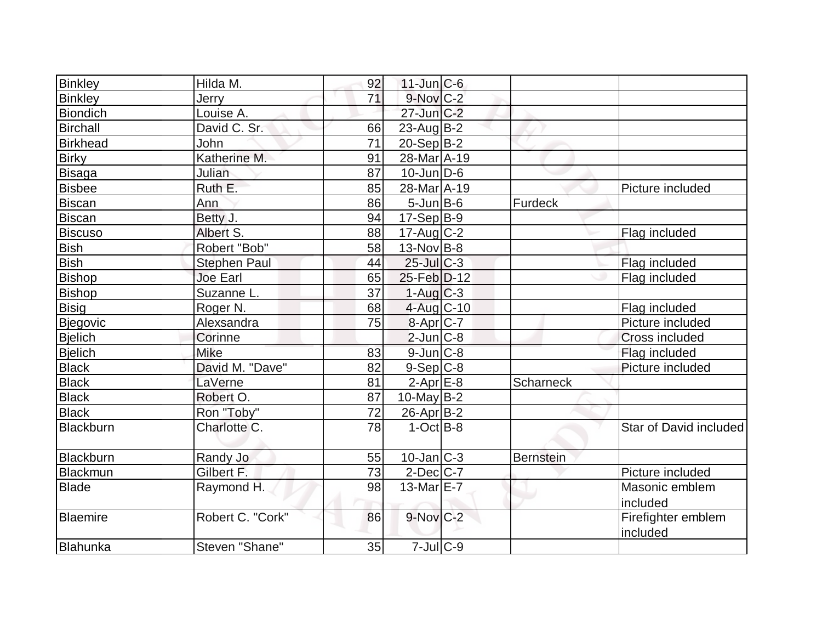| Binkley         | Hilda M.            | 92 | $11$ -Jun $ C-6$  |                  |                        |
|-----------------|---------------------|----|-------------------|------------------|------------------------|
| Binkley         | Jerry               | 71 | 9-Nov C-2         |                  |                        |
| <b>Biondich</b> | Louise A.           |    | $27$ -Jun $C-2$   |                  |                        |
| Birchall        | David C. Sr.        | 66 | $23$ -AugB-2      |                  |                        |
| <b>Birkhead</b> | John                | 71 | $20-Sep B-2$      |                  |                        |
| <b>Birky</b>    | Katherine M.        | 91 | 28-Mar A-19       |                  |                        |
| Bisaga          | Julian              | 87 | $10$ -Jun $D-6$   |                  |                        |
| <b>Bisbee</b>   | Ruth E.             | 85 | 28-Mar A-19       |                  | Picture included       |
| <b>Biscan</b>   | Ann                 | 86 | $5$ -Jun $B$ -6   | Furdeck          |                        |
| <b>Biscan</b>   | Betty J.            | 94 | $17-Sep B-9$      |                  |                        |
| <b>Biscuso</b>  | Albert S.           | 88 | $17$ -Aug C-2     |                  | Flag included          |
| <b>Bish</b>     | Robert "Bob"        | 58 | $13$ -Nov B-8     |                  |                        |
| <b>Bish</b>     | <b>Stephen Paul</b> | 44 | $25$ -Jul C-3     |                  | Flag included          |
| <b>Bishop</b>   | <b>Joe Earl</b>     | 65 | 25-Feb D-12       |                  | Flag included          |
| Bishop          | Suzanne L.          | 37 | $1-Aug$ $C-3$     |                  |                        |
| <b>Bisig</b>    | Roger <sub>N.</sub> | 68 | 4-Aug C-10        |                  | Flag included          |
| Bjegovic        | Alexsandra          | 75 | $8-Apr$ $C-7$     |                  | Picture included       |
| Bjelich         | Corinne             |    | $2$ -Jun $ C-8$   |                  | Cross included         |
| <b>Bjelich</b>  | Mike                | 83 | $9$ -Jun $C-8$    |                  | Flag included          |
| <b>Black</b>    | David M. "Dave"     | 82 | $9-Sep C-8$       |                  | Picture included       |
| <b>Black</b>    | LaVerne             | 81 | $2-Apr \, E-8$    | <b>Scharneck</b> |                        |
| <b>Black</b>    | Robert O.           | 87 | $10$ -May B-2     |                  |                        |
| <b>Black</b>    | Ron "Toby"          | 72 | $26$ -Apr $ B-2 $ |                  |                        |
| Blackburn       | Charlotte C.        | 78 | $1-Oct$ B-8       |                  | Star of David included |
| Blackburn       | Randy Jo            | 55 | $10$ -Jan $ C-3 $ | <b>Bernstein</b> |                        |
| Blackmun        | Gilbert F.          | 73 | $2$ -Dec $ C-7 $  |                  | Picture included       |
| <b>Blade</b>    | Raymond H.          | 98 | $13$ -Mar $E$ -7  |                  | Masonic emblem         |
|                 |                     |    |                   |                  | included               |
| Blaemire        | Robert C. "Cork"    | 86 | 9-Nov C-2         |                  | Firefighter emblem     |
|                 |                     |    |                   |                  | included               |
| Blahunka        | Steven "Shane"      | 35 | $7$ -Jul $C$ -9   |                  |                        |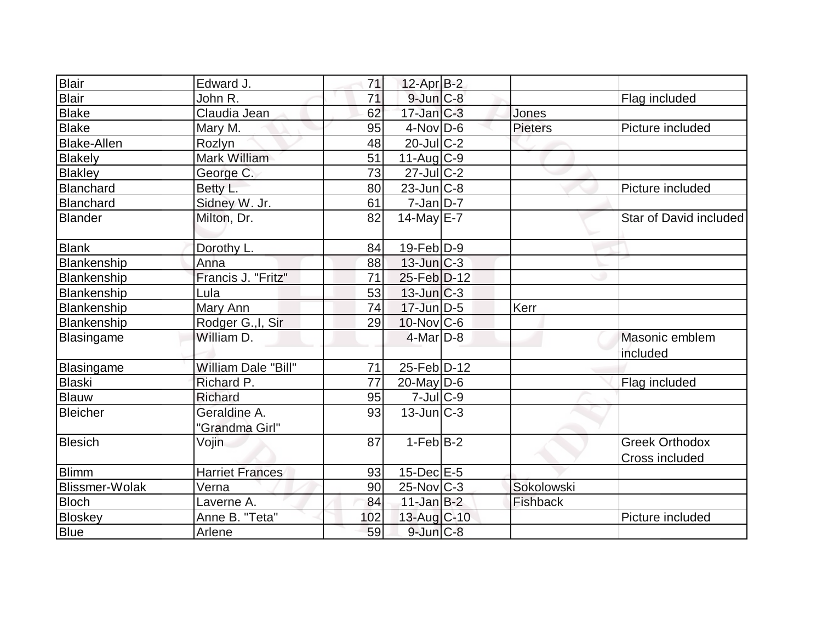| Blair              | Edward J.              | 71  | $12$ -Apr $ B-2 $ |                |                        |
|--------------------|------------------------|-----|-------------------|----------------|------------------------|
| <b>Blair</b>       | John R.                | 71  | $9$ -Jun $C-8$    |                | Flag included          |
| <b>Blake</b>       | Claudia Jean           | 62  | $17$ -Jan $C-3$   | <b>Jones</b>   |                        |
| <b>Blake</b>       | Mary M.                | 95  | $4$ -Nov $D-6$    | <b>Pieters</b> | Picture included       |
| <b>Blake-Allen</b> | Rozlyn                 | 48  | $20$ -Jul C-2     |                |                        |
| <b>Blakely</b>     | Mark William           | 51  | $11-Auq$ $C-9$    |                |                        |
| <b>Blakley</b>     | George C.              | 73  | 27-Jul C-2        |                |                        |
| <b>Blanchard</b>   | Betty L.               | 80  | $23$ -Jun $ C-8 $ |                | Picture included       |
| Blanchard          | Sidney W. Jr.          | 61  | $7$ -Jan $ D-7 $  |                |                        |
| <b>Blander</b>     | Milton, Dr.            | 82  | $14$ -May E-7     |                | Star of David included |
| <b>Blank</b>       | Dorothy L.             | 84  | $19$ -Feb $ D-9$  |                |                        |
| Blankenship        | Anna                   | 88  | $13$ -Jun $ C-3 $ |                |                        |
| Blankenship        | Francis J. "Fritz"     | 71  | 25-Feb D-12       |                |                        |
| Blankenship        | Lula                   | 53  | $13$ -Jun $C-3$   |                |                        |
| Blankenship        | Mary Ann               | 74  | $17$ -Jun $D-5$   | Kerr           |                        |
| Blankenship        | Rodger G., I, Sir      | 29  | $10$ -Nov $ C$ -6 |                |                        |
| <b>Blasingame</b>  | William D.             |     | $4$ -Mar $D-8$    |                | Masonic emblem         |
|                    |                        |     |                   |                | included               |
| Blasingame         | William Dale "Bill"    | 71  | 25-Feb D-12       |                |                        |
| <b>Blaski</b>      | Richard P.             | 77  | $20$ -May D-6     |                | Flag included          |
| <b>Blauw</b>       | <b>Richard</b>         | 95  | $7$ -Jul $ C$ -9  |                |                        |
| <b>Bleicher</b>    | Geraldine A.           | 93  | $13$ -Jun $ C-3 $ |                |                        |
|                    | "Grandma Girl"         |     |                   |                |                        |
| <b>Blesich</b>     | Vojin                  | 87  | $1-Feb B-2$       |                | <b>Greek Orthodox</b>  |
|                    |                        |     |                   |                | Cross included         |
| <b>Blimm</b>       | <b>Harriet Frances</b> | 93  | $15$ -Dec $E$ -5  |                |                        |
| Blissmer-Wolak     | Verna                  | 90  | 25-Nov C-3        | Sokolowski     |                        |
| <b>Bloch</b>       | Laverne A.             | 84  | $11$ -Jan $B-2$   | Fishback       |                        |
| <b>Bloskey</b>     | Anne B. "Teta"         | 102 | 13-Aug C-10       |                | Picture included       |
| <b>Blue</b>        | Arlene                 | 59  | $9$ -Jun $C-8$    |                |                        |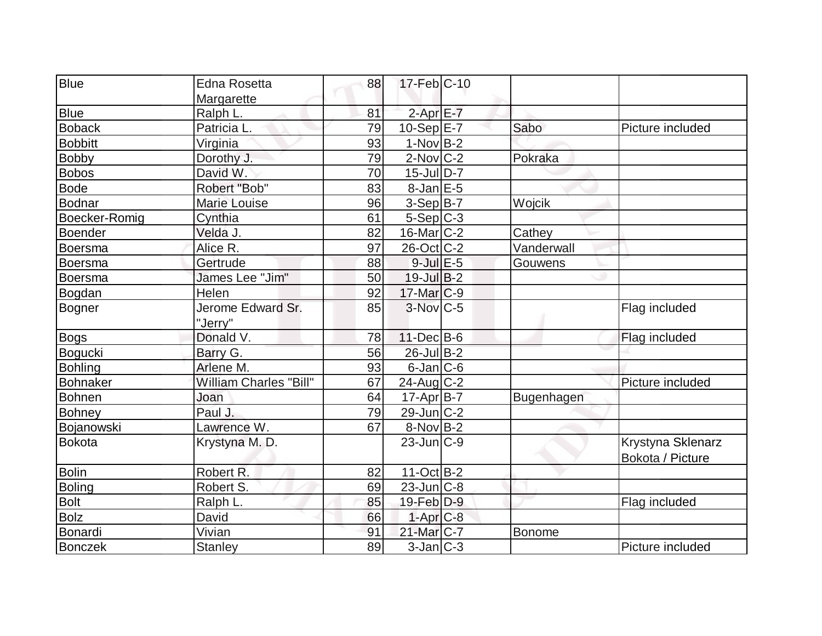| <b>Blue</b>     | <b>Edna Rosetta</b>           | 88 | $17$ -Feb $ C-10$ |                   |                   |
|-----------------|-------------------------------|----|-------------------|-------------------|-------------------|
|                 | Margarette                    |    |                   |                   |                   |
| <b>Blue</b>     | Ralph L.                      | 81 | $2$ -Apr $E$ -7   |                   |                   |
| <b>Boback</b>   | Patricia L.                   | 79 | $10-Sep$ $E-7$    | Sabo              | Picture included  |
| <b>Bobbitt</b>  | Virginia                      | 93 | $1-Nov$ B-2       |                   |                   |
| <b>Bobby</b>    | Dorothy J.                    | 79 | $2$ -Nov $ C-2 $  | Pokraka           |                   |
| Bobos           | David W.                      | 70 | $15$ -Jul $ D-7$  |                   |                   |
| <b>Bode</b>     | Robert "Bob"                  | 83 | $8$ -Jan $E$ -5   |                   |                   |
| Bodnar          | Marie Louise                  | 96 | $3-Sep B-7$       | Wojcik            |                   |
| Boecker-Romig   | Cynthia                       | 61 | $5-Sep C-3$       |                   |                   |
| <b>Boender</b>  | Velda J.                      | 82 | $16$ -Mar $ C-2 $ | Cathey            |                   |
| Boersma         | Alice R.                      | 97 | $26$ -Oct $ C-2 $ | Vanderwall        |                   |
| Boersma         | Gertrude                      | 88 | $9$ -Jul $E$ -5   | Gouwens           |                   |
| <b>Boersma</b>  | James Lee "Jim"               | 50 | $19$ -Jul B-2     |                   |                   |
| Bogdan          | Helen                         | 92 | $17$ -Mar $ C-9$  |                   |                   |
| <b>Bogner</b>   | Jerome Edward Sr.             | 85 | $3-Nov$ $C-5$     |                   | Flag included     |
|                 | "Jerry"                       |    |                   |                   |                   |
| <b>Bogs</b>     | Donald V.                     | 78 | $11 - Dec$ B-6    |                   | Flag included     |
| Bogucki         | Barry G.                      | 56 | 26-Jul B-2        |                   |                   |
| <b>Bohling</b>  | Arlene M.                     | 93 | $6$ -Jan $ C$ -6  |                   |                   |
| <b>Bohnaker</b> | <b>William Charles "Bill"</b> | 67 | $24$ -Aug $C-2$   |                   | Picture included  |
| Bohnen          | Joan                          | 64 | $17$ -Apr $B$ -7  | <b>Bugenhagen</b> |                   |
| <b>Bohney</b>   | Paul J.                       | 79 | $29$ -Jun $ C-2 $ |                   |                   |
| Bojanowski      | Lawrence W.                   | 67 | $8-Nov B-2$       |                   |                   |
| <b>Bokota</b>   | Krystyna M. D.                |    | $23$ -Jun $ C-9 $ |                   | Krystyna Sklenarz |
|                 |                               |    |                   |                   | Bokota / Picture  |
| <b>Bolin</b>    | Robert R.                     | 82 | $11-Oct$ B-2      |                   |                   |
| <b>Boling</b>   | Robert S.                     | 69 | $23$ -Jun $ C-8$  |                   |                   |
| <b>Bolt</b>     | Ralph L.                      | 85 | 19-Feb D-9        |                   | Flag included     |
| <b>Bolz</b>     | David                         | 66 | $1-Apr$ $C-8$     |                   |                   |
| Bonardi         | Vivian                        | 91 | $21$ -Mar $C-7$   | <b>Bonome</b>     |                   |
| <b>Bonczek</b>  | <b>Stanley</b>                | 89 | $3$ -Jan $ C-3 $  |                   | Picture included  |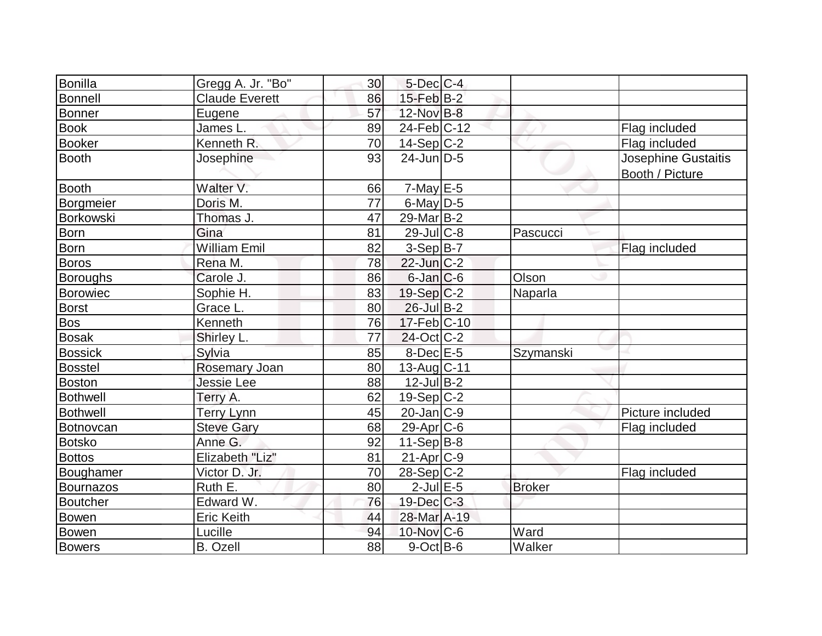| Bonilla          | Gregg A. Jr. "Bo"     | 30 | $5$ -Dec $C$ -4   |               |                                        |
|------------------|-----------------------|----|-------------------|---------------|----------------------------------------|
| Bonnell          | <b>Claude Everett</b> | 86 | $15$ -Feb $ B-2 $ |               |                                        |
| <b>Bonner</b>    | Eugene                | 57 | 12-Nov B-8        |               |                                        |
| <b>Book</b>      | James L.              | 89 | $24$ -Feb $ C-12$ |               | Flag included                          |
| <b>Booker</b>    | Kenneth R.            | 70 | $14-Sep$ C-2      |               | Flag included                          |
| <b>Booth</b>     | Josephine             | 93 | $24$ -Jun $D-5$   |               | Josephine Gustaitis<br>Booth / Picture |
| <b>Booth</b>     | Walter V.             | 66 | $7$ -May $E$ -5   |               |                                        |
| Borgmeier        | Doris M.              | 77 | $6$ -May $D-5$    |               |                                        |
| <b>Borkowski</b> | Thomas J.             | 47 | 29-Mar B-2        |               |                                        |
| <b>Born</b>      | Gina                  | 81 | $29$ -Jul C-8     | Pascucci      |                                        |
| <b>Born</b>      | <b>William Emil</b>   | 82 | $3-Sep$ B-7       |               | Flag included                          |
| <b>Boros</b>     | Rena M.               | 78 | $22$ -Jun $C-2$   |               |                                        |
| Boroughs         | Carole J.             | 86 | $6$ -Jan $C$ -6   | Olson         |                                        |
| <b>Borowiec</b>  | Sophie H.             | 83 | $19-Sep C-2$      | Naparla       |                                        |
| <b>Borst</b>     | Grace L.              | 80 | $26$ -Jul B-2     |               |                                        |
| <b>Bos</b>       | Kenneth               | 76 | $17$ -Feb $ C-10$ |               |                                        |
| <b>Bosak</b>     | Shirley L.            | 77 | $24$ -Oct C-2     |               |                                        |
| <b>Bossick</b>   | Sylvia                | 85 | $8$ -Dec $E$ -5   | Szymanski     |                                        |
| <b>Bosstel</b>   | Rosemary Joan         | 80 | $13$ -Aug C-11    |               |                                        |
| <b>Boston</b>    | <b>Jessie Lee</b>     | 88 | $12$ -Jul B-2     |               |                                        |
| <b>Bothwell</b>  | Terry A.              | 62 | $19-Sep C-2$      |               |                                        |
| <b>Bothwell</b>  | <b>Terry Lynn</b>     | 45 | $20$ -Jan $ C-9 $ |               | Picture included                       |
| <b>Botnovcan</b> | <b>Steve Gary</b>     | 68 | $29$ -Apr $ C$ -6 |               | Flag included                          |
| <b>Botsko</b>    | Anne G.               | 92 | $11-Sep B-8$      |               |                                        |
| <b>Bottos</b>    | Elizabeth "Liz"       | 81 | $21-Apr$ C-9      |               |                                        |
| Boughamer        | Victor D. Jr.         | 70 | $28-Sep C-2$      |               | Flag included                          |
| <b>Bournazos</b> | Ruth E.               | 80 | $2$ -Jul $E$ -5   | <b>Broker</b> |                                        |
| Boutcher         | Edward W.             | 76 | $19$ -Dec $C$ -3  |               |                                        |
| Bowen            | <b>Eric Keith</b>     | 44 | 28-Mar A-19       |               |                                        |
| Bowen            | Lucille               | 94 | 10-Nov C-6        | Ward          |                                        |
| <b>Bowers</b>    | <b>B.</b> Ozell       | 88 | $9$ -Oct $B$ -6   | Walker        |                                        |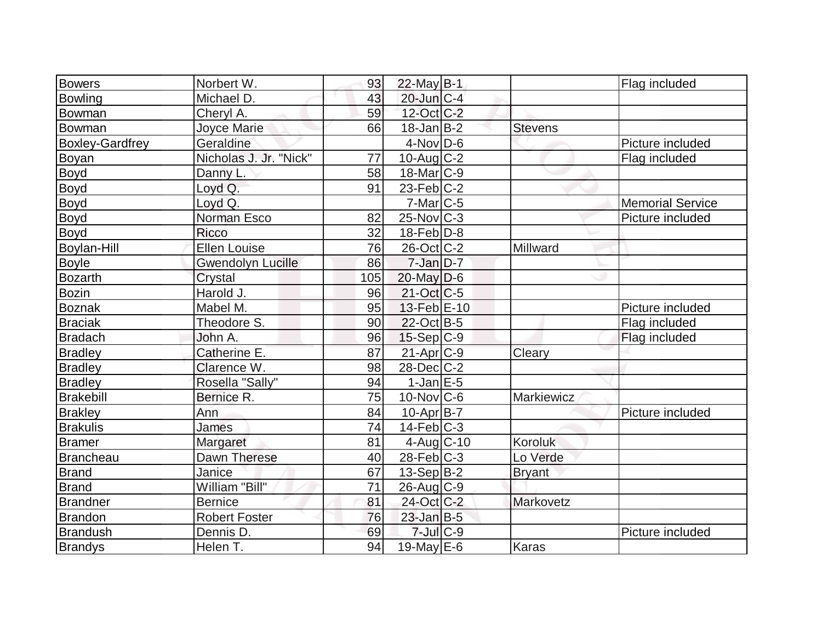| <b>Bowers</b>          | Norbert W.               | 93  | $22$ -May B-1          |                | Flag included           |
|------------------------|--------------------------|-----|------------------------|----------------|-------------------------|
| Bowling                | Michael D.               | 43  | $20$ -Jun $C-4$        |                |                         |
| Bowman                 | Cheryl A.                | 59  | 12-Oct C-2             |                |                         |
| Bowman                 | Joyce Marie              | 66  | $18$ -Jan $ B-2 $      | <b>Stevens</b> |                         |
| <b>Boxley-Gardfrey</b> | Geraldine                |     | $4$ -Nov $D-6$         |                | Picture included        |
| Boyan                  | Nicholas J. Jr. "Nick"   | 77  | $10$ -Aug $C-2$        |                | Flag included           |
| Boyd                   | Danny L                  | 58  | 18-Mar <sub>IC-9</sub> |                |                         |
| <b>Boyd</b>            | Loyd Q.                  | 91  | $23$ -Feb $ C-2 $      |                |                         |
| <b>Boyd</b>            | Loyd Q.                  |     | $7-Mar$ $C-5$          |                | <b>Memorial Service</b> |
| <b>Boyd</b>            | Norman Esco              | 82  | $25$ -Nov $ C-3 $      |                | Picture included        |
| <b>Boyd</b>            | Ricco                    | 32  | $18$ -Feb $ D-8$       |                |                         |
| <b>Boylan-Hill</b>     | <b>Ellen Louise</b>      | 76  | $26$ -Oct $ C-2 $      | Millward       |                         |
| <b>Boyle</b>           | <b>Gwendolyn Lucille</b> | 86  | $7$ -Jan $D-7$         |                |                         |
| <b>Bozarth</b>         | Crystal                  | 105 | $20$ -May $D-6$        |                |                         |
| Bozin                  | Harold J.                | 96  | $21-Oct$ $C-5$         |                |                         |
| <b>Boznak</b>          | Mabel M.                 | 95  | 13-Feb E-10            |                | Picture included        |
| <b>Braciak</b>         | Theodore S.              | 90  | $22$ -Oct B-5          |                | Flag included           |
| <b>Bradach</b>         | John A.                  | 96  | $15-Sep C-9$           |                | Flag included           |
| <b>Bradley</b>         | Catherine E.             | 87  | 21-Apr <sub>C-9</sub>  | Cleary         |                         |
| <b>Bradley</b>         | Clarence W.              | 98  | $28$ -Dec $C-2$        |                |                         |
| <b>Bradley</b>         | Rosella "Sally"          | 94  | $1-JanEE-5$            |                |                         |
| Brakebill              | Bernice R.               | 75  | $10$ -Nov $ C$ -6      | Markiewicz     |                         |
| <b>Brakley</b>         | Ann                      | 84  | $10-Apr B-7$           |                | Picture included        |
| <b>Brakulis</b>        | James                    | 74  | $14$ -Feb $C-3$        |                |                         |
| <b>Bramer</b>          | Margaret                 | 81  | $4$ -Aug C-10          | Koroluk        |                         |
| Brancheau              | Dawn Therese             | 40  | $28$ -Feb $C-3$        | Lo Verde       |                         |
| <b>Brand</b>           | Janice                   | 67  | $13-Sep B-2$           | <b>Bryant</b>  |                         |
| Brand                  | William "Bill"           | 71  | 26-Aug C-9             |                |                         |
| Brandner               | <b>Bernice</b>           | 81  | 24-Oct C-2             | Markovetz      |                         |
| Brandon                | <b>Robert Foster</b>     | 76  | $23$ -Jan B-5          |                |                         |
| <b>Brandush</b>        | Dennis D.                | 69  | $7$ -Jul $C-9$         |                | Picture included        |
| <b>Brandys</b>         | Helen T.                 | 94  | 19-May $E-6$           | <b>Karas</b>   |                         |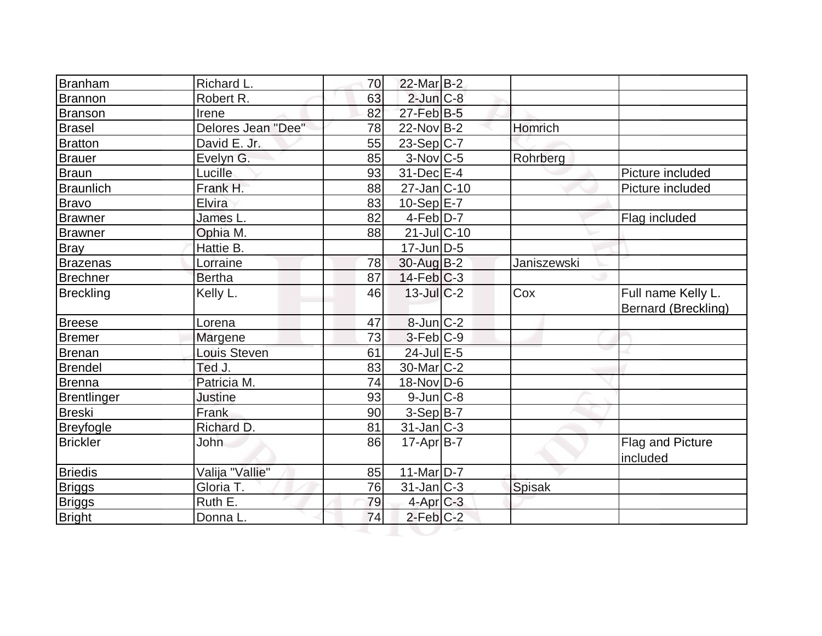| <b>Branham</b><br><b>Brannon</b><br>Branson<br>Brasel<br>Bratton<br><b>Brauer</b> | Robert R.<br>Irene<br>Delores Jean "Dee"<br>David E. Jr.<br>Evelyn G. | 63<br>82<br>78<br>55 | $2$ -Jun $C-8$<br>$27$ -Feb $ B-5 $ |               |                                                  |
|-----------------------------------------------------------------------------------|-----------------------------------------------------------------------|----------------------|-------------------------------------|---------------|--------------------------------------------------|
|                                                                                   |                                                                       |                      |                                     |               |                                                  |
|                                                                                   |                                                                       |                      |                                     |               |                                                  |
|                                                                                   |                                                                       |                      | $22$ -Nov B-2                       | Homrich       |                                                  |
|                                                                                   |                                                                       |                      | $23-Sep C-7$                        |               |                                                  |
|                                                                                   |                                                                       | 85                   | $3-Nov$ <sub>C-5</sub>              | Rohrberg      |                                                  |
| <b>Braun</b>                                                                      | Lucille                                                               | 93                   | $31$ -Dec $E-4$                     |               | Picture included                                 |
| <b>Braunlich</b>                                                                  | Frank H.                                                              | 88                   | $27 - Jan$ <sub>C</sub> -10         |               | Picture included                                 |
| <b>Bravo</b>                                                                      | Elvira                                                                | 83                   | $10-Sep$ $E-7$                      |               |                                                  |
| <b>Brawner</b>                                                                    | James L.                                                              | 82                   | $4-Feb$ $D-7$                       |               | Flag included                                    |
| <b>Brawner</b>                                                                    | Ophia M.                                                              | 88                   | $21$ -Jul $C-10$                    |               |                                                  |
| <b>Bray</b>                                                                       | Hattie B.                                                             |                      | $17$ -Jun $D-5$                     |               |                                                  |
| <b>Brazenas</b>                                                                   | Lorraine                                                              | 78                   | 30-Aug B-2                          | Janiszewski   |                                                  |
| <b>Brechner</b>                                                                   | <b>Bertha</b>                                                         | 87                   | $14$ -Feb $C-3$                     |               |                                                  |
| <b>Breckling</b>                                                                  | Kelly L.                                                              | 46                   | $13$ -Jul $C-2$                     | Cox           | Full name Kelly L.<br><b>Bernard (Breckling)</b> |
| <b>Breese</b>                                                                     | Lorena                                                                | 47                   | 8-Jun C-2                           |               |                                                  |
| <b>Bremer</b>                                                                     | Margene                                                               | 73                   | $3-Feb C-9$                         |               |                                                  |
| Brenan                                                                            | Louis Steven                                                          | 61                   | $24$ -Jul $E-5$                     |               |                                                  |
| <b>Brendel</b>                                                                    | Ted J.                                                                | 83                   | $30$ -Mar $ C-2 $                   |               |                                                  |
| Brenna                                                                            | Patricia M.                                                           | 74                   | $18-Nov D-6$                        |               |                                                  |
| <b>Brentlinger</b>                                                                | <b>Justine</b>                                                        | 93                   | $9$ -Jun $C-8$                      |               |                                                  |
| <b>Breski</b>                                                                     | Frank                                                                 | 90                   | $3-Sep B-7$                         |               |                                                  |
| <b>Breyfogle</b>                                                                  | Richard D.                                                            | 81                   | $31$ -Jan $ C-3 $                   |               |                                                  |
| <b>Brickler</b>                                                                   | John                                                                  | 86                   | $17$ -Apr $B$ -7                    |               | <b>Flag and Picture</b><br>included              |
| <b>Briedis</b>                                                                    | Valija "Vallie"                                                       | 85                   | $11-Mar D-7$                        |               |                                                  |
| <b>Briggs</b>                                                                     | Gloria T.                                                             | 76                   | $31$ -Jan $ C-3 $                   | <b>Spisak</b> |                                                  |
| <b>Briggs</b>                                                                     | Ruth E.                                                               | 79                   | $4$ -Apr $C-3$                      |               |                                                  |
| <b>Bright</b>                                                                     | Donna L.                                                              | 74                   | $2$ -Feb $C-2$                      |               |                                                  |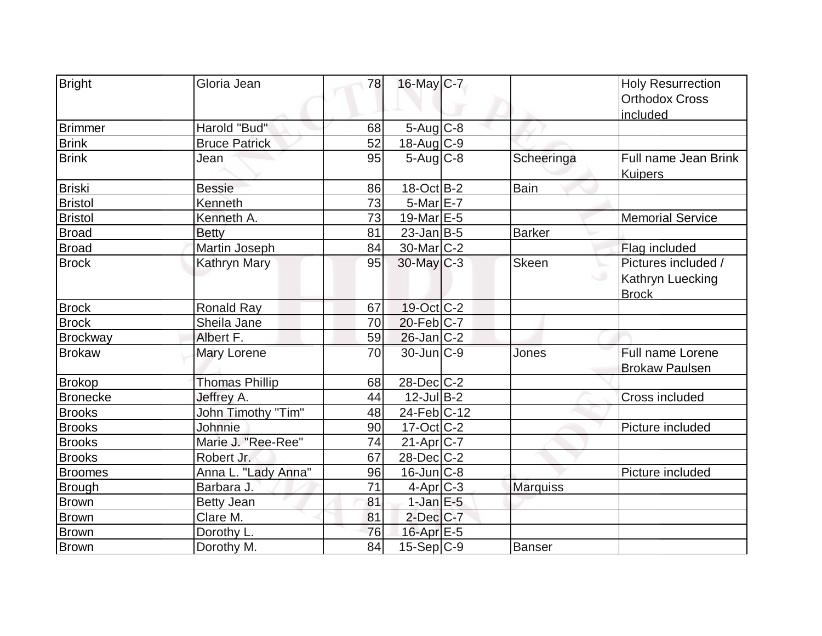| <b>Bright</b>   | Gloria Jean           | 78 | 16-May C-7               |                 | <b>Holy Resurrection</b>               |
|-----------------|-----------------------|----|--------------------------|-----------------|----------------------------------------|
|                 |                       |    |                          |                 | <b>Orthodox Cross</b>                  |
|                 |                       |    |                          |                 | included                               |
| Brimmer         | Harold "Bud"          | 68 | $5$ -Aug $C$ -8          |                 |                                        |
| <b>Brink</b>    | <b>Bruce Patrick</b>  | 52 | $18$ -Aug C-9            |                 |                                        |
| <b>Brink</b>    | Jean                  | 95 | $5-Aug$ $C-8$            | Scheeringa      | Full name Jean Brink<br><b>Kuipers</b> |
| Briski          | <b>Bessie</b>         | 86 | $18-Oct$ B-2             | Bain            |                                        |
| <b>Bristol</b>  | Kenneth               | 73 | $5$ -Mar $E$ -7          |                 |                                        |
| <b>Bristol</b>  | Kenneth A.            | 73 | 19-Mar E-5               |                 | <b>Memorial Service</b>                |
| <b>Broad</b>    | <b>Betty</b>          | 81 | $23$ -Jan B-5            | <b>Barker</b>   |                                        |
| <b>Broad</b>    | Martin Joseph         | 84 | $30$ -Mar $ C-2 $        |                 | Flag included                          |
| <b>Brock</b>    | <b>Kathryn Mary</b>   | 95 | $30$ -May C-3            | <b>Skeen</b>    | Pictures included /                    |
|                 |                       |    |                          |                 | Kathryn Luecking                       |
|                 |                       |    |                          |                 | <b>Brock</b>                           |
| <b>Brock</b>    | <b>Ronald Ray</b>     | 67 | 19-Oct C-2               |                 |                                        |
| <b>Brock</b>    | Sheila Jane           | 70 | $20$ -Feb $ C-7 $        |                 |                                        |
| <b>Brockway</b> | Albert F.             | 59 | $26$ -Jan $ C-2 $        |                 |                                        |
| <b>Brokaw</b>   | Mary Lorene           | 70 | $30$ -Jun $C-9$          | Jones           | Full name Lorene                       |
|                 |                       |    |                          |                 | <b>Brokaw Paulsen</b>                  |
| <b>Brokop</b>   | <b>Thomas Phillip</b> | 68 | $28$ -Dec $C-2$          |                 |                                        |
| <b>Bronecke</b> | Jeffrey A.            | 44 | $12$ -Jul B-2            |                 | Cross included                         |
| <b>Brooks</b>   | John Timothy "Tim"    | 48 | 24-Feb C-12              |                 |                                        |
| <b>Brooks</b>   | Johnnie               | 90 | $17-Oct$ <sub>C</sub> -2 |                 | Picture included                       |
| <b>Brooks</b>   | Marie J. "Ree-Ree"    | 74 | $21-Apr$ $C-7$           |                 |                                        |
| <b>Brooks</b>   | Robert Jr.            | 67 | 28-Dec C-2               |                 |                                        |
| <b>Broomes</b>  | Anna L. "Lady Anna"   | 96 | $16$ -Jun $ C-8$         |                 | Picture included                       |
| <b>Brough</b>   | Barbara J.            | 71 | $4$ -Apr $ C-3 $         | <b>Marquiss</b> |                                        |
| Brown           | <b>Betty Jean</b>     | 81 | $1$ -Jan $E - 5$         |                 |                                        |
| <b>Brown</b>    | Clare M.              | 81 | $2$ -Dec $C$ -7          |                 |                                        |
| <b>Brown</b>    | Dorothy L.            | 76 | $16$ -Apr $E$ -5         |                 |                                        |
| Brown           | Dorothy M.            | 84 | $15-Sep C-9$             | Banser          |                                        |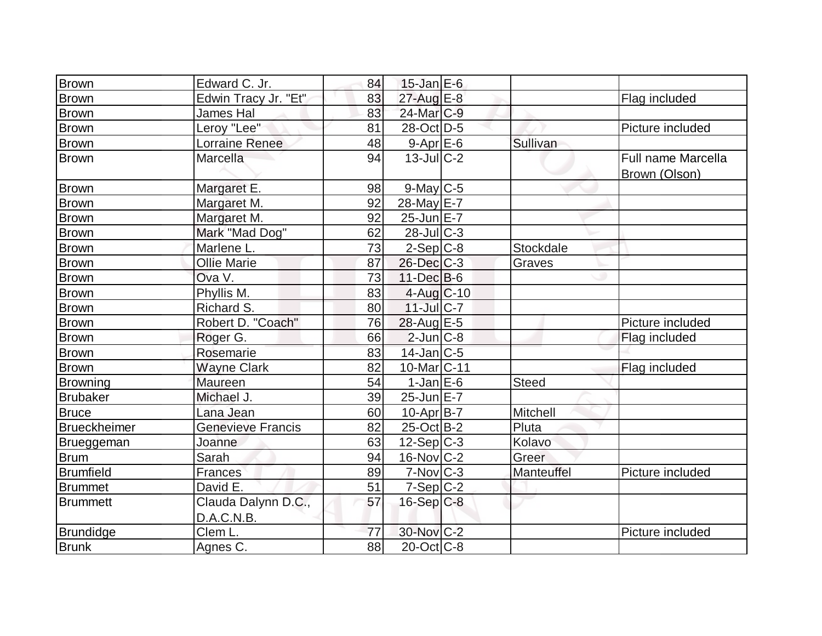| <b>Brown</b>        | Edward C. Jr.                     | 84              | $15$ -Jan $E$ -6       |              |                                            |
|---------------------|-----------------------------------|-----------------|------------------------|--------------|--------------------------------------------|
| <b>Brown</b>        | Edwin Tracy Jr. "Et"              | 83              | 27-Aug E-8             |              | Flag included                              |
| <b>Brown</b>        | James Hal                         | 83              | 24-Mar <sub>C-9</sub>  |              |                                            |
| <b>Brown</b>        | Leroy "Lee"                       | 81              | 28-Oct D-5             |              | Picture included                           |
| <b>Brown</b>        | <b>Lorraine Renee</b>             | 48              | $9 - Apr$ E-6          | Sullivan     |                                            |
| Brown               | Marcella                          | 94              | $13$ -Jul $C-2$        |              | <b>Full name Marcella</b><br>Brown (Olson) |
| Brown               | Margaret E.                       | 98              | $9$ -May $C$ -5        |              |                                            |
| <b>Brown</b>        | Margaret M.                       | 92              | 28-May E-7             |              |                                            |
| Brown               | Margaret M.                       | 92              | 25-Jun E-7             |              |                                            |
| <b>Brown</b>        | Mark "Mad Dog"                    | 62              | $28$ -Jul C-3          |              |                                            |
| <b>Brown</b>        | Marlene L.                        | 73              | $2-Sep C-8$            | Stockdale    |                                            |
| <b>Brown</b>        | <b>Ollie Marie</b>                | 87              | 26-Dec C-3             | Graves       |                                            |
| <b>Brown</b>        | Ova V.                            | 73              | $11 - Dec$ B-6         |              |                                            |
| <b>Brown</b>        | Phyllis M.                        | 83              | $4$ -Aug C-10          |              |                                            |
| <b>Brown</b>        | Richard S.                        | 80              | 11-Jul C-7             |              |                                            |
| <b>Brown</b>        | Robert D. "Coach"                 | 76              | 28-Aug E-5             |              | Picture included                           |
| <b>Brown</b>        | Roger G.                          | 66              | $2$ -Jun $ C-8$        |              | Flag included                              |
| <b>Brown</b>        | Rosemarie                         | 83              | $14$ -Jan $C$ -5       |              |                                            |
| <b>Brown</b>        | <b>Wayne Clark</b>                | 82              | 10-Mar <sub>C-11</sub> |              | Flag included                              |
| <b>Browning</b>     | Maureen                           | 54              | $1-JanEE-6$            | <b>Steed</b> |                                            |
| <b>Brubaker</b>     | Michael J.                        | 39              | $25$ -Jun $E-7$        |              |                                            |
| <b>Bruce</b>        | Lana Jean                         | 60              | $10-Apr B-7$           | Mitchell     |                                            |
| <b>Brueckheimer</b> | <b>Genevieve Francis</b>          | 82              | $25$ -Oct B-2          | Pluta        |                                            |
| Brueggeman          | Joanne                            | 63              | $12-Sep C-3$           | Kolavo       |                                            |
| <b>Brum</b>         | Sarah                             | 94              | 16-Nov C-2             | Greer        |                                            |
| <b>Brumfield</b>    | Frances                           | 89              | $7-Nov$ $C-3$          | Manteuffel   | Picture included                           |
| <b>Brummet</b>      | David E.                          | 51              | $7-Sep C-2$            |              |                                            |
| <b>Brummett</b>     | Clauda Dalynn D.C.,<br>D.A.C.N.B. | 57              | $16-Sep C-8$           |              |                                            |
| <b>Brundidge</b>    | Clem L.                           | 77              | 30-Nov C-2             |              | Picture included                           |
| <b>Brunk</b>        | Agnes C.                          | $\overline{88}$ | $20$ -Oct $C$ -8       |              |                                            |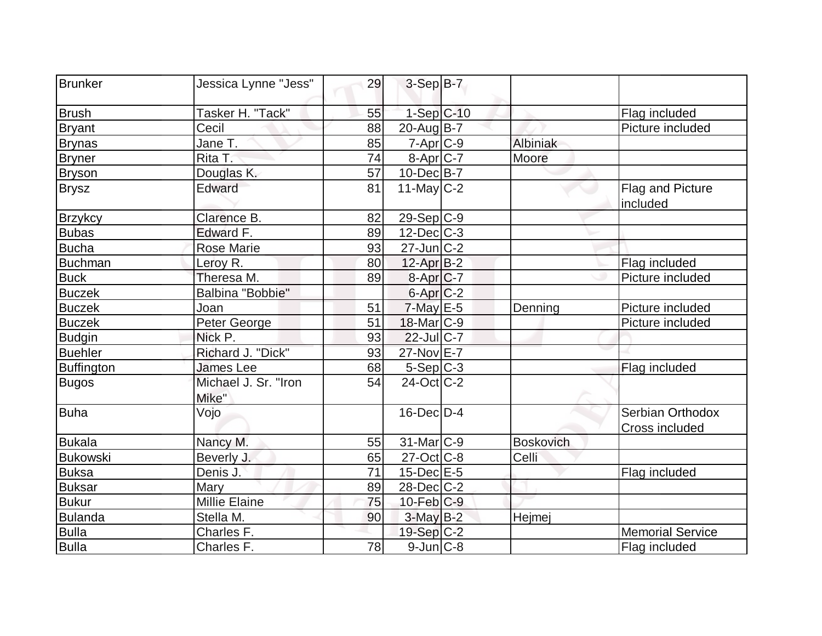| Brunker           | Jessica Lynne "Jess"          | 29 | $3-Sep$ B-7       |                  |                                    |
|-------------------|-------------------------------|----|-------------------|------------------|------------------------------------|
| <b>Brush</b>      | Tasker H. "Tack"              | 55 | $1-Sep C-10$      |                  | Flag included                      |
| <b>Bryant</b>     | Cecil                         | 88 | $20$ -Aug $B$ -7  |                  | Picture included                   |
| <b>Brynas</b>     | Jane T.                       | 85 | $7 - Apr$ $C-9$   | Albiniak         |                                    |
| <b>Bryner</b>     | Rita T.                       | 74 | $8-Apr$ C-7       | Moore            |                                    |
| <b>Bryson</b>     | Douglas K.                    | 57 | $10$ -Dec $B$ -7  |                  |                                    |
| <b>Brysz</b>      | Edward                        | 81 | 11-May $C-2$      |                  | Flag and Picture<br>included       |
| <b>Brzykcy</b>    | Clarence B.                   | 82 | $29-Sep C-9$      |                  |                                    |
| <b>Bubas</b>      | Edward F.                     | 89 | $12$ -Dec $ C-3 $ |                  |                                    |
| <b>Bucha</b>      | <b>Rose Marie</b>             | 93 | $27$ -Jun $C-2$   |                  |                                    |
| <b>Buchman</b>    | Leroy R.                      | 80 | $12$ -Apr $B-2$   |                  | Flag included                      |
| <b>Buck</b>       | Theresa M.                    | 89 | $8-Apr$ $C-7$     |                  | Picture included                   |
| <b>Buczek</b>     | Balbina "Bobbie"              |    | $6$ -Apr $C$ -2   |                  |                                    |
| <b>Buczek</b>     | Joan                          | 51 | $7$ -May E-5      | Denning          | Picture included                   |
| <b>Buczek</b>     | Peter George                  | 51 | $18$ -Mar $ C-9 $ |                  | Picture included                   |
| <b>Budgin</b>     | Nick P.                       | 93 | $22$ -Jul $C-7$   |                  |                                    |
| <b>Buehler</b>    | Richard J. "Dick"             | 93 | 27-Nov E-7        |                  |                                    |
| <b>Buffington</b> | <b>James Lee</b>              | 68 | $5-Sep C-3$       |                  | Flag included                      |
| <b>Bugos</b>      | Michael J. Sr. "Iron<br>Mike" | 54 | 24-Oct C-2        |                  |                                    |
| Buha              | Vojo                          |    | $16$ -Dec $D-4$   |                  | Serbian Orthodox<br>Cross included |
| <b>Bukala</b>     | Nancy M.                      | 55 | $31$ -Mar $ C-9 $ | <b>Boskovich</b> |                                    |
| Bukowski          | Beverly J.                    | 65 | $27$ -Oct C-8     | Celli            |                                    |
| <b>Buksa</b>      | Denis J.                      | 71 | $15$ -Dec $E$ -5  |                  | Flag included                      |
| <b>Buksar</b>     | Mary                          | 89 | $28$ -Dec $C$ -2  |                  |                                    |
| <b>Bukur</b>      | Millie Elaine                 | 75 | $10$ -Feb $ C-9 $ |                  |                                    |
| Bulanda           | Stella M.                     | 90 | $3$ -May $B-2$    | Hejmej           |                                    |
| <b>Bulla</b>      | Charles F.                    |    | 19-Sep $ C-2 $    |                  | <b>Memorial Service</b>            |
| <b>Bulla</b>      | Charles F.                    | 78 | $9$ -Jun $C-8$    |                  | Flag included                      |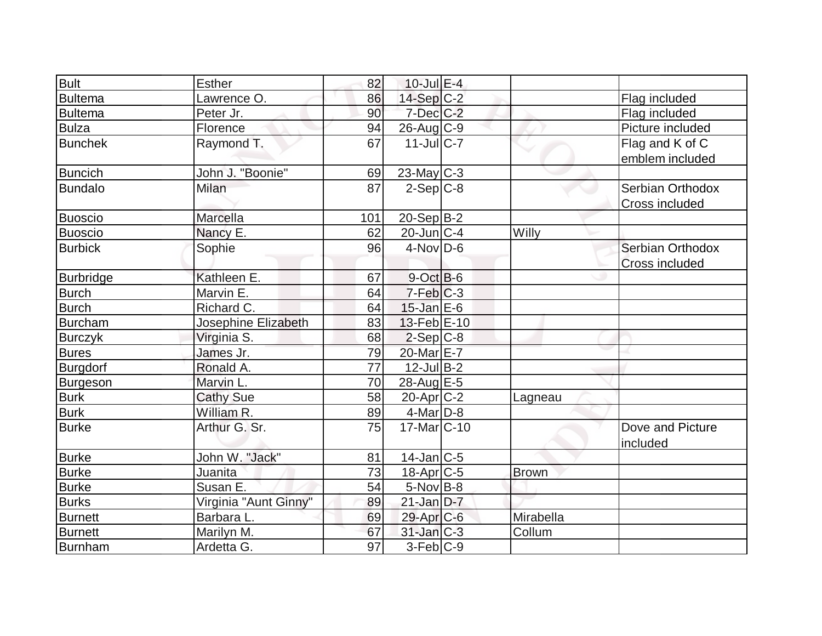| <b>Bult</b>      | Esther                | 82              | $10$ -Jul $E-4$        |              |                       |
|------------------|-----------------------|-----------------|------------------------|--------------|-----------------------|
| <b>Bultema</b>   | Lawrence O.           | 86              | 14-Sep C-2             |              | Flag included         |
| <b>Bultema</b>   | Peter Jr.             | 90              | $7$ -Dec $C$ -2        |              | Flag included         |
| <b>Bulza</b>     | Florence              | 94              | $26$ -Aug C-9          |              | Picture included      |
| <b>Bunchek</b>   | Raymond T.            | 67              | $11$ -JulC-7           |              | Flag and K of C       |
|                  |                       |                 |                        |              | emblem included       |
| <b>Buncich</b>   | John J. "Boonie"      | 69              | $23$ -May C-3          |              |                       |
| <b>Bundalo</b>   | Milan                 | 87              | $2-Sep C-8$            |              | Serbian Orthodox      |
|                  |                       |                 |                        |              | <b>Cross included</b> |
| Buoscio          | Marcella              | 101             | $20-Sep B-2$           |              |                       |
| Buoscio          | Nancy E.              | 62              | $20$ -Jun $C-4$        | Willy        |                       |
| <b>Burbick</b>   | Sophie                | 96              | $4$ -Nov $D-6$         |              | Serbian Orthodox      |
|                  |                       |                 |                        |              | Cross included        |
| <b>Burbridge</b> | Kathleen E.           | 67              | $9$ -Oct $B$ -6        |              |                       |
| <b>Burch</b>     | Marvin E.             | 64              | $7-Feb$ <sub>C-3</sub> |              |                       |
| <b>Burch</b>     | Richard C.            | 64              | $15$ -Jan $E$ -6       |              |                       |
| Burcham          | Josephine Elizabeth   | 83              | 13-Feb E-10            |              |                       |
| <b>Burczyk</b>   | Virginia S.           | 68              | $2-Sep C-8$            |              |                       |
| <b>Bures</b>     | James Jr.             | 79              | 20-Mar <sub>E-7</sub>  |              |                       |
| Burgdorf         | Ronald A.             | $\overline{77}$ | $12$ -Jul $B-2$        |              |                       |
| <b>Burgeson</b>  | Marvin L.             | 70              | 28-Aug E-5             |              |                       |
| <b>Burk</b>      | <b>Cathy Sue</b>      | 58              | $20$ -Apr $ C-2 $      | Lagneau      |                       |
| <b>Burk</b>      | William R.            | 89              | $4$ -Mar $D-8$         |              |                       |
| <b>Burke</b>     | Arthur G. Sr.         | 75              | 17-Mar <sub>C-10</sub> |              | Dove and Picture      |
|                  |                       |                 |                        |              | included              |
| <b>Burke</b>     | John W. "Jack"        | 81              | $14$ -Jan $ C-5 $      |              |                       |
| <b>Burke</b>     | Juanita               | 73              | $18$ -Apr $ C$ -5      | <b>Brown</b> |                       |
| <b>Burke</b>     | Susan E.              | 54              | $5$ -Nov $B$ -8        |              |                       |
| <b>Burks</b>     | Virginia "Aunt Ginny" | 89              | $21$ -Jan $D-7$        |              |                       |
| <b>Burnett</b>   | Barbara L.            | 69              | $29$ -Apr $C$ -6       | Mirabella    |                       |
| <b>Burnett</b>   | Marilyn M.            | 67              | $31$ -Jan $ C-3 $      | Collum       |                       |
| Burnham          | Ardetta G.            | 97              | $3-Feb C-9$            |              |                       |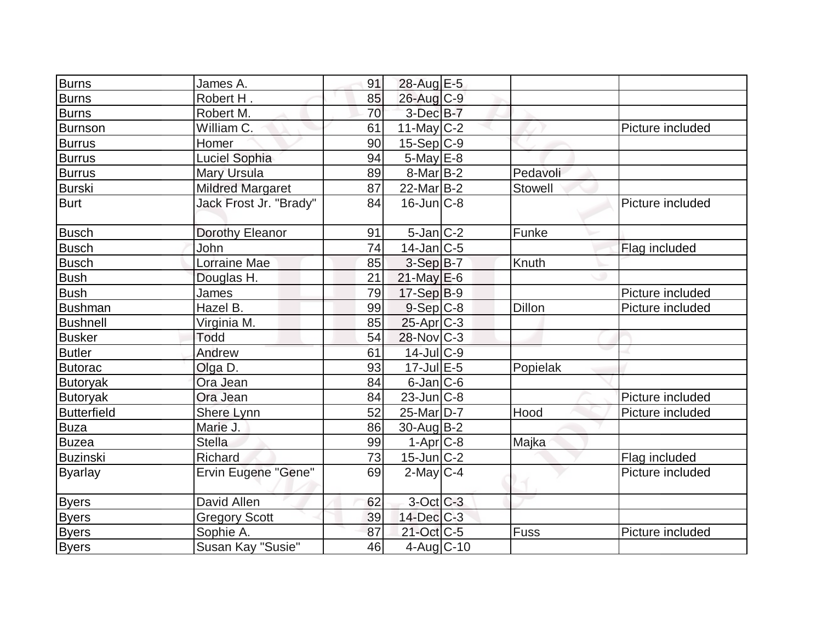| <b>Burns</b>    | James A.                   | 91 | 28-Aug E-5         |                |                  |
|-----------------|----------------------------|----|--------------------|----------------|------------------|
| <b>Burns</b>    | Robert H.                  | 85 | 26-Aug C-9         |                |                  |
| <b>Burns</b>    | Robert M.                  | 70 | $3$ -Dec $B-7$     |                |                  |
| Burnson         | William C.                 | 61 | $11$ -May C-2      |                | Picture included |
| <b>Burrus</b>   | Homer                      | 90 | $15-Sep C-9$       |                |                  |
| <b>Burrus</b>   | Luciel Sophia              | 94 | $5$ -May $E$ -8    |                |                  |
| <b>Burrus</b>   | <b>Mary Ursula</b>         | 89 | $8$ -Mar $ B-2 $   | Pedavoli       |                  |
| Burski          | <b>Mildred Margaret</b>    | 87 | $22$ -Mar $B-2$    | <b>Stowell</b> |                  |
| <b>Burt</b>     | Jack Frost Jr. "Brady"     | 84 | $16$ -Jun $C-8$    |                | Picture included |
| <b>Busch</b>    | Dorothy Eleanor            | 91 | $5$ -Jan $ C-2 $   | Funke          |                  |
| <b>Busch</b>    | John                       | 74 | $14$ -Jan $ C-5 $  |                | Flag included    |
| Busch           | <b>Lorraine Mae</b>        | 85 | 3-Sep B-7          | Knuth          |                  |
| <b>Bush</b>     | Douglas H.                 | 21 | $21$ -May E-6      |                |                  |
| <b>Bush</b>     | James                      | 79 | $17-Sep B-9$       |                | Picture included |
| <b>Bushman</b>  | Hazel B.                   | 99 | $9-$ Sep $C-8$     | <b>Dillon</b>  | Picture included |
| <b>Bushnell</b> | Virginia M.                | 85 | $25$ -Apr $C-3$    |                |                  |
| <b>Busker</b>   | <b>Todd</b>                | 54 | 28-Nov C-3         |                |                  |
| <b>Butler</b>   | Andrew                     | 61 | 14-Jul C-9         |                |                  |
| <b>Butorac</b>  | Olga D.                    | 93 | $17 -$ Jul $E - 5$ | Popielak       |                  |
| <b>Butoryak</b> | Ora Jean                   | 84 | $6$ -Jan $ C$ -6   |                |                  |
| <b>Butoryak</b> | Ora Jean                   | 84 | $23$ -Jun $ C-8 $  |                | Picture included |
| Butterfield     | Shere Lynn                 | 52 | 25-Mar D-7         | Hood           | Picture included |
| <b>Buza</b>     | Marie J.                   | 86 | $30$ -Aug $B-2$    |                |                  |
| <b>Buzea</b>    | <b>Stella</b>              | 99 | $1-Apr$ $C-8$      | Majka          |                  |
| <b>Buzinski</b> | Richard                    | 73 | 15-Jun C-2         |                | Flag included    |
| <b>Byarlay</b>  | <b>Ervin Eugene "Gene"</b> | 69 | $2$ -May $C$ -4    |                | Picture included |
| <b>Byers</b>    | David Allen                | 62 | $3$ -Oct $C$ -3    |                |                  |
| <b>Byers</b>    | <b>Gregory Scott</b>       | 39 | $14$ -Dec $ C-3 $  |                |                  |
| <b>Byers</b>    | Sophie A.                  | 87 | 21-Oct C-5         | Fuss           | Picture included |
| <b>Byers</b>    | Susan Kay "Susie"          | 46 | $4$ -Aug $C$ -10   |                |                  |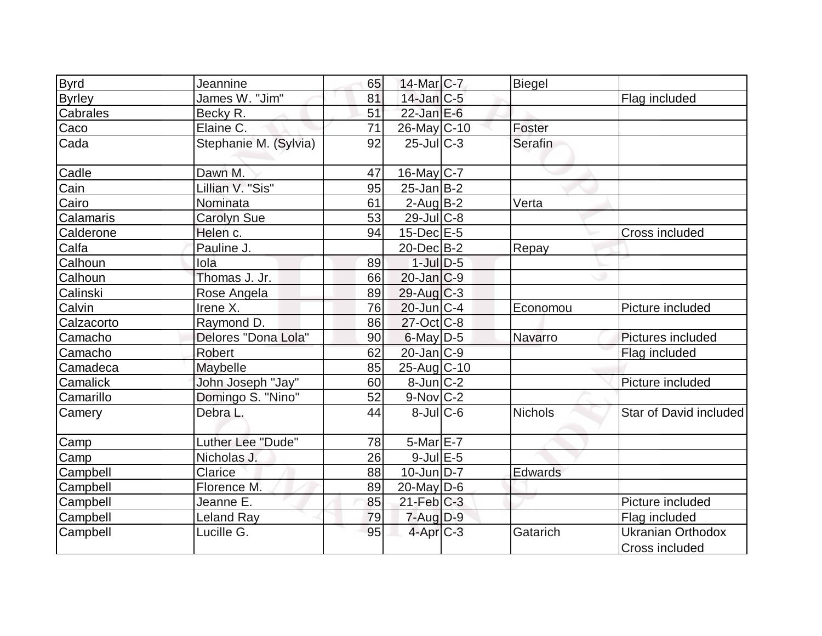| <b>Byrd</b>   | Jeannine              | 65 | 14-Mar C-7        | Biegel         |                                            |
|---------------|-----------------------|----|-------------------|----------------|--------------------------------------------|
| <b>Byrley</b> | James W. "Jim"        | 81 | $14$ -Jan $ C-5 $ |                | Flag included                              |
| Cabrales      | Becky R.              | 51 | $22$ -Jan $E-6$   |                |                                            |
| Caco          | Elaine C.             | 71 | 26-May C-10       | Foster         |                                            |
| Cada          | Stephanie M. (Sylvia) | 92 | $25$ -JulC-3      | <b>Serafin</b> |                                            |
| Cadle         | Dawn M.               | 47 | 16-May C-7        |                |                                            |
| Cain          | Lillian V. "Sis"      | 95 | $25$ -Jan $B-2$   |                |                                            |
| Cairo         | Nominata              | 61 | $2$ -Aug $B-2$    | Verta          |                                            |
| Calamaris     | <b>Carolyn Sue</b>    | 53 | $29$ -Jul $C-8$   |                |                                            |
| Calderone     | Helen c.              | 94 | $15$ -Dec $E$ -5  |                | Cross included                             |
| Calfa         | Pauline J.            |    | $20$ -Dec $B-2$   | Repay          |                                            |
| Calhoun       | lola                  | 89 | $1$ -Jul $D-5$    |                |                                            |
| Calhoun       | Thomas J. Jr.         | 66 | $20$ -Jan $C-9$   |                |                                            |
| Calinski      | Rose Angela           | 89 | $29$ -Aug $C-3$   |                |                                            |
| Calvin        | Irene X.              | 76 | $20$ -Jun $C-4$   | Economou       | Picture included                           |
| Calzacorto    | Raymond D.            | 86 | $27$ -Oct C-8     |                |                                            |
| Camacho       | Delores "Dona Lola"   | 90 | $6$ -May $D-5$    | Navarro        | Pictures included                          |
| Camacho       | Robert                | 62 | $20$ -Jan $C-9$   |                | Flag included                              |
| Camadeca      | Maybelle              | 85 | 25-Aug C-10       |                |                                            |
| Camalick      | John Joseph "Jay"     | 60 | $8$ -Jun $ C-2 $  |                | Picture included                           |
| Camarillo     | Domingo S. "Nino"     | 52 | $9-Nov$ $C-2$     |                |                                            |
| Camery        | Debra L.              | 44 | $8$ -JulC-6       | <b>Nichols</b> | Star of David included                     |
| Camp          | Luther Lee "Dude"     | 78 | $5$ -Mar $E$ -7   |                |                                            |
| Camp          | Nicholas J.           | 26 | $9$ -Jul $E$ -5   |                |                                            |
| Campbell      | Clarice               | 88 | $10$ -Jun $D-7$   | Edwards        |                                            |
| Campbell      | Florence M.           | 89 | $20$ -May D-6     |                |                                            |
| Campbell      | Jeanne E.             | 85 | $21$ -Feb $C-3$   |                | Picture included                           |
| Campbell      | <b>Leland Ray</b>     | 79 | $7 - Aug   D-9$   |                | Flag included                              |
| Campbell      | Lucille G.            | 95 | $4$ -Apr $C-3$    | Gatarich       | <b>Ukranian Orthodox</b><br>Cross included |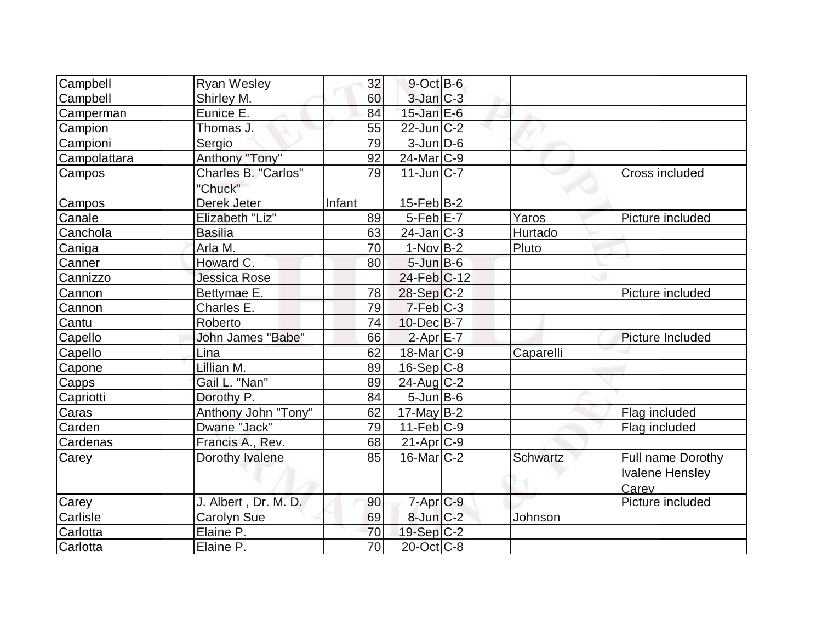| Campbell     | <b>Ryan Wesley</b>   | 32     | $9$ -Oct B-6      |                 |                        |
|--------------|----------------------|--------|-------------------|-----------------|------------------------|
| Campbell     | Shirley M.           | 60     | $3$ -Jan $C-3$    |                 |                        |
| Camperman    | Eunice E.            | 84     | $15$ -Jan $E$ -6  |                 |                        |
| Campion      | Thomas J.            | 55     | $22$ -Jun $ C-2 $ |                 |                        |
| Campioni     | Sergio               | 79     | $3$ -Jun $D-6$    |                 |                        |
| Campolattara | Anthony "Tony"       | 92     | 24-Mar C-9        |                 |                        |
| Campos       | Charles B. "Carlos"  | 79     | $11$ -Jun $C-7$   |                 | Cross included         |
|              | "Chuck"              |        |                   |                 |                        |
| Campos       | Derek Jeter          | Infant | $15$ -Feb $ B-2 $ |                 |                        |
| Canale       | Elizabeth "Liz"      | 89     | $5-Feb$ $E-7$     | Yaros           | Picture included       |
| Canchola     | <b>Basilia</b>       | 63     | $24$ -Jan $ C-3 $ | Hurtado         |                        |
| Caniga       | Arla M.              | 70     | $1-Nov B-2$       | Pluto           |                        |
| Canner       | Howard C.            | 80     | $5 - Jun$ $B - 6$ |                 |                        |
| Cannizzo     | Jessica Rose         |        | 24-Feb C-12       |                 |                        |
| Cannon       | Bettymae E.          | 78     | 28-Sep C-2        |                 | Picture included       |
| Cannon       | Charles E.           | 79     | $7-Feb$ $C-3$     |                 |                        |
| Cantu        | Roberto              | 74     | $10$ -Dec $B$ -7  |                 |                        |
| Capello      | John James "Babe"    | 66     | $2-Apr$ $E-7$     |                 | Picture Included       |
| Capello      | Lina                 | 62     | $18$ -Mar $ C-9 $ | Caparelli       |                        |
| Capone       | Lillian M.           | 89     | $16-Sep C-8$      |                 |                        |
| Capps        | Gail L. "Nan"        | 89     | $24$ -Aug C-2     |                 |                        |
| Capriotti    | Dorothy P.           | 84     | $5$ -Jun $B$ -6   |                 |                        |
| Caras        | Anthony John "Tony"  | 62     | $17$ -May B-2     |                 | Flag included          |
| Carden       | Dwane "Jack"         | 79     | $11-Feb$ C-9      |                 | Flag included          |
| Cardenas     | Francis A., Rev.     | 68     | $21-Apr$ $C-9$    |                 |                        |
| Carey        | Dorothy Ivalene      | 85     | $16$ -Mar $ C-2 $ | <b>Schwartz</b> | Full name Dorothy      |
|              |                      |        |                   |                 | <b>Ivalene Hensley</b> |
|              |                      |        |                   |                 | Carey                  |
| Carey        | J. Albert, Dr. M. D. | 90     | 7-Apr C-9         |                 | Picture included       |
| Carlisle     | Carolyn Sue          | 69     | $8$ -Jun $C-2$    | Johnson         |                        |
| Carlotta     | Elaine P.            | 70     | $19-Sep C-2$      |                 |                        |
| Carlotta     | Elaine P.            | 70     | $20$ -Oct $ C-8 $ |                 |                        |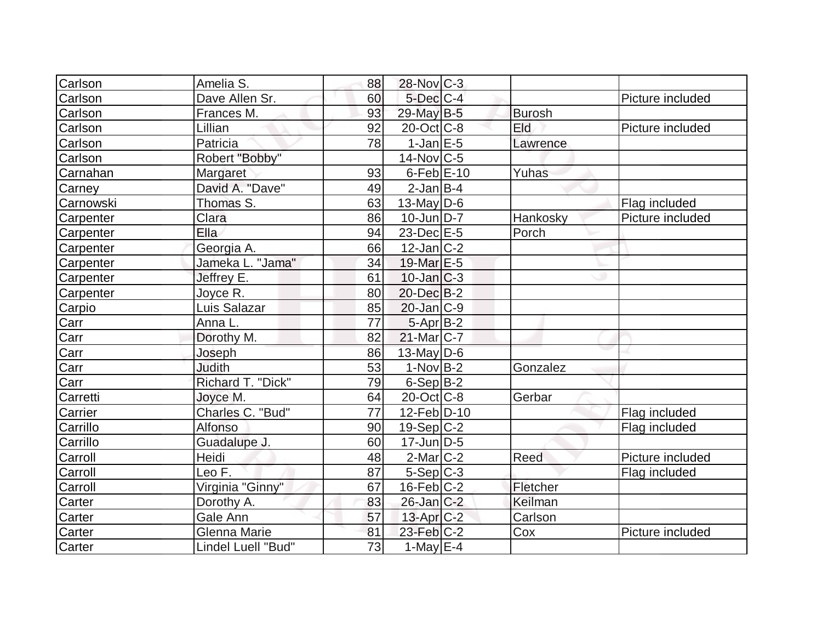| Carlson   | Amelia S.           | 88 | 28-Nov C-3        |               |                  |
|-----------|---------------------|----|-------------------|---------------|------------------|
| Carlson   | Dave Allen Sr.      | 60 | $5$ -Dec $C$ -4   |               | Picture included |
| Carlson   | Frances M.          | 93 | 29-May B-5        | <b>Burosh</b> |                  |
| Carlson   | Lillian             | 92 | $20$ -Oct $ C-8 $ | Eld           | Picture included |
| Carlson   | Patricia            | 78 | $1-JanEE-5$       | Lawrence      |                  |
| Carlson   | Robert "Bobby"      |    | $14$ -Nov $ C-5 $ |               |                  |
| Carnahan  | Margaret            | 93 | $6$ -Feb $E$ -10  | Yuhas         |                  |
| Carney    | David A. "Dave"     | 49 | $2$ -Jan $ B-4 $  |               |                  |
| Carnowski | Thomas S.           | 63 | $13$ -May D-6     |               | Flag included    |
| Carpenter | Clara               | 86 | $10$ -Jun $D-7$   | Hankosky      | Picture included |
| Carpenter | Ella                | 94 | 23-Dec E-5        | Porch         |                  |
| Carpenter | Georgia A.          | 66 | $12$ -Jan $ C-2 $ |               |                  |
| Carpenter | Jameka L. "Jama"    | 34 | 19-Mar E-5        |               |                  |
| Carpenter | Jeffrey E.          | 61 | $10$ -Jan $ C-3 $ |               |                  |
| Carpenter | Joyce R.            | 80 | $20$ -Dec $B-2$   |               |                  |
| Carpio    | Luis Salazar        | 85 | $20$ -Jan $C-9$   |               |                  |
| Carr      | Anna L.             | 77 | $5-AprB-2$        |               |                  |
| Carr      | Dorothy M.          | 82 | 21-Mar C-7        |               |                  |
| Carr      | Joseph              | 86 | $13$ -May D-6     |               |                  |
| Carr      | <b>Judith</b>       | 53 | $1-Nov B-2$       | Gonzalez      |                  |
| Carr      | Richard T. "Dick"   | 79 | $6-Sep$ B-2       |               |                  |
| Carretti  | Joyce M.            | 64 | $20$ -Oct $ C-8 $ | Gerbar        |                  |
| Carrier   | Charles C. "Bud"    | 77 | 12-Feb D-10       |               | Flag included    |
| Carrillo  | Alfonso             | 90 | 19-Sep C-2        |               | Flag included    |
| Carrillo  | Guadalupe J.        | 60 | $17$ -Jun $D-5$   |               |                  |
| Carroll   | Heidi               | 48 | $2$ -Mar $ C-2 $  | Reed          | Picture included |
| Carroll   | Leo F.              | 87 | $5-Sep C-3$       |               | Flag included    |
| Carroll   | Virginia "Ginny"    | 67 | $16$ -Feb $ C-2 $ | Fletcher      |                  |
| Carter    | Dorothy A.          | 83 | $26$ -Jan $ C-2 $ | Keilman       |                  |
| Carter    | Gale Ann            | 57 | 13-Apr C-2        | Carlson       |                  |
| Carter    | <b>Glenna Marie</b> | 81 | $23$ -Feb $C-2$   | Cox           | Picture included |
| Carter    | Lindel Luell "Bud"  | 73 | $1$ -May $E-4$    |               |                  |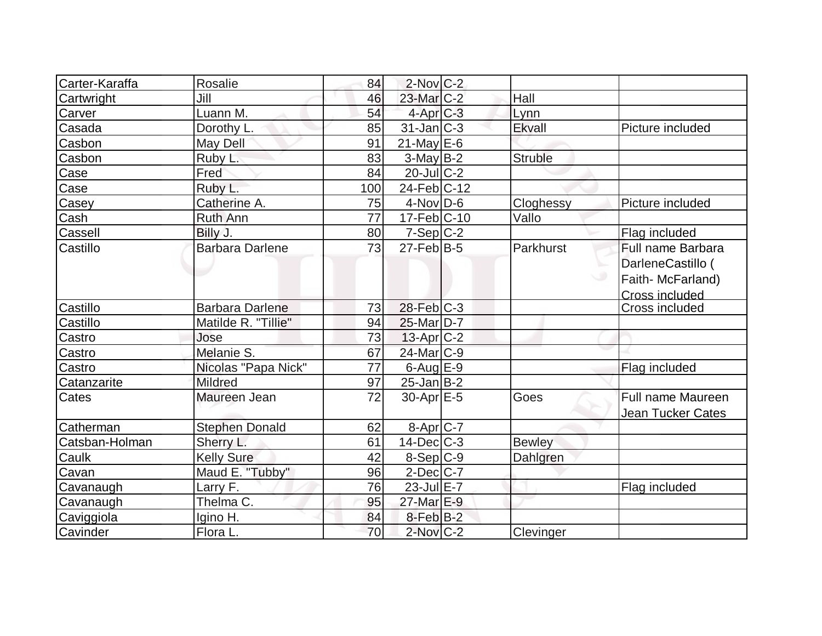| Carter-Karaffa | Rosalie                | 84  | $2$ -Nov $C-2$        |                |                          |
|----------------|------------------------|-----|-----------------------|----------------|--------------------------|
| Cartwright     | Jill                   | 46  | 23-Mar <sub>C-2</sub> | Hall           |                          |
| Carver         | Luann M.               | 54  | $4$ -Apr $C-3$        | Lynn           |                          |
| Casada         | Dorothy L.             | 85  | $31$ -Jan $ C-3 $     | Ekvall         | Picture included         |
| Casbon         | May Dell               | 91  | $21$ -May E-6         |                |                          |
| Casbon         | Ruby L.                | 83  | $3-May B-2$           | <b>Struble</b> |                          |
| Case           | Fred                   | 84  | $20$ -JulC-2          |                |                          |
| Case           | Ruby L.                | 100 | $24$ -Feb $ C-12$     |                |                          |
| Casey          | Catherine A.           | 75  | $4$ -Nov $D-6$        | Cloghessy      | Picture included         |
| Cash           | Ruth Ann               | 77  | 17-Feb C-10           | Vallo          |                          |
| Cassell        | Billy J.               | 80  | $7-Sep C-2$           |                | Flag included            |
| Castillo       | <b>Barbara Darlene</b> | 73  | $27$ -Feb $ B-5 $     | Parkhurst      | Full name Barbara        |
|                |                        |     |                       |                | DarleneCastillo (        |
|                |                        |     |                       |                | Faith-McFarland)         |
|                |                        |     |                       |                | Cross included           |
| Castillo       | <b>Barbara Darlene</b> | 73  | $28$ -Feb $C-3$       |                | <b>Cross included</b>    |
| Castillo       | Matilde R. "Tillie"    | 94  | 25-Mar <sub>D-7</sub> |                |                          |
| Castro         | Jose                   | 73  | $13$ -Apr $ C-2 $     |                |                          |
| Castro         | Melanie S.             | 67  | 24-Mar C-9            |                |                          |
| Castro         | Nicolas "Papa Nick"    | 77  | $6$ -Aug $E-9$        |                | Flag included            |
| Catanzarite    | <b>Mildred</b>         | 97  | $25$ -Jan $ B-2 $     |                |                          |
| Cates          | Maureen Jean           | 72  | $30$ -Apr $E-5$       | Goes           | <b>Full name Maureen</b> |
|                |                        |     |                       |                | <b>Jean Tucker Cates</b> |
| Catherman      | <b>Stephen Donald</b>  | 62  | 8-Apr <sub>C-7</sub>  |                |                          |
| Catsban-Holman | Sherry L.              | 61  | $14$ -Dec $ C-3 $     | <b>Bewley</b>  |                          |
| Caulk          | <b>Kelly Sure</b>      | 42  | 8-Sep C-9             | Dahlgren       |                          |
| Cavan          | Maud E. "Tubby"        | 96  | $2$ -Dec $ C-7 $      |                |                          |
| Cavanaugh      | Larry F.               | 76  | $23$ -Jul $E-7$       |                | Flag included            |
| Cavanaugh      | Thelma C.              | 95  | 27-Mar E-9            |                |                          |
| Caviggiola     | Igino H.               | 84  | $8$ -Feb $ B-2 $      |                |                          |
| Cavinder       | Flora L.               | 70  | $2$ -Nov $C-2$        | Clevinger      |                          |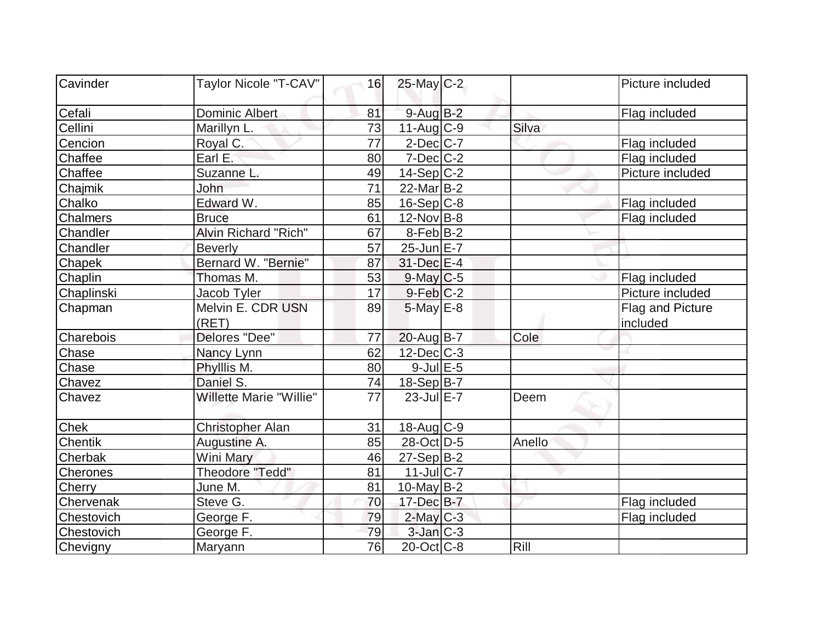| Cavinder        | Taylor Nicole "T-CAV"          | 16              | 25-May C-2              |        | Picture included |
|-----------------|--------------------------------|-----------------|-------------------------|--------|------------------|
|                 |                                |                 |                         |        |                  |
| Cefali          | Dominic Albert                 | 81              | $9$ -Aug $B$ -2         |        | Flag included    |
| Cellini         | Marillyn L.                    | 73              | $11-Auq$ <sub>C-9</sub> | Silva  |                  |
| Cencion         | Royal C.                       | 77              | $2$ -Dec $C$ -7         |        | Flag included    |
| Chaffee         | Earl E.                        | 80              | $7$ -Dec $ C$ -2        |        | Flag included    |
| Chaffee         | Suzanne L.                     | 49              | $14-Sep C-2$            |        | Picture included |
| Chajmik         | John                           | $\overline{71}$ | $22$ -Mar $ B-2 $       |        |                  |
| Chalko          | Edward W.                      | 85              | $16-Sep C-8$            |        | Flag included    |
| Chalmers        | <b>Bruce</b>                   | 61              | $12$ -Nov B-8           |        | Flag included    |
| Chandler        | Alvin Richard "Rich"           | 67              | $8-Feb B-2$             |        |                  |
| Chandler        | <b>Beverly</b>                 | 57              | 25-Jun E-7              |        |                  |
| Chapek          | Bernard W. "Bernie"            | 87              | 31-Dec E-4              |        |                  |
| Chaplin         | Thomas M.                      | 53              | $9$ -May $C$ -5         |        | Flag included    |
| Chaplinski      | Jacob Tyler                    | 17              | $9-Feb$ $C-2$           |        | Picture included |
| Chapman         | Melvin E. CDR USN              | 89              | $5$ -May $E-8$          |        | Flag and Picture |
|                 | (RET)                          |                 |                         |        | included         |
| Charebois       | Delores "Dee"                  | 77              | $20$ -Aug $B$ -7        | Cole   |                  |
| Chase           | Nancy Lynn                     | 62              | $12$ -Dec $C$ -3        |        |                  |
| Chase           | Phylllis M.                    | 80              | $9$ -Jul $E$ -5         |        |                  |
| Chavez          | Daniel S.                      | 74              | $18-Sep B-7$            |        |                  |
| Chavez          | <b>Willette Marie "Willie"</b> | 77              | $23$ -Jul $E-7$         | Deem   |                  |
| <b>Chek</b>     | <b>Christopher Alan</b>        | 31              | $18$ -Aug C-9           |        |                  |
| <b>Chentik</b>  | Augustine A.                   | 85              | 28-Oct D-5              | Anello |                  |
| Cherbak         | Wini Mary                      | 46              | 27-Sep B-2              |        |                  |
| <b>Cherones</b> | <b>Theodore "Tedd"</b>         | 81              | $11$ -JulC-7            |        |                  |
| Cherry          | June M.                        | 81              | $10$ -May B-2           |        |                  |
| Chervenak       | Steve G.                       | 70              | 17-Dec B-7              |        | Flag included    |
| Chestovich      | George F.                      | 79              | $2$ -May $C-3$          |        | Flag included    |
| Chestovich      | George F.                      | 79              | $3$ -Jan $ C-3 $        |        |                  |
| Chevigny        | Maryann                        | 76              | $20$ -Oct $ C-8$        | Rill   |                  |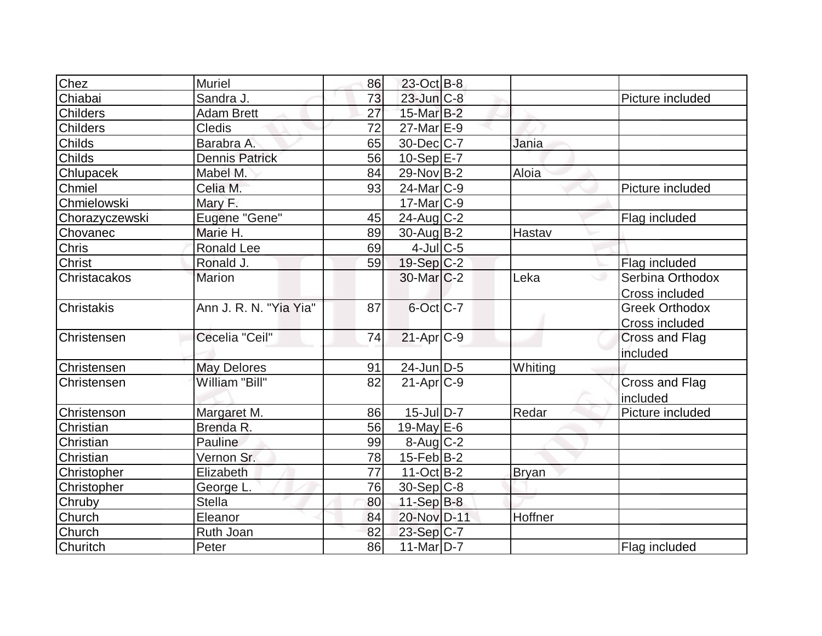| Chez              | <b>Muriel</b>          | 86 | 23-Oct B-8             |              |                       |
|-------------------|------------------------|----|------------------------|--------------|-----------------------|
| Chiabai           | Sandra J.              | 73 | $23$ -Jun $C-8$        |              | Picture included      |
| <b>Childers</b>   | <b>Adam Brett</b>      | 27 | $15$ -Mar $B-2$        |              |                       |
| <b>Childers</b>   | <b>Cledis</b>          | 72 | $27$ -Mar $E-9$        |              |                       |
| <b>Childs</b>     | Barabra A.             | 65 | 30-Dec C-7             | Jania        |                       |
| Childs            | <b>Dennis Patrick</b>  | 56 | $10-Sep$ E-7           |              |                       |
| Chlupacek         | Mabel M.               | 84 | 29-Nov B-2             | Aloia        |                       |
| Chmiel            | Celia M.               | 93 | 24-Mar <sub>IC-9</sub> |              | Picture included      |
| Chmielowski       | Mary F.                |    | $17$ -Mar $ C-9 $      |              |                       |
| Chorazyczewski    | Eugene "Gene"          | 45 | $24$ -Aug $C-2$        |              | Flag included         |
| Chovanec          | Marie H.               | 89 | $30$ -Aug $B - 2$      | Hastav       |                       |
| Chris             | <b>Ronald Lee</b>      | 69 | $4$ -Jul $C$ -5        |              |                       |
| Christ            | Ronald J.              | 59 | $19-Sep C-2$           |              | Flag included         |
| Christacakos      | <b>Marion</b>          |    | $30$ -Mar $C-2$        | Leka         | Serbina Orthodox      |
|                   |                        |    |                        |              | Cross included        |
| <b>Christakis</b> | Ann J. R. N. "Yia Yia" | 87 | $6$ -Oct $C$ -7        |              | <b>Greek Orthodox</b> |
|                   |                        |    |                        |              | Cross included        |
| Christensen       | Cecelia "Ceil"         | 74 | $21-Apr$ $C-9$         |              | Cross and Flag        |
|                   |                        |    |                        |              | included              |
| Christensen       | <b>May Delores</b>     | 91 | $24$ -Jun $D-5$        | Whiting      |                       |
| Christensen       | William "Bill"         | 82 | $21-Apr$ $C-9$         |              | Cross and Flag        |
|                   |                        |    |                        |              | included              |
| Christenson       | Margaret M.            | 86 | $15$ -Jul $D-7$        | Redar        | Picture included      |
| Christian         | Brenda R.              | 56 | 19-May $E-6$           |              |                       |
| Christian         | Pauline                | 99 | $8$ -Aug $C-2$         |              |                       |
| Christian         | Vernon Sr.             | 78 | $15$ -Feb $ B-2 $      |              |                       |
| Christopher       | Elizabeth              | 77 | $11-Oct$ B-2           | <b>Bryan</b> |                       |
| Christopher       | George L.              | 76 | $30-Sep C-8$           |              |                       |
| Chruby            | <b>Stella</b>          | 80 | $11-Sep$ B-8           |              |                       |
| Church            | Eleanor                | 84 | 20-Nov D-11            | Hoffner      |                       |
| Church            | Ruth Joan              | 82 | $23-Sep C-7$           |              |                       |
| Churitch          | Peter                  | 86 | 11-Mar $D-7$           |              | Flag included         |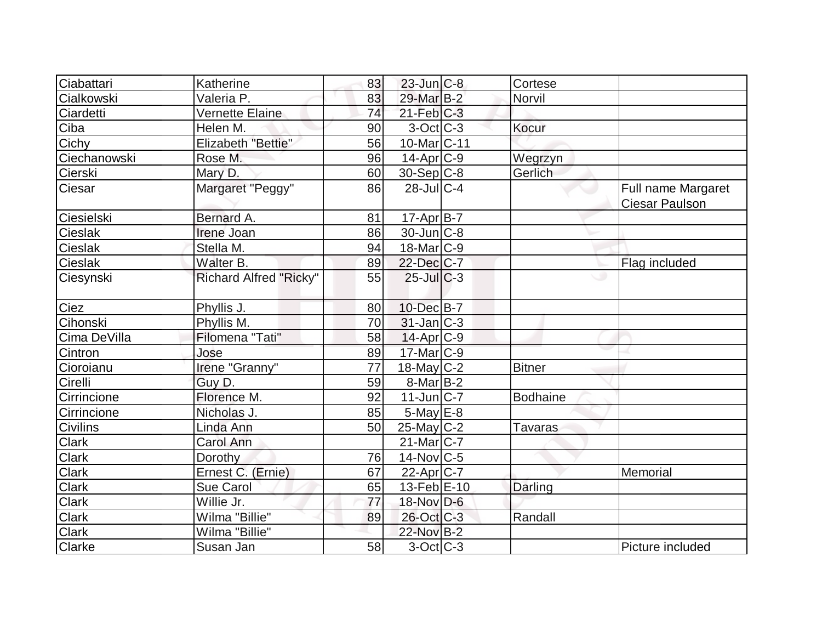| Ciabattari     | Katherine                     | 83 | $23$ -Jun $ C-8 $        | Cortese         |                                             |
|----------------|-------------------------------|----|--------------------------|-----------------|---------------------------------------------|
| Cialkowski     | Valeria P.                    | 83 | 29-Mar B-2               | Norvil          |                                             |
| Ciardetti      | Vernette Elaine               | 74 | $21$ -Feb $ C-3 $        |                 |                                             |
| Ciba           | Helen M.                      | 90 | $3-Oct$ $C-3$            | Kocur           |                                             |
| Cichy          | Elizabeth "Bettie"            | 56 | 10-Mar <sub>IC</sub> -11 |                 |                                             |
| Ciechanowski   | Rose M.                       | 96 | $14$ -Apr $ C-9 $        | Wegrzyn         |                                             |
| Cierski        | Mary D.                       | 60 | $30-Sep$ C-8             | Gerlich         |                                             |
| Ciesar         | Margaret "Peggy"              | 86 | $28$ -JulC-4             |                 | Full name Margaret<br><b>Ciesar Paulson</b> |
| Ciesielski     | Bernard A.                    | 81 | $17-Apr$ B-7             |                 |                                             |
| Cieslak        | Irene Joan                    | 86 | $30$ -Jun $C-8$          |                 |                                             |
| <b>Cieslak</b> | Stella M.                     | 94 | $18$ -Mar $ C-9 $        |                 |                                             |
| <b>Cieslak</b> | Walter B.                     | 89 | 22-Dec C-7               |                 | Flag included                               |
| Ciesynski      | <b>Richard Alfred "Ricky"</b> | 55 | $25$ -JulC-3             | ی               |                                             |
| Ciez           | Phyllis J.                    | 80 | 10-Dec B-7               |                 |                                             |
| Cihonski       | Phyllis M.                    | 70 | $31$ -Jan $ C-3 $        |                 |                                             |
| Cima DeVilla   | Filomena "Tati"               | 58 | $14$ -Apr $ C-9 $        |                 |                                             |
| Cintron        | Jose                          | 89 | 17-Mar C-9               |                 |                                             |
| Cioroianu      | Irene "Granny"                | 77 | $18$ -May C-2            | <b>Bitner</b>   |                                             |
| Cirelli        | Guy D.                        | 59 | $8$ -Mar $ B-2 $         |                 |                                             |
| Cirrincione    | Florence M.                   | 92 | $11$ -Jun $ C-7 $        | <b>Bodhaine</b> |                                             |
| Cirrincione    | Nicholas J.                   | 85 | $5$ -May $E$ -8          |                 |                                             |
| Civilins       | Linda Ann                     | 50 | $25$ -May C-2            | Tavaras         |                                             |
| <b>Clark</b>   | Carol Ann                     |    | $21$ -Mar $ C-7 $        |                 |                                             |
| Clark          | Dorothy                       | 76 | $14$ -Nov $ C-5 $        |                 |                                             |
| Clark          | Ernest C. (Ernie)             | 67 | $22$ -Apr $ C-7 $        |                 | Memorial                                    |
| <b>Clark</b>   | Sue Carol                     | 65 | 13-Feb E-10              | Darling         |                                             |
| <b>Clark</b>   | Willie Jr.                    | 77 | $18-Nov D-6$             |                 |                                             |
| Clark          | Wilma "Billie"                | 89 | 26-Oct C-3               | Randall         |                                             |
| <b>Clark</b>   | Wilma "Billie"                |    | 22-Nov B-2               |                 |                                             |
| Clarke         | Susan Jan                     | 58 | $3-Oct$ $C-3$            |                 | Picture included                            |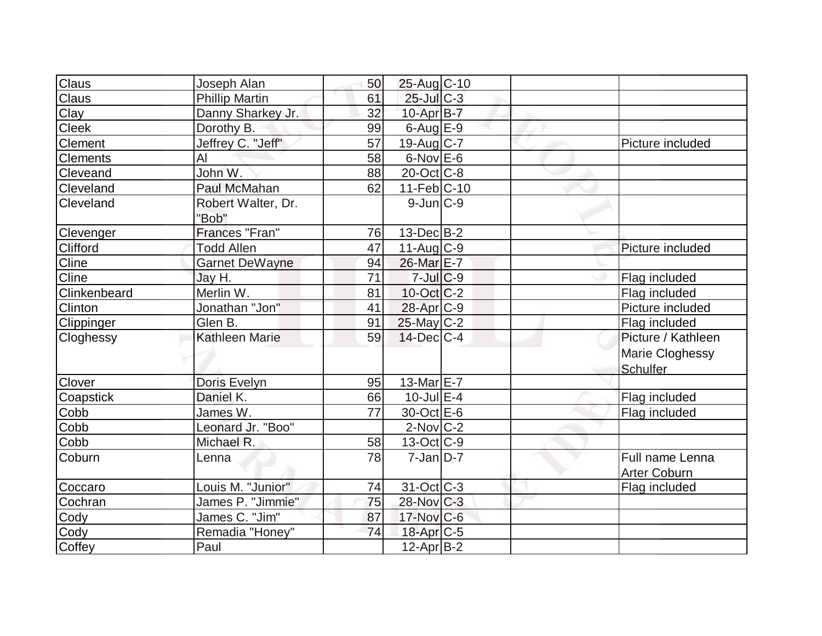| Claus        | Joseph Alan           | 50 | 25-Aug C-10              |  |                        |
|--------------|-----------------------|----|--------------------------|--|------------------------|
| Claus        | <b>Phillip Martin</b> | 61 | $25$ -Jul $C-3$          |  |                        |
| Clay         | Danny Sharkey Jr.     | 32 | $10$ -Apr $B$ -7         |  |                        |
| <b>Cleek</b> | Dorothy B.            | 99 | $6$ -Aug $E-9$           |  |                        |
| Clement      | Jeffrey C. "Jeff"     | 57 | 19-Aug C-7               |  | Picture included       |
| Clements     | AI                    | 58 | $6$ -Nov $E$ -6          |  |                        |
| Cleveand     | John W.               | 88 | 20-Oct C-8               |  |                        |
| Cleveland    | <b>Paul McMahan</b>   | 62 | $11-Feb$ C-10            |  |                        |
| Cleveland    | Robert Walter, Dr.    |    | $9$ -Jun $C-9$           |  |                        |
|              | "Bob"                 |    |                          |  |                        |
| Clevenger    | Frances "Fran"        | 76 | $13$ -Dec $B - 2$        |  |                        |
| Clifford     | <b>Todd Allen</b>     | 47 | $11-Aug$ <sub>C-9</sub>  |  | Picture included       |
| Cline        | <b>Garnet DeWayne</b> | 94 | 26-Mar E-7               |  |                        |
| <b>Cline</b> | Jay H.                | 71 | $7$ -Jul $C$ -9          |  | Flag included          |
| Clinkenbeard | Merlin W.             | 81 | $10$ -Oct $ C-2 $        |  | Flag included          |
| Clinton      | Jonathan "Jon"        | 41 | 28-Apr <sub>C-9</sub>    |  | Picture included       |
| Clippinger   | Glen B.               | 91 | $25$ -May C-2            |  | Flag included          |
| Cloghessy    | <b>Kathleen Marie</b> | 59 | $14$ -Dec $C-4$          |  | Picture / Kathleen     |
|              |                       |    |                          |  | <b>Marie Cloghessy</b> |
|              |                       |    |                          |  | <b>Schulfer</b>        |
| Clover       | Doris Evelyn          | 95 | 13-Mar $E-7$             |  |                        |
| Coapstick    | Daniel K.             | 66 | $10$ -Jul $E-4$          |  | Flag included          |
| Cobb         | James W.              | 77 | 30-Oct E-6               |  | Flag included          |
| Cobb         | Leonard Jr. "Boo"     |    | $2$ -Nov $ C-2 $         |  |                        |
| Cobb         | Michael R.            | 58 | $13-Oct$ $C-9$           |  |                        |
| Coburn       | Lenna                 | 78 | $7$ -Jan $ D-7 $         |  | Full name Lenna        |
|              |                       |    |                          |  | <b>Arter Coburn</b>    |
| Coccaro      | Louis M. "Junior"     | 74 | $31-Oct$ <sub>C</sub> -3 |  | Flag included          |
| Cochran      | James P. "Jimmie"     | 75 | $28$ -Nov $ C-3 $        |  |                        |
| Cody         | James C. "Jim"        | 87 | $17$ -Nov $ C$ -6        |  |                        |
| Cody         | Remadia "Honey"       | 74 | 18-Apr <sub>IC-5</sub>   |  |                        |
| Coffey       | Paul                  |    | $12$ -Apr $ B-2 $        |  |                        |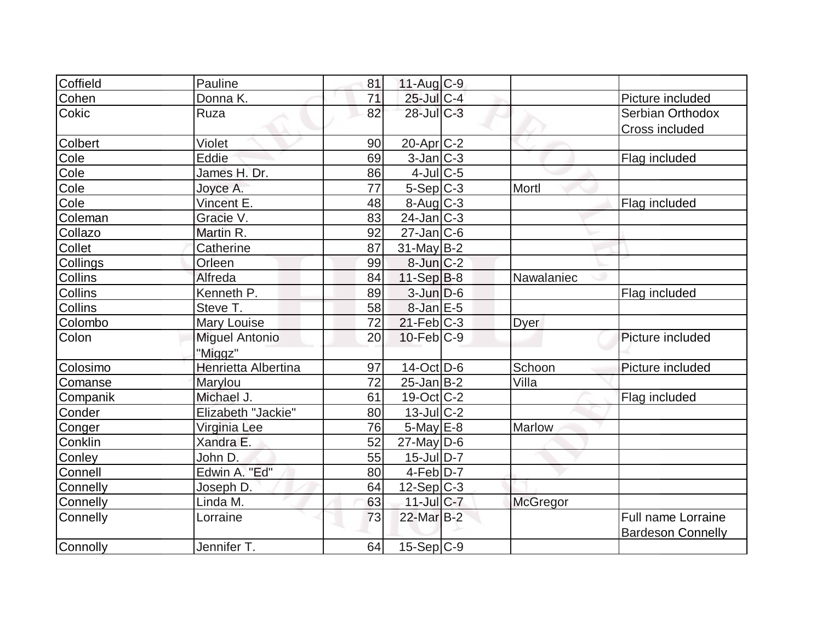| Coffield       | Pauline               | 81 | $11-Aug$ <sub>C-9</sub>          |                 |                          |
|----------------|-----------------------|----|----------------------------------|-----------------|--------------------------|
| Cohen          | Donna K.              | 71 | 25-Jul C-4                       |                 | Picture included         |
| Cokic          | Ruza                  | 82 | $28$ -JulC-3                     |                 | Serbian Orthodox         |
|                |                       |    |                                  |                 | <b>Cross included</b>    |
| <b>Colbert</b> | Violet                | 90 | $20$ -Apr $C-2$                  |                 |                          |
| Cole           | Eddie                 | 69 | $3$ -Jan $ C-3 $                 |                 | Flag included            |
| Cole           | James H. Dr.          | 86 | $4$ -Jul $C$ -5                  |                 |                          |
| Cole           | Joyce A.              | 77 | $5-Sep C-3$                      | Mortl           |                          |
| Cole           | Vincent E.            | 48 | $8 - \text{Aug}$ <sub>C</sub> -3 |                 | Flag included            |
| Coleman        | Gracie V.             | 83 | $24$ -Jan $ C-3 $                |                 |                          |
| Collazo        | Martin R.             | 92 | $27$ -Jan $ C$ -6                |                 |                          |
| Collet         | Catherine             | 87 | $31$ -May B-2                    |                 |                          |
| Collings       | Orleen                | 99 | $8$ -Jun $C-2$                   |                 |                          |
| <b>Collins</b> | Alfreda               | 84 | $11-Sep B-8$                     | Nawalaniec      |                          |
| Collins        | Kenneth P.            | 89 | $3$ -Jun $D-6$                   |                 | Flag included            |
| <b>Collins</b> | Steve T.              | 58 | $8$ -Jan $E$ -5                  |                 |                          |
| Colombo        | Mary Louise           | 72 | $21 - Feb$ <sub>C-3</sub>        | <b>Dyer</b>     |                          |
| Colon          | <b>Miguel Antonio</b> | 20 | $10$ -Feb $C-9$                  |                 | Picture included         |
|                | "Miggz"               |    |                                  |                 |                          |
| Colosimo       | Henrietta Albertina   | 97 | $14$ -Oct $ D-6 $                | Schoon          | Picture included         |
| Comanse        | Marylou               | 72 | $25$ -Jan B-2                    | Villa           |                          |
| Companik       | Michael J.            | 61 | 19-Oct C-2                       |                 | Flag included            |
| Conder         | Elizabeth "Jackie"    | 80 | $13$ -JulC-2                     |                 |                          |
| Conger         | Virginia Lee          | 76 | $5$ -May $E-8$                   | Marlow          |                          |
| Conklin        | Xandra E.             | 52 | $27$ -May D-6                    |                 |                          |
| Conley         | John D.               | 55 | $15$ -Jul $D-7$                  |                 |                          |
| Connell        | Edwin A. "Ed"         | 80 | $4-Feb D-7$                      |                 |                          |
| Connelly       | Joseph D.             | 64 | $12-Sep C-3$                     |                 |                          |
| Connelly       | Linda M.              | 63 | $11$ -Jul C-7                    | <b>McGregor</b> |                          |
| Connelly       | Lorraine              | 73 | 22-Mar B-2                       |                 | Full name Lorraine       |
|                |                       |    |                                  |                 | <b>Bardeson Connelly</b> |
| Connolly       | Jennifer T.           | 64 | $15-Sep C-9$                     |                 |                          |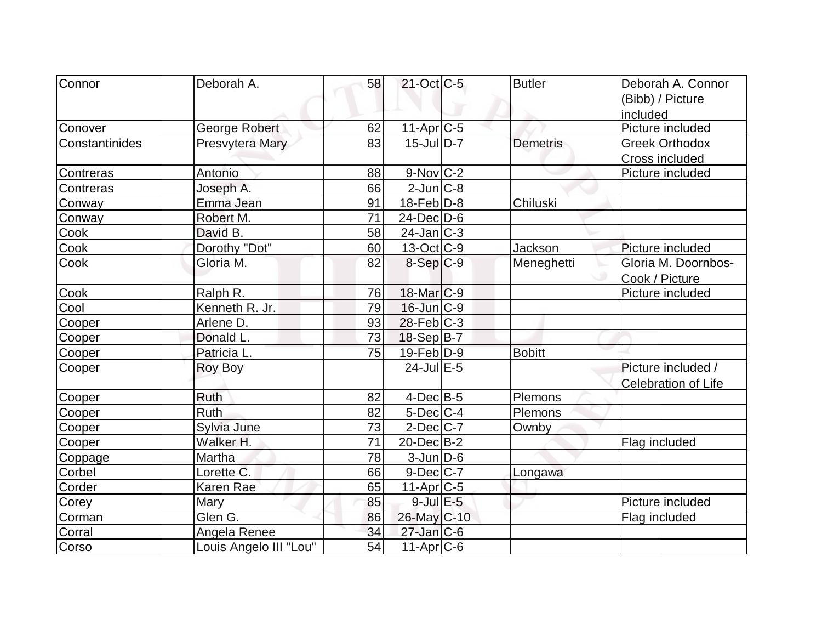| Connor         | Deborah A.             | 58 | $21$ -Oct C-5         | <b>Butler</b>   | Deborah A. Connor     |
|----------------|------------------------|----|-----------------------|-----------------|-----------------------|
|                |                        |    |                       |                 | (Bibb) / Picture      |
|                |                        |    |                       |                 | included              |
| Conover        | George Robert          | 62 | 11-Apr <sub>C-5</sub> |                 | Picture included      |
| Constantinides | Presvytera Mary        | 83 | $15$ -JulD-7          | <b>Demetris</b> | <b>Greek Orthodox</b> |
|                |                        |    |                       |                 | Cross included        |
| Contreras      | Antonio                | 88 | $9-Nov C-2$           |                 | Picture included      |
| Contreras      | Joseph A.              | 66 | $2$ -Jun $ C-8$       |                 |                       |
| Conway         | Emma Jean              | 91 | $18$ -Feb $ D-8 $     | Chiluski        |                       |
| Conway         | Robert M.              | 71 | $24$ -Dec $D-6$       |                 |                       |
| Cook           | David B.               | 58 | $24$ -Jan $ C-3 $     |                 |                       |
| Cook           | Dorothy "Dot"          | 60 | $13-Oct$ $C-9$        | Jackson         | Picture included      |
| Cook           | Gloria M.              | 82 | 8-Sep C-9             | Meneghetti      | Gloria M. Doornbos-   |
|                |                        |    |                       |                 | Cook / Picture        |
| Cook           | Ralph R.               | 76 | $18$ -Mar $ C-9 $     |                 | Picture included      |
| Cool           | Kenneth R. Jr.         | 79 | $16$ -Jun $ C-9 $     |                 |                       |
| Cooper         | Arlene D.              | 93 | $28$ -Feb $ C-3 $     |                 |                       |
| Cooper         | Donald L.              | 73 | $18-Sep B-7$          |                 |                       |
| Cooper         | Patricia L.            | 75 | $19$ -Feb $ D-9 $     | <b>Bobitt</b>   |                       |
| Cooper         | Roy Boy                |    | $24$ -Jul E-5         |                 | Picture included /    |
|                |                        |    |                       |                 | Celebration of Life   |
| Cooper         | <b>Ruth</b>            | 82 | $4$ -Dec $B$ -5       | Plemons         |                       |
| Cooper         | Ruth                   | 82 | $5$ -Dec $C$ -4       | Plemons         |                       |
| Cooper         | Sylvia June            | 73 | $2$ -Dec $ C-7 $      | Ownby           |                       |
| Cooper         | Walker H.              | 71 | $20$ -Dec $B-2$       |                 | Flag included         |
| Coppage        | Martha                 | 78 | 3-Jun D-6             |                 |                       |
| Corbel         | Lorette C.             | 66 | $9$ -Dec $ C-7 $      | Longawa         |                       |
| Corder         | Karen Rae              | 65 | $11-Apr$ $C-5$        |                 |                       |
| Corey          | Mary                   | 85 | $9$ -Jul $E$ -5       |                 | Picture included      |
| Corman         | Glen G.                | 86 | 26-May C-10           |                 | Flag included         |
| Corral         | Angela Renee           | 34 | $27$ -Jan $ C$ -6     |                 |                       |
| Corso          | Louis Angelo III "Lou" | 54 | $11-Apr$ $C-6$        |                 |                       |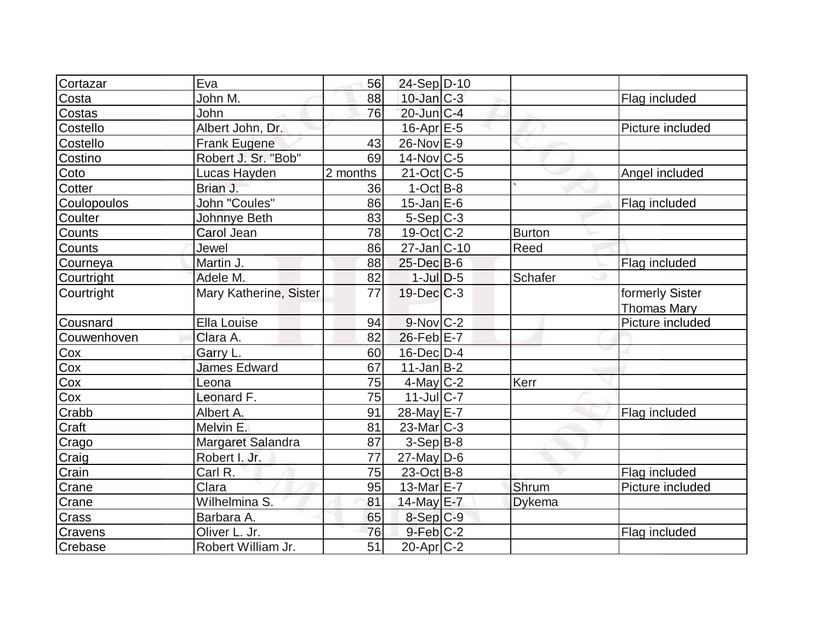| Cortazar    | Eva                    | 56       | 24-Sep D-10                |                |                                       |
|-------------|------------------------|----------|----------------------------|----------------|---------------------------------------|
| Costa       | John M.                | 88       | $10$ -Jan $C-3$            |                | Flag included                         |
| Costas      | John                   | 76       | 20-Jun C-4                 |                |                                       |
| Costello    | Albert John, Dr.       |          | $16$ -Apr $E$ -5           |                | Picture included                      |
| Costello    | <b>Frank Eugene</b>    | 43       | $26$ -Nov $E$ -9           |                |                                       |
| Costino     | Robert J. Sr. "Bob"    | 69       | $14$ -Nov $ C-5 $          |                |                                       |
| Coto        | Lucas Hayden           | 2 months | $21-Oct$ $C-5$             |                | Angel included                        |
| Cotter      | Brian J.               | 36       | $1-Oct$ B-8                |                |                                       |
| Coulopoulos | John "Coules"          | 86       | $15$ -Jan $E$ -6           |                | Flag included                         |
| Coulter     | Johnnye Beth           | 83       | $5-Sep C-3$                |                |                                       |
| Counts      | Carol Jean             | 78       | $19-Oct$ $C-2$             | <b>Burton</b>  |                                       |
| Counts      | Jewel                  | 86       | $27 - Jan$ <sub>C-10</sub> | Reed           |                                       |
| Courneya    | Martin J.              | 88       | 25-Dec B-6                 |                | Flag included                         |
| Courtright  | Adele M.               | 82       | $1$ -Jul $D-5$             | <b>Schafer</b> |                                       |
| Courtright  | Mary Katherine, Sister | 77       | $19$ -Dec $C-3$            |                | formerly Sister<br><b>Thomas Mary</b> |
| Cousnard    | Ella Louise            | 94       | $9-Nov$ <sub>C-2</sub>     |                | Picture included                      |
| Couwenhoven | Clara A.               | 82       | $26$ -Feb $E$ -7           |                |                                       |
| Cox         | Garry L.               | 60       | $16$ -Dec $D-4$            |                |                                       |
| Cox         | <b>James Edward</b>    | 67       | $11$ -Jan $ B-2 $          |                |                                       |
| Cox         | Leona                  | 75       | $4$ -May C-2               | Kerr           |                                       |
| Cox         | Leonard F.             | 75       | $11$ -Jul C-7              |                |                                       |
| Crabb       | Albert A.              | 91       | 28-May E-7                 |                | Flag included                         |
| Craft       | Melvin E.              | 81       | $23$ -Mar $ C-3 $          |                |                                       |
| Crago       | Margaret Salandra      | 87       | $3-Sep B-8$                |                |                                       |
| Craig       | Robert I. Jr.          | 77       | $27$ -May D-6              |                |                                       |
| Crain       | Carl R.                | 75       | $23$ -Oct B-8              |                | Flag included                         |
| Crane       | Clara                  | 95       | 13-Mar $E-7$               | Shrum          | Picture included                      |
| Crane       | Wilhelmina S.          | 81       | 14-May E-7                 | <b>Dykema</b>  |                                       |
| Crass       | Barbara A.             | 65       | $8-Sep C-9$                |                |                                       |
| Cravens     | Oliver L. Jr.          | 76       | $9$ -Feb $ C-2 $           |                | Flag included                         |
| Crebase     | Robert William Jr.     | 51       | 20-Apr C-2                 |                |                                       |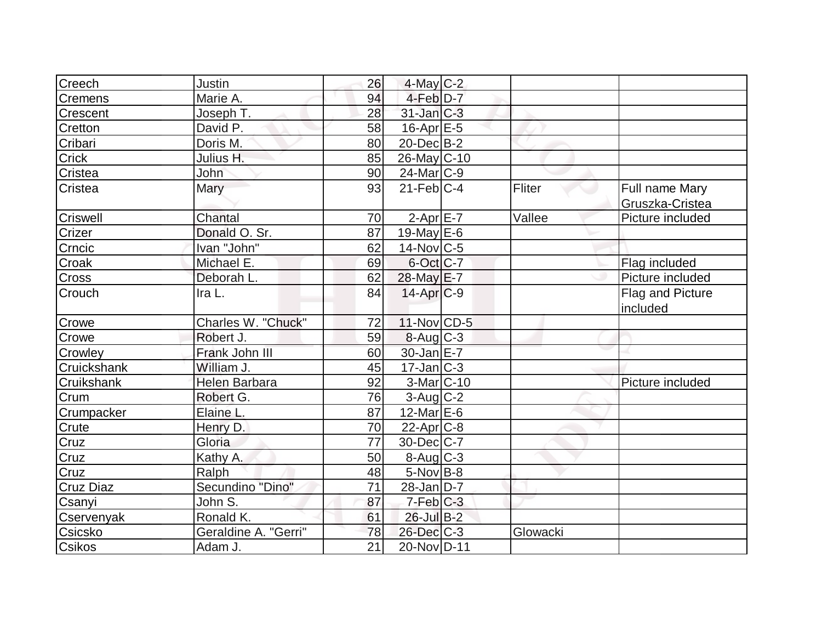| Creech           | Justin               | 26 | $4$ -May C-2           |          |                  |
|------------------|----------------------|----|------------------------|----------|------------------|
| Cremens          | Marie A.             | 94 | 4-Feb D-7              |          |                  |
| Crescent         | Joseph T.            | 28 | $31$ -Jan $C-3$        |          |                  |
| Cretton          | David P.             | 58 | $16$ -Apr $E$ -5       |          |                  |
| Cribari          | Doris M.             | 80 | $20$ -Dec $B-2$        |          |                  |
| <b>Crick</b>     | Julius H.            | 85 | 26-May C-10            |          |                  |
| Cristea          | John                 | 90 | $24$ -Mar $C-9$        |          |                  |
| Cristea          | Mary                 | 93 | $21$ -Feb $ C-4 $      | Fliter   | Full name Mary   |
|                  |                      |    |                        |          | Gruszka-Cristea  |
| <b>Criswell</b>  | Chantal              | 70 | $2-Apr$ $E-7$          | Vallee   | Picture included |
| Crizer           | Donald O. Sr.        | 87 | 19-May $E-6$           |          |                  |
| Crncic           | Ivan "John"          | 62 | $14$ -Nov $ C-5 $      |          |                  |
| Croak            | Michael E.           | 69 | 6-Oct C-7              |          | Flag included    |
| Cross            | Deborah L.           | 62 | 28-May E-7             |          | Picture included |
| Crouch           | Ira L.               | 84 | $14$ -Apr $C-9$        |          | Flag and Picture |
|                  |                      |    |                        |          | included         |
| Crowe            | Charles W. "Chuck"   | 72 | $11$ -Nov $ CD-5 $     |          |                  |
| Crowe            | Robert J.            | 59 | $8-Aug$ <sub>C-3</sub> |          |                  |
| Crowley          | Frank John III       | 60 | $30 - Jan$ $E - 7$     |          |                  |
| Cruickshank      | William J.           | 45 | $17$ -Jan $ C-3 $      |          |                  |
| Cruikshank       | <b>Helen Barbara</b> | 92 | $3-Mar$ C-10           |          | Picture included |
| Crum             | Robert G.            | 76 | $3$ -Aug C-2           |          |                  |
| Crumpacker       | Elaine L.            | 87 | 12-Mar $E-6$           |          |                  |
| Crute            | Henry D.             | 70 | 22-Apr <sub>IC-8</sub> |          |                  |
| Cruz             | Gloria               | 77 | $30$ -Dec $ C-7 $      |          |                  |
| Cruz             | Kathy A.             | 50 | 8-Aug C-3              |          |                  |
| Cruz             | Ralph                | 48 | 5-Nov B-8              |          |                  |
| <b>Cruz Diaz</b> | Secundino "Dino"     | 71 | $28$ -Jan $D-7$        |          |                  |
| Csanyi           | John S.              | 87 | $7-Feb$ <sub>C-3</sub> |          |                  |
| Cservenyak       | Ronald K.            | 61 | $26$ -Jul B-2          |          |                  |
| Csicsko          | Geraldine A. "Gerri" | 78 | $26$ -Dec $C$ -3       | Glowacki |                  |
| <b>Csikos</b>    | Adam J.              | 21 | 20-Nov D-11            |          |                  |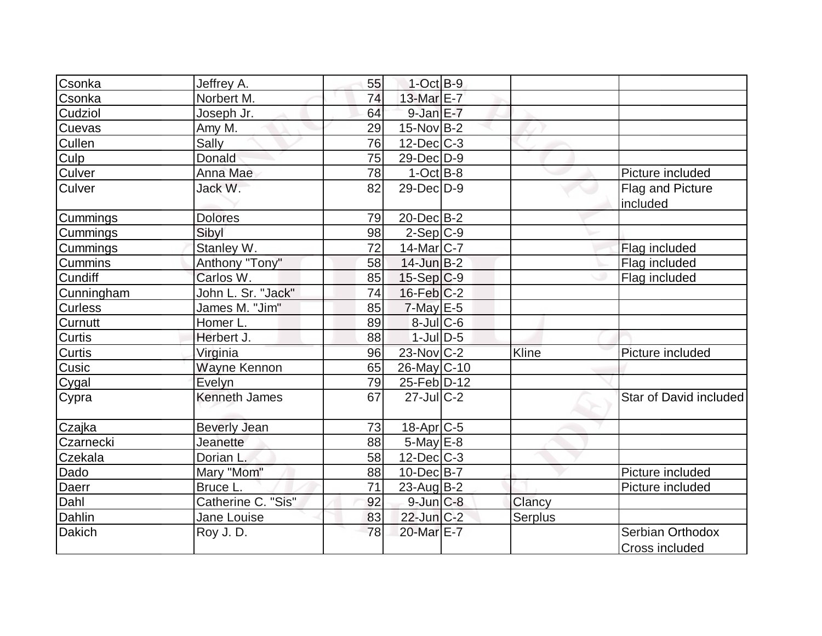| Csonka         | Jeffrey A.           | 55 | $1$ -Oct B-9      |         |                        |
|----------------|----------------------|----|-------------------|---------|------------------------|
| Csonka         | Norbert M.           | 74 | 13-Mar E-7        |         |                        |
| Cudziol        | Joseph Jr.           | 64 | $9$ -Jan $E$ -7   |         |                        |
| Cuevas         | Amy M.               | 29 | $15$ -Nov B-2     |         |                        |
| <b>Cullen</b>  | Sally                | 76 | $12$ -Dec $ C-3 $ |         |                        |
| Culp           | Donald               | 75 | 29-Dec D-9        |         |                        |
| Culver         | Anna Mae             | 78 | $1-Oct$ B-8       |         | Picture included       |
| <b>Culver</b>  | Jack W.              | 82 | $29$ -Dec $D-9$   |         | Flag and Picture       |
|                |                      |    |                   |         | included               |
| Cummings       | <b>Dolores</b>       | 79 | $20$ -Dec $B-2$   |         |                        |
| Cummings       | Sibyl                | 98 | $2-Sep C-9$       |         |                        |
| Cummings       | Stanley W.           | 72 | $14$ -Mar $ C-7 $ |         | Flag included          |
| <b>Cummins</b> | Anthony "Tony"       | 58 | $14$ -Jun $B-2$   |         | Flag included          |
| <b>Cundiff</b> | Carlos W.            | 85 | $15-Sep C-9$      |         | Flag included          |
| Cunningham     | John L. Sr. "Jack"   | 74 | $16$ -Feb $ C-2 $ |         |                        |
| <b>Curless</b> | James M. "Jim"       | 85 | $7$ -May $E-5$    |         |                        |
| Curnutt        | Homer L.             | 89 | $8$ -JulC-6       |         |                        |
| <b>Curtis</b>  | Herbert J.           | 88 | $1$ -Jul $D$ -5   |         |                        |
| Curtis         | Virginia             | 96 | 23-Nov C-2        | Kline   | Picture included       |
| Cusic          | Wayne Kennon         | 65 | 26-May C-10       |         |                        |
| Cygal          | Evelyn               | 79 | 25-Feb D-12       |         |                        |
| Cypra          | <b>Kenneth James</b> | 67 | $27$ -JulC-2      |         | Star of David included |
| Czajka         | <b>Beverly Jean</b>  | 73 | 18-Apr C-5        |         |                        |
| Czarnecki      | Jeanette             | 88 | $5$ -May $E$ -8   |         |                        |
| Czekala        | Dorian L.            | 58 | $12$ -Dec $ C-3 $ |         |                        |
| Dado           | Mary "Mom"           | 88 | 10-Dec B-7        |         | Picture included       |
| Daerr          | Bruce L.             | 71 | $23$ -Aug B-2     |         | Picture included       |
| Dahl           | Catherine C. "Sis"   | 92 | $9$ -Jun $C-8$    | Clancy  |                        |
| Dahlin         | Jane Louise          | 83 | $22$ -Jun $C-2$   | Serplus |                        |
| <b>Dakich</b>  | Roy J.D.             | 78 | 20-Mar E-7        |         | Serbian Orthodox       |
|                |                      |    |                   |         | Cross included         |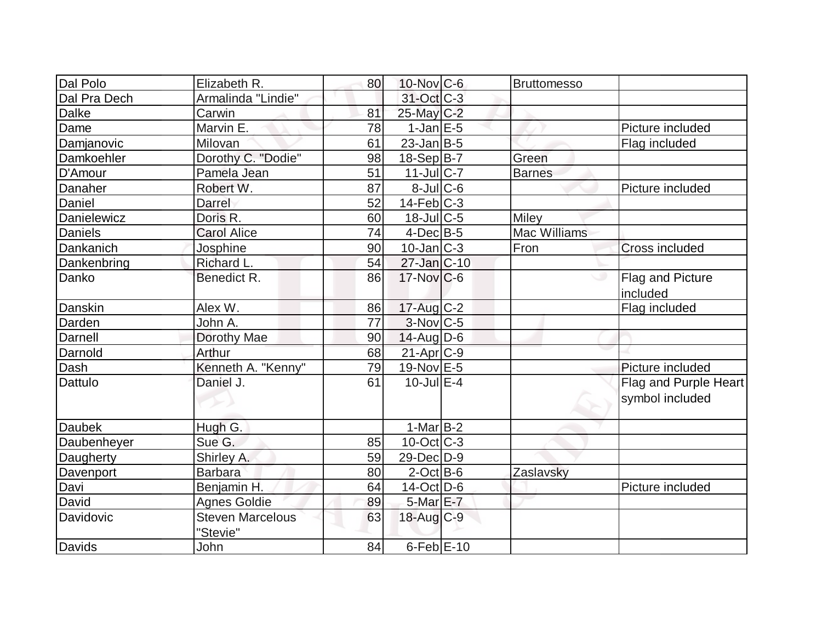| Dal Polo      | Elizabeth R.                        | 80 | $10$ -Nov $ C$ -6      | <b>Bruttomesso</b>  |                       |
|---------------|-------------------------------------|----|------------------------|---------------------|-----------------------|
| Dal Pra Dech  | Armalinda "Lindie"                  |    | 31-Oct C-3             |                     |                       |
| <b>Dalke</b>  | Carwin                              | 81 | 25-May C-2             |                     |                       |
| Dame          | Marvin E.                           | 78 | $1-JanEE-5$            |                     | Picture included      |
| Damjanovic    | Milovan                             | 61 | $23$ -Jan B-5          |                     | Flag included         |
| Damkoehler    | Dorothy C. "Dodie"                  | 98 | $18-Sep B-7$           | Green               |                       |
| D'Amour       | Pamela Jean                         | 51 | 11-Jul C-7             | Barnes              |                       |
| Danaher       | Robert W.                           | 87 | $8$ -JulC-6            |                     | Picture included      |
| Daniel        | Darrel                              | 52 | $14$ -Feb $ C-3$       |                     |                       |
| Danielewicz   | Doris R.                            | 60 | $18$ -Jul $C$ -5       | <b>Miley</b>        |                       |
| Daniels       | <b>Carol Alice</b>                  | 74 | $4$ -Dec $B$ -5        | <b>Mac Williams</b> |                       |
| Dankanich     | <b>Josphine</b>                     | 90 | $10$ -Jan $ C-3 $      | Fron                | <b>Cross included</b> |
| Dankenbring   | Richard L.                          | 54 | 27-Jan C-10            |                     |                       |
| Danko         | Benedict R.                         | 86 | $17$ -Nov $ C$ -6      |                     | Flag and Picture      |
|               |                                     |    |                        |                     | included              |
| Danskin       | Alex W.                             | 86 | $17$ -Aug C-2          |                     | Flag included         |
| Darden        | John A.                             | 77 | $3-Nov$ <sub>C-5</sub> |                     |                       |
| Darnell       | Dorothy Mae                         | 90 | $14$ -AugD-6           |                     |                       |
| Darnold       | Arthur                              | 68 | 21-Apr <sub>C-9</sub>  |                     |                       |
| Dash          | Kenneth A. "Kenny"                  | 79 | 19-Nov E-5             |                     | Picture included      |
| Dattulo       | Daniel J.                           | 61 | $10$ -Jul $E-4$        |                     | Flag and Purple Heart |
|               |                                     |    |                        |                     | symbol included       |
| <b>Daubek</b> | Hugh G.                             |    | $1-Mar B-2$            |                     |                       |
| Daubenheyer   | Sue G.                              | 85 | $10$ -Oct $ C-3 $      |                     |                       |
| Daugherty     | Shirley A.                          | 59 | 29-Dec D-9             |                     |                       |
| Davenport     | <b>Barbara</b>                      | 80 | $2$ -Oct B-6           | Zaslavsky           |                       |
| Davi          | Benjamin H.                         | 64 | $14$ -Oct $ D-6$       |                     | Picture included      |
| David         | <b>Agnes Goldie</b>                 | 89 | 5-Mar E-7              |                     |                       |
| Davidovic     | <b>Steven Marcelous</b><br>"Stevie" | 63 | $18$ -Aug $C-9$        |                     |                       |
| Davids        | John                                | 84 | $6$ -Feb $E$ -10       |                     |                       |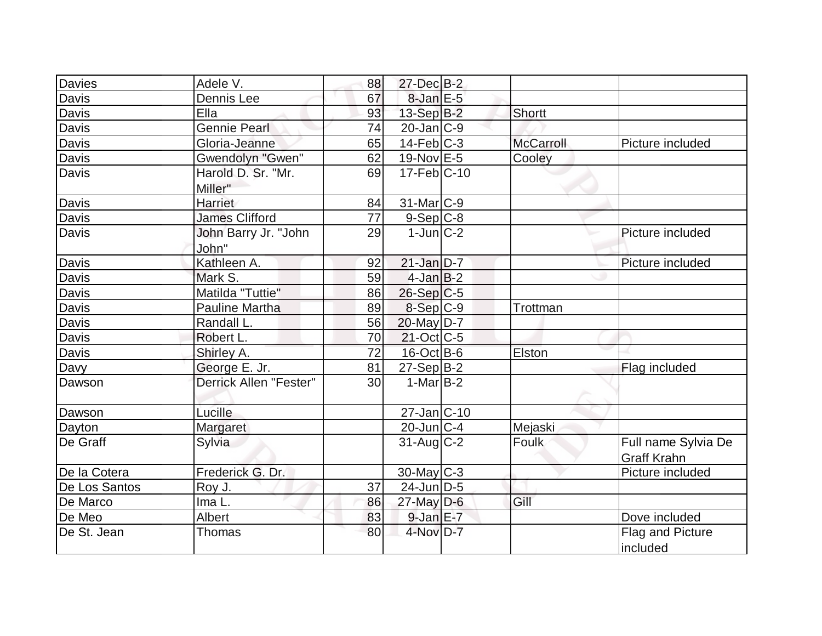| Davies        | Adele V.               | 88 | 27-Dec B-2                 |                  |                     |
|---------------|------------------------|----|----------------------------|------------------|---------------------|
| Davis         | Dennis Lee             | 67 | $8$ -Jan $E$ -5            |                  |                     |
| Davis         | Ella                   | 93 | 13-Sep B-2                 | Shortt           |                     |
| Davis         | <b>Gennie Pearl</b>    | 74 | $20$ -Jan $ C-9 $          |                  |                     |
| Davis         | Gloria-Jeanne          | 65 | $14$ -Feb $C-3$            | <b>McCarroll</b> | Picture included    |
| Davis         | Gwendolyn "Gwen"       | 62 | 19-Nov E-5                 | Cooley           |                     |
| Davis         | Harold D. Sr. "Mr.     | 69 | $17$ -Feb $ C-10$          |                  |                     |
|               | Miller"                |    |                            |                  |                     |
| Davis         | Harriet                | 84 | 31-Mar C-9                 |                  |                     |
| Davis         | <b>James Clifford</b>  | 77 | $9-Sep C-8$                |                  |                     |
| <b>Davis</b>  | John Barry Jr. "John   | 29 | $1$ -Jun $ C-2 $           |                  | Picture included    |
|               | John"                  |    |                            |                  |                     |
| Davis         | Kathleen A.            | 92 | $21$ -Jan $D-7$            |                  | Picture included    |
| Davis         | Mark S.                | 59 | $4$ -Jan B-2               |                  |                     |
| Davis         | Matilda "Tuttie"       | 86 | $26-Sep C-5$               |                  |                     |
| Davis         | <b>Pauline Martha</b>  | 89 | 8-Sep C-9                  | Trottman         |                     |
| Davis         | Randall L.             | 56 | $20$ -May D-7              |                  |                     |
| Davis         | Robert L.              | 70 | $21-Oct$ <sub>C</sub> -5   |                  |                     |
| Davis         | Shirley A.             | 72 | $16$ -Oct B-6              | Elston           |                     |
| Davy          | George E. Jr.          | 81 | $27-Sep$ B-2               |                  | Flag included       |
| Dawson        | Derrick Allen "Fester" | 30 | $1-Mar$ B-2                |                  |                     |
|               |                        |    |                            |                  |                     |
| Dawson        | Lucille                |    | $27 - Jan$ <sub>C-10</sub> |                  |                     |
| Dayton        | Margaret               |    | $20$ -Jun $C-4$            | Mejaski          |                     |
| De Graff      | Sylvia                 |    | $31$ -Aug C-2              | Foulk            | Full name Sylvia De |
|               |                        |    |                            |                  | <b>Graff Krahn</b>  |
| De la Cotera  | Frederick G. Dr.       |    | $30$ -May C-3              |                  | Picture included    |
| De Los Santos | Roy J.                 | 37 | $24$ -Jun $D-5$            |                  |                     |
| De Marco      | Ima L.                 | 86 | $27$ -May $D-6$            | Gill             |                     |
| De Meo        | Albert                 | 83 | $9$ -Jan $E-7$             |                  | Dove included       |
| De St. Jean   | <b>Thomas</b>          | 80 | 4-Nov D-7                  |                  | Flag and Picture    |
|               |                        |    |                            |                  | Included            |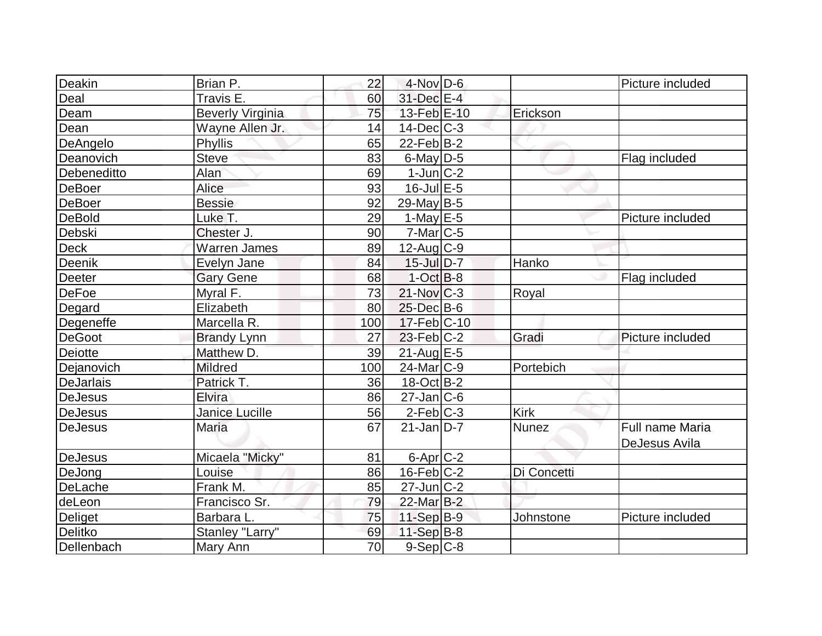| <b>Deakin</b>     | Brian P.                | 22  | $4$ -Nov D-6      |              | Picture included |
|-------------------|-------------------------|-----|-------------------|--------------|------------------|
| Deal              | Travis E.               | 60  | 31-Dec E-4        |              |                  |
| Deam              | <b>Beverly Virginia</b> | 75  | 13-Feb E-10       | Erickson     |                  |
| Dean              | Wayne Allen Jr.         | 14  | $14$ -Dec $C-3$   |              |                  |
| DeAngelo          | Phyllis                 | 65  | $22$ -Feb $ B-2 $ |              |                  |
| Deanovich         | <b>Steve</b>            | 83  | $6$ -May $D$ -5   |              | Flag included    |
| Debeneditto       | Alan                    | 69  | $1$ -Jun $ C-2 $  |              |                  |
| DeBoer            | Alice                   | 93  | $16$ -Jul $E$ -5  |              |                  |
| <b>DeBoer</b>     | <b>Bessie</b>           | 92  | $29$ -May B-5     |              |                  |
| <b>DeBold</b>     | Luke T.                 | 29  | $1-May$ $E-5$     |              | Picture included |
| Debski            | Chester J.              | 90  | $7$ -Mar $ C$ -5  |              |                  |
| Deck              | <b>Warren James</b>     | 89  | $12$ -Aug C-9     |              |                  |
| Deenik            | Evelyn Jane             | 84  | $15$ -Jul $D-7$   | Hanko        |                  |
| Deeter            | <b>Gary Gene</b>        | 68  | $1-Oct$ B-8       |              | Flag included    |
| DeFoe             | Myral F.                | 73  | $21$ -Nov $ C-3 $ | Royal        |                  |
| Degard            | Elizabeth               | 80  | 25-Dec B-6        |              |                  |
| Degeneffe         | Marcella R.             | 100 | $17$ -Feb $ C-10$ |              |                  |
| <b>DeGoot</b>     | <b>Brandy Lynn</b>      | 27  | $23$ -Feb $ C-2 $ | Gradi        | Picture included |
| <b>Deiotte</b>    | Matthew D.              | 39  | $21$ -Aug $E-5$   |              |                  |
| Dejanovich        | <b>Mildred</b>          | 100 | $24$ -Mar $ C-9 $ | Portebich    |                  |
| <b>DeJarlais</b>  | Patrick T.              | 36  | $18-Oct$ B-2      |              |                  |
| <b>DeJesus</b>    | <b>Elvira</b>           | 86  | $27$ -Jan $ C$ -6 |              |                  |
| DeJesus           | <b>Janice Lucille</b>   | 56  | $2$ -Feb $ C-3 $  | <b>Kirk</b>  |                  |
| <b>DeJesus</b>    | <b>Maria</b>            | 67  | $21$ -Jan D-7     | <b>Nunez</b> | Full name Maria  |
|                   |                         |     |                   |              | DeJesus Avila    |
| <b>DeJesus</b>    | Micaela "Micky"         | 81  | $6$ -Apr $C$ -2   |              |                  |
| DeJong            | Louise                  | 86  | $16$ -Feb $C-2$   | Di Concetti  |                  |
| DeLache           | Frank M.                | 85  | $27$ -Jun $C-2$   |              |                  |
| deLeon            | Francisco Sr.           | 79  | 22-Mar B-2        |              |                  |
| Deliget           | Barbara L.              | 75  | $11-Sep B-9$      | Johnstone    | Picture included |
| <b>Delitko</b>    | Stanley "Larry"         | 69  | $11-Sep B-8$      |              |                  |
| <b>Dellenbach</b> | Mary Ann                | 70  | $9-Sep C-8$       |              |                  |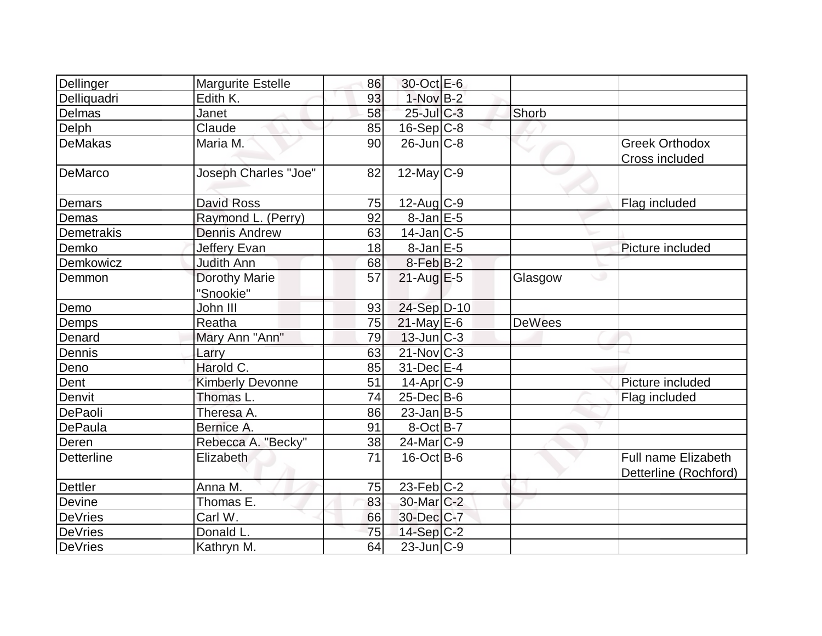| Dellinger         | <b>Margurite Estelle</b>          | 86 | 30-Oct E-6             |               |                                              |
|-------------------|-----------------------------------|----|------------------------|---------------|----------------------------------------------|
| Delliquadri       | Edith K.                          | 93 | $1-NovB-2$             |               |                                              |
| Delmas            | Janet                             | 58 | 25-Jul C-3             | Shorb         |                                              |
| Delph             | Claude                            | 85 | $16-Sep C-8$           |               |                                              |
| <b>DeMakas</b>    | Maria M.                          | 90 | $26$ -Jun $C-8$        |               | <b>Greek Orthodox</b><br>Cross included      |
| DeMarco           | <b>Joseph Charles "Joe"</b>       | 82 | $12$ -May C-9          |               |                                              |
| Demars            | <b>David Ross</b>                 | 75 | $12$ -Aug C-9          |               | Flag included                                |
| Demas             | Raymond L. (Perry)                | 92 | $8$ -Jan $E$ -5        |               |                                              |
| Demetrakis        | <b>Dennis Andrew</b>              | 63 | $14$ -Jan $ C-5$       |               |                                              |
| Demko             | Jeffery Evan                      | 18 | $8$ -Jan $E$ -5        |               | Picture included                             |
| Demkowicz         | Judith Ann                        | 68 | 8-Feb B-2              |               |                                              |
| Demmon            | <b>Dorothy Marie</b><br>"Snookie" | 57 | $21$ -Aug $E-5$        | Glasgow       | ت                                            |
| Demo              | John III                          | 93 | 24-Sep D-10            |               |                                              |
| Demps             | Reatha                            | 75 | $21$ -May E-6          | <b>DeWees</b> |                                              |
| Denard            | Mary Ann "Ann"                    | 79 | $13$ -Jun $C-3$        |               |                                              |
| Dennis            | Larry                             | 63 | $21$ -Nov $ C-3 $      |               |                                              |
| Deno              | Harold C.                         | 85 | $31$ -Dec $E-4$        |               |                                              |
| Dent              | <b>Kimberly Devonne</b>           | 51 | $14$ -Apr $ C-9$       |               | Picture included                             |
| Denvit            | Thomas L.                         | 74 | $25$ -Dec $B$ -6       |               | Flag included                                |
| DePaoli           | Theresa A.                        | 86 | $23$ -Jan B-5          |               |                                              |
| DePaula           | Bernice A.                        | 91 | $8$ -Oct B-7           |               |                                              |
| Deren             | Rebecca A. "Becky"                | 38 | $24$ -Mar $C-9$        |               |                                              |
| <b>Detterline</b> | Elizabeth                         | 71 | $16$ -Oct B-6          |               | Full name Elizabeth<br>Detterline (Rochford) |
| <b>Dettler</b>    | Anna M.                           | 75 | $23$ -Feb $ C-2 $      |               |                                              |
| Devine            | Thomas E.                         | 83 | 30-Mar <sub>C</sub> -2 |               |                                              |
| <b>DeVries</b>    | Carl W.                           | 66 | 30-Dec C-7             |               |                                              |
| DeVries           | Donald L.                         | 75 | 14-Sep $C-2$           |               |                                              |
| DeVries           | Kathryn M.                        | 64 | $23$ -Jun $ C-9 $      |               |                                              |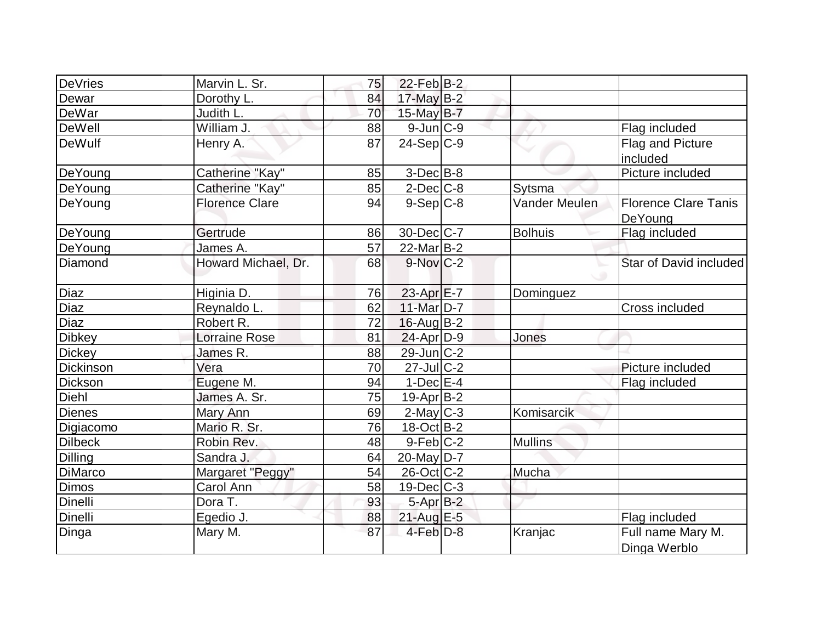| DeVries        | Marvin L. Sr.         | 75 | $22$ -Feb $ B-2 $      |                |                                        |
|----------------|-----------------------|----|------------------------|----------------|----------------------------------------|
| Dewar          | Dorothy L.            | 84 | 17-May B-2             |                |                                        |
| DeWar          | Judith L.             | 70 | 15-May B-7             |                |                                        |
| <b>DeWell</b>  | William J.            | 88 | $9$ -Jun $ C-9$        |                | Flag included                          |
| <b>DeWulf</b>  | Henry A.              | 87 | $24-Sep C-9$           |                | Flag and Picture<br>included           |
| DeYoung        | Catherine "Kay"       | 85 | $3-Dec B-8$            |                | Picture included                       |
| DeYoung        | Catherine "Kay"       | 85 | $2$ -Dec $C$ -8        | Sytsma         |                                        |
| DeYoung        | <b>Florence Clare</b> | 94 | $9-Sep C-8$            | Vander Meulen  | <b>Florence Clare Tanis</b><br>DeYoung |
| DeYoung        | Gertrude              | 86 | 30-Dec C-7             | <b>Bolhuis</b> | Flag included                          |
| DeYoung        | James A.              | 57 | $22$ -Mar $B-2$        |                |                                        |
| Diamond        | Howard Michael, Dr.   | 68 | $9-Nov$ <sub>C-2</sub> |                | Star of David included                 |
| Diaz           | Higinia D.            | 76 | 23-Apr E-7             | Dominguez      |                                        |
| Diaz           | Reynaldo L.           | 62 | 11-Mar D-7             |                | Cross included                         |
| Diaz           | Robert R.             | 72 | $16$ -Aug $B-2$        |                |                                        |
| <b>Dibkey</b>  | <b>Lorraine Rose</b>  | 81 | $24$ -Apr $D-9$        | Jones          |                                        |
| <b>Dickey</b>  | James R.              | 88 | 29-Jun C-2             |                |                                        |
| Dickinson      | Vera                  | 70 | $27$ -Jul C-2          |                | Picture included                       |
| Dickson        | Eugene M.             | 94 | $1-Dec$ $E-4$          |                | Flag included                          |
| Diehl          | James A. Sr.          | 75 | $19-Apr B-2$           |                |                                        |
| <b>Dienes</b>  | Mary Ann              | 69 | $2$ -May C-3           | Komisarcik     |                                        |
| Digiacomo      | Mario R. Sr.          | 76 | 18-Oct B-2             |                |                                        |
| <b>Dilbeck</b> | Robin Rev.            | 48 | $9-Feb C-2$            | <b>Mullins</b> |                                        |
| <b>Dilling</b> | Sandra J.             | 64 | $20$ -May D-7          |                |                                        |
| <b>DiMarco</b> | Margaret "Peggy"      | 54 | $26$ -Oct $ C-2 $      | Mucha          |                                        |
| <b>Dimos</b>   | Carol Ann             | 58 | $19$ -Dec $C$ -3       |                |                                        |
| Dinelli        | Dora T.               | 93 | 5-Apr B-2              |                |                                        |
| Dinelli        | Egedio J.             | 88 | 21-Aug E-5             |                | Flag included                          |
| Dinga          | Mary M.               | 87 | $4$ -Feb $D-8$         | Kranjac        | Full name Mary M.<br>Dinga Werblo      |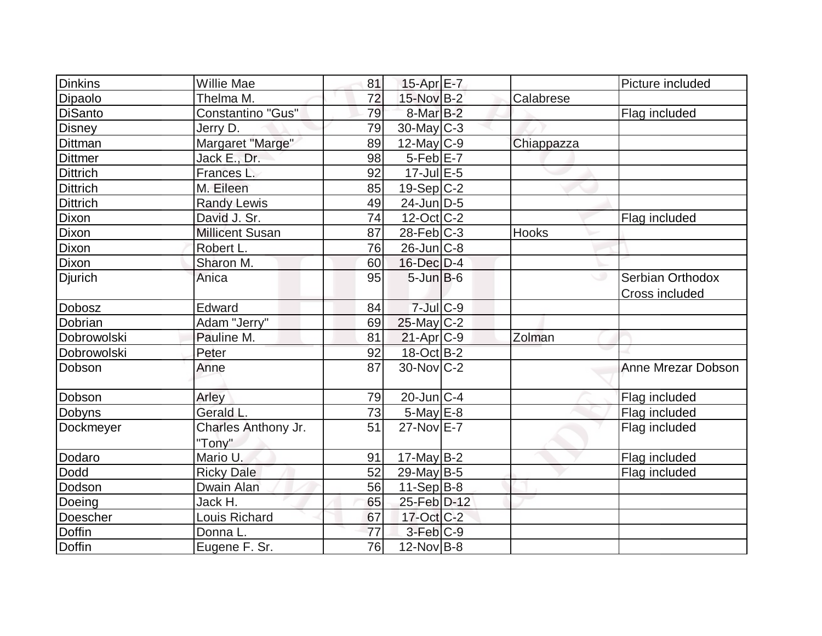| Dinkins         | <b>Willie Mae</b>      | 81 | 15-Apr $E-7$           |              | Picture included   |
|-----------------|------------------------|----|------------------------|--------------|--------------------|
| Dipaolo         | Thelma M.              | 72 | 15-Nov B-2             | Calabrese    |                    |
| <b>DiSanto</b>  | Constantino "Gus"      | 79 | 8-Mar <sub>B-2</sub>   |              | Flag included      |
| <b>Disney</b>   | Jerry D.               | 79 | $30$ -May C-3          |              |                    |
| Dittman         | Margaret "Marge"       | 89 | $12$ -May C-9          | Chiappazza   |                    |
| <b>Dittmer</b>  | Jack E., Dr.           | 98 | $5-Feb$ E-7            |              |                    |
| <b>Dittrich</b> | Frances L.             | 92 | $17$ -Jul $E$ -5       |              |                    |
| <b>Dittrich</b> | M. Eileen              | 85 | $19-Sep C-2$           |              |                    |
| <b>Dittrich</b> | <b>Randy Lewis</b>     | 49 | $24$ -Jun $ D-5$       |              |                    |
| Dixon           | David J. Sr.           | 74 | $12$ -Oct $ C-2 $      |              | Flag included      |
| Dixon           | <b>Millicent Susan</b> | 87 | $28$ -Feb $ C-3 $      | <b>Hooks</b> |                    |
| Dixon           | Robert L.              | 76 | $26$ -Jun $ C-8 $      |              |                    |
| Dixon           | Sharon M.              | 60 | $16$ -Dec $D-4$        |              |                    |
| <b>Djurich</b>  | Anica                  | 95 | $5$ -Jun $B$ -6        |              | Serbian Orthodox   |
|                 |                        |    |                        |              | Cross included     |
| Dobosz          | Edward                 | 84 | $7 -$ Jul $C - 9$      |              |                    |
| Dobrian         | Adam "Jerry"           | 69 | $25$ -May C-2          |              |                    |
| Dobrowolski     | Pauline M.             | 81 | $21-Apr$ $C-9$         | Zolman       |                    |
| Dobrowolski     | Peter                  | 92 | 18-Oct B-2             |              |                    |
| Dobson          | Anne                   | 87 | 30-Nov C-2             |              | Anne Mrezar Dobson |
| Dobson          | Arley                  | 79 | $20$ -Jun $C-4$        |              | Flag included      |
| Dobyns          | Gerald L.              | 73 | $5$ -May $E$ -8        |              | Flag included      |
| Dockmeyer       | Charles Anthony Jr.    | 51 | $27$ -Nov $E-7$        |              | Flag included      |
|                 | "Tony"                 |    |                        |              |                    |
| Dodaro          | Mario U.               | 91 | 17-May B-2             |              | Flag included      |
| Dodd            | <b>Ricky Dale</b>      | 52 | $29$ -May B-5          |              | Flag included      |
| Dodson          | Dwain Alan             | 56 | $11-Sep$ B-8           |              |                    |
| Doeing          | Jack H.                | 65 | 25-Feb D-12            |              |                    |
| Doescher        | Louis Richard          | 67 | $17$ -Oct $C-2$        |              |                    |
| <b>Doffin</b>   | Donna L.               | 77 | $3-Feb$ <sub>C-9</sub> |              |                    |
| Doffin          | Eugene F. Sr.          | 76 | $12$ -Nov B-8          |              |                    |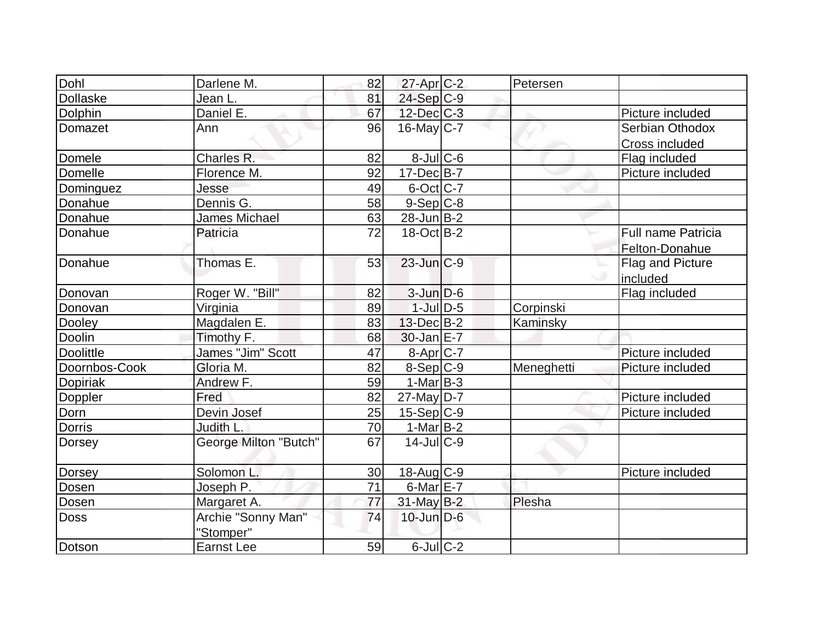| Dohl             | Darlene M.            | 82 | 27-Apr C-2                 | Petersen   |                           |
|------------------|-----------------------|----|----------------------------|------------|---------------------------|
| <b>Dollaske</b>  | Jean L.               | 81 | 24-Sep C-9                 |            |                           |
| Dolphin          | Daniel E.             | 67 | 12-Dec C-3                 |            | Picture included          |
| Domazet          | Ann                   | 96 | $16$ -May C-7              |            | Serbian Othodox           |
|                  |                       |    |                            |            | Cross included            |
| Domele           | Charles R.            | 82 | $8$ -Jul $C$ -6            |            | Flag included             |
| Domelle          | Florence M.           | 92 | $17 - Dec$ B-7             |            | Picture included          |
| Dominguez        | Jesse                 | 49 | $6$ -Oct $ C-7 $           |            |                           |
| Donahue          | Dennis G.             | 58 | $9-Sep$ $C-8$              |            |                           |
| Donahue          | <b>James Michael</b>  | 63 | $28$ -Jun $ B-2 $          |            |                           |
| Donahue          | Patricia              | 72 | $18-Oct$ B-2               |            | <b>Full name Patricia</b> |
|                  |                       |    |                            |            | Felton-Donahue            |
| Donahue          | Thomas E.             | 53 | $23$ -Jun $C-9$            |            | Flag and Picture          |
|                  |                       |    |                            |            | included                  |
| Donovan          | Roger W. "Bill"       | 82 | $3$ -Jun $D-6$             |            | Flag included             |
| Donovan          | Virginia              | 89 | $1$ -Jul $D-5$             | Corpinski  |                           |
| Dooley           | Magdalen E.           | 83 | $13$ -Dec $B - 2$          | Kaminsky   |                           |
| Doolin           | Timothy F.            | 68 | $30$ -Jan $E-7$            |            |                           |
| <b>Doolittle</b> | James "Jim" Scott     | 47 | 8-Apr C-7                  |            | Picture included          |
| Doornbos-Cook    | Gloria M.             | 82 | $8-Sep C-9$                | Meneghetti | Picture included          |
| <b>Dopiriak</b>  | Andrew F.             | 59 | $1-Mar$ B-3                |            |                           |
| Doppler          | Fred                  | 82 | $27$ -May D-7              |            | Picture included          |
| Dorn             | Devin Josef           | 25 | $15-Sep C-9$               |            | Picture included          |
| <b>Dorris</b>    | Judith L.             | 70 | $1-Mar$ B-2                |            |                           |
| Dorsey           | George Milton "Butch" | 67 | $14$ -JulC-9               |            |                           |
|                  | Solomon L.            | 30 | 18-Aug C-9                 |            | Picture included          |
| <b>Dorsey</b>    |                       |    |                            |            |                           |
| Dosen            | Joseph P.             | 71 | $6$ -Mar $E$ -7            |            |                           |
| <b>Dosen</b>     | Margaret A.           | 77 | $31$ -May B-2              | Plesha     |                           |
| Doss             | Archie "Sonny Man"    | 74 | $10$ -Jun $D-6$            |            |                           |
|                  | "Stomper"             |    |                            |            |                           |
| Dotson           | Earnst Lee            | 59 | $6$ -Jul $\overline{C}$ -2 |            |                           |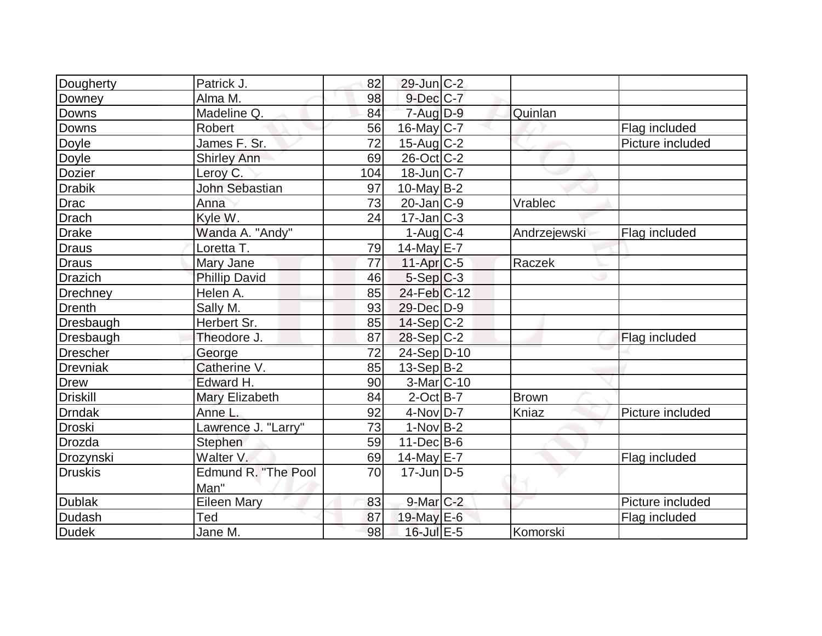| Dougherty       | Patrick J.           | 82  | $29$ -Jun $C-2$           |              |                  |
|-----------------|----------------------|-----|---------------------------|--------------|------------------|
| Downey          | Alma M.              | 98  | $9$ -Dec $C$ -7           |              |                  |
| Downs           | Madeline Q.          | 84  | $7$ -Aug $D-9$            | Quinlan      |                  |
| Downs           | Robert               | 56  | $16$ -May C-7             |              | Flag included    |
| Doyle           | James F. Sr.         | 72  | $15$ -Aug C-2             |              | Picture included |
| <b>Doyle</b>    | <b>Shirley Ann</b>   | 69  | $26$ -Oct C-2             |              |                  |
| <b>Dozier</b>   | Leroy C.             | 104 | $18$ -Jun $ C-7 $         |              |                  |
| Drabik          | John Sebastian       | 97  | $10$ -May B-2             |              |                  |
| Drac            | Anna                 | 73  | $20$ -Jan $ C-9 $         | Vrablec      |                  |
| Drach           | Kyle W.              | 24  | $17 - Jan$ <sub>C-3</sub> |              |                  |
| Drake           | Wanda A. "Andy"      |     | $1$ -Aug $C-4$            | Andrzejewski | Flag included    |
| Draus           | Loretta T.           | 79  | 14-May E-7                |              |                  |
| Draus           | Mary Jane            | 77  | $11-Apr$ $C-5$            | Raczek       |                  |
| Drazich         | <b>Phillip David</b> | 46  | $5-Sep C-3$               |              |                  |
| Drechney        | Helen A.             | 85  | $24$ -Feb $ C-12$         |              |                  |
| Drenth          | Sally M.             | 93  | 29-Dec D-9                |              |                  |
| Dresbaugh       | Herbert Sr.          | 85  | $14-Sep C-2$              |              |                  |
| Dresbaugh       | Theodore J.          | 87  | $28-Sep C-2$              |              | Flag included    |
| Drescher        | George               | 72  | $24-Sep D-10$             |              |                  |
| <b>Drevniak</b> | Catherine V.         | 85  | $13-Sep B-2$              |              |                  |
| Drew            | Edward H.            | 90  | 3-Mar C-10                |              |                  |
| <b>Driskill</b> | Mary Elizabeth       | 84  | $2$ -Oct B-7              | <b>Brown</b> |                  |
| <b>Drndak</b>   | Anne L.              | 92  | 4-Nov D-7                 | Kniaz        | Picture included |
| Droski          | Lawrence J. "Larry"  | 73  | $1-Nov$ B-2               |              |                  |
| Drozda          | Stephen              | 59  | $11 - Dec$ B-6            |              |                  |
| Drozynski       | Walter <sub>V.</sub> | 69  | $14$ -May E-7             |              | Flag included    |
| Druskis         | Edmund R. "The Pool  | 70  | $17$ -Jun $D-5$           |              |                  |
|                 | Man"                 |     |                           |              |                  |
| <b>Dublak</b>   | <b>Eileen Mary</b>   | 83  | $9$ -Mar $C-2$            |              | Picture included |
| Dudash          | Ted                  | 87  | 19-May $E-6$              |              | Flag included    |
| <b>Dudek</b>    | Jane M.              | 98  | $16$ -Jul $E - 5$         | Komorski     |                  |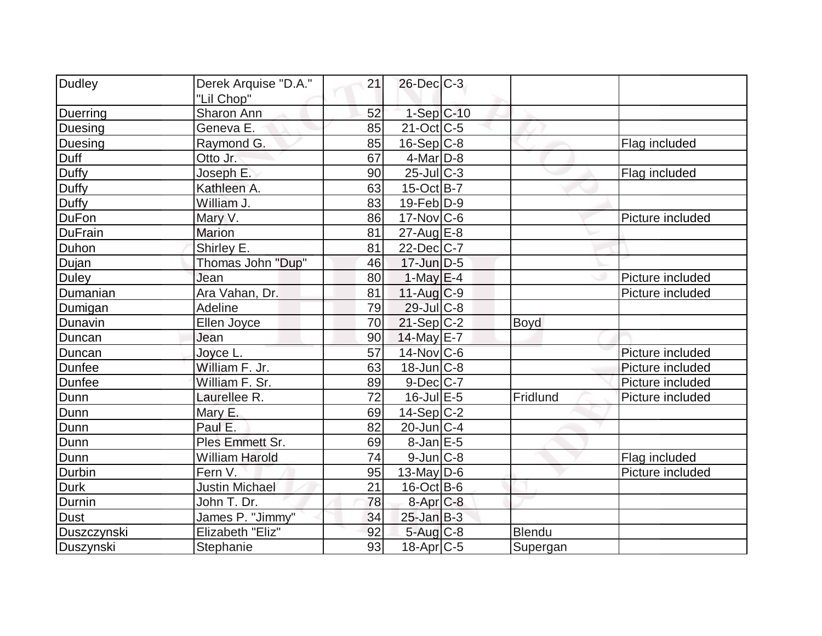| Dudley         | Derek Arquise "D.A."     | 21 | $26$ -Dec $C$ -3     |               |                  |
|----------------|--------------------------|----|----------------------|---------------|------------------|
|                | "Lil Chop"               |    |                      |               |                  |
| Duerring       | Sharon Ann               | 52 | $1-Sep$ C-10         |               |                  |
| <b>Duesing</b> | Geneva E.                | 85 | $21-Oct$ $C-5$       |               |                  |
| Duesing        | Raymond G.               | 85 | $16-Sep C-8$         |               | Flag included    |
| Duff           | Otto Jr.                 | 67 | $4$ -Mar $D-8$       |               |                  |
| Duffy          | Joseph E.                | 90 | $25$ -Jul $C-3$      |               | Flag included    |
| <b>Duffy</b>   | Kathleen A.              | 63 | $15$ -Oct B-7        |               |                  |
| Duffy          | William J.               | 83 | $19$ -Feb $ D-9$     |               |                  |
| <b>DuFon</b>   | Mary V.                  | 86 | $17$ -Nov $ C$ -6    |               | Picture included |
| <b>DuFrain</b> | <b>Marion</b>            | 81 | $27$ -Aug $E-8$      |               |                  |
| Duhon          | Shirley E.               | 81 | $22$ -Dec $C$ -7     |               |                  |
| Dujan          | <b>Thomas John "Dup"</b> | 46 | $17$ -Jun $D-5$      |               |                  |
| <b>Duley</b>   | Jean                     | 80 | $1-May$ $E-4$        |               | Picture included |
| Dumanian       | Ara Vahan, Dr.           | 81 | $11-Auq$ $C-9$       |               | Picture included |
| Dumigan        | Adeline                  | 79 | $29$ -Jul C-8        |               |                  |
| Dunavin        | Ellen Joyce              | 70 | $21-Sep C-2$         | Boyd          |                  |
| Duncan         | Jean                     | 90 | $14$ -May E-7        |               |                  |
| Duncan         | Joyce L.                 | 57 | 14-Nov C-6           |               | Picture included |
| <b>Dunfee</b>  | William F. Jr.           | 63 | $18$ -Jun $C-8$      |               | Picture included |
| <b>Dunfee</b>  | William F. Sr.           | 89 | $9$ -Dec $C$ -7      |               | Picture included |
| Dunn           | Laurellee R.             | 72 | 16-Jul E-5           | Fridlund      | Picture included |
| Dunn           | Mary E.                  | 69 | $14-Sep C-2$         |               |                  |
| Dunn           | Paul E.                  | 82 | $20$ -Jun $ C-4$     |               |                  |
| Dunn           | Ples Emmett Sr.          | 69 | $8$ -Jan $E$ -5      |               |                  |
| Dunn           | <b>William Harold</b>    | 74 | $9$ -Jun $ C$ -8     |               | Flag included    |
| Durbin         | Fern V.                  | 95 | $13$ -May D-6        |               | Picture included |
| <b>Durk</b>    | <b>Justin Michael</b>    | 21 | $16$ -Oct B-6        |               |                  |
| Durnin         | John T. Dr.              | 78 | 8-Apr <sub>C-8</sub> |               |                  |
| <b>Dust</b>    | James P. "Jimmy"         | 34 | $25$ -Jan B-3        |               |                  |
| Duszczynski    | Elizabeth "Eliz"         | 92 | $5-Aug$ $C-8$        | <b>Blendu</b> |                  |
| Duszynski      | Stephanie                | 93 | $18$ -Apr $ C$ -5    | Supergan      |                  |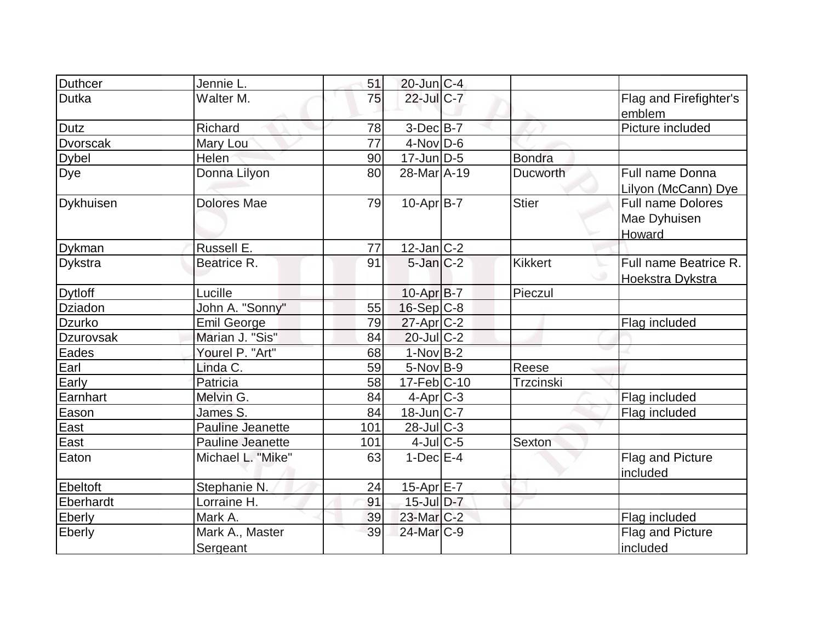| Duthcer          | Jennie L.               | 51  | $20$ -Jun $C-4$        |                |                          |
|------------------|-------------------------|-----|------------------------|----------------|--------------------------|
| <b>Dutka</b>     | Walter M.               | 75  | 22-Jul C-7             |                | Flag and Firefighter's   |
|                  |                         |     |                        |                | emblem                   |
| <b>Dutz</b>      | Richard                 | 78  | $3$ -Dec $B$ -7        |                | Picture included         |
| <b>Dvorscak</b>  | Mary Lou                | 77  | $4$ -Nov $D-6$         |                |                          |
| <b>Dybel</b>     | Helen                   | 90  | $17$ -Jun $D-5$        | <b>Bondra</b>  |                          |
| Dye              | Donna Lilyon            | 80  | 28-Mar A-19            | Ducworth       | Full name Donna          |
|                  |                         |     |                        |                | Lilyon (McCann) Dye      |
| <b>Dykhuisen</b> | <b>Dolores Mae</b>      | 79  | $10-Apr B-7$           | <b>Stier</b>   | <b>Full name Dolores</b> |
|                  |                         |     |                        |                | Mae Dyhuisen             |
|                  |                         |     |                        |                | Howard                   |
| <b>Dykman</b>    | Russell E.              | 77  | $12$ -Jan $ C-2 $      |                |                          |
| Dykstra          | Beatrice R.             | 91  | $5$ -Jan $C-2$         | <b>Kikkert</b> | Full name Beatrice R.    |
|                  |                         |     |                        |                | Hoekstra Dykstra         |
| <b>Dytloff</b>   | Lucille                 |     | $10$ -Apr $ B-7 $      | Pieczul        |                          |
| Dziadon          | John A. "Sonny"         | 55  | $16-Sep C-8$           |                |                          |
| <b>Dzurko</b>    | <b>Emil George</b>      | 79  | $27$ -Apr $C-2$        |                | Flag included            |
| <b>Dzurovsak</b> | Marian J. "Sis"         | 84  | $20$ -Jul C-2          |                |                          |
| Eades            | Yourel P. "Art"         | 68  | $1-Nov B-2$            |                |                          |
| Earl             | Linda C.                | 59  | $5-Nov B-9$            | Reese          |                          |
| Early            | Patricia                | 58  | $17-Feb$ C-10          | Trzcinski      |                          |
| Earnhart         | Melvin G.               | 84  | $4-Apr$ $C-3$          |                | Flag included            |
| Eason            | James S.                | 84  | $18$ -Jun $ C-7 $      |                | Flag included            |
| East             | <b>Pauline Jeanette</b> | 101 | $28$ -Jul C-3          |                |                          |
| East             | <b>Pauline Jeanette</b> | 101 | $4$ -Jul $C$ -5        | Sexton         |                          |
| Eaton            | Michael L. "Mike"       | 63  | $1-Dec$ $E-4$          |                | Flag and Picture         |
|                  |                         |     |                        |                | included                 |
| <b>Ebeltoft</b>  | Stephanie N.            | 24  | $15$ -Apr $E$ -7       |                |                          |
| Eberhardt        | Lorraine H.             | 91  | 15-Jul D-7             |                |                          |
| Eberly           | Mark A.                 | 39  | $23$ -Mar $C-2$        |                | Flag included            |
| Eberly           | Mark A., Master         | 39  | 24-Mar <sub>IC-9</sub> |                | Flag and Picture         |
|                  | Sergeant                |     |                        |                | included                 |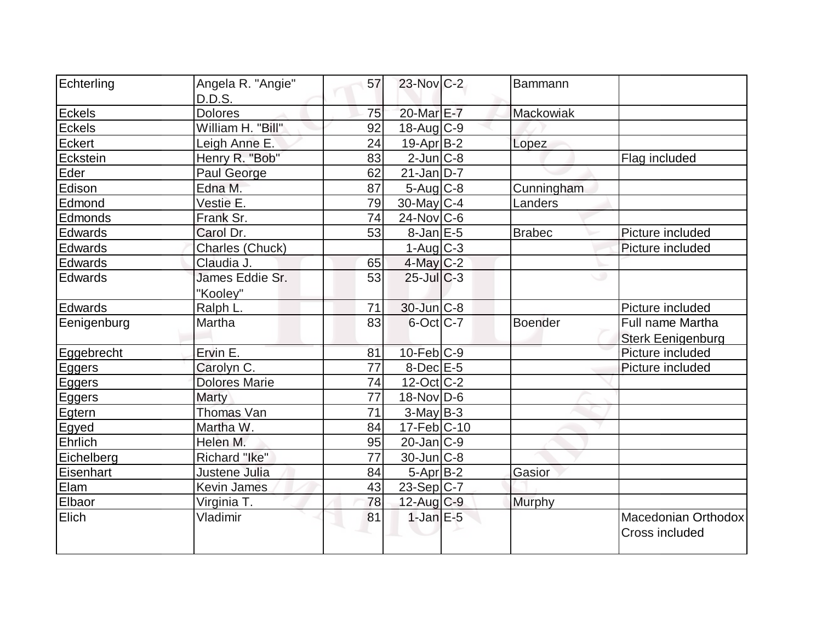| Echterling     | Angela R. "Angie"           | 57              | $23$ -Nov $ C-2 $           | <b>Bammann</b> |                                                     |
|----------------|-----------------------------|-----------------|-----------------------------|----------------|-----------------------------------------------------|
|                | D.D.S.                      |                 |                             |                |                                                     |
| <b>Eckels</b>  | <b>Dolores</b>              | 75              | 20-Mar E-7                  | Mackowiak      |                                                     |
| <b>Eckels</b>  | William H. "Bill"           | 92              | $18$ -Aug $C-9$             |                |                                                     |
| Eckert         | Leigh Anne E.               | 24              | 19-Apr B-2                  | Lopez          |                                                     |
| Eckstein       | Henry R. "Bob"              | 83              | $2$ -Jun $ C-8 $            |                | Flag included                                       |
| Eder           | Paul George                 | 62              | $21$ -Jan $D-7$             |                |                                                     |
| Edison         | Edna M.                     | 87              | $5 - Aug$ <sub>c</sub> $-8$ | Cunningham     |                                                     |
| Edmond         | Vestie E.                   | 79              | $30$ -May C-4               | Landers        |                                                     |
| Edmonds        | Frank Sr.                   | 74              | $24$ -Nov $C$ -6            |                |                                                     |
| <b>Edwards</b> | Carol Dr.                   | 53              | $8$ -Jan $E$ -5             | <b>Brabec</b>  | Picture included                                    |
| Edwards        | Charles (Chuck)             |                 | $1-Auq$ $C-3$               |                | Picture included                                    |
| Edwards        | Claudia J.                  | 65              | $4$ -May C-2                |                |                                                     |
| Edwards        | James Eddie Sr.<br>"Kooley" | 53              | $25$ -JulC-3                |                |                                                     |
| Edwards        | Ralph L.                    | 71              | 30-Jun C-8                  |                | Picture included                                    |
| Eenigenburg    | Martha                      | 83              | $6$ -Oct $C$ -7             | <b>Boender</b> | <b>Full name Martha</b><br><b>Sterk Eenigenburg</b> |
| Eggebrecht     | Ervin E.                    | 81              | $10$ -Feb $ C-9 $           |                | Picture included                                    |
| Eggers         | Carolyn C.                  | $\overline{77}$ | $8$ -Dec $E$ -5             |                | Picture included                                    |
| Eggers         | <b>Dolores Marie</b>        | 74              | $12$ -Oct $ C-2 $           |                |                                                     |
| Eggers         | <b>Marty</b>                | 77              | $18-Nov D-6$                |                |                                                     |
| Egtern         | Thomas Van                  | 71              | $3-May B-3$                 |                |                                                     |
| Egyed          | Martha W.                   | 84              | $17 - \text{Feb}$ $C - 10$  |                |                                                     |
| Ehrlich        | Helen M.                    | 95              | $20$ -Jan $ C-9 $           |                |                                                     |
| Eichelberg     | Richard "Ike"               | 77              | $30$ -Jun $ C-8$            |                |                                                     |
| Eisenhart      | Justene Julia               | 84              | $5 - Apr$ B-2               | Gasior         |                                                     |
| Elam           | Kevin James                 | 43              | $23-Sep C-7$                |                |                                                     |
| Elbaor         | Virginia T.                 | 78              | $12$ -Aug $C-9$             | Murphy         |                                                     |
| Elich          | Vladimir                    | 81              | $1-Jan$ $E-5$               |                | <b>Macedonian Orthodox</b><br>Cross included        |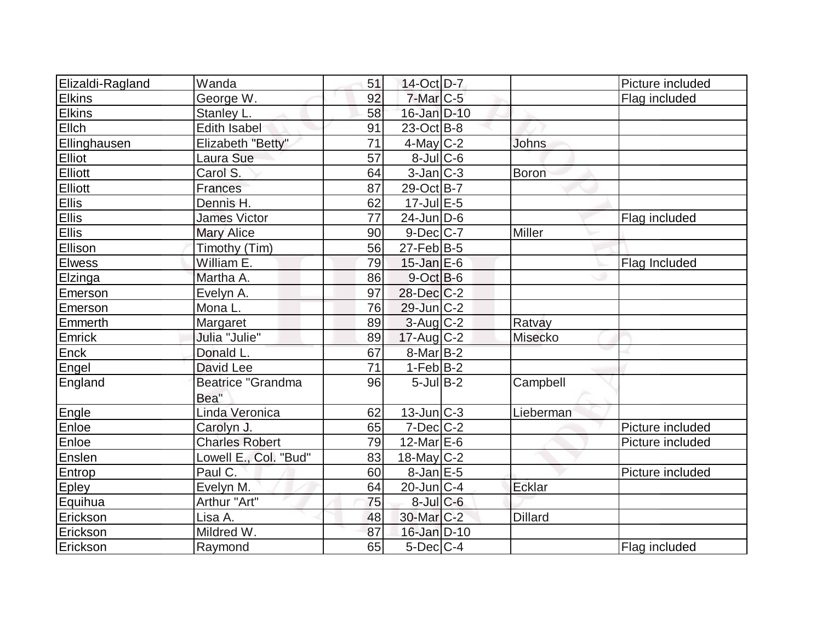| Elizaldi-Ragland | Wanda                     | 51              | 14-Oct D-7            |                | Picture included |
|------------------|---------------------------|-----------------|-----------------------|----------------|------------------|
| <b>Elkins</b>    | George W.                 | 92              | $7$ -Mar $C$ -5       |                | Flag included    |
| <b>Elkins</b>    | Stanley L.                | 58              | 16-Jan D-10           |                |                  |
| Ellch            | <b>Edith Isabel</b>       | 91              | $23$ -Oct B-8         |                |                  |
| Ellinghausen     | Elizabeth "Betty"         | 71              | $4$ -May C-2          | <b>Johns</b>   |                  |
| Elliot           | Laura Sue                 | 57              | $8$ -Jul $ C$ -6      |                |                  |
| Elliott          | Carol S.                  | 64              | $3$ -Jan $ C-3 $      | <b>Boron</b>   |                  |
| Elliott          | Frances                   | 87              | 29-Oct B-7            |                |                  |
| <b>Ellis</b>     | Dennis H.                 | 62              | $17$ -Jul $E-5$       |                |                  |
| <b>Ellis</b>     | <b>James Victor</b>       | 77              | $24$ -Jun $ D-6$      |                | Flag included    |
| <b>Ellis</b>     | <b>Mary Alice</b>         | 90              | $9-Dec$ $C-7$         | Miller         |                  |
| Ellison          | Timothy (Tim)             | 56              | $27$ -Feb $ B-5 $     |                |                  |
| <b>Elwess</b>    | William E.                | 79              | $15$ -Jan $E$ -6      |                | Flag Included    |
| Elzinga          | Martha A.                 | 86              | $9-Oct$ B-6           |                |                  |
| Emerson          | Evelyn A.                 | 97              | $28$ -Dec $C-2$       |                |                  |
| Emerson          | Mona L.                   | 76              | $29$ -Jun $ C-2 $     |                |                  |
| Emmerth          | Margaret                  | 89              | $3$ -Aug $C-2$        | Ratvay         |                  |
| Emrick           | Julia "Julie"             | 89              | $17$ -Aug C-2         | Misecko        |                  |
| <b>Enck</b>      | Donald L.                 | 67              | 8-Mar B-2             |                |                  |
| Engel            | David Lee                 | $\overline{71}$ | $1-Feb B-2$           |                |                  |
| England          | Beatrice "Grandma<br>Bea" | 96              | $5$ -JulB-2           | Campbell       |                  |
| Engle            | Linda Veronica            | 62              | $13$ -Jun $ C-3 $     | Lieberman      |                  |
| Enloe            | Carolyn J.                | 65              | $7$ -Dec $C-2$        |                | Picture included |
| Enloe            | <b>Charles Robert</b>     | 79              | $12$ -Mar $E$ -6      |                | Picture included |
| Enslen           | Lowell E., Col. "Bud"     | 83              | $18$ -May C-2         |                |                  |
| Entrop           | Paul C.                   | 60              | $8$ -Jan $E$ -5       |                | Picture included |
| <b>Epley</b>     | Evelyn M.                 | 64              | $20$ -Jun $ C-4$      | Ecklar         |                  |
| Equihua          | Arthur "Art"              | 75              | $8$ -Jul $C$ -6       |                |                  |
| Erickson         | Lisa A.                   | 48              | 30-Mar <sub>C-2</sub> | <b>Dillard</b> |                  |
| Erickson         | Mildred W.                | 87              | 16-Jan D-10           |                |                  |
| Erickson         | Raymond                   | 65              | $5$ -Dec $C$ -4       |                | Flag included    |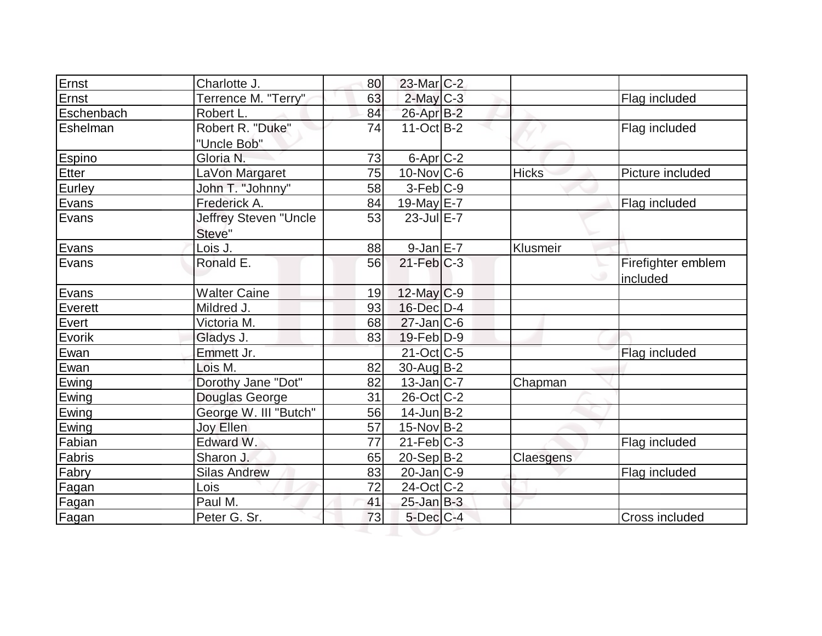| Ernst      | Charlotte J.          | 80 | $23$ -Mar $C-2$   |              |                    |
|------------|-----------------------|----|-------------------|--------------|--------------------|
| Ernst      | Terrence M. "Terry"   | 63 | $2$ -May $C-3$    |              | Flag included      |
| Eschenbach | Robert L.             | 84 | 26-Apr B-2        |              |                    |
| Eshelman   | Robert R. "Duke"      | 74 | $11-Oct$ B-2      |              | Flag included      |
|            | "Uncle Bob"           |    |                   |              |                    |
| Espino     | Gloria N.             | 73 | $6$ -Apr $C$ -2   |              |                    |
| Etter      | LaVon Margaret        | 75 | $10$ -Nov $ C$ -6 | <b>Hicks</b> | Picture included   |
| Eurley     | John T. "Johnny"      | 58 | $3-Feb C-9$       |              |                    |
| Evans      | Frederick A.          | 84 | 19-May E-7        |              | Flag included      |
| Evans      | Jeffrey Steven "Uncle | 53 | $23$ -Jul $E-7$   |              |                    |
|            | Steve"                |    |                   |              |                    |
| Evans      | Lois J.               | 88 | $9$ -Jan $E$ -7   | Klusmeir     |                    |
| Evans      | Ronald E.             | 56 | $21$ -Feb $ C-3 $ |              | Firefighter emblem |
|            |                       |    |                   |              | included           |
| Evans      | <b>Walter Caine</b>   | 19 | $12$ -May $C-9$   |              |                    |
| Everett    | Mildred J.            | 93 | 16-Dec D-4        |              |                    |
| Evert      | Victoria M.           | 68 | $27$ -Jan $ C-6 $ |              |                    |
| Evorik     | Gladys J.             | 83 | $19$ -Feb $ D-9$  |              |                    |
| Ewan       | Emmett Jr.            |    | $21$ -Oct C-5     |              | Flag included      |
| Ewan       | Lois M.               | 82 | $30$ -AugB-2      |              |                    |
| Ewing      | Dorothy Jane "Dot"    | 82 | $13$ -Jan $C-7$   | Chapman      |                    |
| Ewing      | Douglas George        | 31 | $26$ -Oct C-2     |              |                    |
| Ewing      | George W. III "Butch" | 56 | $14$ -Jun $B-2$   |              |                    |
| Ewing      | Joy Ellen             | 57 | $15$ -Nov B-2     |              |                    |
| Fabian     | Edward W.             | 77 | $21$ -Feb $ C-3 $ |              | Flag included      |
| Fabris     | Sharon J.             | 65 | $20-Sep B-2$      | Claesgens    |                    |
| Fabry      | Silas Andrew          | 83 | $20$ -Jan $ C-9 $ |              | Flag included      |
| Fagan      | Lois                  | 72 | $24$ -Oct C-2     |              |                    |
| Fagan      | Paul M.               | 41 | $25$ -Jan B-3     |              |                    |
| Fagan      | Peter G. Sr.          | 73 | $5$ -Dec $C$ -4   |              | Cross included     |
|            |                       |    |                   |              |                    |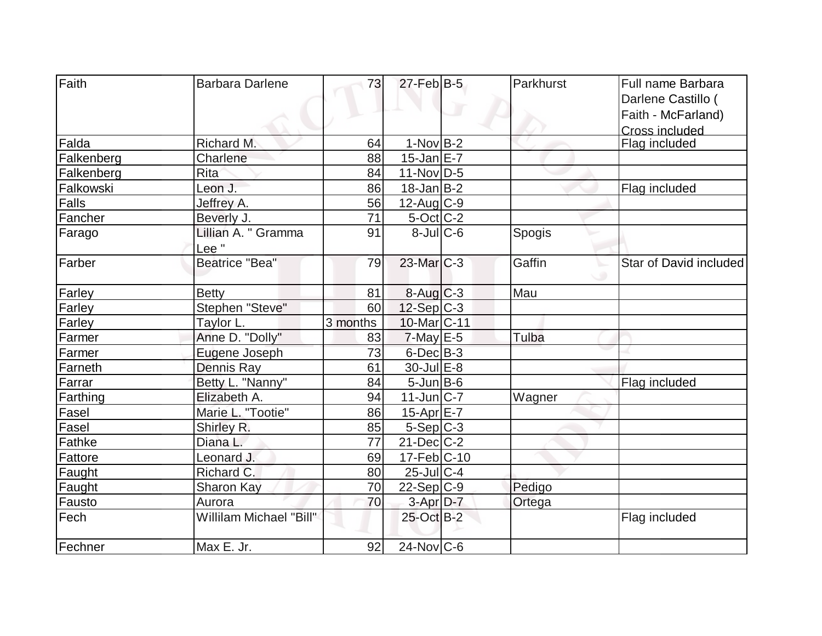| Faith      | <b>Barbara Darlene</b>  | 73       | $27$ -Feb $ B-5 $        | Parkhurst | Full name Barbara      |
|------------|-------------------------|----------|--------------------------|-----------|------------------------|
|            |                         |          |                          |           | Darlene Castillo (     |
|            |                         |          |                          |           | Faith - McFarland)     |
|            |                         |          |                          |           | <b>Cross included</b>  |
| Falda      | Richard M.              | 64       | $1-NovB-2$               |           | Flag included          |
| Falkenberg | Charlene                | 88       | $15$ -Jan $E-7$          |           |                        |
| Falkenberg | <b>Rita</b>             | 84       | 11-Nov D-5               |           |                        |
| Falkowski  | Leon J.                 | 86       | $18$ -Jan $B-2$          |           | Flag included          |
| Falls      | Jeffrey A.              | 56       | $12$ -Aug C-9            |           |                        |
| Fancher    | Beverly J.              | 71       | $5$ -Oct $ C$ -2         |           |                        |
| Farago     | Lillian A. " Gramma     | 91       | $8$ -JulC-6              | Spogis    |                        |
|            | Lee "                   |          |                          |           |                        |
| Farber     | <b>Beatrice "Bea"</b>   | 79       | $23$ -Mar $C-3$          | Gaffin    | Star of David included |
|            |                         |          |                          |           |                        |
| Farley     | <b>Betty</b>            | 81       | $8-Aug$ $C-3$            | Mau       |                        |
| Farley     | Stephen "Steve"         | 60       | $12-Sep$ C-3             |           |                        |
| Farley     | Taylor L.               | 3 months | 10-Mar <sub>IC</sub> -11 |           |                        |
| Farmer     | Anne D. "Dolly"         | 83       | $7$ -May $E-5$           | Tulba     |                        |
| Farmer     | Eugene Joseph           | 73       | 6-Dec B-3                |           |                        |
| Farneth    | Dennis Ray              | 61       | $30 -$ Jul $E - 8$       |           |                        |
| Farrar     | Betty L. "Nanny"        | 84       | $5$ -Jun $B$ -6          |           | Flag included          |
| Farthing   | Elizabeth A.            | 94       | $11$ -Jun $ C-7$         | Wagner    |                        |
| Fasel      | Marie L. "Tootie"       | 86       | 15-Apr $E-7$             |           |                        |
| Fasel      | Shirley R.              | 85       | $5-Sep C-3$              |           |                        |
| Fathke     | Diana L.                | 77       | $21$ -Dec $ C-2 $        |           |                        |
| Fattore    | Leonard J.              | 69       | 17-Feb C-10              |           |                        |
| Faught     | Richard C.              | 80       | $25$ -Jul C-4            |           |                        |
| Faught     | Sharon Kay              | 70       | $22-Sep C-9$             | Pedigo    |                        |
| Fausto     | Aurora                  | 70       | 3-Apr D-7                | Ortega    |                        |
| Fech       | Willilam Michael "Bill" |          | 25-Oct B-2               |           | Flag included          |
| Fechner    | Max E. Jr.              | 92       | $24$ -Nov $ C$ -6        |           |                        |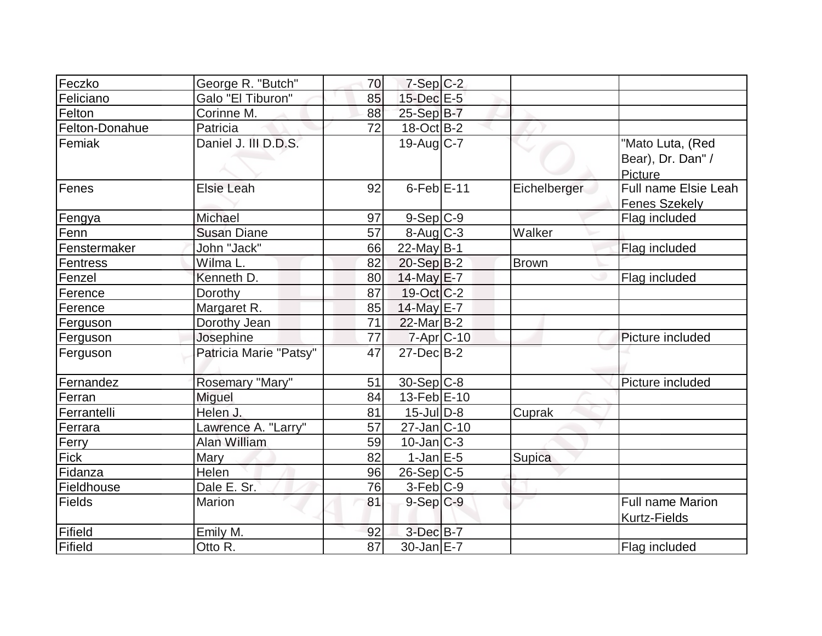| Feczko         | George R. "Butch"      | 70 | $7-Sep$ $C-2$                    |              |                                                |
|----------------|------------------------|----|----------------------------------|--------------|------------------------------------------------|
| Feliciano      | Galo "El Tiburon"      | 85 | 15-Dec E-5                       |              |                                                |
| Felton         | Corinne M.             | 88 | 25-Sep B-7                       |              |                                                |
| Felton-Donahue | Patricia               | 72 | 18-Oct B-2                       |              |                                                |
| Femiak         | Daniel J. III D.D.S.   |    | $19$ -Aug $ C-7 $                |              | "Mato Luta, (Red                               |
|                |                        |    |                                  |              | Bear), Dr. Dan" /                              |
|                |                        |    |                                  |              | Picture                                        |
| Fenes          | <b>Elsie Leah</b>      | 92 | $6$ -Feb $E-11$                  | Eichelberger | Full name Elsie Leah                           |
|                |                        |    |                                  |              | Fenes Szekely                                  |
| Fengya         | Michael                | 97 | $9-Sep C-9$                      |              | Flag included                                  |
| Fenn           | <b>Susan Diane</b>     | 57 | $8 - \text{Aug}$ <sub>C</sub> -3 | Walker       |                                                |
| Fenstermaker   | John "Jack"            | 66 | $22$ -May B-1                    |              | Flag included                                  |
| Fentress       | Wilma L.               | 82 | $20-Sep B-2$                     | <b>Brown</b> |                                                |
| Fenzel         | Kenneth D.             | 80 | 14-May E-7                       |              | Flag included                                  |
| Ference        | Dorothy                | 87 | $19-Oct$ $C-2$                   |              |                                                |
| Ference        | Margaret R.            | 85 | 14-May E-7                       |              |                                                |
| Ferguson       | Dorothy Jean           | 71 | $22$ -Mar $B-2$                  |              |                                                |
| Ferguson       | Josephine              | 77 | $7 - Apr$ $C - 10$               |              | Picture included                               |
| Ferguson       | Patricia Marie "Patsy" | 47 | $27$ -Dec $B-2$                  |              |                                                |
| Fernandez      | Rosemary "Mary"        | 51 | $30-Sep C-8$                     |              | Picture included                               |
| Ferran         | Miguel                 | 84 | $13$ -Feb $E-10$                 |              |                                                |
| Ferrantelli    | Helen J.               | 81 | $15$ -JulD-8                     | Cuprak       |                                                |
| Ferrara        | Lawrence A. "Larry"    | 57 | $27$ -Jan $ C-10$                |              |                                                |
| Ferry          | Alan William           | 59 | $10$ -Jan $ C-3 $                |              |                                                |
| Fick           | <b>Mary</b>            | 82 | $1$ -Jan $E-5$                   | Supica       |                                                |
| Fidanza        | Helen                  | 96 | $26-Sep C-5$                     |              |                                                |
| Fieldhouse     | Dale E. Sr.            | 76 | $3-Feb C-9$                      |              |                                                |
| Fields         | Marion                 | 81 | $9-Sep C-9$                      |              | <b>Full name Marion</b><br><b>Kurtz-Fields</b> |
| Fifield        | Emily M.               | 92 | $3$ -Dec $B - 7$                 |              |                                                |
| Fifield        | Otto R.                | 87 | $30$ -Jan $E-7$                  |              | Flag included                                  |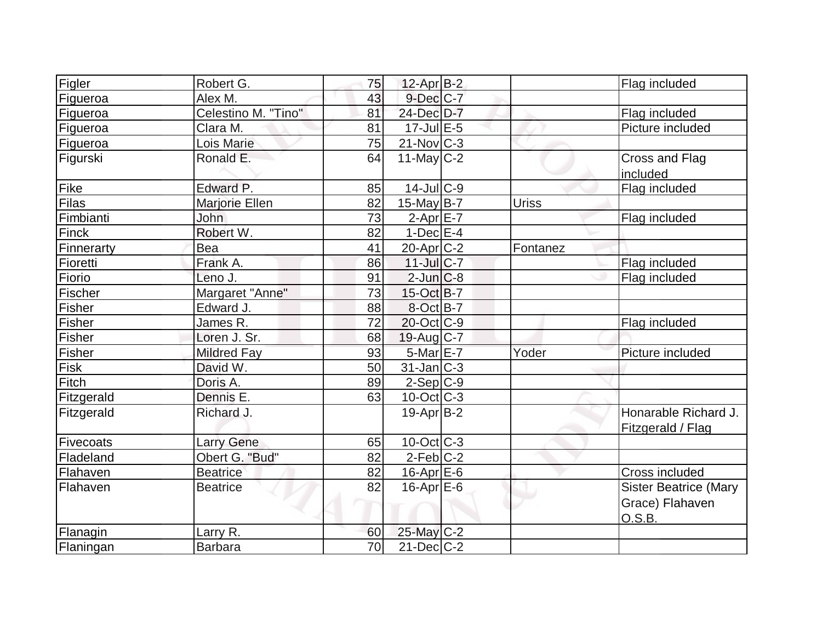| Figler     | Robert G.           | 75 | $12$ -Apr $B-2$       |              | Flag included                                             |
|------------|---------------------|----|-----------------------|--------------|-----------------------------------------------------------|
| Figueroa   | Alex M.             | 43 | $9$ -Dec $C$ -7       |              |                                                           |
| Figueroa   | Celestino M. "Tino" | 81 | 24-Dec D-7            |              | Flag included                                             |
| Figueroa   | Clara M.            | 81 | $17$ -Jul $E-5$       |              | Picture included                                          |
| Figueroa   | Lois Marie          | 75 | $21-Nov$ C-3          |              |                                                           |
| Figurski   | Ronald E.           | 64 | $11$ -May C-2         |              | Cross and Flag<br>included                                |
| Fike       | Edward P.           | 85 | $14$ -Jul $ C-9 $     |              | Flag included                                             |
| Filas      | Marjorie Ellen      | 82 | $15$ -May B-7         | <b>Uriss</b> |                                                           |
| Fimbianti  | <b>John</b>         | 73 | $2-Apr$ $E-7$         |              | Flag included                                             |
| Finck      | Robert W.           | 82 | $1-Dec$ $E-4$         |              |                                                           |
| Finnerarty | Bea                 | 41 | 20-Apr <sub>C-2</sub> | Fontanez     |                                                           |
| Fioretti   | Frank A.            | 86 | $11$ -Jul $C-7$       |              | Flag included                                             |
| Fiorio     | Leno J.             | 91 | $2$ -Jun $C-8$        |              | Flag included                                             |
| Fischer    | Margaret "Anne"     | 73 | $15$ -Oct B-7         |              |                                                           |
| Fisher     | Edward J.           | 88 | 8-Oct B-7             |              |                                                           |
| Fisher     | James R.            | 72 | $20$ -Oct $ C-9 $     |              | Flag included                                             |
| Fisher     | Loren J. Sr.        | 68 | 19-Aug C-7            |              |                                                           |
| Fisher     | <b>Mildred Fay</b>  | 93 | $5-MarE-7$            | Yoder        | Picture included                                          |
| Fisk       | David W.            | 50 | $31$ -Jan $ C-3 $     |              |                                                           |
| Fitch      | Doris A.            | 89 | $2-Sep C-9$           |              |                                                           |
| Fitzgerald | Dennis E.           | 63 | $10$ -Oct $C$ -3      |              |                                                           |
| Fitzgerald | Richard J.          |    | $19$ -Apr $ B-2 $     |              | Honarable Richard J.<br>Fitzgerald / Flag                 |
| Fivecoats  | <b>Larry Gene</b>   | 65 | $10$ -Oct $ C-3 $     |              |                                                           |
| Fladeland  | Obert G. "Bud"      | 82 | $2$ -Feb $C-2$        |              |                                                           |
| Flahaven   | <b>Beatrice</b>     | 82 | $16$ -Apr $E$ -6      |              | Cross included                                            |
| Flahaven   | <b>Beatrice</b>     | 82 | $16$ -Apr $E$ -6      |              | <b>Sister Beatrice (Mary</b><br>Grace) Flahaven<br>O.S.B. |
| Flanagin   | Larry R.            | 60 | 25-May C-2            |              |                                                           |
| Flaningan  | <b>Barbara</b>      | 70 | $21$ -Dec $C$ -2      |              |                                                           |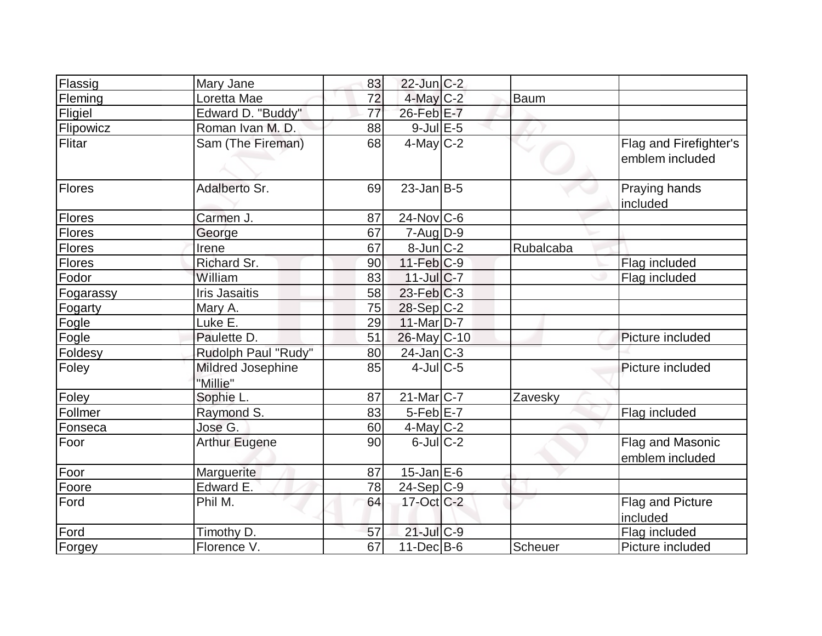| Flassig       | Mary Jane                     | 83 | $22$ -Jun $C-2$         |           |                                           |
|---------------|-------------------------------|----|-------------------------|-----------|-------------------------------------------|
| Fleming       | Loretta Mae                   | 72 | 4-May C-2               | Baum      |                                           |
| Fligiel       | Edward D. "Buddy"             | 77 | 26-Feb E-7              |           |                                           |
| Flipowicz     | Roman Ivan M.D.               | 88 | $9$ -Jul $E$ -5         |           |                                           |
| Flitar        | Sam (The Fireman)             | 68 | $4$ -May C-2            |           | Flag and Firefighter's<br>emblem included |
| Flores        | Adalberto Sr.                 | 69 | $23$ -Jan $ B-5 $       |           | Praying hands<br>included                 |
| <b>Flores</b> | Carmen J.                     | 87 | $24$ -Nov $ C-6 $       |           |                                           |
| Flores        | George                        | 67 | $7 - Aug   D-9$         |           |                                           |
| <b>Flores</b> | Irene                         | 67 | $8$ -Jun $C-2$          | Rubalcaba |                                           |
| Flores        | Richard Sr.                   | 90 | $11-Feb$ <sub>C-9</sub> |           | Flag included                             |
| Fodor         | William                       | 83 | $11$ -JulC-7            |           | Flag included                             |
| Fogarassy     | <b>Iris Jasaitis</b>          | 58 | $23$ -Feb $ C-3 $       |           |                                           |
| Fogarty       | Mary A.                       | 75 | 28-Sep C-2              |           |                                           |
| Fogle         | Luke E.                       | 29 | $11$ -Mar $D-7$         |           |                                           |
| Fogle         | Paulette D.                   | 51 | 26-May C-10             |           | Picture included                          |
| Foldesy       | Rudolph Paul "Rudy"           | 80 | $24$ -Jan $ C-3 $       |           |                                           |
| Foley         | Mildred Josephine<br>"Millie" | 85 | $4$ -JulC-5             |           | Picture included                          |
| Foley         | Sophie L.                     | 87 | $21$ -Mar $ C-7 $       | Zavesky   |                                           |
| Follmer       | Raymond S.                    | 83 | $5-Feb$ $E-7$           |           | Flag included                             |
| Fonseca       | Jose G.                       | 60 | $4$ -May $C-2$          |           |                                           |
| Foor          | <b>Arthur Eugene</b>          | 90 | $6$ -Jul $C$ -2         |           | Flag and Masonic<br>emblem included       |
| Foor          | Marguerite                    | 87 | $15$ -Jan E-6           |           |                                           |
| Foore         | Edward E.                     | 78 | 24-Sep C-9              |           |                                           |
| Ford          | Phil M.                       | 64 | $17$ -Oct C-2           |           | Flag and Picture<br>included              |
| Ford          | Timothy D.                    | 57 | $21$ -Jul C-9           |           | Flag included                             |
| Forgey        | Florence V.                   | 67 | $11$ -Dec $ B-6 $       | Scheuer   | Picture included                          |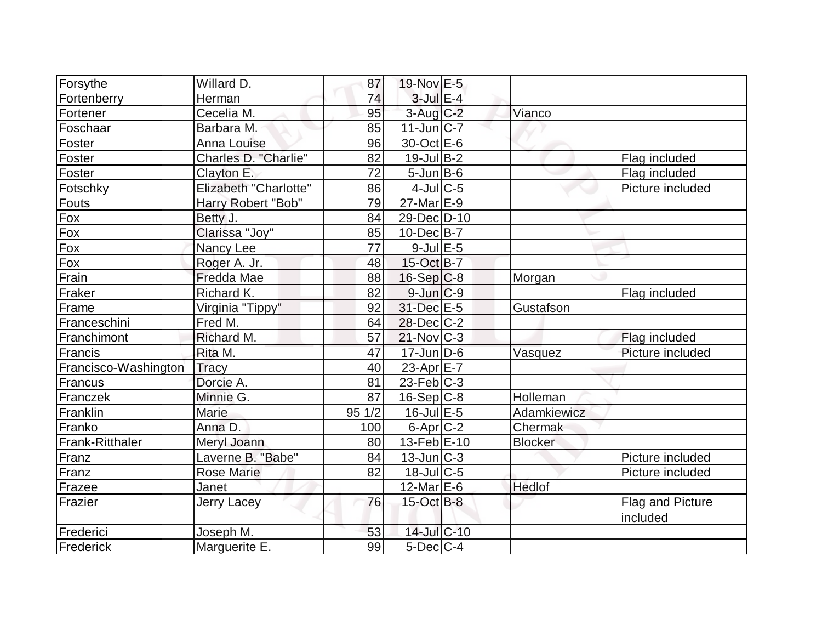| Forsythe               | Willard D.            | 87    | 19-Nov E-5            |                |                  |
|------------------------|-----------------------|-------|-----------------------|----------------|------------------|
| Fortenberry            | Herman                | 74    | $3$ -Jul $E-4$        |                |                  |
| Fortener               | Cecelia M.            | 95    | $3$ -Aug $C-2$        | Vianco         |                  |
| Foschaar               | Barbara M.            | 85    | $11$ -Jun $ C-7 $     |                |                  |
| Foster                 | <b>Anna Louise</b>    | 96    | 30-Oct E-6            |                |                  |
| Foster                 | Charles D. "Charlie"  | 82    | $19$ -Jul B-2         |                | Flag included    |
| Foster                 | Clayton E.            | 72    | $5$ -Jun $B$ -6       |                | Flag included    |
| Fotschky               | Elizabeth "Charlotte" | 86    | $4$ -Jul $C$ -5       |                | Picture included |
| Fouts                  | Harry Robert "Bob"    | 79    | 27-Mar <sub>E-9</sub> |                |                  |
| Fox                    | Betty J.              | 84    | 29-Dec D-10           |                |                  |
| Fox                    | Clarissa "Joy"        | 85    | $10$ -Dec $B$ -7      |                |                  |
| Fox                    | Nancy Lee             | 77    | $9$ -Jul $E$ -5       |                |                  |
| Fox                    | Roger A. Jr.          | 48    | 15-Oct B-7            |                |                  |
| Frain                  | Fredda Mae            | 88    | $16-Sep C-8$          | Morgan         |                  |
| Fraker                 | Richard K.            | 82    | $9$ -Jun $C-9$        |                | Flag included    |
| Frame                  | Virginia "Tippy"      | 92    | 31-Dec E-5            | Gustafson      |                  |
| Franceschini           | Fred M.               | 64    | $28$ -Dec $C-2$       |                |                  |
| Franchimont            | Richard M.            | 57    | $21$ -Nov $ C-3 $     |                | Flag included    |
| Francis                | Rita M.               | 47    | $17$ -Jun $D-6$       | Vasquez        | Picture included |
| Francisco-Washington   | <b>Tracy</b>          | 40    | 23-Apr $E-7$          |                |                  |
| Francus                | Dorcie A.             | 81    | $23$ -Feb $ C-3 $     |                |                  |
| Franczek               | Minnie G.             | 87    | $16-Sep C-8$          | Holleman       |                  |
| Franklin               | <b>Marie</b>          | 951/2 | 16-Jul E-5            | Adamkiewicz    |                  |
| Franko                 | Anna D.               | 100   | $6$ -Apr $C$ -2       | Chermak        |                  |
| <b>Frank-Ritthaler</b> | Meryl Joann           | 80    | $13$ -Feb $E-10$      | <b>Blocker</b> |                  |
| Franz                  | Laverne B. "Babe"     | 84    | $13$ -Jun $C-3$       |                | Picture included |
| Franz                  | <b>Rose Marie</b>     | 82    | $18$ -JulC-5          |                | Picture included |
| Frazee                 | Janet                 |       | $12$ -Mar $E$ -6      | Hedlof         |                  |
| Frazier                | Jerry Lacey           | 76    | $15$ -Oct B-8         |                | Flag and Picture |
|                        |                       |       |                       |                | included         |
| Frederici              | Joseph M.             | 53    | 14-Jul C-10           |                |                  |
| Frederick              | Marguerite E.         | 99    | $5$ -Dec $C$ -4       |                |                  |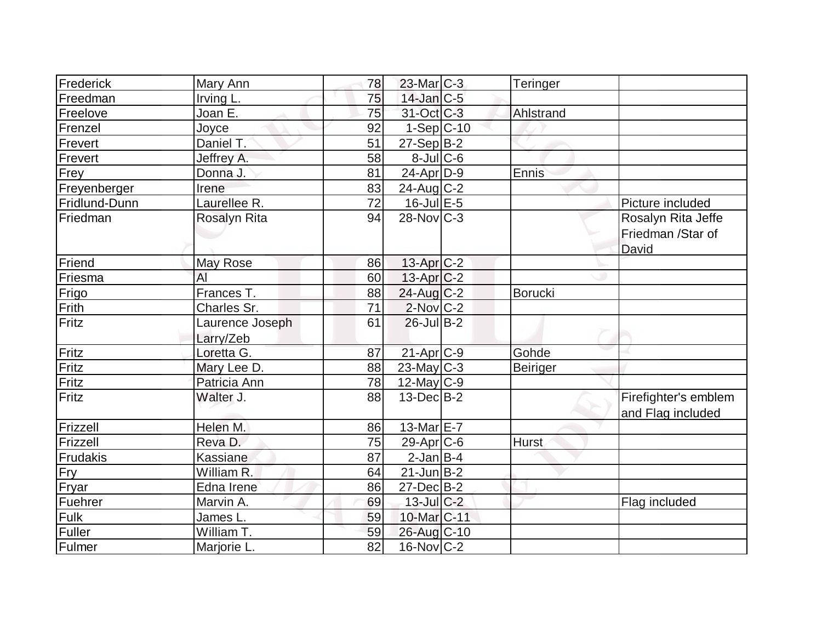| Frederick     | Mary Ann              | 78 | 23-Mar C-3              | Teringer     |                      |
|---------------|-----------------------|----|-------------------------|--------------|----------------------|
| Freedman      | Irving L.             | 75 | $14$ -Jan $C-5$         |              |                      |
| Freelove      | Joan E.               | 75 | 31-Oct C-3              | Ahlstrand    |                      |
| Frenzel       | Joyce                 | 92 | $1-Sep$ C-10            |              |                      |
| Frevert       | Daniel T.             | 51 | $27-Sep B-2$            |              |                      |
| Frevert       | Jeffrey A.            | 58 | $8$ -Jul $C$ -6         |              |                      |
| Frey          | Donna J.              | 81 | $24$ -Apr $ D-9 $       | Ennis        |                      |
| Freyenberger  | Irene                 | 83 | $24$ -Aug C-2           |              |                      |
| Fridlund-Dunn | Laurellee R.          | 72 | $16$ -Jul $E$ -5        |              | Picture included     |
| Friedman      | <b>Rosalyn Rita</b>   | 94 | $28$ -Nov $ C-3 $       |              | Rosalyn Rita Jeffe   |
|               |                       |    |                         |              | Friedman /Star of    |
|               |                       |    |                         |              | David                |
| Friend        | May Rose              | 86 | $13$ -Apr $C-2$         |              |                      |
| Friesma       | AI                    | 60 | $13$ -Apr $ C-2 $       |              |                      |
| Frigo         | Frances <sub>T.</sub> | 88 | $24$ -Aug $C-2$         | Borucki      |                      |
| Frith         | Charles Sr.           | 71 | $2$ -Nov $C-2$          |              |                      |
| Fritz         | Laurence Joseph       | 61 | $26$ -Jul B-2           |              |                      |
|               | Larry/Zeb             |    |                         |              |                      |
| Fritz         | Loretta G.            | 87 | $21-Apr$ <sub>C-9</sub> | Gohde        |                      |
| Fritz         | Mary Lee D.           | 88 | $23$ -May C-3           | Beiriger     |                      |
| Fritz         | Patricia Ann          | 78 | $12$ -May C-9           |              |                      |
| Fritz         | Walter J.             | 88 | $13$ -Dec $B-2$         |              | Firefighter's emblem |
|               |                       |    |                         |              | and Flag included    |
| Frizzell      | Helen M.              | 86 | 13-Mar $E-7$            |              |                      |
| Frizzell      | Reva D.               | 75 | $29$ -Apr $ C$ -6       | <b>Hurst</b> |                      |
| Frudakis      | Kassiane              | 87 | $2$ -Jan B-4            |              |                      |
| Fry           | William <sub>R.</sub> | 64 | $21$ -Jun $B-2$         |              |                      |
| Fryar         | Edna Irene            | 86 | $27$ -Dec $B$ -2        |              |                      |
| Fuehrer       | Marvin A.             | 69 | $13$ -Jul C-2           |              | Flag included        |
| Fulk          | James L.              | 59 | 10-Mar C-11             |              |                      |
| Fuller        | William T.            | 59 | 26-Aug C-10             |              |                      |
| Fulmer        | Marjorie L.           | 82 | $16$ -Nov $ C-2 $       |              |                      |
|               |                       |    |                         |              |                      |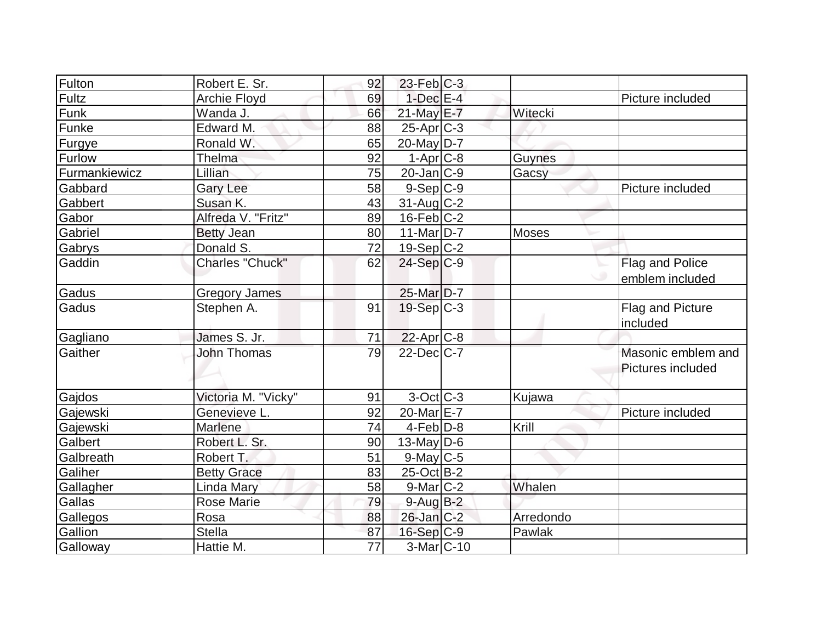| Fulton        | Robert E. Sr.          | 92              | $23$ -Feb $ C-3 $       |               |                    |
|---------------|------------------------|-----------------|-------------------------|---------------|--------------------|
| <b>Fultz</b>  | <b>Archie Floyd</b>    | 69              | $1$ -Dec $E-4$          |               | Picture included   |
| Funk          | Wanda J.               | 66              | 21-May E-7              | Witecki       |                    |
| Funke         | Edward M.              | 88              | $25$ -Apr $C$ -3        |               |                    |
| Furgye        | Ronald W.              | 65              | $20$ -May D-7           |               |                    |
| Furlow        | <b>Thelma</b>          | 92              | $1-Apr$ $C-8$           | <b>Guynes</b> |                    |
| Furmankiewicz | Lillian                | 75              | $20$ -Jan $ C-9 $       | Gacsy         |                    |
| Gabbard       | <b>Gary Lee</b>        | 58              | $9-Sep C-9$             |               | Picture included   |
| Gabbert       | Susan K.               | 43              | $31$ -Aug C-2           |               |                    |
| Gabor         | Alfreda V. "Fritz"     | 89              | $16$ -Feb $C-2$         |               |                    |
| Gabriel       | <b>Betty Jean</b>      | 80              | $11$ -Mar $ D-7 $       | <b>Moses</b>  |                    |
| Gabrys        | Donald S.              | 72              | $19-Sep C-2$            |               |                    |
| Gaddin        | <b>Charles "Chuck"</b> | 62              | $24-Sep C-9$            |               | Flag and Police    |
|               |                        |                 |                         |               | emblem included    |
| Gadus         | <b>Gregory James</b>   |                 | 25-Mar D-7              |               |                    |
| Gadus         | Stephen A.             | 91              | $19-Sep C-3$            |               | Flag and Picture   |
|               |                        |                 |                         |               | included           |
| Gagliano      | James S. Jr.           | 71              | 22-Apr <sub>C-8</sub>   |               |                    |
| Gaither       | <b>John Thomas</b>     | 79              | 22-Dec C-7              |               | Masonic emblem and |
|               |                        |                 |                         |               | Pictures included  |
|               |                        |                 |                         |               |                    |
| Gajdos        | Victoria M. "Vicky"    | 91              | $3-Oct$ $C-3$           | Kujawa        |                    |
| Gajewski      | Genevieve L.           | 92              | 20-Mar <sub>IE</sub> -7 |               | Picture included   |
| Gajewski      | Marlene                | 74              | $4$ -Feb $D-8$          | Krill         |                    |
| Galbert       | Robert L. Sr.          | 90              | 13-May $D-6$            |               |                    |
| Galbreath     | Robert T.              | 51              | 9-May C-5               |               |                    |
| Galiher       | <b>Betty Grace</b>     | 83              | $25$ -Oct B-2           |               |                    |
| Gallagher     | <b>Linda Mary</b>      | 58              | $9$ -Mar $ C-2 $        | Whalen        |                    |
| Gallas        | <b>Rose Marie</b>      | 79              | $9$ -Aug B-2            |               |                    |
| Gallegos      | Rosa                   | 88              | $26$ -Jan $ C-2 $       | Arredondo     |                    |
| Gallion       | <b>Stella</b>          | 87              | $16-Sep C-9$            | Pawlak        |                    |
| Galloway      | Hattie M.              | $\overline{77}$ | $3-Mar$ C-10            |               |                    |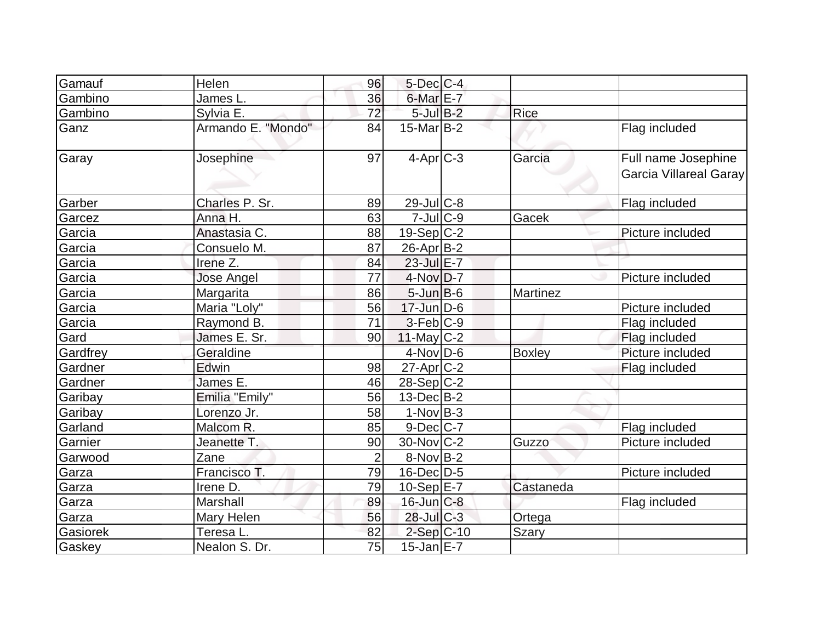| Gamauf   | Helen              | 96             | $5$ -Dec $C$ -4   |                 |                                                      |
|----------|--------------------|----------------|-------------------|-----------------|------------------------------------------------------|
| Gambino  | James L.           | 36             | $6$ -Mar $E$ -7   |                 |                                                      |
| Gambino  | Sylvia E.          | 72             | $5$ -Jul $B-2$    | Rice            |                                                      |
| Ganz     | Armando E. "Mondo" | 84             | $15$ -Mar $ B-2 $ |                 | Flag included                                        |
| Garay    | Josephine          | 97             | $4-Apr$ $C-3$     | Garcia          | Full name Josephine<br><b>Garcia Villareal Garay</b> |
| Garber   | Charles P. Sr.     | 89             | $29$ -JulC-8      |                 | Flag included                                        |
| Garcez   | Anna H.            | 63             | $7$ -Jul $C$ -9   | Gacek           |                                                      |
| Garcia   | Anastasia C.       | 88             | $19-Sep C-2$      |                 | Picture included                                     |
| Garcia   | Consuelo M.        | 87             | $26$ -Apr $B-2$   |                 |                                                      |
| Garcia   | Irene Z.           | 84             | $23$ -Jul $E-7$   |                 |                                                      |
| Garcia   | <b>Jose Angel</b>  | 77             | $4$ -Nov $D-7$    |                 | Picture included                                     |
| Garcia   | Margarita          | 86             | $5$ -Jun $B$ -6   | <b>Martinez</b> |                                                      |
| Garcia   | Maria "Loly"       | 56             | $17 - Jun$ D-6    |                 | Picture included                                     |
| Garcia   | Raymond B.         | 71             | $3-Feb C-9$       |                 | Flag included                                        |
| Gard     | James E. Sr.       | 90             | $11$ -May C-2     |                 | Flag included                                        |
| Gardfrey | Geraldine          |                | $4$ -Nov $D-6$    | <b>Boxley</b>   | Picture included                                     |
| Gardner  | Edwin              | 98             | $27$ -Apr $C-2$   |                 | Flag included                                        |
| Gardner  | James E.           | 46             | $28-Sep C-2$      |                 |                                                      |
| Garibay  | Emilia "Emily"     | 56             | $13$ -Dec $B$ -2  |                 |                                                      |
| Garibay  | Lorenzo Jr.        | 58             | $1-Nov B-3$       |                 |                                                      |
| Garland  | Malcom R.          | 85             | $9$ -Dec $C$ -7   |                 | Flag included                                        |
| Garnier  | Jeanette T.        | 90             | $30$ -Nov $ C-2 $ | Guzzo           | Picture included                                     |
| Garwood  | Zane               | $\overline{2}$ | $8-Nov B-2$       |                 |                                                      |
| Garza    | Francisco T.       | 79             | $16$ -Dec $D-5$   |                 | Picture included                                     |
| Garza    | Irene D.           | 79             | $10-Sep$ $E-7$    | Castaneda       |                                                      |
| Garza    | Marshall           | 89             | $16$ -Jun $C-8$   |                 | Flag included                                        |
| Garza    | Mary Helen         | 56             | $28$ -Jul $C-3$   | Ortega          |                                                      |
| Gasiorek | Teresa L.          | 82             | $2$ -Sep $C$ -10  | <b>Szary</b>    |                                                      |
| Gaskey   | Nealon S. Dr.      | 75             | $15$ -Jan $E-7$   |                 |                                                      |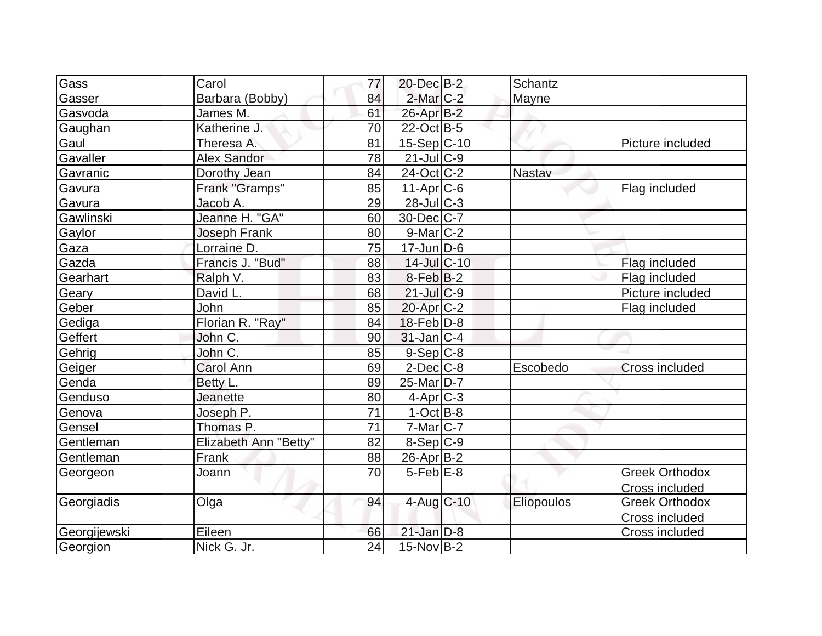| Gass         | Carol                 | 77 | $20$ -Dec $B-2$        | Schantz    |                       |
|--------------|-----------------------|----|------------------------|------------|-----------------------|
| Gasser       | Barbara (Bobby)       | 84 | $2$ -Mar $C-2$         | Mayne      |                       |
| Gasvoda      | James M.              | 61 | 26-Apr B-2             |            |                       |
| Gaughan      | Katherine J.          | 70 | $22$ -Oct B-5          |            |                       |
| Gaul         | Theresa A.            | 81 | 15-Sep C-10            |            | Picture included      |
| Gavaller     | <b>Alex Sandor</b>    | 78 | $21$ -Jul C-9          |            |                       |
| Gavranic     | Dorothy Jean          | 84 | $24$ -Oct $ C-2 $      | Nastav     |                       |
| Gavura       | Frank "Gramps"        | 85 | $11-Apr$ $C-6$         |            | Flag included         |
| Gavura       | Jacob A.              | 29 | $28$ -Jul $C-3$        |            |                       |
| Gawlinski    | Jeanne H. "GA"        | 60 | 30-Dec C-7             |            |                       |
| Gaylor       | <b>Joseph Frank</b>   | 80 | $9$ -Mar $ C-2$        |            |                       |
| Gaza         | Lorraine D.           | 75 | $17$ -Jun $D-6$        |            |                       |
| Gazda        | Francis J. "Bud"      | 88 | 14-Jul C-10            |            | Flag included         |
| Gearhart     | Ralph V.              | 83 | $8-Feb B-2$            |            | Flag included         |
| Geary        | David L.              | 68 | 21-Jul C-9             |            | Picture included      |
| Geber        | John                  | 85 | $20$ -Apr $C-2$        |            | Flag included         |
| Gediga       | Florian R. "Ray"      | 84 | $18$ -Feb $ D-8$       |            |                       |
| Geffert      | John C.               | 90 | $31$ -Jan $ C-4$       |            |                       |
| Gehrig       | John C.               | 85 | $9-$ Sep $C-8$         |            |                       |
| Geiger       | <b>Carol Ann</b>      | 69 | $2$ -Dec $C$ -8        | Escobedo   | <b>Cross included</b> |
| Genda        | Betty L.              | 89 | 25-Mar <sub>D</sub> -7 |            |                       |
| Genduso      | <b>Jeanette</b>       | 80 | $4-Apr$ $C-3$          |            |                       |
| Genova       | Joseph P.             | 71 | $1-Oct$ B-8            |            |                       |
| Gensel       | Thomas P.             | 71 | $7$ -Mar $ C-7 $       |            |                       |
| Gentleman    | Elizabeth Ann "Betty" | 82 | $8-Sep C-9$            |            |                       |
| Gentleman    | Frank                 | 88 | $26$ -Apr $B$ -2       |            |                       |
| Georgeon     | Joann                 | 70 | $5$ -Feb $E-8$         |            | <b>Greek Orthodox</b> |
|              |                       |    |                        |            | Cross included        |
| Georgiadis   | Olga                  | 94 | $4$ -Aug C-10          | Eliopoulos | <b>Greek Orthodox</b> |
|              |                       |    |                        |            | Cross included        |
| Georgijewski | Eileen                | 66 | $21$ -Jan $D-8$        |            | Cross included        |
| Georgion     | Nick G. Jr.           | 24 | $15$ -Nov B-2          |            |                       |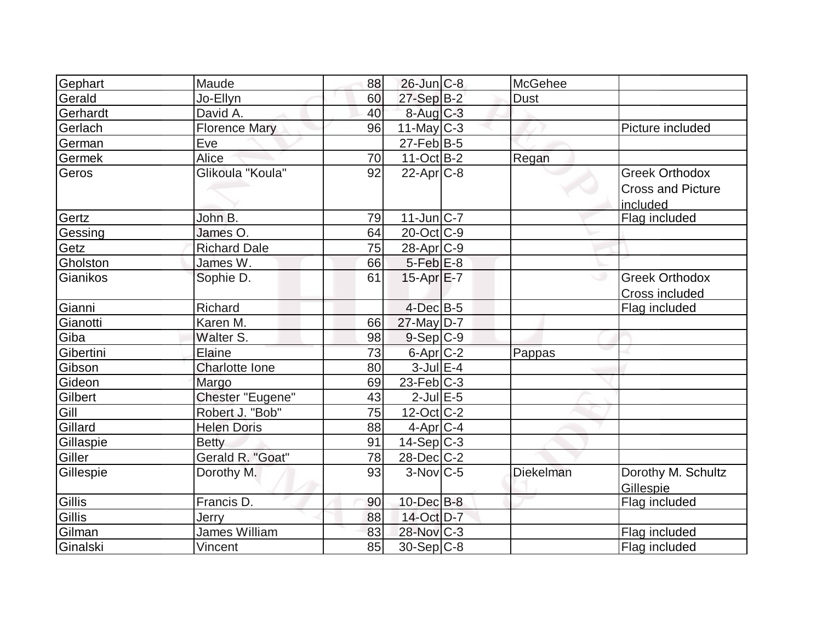| Gephart   | Maude                | 88 | $26$ -Jun $C-8$        | <b>McGehee</b> |                                                               |
|-----------|----------------------|----|------------------------|----------------|---------------------------------------------------------------|
| Gerald    | Jo-Ellyn             | 60 | $27-Sep B-2$           | <b>Dust</b>    |                                                               |
| Gerhardt  | David A.             | 40 | $8$ -Aug $C$ -3        |                |                                                               |
| Gerlach   | <b>Florence Mary</b> | 96 | $11$ -May C-3          |                | Picture included                                              |
| German    | Eve                  |    | $27$ -Feb $ B-5 $      |                |                                                               |
| Germek    | Alice                | 70 | $11-Oct$ B-2           | Regan          |                                                               |
| Geros     | Glikoula "Koula"     | 92 | $22$ -Apr $C-8$        |                | <b>Greek Orthodox</b><br><b>Cross and Picture</b><br>included |
| Gertz     | John B.              | 79 | $11$ -Jun $ C-7$       |                | Flag included                                                 |
| Gessing   | James O.             | 64 | $20$ -Oct $ C-9 $      |                |                                                               |
| Getz      | <b>Richard Dale</b>  | 75 | 28-Apr <sub>C-9</sub>  |                |                                                               |
| Gholston  | James W.             | 66 | $5-Feb$ $E-8$          |                |                                                               |
| Gianikos  | Sophie D.            | 61 | $15-Apr$ $E-7$         |                | <b>Greek Orthodox</b><br>Cross included                       |
| Gianni    | Richard              |    | $4$ -Dec $B$ -5        |                | Flag included                                                 |
| Gianotti  | Karen M.             | 66 | $27$ -May $ D-7$       |                |                                                               |
| Giba      | Walter S.            | 98 | $9-Sep C-9$            |                |                                                               |
| Gibertini | Elaine               | 73 | 6-Apr <sub>C-2</sub>   | Pappas         |                                                               |
| Gibson    | Charlotte Ione       | 80 | $3$ -Jul $E-4$         |                |                                                               |
| Gideon    | Margo                | 69 | $23$ -Feb $ C-3$       |                |                                                               |
| Gilbert   | Chester "Eugene"     | 43 | $2$ -Jul $E$ -5        |                |                                                               |
| Gill      | Robert J. "Bob"      | 75 | 12-Oct C-2             |                |                                                               |
| Gillard   | <b>Helen Doris</b>   | 88 | $4-Apr C-4$            |                |                                                               |
| Gillaspie | <b>Betty</b>         | 91 | $14-Sep C-3$           |                |                                                               |
| Giller    | Gerald R. "Goat"     | 78 | 28-Dec C-2             |                |                                                               |
| Gillespie | Dorothy M.           | 93 | $3-Nov$ <sub>C-5</sub> | Diekelman      | Dorothy M. Schultz<br>Gillespie                               |
| Gillis    | Francis D.           | 90 | $10$ -Dec $B$ -8       |                | Flag included                                                 |
| Gillis    | Jerry                | 88 | 14-Oct D-7             |                |                                                               |
| Gilman    | James William        | 83 | 28-Nov C-3             |                | Flag included                                                 |
| Ginalski  | <b>Vincent</b>       | 85 | 30-Sep C-8             |                | Flag included                                                 |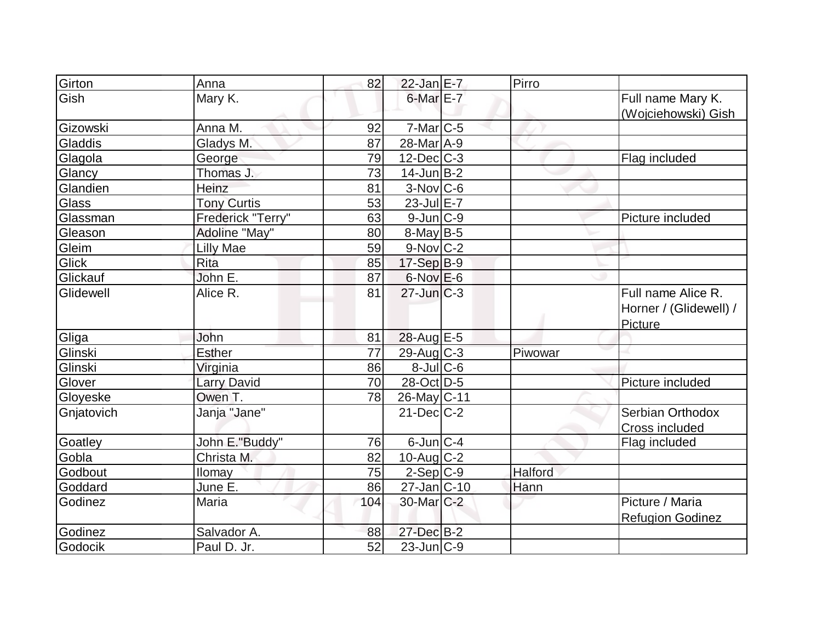| Girton       | Anna               | 82  | $22$ -Jan E-7           | Pirro   |                                                         |
|--------------|--------------------|-----|-------------------------|---------|---------------------------------------------------------|
| Gish         | Mary K.            |     | 6-Mar E-7               |         | Full name Mary K.<br>(Wojciehowski) Gish                |
| Gizowski     | Anna M.            | 92  | $7$ -Mar $ C$ -5        |         |                                                         |
| Gladdis      | Gladys M.          | 87  | $28$ -Mar $A-9$         |         |                                                         |
| Glagola      | George             | 79  | $12$ -Dec $C$ -3        |         | Flag included                                           |
| Glancy       | Thomas J.          | 73  | $14$ -Jun $B-2$         |         |                                                         |
| Glandien     | Heinz              | 81  | $3-Nov$ $C-6$           |         |                                                         |
| <b>Glass</b> | <b>Tony Curtis</b> | 53  | 23-Jul E-7              |         |                                                         |
| Glassman     | Frederick "Terry"  | 63  | $9$ -Jun $ C-9 $        |         | Picture included                                        |
| Gleason      | Adoline "May"      | 80  | $8$ -May B-5            |         |                                                         |
| Gleim        | Lilly Mae          | 59  | $9-Nov$ <sub>C-2</sub>  |         |                                                         |
| Glick        | <b>Rita</b>        | 85  | $17-Sep$ B-9            |         |                                                         |
| Glickauf     | John E.            | 87  | $6$ -Nov $E$ -6         |         |                                                         |
| Glidewell    | Alice R.           | 81  | $27$ -Jun $C-3$         |         | Full name Alice R.<br>Horner / (Glidewell) /<br>Picture |
| Gliga        | John               | 81  | 28-Aug E-5              |         |                                                         |
| Glinski      | Esther             | 77  | $29$ -Aug C-3           | Piwowar |                                                         |
| Glinski      | Virginia           | 86  | $8 -$ Jul $C - 6$       |         |                                                         |
| Glover       | <b>Larry David</b> | 70  | 28-Oct D-5              |         | Picture included                                        |
| Gloyeske     | Owen T.            | 78  | 26-May C-11             |         |                                                         |
| Gnjatovich   | Janja "Jane"       |     | $21$ -Dec $C-2$         |         | Serbian Orthodox<br>Cross included                      |
| Goatley      | John E."Buddy"     | 76  | $6$ -Jun $ C-4 $        |         | Flag included                                           |
| Gobla        | Christa M.         | 82  | $10$ -Aug C-2           |         |                                                         |
| Godbout      | Ilomay             | 75  | $2-Sep$ C-9             | Halford |                                                         |
| Goddard      | June E.            | 86  | $27$ -Jan $ C-10 $      | Hann    |                                                         |
| Godinez      | Maria              | 104 | 30-Mar <sub>IC</sub> -2 |         | Picture / Maria<br><b>Refugion Godinez</b>              |
| Godinez      | Salvador A.        | 88  | 27-Dec B-2              |         |                                                         |
| Godocik      | Paul D. Jr.        | 52  | $23$ -Jun $ C-9 $       |         |                                                         |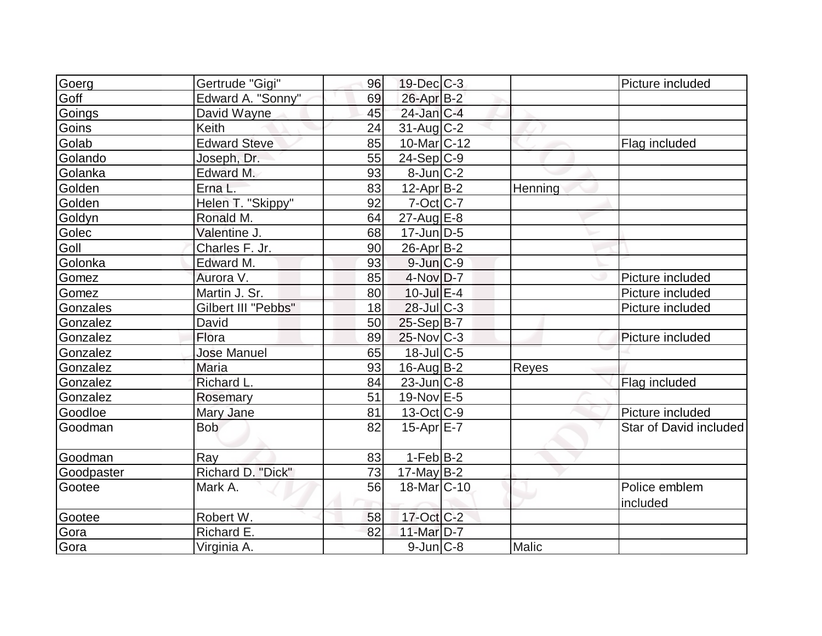| Goerg      | Gertrude "Gigi"     | 96 | $19$ -Dec $C$ -3         |         | Picture included       |
|------------|---------------------|----|--------------------------|---------|------------------------|
| Goff       | Edward A. "Sonny"   | 69 | 26-Apr B-2               |         |                        |
| Goings     | David Wayne         | 45 | 24-Jan C-4               |         |                        |
| Goins      | Keith               | 24 | $31$ -Aug C-2            |         |                        |
| Golab      | <b>Edward Steve</b> | 85 | $10$ -Mar $C-12$         |         | Flag included          |
| Golando    | Joseph, Dr.         | 55 | $24-Sep C-9$             |         |                        |
| Golanka    | Edward M.           | 93 | $8$ -Jun $C-2$           |         |                        |
| Golden     | Erna L.             | 83 | $12$ -Apr $B-2$          | Henning |                        |
| Golden     | Helen T. "Skippy"   | 92 | $7-Oct$ $C-7$            |         |                        |
| Goldyn     | Ronald M.           | 64 | $27$ -Aug $E-8$          |         |                        |
| Golec      | Valentine J.        | 68 | $17$ -Jun $ D-5$         |         |                        |
| Goll       | Charles F. Jr.      | 90 | $26$ -Apr $ B-2 $        |         |                        |
| Golonka    | Edward M.           | 93 | $9$ -Jun $ C-9 $         |         |                        |
| Gomez      | Aurora V.           | 85 | $4$ -Nov $D-7$           |         | Picture included       |
| Gomez      | Martin J. Sr.       | 80 | $10$ -Jul $E-4$          |         | Picture included       |
| Gonzales   | Gilbert III "Pebbs" | 18 | $28$ -JulC-3             |         | Picture included       |
| Gonzalez   | David               | 50 | $25-Sep B-7$             |         |                        |
| Gonzalez   | Flora               | 89 | $25$ -Nov $ C-3 $        |         | Picture included       |
| Gonzalez   | <b>Jose Manuel</b>  | 65 | $18$ -Jul $C$ -5         |         |                        |
| Gonzalez   | <b>Maria</b>        | 93 | $16$ -Aug $B-2$          | Reyes   |                        |
| Gonzalez   | Richard L.          | 84 | $23$ -Jun $ C-8$         |         | Flag included          |
| Gonzalez   | Rosemary            | 51 | 19-Nov E-5               |         |                        |
| Goodloe    | Mary Jane           | 81 | $13-Oct$ $C-9$           |         | Picture included       |
| Goodman    | <b>Bob</b>          | 82 | $15$ -Apr $E$ -7         |         | Star of David included |
| Goodman    | Ray                 | 83 | $1-Feb$ B-2              |         |                        |
| Goodpaster | Richard D. "Dick"   | 73 | 17-May $B-2$             |         |                        |
| Gootee     | Mark A.             | 56 | 18-Mar <sub>IC</sub> -10 |         | Police emblem          |
|            |                     |    |                          |         | included               |
| Gootee     | Robert W.           | 58 | $17$ -Oct $C-2$          |         |                        |
| Gora       | Richard E.          | 82 | 11-Mar D-7               |         |                        |
| Gora       | Virginia A.         |    | $9$ -Jun $C-8$           | Malic   |                        |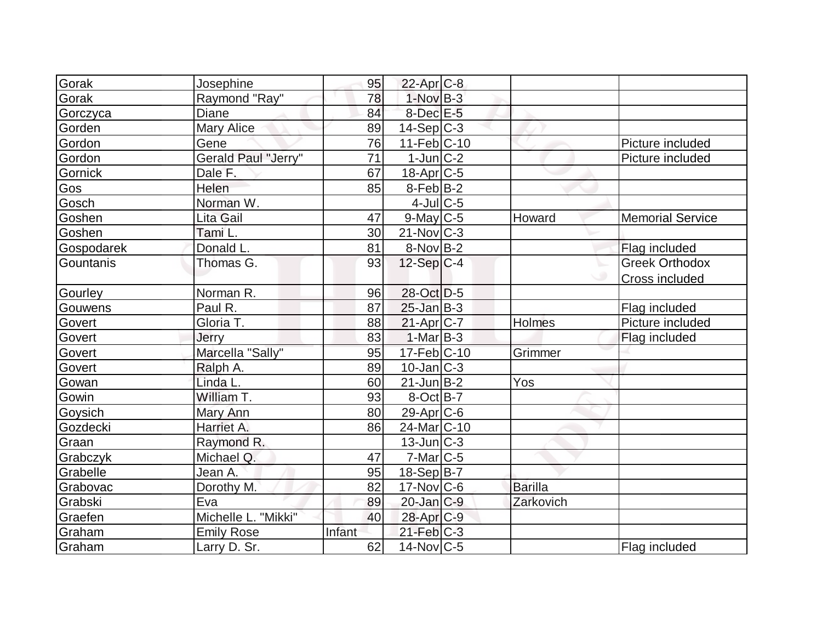| Gorak      | Josephine           | 95     | $22$ -Apr $C-8$          |                |                         |
|------------|---------------------|--------|--------------------------|----------------|-------------------------|
| Gorak      | Raymond "Ray"       | 78     | $1-Nov$ B-3              |                |                         |
| Gorczyca   | Diane               | 84     | $8$ -Dec $E$ -5          |                |                         |
| Gorden     | <b>Mary Alice</b>   | 89     | $14-Sep$ C-3             |                |                         |
| Gordon     | Gene                | 76     | 11-Feb C-10              |                | Picture included        |
| Gordon     | Gerald Paul "Jerry" | 71     | $1$ -Jun $C-2$           |                | Picture included        |
| Gornick    | Dale F.             | 67     | 18-Apr C-5               |                |                         |
| Gos        | Helen               | 85     | $8-Feb B-2$              |                |                         |
| Gosch      | Norman W.           |        | $4$ -Jul $C$ -5          |                |                         |
| Goshen     | Lita Gail           | 47     | $9$ -May C-5             | Howard         | <b>Memorial Service</b> |
| Goshen     | Tami L.             | 30     | $21$ -Nov $ C-3 $        |                |                         |
| Gospodarek | Donald L.           | 81     | $8-Nov B-2$              |                | Flag included           |
| Gountanis  | Thomas G.           | 93     | $12-Sep C-4$             |                | <b>Greek Orthodox</b>   |
|            |                     |        |                          |                | <b>Cross included</b>   |
| Gourley    | Norman R.           | 96     | 28-Oct D-5               |                |                         |
| Gouwens    | Paul R.             | 87     | $25$ -Jan B-3            |                | Flag included           |
| Govert     | Gloria T.           | 88     | $21-Apr$ $C-7$           | <b>Holmes</b>  | Picture included        |
| Govert     | Jerry               | 83     | $1-Mar$ B-3              |                | Flag included           |
| Govert     | Marcella "Sally"    | 95     | 17-Feb C-10              | Grimmer        |                         |
| Govert     | Ralph A.            | 89     | $10$ -Jan $C-3$          |                |                         |
| Gowan      | Linda L.            | 60     | $21$ -Jun $B-2$          | Yos            |                         |
| Gowin      | William T.          | 93     | $8-Oct$ B-7              |                |                         |
| Goysich    | Mary Ann            | 80     | 29-Apr C-6               |                |                         |
| Gozdecki   | Harriet A.          | 86     | 24-Mar <sub>IC</sub> -10 |                |                         |
| Graan      | Raymond R.          |        | $13$ -Jun $ C-3 $        |                |                         |
| Grabczyk   | Michael Q.          | 47     | $7$ -Mar $C$ -5          |                |                         |
| Grabelle   | Jean A.             | 95     | $18-Sep B-7$             |                |                         |
| Grabovac   | Dorothy M.          | 82     | $17$ -Nov $ C$ -6        | <b>Barilla</b> |                         |
| Grabski    | Eva                 | 89     | $20$ -Jan $C-9$          | Zarkovich      |                         |
| Graefen    | Michelle L. "Mikki" | 40     | 28-Apr C-9               |                |                         |
| Graham     | <b>Emily Rose</b>   | Infant | $21$ -Feb $C-3$          |                |                         |
| Graham     | Larry D. Sr.        | 62     | $14$ -Nov $ C-5 $        |                | Flag included           |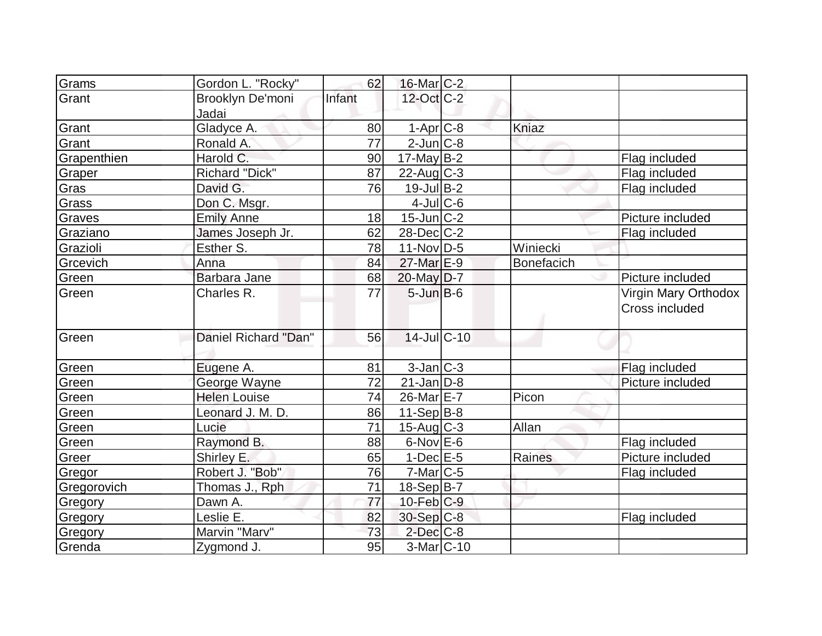| Grams       | Gordon L. "Rocky"         | 62     | $16$ -Mar $C-2$   |                   |                                               |
|-------------|---------------------------|--------|-------------------|-------------------|-----------------------------------------------|
| Grant       | Brooklyn De'moni<br>Jadai | Infant | 12-Oct C-2        |                   |                                               |
| Grant       | Gladyce A.                | 80     | $1-Apr$ $C-8$     | Kniaz             |                                               |
| Grant       | Ronald A.                 | 77     | $2$ -Jun $C-8$    |                   |                                               |
| Grapenthien | Harold C.                 | 90     | $17$ -May B-2     |                   | Flag included                                 |
| Graper      | <b>Richard "Dick"</b>     | 87     | $22$ -Aug C-3     |                   | Flag included                                 |
| Gras        | David G.                  | 76     | $19$ -Jul B-2     |                   | Flag included                                 |
| Grass       | Don C. Msgr.              |        | $4$ -Jul $C$ -6   |                   |                                               |
| Graves      | <b>Emily Anne</b>         | 18     | $15$ -Jun $ C-2 $ |                   | Picture included                              |
| Graziano    | James Joseph Jr.          | 62     | $28$ -Dec $C-2$   |                   | Flag included                                 |
| Grazioli    | Esther S.                 | 78     | $11-Nov D-5$      | Winiecki          |                                               |
| Grcevich    | Anna                      | 84     | 27-Mar E-9        | <b>Bonefacich</b> |                                               |
| Green       | Barbara Jane              | 68     | $20$ -May $D-7$   |                   | Picture included                              |
| Green       | Charles R.                | 77     | $5 - Jun$ $B - 6$ |                   | Virgin Mary Orthodox<br><b>Cross included</b> |
| Green       | Daniel Richard "Dan"      | 56     | 14-Jul C-10       |                   |                                               |
| Green       | Eugene A.                 | 81     | $3$ -Jan $ C-3 $  |                   | Flag included                                 |
| Green       | George Wayne              | 72     | $21$ -Jan $ D-8$  |                   | Picture included                              |
| Green       | <b>Helen Louise</b>       | 74     | 26-Mar E-7        | Picon             |                                               |
| Green       | Leonard J. M. D.          | 86     | $11-Sep B-8$      |                   |                                               |
| Green       | Lucie                     | 71     | $15$ -Aug C-3     | Allan             |                                               |
| Green       | Raymond B.                | 88     | $6$ -Nov $E$ -6   |                   | Flag included                                 |
| Greer       | Shirley E.                | 65     | $1$ -Dec $E$ -5   | Raines            | Picture included                              |
| Gregor      | Robert J. "Bob"           | 76     | $7$ -Mar $ C$ -5  |                   | Flag included                                 |
| Gregorovich | Thomas J., Rph            | 71     | $18-Sep B-7$      |                   |                                               |
| Gregory     | Dawn A.                   | 77     | $10$ -Feb $C-9$   |                   |                                               |
| Gregory     | Leslie E.                 | 82     | $30-Sep C-8$      |                   | Flag included                                 |
| Gregory     | Marvin "Marv"             | 73     | $2$ -Dec $C$ -8   |                   |                                               |
| Grenda      | Zygmond J.                | 95     | 3-Mar C-10        |                   |                                               |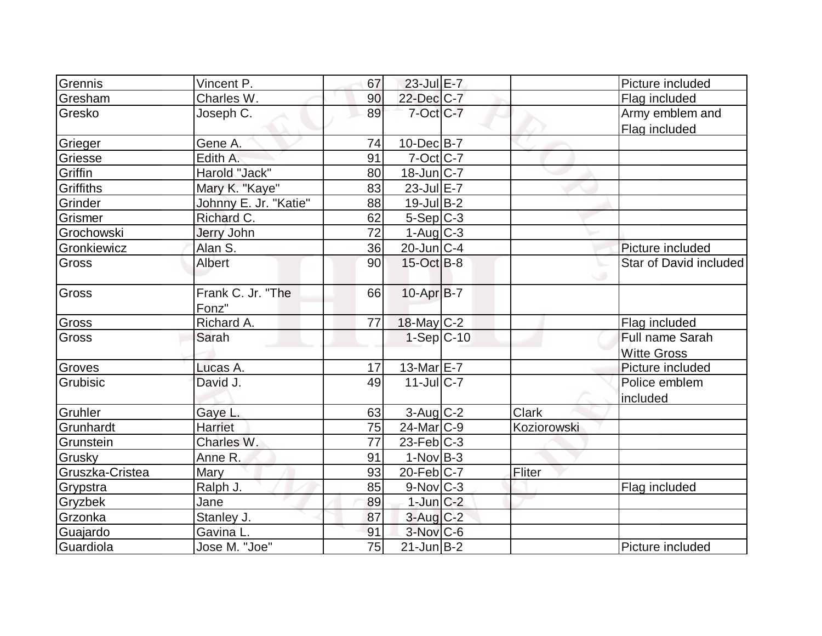| Grennis         | Vincent P.            | 67 | 23-Jul E-7        |              | Picture included       |
|-----------------|-----------------------|----|-------------------|--------------|------------------------|
| Gresham         | Charles W.            | 90 | 22-Dec C-7        |              | Flag included          |
| Gresko          | Joseph C.             | 89 | 7-Oct C-7         |              | Army emblem and        |
|                 |                       |    |                   |              | Flag included          |
| Grieger         | Gene A.               | 74 | $10$ -Dec $B$ -7  |              |                        |
| Griesse         | Edith A.              | 91 | $7-Oct$ $C-7$     |              |                        |
| Griffin         | Harold "Jack"         | 80 | 18-Jun C-7        |              |                        |
| Griffiths       | Mary K. "Kaye"        | 83 | $23$ -Jul $E-7$   |              |                        |
| Grinder         | Johnny E. Jr. "Katie" | 88 | $19$ -Jul B-2     |              |                        |
| Grismer         | Richard C.            | 62 | $5-Sep C-3$       |              |                        |
| Grochowski      | <b>Jerry John</b>     | 72 | $1-Aug$ $C-3$     |              |                        |
| Gronkiewicz     | Alan S.               | 36 | $20$ -Jun $ C-4 $ |              | Picture included       |
| <b>Gross</b>    | Albert                | 90 | $15$ -Oct B-8     |              | Star of David included |
|                 |                       |    |                   |              |                        |
| Gross           | Frank C. Jr. "The     | 66 | 10-Apr B-7        |              |                        |
|                 | Fonz"                 |    |                   |              |                        |
| Gross           | Richard A.            | 77 | $18$ -May C-2     |              | Flag included          |
| <b>Gross</b>    | Sarah                 |    | $1-Sep C-10$      |              | Full name Sarah        |
|                 |                       |    |                   |              | <b>Witte Gross</b>     |
| Groves          | Lucas A.              | 17 | 13-Mar E-7        |              | Picture included       |
| Grubisic        | David J.              | 49 | $11$ -JulC-7      |              | Police emblem          |
|                 |                       |    |                   |              | included               |
| Gruhler         | Gaye L.               | 63 | $3-Aug$ $C-2$     | <b>Clark</b> |                        |
| Grunhardt       | <b>Harriet</b>        | 75 | $24$ -Mar $ C-9 $ | Koziorowski  |                        |
| Grunstein       | Charles W.            | 77 | $23$ -Feb $ C-3 $ |              |                        |
| Grusky          | Anne R.               | 91 | $1-Nov$ B-3       |              |                        |
| Gruszka-Cristea | Mary                  | 93 | $20$ -Feb $C$ -7  | Fliter       |                        |
| Grypstra        | Ralph J.              | 85 | $9-Nov$ C-3       |              | Flag included          |
| Gryzbek         | Jane                  | 89 | $1$ -Jun $C-2$    |              |                        |
| Grzonka         | Stanley J.            | 87 | $3$ -Aug $C-2$    |              |                        |
| Guajardo        | Gavina L.             | 91 | $3-Nov$ C-6       |              |                        |
| Guardiola       | Jose M. "Joe"         | 75 | $21$ -Jun $B-2$   |              | Picture included       |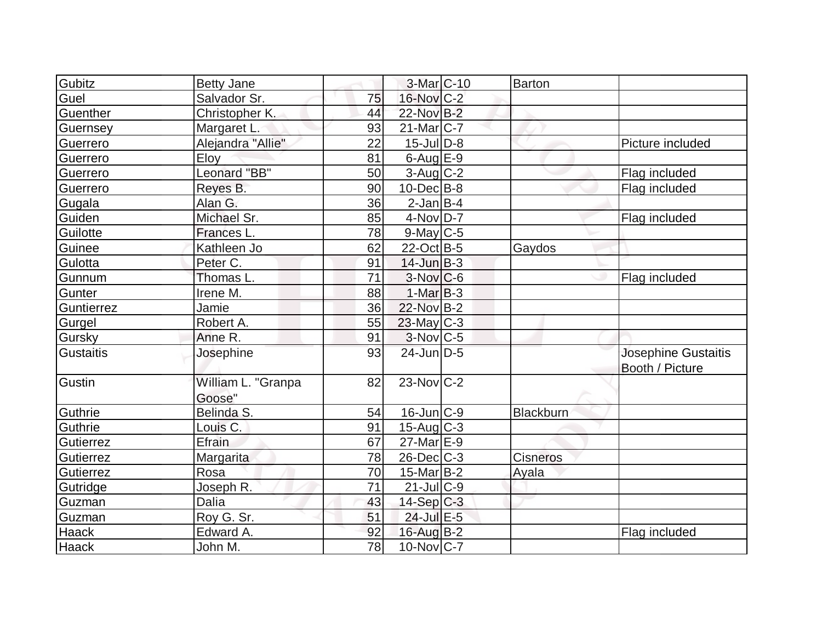| Gubitz       | <b>Betty Jane</b>            |    | 3-Mar <sub>IC-10</sub> | Barton           |                                        |
|--------------|------------------------------|----|------------------------|------------------|----------------------------------------|
| Guel         | Salvador Sr.                 | 75 | 16-Nov C-2             |                  |                                        |
| Guenther     | Christopher K.               | 44 | 22-Nov B-2             |                  |                                        |
| Guernsey     | Margaret L.                  | 93 | $21$ -Mar $ C-7 $      |                  |                                        |
| Guerrero     | Alejandra "Allie"            | 22 | $15$ -JulD-8           |                  | Picture included                       |
| Guerrero     | Eloy                         | 81 | $6$ -Aug $E-9$         |                  |                                        |
| Guerrero     | Leonard "BB"                 | 50 | $3$ -Aug C-2           |                  | Flag included                          |
| Guerrero     | Reyes B.                     | 90 | $10$ -Dec $B$ -8       |                  | Flag included                          |
| Gugala       | Alan G.                      | 36 | $2$ -Jan B-4           |                  |                                        |
| Guiden       | Michael Sr.                  | 85 | $4$ -Nov $D-7$         |                  | Flag included                          |
| Guilotte     | Frances L.                   | 78 | $9$ -May C-5           |                  |                                        |
| Guinee       | Kathleen Jo                  | 62 | 22-Oct B-5             | Gaydos           |                                        |
| Gulotta      | Peter C.                     | 91 | $14$ -Jun $B-3$        |                  |                                        |
| Gunnum       | Thomas L.                    | 71 | $3-Nov C-6$            |                  | Flag included                          |
| Gunter       | Irene M.                     | 88 | $1-MarB-3$             |                  |                                        |
| Guntierrez   | Jamie                        | 36 | 22-Nov B-2             |                  |                                        |
| Gurgel       | Robert A.                    | 55 | $23$ -May C-3          |                  |                                        |
| Gursky       | Anne R.                      | 91 | $3-Nov$ <sub>C-5</sub> |                  |                                        |
| Gustaitis    | Josephine                    | 93 | $24$ -Jun $D-5$        |                  | Josephine Gustaitis<br>Booth / Picture |
| Gustin       | William L. "Granpa<br>Goose" | 82 | $23$ -Nov $ C-2 $      |                  |                                        |
| Guthrie      | Belinda S.                   | 54 | $16$ -Jun $C-9$        | <b>Blackburn</b> |                                        |
| Guthrie      | Louis C.                     | 91 | $15$ -Aug C-3          |                  |                                        |
| Gutierrez    | Efrain                       | 67 | $27$ -Mar $E-9$        |                  |                                        |
| Gutierrez    | Margarita                    | 78 | 26-Dec C-3             | Cisneros         |                                        |
| Gutierrez    | Rosa                         | 70 | $15$ -Mar $ B-2 $      | Ayala            |                                        |
| Gutridge     | Joseph R.                    | 71 | $21$ -JulC-9           |                  |                                        |
| Guzman       | Dalia                        | 43 | $14-Sep C-3$           |                  |                                        |
| Guzman       | Roy G. Sr.                   | 51 | 24-Jul E-5             |                  |                                        |
| Haack        | Edward A.                    | 92 | 16-Aug B-2             |                  | Flag included                          |
| <b>Haack</b> | John M.                      | 78 | $10$ -Nov $ C-7 $      |                  |                                        |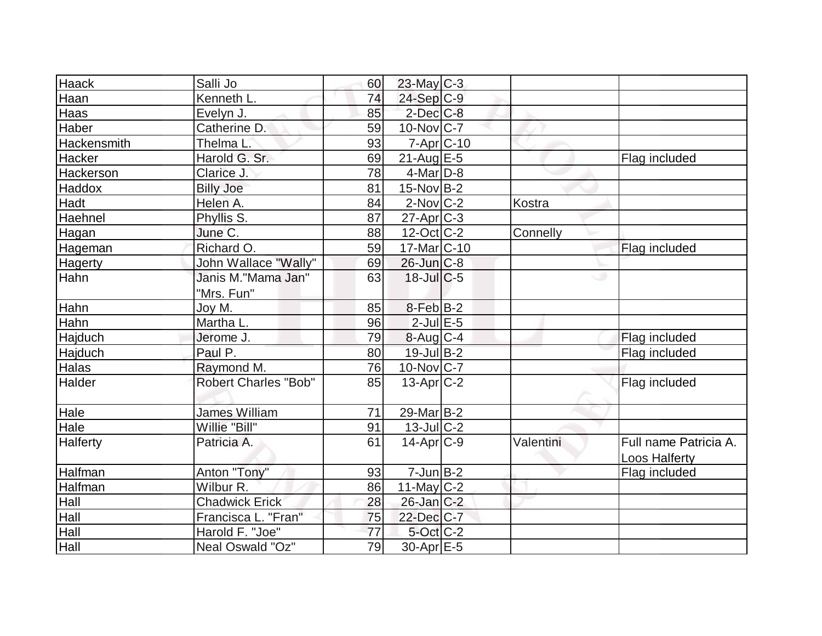| <b>Haack</b> | Salli Jo                         | 60 | 23-May C-3         |           |                                               |
|--------------|----------------------------------|----|--------------------|-----------|-----------------------------------------------|
| Haan         | Kenneth L                        | 74 | $24-Sep C-9$       |           |                                               |
| Haas         | Evelyn J.                        | 85 | $2$ -Dec $C$ -8    |           |                                               |
| Haber        | Catherine D.                     | 59 | 10-Nov C-7         |           |                                               |
| Hackensmith  | Thelma L.                        | 93 | $7 - Apr$ $C - 10$ |           |                                               |
| Hacker       | Harold G. Sr.                    | 69 | $21$ -Aug E-5      |           | Flag included                                 |
| Hackerson    | Clarice J.                       | 78 | $4$ -Mar $D-8$     |           |                                               |
| Haddox       | <b>Billy Joe</b>                 | 81 | $15$ -Nov B-2      |           |                                               |
| Hadt         | Helen A.                         | 84 | $2$ -Nov $ C-2 $   | Kostra    |                                               |
| Haehnel      | Phyllis S.                       | 87 | $27$ -Apr $ C-3 $  |           |                                               |
| Hagan        | June C.                          | 88 | $12$ -Oct $ C-2 $  | Connelly  |                                               |
| Hageman      | Richard O.                       | 59 | $17$ -Mar $ C-10 $ |           | Flag included                                 |
| Hagerty      | John Wallace "Wally"             | 69 | $26$ -Jun $C-8$    |           |                                               |
| Hahn         | Janis M."Mama Jan"<br>"Mrs. Fun" | 63 | $18$ -JulC-5       | ی         |                                               |
| Hahn         | Joy M.                           | 85 | 8-Feb B-2          |           |                                               |
| Hahn         | Martha L.                        | 96 | $2$ -Jul $E$ -5    |           |                                               |
| Hajduch      | Jerome J.                        | 79 | $8-Aug$ $C-4$      |           | Flag included                                 |
| Hajduch      | Paul P.                          | 80 | $19$ -Jul B-2      |           | Flag included                                 |
| <b>Halas</b> | Raymond M.                       | 76 | $10$ -Nov $C-7$    |           |                                               |
| Halder       | <b>Robert Charles "Bob"</b>      | 85 | $13$ -Apr $C-2$    |           | Flag included                                 |
| Hale         | <b>James William</b>             | 71 | 29-Mar B-2         |           |                                               |
| Hale         | Willie "Bill"                    | 91 | $13$ -JulC-2       |           |                                               |
| Halferty     | Patricia A.                      | 61 | $14$ -Apr $ C-9 $  | Valentini | Full name Patricia A.<br><b>Loos Halferty</b> |
| Halfman      | Anton "Tony"                     | 93 | $7$ -Jun $B-2$     |           | Flag included                                 |
| Halfman      | Wilbur R.                        | 86 | 11-May $C-2$       |           |                                               |
| Hall         | <b>Chadwick Erick</b>            | 28 | $26$ -Jan $C-2$    |           |                                               |
| Hall         | Francisca L. "Fran"              | 75 | 22-Dec C-7         |           |                                               |
| Hall         | Harold F. "Joe"                  | 77 | 5-Oct C-2          |           |                                               |
| Hall         | Neal Oswald "Oz"                 | 79 | $30-Apr$ $E-5$     |           |                                               |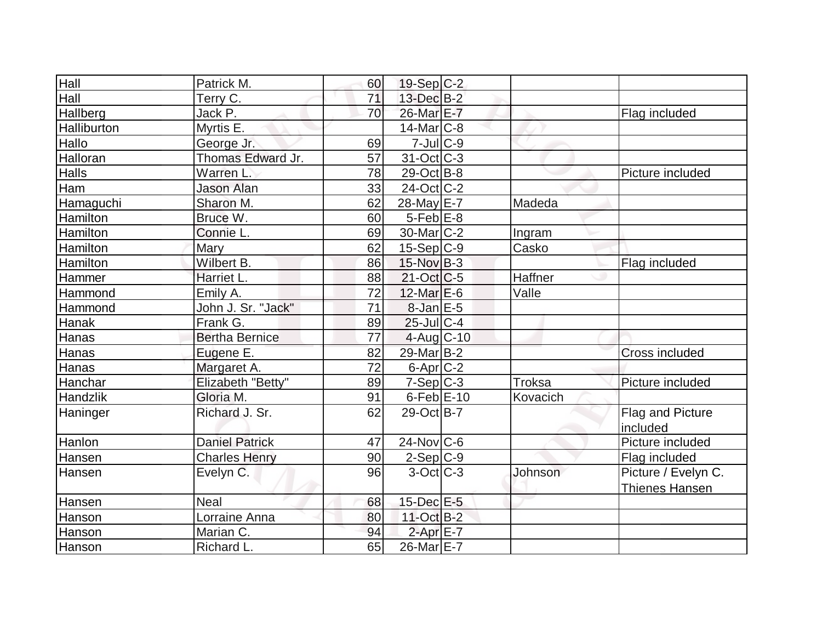| Hall         | Patrick M.            | 60              | 19-Sep C-2              |          |                     |
|--------------|-----------------------|-----------------|-------------------------|----------|---------------------|
| Hall         | Terry C.              | 71              | 13-Dec B-2              |          |                     |
| Hallberg     | Jack P.               | 70              | 26-Mar E-7              |          | Flag included       |
| Halliburton  | Myrtis E.             |                 | $14$ -Mar $ C-8$        |          |                     |
| Hallo        | George Jr.            | 69              | $7$ -Jul $C$ -9         |          |                     |
| Halloran     | Thomas Edward Jr.     | 57              | 31-Oct C-3              |          |                     |
| <b>Halls</b> | Warren L              | 78              | 29-Oct B-8              |          | Picture included    |
| Ham          | <b>Jason Alan</b>     | 33              | $24$ -Oct C-2           |          |                     |
| Hamaguchi    | Sharon M.             | 62              | 28-May E-7              | Madeda   |                     |
| Hamilton     | Bruce W.              | 60              | $5$ -Feb $E$ -8         |          |                     |
| Hamilton     | Connie L.             | 69              | 30-Mar <sub>IC</sub> -2 | Ingram   |                     |
| Hamilton     | Mary                  | 62              | $15-Sep C-9$            | Casko    |                     |
| Hamilton     | Wilbert B.            | 86              | 15-Nov B-3              |          | Flag included       |
| Hammer       | Harriet L.            | 88              | $21-Oct$ $C-5$          | Haffner  |                     |
| Hammond      | Emily A.              | 72              | $12$ -Mar $E-6$         | Valle    |                     |
| Hammond      | John J. Sr. "Jack"    | 71              | $8$ -Jan $E$ -5         |          |                     |
| Hanak        | Frank G.              | 89              | 25-Jul C-4              |          |                     |
| Hanas        | <b>Bertha Bernice</b> | 77              | $4$ -Aug C-10           |          |                     |
| Hanas        | Eugene E.             | 82              | 29-Mar B-2              |          | Cross included      |
| Hanas        | Margaret A.           | $\overline{72}$ | $6$ -Apr $C$ -2         |          |                     |
| Hanchar      | Elizabeth "Betty"     | 89              | $7-Sep C-3$             | Troksa   | Picture included    |
| Handzlik     | Gloria M.             | 91              | $6$ -Feb $E$ -10        | Kovacich |                     |
| Haninger     | Richard J. Sr.        | 62              | 29-Oct B-7              |          | Flag and Picture    |
|              |                       |                 |                         |          | included            |
| Hanlon       | <b>Daniel Patrick</b> | 47              | $24$ -Nov $ C-6$        |          | Picture included    |
| Hansen       | <b>Charles Henry</b>  | 90              | $2-Sep C-9$             |          | Flag included       |
| Hansen       | Evelyn C.             | 96              | $3-Oct$ $C-3$           | Johnson  | Picture / Evelyn C. |
|              |                       |                 |                         |          | Thienes Hansen      |
| Hansen       | <b>Neal</b>           | 68              | 15-Dec E-5              |          |                     |
| Hanson       | Lorraine Anna         | 80              | 11-Oct B-2              |          |                     |
| Hanson       | Marian C.             | 94              | $2$ -Apr $E$ -7         |          |                     |
| Hanson       | Richard L.            | 65              | $26$ -Mar $E$ -7        |          |                     |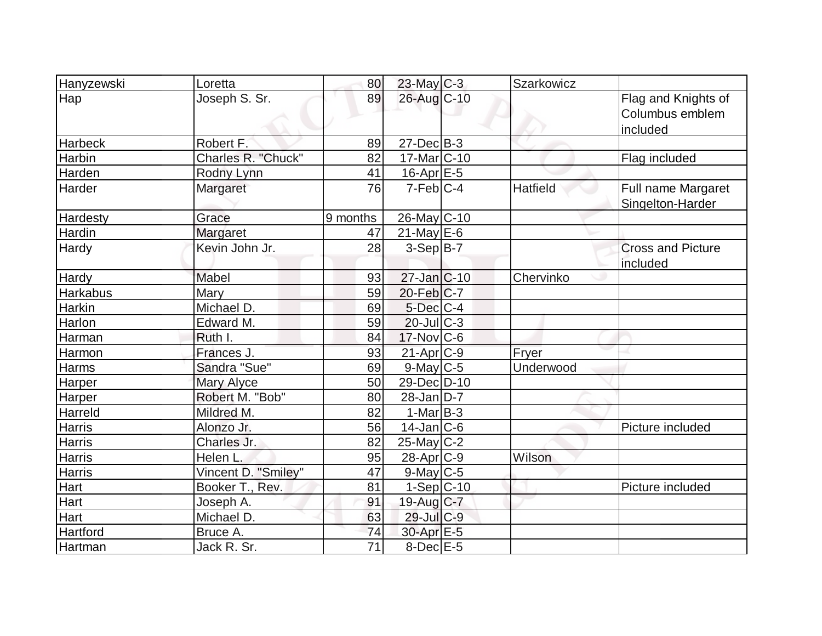| Hanyzewski      | Loretta             | 80              | 23-May C-3             | Szarkowicz |                                                    |
|-----------------|---------------------|-----------------|------------------------|------------|----------------------------------------------------|
| Hap             | Joseph S. Sr.       | 89              | 26-Aug C-10            |            | Flag and Knights of<br>Columbus emblem<br>included |
| <b>Harbeck</b>  | Robert F.           | 89              | $27 - Dec$ B-3         |            |                                                    |
| Harbin          | Charles R. "Chuck"  | 82              | 17-Mar C-10            |            | Flag included                                      |
| Harden          | Rodny Lynn          | 41              | 16-Apr <sub>E-5</sub>  |            |                                                    |
| Harder          | Margaret            | $\overline{76}$ | $7-Feb$ <sub>C-4</sub> | Hatfield   | Full name Margaret<br>Singelton-Harder             |
| <b>Hardesty</b> | Grace               | 9 months        | 26-May C-10            |            |                                                    |
| Hardin          | Margaret            | 47              | $21$ -May E-6          |            |                                                    |
| Hardy           | Kevin John Jr.      | 28              | $3-Sep B-7$            |            | <b>Cross and Picture</b><br>included               |
| <b>Hardy</b>    | Mabel               | 93              | $27$ -Jan $ C-10$      | Chervinko  |                                                    |
| Harkabus        | Mary                | 59              | 20-Feb C-7             |            |                                                    |
| Harkin          | Michael D.          | 69              | $5$ -Dec $C$ -4        |            |                                                    |
| Harlon          | Edward M.           | 59              | $20$ -JulC-3           |            |                                                    |
| Harman          | Ruth I.             | 84              | $17$ -Nov $ C$ -6      |            |                                                    |
| Harmon          | Frances J.          | 93              | 21-Apr <sub>C-9</sub>  | Fryer      |                                                    |
| Harms           | Sandra "Sue"        | 69              | 9-May C-5              | Underwood  |                                                    |
| Harper          | <b>Mary Alyce</b>   | 50              | 29-Dec D-10            |            |                                                    |
| Harper          | Robert M. "Bob"     | 80              | $28$ -Jan $D-7$        |            |                                                    |
| Harreld         | Mildred M.          | 82              | $1-Mar$ B-3            |            |                                                    |
| <b>Harris</b>   | Alonzo Jr.          | 56              | $14$ -Jan $ C-6$       |            | Picture included                                   |
| <b>Harris</b>   | Charles Jr.         | 82              | $25$ -May C-2          |            |                                                    |
| Harris          | Helen L.            | 95              | 28-Apr <sub>C-9</sub>  | Wilson     |                                                    |
| <b>Harris</b>   | Vincent D. "Smiley" | $\overline{47}$ | $9$ -May $C$ -5        |            |                                                    |
| Hart            | Booker T., Rev.     | 81              | $1-Sep C-10$           |            | Picture included                                   |
| Hart            | Joseph A.           | 91              | 19-Aug C-7             |            |                                                    |
| Hart            | Michael D.          | 63              | 29-Jul C-9             |            |                                                    |
| Hartford        | Bruce A.            | 74              | 30-Apr E-5             |            |                                                    |
| Hartman         | Jack R. Sr.         | $\overline{71}$ | $8$ -Dec $E$ -5        |            |                                                    |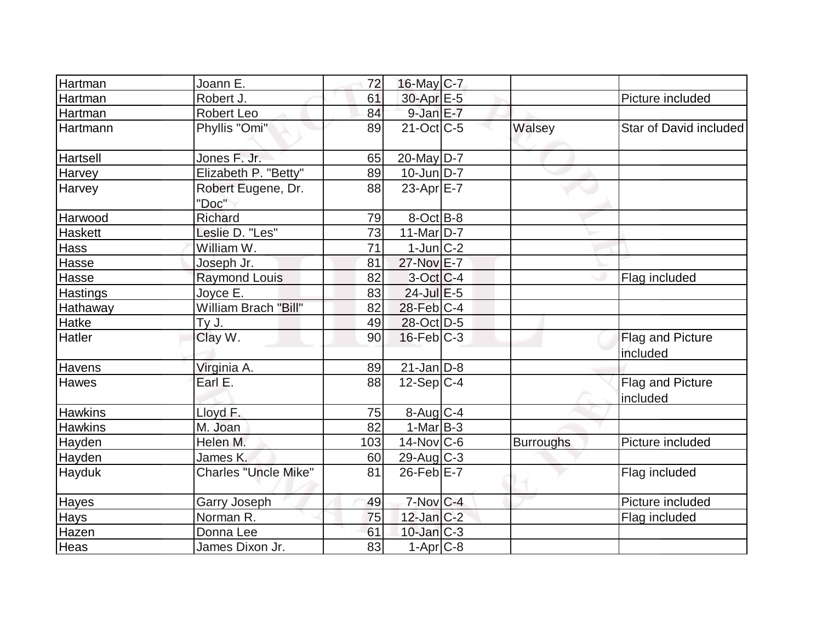| Hartman         | Joann E.                    | 72              | $16$ -May C-7          |                  |                                     |
|-----------------|-----------------------------|-----------------|------------------------|------------------|-------------------------------------|
| Hartman         | Robert J.                   | 61              | 30-Apr E-5             |                  | Picture included                    |
| Hartman         | Robert Leo                  | 84              | $9$ -Jan $E$ -7        |                  |                                     |
| Hartmann        | Phyllis "Omi"               | 89              | $21$ -Oct $ C-5 $      | Walsey           | Star of David included              |
| Hartsell        | Jones F. Jr.                | 65              | 20-May D-7             |                  |                                     |
| Harvey          | Elizabeth P. "Betty"        | 89              | $10$ -Jun $D-7$        |                  |                                     |
| Harvey          | Robert Eugene, Dr.<br>"Doc" | 88              | 23-Apr $E-7$           |                  |                                     |
| Harwood         | Richard                     | 79              | $8-Oct$ B-8            |                  |                                     |
| <b>Haskett</b>  | Leslie D. "Les"             | $\overline{73}$ | 11-Mar $D-7$           |                  |                                     |
| <b>Hass</b>     | William W.                  | 71              | $1$ -Jun $ C-2 $       |                  |                                     |
| Hasse           | Joseph Jr.                  | 81              | 27-Nov E-7             |                  |                                     |
| Hasse           | <b>Raymond Louis</b>        | 82              | $3-Oct$ $C-4$          |                  | Flag included                       |
| <b>Hastings</b> | Joyce E.                    | 83              | $24$ -Jul $E-5$        |                  |                                     |
| Hathaway        | William Brach "Bill"        | 82              | $28$ -Feb $C-4$        |                  |                                     |
| Hatke           | Ty J.                       | 49              | 28-Oct D-5             |                  |                                     |
| Hatler          | Clay W.                     | 90              | $16$ -Feb $C-3$        |                  | <b>Flag and Picture</b><br>included |
| Havens          | Virginia A.                 | 89              | $21$ -Jan D-8          |                  |                                     |
| Hawes           | Earl E.                     | 88              | $12-Sep C-4$           |                  | Flag and Picture<br>included        |
| <b>Hawkins</b>  | Lloyd F.                    | 75              | $8$ -Aug $C$ -4        |                  |                                     |
| <b>Hawkins</b>  | M. Joan                     | 82              | $1-Mar$ B-3            |                  |                                     |
| Hayden          | Helen M.                    | 103             | $14$ -Nov $ C-6 $      | <b>Burroughs</b> | Picture included                    |
| Hayden          | James K.                    | 60              | $29$ -Aug C-3          |                  |                                     |
| Hayduk          | <b>Charles "Uncle Mike"</b> | 81              | $26$ -Feb $E-7$        |                  | Flag included                       |
| <b>Hayes</b>    | <b>Garry Joseph</b>         | 49              | $7-Nov$ <sub>C-4</sub> |                  | Picture included                    |
| Hays            | Norman R.                   | 75              | $12$ -Jan $C-2$        |                  | Flag included                       |
| Hazen           | Donna Lee                   | 61              | $10$ -Jan $C-3$        |                  |                                     |
| Heas            | James Dixon Jr.             | 83              | $1-Apr$ $C-8$          |                  |                                     |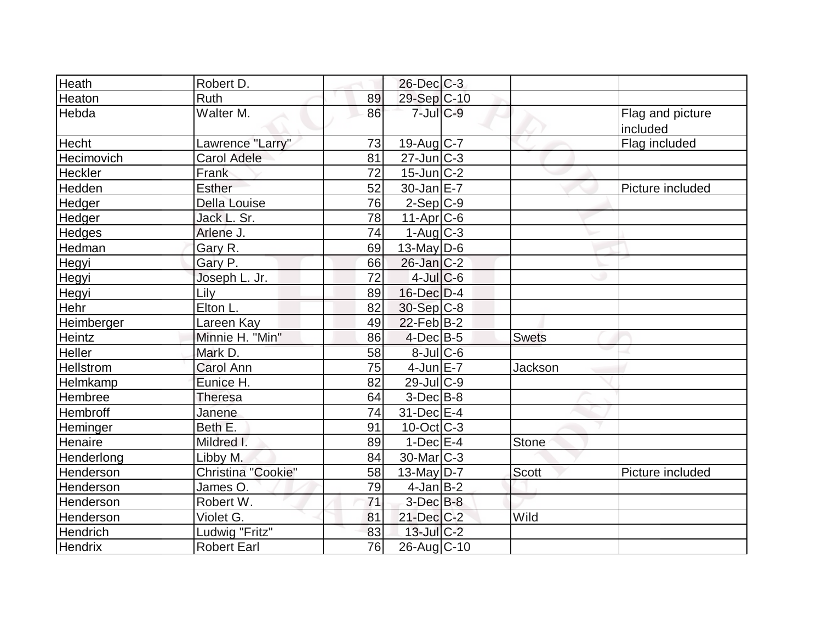| Heath            | Robert D.           |    | $26$ -Dec $C-3$         |              |                              |
|------------------|---------------------|----|-------------------------|--------------|------------------------------|
| Heaton           | Ruth                | 89 | 29-Sep C-10             |              |                              |
| Hebda            | Walter M.           | 86 | $7$ -Jul $C$ -9         |              | Flag and picture<br>included |
| <b>Hecht</b>     | Lawrence "Larry"    | 73 | 19-Aug C-7              |              | Flag included                |
| Hecimovich       | <b>Carol Adele</b>  | 81 | $27 - Jun$ $C-3$        |              |                              |
| Heckler          | Frank               | 72 | $15$ -Jun $C-2$         |              |                              |
| Hedden           | Esther              | 52 | $30$ -Jan $E$ -7        |              | Picture included             |
| Hedger           | <b>Della Louise</b> | 76 | $2-Sep C-9$             |              |                              |
| Hedger           | Jack L. Sr.         | 78 | $11-Apr$ $C-6$          |              |                              |
| Hedges           | Arlene J.           | 74 | $1-Aug$ <sub>C</sub> -3 |              |                              |
| Hedman           | Gary R.             | 69 | 13-May $D-6$            |              |                              |
| Hegyi            | Gary P.             | 66 | $26$ -Jan $C-2$         |              |                              |
| Hegyi            | Joseph L. Jr.       | 72 | $4$ -Jul $C$ -6         |              |                              |
| Hegyi            | Lily                | 89 | $16$ -Dec $D-4$         |              |                              |
| Hehr             | Elton L.            | 82 | $30-Sep$ C-8            |              |                              |
| Heimberger       | Lareen Kay          | 49 | $22$ -Feb $ B-2 $       |              |                              |
| Heintz           | Minnie H. "Min"     | 86 | $4$ -Dec $B$ -5         | <b>Swets</b> |                              |
| Heller           | Mark D.             | 58 | 8-Jul C-6               |              |                              |
| <b>Hellstrom</b> | <b>Carol Ann</b>    | 75 | $4$ -Jun $E - 7$        | Jackson      |                              |
| Helmkamp         | Eunice H.           | 82 | 29-Jul C-9              |              |                              |
| Hembree          | Theresa             | 64 | $3-Dec$ B-8             |              |                              |
| Hembroff         | Janene              | 74 | 31-Dec E-4              |              |                              |
| Heminger         | Beth E.             | 91 | $10$ -Oct $ C-3 $       |              |                              |
| Henaire          | Mildred I.          | 89 | $1-Dec$ E-4             | Stone        |                              |
| Henderlong       | Libby M.            | 84 | $30$ -Mar $ C-3 $       |              |                              |
| Henderson        | Christina "Cookie"  | 58 | $13$ -May D-7           | <b>Scott</b> | Picture included             |
| Henderson        | James O.            | 79 | $4$ -Jan $B-2$          |              |                              |
| Henderson        | Robert W.           | 71 | $3$ -Dec $B$ -8         |              |                              |
| Henderson        | Violet G.           | 81 | $21$ -Dec $C-2$         | Wild         |                              |
| Hendrich         | Ludwig "Fritz"      | 83 | $13$ -Jul C-2           |              |                              |
| <b>Hendrix</b>   | <b>Robert Earl</b>  | 76 | 26-Aug C-10             |              |                              |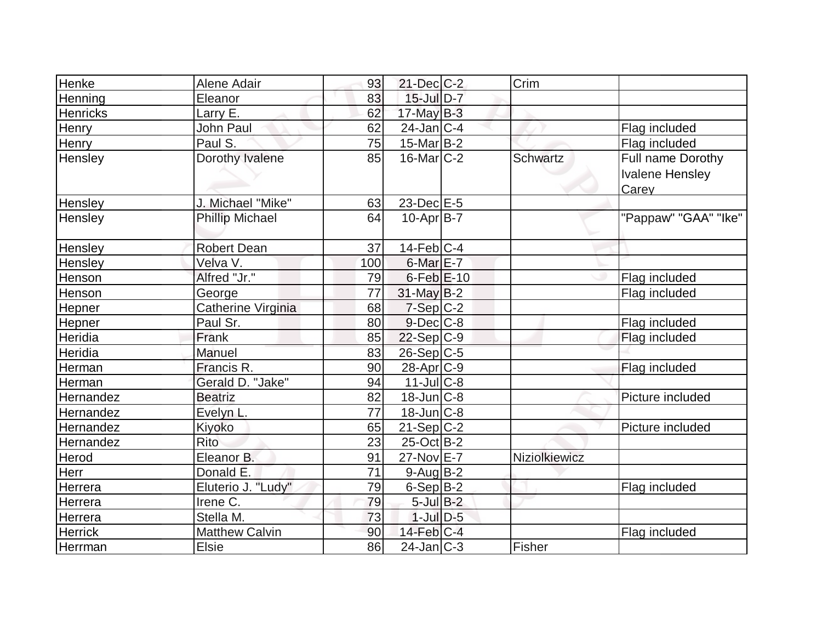| Henke           | Alene Adair            | 93  | $21$ -Dec $C-2$   | Crim            |                                                      |
|-----------------|------------------------|-----|-------------------|-----------------|------------------------------------------------------|
| Henning         | Eleanor                | 83  | $15$ -Jul $D-7$   |                 |                                                      |
| <b>Henricks</b> | Larry E.               | 62  | $17$ -May B-3     |                 |                                                      |
| Henry           | John Paul              | 62  | $24$ -Jan $ C-4 $ |                 | Flag included                                        |
| <b>Henry</b>    | Paul S.                | 75  | $15$ -Mar $ B-2 $ |                 | Flag included                                        |
| Hensley         | Dorothy Ivalene        | 85  | $16$ -Mar $ C-2 $ | <b>Schwartz</b> | Full name Dorothy<br><b>Ivalene Hensley</b><br>Carey |
| Hensley         | Michael "Mike"         | 63  | 23-Dec E-5        |                 |                                                      |
| Hensley         | <b>Phillip Michael</b> | 64  | $10$ -Apr $ B-7 $ |                 | "Pappaw" "GAA" "Ike"                                 |
| Hensley         | <b>Robert Dean</b>     | 37  | $14$ -Feb $ C-4 $ |                 |                                                      |
| Hensley         | Velva V.               | 100 | $6$ -Mar $E$ -7   |                 |                                                      |
| Henson          | Alfred "Jr."           | 79  | $6$ -Feb $E$ -10  |                 | Flag included                                        |
| Henson          | George                 | 77  | 31-May B-2        |                 | Flag included                                        |
| Hepner          | Catherine Virginia     | 68  | 7-Sep C-2         |                 |                                                      |
| Hepner          | Paul Sr.               | 80  | $9$ -Dec $C$ -8   |                 | Flag included                                        |
| Heridia         | Frank                  | 85  | $22-Sep C-9$      |                 | Flag included                                        |
| Heridia         | Manuel                 | 83  | $26-Sep C-5$      |                 |                                                      |
| Herman          | Francis R.             | 90  | $28$ -Apr $ C-9 $ |                 | Flag included                                        |
| Herman          | Gerald D. "Jake"       | 94  | $11$ -JulC-8      |                 |                                                      |
| Hernandez       | <b>Beatriz</b>         | 82  | $18$ -Jun $C - 8$ |                 | Picture included                                     |
| Hernandez       | Evelyn L.              | 77  | $18$ -Jun $ C-8$  |                 |                                                      |
| Hernandez       | Kiyoko                 | 65  | $21-Sep C-2$      |                 | Picture included                                     |
| Hernandez       | Rito                   | 23  | $25$ -Oct B-2     |                 |                                                      |
| Herod           | Eleanor B.             | 91  | 27-Nov E-7        | Niziolkiewicz   |                                                      |
| Herr            | Donald E.              | 71  | $9$ -Aug $ B-2 $  |                 |                                                      |
| Herrera         | Eluterio J. "Ludy"     | 79  | $6-SepB-2$        |                 | Flag included                                        |
| Herrera         | Irene C.               | 79  | $5$ -Jul $B-2$    |                 |                                                      |
| Herrera         | Stella M.              | 73  | $1$ -Jul $D-5$    |                 |                                                      |
| <b>Herrick</b>  | <b>Matthew Calvin</b>  | 90  | $14$ -Feb $ C-4$  |                 | Flag included                                        |
| Herrman         | <b>Elsie</b>           | 86  | $24$ -Jan $ C-3 $ | Fisher          |                                                      |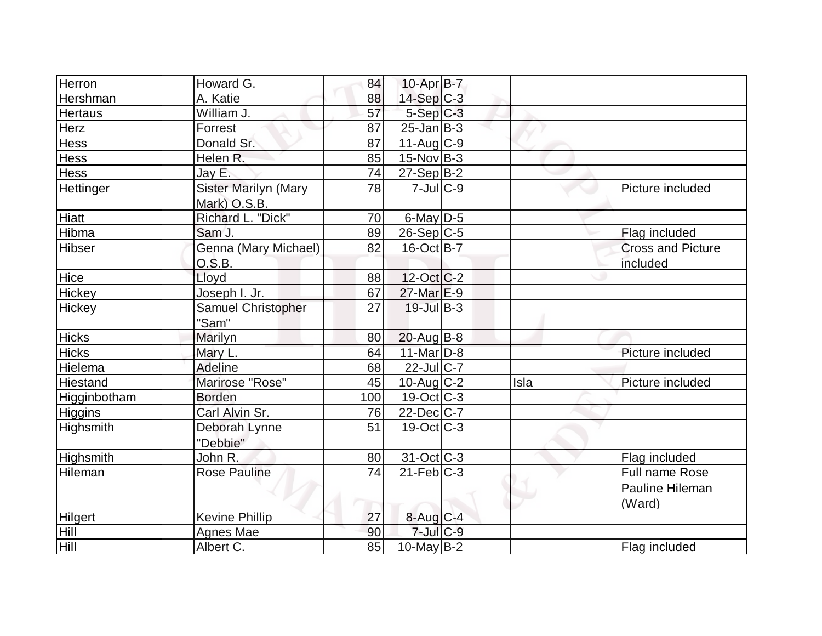| Herron           | Howard G.                   | 84  | $10-Apr$ B-7            |      |                          |
|------------------|-----------------------------|-----|-------------------------|------|--------------------------|
| Hershman         | A. Katie                    | 88  | $14-Sep C-3$            |      |                          |
| <b>Hertaus</b>   | William J.                  | 57  | $5-Sep C-3$             |      |                          |
| Herz             | Forrest                     | 87  | $25$ -Jan $ B-3 $       |      |                          |
| <b>Hess</b>      | Donald Sr.                  | 87  | $11-Auq$ <sub>C-9</sub> |      |                          |
| <b>Hess</b>      | Helen R.                    | 85  | $15$ -Nov B-3           |      |                          |
| Hess             | Jay E.                      | 74  | $27-Sep$ B-2            |      |                          |
| Hettinger        | <b>Sister Marilyn (Mary</b> | 78  | $7$ -Jul $ C$ -9        |      | Picture included         |
|                  | Mark) O.S.B.                |     |                         |      |                          |
| Hiatt            | Richard L. "Dick"           | 70  | $6$ -May $D-5$          |      |                          |
| Hibma            | Sam J.                      | 89  | $26-Sep C-5$            |      | Flag included            |
| Hibser           | Genna (Mary Michael)        | 82  | $16$ -Oct B-7           |      | <b>Cross and Picture</b> |
|                  | O.S.B.                      |     |                         |      | included                 |
| Hice             | Lloyd                       | 88  | $12$ -Oct $ C-2 $       |      |                          |
| Hickey           | Joseph I. Jr.               | 67  | $27$ -Mar $E-9$         |      |                          |
| Hickey           | Samuel Christopher          | 27  | $19$ -Jul B-3           |      |                          |
|                  | "Sam"                       |     |                         |      |                          |
| <b>Hicks</b>     | Marilyn                     | 80  | $20$ -Aug $B$ -8        |      |                          |
| <b>Hicks</b>     | Mary L.                     | 64  | $11$ -Mar $D-8$         |      | Picture included         |
| Hielema          | <b>Adeline</b>              | 68  | $22$ -Jul C-7           |      |                          |
| Hiestand         | Marirose "Rose"             | 45  | $10$ -Aug C-2           | Isla | Picture included         |
| Higginbotham     | <b>Borden</b>               | 100 | $19-Oct$ C-3            |      |                          |
| <b>Higgins</b>   | Carl Alvin Sr.              | 76  | $22$ -Dec $ C-7 $       |      |                          |
| Highsmith        | Deborah Lynne               | 51  | $19-Oct$ $C-3$          |      |                          |
|                  | "Debbie"                    |     |                         |      |                          |
| <b>Highsmith</b> | John R.                     | 80  | $31-Oct$ $C-3$          |      | Flag included            |
| Hileman          | <b>Rose Pauline</b>         | 74  | $21$ -Feb $C-3$         |      | <b>Full name Rose</b>    |
|                  |                             |     |                         |      | Pauline Hileman          |
|                  |                             |     |                         |      | (Ward)                   |
| Hilgert          | <b>Kevine Phillip</b>       | 27  | $8$ -Aug $C-4$          |      |                          |
| <b>Hill</b>      | Agnes Mae                   | 90  | $7$ -Jul $C$ -9         |      |                          |
| <b>Hill</b>      | Albert C.                   | 85  | $10$ -May B-2           |      | Flag included            |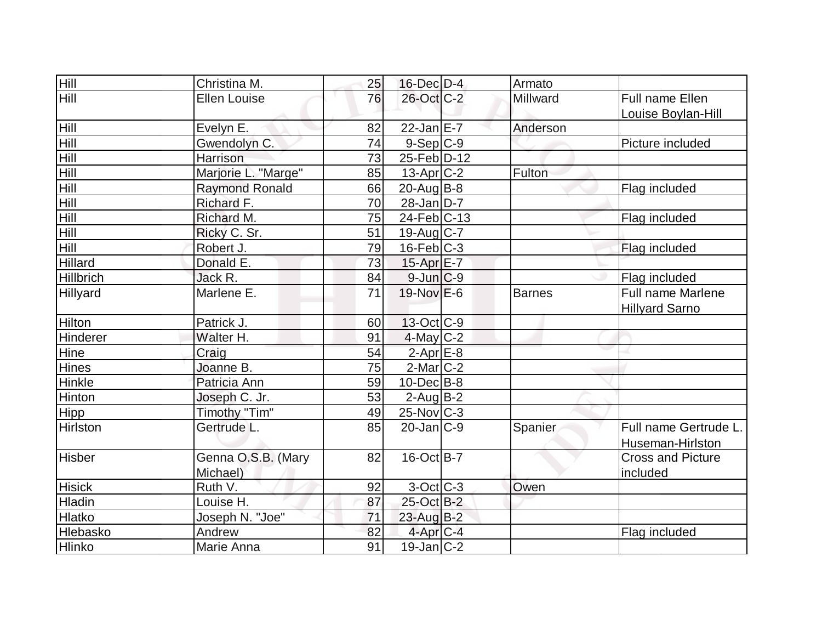| Hill             | Christina M.          | 25 | $16$ -Dec $D-4$   | Armato   |                          |
|------------------|-----------------------|----|-------------------|----------|--------------------------|
| Hill             | <b>Ellen Louise</b>   | 76 | 26-Oct C-2        | Millward | Full name Ellen          |
|                  |                       |    |                   |          | Louise Boylan-Hill       |
| Hill             | Evelyn E.             | 82 | $22$ -Jan $E-7$   | Anderson |                          |
| Hill             | Gwendolyn C.          | 74 | $9-Sep C-9$       |          | Picture included         |
| Hill             | Harrison              | 73 | 25-Feb D-12       |          |                          |
| Hill             | Marjorie L. "Marge"   | 85 | $13$ -Apr $ C-2 $ | Fulton   |                          |
| Hill             | <b>Raymond Ronald</b> | 66 | $20$ -Aug $B$ -8  |          | Flag included            |
| Hill             | Richard F.            | 70 | $28$ -Jan D-7     |          |                          |
| <b>Hill</b>      | Richard M.            | 75 | 24-Feb C-13       |          | Flag included            |
| Hill             | Ricky C. Sr.          | 51 | $19$ -Aug C-7     |          |                          |
| Hill             | Robert J.             | 79 | $16$ -Feb $ C-3 $ |          | Flag included            |
| Hillard          | Donald E.             | 73 | 15-Apr E-7        |          |                          |
| <b>Hillbrich</b> | Jack R.               | 84 | $9$ -Jun $C-9$    |          | Flag included            |
| <b>Hillyard</b>  | Marlene E.            | 71 | 19-Nov E-6        | Barnes   | <b>Full name Marlene</b> |
|                  |                       |    |                   |          | <b>Hillyard Sarno</b>    |
| Hilton           | Patrick J.            | 60 | $13-Oct$ $C-9$    |          |                          |
| Hinderer         | Walter H.             | 91 | $4$ -May C-2      |          |                          |
| Hine             | Craig                 | 54 | $2$ -Apr $E-8$    |          |                          |
| Hines            | Joanne B.             | 75 | $2$ -Mar $ C-2 $  |          |                          |
| Hinkle           | Patricia Ann          | 59 | $10$ -Dec $B$ -8  |          |                          |
| Hinton           | Joseph C. Jr.         | 53 | $2$ -Aug $B - 2$  |          |                          |
| Hipp             | Timothy "Tim"         | 49 | $25$ -Nov $C-3$   |          |                          |
| Hirlston         | Gertrude L.           | 85 | $20$ -Jan $ C-9 $ | Spanier  | Full name Gertrude L.    |
|                  |                       |    |                   |          | Huseman-Hirlston         |
| <b>Hisber</b>    | Genna O.S.B. (Mary    | 82 | $16$ -Oct B-7     |          | <b>Cross and Picture</b> |
|                  | Michael)              |    |                   |          | included                 |
| <b>Hisick</b>    | Ruth V.               | 92 | 3-Oct C-3         | Owen     |                          |
| Hladin           | Louise H.             | 87 | 25-Oct B-2        |          |                          |
| Hlatko           | Joseph N. "Joe"       | 71 | 23-Aug B-2        |          |                          |
| Hlebasko         | Andrew                | 82 | $4$ -Apr $C-4$    |          | Flag included            |
| Hlinko           | Marie Anna            | 91 | $19$ -Jan $ C-2 $ |          |                          |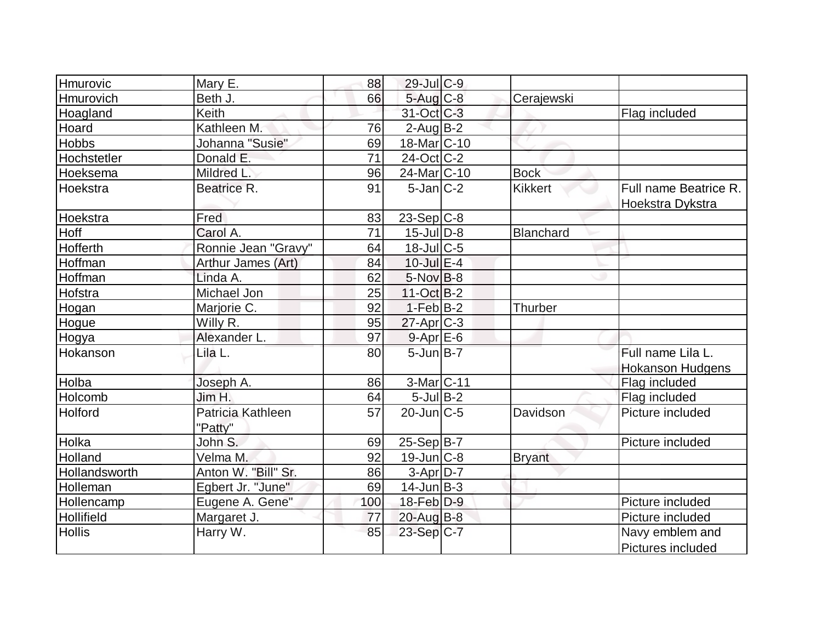| Hmurovic      | Mary E.             | 88  | 29-Jul C-9       |                |                         |
|---------------|---------------------|-----|------------------|----------------|-------------------------|
| Hmurovich     | Beth J.             | 66  | 5-Aug C-8        | Cerajewski     |                         |
| Hoagland      | <b>Keith</b>        |     | 31-Oct C-3       |                | Flag included           |
| Hoard         | Kathleen M.         | 76  | $2$ -Aug $B-2$   |                |                         |
| <b>Hobbs</b>  | Johanna "Susie"     | 69  | 18-Mar C-10      |                |                         |
| Hochstetler   | Donald E.           | 71  | 24-Oct C-2       |                |                         |
| Hoeksema      | Mildred L.          | 96  | 24-Mar C-10      | <b>Bock</b>    |                         |
| Hoekstra      | Beatrice R.         | 91  | $5$ -Jan $ C-2 $ | <b>Kikkert</b> | Full name Beatrice R.   |
|               |                     |     |                  |                | Hoekstra Dykstra        |
| Hoekstra      | Fred                | 83  | $23-Sep C-8$     |                |                         |
| Hoff          | Carol A.            | 71  | $15$ -JulD-8     | Blanchard      |                         |
| Hofferth      | Ronnie Jean "Gravy" | 64  | 18-Jul C-5       |                |                         |
| Hoffman       | Arthur James (Art)  | 84  | $10$ -Jul $E-4$  |                |                         |
| Hoffman       | Linda A.            | 62  | $5-Nov$ B-8      |                |                         |
| Hofstra       | Michael Jon         | 25  | $11-Oct$ B-2     |                |                         |
| Hogan         | Marjorie C.         | 92  | $1-Feb$ B-2      | Thurber        |                         |
| Hogue         | Willy R.            | 95  | $27$ -Apr $C-3$  |                |                         |
| Hogya         | Alexander L.        | 97  | $9 - Apr$ $E-6$  |                |                         |
| Hokanson      | Lila L.             | 80  | $5$ -Jun $B$ -7  |                | Full name Lila L.       |
|               |                     |     |                  |                | <b>Hokanson Hudgens</b> |
| Holba         | Joseph A.           | 86  | 3-Mar C-11       |                | Flag included           |
| Holcomb       | Jim H.              | 64  | $5$ -Jul $B-2$   |                | Flag included           |
| Holford       | Patricia Kathleen   | 57  | $20$ -Jun $C-5$  | Davidson       | Picture included        |
|               | "Patty"             |     |                  |                |                         |
| Holka         | John S.             | 69  | $25-Sep B-7$     |                | Picture included        |
| Holland       | Velma M.            | 92  | $19$ -Jun $C-8$  | <b>Bryant</b>  |                         |
| Hollandsworth | Anton W. "Bill" Sr. | 86  | $3-Apr$ D-7      |                |                         |
| Holleman      | Egbert Jr. "June"   | 69  | 14-Jun B-3       |                |                         |
| Hollencamp    | Eugene A. Gene"     | 100 | $18$ -Feb $D-9$  |                | Picture included        |
| Hollifield    | Margaret J.         | 77  | $20$ -Aug $B-8$  |                | Picture included        |
| <b>Hollis</b> | Harry W.            | 85  | 23-Sep C-7       |                | Navy emblem and         |
|               |                     |     |                  |                | Pictures included       |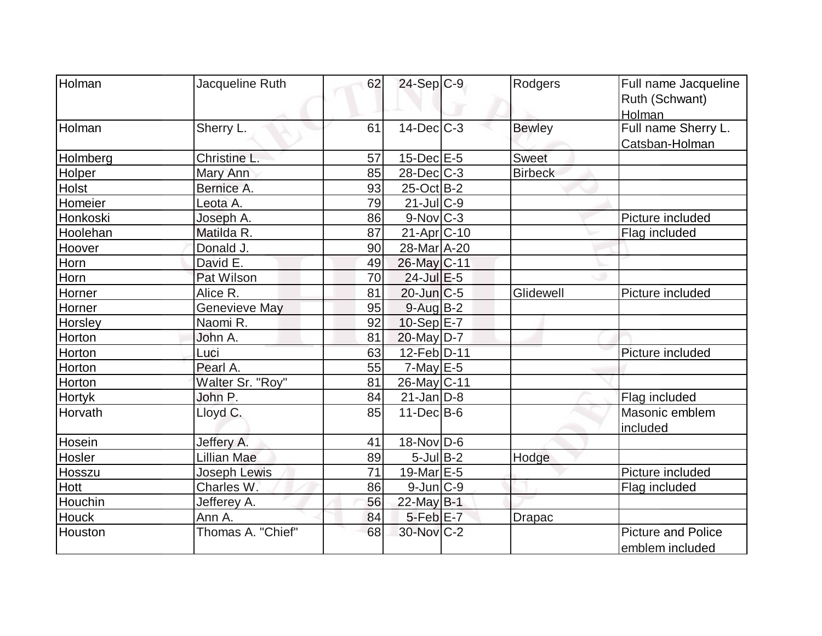| Holman        | Jacqueline Ruth      | 62 | $24-Sep C-9$           | Rodgers        | Full name Jacqueline      |
|---------------|----------------------|----|------------------------|----------------|---------------------------|
|               |                      |    |                        |                | Ruth (Schwant)            |
|               |                      |    |                        |                | Holman                    |
| Holman        | Sherry L.            | 61 | $14$ -Dec $C$ -3       | <b>Bewley</b>  | Full name Sherry L.       |
|               |                      |    |                        |                | Catsban-Holman            |
| Holmberg      | Christine L.         | 57 | $15$ -Dec $E$ -5       | <b>Sweet</b>   |                           |
| Holper        | Mary Ann             | 85 | $28$ -Dec $C$ -3       | <b>Birbeck</b> |                           |
| Holst         | Bernice A.           | 93 | $25$ -Oct B-2          |                |                           |
| Homeier       | Leota A.             | 79 | $21$ -Jul C-9          |                |                           |
| Honkoski      | Joseph A.            | 86 | $9-Nov$ <sub>C-3</sub> |                | Picture included          |
| Hoolehan      | Matilda R.           | 87 | $21-Apr$ $C-10$        |                | Flag included             |
| Hoover        | Donald J.            | 90 | 28-Mar A-20            |                |                           |
| Horn          | David E.             | 49 | 26-May C-11            |                |                           |
| Horn          | Pat Wilson           | 70 | $24$ -Jul $E-5$        |                |                           |
| Horner        | Alice R.             | 81 | $20$ -Jun $ C$ -5      | Glidewell      | Picture included          |
| Horner        | <b>Genevieve May</b> | 95 | $9-Aug$ B-2            |                |                           |
| Horsley       | Naomi R.             | 92 | $10-Sep$ $E-7$         |                |                           |
| Horton        | John A.              | 81 | $20$ -May D-7          |                |                           |
| Horton        | Luci                 | 63 | 12-Feb D-11            |                | Picture included          |
| Horton        | Pearl A.             | 55 | $7$ -May $E$ -5        |                |                           |
| Horton        | Walter Sr. "Roy"     | 81 | 26-May C-11            |                |                           |
| <b>Hortyk</b> | John P.              | 84 | $21$ -Jan $ D-8$       |                | Flag included             |
| Horvath       | Lloyd C.             | 85 | $11 - Dec$ B-6         |                | Masonic emblem            |
|               |                      |    |                        |                | included                  |
| Hosein        | Jeffery A.           | 41 | $18-Nov D-6$           |                |                           |
| Hosler        | Lillian Mae          | 89 | $5$ -Jul B-2           | Hodge          |                           |
| Hosszu        | <b>Joseph Lewis</b>  | 71 | 19-Mar $E-5$           |                | Picture included          |
| <b>Hott</b>   | Charles W.           | 86 | $9$ -Jun $ C-9$        |                | Flag included             |
| Houchin       | Jefferey A.          | 56 | 22-May $B-1$           |                |                           |
| <b>Houck</b>  | Ann A.               | 84 | $5$ -Feb $E$ -7        | <b>Drapac</b>  |                           |
| Houston       | Thomas A. "Chief"    | 68 | 30-Nov C-2             |                | <b>Picture and Police</b> |
|               |                      |    |                        |                | emblem included           |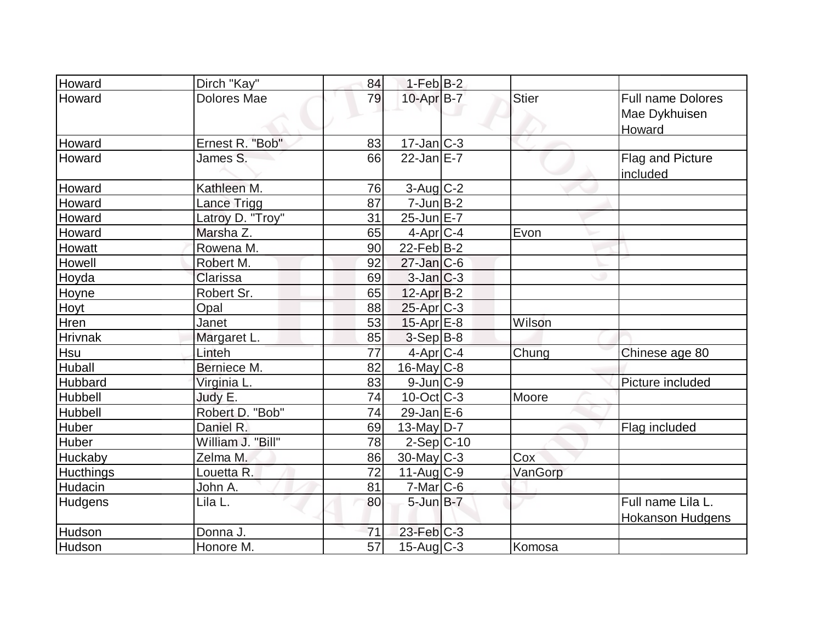| <b>Howard</b>    | Dirch "Kay"        | 84 | $1-Feb$ B-2             |              |                                                     |
|------------------|--------------------|----|-------------------------|--------------|-----------------------------------------------------|
| Howard           | <b>Dolores Mae</b> | 79 | $10$ -Apr $B$ -7        | <b>Stier</b> | <b>Full name Dolores</b><br>Mae Dykhuisen<br>Howard |
| Howard           | Ernest R. "Bob"    | 83 | $17 - Jan$ $C-3$        |              |                                                     |
| Howard           | James S.           | 66 | $22$ -Jan E-7           |              | <b>Flag and Picture</b><br>included                 |
| Howard           | Kathleen M.        | 76 | $3$ -Aug $C-2$          |              |                                                     |
| Howard           | Lance Trigg        | 87 | $7$ -Jun $B-2$          |              |                                                     |
| Howard           | Latroy D. "Troy"   | 31 | $25$ -Jun $E-7$         |              |                                                     |
| Howard           | Marsha Z.          | 65 | $4$ -Apr $ C-4 $        | Evon         |                                                     |
| Howatt           | Rowena M.          | 90 | $22$ -Feb $ B-2 $       |              |                                                     |
| Howell           | Robert M.          | 92 | $27$ -Jan $ C$ -6       |              |                                                     |
| Hoyda            | Clarissa           | 69 | $3$ -Jan $C-3$          |              |                                                     |
| Hoyne            | Robert Sr.         | 65 | $12$ -Apr $B-2$         |              |                                                     |
| <b>Hoyt</b>      | Opal               | 88 | $25$ -Apr $C-3$         |              |                                                     |
| Hren             | Janet              | 53 | $15$ -Apr $E-8$         | Wilson       |                                                     |
| <b>Hrivnak</b>   | Margaret L.        | 85 | $3-Sep B-8$             |              |                                                     |
| Hsu              | Linteh             | 77 | $4$ -Apr $C-4$          | Chung        | Chinese age 80                                      |
| <b>Huball</b>    | Berniece M.        | 82 | $16$ -May C-8           |              |                                                     |
| Hubbard          | Virginia L.        | 83 | 9-Jun C-9               |              | Picture included                                    |
| Hubbell          | Judy E.            | 74 | $10$ -Oct $ C-3 $       | Moore        |                                                     |
| Hubbell          | Robert D. "Bob"    | 74 | $29$ -Jan E-6           |              |                                                     |
| Huber            | Daniel R.          | 69 | $13$ -May D-7           |              | Flag included                                       |
| Huber            | William J. "Bill"  | 78 | $2-Sep C-10$            |              |                                                     |
| Huckaby          | Zelma M.           | 86 | $30$ -May C-3           | Cox          |                                                     |
| <b>Hucthings</b> | Louetta R.         | 72 | $11-Aug$ <sub>C-9</sub> | VanGorp      |                                                     |
| Hudacin          | John A.            | 81 | $7-Mar$ $C-6$           |              |                                                     |
| <b>Hudgens</b>   | Lila L.            | 80 | $5$ -Jun $B$ -7         |              | Full name Lila L.<br><b>Hokanson Hudgens</b>        |
| Hudson           | Donna J.           | 71 | 23-Feb C-3              |              |                                                     |
| Hudson           | Honore M.          | 57 | 15-Aug C-3              | Komosa       |                                                     |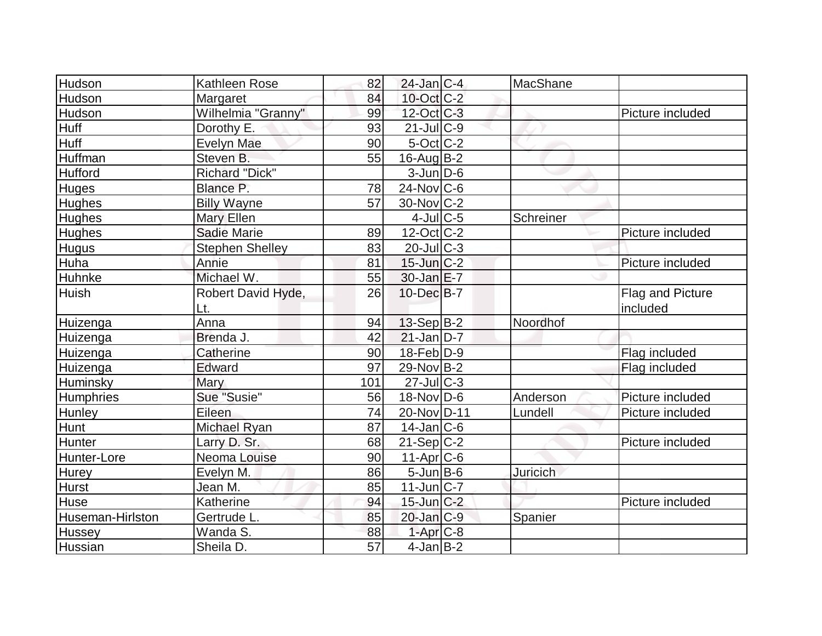| Hudson           | Kathleen Rose          | 82              | $24$ -Jan $ C-4 $ | MacShane  |                         |
|------------------|------------------------|-----------------|-------------------|-----------|-------------------------|
| Hudson           | Margaret               | 84              | 10-Oct C-2        |           |                         |
| Hudson           | Wilhelmia "Granny"     | 99              | 12-Oct C-3        |           | Picture included        |
| <b>Huff</b>      | Dorothy E.             | 93              | $21$ -JulC-9      |           |                         |
| Huff             | Evelyn Mae             | 90              | 5-Oct C-2         |           |                         |
| Huffman          | Steven B.              | 55              | $16$ -Aug $B-2$   |           |                         |
| Hufford          | <b>Richard "Dick"</b>  |                 | $3$ -Jun $D-6$    |           |                         |
| <b>Huges</b>     | Blance P.              | 78              | $24$ -Nov $C$ -6  |           |                         |
| Hughes           | <b>Billy Wayne</b>     | 57              | $30$ -Nov $ C-2 $ |           |                         |
| Hughes           | <b>Mary Ellen</b>      |                 | $4$ -Jul $C$ -5   | Schreiner |                         |
| Hughes           | Sadie Marie            | 89              | $12$ -Oct $ C-2 $ |           | Picture included        |
| <b>Hugus</b>     | <b>Stephen Shelley</b> | 83              | $20$ -JulC-3      |           |                         |
| Huha             | Annie                  | 81              | $15$ -Jun $C-2$   |           | Picture included        |
| Huhnke           | Michael W.             | 55              | $30$ -Jan $E-7$   |           |                         |
| <b>Huish</b>     | Robert David Hyde,     | 26              | $10$ -Dec $B$ -7  |           | <b>Flag and Picture</b> |
|                  | Lt.                    |                 |                   |           | included                |
| Huizenga         | Anna                   | 94              | $13-Sep B-2$      | Noordhof  |                         |
| Huizenga         | Brenda J.              | 42              | $21$ -Jan D-7     |           |                         |
| Huizenga         | Catherine              | 90              | $18$ -Feb $ D-9$  |           | Flag included           |
| Huizenga         | Edward                 | 97              | 29-Nov B-2        |           | Flag included           |
| Huminsky         | Mary                   | 101             | $27$ -Jul $C-3$   |           |                         |
| Humphries        | Sue "Susie"            | 56              | $18-Nov D-6$      | Anderson  | Picture included        |
| Hunley           | Eileen                 | 74              | 20-Nov D-11       | Lundell   | Picture included        |
| Hunt             | <b>Michael Ryan</b>    | 87              | $14$ -Jan $ C-6 $ |           |                         |
| Hunter           | Larry D. Sr.           | 68              | $21-Sep C-2$      |           | Picture included        |
| Hunter-Lore      | Neoma Louise           | 90              | 11-Apr C-6        |           |                         |
| Hurey            | Evelyn M.              | 86              | $5$ -Jun $B$ -6   | Juricich  |                         |
| <b>Hurst</b>     | Jean M.                | 85              | $11$ -Jun $ C-7 $ |           |                         |
| Huse             | Katherine              | 94              | $15$ -Jun $C-2$   |           | Picture included        |
| Huseman-Hirlston | Gertrude L.            | 85              | $20$ -Jan $ C-9 $ | Spanier   |                         |
| <b>Hussey</b>    | Wanda S.               | 88              | $1-AprC-8$        |           |                         |
| Hussian          | Sheila D.              | $\overline{57}$ | $4$ -Jan $B-2$    |           |                         |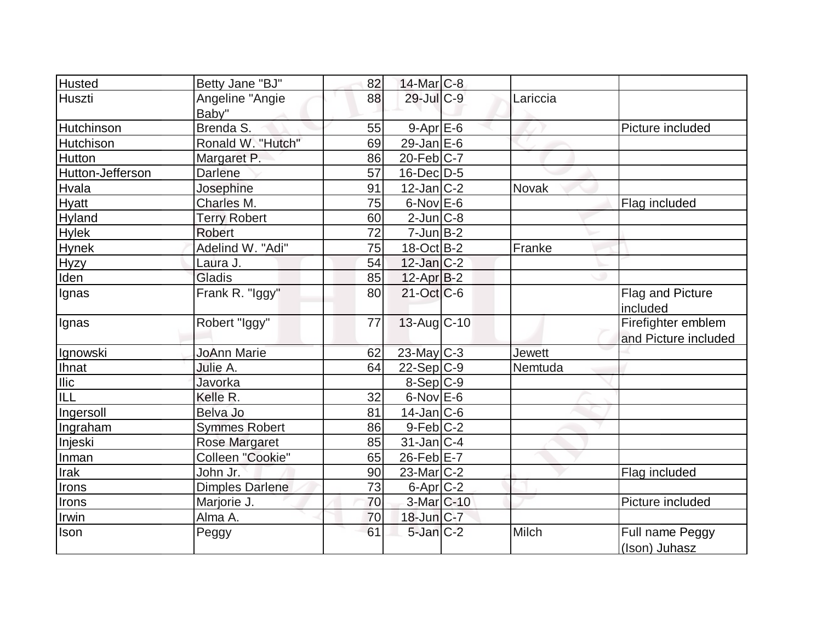| <b>Husted</b>    | Betty Jane "BJ"          | 82 | 14-Mar C-8           |          |                                            |
|------------------|--------------------------|----|----------------------|----------|--------------------------------------------|
| Huszti           | Angeline "Angie<br>Baby" | 88 | $29$ -Jul $C-9$      | Lariccia |                                            |
| Hutchinson       | Brenda S.                | 55 | $9 - Apr$ $E-6$      |          | Picture included                           |
| Hutchison        | Ronald W. "Hutch"        | 69 | 29-Jan $E-6$         |          |                                            |
| Hutton           | Margaret P.              | 86 | $20$ -Feb $ C-7 $    |          |                                            |
| Hutton-Jefferson | <b>Darlene</b>           | 57 | $16$ -Dec $D-5$      |          |                                            |
| Hvala            | Josephine                | 91 | $12$ -Jan $ C-2 $    | Novak    |                                            |
| Hyatt            | Charles M.               | 75 | $6$ -Nov $E$ -6      |          | Flag included                              |
| Hyland           | <b>Terry Robert</b>      | 60 | $2$ -Jun $ C-8 $     |          |                                            |
| <b>Hylek</b>     | <b>Robert</b>            | 72 | $7$ -Jun $B-2$       |          |                                            |
| <b>Hynek</b>     | Adelind W. "Adi"         | 75 | $18-Oct$ B-2         | Franke   |                                            |
| <b>Hyzy</b>      | Laura J.                 | 54 | $12$ -Jan $ C-2 $    |          |                                            |
| Iden             | Gladis                   | 85 | $12$ -Apr $ B-2 $    |          |                                            |
| Ignas            | Frank R. "Iggy"          | 80 | $21-Oct$ $C-6$       |          | <b>Flag and Picture</b><br>included        |
| Ignas            | Robert "Iggy"            | 77 | 13-Aug C-10          |          | Firefighter emblem<br>and Picture included |
| Ignowski         | <b>JoAnn Marie</b>       | 62 | $23$ -May C-3        | Jewett   |                                            |
| <b>Ihnat</b>     | Julie A.                 | 64 | $22-Sep C-9$         | Nemtuda  |                                            |
| <b>Ilic</b>      | Javorka                  |    | 8-Sep C-9            |          |                                            |
| ILL              | Kelle R.                 | 32 | $6$ -Nov $E$ -6      |          |                                            |
| Ingersoll        | Belva Jo                 | 81 | $14$ -Jan $ C-6$     |          |                                            |
| Ingraham         | <b>Symmes Robert</b>     | 86 | $9-Feb C-2$          |          |                                            |
| Injeski          | <b>Rose Margaret</b>     | 85 | $31$ -Jan C-4        |          |                                            |
| Inman            | Colleen "Cookie"         | 65 | $26$ -Feb $E$ -7     |          |                                            |
| Irak             | John Jr.                 | 90 | $23$ -Mar $ C-2 $    |          | Flag included                              |
| Irons            | <b>Dimples Darlene</b>   | 73 | 6-Apr <sub>C-2</sub> |          |                                            |
| Irons            | Marjorie J.              | 70 | 3-Mar C-10           |          | Picture included                           |
| Irwin            | Alma A.                  | 70 | $18$ -Jun $ C-7 $    |          |                                            |
| Ison             | Peggy                    | 61 | $5$ -Jan $C-2$       | Milch    | Full name Peggy<br>(Ison) Juhasz           |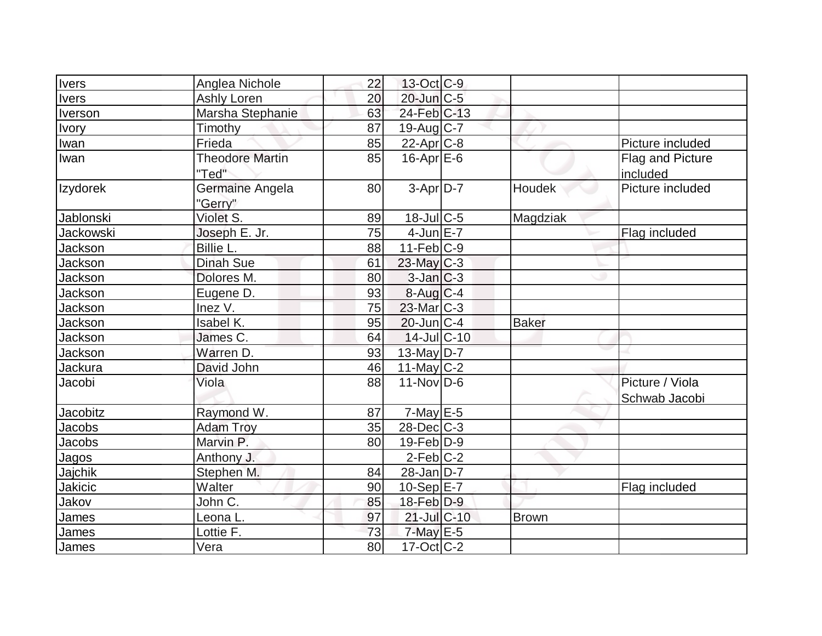| <b>Ivers</b>     | Anglea Nichole                  | 22 | 13-Oct C-9        |              |                                  |
|------------------|---------------------------------|----|-------------------|--------------|----------------------------------|
| <b>Ivers</b>     | <b>Ashly Loren</b>              | 20 | 20-Jun C-5        |              |                                  |
| Iverson          | Marsha Stephanie                | 63 | $24$ -Feb $C-13$  |              |                                  |
| <b>Ivory</b>     | Timothy                         | 87 | $19$ -Aug C-7     |              |                                  |
| Iwan             | Frieda                          | 85 | $22$ -Apr $C-8$   |              | Picture included                 |
| Iwan             | <b>Theodore Martin</b><br>"Ted" | 85 | $16$ -Apr $E$ -6  |              | Flag and Picture<br>included     |
| Izydorek         | Germaine Angela<br>"Gerry"      | 80 | $3-Apr$ D-7       | Houdek       | Picture included                 |
| Jablonski        | Violet S.                       | 89 | $18$ -Jul $C$ -5  | Magdziak     |                                  |
| <b>Jackowski</b> | Joseph E. Jr.                   | 75 | $4$ -Jun $E-7$    |              | Flag included                    |
| Jackson          | Billie L.                       | 88 | $11-Feb$ C-9      |              |                                  |
| Jackson          | <b>Dinah Sue</b>                | 61 | $23$ -May C-3     |              |                                  |
| Jackson          | Dolores M.                      | 80 | $3$ -Jan $ C-3 $  |              |                                  |
| <b>Jackson</b>   | Eugene D.                       | 93 | $8-Aug$ $C-4$     |              |                                  |
| Jackson          | Inez V.                         | 75 | $23$ -Mar $ C-3 $ |              |                                  |
| Jackson          | Isabel K.                       | 95 | $20$ -Jun $ C-4 $ | <b>Baker</b> |                                  |
| <b>Jackson</b>   | James C.                        | 64 | 14-Jul C-10       |              |                                  |
| Jackson          | Warren D.                       | 93 | 13-May $D-7$      |              |                                  |
| Jackura          | David John                      | 46 | $11$ -May C-2     |              |                                  |
| Jacobi           | Viola                           | 88 | $11-Nov D-6$      |              | Picture / Viola<br>Schwab Jacobi |
| <b>Jacobitz</b>  | Raymond W.                      | 87 | $7$ -May $E$ -5   |              |                                  |
| Jacobs           | <b>Adam Troy</b>                | 35 | $28$ -Dec $C-3$   |              |                                  |
| Jacobs           | Marvin P.                       | 80 | $19$ -Feb $ D-9 $ |              |                                  |
| <b>Jagos</b>     | Anthony J.                      |    | $2$ -Feb $C-2$    |              |                                  |
| Jajchik          | Stephen M.                      | 84 | $28$ -Jan D-7     |              |                                  |
| Jakicic          | Walter                          | 90 | 10-Sep $E-7$      |              | Flag included                    |
| Jakov            | John C.                         | 85 | 18-Feb D-9        |              |                                  |
| James            | Leona L.                        | 97 | 21-Jul C-10       | <b>Brown</b> |                                  |
| <b>James</b>     | Lottie F.                       | 73 | $7$ -May $E - 5$  |              |                                  |
| James            | Vera                            | 80 | $17$ -Oct $ C-2 $ |              |                                  |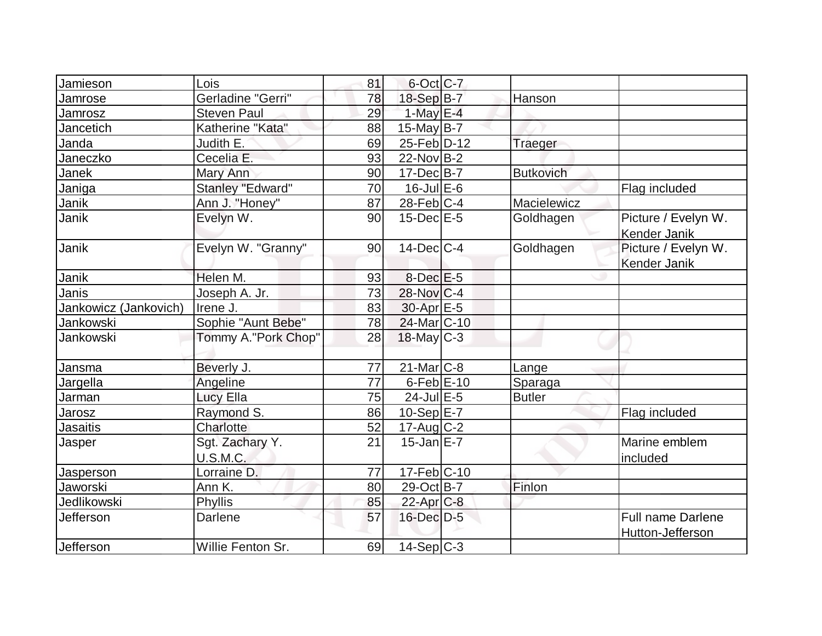| Jamieson              | Lois                | 81 | 6-Oct C-7               |                  |                          |
|-----------------------|---------------------|----|-------------------------|------------------|--------------------------|
| Jamrose               | Gerladine "Gerri"   | 78 | 18-Sep B-7              | Hanson           |                          |
| Jamrosz               | <b>Steven Paul</b>  | 29 | 1-May $E-4$             |                  |                          |
| Jancetich             | Katherine "Kata"    | 88 | $15$ -May B-7           |                  |                          |
| Janda                 | Judith E.           | 69 | 25-Feb D-12             | Traeger          |                          |
| Janeczko              | Cecelia E.          | 93 | $22$ -Nov $B-2$         |                  |                          |
| Janek                 | Mary Ann            | 90 | $17 - Dec$ B-7          | <b>Butkovich</b> |                          |
| Janiga                | Stanley "Edward"    | 70 | $16$ -Jul $E$ -6        |                  | Flag included            |
| Janik                 | Ann J. "Honey"      | 87 | $28$ -Feb $ C-4 $       | Macielewicz      |                          |
| Janik                 | Evelyn W.           | 90 | $15$ -Dec $E$ -5        | Goldhagen        | Picture / Evelyn W.      |
|                       |                     |    |                         |                  | Kender Janik             |
| Janik                 | Evelyn W. "Granny"  | 90 | $14$ -Dec $C-4$         | Goldhagen        | Picture / Evelyn W.      |
|                       |                     |    |                         |                  | Kender Janik             |
| Janik                 | Helen M.            | 93 | $8$ -Dec $E$ -5         |                  |                          |
| Janis                 | Joseph A. Jr.       | 73 | $28$ -Nov $ C-4 $       |                  |                          |
| Jankowicz (Jankovich) | Irene J.            | 83 | $30$ -Apr $E - 5$       |                  |                          |
| Jankowski             | Sophie "Aunt Bebe"  | 78 | 24-Mar <sub>IC-10</sub> |                  |                          |
| Jankowski             | Tommy A."Pork Chop" | 28 | $18$ -May $C-3$         |                  |                          |
|                       |                     |    |                         |                  |                          |
| Jansma                | Beverly J.          | 77 | $21$ -Mar $ C-8 $       | Lange            |                          |
| Jargella              | Angeline            | 77 | $6$ -Feb $E$ -10        | Sparaga          |                          |
| Jarman                | <b>Lucy Ella</b>    | 75 | $24$ -Jul $E-5$         | <b>Butler</b>    |                          |
| Jarosz                | Raymond S.          | 86 | $10-Sep$ $E-7$          |                  | Flag included            |
| Jasaitis              | Charlotte           | 52 | $17$ -Aug $C-2$         |                  |                          |
| Jasper                | Sgt. Zachary Y.     | 21 | $15$ -Jan $E - 7$       |                  | Marine emblem            |
|                       | U.S.M.C.            |    |                         |                  | included                 |
| Jasperson             | Lorraine D.         | 77 | $17-Feb$ C-10           |                  |                          |
| Jaworski              | Ann K.              | 80 | 29-Oct B-7              | Finlon           |                          |
| Jedlikowski           | <b>Phyllis</b>      | 85 | $22$ -Apr $C-8$         |                  |                          |
| Jefferson             | Darlene             | 57 | 16-Dec D-5              |                  | <b>Full name Darlene</b> |
|                       |                     |    |                         |                  | Hutton-Jefferson         |
| <b>Jefferson</b>      | Willie Fenton Sr.   | 69 | $14-Sep C-3$            |                  |                          |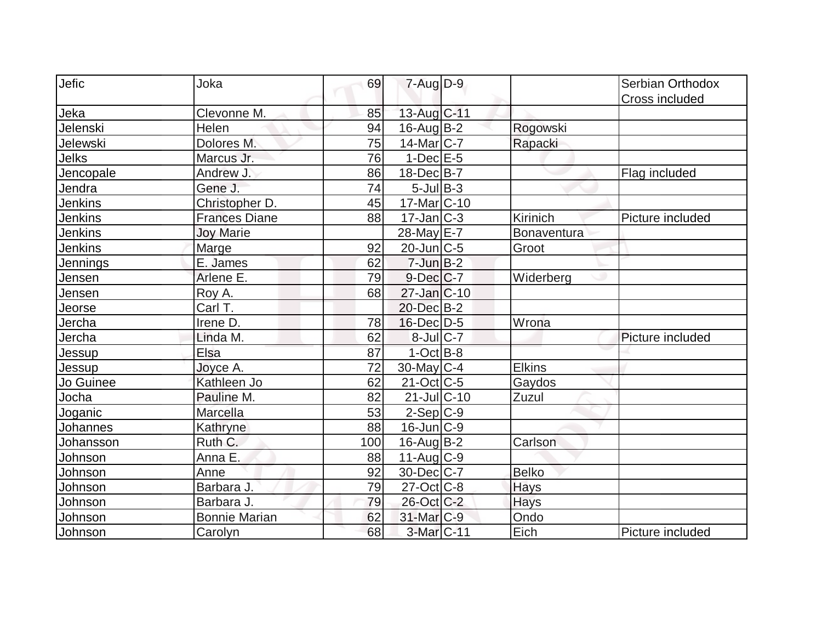| Jefic          | Joka                 | 69  | $7 - Aug$ $D-9$          |               | Serbian Orthodox |
|----------------|----------------------|-----|--------------------------|---------------|------------------|
|                |                      |     |                          |               | Cross included   |
| Jeka           | Clevonne M.          | 85  | 13-Aug C-11              |               |                  |
| Jelenski       | Helen                | 94  | $16$ -Aug $B-2$          | Rogowski      |                  |
| Jelewski       | Dolores M.           | 75  | $14$ -Mar $ C-7 $        | Rapacki       |                  |
| Jelks          | Marcus Jr.           | 76  | $1-Dec$ $E-5$            |               |                  |
| Jencopale      | Andrew J.            | 86  | 18-Dec B-7               |               | Flag included    |
| Jendra         | Gene J.              | 74  | $5$ -Jul B-3             |               |                  |
| <b>Jenkins</b> | Christopher D.       | 45  | 17-Mar <sub>IC</sub> -10 |               |                  |
| Jenkins        | <b>Frances Diane</b> | 88  | $17$ -Jan $C-3$          | Kirinich      | Picture included |
| <b>Jenkins</b> | <b>Joy Marie</b>     |     | 28-May E-7               | Bonaventura   |                  |
| Jenkins        | Marge                | 92  | $20$ -Jun $ C-5 $        | Groot         |                  |
| Jennings       | E. James             | 62  | $7$ -Jun $B-2$           |               |                  |
| Jensen         | Arlene E.            | 79  | $9$ -Dec $C$ -7          | Widerberg     |                  |
| Jensen         | Roy A.               | 68  | $27$ -Jan $ C-10$        |               |                  |
| Jeorse         | Carl T.              |     | 20-Dec B-2               |               |                  |
| Jercha         | Irene D.             | 78  | $16$ -Dec $D-5$          | Wrona         |                  |
| Jercha         | Linda M.             | 62  | $8$ -Jul $C$ -7          |               | Picture included |
| Jessup         | Elsa                 | 87  | $1-Oct$ B-8              |               |                  |
| Jessup         | Joyce A.             | 72  | $30$ -May C-4            | <b>Elkins</b> |                  |
| Jo Guinee      | Kathleen Jo          | 62  | $21-Oct$ $C-5$           | Gaydos        |                  |
| Jocha          | Pauline M.           | 82  | $21$ -JulC-10            | Zuzul         |                  |
| Joganic        | Marcella             | 53  | $2-Sep C-9$              |               |                  |
| Johannes       | Kathryne             | 88  | $16$ -Jun $ C-9 $        |               |                  |
| Johansson      | Ruth C.              | 100 | $16$ -Aug $B$ -2         | Carlson       |                  |
| Johnson        | Anna E.              | 88  | $11-Aug$ <sub>C-9</sub>  |               |                  |
| Johnson        | Anne                 | 92  | 30-Dec C-7               | <b>Belko</b>  |                  |
| Johnson        | Barbara J.           | 79  | $27$ -Oct $ C-8 $        | <b>Hays</b>   |                  |
| Johnson        | Barbara J.           | 79  | 26-Oct C-2               | Hays          |                  |
| Johnson        | <b>Bonnie Marian</b> | 62  | 31-Mar <sub>IC-9</sub>   | Ondo          |                  |
| Johnson        | Carolyn              | 68  | 3-Mar C-11               | Eich          | Picture included |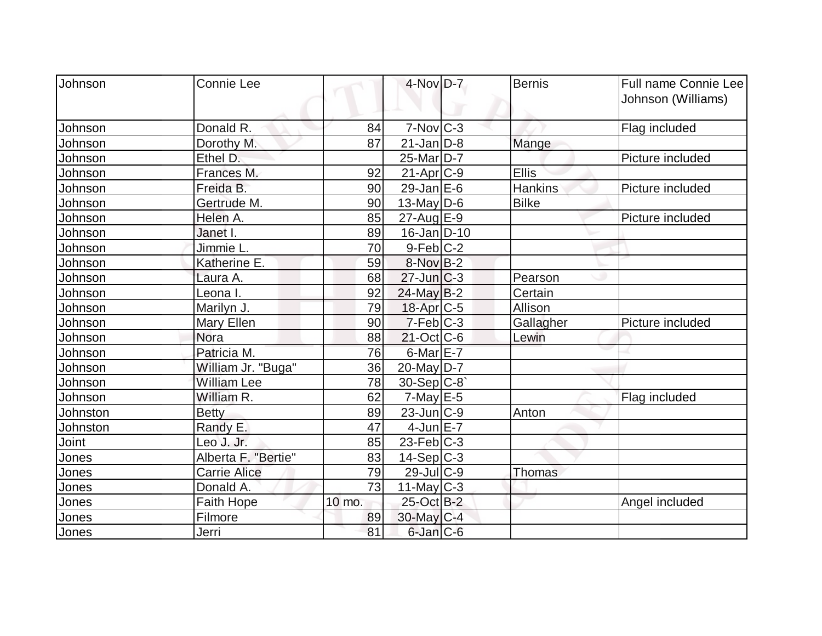| Johnson  | <b>Connie Lee</b>   |        | 4-Nov D-7              | Bernis         | Full name Connie Lee<br>Johnson (Williams) |
|----------|---------------------|--------|------------------------|----------------|--------------------------------------------|
| Johnson  | Donald R.           | 84     | $7-Nov$ $C-3$          |                | Flag included                              |
| Johnson  | Dorothy M.          | 87     | $21$ -Jan $ D-8 $      |                |                                            |
| Johnson  | Ethel D.            |        | $25$ -Mar $D-7$        | Mange          | Picture included                           |
|          |                     |        |                        |                |                                            |
| Johnson  | Frances M.          | 92     | $21-Apr$ $C-9$         | <b>Ellis</b>   |                                            |
| Johnson  | Freida B.           | 90     | $29$ -Jan E-6          | <b>Hankins</b> | Picture included                           |
| Johnson  | Gertrude M.         | 90     | $13$ -May D-6          | <b>Bilke</b>   |                                            |
| Johnson  | Helen A.            | 85     | $27$ -Aug $E-9$        |                | Picture included                           |
| Johnson  | Janet I.            | 89     | $16$ -Jan $D-10$       |                |                                            |
| Johnson  | Jimmie L.           | 70     | $9-Feb C-2$            |                |                                            |
| Johnson  | Katherine E.        | 59     | 8-Nov B-2              |                |                                            |
| Johnson  | Laura A.            | 68     | $27$ -Jun $C-3$        | Pearson        |                                            |
| Johnson  | Leona I.            | 92     | $24$ -May B-2          | Certain        |                                            |
| Johnson  | Marilyn J.          | 79     | $18$ -Apr $C$ -5       | Allison        |                                            |
| Johnson  | Mary Ellen          | 90     | $7-Feb$ <sub>C-3</sub> | Gallagher      | Picture included                           |
| Johnson  | Nora                | 88     | $21$ -Oct C-6          | Lewin          |                                            |
| Johnson  | Patricia M.         | 76     | $6$ -Mar $E$ -7        |                |                                            |
| Johnson  | William Jr. "Buga"  | 36     | $20$ -May D-7          |                |                                            |
| Johnson  | <b>William Lee</b>  | 78     | $30-Sep C-8$           |                |                                            |
| Johnson  | William R.          | 62     | $7$ -May $E$ -5        |                | Flag included                              |
| Johnston | <b>Betty</b>        | 89     | $23$ -Jun $ C-9 $      | Anton          |                                            |
| Johnston | Randy E.            | 47     | $4$ -Jun $E - 7$       |                |                                            |
| Joint    | Leo J. Jr.          | 85     | $23$ -Feb $ C-3 $      |                |                                            |
| Jones    | Alberta F. "Bertie" | 83     | $14-Sep C-3$           |                |                                            |
| Jones    | Carrie Alice        | 79     | $29$ -Jul $C-9$        | Thomas         |                                            |
| Jones    | Donald A.           | 73     | $11$ -May C-3          |                |                                            |
| Jones    | Faith Hope          | 10 mo. | 25-Oct B-2             |                | Angel included                             |
| Jones    | Filmore             | 89     | $30$ -May $ C-4 $      |                |                                            |
| Jones    | Jerri               | 81     | $6$ -Jan $C$ -6        |                |                                            |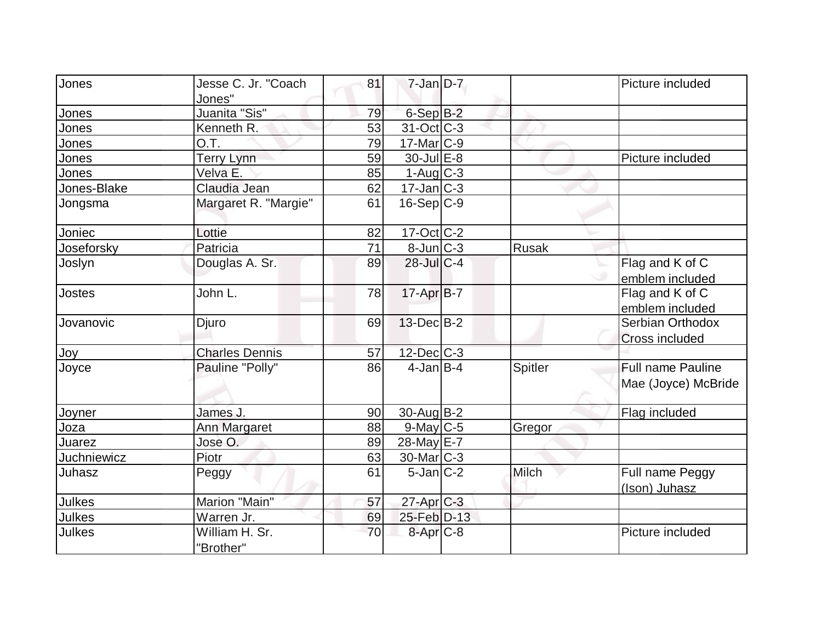| Jones         | Jesse C. Jr. "Coach         | 81 | $7 - Jan$ $D-7$       |         | Picture included         |
|---------------|-----------------------------|----|-----------------------|---------|--------------------------|
|               | Jones"                      |    |                       |         |                          |
| Jones         | Juanita "Sis"               | 79 | 6-Sep B-2             |         |                          |
| Jones         | Kenneth R.                  | 53 | 31-Oct C-3            |         |                          |
| Jones         | O.T.                        | 79 | 17-Mar C-9            |         |                          |
| Jones         | <b>Terry Lynn</b>           | 59 | 30-Jul E-8            |         | Picture included         |
| Jones         | Velva E.                    | 85 | $1-Aug C-3$           |         |                          |
| Jones-Blake   | Claudia Jean                | 62 | $17 - Jan$ $C-3$      |         |                          |
| Jongsma       | Margaret R. "Margie"        | 61 | $16-Sep C-9$          |         |                          |
| Joniec        | Lottie                      | 82 | 17-Oct C-2            |         |                          |
| Joseforsky    | Patricia                    | 71 | $8$ -Jun $C$ -3       | Rusak   |                          |
| Joslyn        | Douglas A. Sr.              | 89 | 28-Jul C-4            |         | Flag and K of C          |
|               |                             |    |                       |         | emblem included          |
| Jostes        | John L.                     | 78 | 17-Apr B-7            |         | Flag and K of C          |
|               |                             |    |                       |         | emblem included          |
| Jovanovic     | Djuro                       | 69 | $13$ -Dec $B-2$       |         | Serbian Orthodox         |
|               |                             |    |                       |         | <b>Cross included</b>    |
| Joy           | <b>Charles Dennis</b>       | 57 | $12$ -Dec $ C-3 $     |         |                          |
| Joyce         | Pauline "Polly"             | 86 | $4$ -Jan B-4          | Spitler | <b>Full name Pauline</b> |
|               |                             |    |                       |         | Mae (Joyce) McBride      |
| Joyner        | James J.                    | 90 | $30$ -Aug $B-2$       |         | <b>Flag included</b>     |
| Joza          | Ann Margaret                | 88 | $9$ -May $C$ -5       | Gregor  |                          |
| Juarez        | Jose O.                     | 89 | 28-May E-7            |         |                          |
| Juchniewicz   | Piotr                       | 63 | 30-Mar <sub>C-3</sub> |         |                          |
| Juhasz        | Peggy                       | 61 | $5$ -Jan $ C-2 $      | Milch   | Full name Peggy          |
|               |                             |    |                       |         | (Ison) Juhasz            |
| <b>Julkes</b> | Marion "Main"               | 57 | 27-Apr C-3            |         |                          |
| <b>Julkes</b> | Warren Jr.                  | 69 | 25-Feb D-13           |         |                          |
| <b>Julkes</b> | William H. Sr.<br>"Brother" | 70 | $8 - Apr$ $C-8$       |         | Picture included         |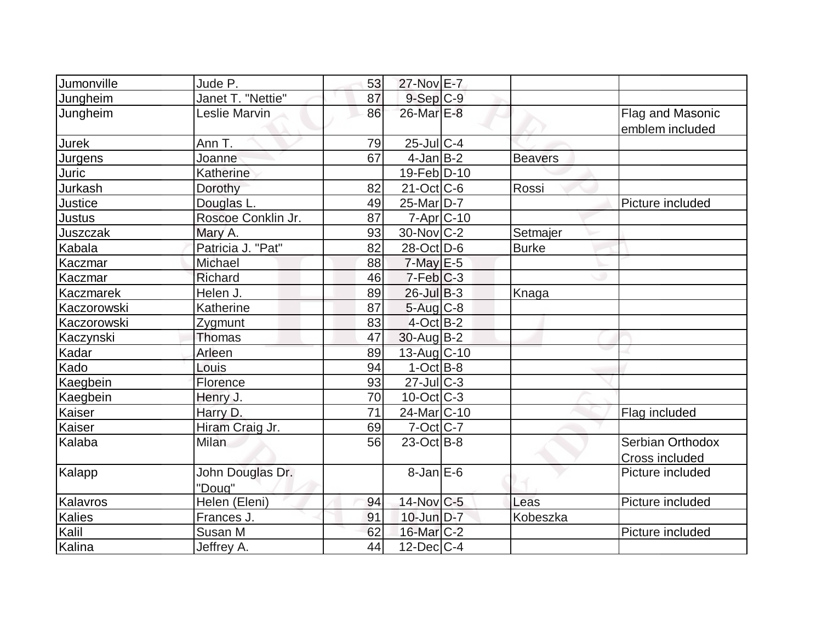| Jumonville  | Jude P.                    | 53              | 27-Nov E-7             |                |                                     |
|-------------|----------------------------|-----------------|------------------------|----------------|-------------------------------------|
| Jungheim    | Janet T. "Nettie"          | 87              | $9-Sep$ $C-9$          |                |                                     |
| Jungheim    | Leslie Marvin              | 86              | 26-Mar E-8             |                | Flag and Masonic<br>emblem included |
| Jurek       | Ann T.                     | 79              | $25$ -Jul $C-4$        |                |                                     |
| Jurgens     | Joanne                     | 67              | $4$ -Jan $B-2$         | <b>Beavers</b> |                                     |
| Juric       | Katherine                  |                 | $19$ -Feb $ D-10$      |                |                                     |
| Jurkash     | Dorothy                    | 82              | $21-Oct$ $C-6$         | Rossi          |                                     |
| Justice     | Douglas L.                 | 49              | $25$ -Mar $ D-7 $      |                | Picture included                    |
| Justus      | Roscoe Conklin Jr.         | 87              | $7 - Apr$ $C - 10$     |                |                                     |
| Juszczak    | Mary A.                    | 93              | $30$ -Nov $ C-2 $      | Setmajer       |                                     |
| Kabala      | Patricia J. "Pat"          | 82              | 28-Oct D-6             | <b>Burke</b>   |                                     |
| Kaczmar     | Michael                    | 88              | $7$ -May $E$ -5        |                |                                     |
| Kaczmar     | Richard                    | 46              | $7-Feb C-3$            |                |                                     |
| Kaczmarek   | Helen J.                   | 89              | $26$ -Jul B-3          | Knaga          |                                     |
| Kaczorowski | Katherine                  | 87              | 5-Aug C-8              |                |                                     |
| Kaczorowski | Zygmunt                    | 83              | $4$ -Oct B-2           |                |                                     |
| Kaczynski   | Thomas                     | 47              | $30$ -Aug $B-2$        |                |                                     |
| Kadar       | Arleen                     | 89              | $13$ -Aug $C$ -10      |                |                                     |
| Kado        | Louis                      | 94              | $1-Oct$ B-8            |                |                                     |
| Kaegbein    | Florence                   | 93              | $27$ -Jul C-3          |                |                                     |
| Kaegbein    | Henry J.                   | 70              | $10$ -Oct $ C-3 $      |                |                                     |
| Kaiser      | Harry D.                   | $\overline{71}$ | 24-Mar <sub>C-10</sub> |                | Flag included                       |
| Kaiser      | Hiram Craig Jr.            | 69              | $7$ -Oct $ C-7 $       |                |                                     |
| Kalaba      | <b>Milan</b>               | 56              | $23$ -Oct B-8          |                | Serbian Orthodox<br>Cross included  |
| Kalapp      | John Douglas Dr.<br>"Doug" |                 | $8$ -Jan $E$ -6        |                | Picture included                    |
| Kalavros    | Helen (Eleni)              | 94              | 14-Nov C-5             | Leas           | Picture included                    |
| Kalies      | Frances J.                 | 91              | 10-Jun D-7             | Kobeszka       |                                     |
| Kalil       | Susan M                    | 62              | $16$ -Mar $ C-2 $      |                | Picture included                    |
| Kalina      | Jeffrey A.                 | 44              | $12$ -Dec $ C-4$       |                |                                     |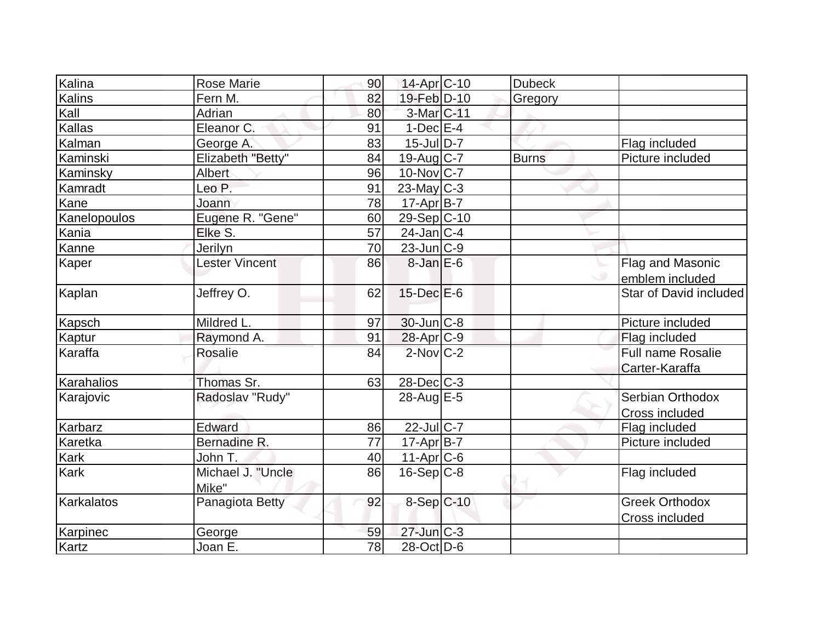| Kalina       | <b>Rose Marie</b>     | 90 | $14$ -Apr $ C-10$           | <b>Dubeck</b> |                          |
|--------------|-----------------------|----|-----------------------------|---------------|--------------------------|
| Kalins       | Fern M.               | 82 | 19-Feb D-10                 | Gregory       |                          |
| Kall         | Adrian                | 80 | 3-Mar C-11                  |               |                          |
| Kallas       | Eleanor C.            | 91 | $1-Dec$ $E-4$               |               |                          |
| Kalman       | George A.             | 83 | $15 -$ Jul $\overline{D-7}$ |               | Flag included            |
| Kaminski     | Elizabeth "Betty"     | 84 | 19-Aug C-7                  | <b>Burns</b>  | Picture included         |
| Kaminsky     | Albert                | 96 | $10$ -Nov $ C-7 $           |               |                          |
| Kamradt      | Leo P.                | 91 | $23$ -May C-3               |               |                          |
| Kane         | Joann                 | 78 | $17$ -Apr $B$ -7            |               |                          |
| Kanelopoulos | Eugene R. "Gene"      | 60 | 29-Sep C-10                 |               |                          |
| Kania        | Elke S.               | 57 | $24$ -Jan $ C-4 $           |               |                          |
| Kanne        | Jerilyn               | 70 | $23$ -Jun $ C-9 $           |               |                          |
| Kaper        | <b>Lester Vincent</b> | 86 | $8$ -Jan $E$ -6             |               | Flag and Masonic         |
|              |                       |    |                             |               | emblem included          |
| Kaplan       | Jeffrey O.            | 62 | 15-Dec E-6                  |               | Star of David included   |
| Kapsch       | Mildred L.            | 97 | $30$ -Jun $ C-8$            |               | Picture included         |
| Kaptur       | Raymond A.            | 91 | 28-Apr <sub>C-9</sub>       |               | Flag included            |
| Karaffa      | Rosalie               | 84 | $2$ -Nov $ C-2 $            |               | <b>Full name Rosalie</b> |
|              |                       |    |                             |               | Carter-Karaffa           |
| Karahalios   | Thomas Sr.            | 63 | $28$ -Dec $C-3$             |               |                          |
| Karajovic    | Radoslav "Rudy"       |    | 28-Aug E-5                  |               | Serbian Orthodox         |
|              |                       |    |                             |               | Cross included           |
| Karbarz      | Edward                | 86 | 22-Jul C-7                  |               | Flag included            |
| Karetka      | Bernadine R.          | 77 | $17$ -Apr $ B-7 $           |               | Picture included         |
| Kark         | John T.               | 40 | $11-Apr$ C-6                |               |                          |
| <b>Kark</b>  | Michael J. "Uncle     | 86 | $16-Sep C-8$                |               | Flag included            |
|              | Mike"                 |    |                             |               |                          |
| Karkalatos   | Panagiota Betty       | 92 | $8-Sep C-10$                |               | <b>Greek Orthodox</b>    |
|              |                       |    |                             |               | Cross included           |
| Karpinec     | George                | 59 | $27$ -Jun $C-3$             |               |                          |
| Kartz        | Joan E.               | 78 | 28-Oct D-6                  |               |                          |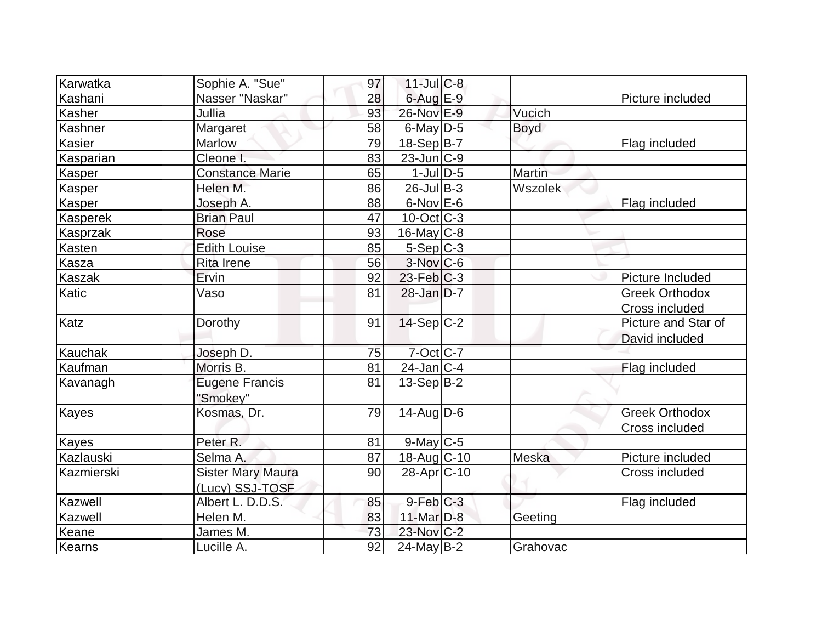| Karwatka        | Sophie A. "Sue"                             | 97 | $11$ -Jul $C-8$   |               |                                         |
|-----------------|---------------------------------------------|----|-------------------|---------------|-----------------------------------------|
| Kashani         | Nasser "Naskar"                             | 28 | $6$ -Aug $E-9$    |               | Picture included                        |
| Kasher          | Jullia                                      | 93 | 26-Nov E-9        | Vucich        |                                         |
| Kashner         | Margaret                                    | 58 | $6$ -May $D-5$    | <b>Boyd</b>   |                                         |
| Kasier          | Marlow                                      | 79 | 18-Sep B-7        |               | Flag included                           |
| Kasparian       | Cleone I.                                   | 83 | $23$ -Jun $ C-9 $ |               |                                         |
| <b>Kasper</b>   | <b>Constance Marie</b>                      | 65 | $1$ -Jul $D-5$    | <b>Martin</b> |                                         |
| Kasper          | Helen M.                                    | 86 | $26$ -Jul B-3     | Wszolek       |                                         |
| <b>Kasper</b>   | Joseph A.                                   | 88 | $6$ -Nov $E$ -6   |               | Flag included                           |
| <b>Kasperek</b> | <b>Brian Paul</b>                           | 47 | $10$ -Oct C-3     |               |                                         |
| Kasprzak        | Rose                                        | 93 | $16$ -May $C$ -8  |               |                                         |
| Kasten          | <b>Edith Louise</b>                         | 85 | $5-Sep C-3$       |               |                                         |
| Kasza           | <b>Rita Irene</b>                           | 56 | $3-Nov$ C-6       |               |                                         |
| Kaszak          | Ervin                                       | 92 | $23$ -Feb $ C-3 $ |               | Picture Included                        |
| Katic           | Vaso                                        | 81 | $28$ -Jan D-7     |               | <b>Greek Orthodox</b><br>Cross included |
| Katz            | Dorothy                                     | 91 | $14-Sep C-2$      |               | Picture and Star of<br>David included   |
| Kauchak         | Joseph D.                                   | 75 | $7-Oct$ $C-7$     |               |                                         |
| Kaufman         | Morris B.                                   | 81 | $24$ -Jan $ C-4 $ |               | Flag included                           |
| Kavanagh        | <b>Eugene Francis</b><br>"Smokey"           | 81 | $13-Sep B-2$      |               |                                         |
| Kayes           | Kosmas, Dr.                                 | 79 | $14$ -Aug $D-6$   |               | <b>Greek Orthodox</b><br>Cross included |
| <b>Kayes</b>    | Peter R.                                    | 81 | $9$ -May C-5      |               |                                         |
| Kazlauski       | Selma A.                                    | 87 | 18-Aug C-10       | Meska         | Picture included                        |
| Kazmierski      | <b>Sister Mary Maura</b><br>(Lucy) SSJ-TOSF | 90 | $28$ -Apr $ C-10$ |               | Cross included                          |
| Kazwell         | Albert L. D.D.S.                            | 85 | $9$ -Feb $C-3$    |               | Flag included                           |
| Kazwell         | Helen M.                                    | 83 | $11$ -Mar $D-8$   | Geeting       |                                         |
| Keane           | James M.                                    | 73 | 23-Nov C-2        |               |                                         |
| Kearns          | Lucille A.                                  | 92 | $24$ -May B-2     | Grahovac      |                                         |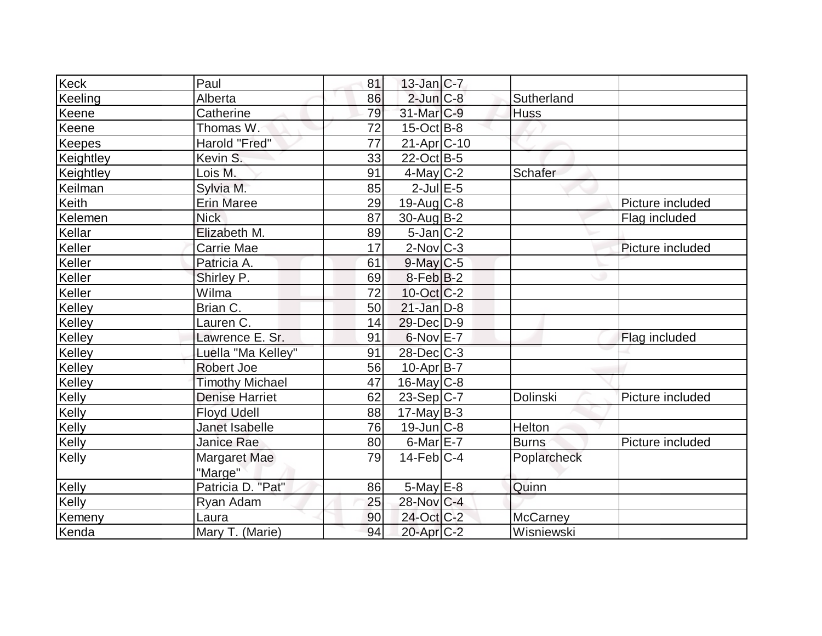| <b>Keck</b> | Paul                   | 81 | $13$ -Jan $ C-7 $     |                 |                  |
|-------------|------------------------|----|-----------------------|-----------------|------------------|
| Keeling     | Alberta                | 86 | $2$ -Jun $C-8$        | Sutherland      |                  |
| Keene       | Catherine              | 79 | $31$ -Mar $C-9$       | <b>Huss</b>     |                  |
| Keene       | Thomas W.              | 72 | $15$ -Oct B-8         |                 |                  |
| Keepes      | Harold "Fred"          | 77 | 21-Apr C-10           |                 |                  |
| Keightley   | Kevin S.               | 33 | $22$ -Oct B-5         |                 |                  |
| Keightley   | Lois M.                | 91 | $4$ -May C-2          | Schafer         |                  |
| Keilman     | Sylvia M.              | 85 | $2$ -Jul $E$ -5       |                 |                  |
| Keith       | <b>Erin Maree</b>      | 29 | $19$ -Aug C-8         |                 | Picture included |
| Kelemen     | <b>Nick</b>            | 87 | $30$ -Aug $B-2$       |                 | Flag included    |
| Kellar      | Elizabeth M.           | 89 | $5$ -Jan $ C-2 $      |                 |                  |
| Keller      | Carrie Mae             | 17 | $2$ -Nov $ C-3 $      |                 | Picture included |
| Keller      | Patricia A.            | 61 | $9$ -May C-5          |                 |                  |
| Keller      | Shirley P.             | 69 | $8-Feb B-2$           |                 |                  |
| Keller      | Wilma                  | 72 | $10$ -Oct $ C-2 $     |                 |                  |
| Kelley      | Brian C.               | 50 | $21$ -Jan D-8         |                 |                  |
| Kelley      | Lauren C.              | 14 | 29-Dec D-9            |                 |                  |
| Kelley      | Lawrence E. Sr.        | 91 | $6$ -Nov $E$ -7       |                 | Flag included    |
| Kelley      | Luella "Ma Kelley"     | 91 | 28-Dec C-3            |                 |                  |
| Kelley      | <b>Robert Joe</b>      | 56 | $10$ -Apr $ B-7 $     |                 |                  |
| Kelley      | <b>Timothy Michael</b> | 47 | $16$ -May C-8         |                 |                  |
| Kelly       | <b>Denise Harriet</b>  | 62 | $23-Sep C-7$          | Dolinski        | Picture included |
| Kelly       | <b>Floyd Udell</b>     | 88 | $17$ -May B-3         |                 |                  |
| Kelly       | Janet Isabelle         | 76 | $19$ -Jun $C-8$       | Helton          |                  |
| Kelly       | Janice Rae             | 80 | $6$ -Mar $E$ -7       | <b>Burns</b>    | Picture included |
| Kelly       | Margaret Mae           | 79 | $14$ -Feb $ C-4 $     | Poplarcheck     |                  |
|             | "Marge"                |    |                       |                 |                  |
| Kelly       | Patricia D. "Pat"      | 86 | $5$ -May $E$ -8       | Quinn           |                  |
| Kelly       | Ryan Adam              | 25 | 28-Nov C-4            |                 |                  |
| Kemeny      | Laura                  | 90 | 24-Oct C-2            | <b>McCarney</b> |                  |
| Kenda       | Mary T. (Marie)        | 94 | 20-Apr <sub>C-2</sub> | Wisniewski      |                  |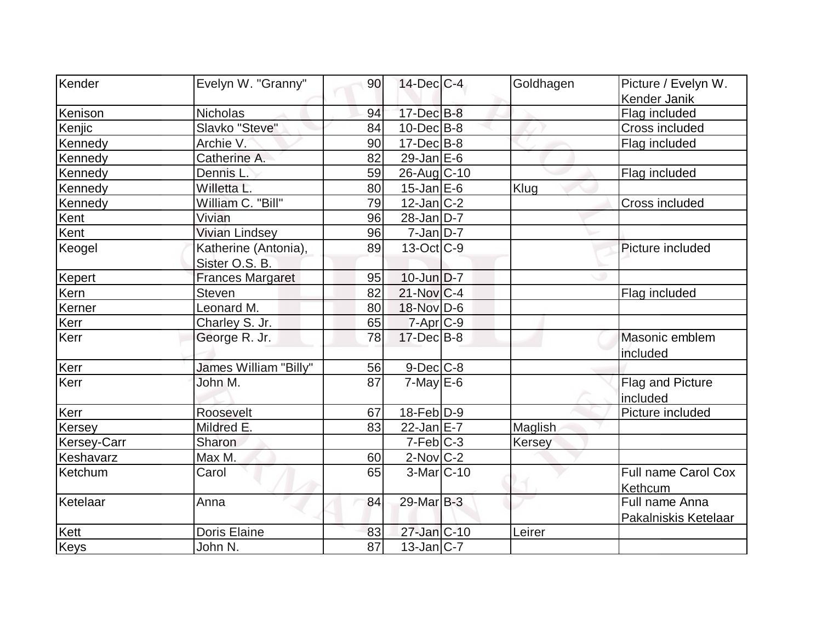| Kender      | Evelyn W. "Granny"      | 90 | $14$ -Dec $ C-4 $        | Goldhagen | Picture / Evelyn W.   |
|-------------|-------------------------|----|--------------------------|-----------|-----------------------|
|             |                         |    |                          |           | Kender Janik          |
| Kenison     | <b>Nicholas</b>         | 94 | 17-Dec B-8               |           | Flag included         |
| Kenjic      | Slavko "Steve"          | 84 | $10$ -Dec $B$ -8         |           | <b>Cross included</b> |
| Kennedy     | Archie V.               | 90 | $17 - Dec$ B-8           |           | Flag included         |
| Kennedy     | Catherine A.            | 82 | 29-Jan $E-6$             |           |                       |
| Kennedy     | Dennis L.               | 59 | 26-Aug C-10              |           | Flag included         |
| Kennedy     | Willetta L.             | 80 | $15$ -Jan $E$ -6         | Klug      |                       |
| Kennedy     | William C. "Bill"       | 79 | $12$ -Jan $ C-2 $        |           | Cross included        |
| Kent        | Vivian                  | 96 | $28$ -Jan D-7            |           |                       |
| Kent        | <b>Vivian Lindsey</b>   | 96 | $7$ -Jan $ D-7 $         |           |                       |
| Keogel      | Katherine (Antonia),    | 89 | $13-Oct$ <sub>C</sub> -9 |           | Picture included      |
|             | Sister O.S. B.          |    |                          |           |                       |
| Kepert      | <b>Frances Margaret</b> | 95 | $10$ -Jun $D-7$          |           |                       |
| Kern        | Steven                  | 82 | $21$ -Nov $ C-4 $        |           | Flag included         |
| Kerner      | Leonard M.              | 80 | 18-Nov D-6               |           |                       |
| Kerr        | Charley S. Jr.          | 65 | $7 - Apr$ $C - 9$        |           |                       |
| Kerr        | George R. Jr.           | 78 | $17 - Dec$ B-8           |           | Masonic emblem        |
| Kerr        | James William "Billy"   | 56 | $9$ -Dec $C$ -8          |           | included              |
| Kerr        | John M.                 | 87 | $7$ -May $E$ -6          |           | Flag and Picture      |
|             |                         |    |                          |           | included              |
| Kerr        | Roosevelt               | 67 | $18$ -Feb $ D-9 $        |           | Picture included      |
| Kersey      | Mildred E.              | 83 | $22$ -Jan $E-7$          | Maglish   |                       |
| Kersey-Carr | Sharon                  |    | $7-Feb$ C-3              | Kersey    |                       |
| Keshavarz   | Max M.                  | 60 | $2$ -Nov $C$ - $2$       |           |                       |
| Ketchum     | Carol                   | 65 | $3-Mar$ C-10             |           | Full name Carol Cox   |
|             |                         |    |                          |           | Kethcum               |
| Ketelaar    | Anna                    | 84 | 29-Mar B-3               |           | Full name Anna        |
|             |                         |    |                          |           | Pakalniskis Ketelaar  |
| Kett        | <b>Doris Elaine</b>     | 83 | 27-Jan C-10              | Leirer    |                       |
| <b>Keys</b> | John N.                 | 87 | $13$ -Jan $ C-7 $        |           |                       |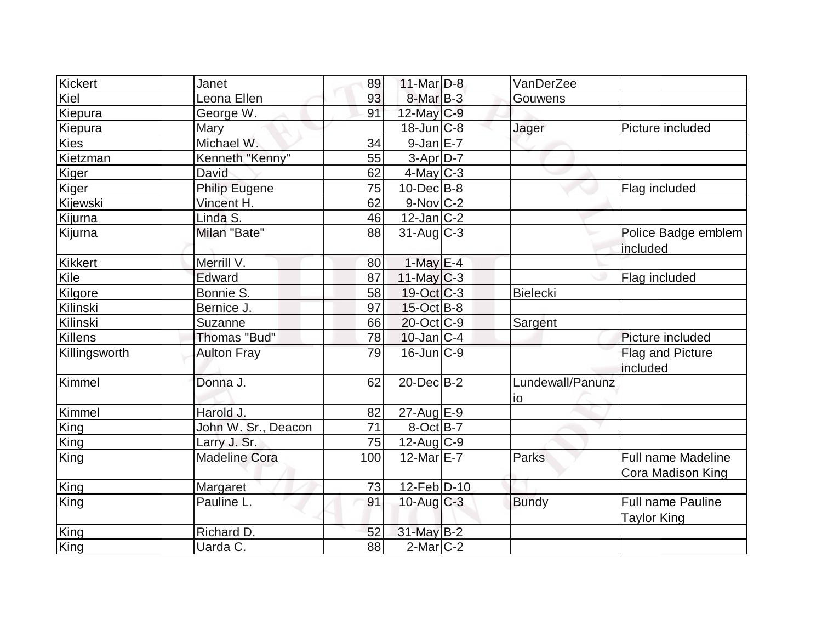| Kickert                  | Janet                | 89  | $11$ -Mar $D-8$        | VanDerZee        |                          |
|--------------------------|----------------------|-----|------------------------|------------------|--------------------------|
| Kiel                     | Leona Ellen          | 93  | $8$ -Mar $B-3$         | Gouwens          |                          |
| Kiepura                  | George W.            | 91  | $12$ -May C-9          |                  |                          |
|                          | Mary                 |     | $18$ -Jun $C-8$        | Jager            | Picture included         |
| Kiepura<br><b>Kies</b>   | Michael W.           | 34  | $9-JanE-7$             |                  |                          |
| Kietzman                 |                      |     |                        |                  |                          |
|                          | Kenneth "Kenny"      | 55  | $3-Apr$ D-7            |                  |                          |
| Kiger                    | David                | 62  | 4-May C-3              |                  |                          |
| Kiger                    | <b>Philip Eugene</b> | 75  | $10$ -Dec $ B-8 $      |                  | Flag included            |
| Kijewski                 | Vincent H.           | 62  | $9-Nov$ <sub>C-2</sub> |                  |                          |
| Kijurna                  | Linda S.             | 46  | $12$ -Jan $ C-2 $      |                  |                          |
| Kijurna                  | Milan "Bate"         | 88  | $31$ -Aug C-3          |                  | Police Badge emblem      |
|                          |                      |     |                        |                  | included                 |
| Kikkert                  | Merrill V.           | 80  | $1$ -May E-4           |                  |                          |
| $\overline{\text{Kile}}$ | Edward               | 87  | $11$ -May C-3          |                  | Flag included            |
| Kilgore                  | Bonnie S.            | 58  | $19-Oct$ $C-3$         | <b>Bielecki</b>  |                          |
| Kilinski                 | Bernice J.           | 97  | $15$ -Oct B-8          |                  |                          |
| Kilinski                 | Suzanne              | 66  | $20$ -Oct $ C-9 $      | Sargent          |                          |
| Killens                  | Thomas "Bud"         | 78  | $10$ -Jan $ C-4$       |                  | Picture included         |
| Killingsworth            | <b>Aulton Fray</b>   | 79  | $16$ -Jun $ C-9 $      |                  | Flag and Picture         |
|                          |                      |     |                        |                  | included                 |
| Kimmel                   | Donna J.             | 62  | $20$ -Dec $B-2$        | Lundewall/Panunz |                          |
|                          |                      |     |                        | io               |                          |
| Kimmel                   | Harold J.            | 82  | 27-Aug E-9             |                  |                          |
| King                     | John W. Sr., Deacon  | 71  | $8$ -Oct $B$ -7        |                  |                          |
| King                     | Larry J. Sr.         | 75  | $12$ -Aug C-9          |                  |                          |
| King                     | <b>Madeline Cora</b> | 100 | 12-Mar $E$ -7          | Parks            | Full name Madeline       |
|                          |                      |     |                        |                  | <b>Cora Madison King</b> |
| King                     | Margaret             | 73  | $12$ -Feb $ D-10 $     |                  |                          |
| King                     | Pauline L.           | 91  | $10$ -Aug $C-3$        | <b>Bundy</b>     | <b>Full name Pauline</b> |
|                          |                      |     |                        |                  | <b>Taylor King</b>       |
| King                     | Richard D.           | 52  | 31-May B-2             |                  |                          |
| King                     | Uarda C.             | 88  | $2$ -Mar $C-2$         |                  |                          |
|                          |                      |     |                        |                  |                          |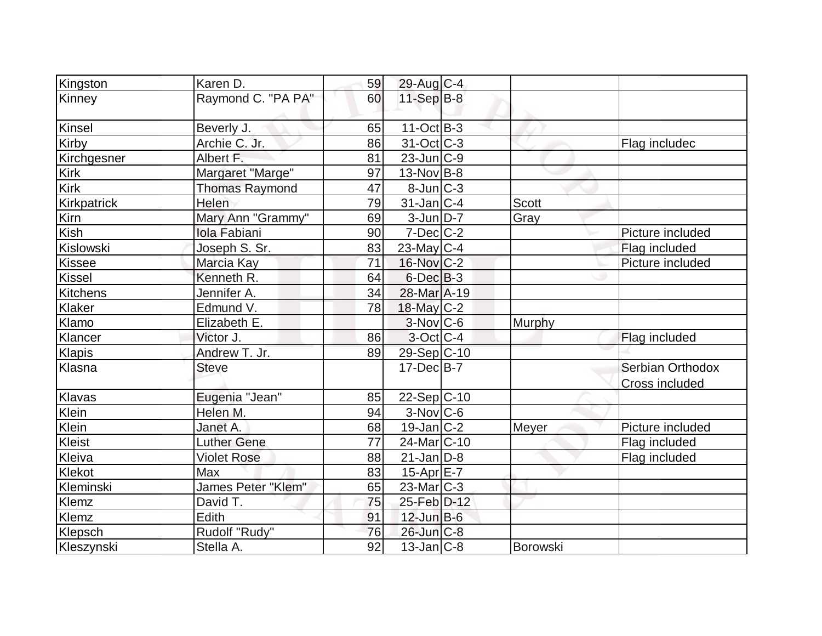| Kingston             | Karen D.              | 59 | 29-Aug C-4                  |               |                                           |
|----------------------|-----------------------|----|-----------------------------|---------------|-------------------------------------------|
| Kinney               | Raymond C. "PA PA"    | 60 | $11-Sep$ B-8                |               |                                           |
| Kinsel               | Beverly J.            | 65 | $11-Oct$ B-3                |               |                                           |
| Kirby                | Archie C. Jr.         | 86 | $31-Oct$ $C-3$              |               | Flag includec                             |
| Kirchgesner          | Albert F.             | 81 | $23$ -Jun $ C-9 $           |               |                                           |
| <b>Kirk</b>          | Margaret "Marge"      | 97 | $13-Nov$ B-8                |               |                                           |
| Kirk                 | <b>Thomas Raymond</b> | 47 | $8$ -Jun $ C-3 $            |               |                                           |
| Kirkpatrick          | Helen                 | 79 | $31$ -Jan C-4               | <b>Scott</b>  |                                           |
| Kirn                 | Mary Ann "Grammy"     | 69 | $3$ -Jun $D-7$              | Gray          |                                           |
| Kish                 | Iola Fabiani          | 90 | $7$ -Dec $C$ -2             |               | Picture included                          |
| Kislowski            | Joseph S. Sr.         | 83 | $23$ -May C-4               |               | Flag included                             |
| Kissee               | Marcia Kay            | 71 | $16$ -Nov $ C-2 $           |               | Picture included                          |
| <b>Kissel</b>        | Kenneth R.            | 64 | $6$ -Dec $B$ -3             |               |                                           |
| Kitchens             | Jennifer A.           | 34 | 28-Mar A-19                 |               |                                           |
| Klaker               | Edmund V.             | 78 | 18-May C-2                  |               |                                           |
| Klamo                | Elizabeth E.          |    | $3-Nov C-6$                 | <b>Murphy</b> |                                           |
| Klancer              | Victor J.             | 86 | 3-Oct C-4                   |               | Flag included                             |
| Klapis               | Andrew T. Jr.         | 89 | 29-Sep C-10                 |               |                                           |
| Klasna               | <b>Steve</b>          |    | $17 - Dec$ B-7              |               | Serbian Orthodox<br><b>Cross included</b> |
| Klavas               | Eugenia "Jean"        | 85 | $22-Sep C-10$               |               |                                           |
| Klein                | Helen M.              | 94 | $\overline{3}$ -Nov $ C$ -6 |               |                                           |
| Klein                | Janet A.              | 68 | $19$ -Jan $ C-2 $           | Meyer         | Picture included                          |
| $\overline{K}$ leist | <b>Luther Gene</b>    | 77 | 24-Mar <sub>IC</sub> -10    |               | Flag included                             |
| Kleiva               | <b>Violet Rose</b>    | 88 | $21$ -Jan D-8               |               | Flag included                             |
| Klekot               | Max                   | 83 | $15$ -Apr $E$ -7            |               |                                           |
| Kleminski            | James Peter "Klem"    | 65 | 23-Mar <sub>IC</sub> -3     |               |                                           |
| Klemz                | David T.              | 75 | 25-Feb D-12                 |               |                                           |
| <b>Klemz</b>         | Edith                 | 91 | $12$ -Jun $B$ -6            |               |                                           |
| Klepsch              | Rudolf "Rudy"         | 76 | 26-Jun C-8                  |               |                                           |
| Kleszynski           | Stella A.             | 92 | $13$ -Jan $ C-8 $           | Borowski      |                                           |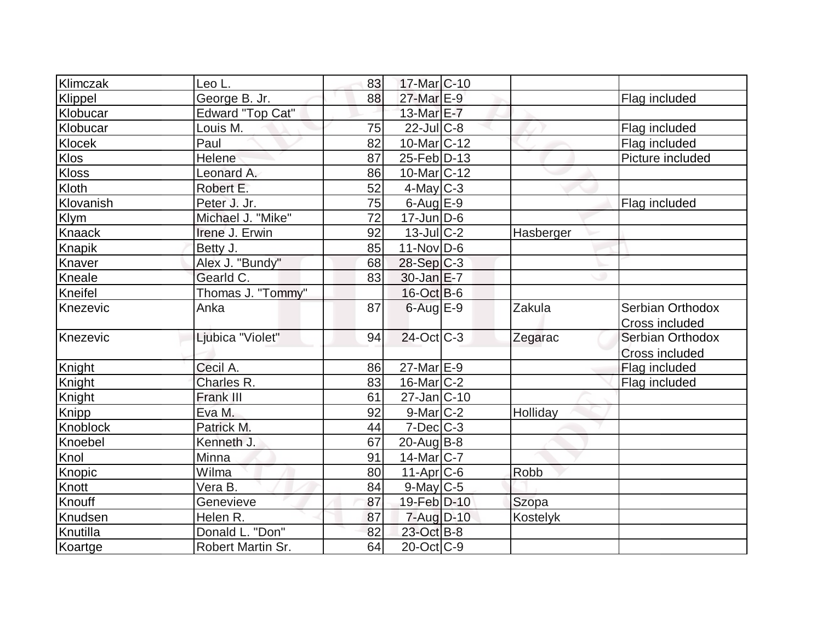| Klimczak      | Leo L.            | 83 | 17-Mar <sub>IC</sub> -10   |           |                                    |
|---------------|-------------------|----|----------------------------|-----------|------------------------------------|
| Klippel       | George B. Jr.     | 88 | 27-Mar E-9                 |           | Flag included                      |
| Klobucar      | Edward "Top Cat"  |    | 13-Mar E-7                 |           |                                    |
| Klobucar      | Louis M.          | 75 | $22$ -JulC-8               |           | Flag included                      |
| Klocek        | Paul              | 82 | $10$ -Mar $ C-12 $         |           | Flag included                      |
| <b>Klos</b>   | Helene            | 87 | $25$ -Feb $ D-13$          |           | Picture included                   |
| <b>Kloss</b>  | Leonard A.        | 86 | $10$ -Mar $ C-12 $         |           |                                    |
| Kloth         | Robert E.         | 52 | $4$ -May C-3               |           |                                    |
| Klovanish     | Peter J. Jr.      | 75 | $6$ -Aug $E$ -9            |           | Flag included                      |
| <b>Klym</b>   | Michael J. "Mike" | 72 | $17$ -Jun $ D-6$           |           |                                    |
| <b>Knaack</b> | Irene J. Erwin    | 92 | $13$ -JulC-2               | Hasberger |                                    |
| Knapik        | Betty J.          | 85 | $11-Nov D-6$               |           |                                    |
| Knaver        | Alex J. "Bundy"   | 68 | $28-Sep C-3$               |           |                                    |
| Kneale        | Gearld C.         | 83 | $30$ -Jan $E-7$            |           |                                    |
| Kneifel       | Thomas J. "Tommy" |    | 16-Oct B-6                 |           |                                    |
| Knezevic      | Anka              | 87 | $6$ -Aug $E-9$             | Zakula    | Serbian Orthodox<br>Cross included |
| Knezevic      | Ljubica "Violet"  | 94 | $24$ -Oct $ C-3 $          | Zegarac   | Serbian Orthodox<br>Cross included |
| Knight        | Cecil A.          | 86 | $27$ -Mar $E-9$            |           | Flag included                      |
| Knight        | Charles R.        | 83 | $16$ -Mar $ C-2 $          |           | Flag included                      |
| Knight        | <b>Frank III</b>  | 61 | $27 - Jan$ <sub>C-10</sub> |           |                                    |
| Knipp         | Eva M.            | 92 | $9$ -Mar $ C-2 $           | Holliday  |                                    |
| Knoblock      | Patrick M.        | 44 | $7$ -Dec $C-3$             |           |                                    |
| Knoebel       | Kenneth J.        | 67 | $20$ -Aug $B-8$            |           |                                    |
| Knol          | Minna             | 91 | $14$ -Mar $ C-7 $          |           |                                    |
| Knopic        | Wilma             | 80 | $11-Apr$ $C-6$             | Robb      |                                    |
| Knott         | Vera B.           | 84 | $9$ -May $C$ -5            |           |                                    |
| Knouff        | Genevieve         | 87 | 19-Feb D-10                | Szopa     |                                    |
| Knudsen       | Helen R.          | 87 | $7 - Aug$ $D-10$           | Kostelyk  |                                    |
| Knutilla      | Donald L. "Don"   | 82 | 23-Oct B-8                 |           |                                    |
| Koartge       | Robert Martin Sr. | 64 | $20$ -Oct $ C-9 $          |           |                                    |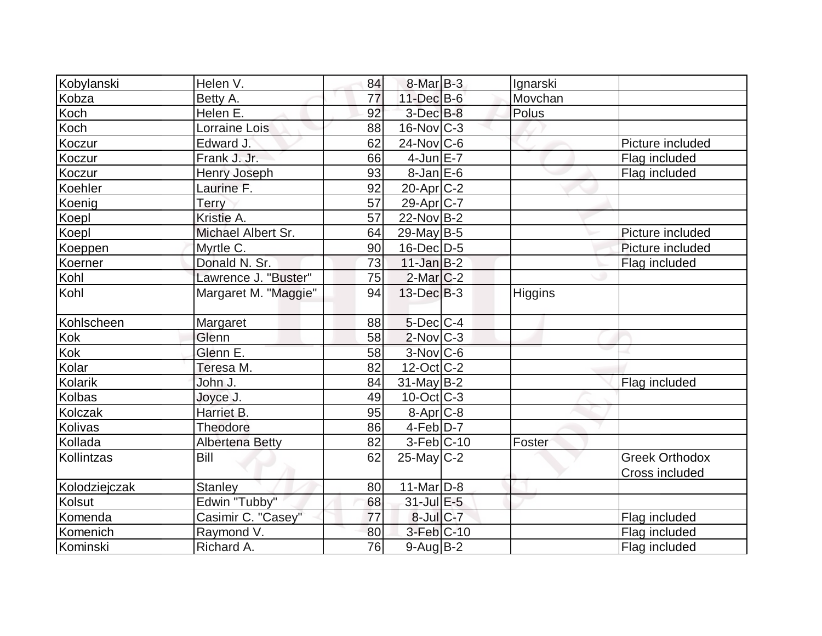| Kobylanski     | Helen V.               | 84       | $8$ -Mar $B$ -3        | Ignarski       |                       |
|----------------|------------------------|----------|------------------------|----------------|-----------------------|
| Kobza          | Betty A.               | 77       | $11$ -Dec $B$ -6       | Movchan        |                       |
| Koch           | Helen E.               | 92       | $3$ -Dec $B-8$         | Polus          |                       |
| Koch           | <b>Lorraine Lois</b>   | 88       | $16$ -Nov $ C-3 $      |                |                       |
| Koczur         | Edward J.              | 62       | $24$ -Nov $ C-6 $      |                | Picture included      |
| Koczur         | Frank J. Jr.           | 66       | $4$ -Jun $E - 7$       |                | Flag included         |
| Koczur         | <b>Henry Joseph</b>    | 93       | $8$ -Jan $E$ -6        |                | Flag included         |
| Koehler        | Laurine F.             | 92       | $20$ -Apr $C-2$        |                |                       |
| Koenig         | <b>Terry</b>           | 57       | 29-Apr C-7             |                |                       |
| Koepl          | Kristie A.             | 57       | $22$ -Nov $ B-2 $      |                |                       |
| Koepl          | Michael Albert Sr.     | 64       | $29$ -May B-5          |                | Picture included      |
| Koeppen        | Myrtle C.              | 90       | $16$ -Dec $D-5$        |                | Picture included      |
| Koerner        | Donald N. Sr.          | 73       | $11$ -Jan B-2          |                | Flag included         |
| Kohl           | Lawrence J. "Buster"   | 75       | $2$ -Mar $C-2$         |                |                       |
| Kohl           | Margaret M. "Maggie"   | 94       | 13-Dec B-3             | <b>Higgins</b> |                       |
| Kohlscheen     | Margaret               | 88       | $5$ -Dec $C$ -4        |                |                       |
| Kok            | Glenn                  | 58       | $2$ -Nov $ C-3 $       |                |                       |
| Kok            | Glenn E.               | 58       | $3-Nov$ <sub>C-6</sub> |                |                       |
| Kolar          | Teresa M.              | 82       | $12$ -Oct $ C-2 $      |                |                       |
| <b>Kolarik</b> | John J.                | 84       | $31$ -May B-2          |                | Flag included         |
| <b>Kolbas</b>  | Joyce J.               | 49       | $10$ -Oct $ C-3 $      |                |                       |
| <b>Kolczak</b> | Harriet B.             | 95       | $8 - Apr$ $C-8$        |                |                       |
| Kolivas        | Theodore               | 86       | $4-Feb D-7$            |                |                       |
| Kollada        | <b>Albertena Betty</b> | 82       | $3-Feb C-10$           | Foster         |                       |
| Kollintzas     | Bill                   | 62       | $25$ -May C-2          |                | <b>Greek Orthodox</b> |
|                |                        |          |                        |                | Cross included        |
| Kolodziejczak  | <b>Stanley</b>         | 80       | $11$ -Mar $D-8$        |                |                       |
| Kolsut         | Edwin "Tubby"          | 68<br>77 | $31$ -Jul $E-5$        |                |                       |
| Komenda        | Casimir C. "Casey"     |          | 8-Jul C-7              |                | Flag included         |
| Komenich       | Raymond V.             | 80       | 3-Feb C-10             |                | Flag included         |
| Kominski       | Richard A.             | 76       | $9$ -Aug B-2           |                | Flag included         |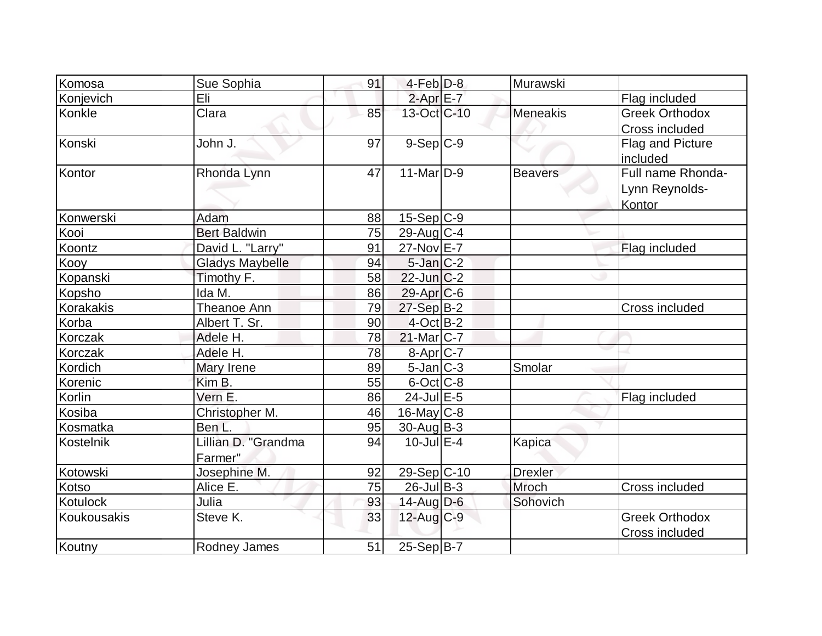| Komosa          | Sue Sophia             | 91 | $4-Feb D-8$       | Murawski       |                       |
|-----------------|------------------------|----|-------------------|----------------|-----------------------|
| Konjevich       | Eli                    |    | $2-AprE-7$        |                | Flag included         |
| Konkle          | Clara                  | 85 | 13-Oct C-10       | Meneakis       | <b>Greek Orthodox</b> |
|                 |                        |    |                   |                | Cross included        |
| Konski          | John J.                | 97 | $9-Sep$ $C-9$     |                | Flag and Picture      |
|                 |                        |    |                   |                | included              |
| Kontor          | Rhonda Lynn            | 47 | $11-Mar$ D-9      | <b>Beavers</b> | Full name Rhonda-     |
|                 |                        |    |                   |                | Lynn Reynolds-        |
|                 |                        |    |                   |                | Kontor                |
| Konwerski       | Adam                   | 88 | $15-Sep C-9$      |                |                       |
| Kooi            | <b>Bert Baldwin</b>    | 75 | $29$ -Aug $C-4$   |                |                       |
| Koontz          | David L. "Larry"       | 91 | $27$ -Nov $E - 7$ |                | Flag included         |
| Kooy            | <b>Gladys Maybelle</b> | 94 | $5$ -Jan $C-2$    |                |                       |
| Kopanski        | Timothy F.             | 58 | $22$ -Jun $C-2$   |                |                       |
| Kopsho          | Ida M.                 | 86 | $29$ -Apr $ C$ -6 |                |                       |
| Korakakis       | Theanoe Ann            | 79 | $27-Sep$ B-2      |                | Cross included        |
| Korba           | Albert T. Sr.          | 90 | $4$ -Oct B-2      |                |                       |
| Korczak         | Adele H.               | 78 | $21$ -Mar $ C-7 $ |                |                       |
| Korczak         | Adele H.               | 78 | 8-Apr C-7         |                |                       |
| Kordich         | Mary Irene             | 89 | $5$ -Jan $ C-3 $  | Smolar         |                       |
| Korenic         | Kim B.                 | 55 | $6$ -Oct $C$ -8   |                |                       |
| <b>Korlin</b>   | Vern E.                | 86 | $24$ -Jul $E-5$   |                | Flag included         |
| Kosiba          | Christopher M.         | 46 | $16$ -May C-8     |                |                       |
| Kosmatka        | Ben L.                 | 95 | $30$ -Aug $B-3$   |                |                       |
| Kostelnik       | Lillian D. "Grandma    | 94 | $10$ -Jul $E-4$   | Kapica         |                       |
|                 | Farmer"                |    |                   |                |                       |
| Kotowski        | Josephine M.           | 92 | 29-Sep C-10       | <b>Drexler</b> |                       |
| <b>Kotso</b>    | Alice E.               | 75 | $26$ -Jul B-3     | Mroch          | Cross included        |
| <b>Kotulock</b> | Julia                  | 93 | $14$ -Aug $D-6$   | Sohovich       |                       |
| Koukousakis     | Steve K.               | 33 | $12$ -Aug C-9     |                | <b>Greek Orthodox</b> |
|                 |                        |    |                   |                | Cross included        |
| Koutny          | Rodney James           | 51 | $25-Sep B-7$      |                |                       |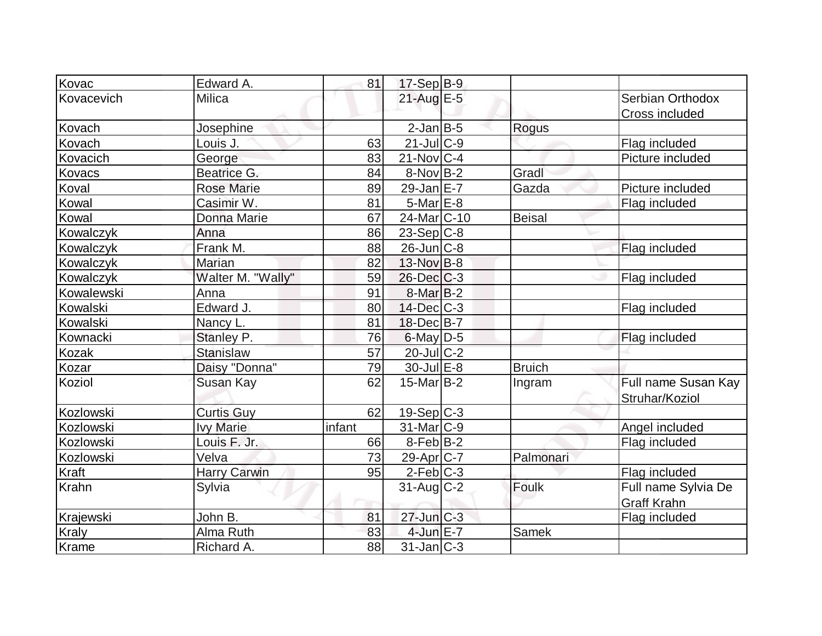| Kovac            | Edward A.           | 81     | $17-Sep$ B-9            |               |                     |
|------------------|---------------------|--------|-------------------------|---------------|---------------------|
| Kovacevich       | Milica              |        | 21-Aug E-5              |               | Serbian Orthodox    |
|                  |                     |        |                         |               | Cross included      |
| Kovach           | Josephine           |        | $2$ -Jan $B$ -5         | Rogus         |                     |
| Kovach           | Louis J.            | 63     | $21$ -JulC-9            |               | Flag included       |
| Kovacich         | George              | 83     | $21$ -Nov $ C-4 $       |               | Picture included    |
| Kovacs           | Beatrice G.         | 84     | 8-Nov B-2               | Gradl         |                     |
| Koval            | <b>Rose Marie</b>   | 89     | 29-Jan $E-7$            | Gazda         | Picture included    |
| Kowal            | Casimir W.          | 81     | $5$ -Mar $E-8$          |               | Flag included       |
| Kowal            | Donna Marie         | 67     | 24-Mar <sub>IC-10</sub> | Beisal        |                     |
| Kowalczyk        | Anna                | 86     | $23-Sep C-8$            |               |                     |
| Kowalczyk        | Frank M.            | 88     | $26$ -Jun $ C-8$        |               | Flag included       |
| Kowalczyk        | Marian              | 82     | $13-Nov B-8$            |               |                     |
| <b>Kowalczyk</b> | Walter M. "Wally"   | 59     | $26$ -Dec $C-3$         |               | Flag included       |
| Kowalewski       | Anna                | 91     | $8$ -Mar $B$ -2         |               |                     |
| Kowalski         | Edward J.           | 80     | $14$ -Dec $C$ -3        |               | Flag included       |
| Kowalski         | Nancy L.            | 81     | 18-Dec B-7              |               |                     |
| Kownacki         | Stanley P.          | 76     | $6$ -May $D-5$          |               | Flag included       |
| <b>Kozak</b>     | Stanislaw           | 57     | $20$ -Jul $C-2$         |               |                     |
| Kozar            | Daisy "Donna"       | 79     | $30 -$ Jul $E - 8$      | <b>Bruich</b> |                     |
| Koziol           | Susan Kay           | 62     | $15$ -Mar $ B-2 $       | Ingram        | Full name Susan Kay |
|                  |                     |        |                         |               | Struhar/Koziol      |
| Kozlowski        | <b>Curtis Guy</b>   | 62     | $19-Sep C-3$            |               |                     |
| Kozlowski        | <b>Ivy Marie</b>    | infant | $31$ -Mar $ C-9 $       |               | Angel included      |
| Kozlowski        | Louis F. Jr.        | 66     | $8-Feb B-2$             |               | Flag included       |
| Kozlowski        | Velva               | 73     | $29$ -Apr $ C-7 $       | Palmonari     |                     |
| Kraft            | <b>Harry Carwin</b> | 95     | $2-Feb$ C-3             |               | Flag included       |
| <b>Krahn</b>     | Sylvia              |        | $31$ -Aug $C-2$         | Foulk         | Full name Sylvia De |
|                  |                     |        |                         |               | <b>Graff Krahn</b>  |
| Krajewski        | John B.             | 81     | $27$ -Jun $C-3$         |               | Flag included       |
| <b>Kraly</b>     | Alma Ruth           | 83     | $4$ -Jun $E - 7$        | Samek         |                     |
| Krame            | Richard A.          | 88     | $31$ -Jan $ C-3 $       |               |                     |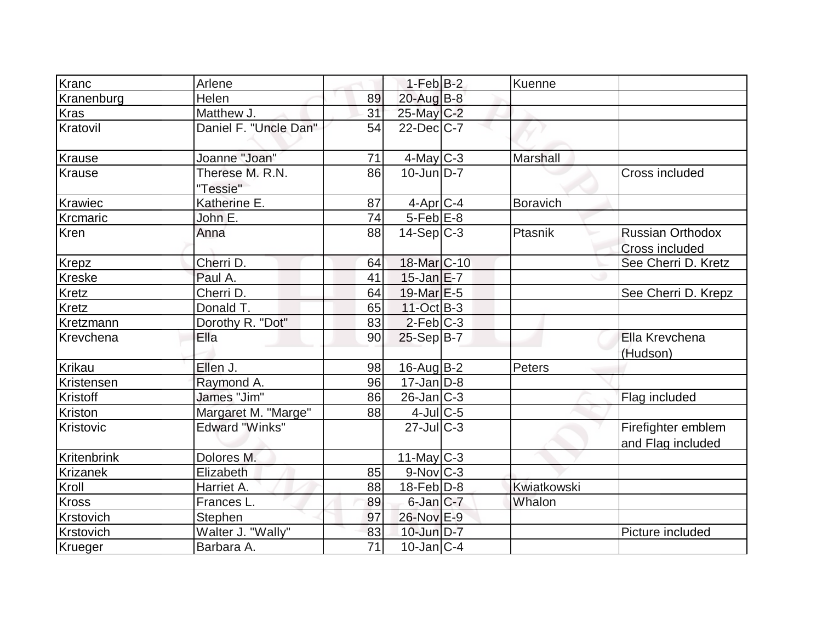| Kranc          | Arlene                      |                 | $1-Feb$ B-2             | Kuenne          |                                                  |
|----------------|-----------------------------|-----------------|-------------------------|-----------------|--------------------------------------------------|
| Kranenburg     | Helen                       | 89              | $20$ -Aug $B-8$         |                 |                                                  |
| <b>Kras</b>    | Matthew J.                  | 31              | 25-May C-2              |                 |                                                  |
| Kratovil       | Daniel F. "Uncle Dan"       | 54              | $22$ -Dec $C$ -7        |                 |                                                  |
| Krause         | Joanne "Joan"               | 71              | $4$ -May C-3            | <b>Marshall</b> |                                                  |
| Krause         | Therese M. R.N.<br>"Tessie" | 86              | $10$ -Jun $D-7$         |                 | Cross included                                   |
| <b>Krawiec</b> | Katherine E.                | 87              | $4$ -Apr $C$ -4         | Boravich        |                                                  |
| Krcmaric       | John E.                     | 74              | $5-Feb$ $E-8$           |                 |                                                  |
| Kren           | Anna                        | 88              | $14-Sep C-3$            | Ptasnik         | <b>Russian Orthodox</b><br><b>Cross included</b> |
| <b>Krepz</b>   | Cherri D.                   | 64              | 18-Mar <sub>IC-10</sub> |                 | See Cherri D. Kretz                              |
| <b>Kreske</b>  | Paul A.                     | 41              | $15$ -Jan $E$ -7        |                 |                                                  |
| <b>Kretz</b>   | Cherri D.                   | 64              | 19-Mar E-5              |                 | See Cherri D. Krepz                              |
| <b>Kretz</b>   | Donald T.                   | 65              | $11-Oct$ B-3            |                 |                                                  |
| Kretzmann      | Dorothy R. "Dot"            | 83              | $2$ -Feb $ C-3 $        |                 |                                                  |
| Krevchena      | Ella                        | 90              | $25-Sep B-7$            |                 | Ella Krevchena<br>(Hudson)                       |
| <b>Krikau</b>  | Ellen J.                    | 98              | 16-Aug B-2              | Peters          |                                                  |
| Kristensen     | Raymond A.                  | 96              | $17 - Jan$ $D-8$        |                 |                                                  |
| Kristoff       | James "Jim"                 | 86              | $26$ -Jan $ C-3 $       |                 | Flag included                                    |
| Kriston        | Margaret M. "Marge"         | 88              | $4$ -Jul $C$ -5         |                 |                                                  |
| Kristovic      | <b>Edward "Winks"</b>       |                 | $27$ -JulC-3            |                 | Firefighter emblem<br>and Flag included          |
| Kritenbrink    | Dolores M.                  |                 | $11$ -May C-3           |                 |                                                  |
| Krizanek       | Elizabeth                   | 85              | $9-Nov$ <sub>C-3</sub>  |                 |                                                  |
| Kroll          | Harriet A.                  | 88              | $18$ -Feb $D-8$         | Kwiatkowski     |                                                  |
| <b>Kross</b>   | Frances L.                  | 89              | $6$ -Jan $ C-7 $        | Whalon          |                                                  |
| Krstovich      | Stephen                     | 97              | 26-Nov E-9              |                 |                                                  |
| Krstovich      | Walter J. "Wally"           | 83              | 10-Jun D-7              |                 | Picture included                                 |
| Krueger        | Barbara A.                  | $\overline{71}$ | $10$ -Jan $ C-4$        |                 |                                                  |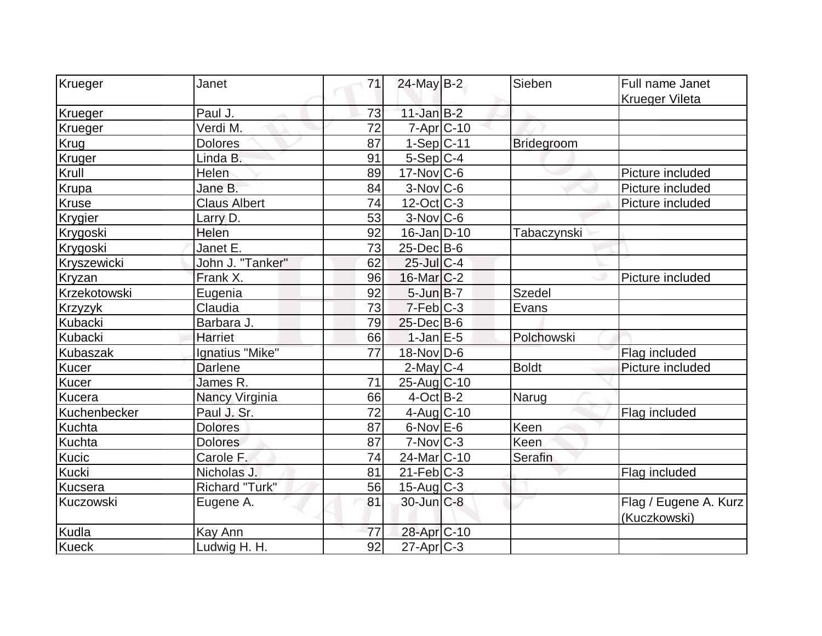| Krueger        | Janet               | 71 | 24-May B-2             | Sieben            | Full name Janet       |
|----------------|---------------------|----|------------------------|-------------------|-----------------------|
|                |                     |    |                        |                   | <b>Krueger Vileta</b> |
| Krueger        | Paul J.             | 73 | $11$ -Jan $B-2$        |                   |                       |
| Krueger        | Verdi M.            | 72 | $7 - Apr$ $C - 10$     |                   |                       |
| Krug           | <b>Dolores</b>      | 87 | $1-Sep C-11$           | <b>Bridegroom</b> |                       |
| Kruger         | Linda B.            | 91 | $5-Sep C-4$            |                   |                       |
| Krull          | Helen               | 89 | $17$ -Nov $ C$ -6      |                   | Picture included      |
| Krupa          | Jane B.             | 84 | $3-Nov$ $C-6$          |                   | Picture included      |
| <b>Kruse</b>   | <b>Claus Albert</b> | 74 | $12$ -Oct C-3          |                   | Picture included      |
| Krygier        | Larry D.            | 53 | $3-Nov$ <sub>C-6</sub> |                   |                       |
| Krygoski       | Helen               | 92 | $16$ -Jan D-10         | Tabaczynski       |                       |
| Krygoski       | Janet E.            | 73 | $25$ -Dec $B$ -6       |                   |                       |
| Kryszewicki    | John J. "Tanker"    | 62 | 25-Jul C-4             |                   |                       |
| Kryzan         | Frank X.            | 96 | 16-Mar C-2             |                   | Picture included      |
| Krzekotowski   | Eugenia             | 92 | $5$ -Jun $B$ -7        | Szedel            |                       |
| <b>Krzyzyk</b> | Claudia             | 73 | $7-Feb$ $C-3$          | Evans             |                       |
| Kubacki        | Barbara J.          | 79 | $25$ -Dec $B$ -6       |                   |                       |
| Kubacki        | <b>Harriet</b>      | 66 | $1-JanEE-5$            | Polchowski        |                       |
| Kubaszak       | Ignatius "Mike"     | 77 | $18-Nov D-6$           |                   | Flag included         |
| Kucer          | <b>Darlene</b>      |    | $2$ -May C-4           | <b>Boldt</b>      | Picture included      |
| Kucer          | James R.            | 71 | 25-Aug C-10            |                   |                       |
| Kucera         | Nancy Virginia      | 66 | $4$ -Oct $ B-2 $       | Narug             |                       |
| Kuchenbecker   | Paul J. Sr.         | 72 | $4$ -Aug C-10          |                   | Flag included         |
| Kuchta         | <b>Dolores</b>      | 87 | $6$ -Nov $E$ -6        | Keen              |                       |
| Kuchta         | <b>Dolores</b>      | 87 | $7-Nov$ $C-3$          | Keen              |                       |
| Kucic          | Carole F.           | 74 | 24-Mar C-10            | Serafin           |                       |
| <b>Kucki</b>   | Nicholas J.         | 81 | $21$ -Feb $ C-3 $      |                   | Flag included         |
| Kucsera        | Richard "Turk"      | 56 | $15$ -Aug C-3          |                   |                       |
| Kuczowski      | Eugene A.           | 81 | $30$ -Jun $C-8$        |                   | Flag / Eugene A. Kurz |
|                |                     |    |                        |                   | (Kuczkowski)          |
| Kudla          | Kay Ann             | 77 | 28-Apr C-10            |                   |                       |
| Kueck          | Ludwig H. H.        | 92 | $27$ -Apr $ C-3 $      |                   |                       |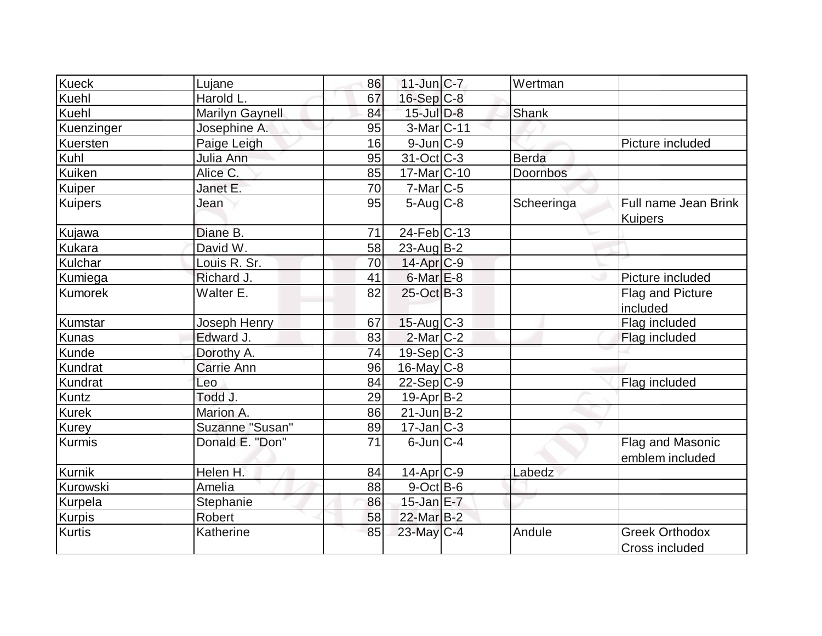| Kueck          | Lujane                 | 86 | $11$ -Jun $ C-7 $ | Wertman      |                                         |
|----------------|------------------------|----|-------------------|--------------|-----------------------------------------|
| Kuehl          | Harold L.              | 67 | $16-Sep$ C-8      |              |                                         |
| Kuehl          | <b>Marilyn Gaynell</b> | 84 | $15$ -Jul $D-8$   | Shank        |                                         |
| Kuenzinger     | Josephine A.           | 95 | 3-Mar C-11        |              |                                         |
| Kuersten       | Paige Leigh            | 16 | $9$ -Jun $C-9$    |              | Picture included                        |
| Kuhl           | Julia Ann              | 95 | 31-Oct C-3        | <b>Berda</b> |                                         |
| Kuiken         | Alice C.               | 85 | 17-Mar C-10       | Doornbos     |                                         |
| Kuiper         | Janet E.               | 70 | $7$ -Mar $ C$ -5  |              |                                         |
| <b>Kuipers</b> | Jean                   | 95 | $5-Aug C-8$       | Scheeringa   | Full name Jean Brink<br><b>Kuipers</b>  |
| Kujawa         | Diane B.               | 71 | $24$ -Feb $ C-13$ |              |                                         |
| <b>Kukara</b>  | David W.               | 58 | $23$ -AugB-2      |              |                                         |
| Kulchar        | Louis R. Sr.           | 70 | 14-Apr C-9        |              |                                         |
| Kumiega        | Richard J.             | 41 | $6$ -Mar $E$ -8   |              | Picture included                        |
| <b>Kumorek</b> | Walter E.              | 82 | $25$ -Oct B-3     |              | Flag and Picture<br>included            |
| Kumstar        | Joseph Henry           | 67 | $15$ -Aug C-3     |              | Flag included                           |
| <b>Kunas</b>   | Edward J.              | 83 | $2$ -Mar $ C-2 $  |              | Flag included                           |
| Kunde          | Dorothy A.             | 74 | $19-Sep C-3$      |              |                                         |
| Kundrat        | Carrie Ann             | 96 | $16$ -May C-8     |              |                                         |
| Kundrat        | Leo                    | 84 | $22-Sep C-9$      |              | Flag included                           |
| Kuntz          | Todd J.                | 29 | $19$ -Apr $ B-2 $ |              |                                         |
| <b>Kurek</b>   | Marion A.              | 86 | $21$ -Jun $B-2$   |              |                                         |
| Kurey          | Suzanne "Susan"        | 89 | $17$ -Jan $ C-3 $ |              |                                         |
| Kurmis         | Donald E. "Don"        | 71 | $6$ -Jun $ C-4$   |              | Flag and Masonic<br>emblem included     |
| <b>Kurnik</b>  | Helen H.               | 84 | $14$ -Apr $ C-9 $ | Labedz       |                                         |
| Kurowski       | Amelia                 | 88 | $9$ -Oct B-6      |              |                                         |
| Kurpela        | Stephanie              | 86 | $15$ -Jan $E - 7$ |              |                                         |
| <b>Kurpis</b>  | Robert                 | 58 | 22-Mar B-2        |              |                                         |
| <b>Kurtis</b>  | Katherine              | 85 | 23-May C-4        | Andule       | <b>Greek Orthodox</b><br>Cross included |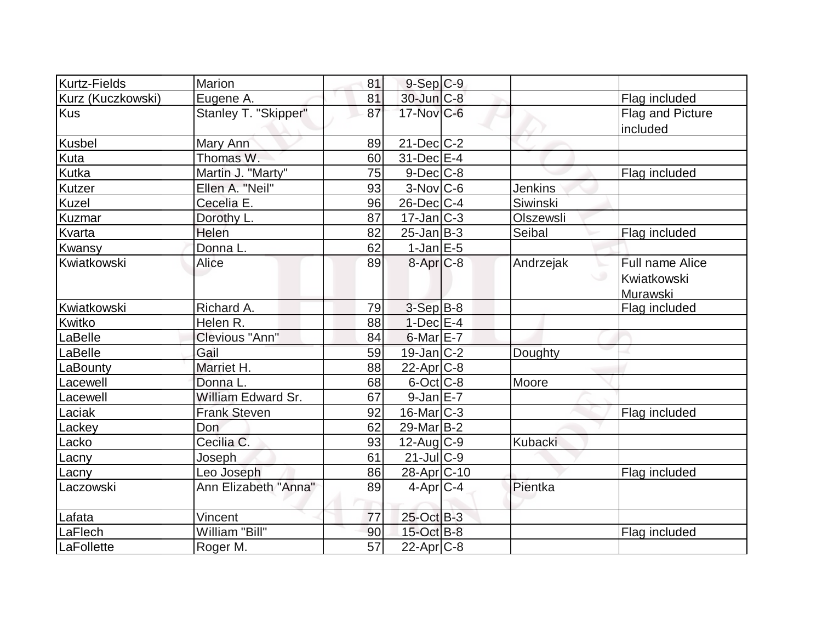| Kurtz-Fields      | Marion               | 81 | $9-Sep C-9$       |                |                                                   |
|-------------------|----------------------|----|-------------------|----------------|---------------------------------------------------|
| Kurz (Kuczkowski) | Eugene A.            | 81 | 30-Jun C-8        |                | Flag included                                     |
| Kus               | Stanley T. "Skipper" | 87 | 17-Nov C-6        |                | Flag and Picture<br>included                      |
| Kusbel            | Mary Ann             | 89 | $21$ -Dec $ C-2 $ |                |                                                   |
| Kuta              | Thomas W.            | 60 | $31$ -Dec $E-4$   |                |                                                   |
| Kutka             | Martin J. "Marty"    | 75 | $9$ -Dec $C$ -8   |                | Flag included                                     |
| Kutzer            | Ellen A. "Neil"      | 93 | $3-Nov$ $C-6$     | <b>Jenkins</b> |                                                   |
| Kuzel             | Cecelia E.           | 96 | $26$ -Dec $ C-4 $ | Siwinski       |                                                   |
| Kuzmar            | Dorothy L.           | 87 | $17$ -Jan $ C-3 $ | Olszewsli      |                                                   |
| Kvarta            | Helen                | 82 | $25$ -Jan $B-3$   | Seibal         | Flag included                                     |
| Kwansy            | Donna L.             | 62 | $1$ -Jan $E$ -5   |                |                                                   |
| Kwiatkowski       | Alice                | 89 | $8 - Apr$ $C-8$   | Andrzejak      | Full name Alice<br><b>Kwiatkowski</b><br>Murawski |
| Kwiatkowski       | Richard A.           | 79 | $3-Sep$ B-8       |                | Flag included                                     |
| Kwitko            | Helen R.             | 88 | $1-Dec$ $E-4$     |                |                                                   |
| LaBelle           | Clevious "Ann"       | 84 | $6$ -Mar $E$ -7   |                |                                                   |
| LaBelle           | Gail                 | 59 | $19$ -Jan $ C-2 $ | Doughty        |                                                   |
| LaBounty          | Marriet H.           | 88 | $22$ -Apr $C-8$   |                |                                                   |
| Lacewell          | Donna L.             | 68 | $6$ -Oct $ C$ -8  | Moore          |                                                   |
| Lacewell          | William Edward Sr.   | 67 | $9$ -Jan $E - 7$  |                |                                                   |
| Laciak            | <b>Frank Steven</b>  | 92 | $16$ -Mar $ C-3 $ |                | Flag included                                     |
| Lackey            | Don                  | 62 | $29$ -Mar $ B-2 $ |                |                                                   |
| Lacko             | Cecilia C.           | 93 | $12$ -Aug C-9     | Kubacki        |                                                   |
| Lacny             | Joseph               | 61 | 21-Jul C-9        |                |                                                   |
| Lacny             | Leo Joseph           | 86 | $28$ -Apr $ C-10$ |                | Flag included                                     |
| Laczowski         | Ann Elizabeth "Anna" | 89 | $4$ -Apr $ C-4 $  | Pientka        |                                                   |
| Lafata            | Vincent              | 77 | 25-Oct B-3        |                |                                                   |
| LaFlech           | William "Bill"       | 90 | 15-Oct B-8        |                | Flag included                                     |
| LaFollette        | Roger M.             | 57 | $22$ -Apr $ C-8$  |                |                                                   |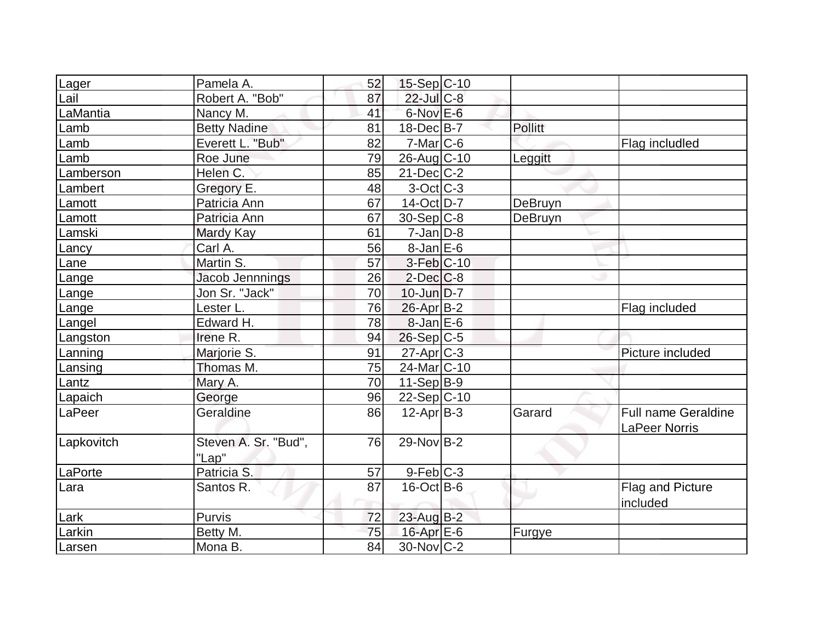| Lager      | Pamela A.                     | 52 | $15-Sep C-10$            |                |                                             |
|------------|-------------------------------|----|--------------------------|----------------|---------------------------------------------|
| Lail       | Robert A. "Bob"               | 87 | 22-Jul C-8               |                |                                             |
| LaMantia   | Nancy M.                      | 41 | $6$ -Nov $E$ -6          |                |                                             |
| Lamb       | <b>Betty Nadine</b>           | 81 | $18$ -Dec $B$ -7         | <b>Pollitt</b> |                                             |
| Lamb       | Everett L. "Bub"              | 82 | $7-Mar$ $C-6$            |                | Flag includled                              |
| Lamb       | Roe June                      | 79 | 26-Aug C-10              | Leggitt        |                                             |
| Lamberson  | Helen C.                      | 85 | $21$ -Dec $C-2$          |                |                                             |
| Lambert    | Gregory E.                    | 48 | $3-Oct$ $C-3$            |                |                                             |
| Lamott     | Patricia Ann                  | 67 | 14-Oct D-7               | DeBruyn        |                                             |
| Lamott     | Patricia Ann                  | 67 | $30-Sep C-8$             | DeBruyn        |                                             |
| Lamski     | Mardy Kay                     | 61 | $7$ -Jan $ D-8 $         |                |                                             |
| Lancy      | Carl A.                       | 56 | $8$ -Jan $E$ -6          |                |                                             |
| Lane       | Martin S.                     | 57 | $3-Feb$ <sub>C-10</sub>  |                |                                             |
| Lange      | Jacob Jennnings               | 26 | $2$ -Dec $C$ -8          |                |                                             |
| Lange      | Jon Sr. "Jack"                | 70 | $10$ -Jun $D-7$          |                |                                             |
| Lange      | Lester L.                     | 76 | $26$ -Apr $B-2$          |                | Flag included                               |
| Langel     | Edward H.                     | 78 | $8$ -Jan $E$ -6          |                |                                             |
| Langston   | Irene R.                      | 94 | $26-Sep C-5$             |                |                                             |
| Lanning    | Marjorie S.                   | 91 | $27$ -Apr $C-3$          |                | Picture included                            |
| Lansing    | Thomas M.                     | 75 | 24-Mar <sub>IC</sub> -10 |                |                                             |
| Lantz      | Mary A.                       | 70 | $11-Sep B-9$             |                |                                             |
| Lapaich    | George                        | 96 | $22-Sep C-10$            |                |                                             |
| LaPeer     | Geraldine                     | 86 | $12-Apr B-3$             | Garard         | <b>Full name Geraldine</b><br>LaPeer Norris |
| Lapkovitch | Steven A. Sr. "Bud",<br>"Lap" | 76 | $29-NovB-2$              |                |                                             |
| LaPorte    | Patricia <sub>S</sub> .       | 57 | $9-Feb$ C-3              |                |                                             |
| Lara       | Santos R.                     | 87 | $16$ -Oct B-6            |                | Flag and Picture<br>included                |
| Lark       | Purvis                        | 72 | 23-Aug B-2               |                |                                             |
| Larkin     | Betty M.                      | 75 | $16$ -Apr $E$ -6         | Furgye         |                                             |
| Larsen     | Mona B.                       | 84 | 30-Nov C-2               |                |                                             |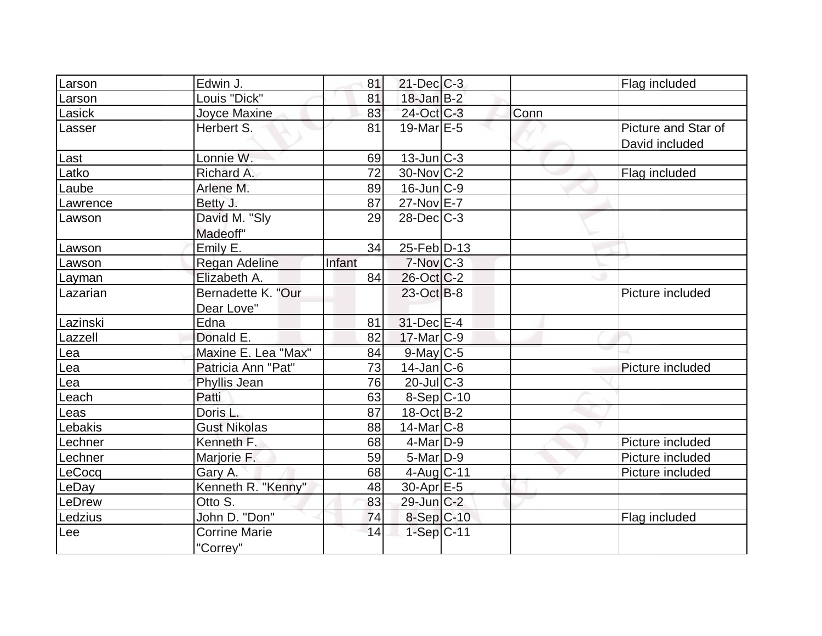| Larson   | Edwin J.                         | 81     | $21$ -Dec $C-3$   |      | Flag included                         |
|----------|----------------------------------|--------|-------------------|------|---------------------------------------|
| Larson   | Louis "Dick"                     | 81     | $18$ -Jan B-2     |      |                                       |
| Lasick   | Joyce Maxine                     | 83     | 24-Oct C-3        | Conn |                                       |
| Lasser   | Herbert S.                       | 81     | 19-Mar $E-5$      |      | Picture and Star of<br>David included |
| Last     | Lonnie W.                        | 69     | $13$ -Jun $ C-3 $ |      |                                       |
| Latko    | Richard A.                       | 72     | $30$ -Nov $ C-2 $ |      | Flag included                         |
| Laube    | Arlene M.                        | 89     | $16$ -Jun $ C-9 $ |      |                                       |
| Lawrence | Betty J.                         | 87     | 27-Nov E-7        |      |                                       |
| Lawson   | David M. "Sly<br>Madeoff"        | 29     | $28$ -Dec $C-3$   |      |                                       |
| Lawson   | Emily E.                         | 34     | 25-Feb D-13       |      |                                       |
| Lawson   | Regan Adeline                    | Infant | $7-Nov$ $C-3$     |      |                                       |
| Layman   | Elizabeth A.                     | 84     | $26$ -Oct C-2     |      |                                       |
| Lazarian | Bernadette K. "Our<br>Dear Love" |        | $23-Oct$ B-8      |      | Picture included                      |
| Lazinski | Edna                             | 81     | $31$ -Dec $E-4$   |      |                                       |
| Lazzell  | Donald E.                        | 82     | $17$ -Mar $ C-9$  |      |                                       |
| Lea      | Maxine E. Lea "Max"              | 84     | $9$ -May C-5      |      |                                       |
| Lea      | Patricia Ann "Pat"               | 73     | $14$ -Jan $ C-6 $ |      | Picture included                      |
| Lea      | Phyllis Jean                     | 76     | $20$ -Jul $C-3$   |      |                                       |
| Leach    | Patti                            | 63     | $8-Sep C-10$      |      |                                       |
| Leas     | Doris L.                         | 87     | 18-Oct B-2        |      |                                       |
| Lebakis  | <b>Gust Nikolas</b>              | 88     | $14$ -Mar $ C-8 $ |      |                                       |
| Lechner  | Kenneth F.                       | 68     | $4$ -Mar $ D-9$   |      | Picture included                      |
| Lechner  | Marjorie F.                      | 59     | $5$ -Mar $ D-9$   |      | Picture included                      |
| LeCocq   | Gary A.                          | 68     | $4$ -Aug C-11     |      | Picture included                      |
| LeDay    | Kenneth R. "Kenny"               | 48     | $30-Apr$ $E-5$    |      |                                       |
| LeDrew   | Otto S.                          | 83     | $29$ -Jun $C-2$   |      |                                       |
| Ledzius  | John D. "Don"                    | 74     | 8-Sep C-10        |      | Flag included                         |
| Lee      | <b>Corrine Marie</b><br>"Correy" | 14     | $1-Sep C-11$      |      |                                       |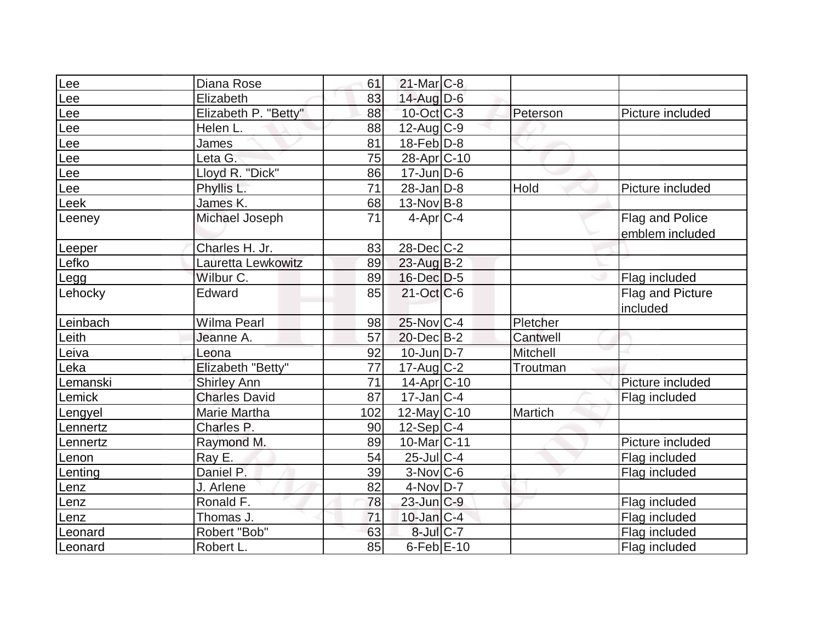| Lee      | Diana Rose           | 61              | $21$ -Mar $C-8$          |                 |                        |
|----------|----------------------|-----------------|--------------------------|-----------------|------------------------|
| Lee      | Elizabeth            | 83              | $14$ -Aug $D-6$          |                 |                        |
| Lee      | Elizabeth P. "Betty" | 88              | $10$ -Oct $C-3$          | Peterson        | Picture included       |
| Lee      | Helen L.             | 88              | 12-Aug C-9               |                 |                        |
| Lee      | James                | 81              | $18$ -Feb $D-8$          |                 |                        |
| Lee      | Leta G.              | 75              | 28-Apr <sub>C</sub> -10  |                 |                        |
| Lee      | Lloyd R. "Dick"      | 86              | $17$ -Jun $D-6$          |                 |                        |
| Lee      | Phyllis L.           | $\overline{71}$ | $28$ -Jan D-8            | Hold            | Picture included       |
| Leek     | James K.             | 68              | $13-Nov B-8$             |                 |                        |
| Leeney   | Michael Joseph       | 71              | $4$ -Apr $ C-4 $         |                 | <b>Flag and Police</b> |
|          |                      |                 |                          |                 | emblem included        |
| Leeper   | Charles H. Jr.       | 83              | $28$ -Dec $C-2$          |                 |                        |
| Lefko    | Lauretta Lewkowitz   | 89              | 23-Aug B-2               |                 |                        |
| Legg     | Wilbur C.            | 89              | $16$ -Dec $D-5$          |                 | Flag included          |
| Lehocky  | Edward               | 85              | $21-Oct$ $C-6$           |                 | Flag and Picture       |
|          |                      |                 |                          |                 | included               |
| Leinbach | <b>Wilma Pearl</b>   | 98              | $25$ -Nov $ C-4 $        | Pletcher        |                        |
| Leith    | Jeanne A.            | 57              | $20$ -Dec $B-2$          | Cantwell        |                        |
| Leiva    | Leona                | 92              | $10$ -Jun $D-7$          | <b>Mitchell</b> |                        |
| Leka     | Elizabeth "Betty"    | $\overline{77}$ | $17$ -Aug $C-2$          | Troutman        |                        |
| Lemanski | <b>Shirley Ann</b>   | 71              | $14$ -Apr $ C-10$        |                 | Picture included       |
| Lemick   | <b>Charles David</b> | 87              | $17 - Jan$ $C - 4$       |                 | Flag included          |
| Lengyel  | <b>Marie Martha</b>  | 102             | 12-May C-10              | Martich         |                        |
| Lennertz | Charles P.           | 90              | $12-Sep C-4$             |                 |                        |
| Lennertz | Raymond M.           | 89              | 10-Mar <sub>IC</sub> -11 |                 | Picture included       |
| Lenon    | Ray E.               | 54              | $25$ -Jul $C-4$          |                 | Flag included          |
| Lenting  | Daniel P.            | 39              | $3-Nov$ <sub>C-6</sub>   |                 | Flag included          |
| _enz     | J. Arlene            | 82              | $4$ -Nov $D-7$           |                 |                        |
| Lenz     | Ronald F.            | 78              | 23-Jun C-9               |                 | Flag included          |
| Lenz     | Thomas J.            | 71              | $10$ -Jan $C-4$          |                 | Flag included          |
| Leonard  | Robert "Bob"         | 63              | 8-Jul C-7                |                 | Flag included          |
| Leonard  | Robert L.            | 85              | $6$ -Feb $E$ -10         |                 | Flag included          |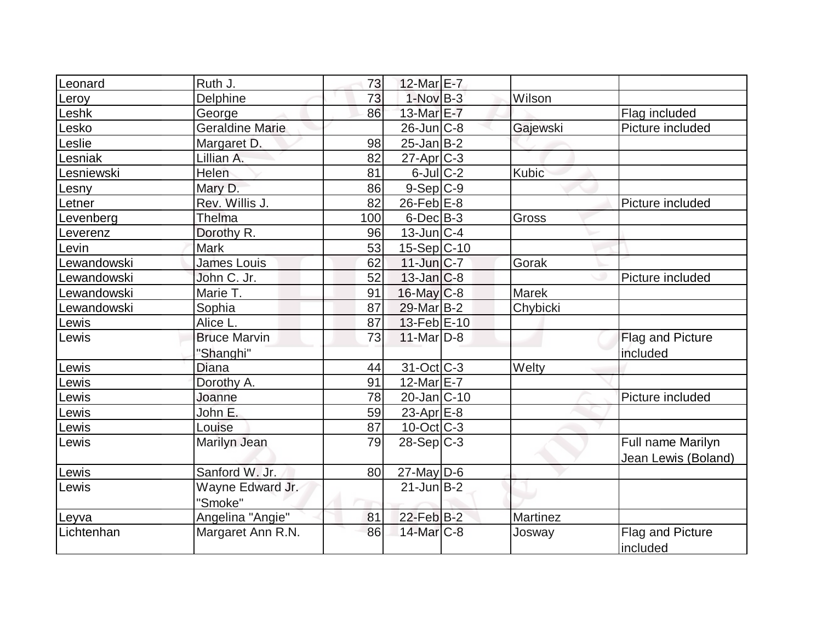| Leonard     | Ruth J.                | 73  | 12-Mar E-7             |              |                     |
|-------------|------------------------|-----|------------------------|--------------|---------------------|
| Leroy       | Delphine               | 73  | $1-NovB-3$             | Wilson       |                     |
| _eshk       | George                 | 86  | 13-Mar E-7             |              | Flag included       |
| _esko       | <b>Geraldine Marie</b> |     | $26$ -Jun $ C-8$       | Gajewski     | Picture included    |
| _eslie      | Margaret D.            | 98  | $25$ -Jan $B-2$        |              |                     |
| esniak      | Lillian A.             | 82  | $27$ -Apr $ C-3 $      |              |                     |
| Lesniewski  | Helen                  | 81  | $6$ -Jul $C-2$         | Kubic        |                     |
| _esny       | Mary D.                | 86  | $9-Sep C-9$            |              |                     |
| Letner      | Rev. Willis J.         | 82  | $26$ -Feb $E-8$        |              | Picture included    |
| _evenberg   | Thelma                 | 100 | $6$ -Dec $B$ -3        | Gross        |                     |
| _everenz    | Dorothy <sub>R.</sub>  | 96  | $13$ -Jun $ C-4$       |              |                     |
| evin.       | <b>Mark</b>            | 53  | 15-Sep C-10            |              |                     |
| Lewandowski | James Louis            | 62  | $11$ -Jun $ C-7 $      | Gorak        |                     |
| Lewandowski | John C. Jr.            | 52  | $13$ -Jan $ C-8 $      |              | Picture included    |
| Lewandowski | Marie T.               | 91  | $16$ -May $C$ -8       | <b>Marek</b> |                     |
| Lewandowski | Sophia                 | 87  | 29-Mar B-2             | Chybicki     |                     |
| _ewis       | Alice L.               | 87  | $13$ -Feb $E-10$       |              |                     |
| _ewis       | <b>Bruce Marvin</b>    | 73  | $11-Mar$ D-8           |              | Flag and Picture    |
|             | "Shanghi"              |     |                        |              | included            |
| _ewis       | Diana                  | 44  | $31-Oct$ C-3           | Welty        |                     |
| Lewis       | Dorothy A.             | 91  | 12-Mar <sub>IE-7</sub> |              |                     |
| _ewis       | Joanne                 | 78  | 20-Jan C-10            |              | Picture included    |
| ewis-       | John E.                | 59  | 23-Apr $E-8$           |              |                     |
| Lewis       | Louise                 | 87  | $10$ -Oct $ C-3 $      |              |                     |
| Lewis       | Marilyn Jean           | 79  | $28-Sep C-3$           |              | Full name Marilyn   |
|             |                        |     |                        |              | Jean Lewis (Boland) |
| Lewis       | Sanford W. Jr.         | 80  | $27$ -May D-6          |              |                     |
| Lewis       | Wayne Edward Jr.       |     | $21$ -Jun $B-2$        |              |                     |
|             | "Smoke"                |     |                        |              |                     |
| Leyva       | Angelina "Angie"       | 81  | 22-Feb B-2             | Martinez     |                     |
| Lichtenhan  | Margaret Ann R.N.      | 86  | $14$ -Mar $C-8$        | Josway       | Flag and Picture    |
|             |                        |     |                        |              | included            |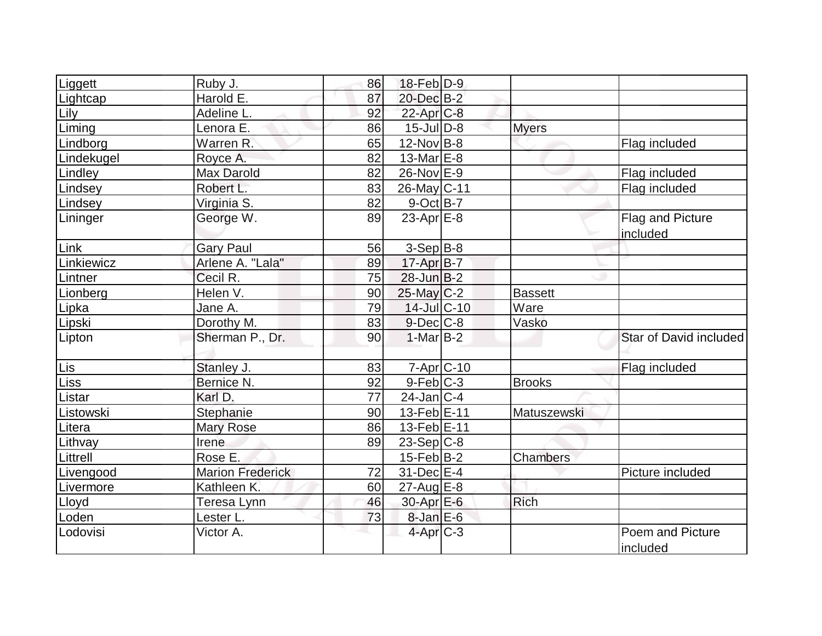| Liggett    | Ruby J.                 | 86 | 18-Feb D-9         |                |                              |
|------------|-------------------------|----|--------------------|----------------|------------------------------|
| Lightcap   | Harold E.               | 87 | 20-Dec B-2         |                |                              |
| Lily       | Adeline L.              | 92 | $22$ -Apr $C-8$    |                |                              |
| Liming     | Lenora E.               | 86 | $15$ -Jul $D-8$    | <b>Myers</b>   |                              |
| Lindborg   | Warren R.               | 65 | $12$ -Nov B-8      |                | Flag included                |
| Lindekugel | Royce A.                | 82 | $13-MarE-8$        |                |                              |
| Lindley    | Max Darold              | 82 | $26$ -Nov $E-9$    |                | Flag included                |
| Lindsey    | Robert L.               | 83 | 26-May C-11        |                | Flag included                |
| Lindsey    | Virginia S.             | 82 | $9$ -Oct B-7       |                |                              |
| Lininger   | George W.               | 89 | $23$ -Apr $E-8$    |                | Flag and Picture<br>included |
| Link       | <b>Gary Paul</b>        | 56 | $3-Sep B-8$        |                |                              |
| Linkiewicz | Arlene A. "Lala"        | 89 | $17$ -Apr $B$ -7   |                |                              |
| Lintner    | Cecil R.                | 75 | $28$ -Jun $B-2$    |                |                              |
| Lionberg   | Helen V.                | 90 | $25$ -May C-2      | <b>Bassett</b> |                              |
| Lipka      | Jane A.                 | 79 | 14-Jul C-10        | Ware           |                              |
| Lipski     | Dorothy M.              | 83 | $9$ -Dec $C$ -8    | Vasko          |                              |
| Lipton     | Sherman P., Dr.         | 90 | $1-Mar$ B-2        |                | Star of David included       |
| Lis        | Stanley J.              | 83 | $7 - Apr$ $C - 10$ |                | Flag included                |
| Liss       | Bernice N.              | 92 | $9-Feb C-3$        | <b>Brooks</b>  |                              |
| Listar     | Karl D.                 | 77 | $24$ -Jan $ C-4 $  |                |                              |
| Listowski  | Stephanie               | 90 | 13-Feb E-11        | Matuszewski    |                              |
| Litera     | <b>Mary Rose</b>        | 86 | 13-Feb E-11        |                |                              |
| Lithvay    | Irene                   | 89 | $23-Sep C-8$       |                |                              |
| Littrell   | Rose E.                 |    | $15$ -Feb $ B-2 $  | Chambers       |                              |
| Livengood  | <b>Marion Frederick</b> | 72 | $31$ -Dec $E-4$    |                | Picture included             |
| Livermore  | Kathleen K.             | 60 | $27$ -Aug $E-8$    |                |                              |
| Lloyd      | Teresa Lynn             | 46 | 30-Apr E-6         | Rich           |                              |
| Loden      | Lester L.               | 73 | $8$ -Jan $E$ -6    |                |                              |
| Lodovisi   | Victor A.               |    | $4$ -Apr $C-3$     |                | Poem and Picture<br>included |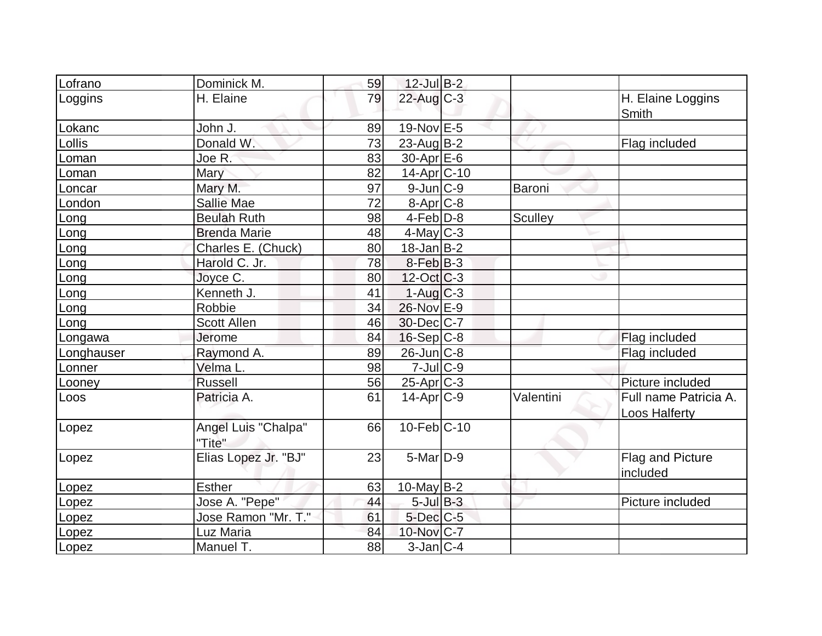| Lofrano    | Dominick M.                   | 59 | $12$ -Jul $B-2$   |                |                                        |
|------------|-------------------------------|----|-------------------|----------------|----------------------------------------|
| Loggins    | H. Elaine                     | 79 | $22$ -Aug $C-3$   |                | H. Elaine Loggins<br>Smith             |
| Lokanc     | John J.                       | 89 | 19-Nov E-5        |                |                                        |
| Lollis     | Donald W.                     | 73 | $23$ -Aug $B-2$   |                | Flag included                          |
| Loman      | Joe R.                        | 83 | $30$ -Apr $E$ -6  |                |                                        |
| Loman      | Mary                          | 82 | $14$ -Apr $ C-10$ |                |                                        |
| Loncar     | Mary M.                       | 97 | $9$ -Jun $C-9$    | Baroni         |                                        |
| London     | <b>Sallie Mae</b>             | 72 | $8 - Apr$ $C-8$   |                |                                        |
| Long       | <b>Beulah Ruth</b>            | 98 | $4-Feb D-8$       | <b>Sculley</b> |                                        |
| Long       | <b>Brenda Marie</b>           | 48 | $4$ -May C-3      |                |                                        |
| Long       | Charles E. (Chuck)            | 80 | $18$ -Jan $ B-2 $ |                |                                        |
| Long       | Harold C. Jr.                 | 78 | $8-Feb B-3$       |                |                                        |
| Long       | Joyce C.                      | 80 | $12$ -Oct C-3     |                |                                        |
| Long       | Kenneth J.                    | 41 | $1-Aug$ $C-3$     |                |                                        |
| Long       | Robbie                        | 34 | 26-Nov E-9        |                |                                        |
| Long       | <b>Scott Allen</b>            | 46 | 30-Dec C-7        |                |                                        |
| Longawa    | Jerome                        | 84 | $16-Sep C-8$      |                | Flag included                          |
| Longhauser | Raymond A.                    | 89 | $26$ -Jun $C-8$   |                | Flag included                          |
| Lonner     | Velma L.                      | 98 | $7 -$ Jul $C - 9$ |                |                                        |
| Looney     | <b>Russell</b>                | 56 | $25$ -Apr $C-3$   |                | Picture included                       |
| Loos       | Patricia A.                   | 61 | $14$ -Apr $ C-9 $ | Valentini      | Full name Patricia A.<br>Loos Halferty |
| Lopez      | Angel Luis "Chalpa"<br>"Tite" | 66 | $10$ -Feb $ C-10$ |                |                                        |
| Lopez      | Elias Lopez Jr. "BJ"          | 23 | $5$ -Mar $D-9$    |                | Flag and Picture<br>included           |
| Lopez      | <b>Esther</b>                 | 63 | $10$ -May B-2     |                |                                        |
| Lopez      | Jose A. "Pepe"                | 44 | $5$ -Jul $B-3$    |                | Picture included                       |
| Lopez      | <u>Jose Ra</u> mon "Mr. T."   | 61 | 5-Dec C-5         |                |                                        |
| Lopez      | Luz Maria                     | 84 | 10-Nov C-7        |                |                                        |
| Lopez      | Manuel T.                     | 88 | $3$ -Jan $ C-4 $  |                |                                        |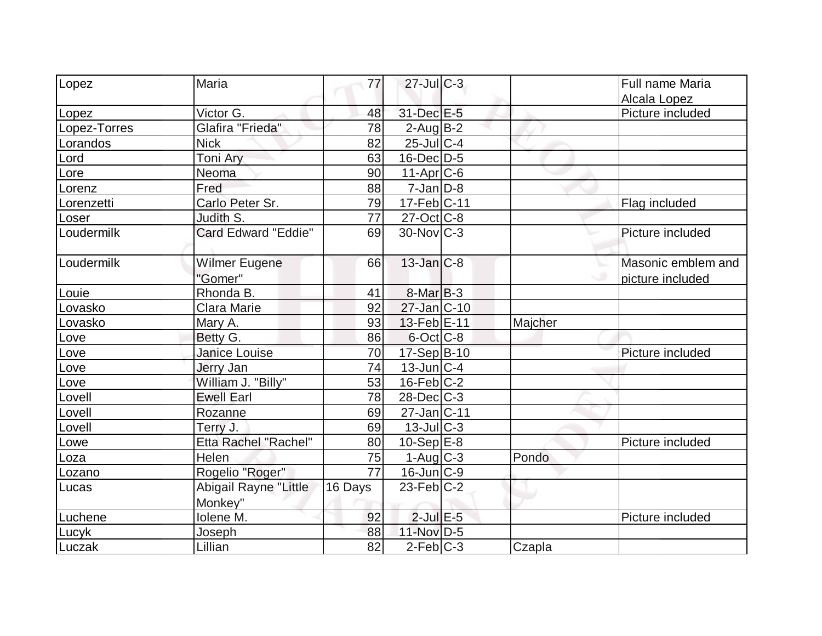| Lopez<br>Maria                           | 77              | $27$ -Jul $C-3$   |         | <b>Full name Maria</b> |
|------------------------------------------|-----------------|-------------------|---------|------------------------|
|                                          |                 |                   |         | Alcala Lopez           |
| Victor G.<br>Lopez                       | 48              | 31-Dec E-5        |         | Picture included       |
| Glafira "Frieda"<br>Lopez-Torres         | 78              | $2$ -Aug $B-2$    |         |                        |
| <b>Nick</b><br>Lorandos                  | 82              | $25$ -Jul $C-4$   |         |                        |
| Toni Ary<br>Lord                         | 63              | $16$ -Dec $D-5$   |         |                        |
| Neoma<br>Lore                            | 90              | $11-Apr$ $C-6$    |         |                        |
| Fred<br>Lorenz                           | 88              | $7$ -Jan $D-8$    |         |                        |
| Carlo Peter Sr.<br>Lorenzetti            | 79              | 17-Feb C-11       |         | Flag included          |
| Judith S.<br>Loser                       | 77              | $27$ -Oct $ C-8 $ |         |                        |
| Loudermilk<br><b>Card Edward "Eddie"</b> | 69              | $30$ -Nov $ C-3 $ |         | Picture included       |
| Loudermilk<br><b>Wilmer Eugene</b>       | 66              | $13$ -Jan $C-8$   |         | Masonic emblem and     |
| "Gomer"                                  |                 |                   |         | picture included       |
| Rhonda B.<br>Louie                       | 41              | $8-Mar$ B-3       |         |                        |
| Clara Marie<br>Lovasko                   | 92              | 27-Jan C-10       |         |                        |
| Mary A.<br>Lovasko                       | 93              | 13-Feb E-11       | Majcher |                        |
| Betty G.<br>Love                         | 86              | $6$ -Oct $ C$ -8  |         |                        |
| Janice Louise<br>Love                    | 70              | 17-Sep B-10       |         | Picture included       |
| Love<br>Jerry Jan                        | 74              | $13$ -Jun $ C-4 $ |         |                        |
| William J. "Billy"<br>Love               | 53              | $16$ -Feb $ C-2 $ |         |                        |
| <b>Ewell Earl</b><br>Lovell              | 78              | $28$ -Dec $C-3$   |         |                        |
| Lovell<br>Rozanne                        | 69              | 27-Jan C-11       |         |                        |
| Lovell<br>Terry J.                       | 69              | $13$ -JulC-3      |         |                        |
| Etta Rachel "Rachel"<br>Lowe             | 80              | $10-Sep$ E-8      |         | Picture included       |
| Helen<br>Loza                            | 75              | 1-Aug C-3         | Pondo   |                        |
| Rogelio "Roger"<br>Lozano                | $\overline{77}$ | $16$ -Jun $ C-9 $ |         |                        |
| Abigail Rayne "Little<br>Lucas           | 16 Days         | $23$ -Feb $ C-2 $ |         |                        |
| Monkey"                                  |                 |                   |         |                        |
| Iolene M.<br>Luchene                     | 92              | $2$ -Jul $E$ -5   |         | Picture included       |
| <b>Joseph</b><br>Lucyk                   | 88              | 11-Nov D-5        |         |                        |
| Lillian<br>Luczak                        | 82              | $2-Feb C-3$       | Czapla  |                        |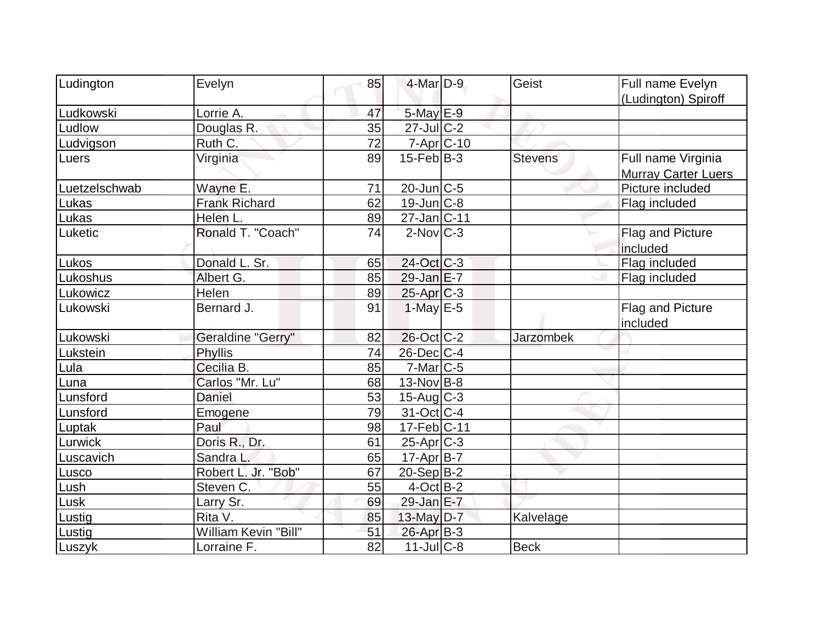| Ludington     | Evelyn               | 85 | 4-Mar D-9          | Geist            |                                                  |
|---------------|----------------------|----|--------------------|------------------|--------------------------------------------------|
|               |                      |    |                    |                  | Full name Evelyn                                 |
| Ludkowski     | Lorrie A.            | 47 | 5-May E-9          |                  | (Ludington) Spiroff                              |
|               |                      |    |                    |                  |                                                  |
| Ludlow        | Douglas R.           | 35 | $27$ -JulC-2       |                  |                                                  |
| Ludvigson     | Ruth C.              | 72 | $7 - Apr$ $C - 10$ |                  |                                                  |
| Luers         | Virginia             | 89 | $15$ -Feb $B$ -3   | <b>Stevens</b>   | Full name Virginia<br><b>Murray Carter Luers</b> |
| Luetzelschwab | Wayne E.             | 71 | $20$ -Jun $ C-5 $  |                  | Picture included                                 |
| Lukas         | <b>Frank Richard</b> | 62 | 19-Jun C-8         |                  | Flag included                                    |
| Lukas         | Helen L.             | 89 | $27$ -Jan $ C-11 $ |                  |                                                  |
| Luketic       | Ronald T. "Coach"    | 74 | $2$ -Nov $ C-3 $   |                  | <b>Flag and Picture</b><br>included              |
| Lukos         | Donald L. Sr.        | 65 | 24-Oct C-3         |                  | Flag included                                    |
| Lukoshus      | Albert G.            | 85 | $29$ -Jan $E$ -7   |                  | Flag included                                    |
| Lukowicz      | Helen                | 89 | $25$ -Apr $C-3$    |                  |                                                  |
| Lukowski      | Bernard J.           | 91 | $1-May$ $E-5$      |                  | <b>Flag and Picture</b><br>included              |
| Lukowski      | Geraldine "Gerry"    | 82 | $26$ -Oct $ C-2 $  | <b>Jarzombek</b> |                                                  |
| Lukstein      | Phyllis              | 74 | $26$ -Dec $C$ -4   |                  |                                                  |
| Lula          | Cecilia B.           | 85 | $7$ -Mar $ C$ -5   |                  |                                                  |
| Luna          | Carlos "Mr. Lu"      | 68 | $13-Nov B-8$       |                  |                                                  |
| Lunsford      | <b>Daniel</b>        | 53 | $15$ -Aug C-3      |                  |                                                  |
| Lunsford      | Emogene              | 79 | $31-Oct$ $C-4$     |                  |                                                  |
| Luptak        | Paul                 | 98 | $17-Feb C-11$      |                  |                                                  |
| Lurwick       | Doris R., Dr.        | 61 | $25$ -Apr $C-3$    |                  |                                                  |
| Luscavich     | Sandra L.            | 65 | 17-Apr B-7         |                  |                                                  |
| Lusco         | Robert L. Jr. "Bob"  | 67 | $20-Sep B-2$       |                  |                                                  |
| Lush          | Steven C.            | 55 | $4$ -Oct B-2       |                  |                                                  |
| Lusk          | Larry Sr.            | 69 | 29-Jan $E-7$       |                  |                                                  |
| Lustig        | Rita V.              | 85 | $13$ -May $D-7$    | Kalvelage        |                                                  |
| Lustig        | William Kevin "Bill" | 51 | $26$ -Apr $B-3$    |                  |                                                  |
| Luszyk        | Lorraine F.          | 82 | $11$ -Jul $ C-8$   | <b>Beck</b>      |                                                  |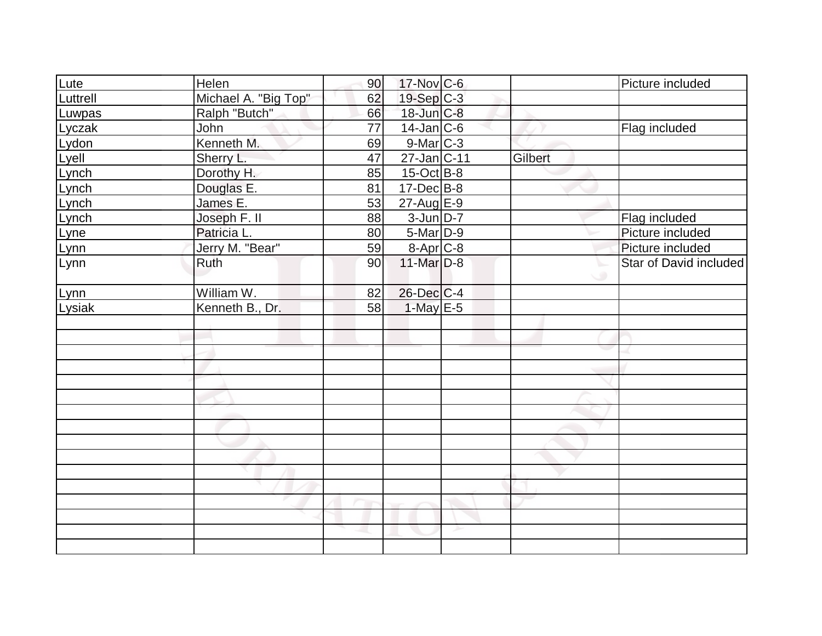| Lute     | Helen                | 90 | 17-Nov C-6        |         | Picture included       |
|----------|----------------------|----|-------------------|---------|------------------------|
| Luttrell | Michael A. "Big Top" | 62 | 19-Sep C-3        |         |                        |
| Luwpas   | Ralph "Butch"        | 66 | 18-Jun C-8        |         |                        |
| Lyczak   | John                 | 77 | $14$ -Jan $ C-6 $ |         | Flag included          |
| Lydon    | Kenneth M.           | 69 | 9-Mar C-3         |         |                        |
| Lyell    | Sherry L.            | 47 | 27-Jan C-11       | Gilbert |                        |
| Lynch    | Dorothy H.           | 85 | $15$ -Oct B-8     |         |                        |
| Lynch    | Douglas E.           | 81 | $17 - Dec$ B-8    |         |                        |
| Lynch    | James <sub>E.</sub>  | 53 | 27-Aug E-9        |         |                        |
| Lynch    | Joseph F. II         | 88 | $3$ -Jun $D-7$    |         | Flag included          |
| Lyne     | Patricia L.          | 80 | $5$ -Mar $D-9$    |         | Picture included       |
| Lynn     | Jerry M. "Bear"      | 59 | 8-Apr C-8         |         | Picture included       |
| Lynn     | Ruth                 | 90 | $11$ -Mar $D-8$   |         | Star of David included |
| Lynn     | William W.           | 82 | $26$ -Dec $C$ -4  |         |                        |
| Lysiak   | Kenneth B., Dr.      | 58 | $1$ -May $E$ -5   |         |                        |
|          |                      |    |                   |         |                        |
|          |                      |    |                   |         |                        |
|          |                      |    |                   |         |                        |
|          |                      |    |                   |         |                        |
|          |                      |    |                   |         |                        |
|          |                      |    |                   |         |                        |
|          |                      |    |                   |         |                        |
|          |                      |    |                   |         |                        |
|          |                      |    |                   |         |                        |
|          |                      |    |                   |         |                        |
|          |                      |    |                   |         |                        |
|          |                      |    |                   |         |                        |
|          |                      |    |                   |         |                        |
|          |                      |    |                   |         |                        |
|          |                      |    |                   |         |                        |
|          |                      |    |                   |         |                        |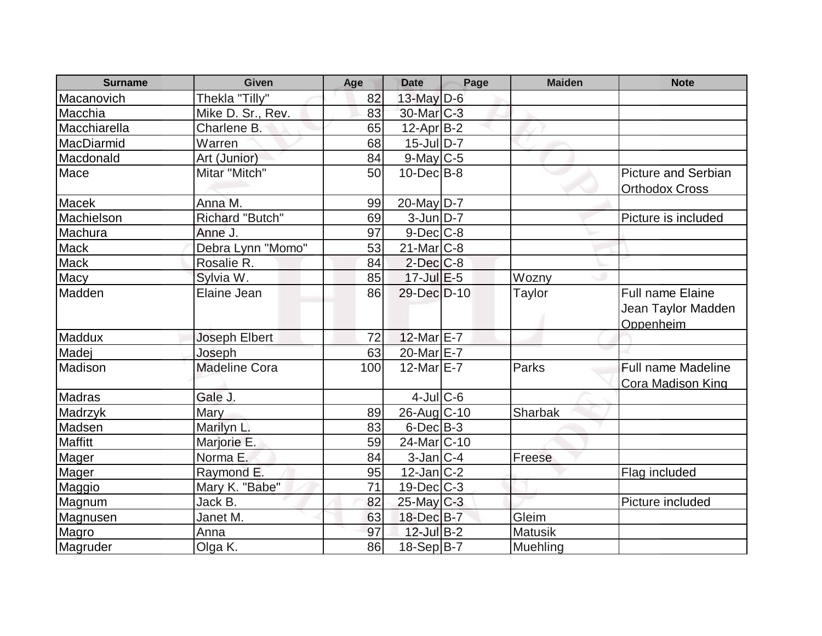| <b>Surname</b> | <b>Given</b>         | Age | <b>Date</b>            | Page | <b>Maiden</b>  | <b>Note</b>                                                |
|----------------|----------------------|-----|------------------------|------|----------------|------------------------------------------------------------|
| Macanovich     | Thekla "Tilly"       | 82  | 13-May D-6             |      |                |                                                            |
| Macchia        | Mike D. Sr., Rev.    | 83  | 30-Mar C-3             |      |                |                                                            |
| Macchiarella   | Charlene B.          | 65  | $12$ -Apr $ B-2 $      |      |                |                                                            |
| MacDiarmid     | Warren               | 68  | $15$ -JulD-7           |      |                |                                                            |
| Macdonald      | Art (Junior)         | 84  | $9$ -May C-5           |      |                |                                                            |
| Mace           | Mitar "Mitch"        | 50  | $10$ -Dec $B$ -8       |      |                | <b>Picture and Serbian</b><br><b>Orthodox Cross</b>        |
| <b>Macek</b>   | Anna M.              | 99  | $20$ -May D-7          |      |                |                                                            |
| Machielson     | Richard "Butch"      | 69  | $3$ -Jun $D-7$         |      |                | Picture is included                                        |
| Machura        | Anne J.              | 97  | $9$ -Dec $C$ -8        |      |                |                                                            |
| <b>Mack</b>    | Debra Lynn "Momo"    | 53  | $21$ -Mar $C-8$        |      |                |                                                            |
| <b>Mack</b>    | Rosalie R.           | 84  | $2$ -Dec $C-8$         |      |                |                                                            |
| Macy           | Sylvia W.            | 85  | $17$ -Jul $E$ -5       |      | Wozny          |                                                            |
| Madden         | Elaine Jean          | 86  | 29-Dec D-10            |      | Taylor         | <b>Full name Elaine</b><br>Jean Taylor Madden<br>Oppenheim |
| Maddux         | Joseph Elbert        | 72  | $12$ -Mar $E$ -7       |      |                |                                                            |
| Madej          | Joseph               | 63  | 20-Mar E-7             |      |                |                                                            |
| Madison        | <b>Madeline Cora</b> | 100 | $12$ -Mar $E$ -7       |      | Parks          | <b>Full name Madeline</b><br>Cora Madison King             |
| Madras         | Gale J.              |     | $4$ -Jul $C$ -6        |      |                |                                                            |
| Madrzyk        | Mary                 | 89  | 26-Aug C-10            |      | Sharbak        |                                                            |
| Madsen         | Marilyn L.           | 83  | $6$ -Dec $B$ -3        |      |                |                                                            |
| Maffitt        | Marjorie E.          | 59  | 24-Mar <sub>C-10</sub> |      |                |                                                            |
| Mager          | Norma E.             | 84  | $3$ -Jan $ C-4 $       |      | Freese         |                                                            |
| Mager          | Raymond E.           | 95  | $12$ -Jan $ C-2 $      |      |                | Flag included                                              |
| Maggio         | Mary K. "Babe"       | 71  | $19$ -Dec $C-3$        |      |                |                                                            |
| Magnum         | Jack B.              | 82  | $25$ -May C-3          |      |                | Picture included                                           |
| Magnusen       | Janet M.             | 63  | 18-Dec B-7             |      | Gleim          |                                                            |
| Magro          | Anna                 | 97  | $12$ -Jul B-2          |      | <b>Matusik</b> |                                                            |
| Magruder       | Olga K.              | 86  | $18-Sep B-7$           |      | Muehling       |                                                            |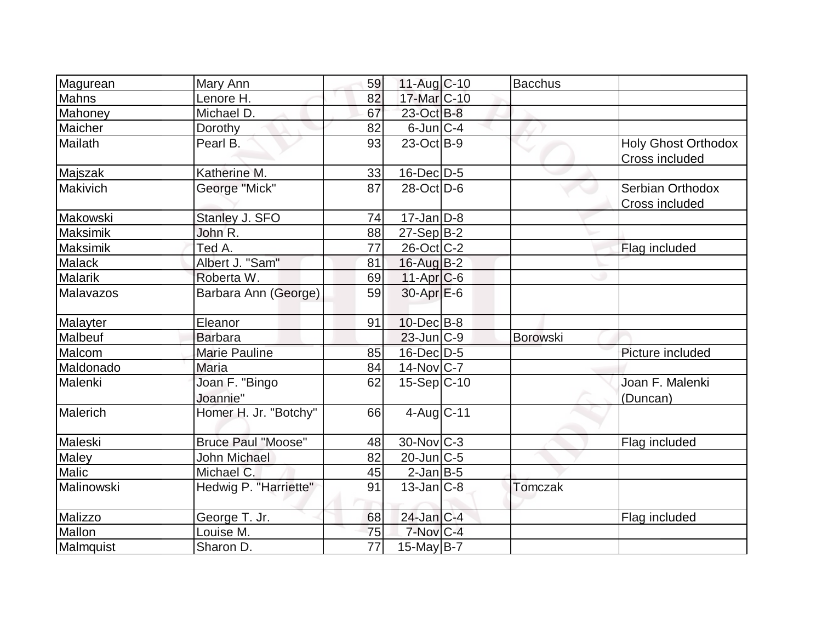|                   |                            | 59 | $11-Auq$ <sub>C</sub> -10 | <b>Bacchus</b>  |                                              |
|-------------------|----------------------------|----|---------------------------|-----------------|----------------------------------------------|
| Magurean<br>Mahns | Mary Ann<br>Lenore H.      | 82 | 17-Mar C-10               |                 |                                              |
|                   | Michael D.                 | 67 | 23-Oct B-8                |                 |                                              |
| Mahoney           |                            |    |                           |                 |                                              |
| Maicher           | Dorothy                    | 82 | $6$ -Jun $ C-4 $          |                 |                                              |
| Mailath           | Pearl B.                   | 93 | $23-Oct$ B-9              |                 | <b>Holy Ghost Orthodox</b><br>Cross included |
| Majszak           | Katherine M.               | 33 | $16$ -Dec $D-5$           |                 |                                              |
| Makivich          | George "Mick"              | 87 | $28$ -Oct $ D-6 $         |                 | Serbian Orthodox                             |
|                   |                            |    |                           |                 | Cross included                               |
| Makowski          | Stanley J. SFO             | 74 | $17$ -Jan $ D-8$          |                 |                                              |
| Maksimik          | John R.                    | 88 | $27-Sep B-2$              |                 |                                              |
| Maksimik          | Ted A.                     | 77 | $26$ -Oct $ C-2 $         |                 | Flag included                                |
| Malack            | Albert J. "Sam"            | 81 | 16-Aug B-2                |                 |                                              |
| Malarik           | Roberta W.                 | 69 | $11-Apr$ <sub>C-6</sub>   |                 |                                              |
| Malavazos         | Barbara Ann (George)       | 59 | $30-Apr$ $E-6$            |                 |                                              |
| Malayter          | Eleanor                    | 91 | $10$ -Dec $ B-8$          |                 |                                              |
| Malbeuf           | <b>Barbara</b>             |    | $23$ -Jun $ C-9 $         | <b>Borowski</b> |                                              |
| Malcom            | <b>Marie Pauline</b>       | 85 | $16$ -Dec $D-5$           |                 | Picture included                             |
| Maldonado         | <b>Maria</b>               | 84 | $14$ -Nov $ C-7 $         |                 |                                              |
| Malenki           | Joan F. "Bingo<br>Joannie" | 62 | $15-Sep C-10$             |                 | Joan F. Malenki<br>(Duncan)                  |
| Malerich          | Homer H. Jr. "Botchy"      | 66 | $4$ -Aug $C-11$           |                 |                                              |
| Maleski           | <b>Bruce Paul "Moose"</b>  | 48 | $30$ -Nov $ C-3 $         |                 | Flag included                                |
| Maley             | John Michael               | 82 | 20-Jun C-5                |                 |                                              |
| Malic             | Michael C.                 | 45 | $2$ -Jan $B$ -5           |                 |                                              |
| Malinowski        | Hedwig P. "Harriette"      | 91 | $13$ -Jan $ C-8 $         | <b>Tomczak</b>  |                                              |
| Malizzo           | George T. Jr.              | 68 | 24-Jan C-4                |                 | Flag included                                |
| Mallon            | Louise M.                  | 75 | 7-Nov C-4                 |                 |                                              |
| Malmquist         | Sharon D.                  | 77 | 15-May B-7                |                 |                                              |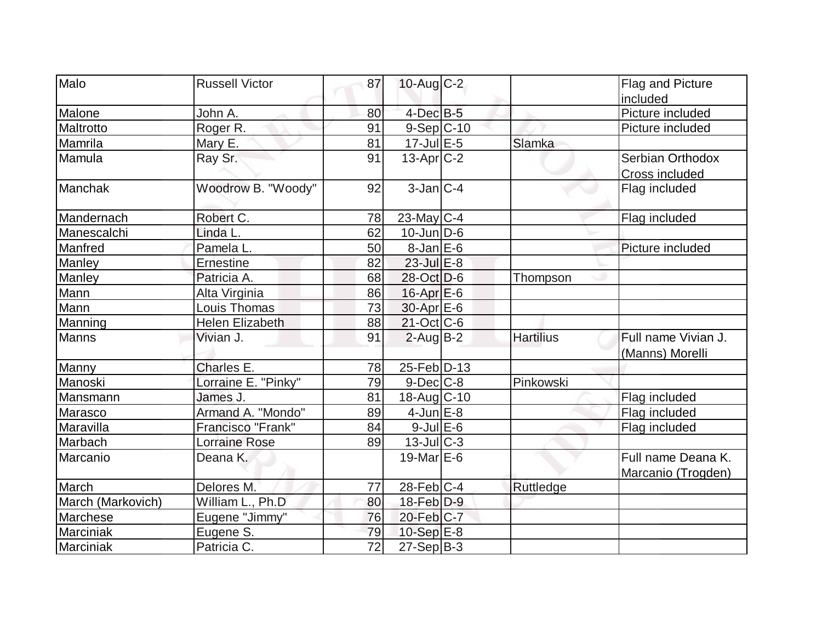| Malo              | <b>Russell Victor</b>  | 87              | $10$ -Aug $C-2$    |                  | Flag and Picture      |
|-------------------|------------------------|-----------------|--------------------|------------------|-----------------------|
|                   |                        |                 |                    |                  | included              |
| Malone            | John A.                | 80              | $4$ -Dec $B$ -5    |                  | Picture included      |
| Maltrotto         | Roger R.               | 91              | $9-Sep C-10$       |                  | Picture included      |
| Mamrila           | Mary E.                | 81              | $17 -$ Jul $E - 5$ | Slamka           |                       |
| Mamula            | Ray Sr.                | 91              | $13$ -Apr $ C-2 $  |                  | Serbian Orthodox      |
|                   |                        |                 |                    |                  | <b>Cross included</b> |
| Manchak           | Woodrow B. "Woody"     | 92              | $3$ -Jan $ C-4 $   |                  | Flag included         |
| Mandernach        | Robert C.              | 78              | $23$ -May C-4      |                  | Flag included         |
| Manescalchi       | Linda L.               | 62              | $10$ -Jun $D-6$    |                  |                       |
| Manfred           | Pamela L.              | 50              | $8$ -Jan $E$ -6    |                  | Picture included      |
| Manley            | <b>Ernestine</b>       | 82              | $23$ -Jul $E-8$    |                  |                       |
| Manley            | Patricia A.            | 68              | 28-Oct D-6         | Thompson         |                       |
| Mann              | Alta Virginia          | 86              | $16$ -Apr $E$ -6   |                  |                       |
| Mann              | Louis Thomas           | 73              | 30-Apr E-6         |                  |                       |
| Manning           | <b>Helen Elizabeth</b> | 88              | $21$ -Oct C-6      |                  |                       |
| <b>Manns</b>      | Vivian J.              | 91              | $2$ -Aug $B - 2$   | <b>Hartilius</b> | Full name Vivian J.   |
|                   |                        |                 |                    |                  | (Manns) Morelli       |
| Manny             | Charles E.             | 78              | 25-Feb D-13        |                  |                       |
| Manoski           | Lorraine E. "Pinky"    | 79              | $9$ -Dec $C$ -8    | Pinkowski        |                       |
| Mansmann          | James J.               | 81              | 18-Aug C-10        |                  | Flag included         |
| Marasco           | Armand A. "Mondo"      | 89              | $4$ -Jun $E-8$     |                  | Flag included         |
| Maravilla         | Francisco "Frank"      | 84              | $9$ -Jul $E$ -6    |                  | Flag included         |
| Marbach           | <b>Lorraine Rose</b>   | 89              | $13$ -JulC-3       |                  |                       |
| Marcanio          | Deana K.               |                 | 19-Mar $E-6$       |                  | Full name Deana K.    |
|                   |                        |                 |                    |                  | Marcanio (Trogden)    |
| March             | Delores M.             | 77              | 28-Feb C-4         | Ruttledge        |                       |
| March (Markovich) | William L., Ph.D       | 80              | $18$ -Feb $D-9$    |                  |                       |
| Marchese          | Eugene "Jimmy"         | 76              | 20-Feb C-7         |                  |                       |
| Marciniak         | Eugene S.              | 79              | $10-Sep$ $E-8$     |                  |                       |
| Marciniak         | Patricia C.            | $\overline{72}$ | $27-Sep B-3$       |                  |                       |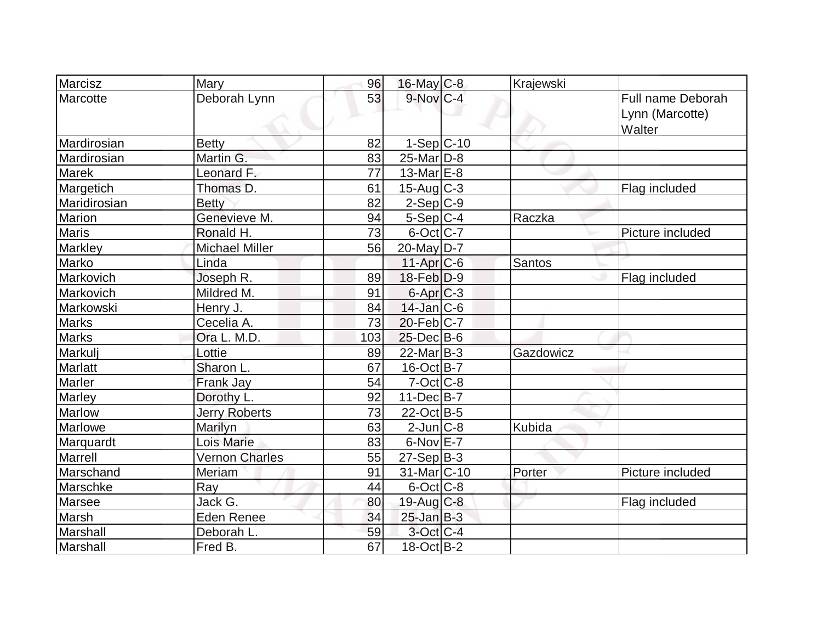| Marcisz        | Mary                  | 96  | $16$ -May C-8            | Krajewski |                                                       |
|----------------|-----------------------|-----|--------------------------|-----------|-------------------------------------------------------|
| Marcotte       | Deborah Lynn          | 53  | $9-Nov$ <sub>C-4</sub>   |           | <b>Full name Deborah</b><br>Lynn (Marcotte)<br>Walter |
| Mardirosian    | <b>Betty</b>          | 82  | $1-Sep C-10$             |           |                                                       |
| Mardirosian    | Martin G.             | 83  | $25$ -Mar $D-8$          |           |                                                       |
| <b>Marek</b>   | Leonard F.            | 77  | $13$ -Mar $E-8$          |           |                                                       |
| Margetich      | Thomas D.             | 61  | $15$ -Aug C-3            |           | Flag included                                         |
| Maridirosian   | <b>Betty</b>          | 82  | $2-Sep$ $C-9$            |           |                                                       |
| Marion         | Genevieve M.          | 94  | $5-Sep C-4$              | Raczka    |                                                       |
| <b>Maris</b>   | Ronald H.             | 73  | $6$ -Oct $ C$ -7         |           | Picture included                                      |
| Markley        | <b>Michael Miller</b> | 56  | $20$ -May D-7            |           |                                                       |
| Marko          | Linda                 |     | $11-Apr$ $C-6$           | Santos    |                                                       |
| Markovich      | Joseph R.             | 89  | $18$ -Feb $ D-9$         |           | Flag included                                         |
| Markovich      | Mildred M.            | 91  | $6$ -Apr $C$ -3          |           |                                                       |
| Markowski      | Henry J.              | 84  | $14$ -Jan $ C-6$         |           |                                                       |
| <b>Marks</b>   | Cecelia A.            | 73  | $20$ -Feb $ C-7$         |           |                                                       |
| <b>Marks</b>   | Ora L. M.D.           | 103 | $25$ -Dec $B$ -6         |           |                                                       |
| Markulj        | Lottie                | 89  | 22-Mar B-3               | Gazdowicz |                                                       |
| <b>Marlatt</b> | Sharon L.             | 67  | 16-Oct B-7               |           |                                                       |
| Marler         | Frank Jay             | 54  | $7-Cct$ $C-8$            |           |                                                       |
| Marley         | Dorothy L.            | 92  | $11 - Dec$ B-7           |           |                                                       |
| <b>Marlow</b>  | <b>Jerry Roberts</b>  | 73  | $22$ -Oct B-5            |           |                                                       |
| Marlowe        | Marilyn               | 63  | $2$ -Jun $C-8$           | Kubida    |                                                       |
| Marquardt      | Lois Marie            | 83  | $6$ -Nov $E$ -7          |           |                                                       |
| Marrell        | <b>Vernon Charles</b> | 55  | $27-Sep$ B-3             |           |                                                       |
| Marschand      | Meriam                | 91  | 31-Mar <sub>IC</sub> -10 | Porter    | Picture included                                      |
| Marschke       | Ray                   | 44  | $6$ -Oct $ C$ -8         |           |                                                       |
| Marsee         | Jack G.               | 80  | 19-Aug $C-8$             |           | Flag included                                         |
| Marsh          | <b>Eden Renee</b>     | 34  | $25 - Jan$ $B-3$         |           |                                                       |
| Marshall       | Deborah L.            | 59  | $3$ -Oct C-4             |           |                                                       |
| Marshall       | Fred B.               | 67  | 18-Oct B-2               |           |                                                       |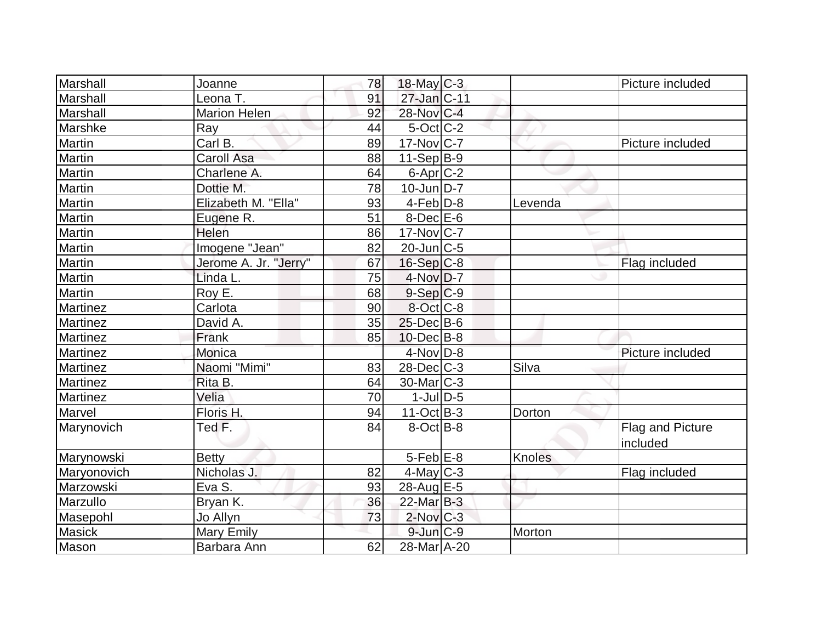| Marshall      | Joanne                | 78 | $18$ -May C-3     |               | Picture included |
|---------------|-----------------------|----|-------------------|---------------|------------------|
| Marshall      | Leona T.              | 91 | 27-Jan C-11       |               |                  |
| Marshall      | <b>Marion Helen</b>   | 92 | 28-Nov C-4        |               |                  |
| Marshke       | Ray                   | 44 | $5$ -Oct $ C-2 $  |               |                  |
| Martin        | Carl B.               | 89 | $17$ -Nov $ C-7 $ |               | Picture included |
| Martin        | <b>Caroll Asa</b>     | 88 | $11-Sep B-9$      |               |                  |
| Martin        | Charlene A.           | 64 | $6$ -Apr $C$ -2   |               |                  |
| Martin        | Dottie M.             | 78 | $10$ -Jun $D-7$   |               |                  |
| <b>Martin</b> | Elizabeth M. "Ella"   | 93 | $4-Feb$ $D-8$     | Levenda       |                  |
| Martin        | Eugene R.             | 51 | $8$ -Dec $E$ -6   |               |                  |
| Martin        | Helen                 | 86 | $17$ -Nov $ C-7 $ |               |                  |
| Martin        | Imogene "Jean"        | 82 | $20$ -Jun $ C-5$  |               |                  |
| Martin        | Jerome A. Jr. "Jerry" | 67 | $16-Sep C-8$      |               | Flag included    |
| Martin        | Linda L.              | 75 | $4$ -Nov $D-7$    |               |                  |
| Martin        | Roy E.                | 68 | $9-Sep C-9$       |               |                  |
| Martinez      | Carlota               | 90 | $8-Oct$ $C-8$     |               |                  |
| Martinez      | David A.              | 35 | $25$ -Dec $B$ -6  |               |                  |
| Martinez      | Frank                 | 85 | $10$ -Dec $B$ -8  |               |                  |
| Martinez      | Monica                |    | $4$ -Nov $D-8$    |               | Picture included |
| Martinez      | Naomi "Mimi"          | 83 | $28$ -Dec $C-3$   | Silva         |                  |
| Martinez      | Rita B.               | 64 | $30$ -Mar $ C-3 $ |               |                  |
| Martinez      | Velia                 | 70 | $1$ -Jul $D-5$    |               |                  |
| Marvel        | Floris H.             | 94 | $11-Oct$ B-3      | Dorton        |                  |
| Marynovich    | Ted F.                | 84 | 8-OctB-8          |               | Flag and Picture |
|               |                       |    |                   |               | included         |
| Marynowski    | <b>Betty</b>          |    | $5$ -Feb $E$ -8   | <b>Knoles</b> |                  |
| Maryonovich   | Nicholas J.           | 82 | $4$ -May C-3      |               | Flag included    |
| Marzowski     | Eva S.                | 93 | 28-Aug E-5        |               |                  |
| Marzullo      | Bryan K.              | 36 | $22$ -Mar $B-3$   |               |                  |
| Masepohl      | Jo Allyn              | 73 | $2$ -Nov $ C-3 $  |               |                  |
| <b>Masick</b> | <b>Mary Emily</b>     |    | $9$ -Jun $C-9$    | Morton        |                  |
| Mason         | Barbara Ann           | 62 | 28-Mar A-20       |               |                  |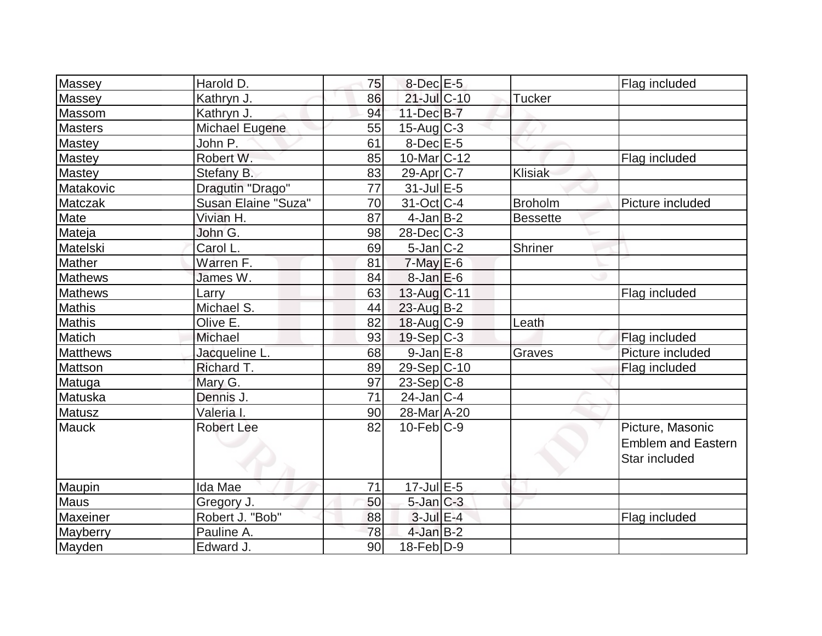| Massey          | Harold D.           | 75 | $8$ -Dec $E-5$        |                 | Flag included             |
|-----------------|---------------------|----|-----------------------|-----------------|---------------------------|
| Massey          | Kathryn J.          | 86 | 21-Jul C-10           | <b>Tucker</b>   |                           |
| Massom          | Kathryn J.          | 94 | $11-Dec$ B-7          |                 |                           |
| <b>Masters</b>  | Michael Eugene      | 55 | $15$ -Aug C-3         |                 |                           |
| Mastey          | John P.             | 61 | $8$ -Dec $E$ -5       |                 |                           |
| Mastey          | Robert W.           | 85 | 10-Mar C-12           |                 | Flag included             |
| Mastey          | Stefany B.          | 83 | 29-Apr <sub>C-7</sub> | Klisiak         |                           |
| Matakovic       | Dragutin "Drago"    | 77 | $31$ -Jul $E-5$       |                 |                           |
| <b>Matczak</b>  | Susan Elaine "Suza" | 70 | $31-Oct$ $C-4$        | <b>Broholm</b>  | Picture included          |
| Mate            | Vivian H.           | 87 | $4$ -Jan $B-2$        | <b>Bessette</b> |                           |
| Mateja          | John G.             | 98 | $28$ -Dec $C-3$       |                 |                           |
| Matelski        | Carol L.            | 69 | $5$ -Jan $ C-2 $      | Shriner         |                           |
| Mather          | Warren F.           | 81 | $7$ -May $E$ -6       |                 |                           |
| <b>Mathews</b>  | James W.            | 84 | $8$ -Jan $E$ -6       |                 |                           |
| <b>Mathews</b>  | Larry               | 63 | 13-Aug C-11           |                 | Flag included             |
| <b>Mathis</b>   | Michael S.          | 44 | 23-Aug B-2            |                 |                           |
| Mathis          | Olive E.            | 82 | $18$ -Aug $C-9$       | Leath           |                           |
| Matich          | Michael             | 93 | $19-Sep C-3$          |                 | Flag included             |
| <b>Matthews</b> | Jacqueline L.       | 68 | $9$ -Jan $E-8$        | Graves          | Picture included          |
| Mattson         | Richard T.          | 89 | 29-Sep C-10           |                 | Flag included             |
| Matuga          | Mary G.             | 97 | $23-Sep C-8$          |                 |                           |
| Matuska         | Dennis J.           | 71 | $24$ -Jan $ C-4 $     |                 |                           |
| Matusz          | Valeria I.          | 90 | 28-Mar A-20           |                 |                           |
| <b>Mauck</b>    | <b>Robert Lee</b>   | 82 | $10$ -Feb $ C-9$      |                 | Picture, Masonic          |
|                 |                     |    |                       |                 | <b>Emblem and Eastern</b> |
|                 |                     |    |                       |                 | Star included             |
|                 |                     |    |                       |                 |                           |
| Maupin          | Ida Mae             | 71 | $17$ -Jul $E - 5$     |                 |                           |
| <b>Maus</b>     | Gregory J.          | 50 | $5$ -Jan $ C-3 $      |                 |                           |
| Maxeiner        | Robert J. "Bob"     | 88 | $3$ -Jul $E-4$        |                 | Flag included             |
| Mayberry        | Pauline A.          | 78 | $4$ -Jan $B-2$        |                 |                           |
| Mayden          | Edward J.           | 90 | $18$ -Feb $ D-9 $     |                 |                           |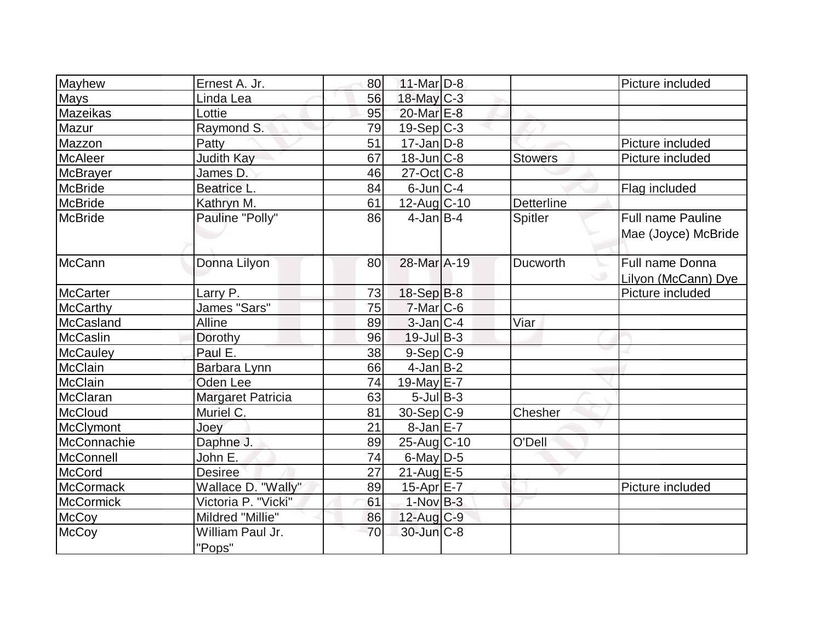| Mayhew           | Ernest A. Jr.              | 80 | $11$ -Mar $D-8$   |                   | Picture included                                |
|------------------|----------------------------|----|-------------------|-------------------|-------------------------------------------------|
| <b>Mays</b>      | Linda Lea                  | 56 | $18$ -May C-3     |                   |                                                 |
| Mazeikas         | Lottie                     | 95 | 20-Mar E-8        |                   |                                                 |
| Mazur            | Raymond S.                 | 79 | $19-Sep C-3$      |                   |                                                 |
| Mazzon           | Patty                      | 51 | $17 - Jan$ $D-8$  |                   | Picture included                                |
| <b>McAleer</b>   | <b>Judith Kay</b>          | 67 | $18$ -Jun $C-8$   | <b>Stowers</b>    | Picture included                                |
| <b>McBrayer</b>  | James D.                   | 46 | $27$ -Oct $ C-8 $ |                   |                                                 |
| <b>McBride</b>   | Beatrice L.                | 84 | $6$ -Jun $ C-4 $  |                   | Flag included                                   |
| <b>McBride</b>   | Kathryn M.                 | 61 | $12$ -Aug C-10    | <b>Detterline</b> |                                                 |
| <b>McBride</b>   | Pauline "Polly"            | 86 | $4$ -Jan $B$ -4   | Spitler           | <b>Full name Pauline</b><br>Mae (Joyce) McBride |
| McCann           | Donna Lilyon               | 80 | 28-Mar A-19       | Ducworth          | Full name Donna                                 |
|                  |                            |    |                   |                   | Lilyon (McCann) Dye                             |
| McCarter         | Larry P.                   | 73 | $18-Sep B-8$      |                   | Picture included                                |
| <b>McCarthy</b>  | James "Sars"               | 75 | $7$ -Mar $ C$ -6  |                   |                                                 |
| McCasland        | Alline                     | 89 | $3$ -Jan $ C-4 $  | Viar              |                                                 |
| <b>McCaslin</b>  | Dorothy                    | 96 | $19$ -Jul B-3     |                   |                                                 |
| <b>McCauley</b>  | Paul E.                    | 38 | $9-Sep C-9$       |                   |                                                 |
| McClain          | Barbara Lynn               | 66 | $4$ -Jan $B-2$    |                   |                                                 |
| <b>McClain</b>   | <b>Oden Lee</b>            | 74 | $19$ -May E-7     |                   |                                                 |
| McClaran         | Margaret Patricia          | 63 | $5$ -Jul B-3      |                   |                                                 |
| <b>McCloud</b>   | Muriel C.                  | 81 | $30-Sep C-9$      | Chesher           |                                                 |
| McClymont        | Joey                       | 21 | $8$ -Jan $E - 7$  |                   |                                                 |
| McConnachie      | Daphne J.                  | 89 | 25-Aug C-10       | O'Dell            |                                                 |
| McConnell        | John E.                    | 74 | $6$ -May D-5      |                   |                                                 |
| <b>McCord</b>    | <b>Desiree</b>             | 27 | $21$ -Aug $E-5$   |                   |                                                 |
| <b>McCormack</b> | Wallace D. "Wally"         | 89 | 15-Apr E-7        |                   | Picture included                                |
| McCormick        | Victoria P. "Vicki"        | 61 | $1-NovB-3$        |                   |                                                 |
| <b>McCoy</b>     | Mildred "Millie"           | 86 | $12$ -Aug C-9     |                   |                                                 |
| <b>McCoy</b>     | William Paul Jr.<br>"Pops" | 70 | $30$ -Jun $C-8$   |                   |                                                 |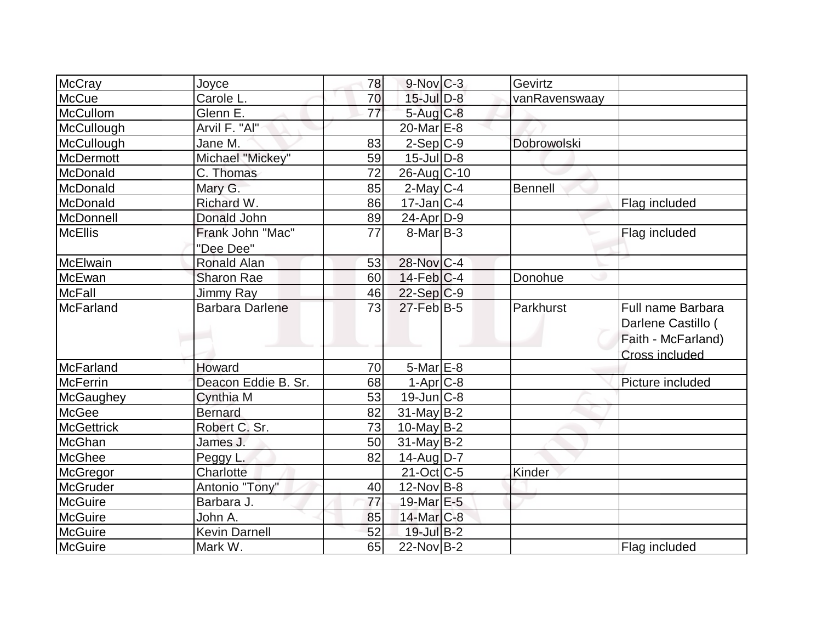| McCray            | Joyce                  | 78 | $9-Nov$ <sub>C-3</sub>      | Gevirtz       |                    |
|-------------------|------------------------|----|-----------------------------|---------------|--------------------|
| <b>McCue</b>      | Carole L.              | 70 | $15$ -Jul $\overline{D}$ -8 | vanRavenswaay |                    |
| McCullom          | Glenn E.               | 77 | $5$ -Aug $C$ -8             |               |                    |
| McCullough        | Arvil F. "Al"          |    | 20-Mar <sub>E</sub> -8      |               |                    |
| McCullough        | Jane M.                | 83 | $2-Sep C-9$                 | Dobrowolski   |                    |
| <b>McDermott</b>  | Michael "Mickey"       | 59 | $15$ -Jul $ D-8$            |               |                    |
| McDonald          | C. Thomas              | 72 | 26-Aug C-10                 |               |                    |
| McDonald          | Mary G.                | 85 | $2$ -May C-4                | Bennell       |                    |
| McDonald          | Richard W.             | 86 | $17$ -Jan $ C-4 $           |               | Flag included      |
| McDonnell         | Donald John            | 89 | $24$ -Apr $D-9$             |               |                    |
| <b>McEllis</b>    | Frank John "Mac"       | 77 | $8$ -Mar $ B-3 $            |               | Flag included      |
|                   | "Dee Dee"              |    |                             |               |                    |
| McElwain          | Ronald Alan            | 53 | 28-Nov C-4                  |               |                    |
| <b>McEwan</b>     | <b>Sharon Rae</b>      | 60 | $14$ -Feb $ C-4 $           | Donohue       |                    |
| McFall            | <b>Jimmy Ray</b>       | 46 | $22-Sep C-9$                |               |                    |
| <b>McFarland</b>  | <b>Barbara Darlene</b> | 73 | 27-Feb B-5                  | Parkhurst     | Full name Barbara  |
|                   |                        |    |                             |               | Darlene Castillo ( |
|                   |                        |    |                             |               | Faith - McFarland) |
|                   |                        |    |                             |               | Cross included     |
| McFarland         | Howard                 | 70 | $5$ -Mar $E$ -8             |               |                    |
| <b>McFerrin</b>   | Deacon Eddie B. Sr.    | 68 | $1-Apr$ $C-8$               |               | Picture included   |
| McGaughey         | Cynthia M              | 53 | $19$ -Jun $ C-8$            |               |                    |
| <b>McGee</b>      | <b>Bernard</b>         | 82 | $31$ -May B-2               |               |                    |
| <b>McGettrick</b> | Robert C. Sr.          | 73 | $10$ -May B-2               |               |                    |
| McGhan            | James J.               | 50 | $31$ -May B-2               |               |                    |
| <b>McGhee</b>     | Peggy L.               | 82 | 14-Aug D-7                  |               |                    |
| McGregor          | Charlotte              |    | $21$ -Oct $C$ -5            | Kinder        |                    |
| <b>McGruder</b>   | Antonio "Tony"         | 40 | $12$ -Nov B-8               |               |                    |
| McGuire           | Barbara J.             | 77 | 19-Mar E-5                  |               |                    |
| <b>McGuire</b>    | John A.                | 85 | 14-Mar C-8                  |               |                    |
| <b>McGuire</b>    | <b>Kevin Darnell</b>   | 52 | 19-Jul B-2                  |               |                    |
| McGuire           | Mark W.                | 65 | $22$ -Nov B-2               |               | Flag included      |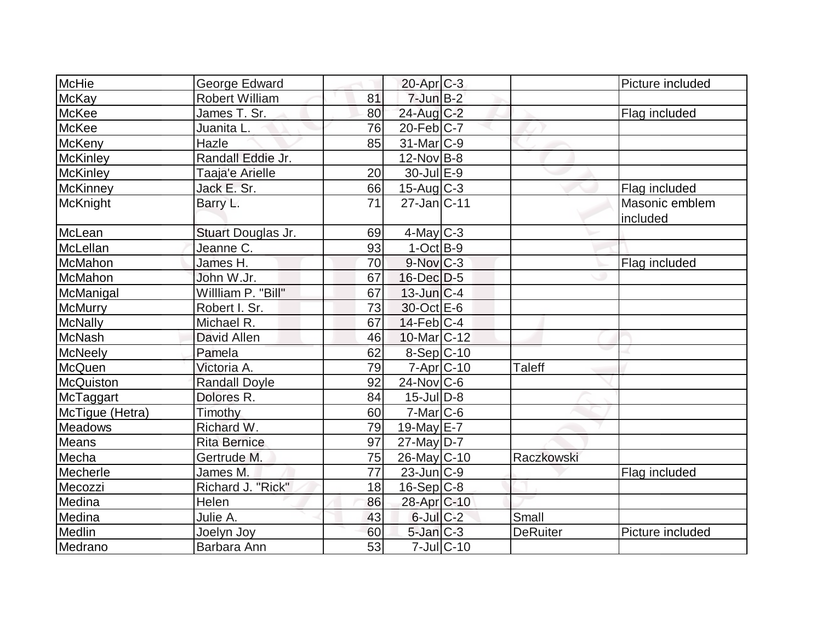| McHie           | George Edward         |    | $20$ -Apr $C-3$          |                  |                 | Picture included           |
|-----------------|-----------------------|----|--------------------------|------------------|-----------------|----------------------------|
| <b>McKay</b>    | <b>Robert William</b> | 81 | $7$ -Jun $B-2$           |                  |                 |                            |
| McKee           | James T. Sr.          | 80 | 24-Aug C-2               |                  |                 | Flag included              |
| <b>McKee</b>    | Juanita L.            | 76 | $20$ -Feb $C$ -7         |                  |                 |                            |
| McKeny          | Hazle                 | 85 | $31$ -Mar $ C-9 $        |                  |                 |                            |
| <b>McKinley</b> | Randall Eddie Jr.     |    | 12-Nov B-8               |                  |                 |                            |
| McKinley        | Taaja'e Arielle       | 20 | 30-Jul E-9               |                  |                 |                            |
| McKinney        | Jack E. Sr.           | 66 | $15$ -Aug $C-3$          |                  |                 | Flag included              |
| McKnight        | Barry L.              | 71 | $27 - Jan$ $C-11$        |                  |                 | Masonic emblem<br>included |
| McLean          | Stuart Douglas Jr.    | 69 | $4$ -May C-3             |                  |                 |                            |
| McLellan        | Jeanne C.             | 93 | $1-Oct$ B-9              |                  |                 |                            |
| McMahon         | James H.              | 70 | $9-Nov$ <sub>C-3</sub>   |                  |                 | Flag included              |
| McMahon         | John W.Jr.            | 67 | $16$ -Dec $D-5$          |                  |                 |                            |
| McManigal       | Willliam P. "Bill"    | 67 | $13$ -Jun $ C-4$         |                  |                 |                            |
| <b>McMurry</b>  | Robert I. Sr.         | 73 | 30-Oct E-6               |                  |                 |                            |
| <b>McNally</b>  | Michael R.            | 67 | $14$ -Feb $ C-4 $        |                  |                 |                            |
| <b>McNash</b>   | David Allen           | 46 | 10-Mar <sub>IC</sub> -12 |                  |                 |                            |
| McNeely         | Pamela                | 62 | 8-Sep C-10               |                  |                 |                            |
| McQuen          | Victoria A.           | 79 | $7 - Apr$ $C - 10$       |                  | <b>Taleff</b>   |                            |
| McQuiston       | <b>Randall Doyle</b>  | 92 | $24$ -Nov $ C-6$         |                  |                 |                            |
| McTaggart       | Dolores R.            | 84 | $15$ -Jul $D-8$          |                  |                 |                            |
| McTique (Hetra) | Timothy               | 60 | $7-Mar$ $C-6$            |                  |                 |                            |
| <b>Meadows</b>  | Richard W.            | 79 | $19$ -May $E$ -7         |                  |                 |                            |
| <b>Means</b>    | <b>Rita Bernice</b>   | 97 | 27-May D-7               |                  |                 |                            |
| Mecha           | Gertrude M.           | 75 | 26-May C-10              |                  | Raczkowski      |                            |
| Mecherle        | James M.              | 77 | $23$ -Jun $ C-9 $        |                  |                 | Flag included              |
| Mecozzi         | Richard J. "Rick"     | 18 | 16-Sep C-8               |                  |                 |                            |
| Medina          | Helen                 | 86 | 28-Apr C-10              |                  |                 |                            |
| Medina          | Julie A.              | 43 | $6$ -Jul $C$ -2          |                  | Small           |                            |
| Medlin          | Joelyn Joy            | 60 | $5$ -Jan $C-3$           |                  | <b>DeRuiter</b> | Picture included           |
| Medrano         | Barbara Ann           | 53 |                          | $7$ -Jul $ C-10$ |                 |                            |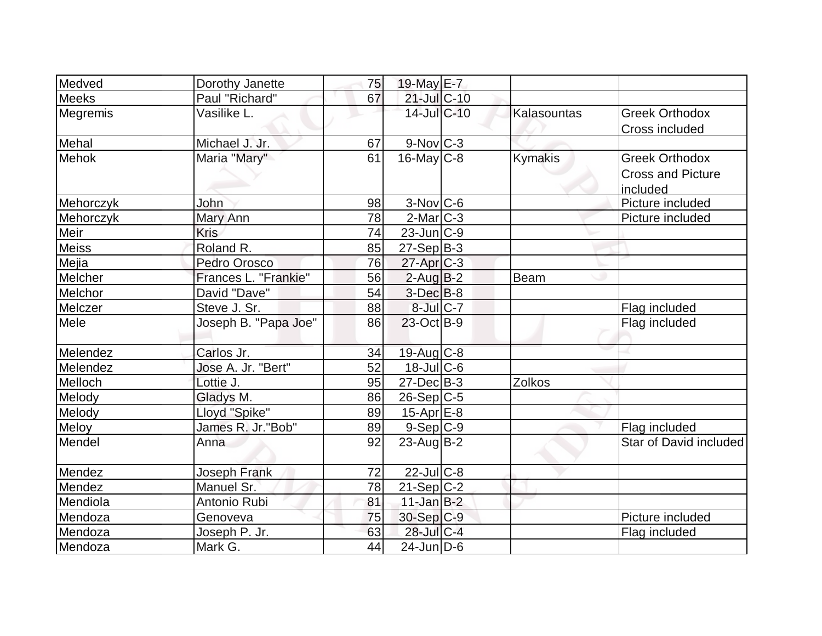| Medved       | Dorothy Janette      | 75 | 19-May E-7             |                |                          |
|--------------|----------------------|----|------------------------|----------------|--------------------------|
| <b>Meeks</b> | Paul "Richard"       | 67 | 21-Jul C-10            |                |                          |
| Megremis     | Vasilike L.          |    | 14-Jul C-10            | Kalasountas    | <b>Greek Orthodox</b>    |
|              |                      |    |                        |                | <b>Cross included</b>    |
| Mehal        | Michael J. Jr.       | 67 | $9-Nov$ <sub>C-3</sub> |                |                          |
| <b>Mehok</b> | Maria "Mary"         | 61 | $16$ -May C-8          | <b>Kymakis</b> | <b>Greek Orthodox</b>    |
|              |                      |    |                        |                | <b>Cross and Picture</b> |
|              |                      |    |                        |                | included                 |
| Mehorczyk    | <b>John</b>          | 98 | $3-Nov$ <sub>C-6</sub> |                | Picture included         |
| Mehorczyk    | Mary Ann             | 78 | $2$ -Mar $ C-3 $       |                | Picture included         |
| Meir         | <b>Kris</b>          | 74 | $23$ -Jun $ C-9 $      |                |                          |
| <b>Meiss</b> | Roland R.            | 85 | $27-Sep B-3$           |                |                          |
| Mejia        | Pedro Orosco         | 76 | $27$ -Apr $ C-3 $      |                |                          |
| Melcher      | Frances L. "Frankie" | 56 | $2$ -Aug $B-2$         | Beam           |                          |
| Melchor      | David "Dave"         | 54 | $3-Dec$ $B-8$          |                |                          |
| Melczer      | Steve J. Sr.         | 88 | 8-Jul C-7              |                | Flag included            |
| Mele         | Joseph B. "Papa Joe" | 86 | $23$ -Oct B-9          |                | Flag included            |
|              |                      |    |                        |                |                          |
| Melendez     | Carlos Jr.           | 34 | $19$ -Aug C-8          |                |                          |
| Melendez     | Jose A. Jr. "Bert"   | 52 | $18$ -JulC-6           |                |                          |
| Melloch      | Lottie J.            | 95 | $27 - Dec$ B-3         | <b>Zolkos</b>  |                          |
| Melody       | Gladys M.            | 86 | $26-Sep C-5$           |                |                          |
| Melody       | Lloyd "Spike"        | 89 | $15$ -Apr $E$ -8       |                |                          |
| Meloy        | James R. Jr. "Bob"   | 89 | $9-Sep C-9$            |                | Flag included            |
| Mendel       | Anna                 | 92 | $23$ -Aug $B-2$        |                | Star of David included   |
| Mendez       | <b>Joseph Frank</b>  | 72 | $22$ -Jul C-8          |                |                          |
| Mendez       | Manuel Sr.           | 78 | $21-Sep C-2$           |                |                          |
| Mendiola     | Antonio Rubi         | 81 | $11$ -Jan B-2          |                |                          |
| Mendoza      | Genoveva             | 75 | 30-Sep C-9             |                | Picture included         |
| Mendoza      | Joseph P. Jr.        | 63 | 28-Jul C-4             |                | Flag included            |
| Mendoza      | Mark G.              | 44 | $24$ -Jun $D-6$        |                |                          |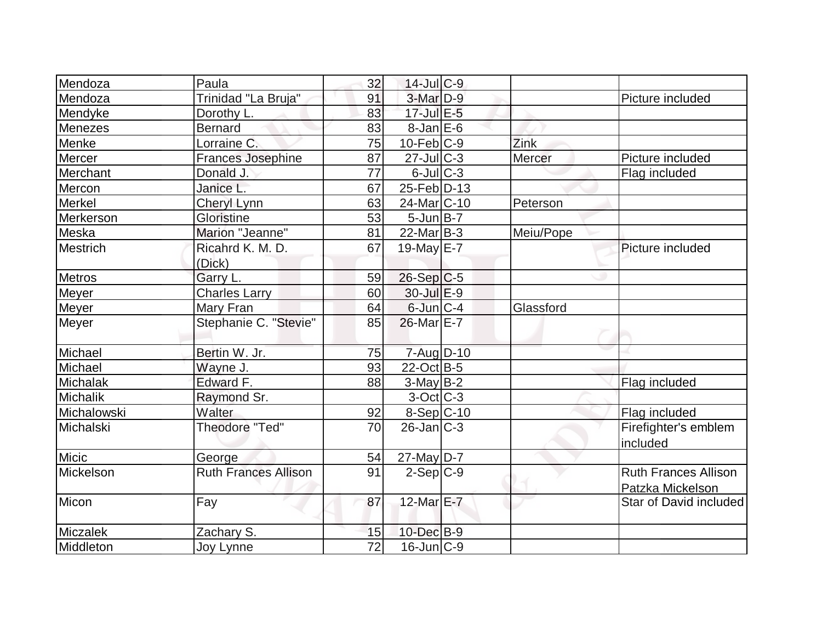| Mendoza         | Paula                       | 32 | 14-Jul C-9             |           |                                                 |
|-----------------|-----------------------------|----|------------------------|-----------|-------------------------------------------------|
| Mendoza         | Trinidad "La Bruja"         | 91 | $3-Mar$ D-9            |           | Picture included                                |
| Mendyke         | Dorothy L.                  | 83 | 17-Jul E-5             |           |                                                 |
| Menezes         | <b>Bernard</b>              | 83 | $8$ -Jan $E$ -6        |           |                                                 |
| Menke           | Lorraine C.                 | 75 | $10$ -Feb $ C-9 $      | Zink      |                                                 |
| Mercer          | <b>Frances Josephine</b>    | 87 | $27$ -JulC-3           | Mercer    | Picture included                                |
| Merchant        | Donald J.                   | 77 | $6$ -Jul $C$ -3        |           | Flag included                                   |
| Mercon          | Janice L.                   | 67 | $25$ -Feb $ D-13$      |           |                                                 |
| Merkel          | Cheryl Lynn                 | 63 | 24-Mar <sub>C-10</sub> | Peterson  |                                                 |
| Merkerson       | Gloristine                  | 53 | $5$ -Jun $B$ -7        |           |                                                 |
| Meska           | Marion "Jeanne"             | 81 | $22$ -Mar $ B-3 $      | Meiu/Pope |                                                 |
| <b>Mestrich</b> | Ricahrd K. M. D.            | 67 | 19-May $E-7$           |           | Picture included                                |
|                 | (Dick)                      |    |                        |           |                                                 |
| Metros          | Garry L.                    | 59 | $26-Sep C-5$           |           |                                                 |
| Meyer           | <b>Charles Larry</b>        | 60 | 30-Jul E-9             |           |                                                 |
| <b>Meyer</b>    | <b>Mary Fran</b>            | 64 | $6$ -Jun $ C-4 $       | Glassford |                                                 |
| Meyer           | Stephanie C. "Stevie"       | 85 | 26-Mar E-7             |           |                                                 |
| Michael         | Bertin W. Jr.               | 75 | 7-Aug D-10             |           |                                                 |
| Michael         | Wayne J.                    | 93 | 22-Oct B-5             |           |                                                 |
| Michalak        | Edward F.                   | 88 | $3-MayB-2$             |           | Flag included                                   |
| <b>Michalik</b> | Raymond Sr.                 |    | $3-Oct$ $C-3$          |           |                                                 |
| Michalowski     | Walter                      | 92 | $8-Sep C-10$           |           | Flag included                                   |
| Michalski       | Theodore "Ted"              | 70 | $26$ -Jan $ C-3 $      |           | Firefighter's emblem<br>included                |
| Micic           | George                      | 54 | 27-May D-7             |           |                                                 |
| Mickelson       | <b>Ruth Frances Allison</b> | 91 | $2-Sep C-9$            |           | <b>Ruth Frances Allison</b><br>Patzka Mickelson |
| Micon           | Fay                         | 87 | 12-Mar E-7             |           | Star of David included                          |
| <b>Miczalek</b> | Zachary S.                  | 15 | $10$ -Dec $B-9$        |           |                                                 |
| Middleton       | Joy Lynne                   | 72 | $16$ -Jun $C-9$        |           |                                                 |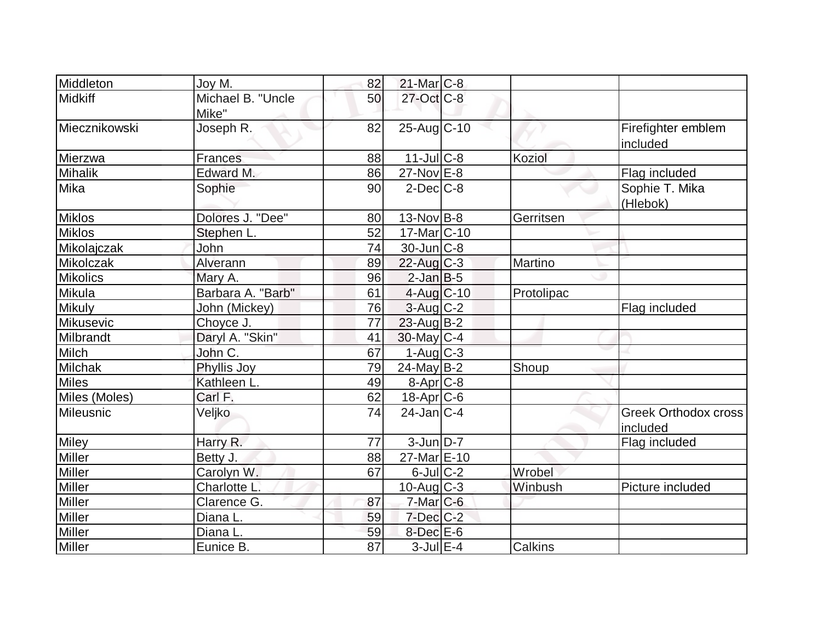| Middleton             | Joy M.                     | 82 | $21$ -Mar $C-8$       |            |                                  |
|-----------------------|----------------------------|----|-----------------------|------------|----------------------------------|
| Midkiff               | Michael B. "Uncle<br>Mike" | 50 | 27-Oct C-8            |            |                                  |
| <b>IMiecznikowski</b> | Joseph R.                  | 82 | 25-Aug C-10           |            | Firefighter emblem<br>included   |
| Mierzwa               | <b>Frances</b>             | 88 | $11$ -JulC-8          | Koziol     |                                  |
| Mihalik               | Edward M.                  | 86 | 27-Nov E-8            |            | Flag included                    |
| Mika                  | Sophie                     | 90 | $2$ -Dec $C-8$        |            | Sophie T. Mika<br>(Hlebok)       |
| <b>Miklos</b>         | Dolores J. "Dee"           | 80 | $13-Nov B-8$          | Gerritsen  |                                  |
| <b>Miklos</b>         | Stephen L.                 | 52 | 17-Mar C-10           |            |                                  |
| Mikolajczak           | John                       | 74 | $30$ -Jun $ C-8 $     |            |                                  |
| Mikolczak             | Alverann                   | 89 | $22$ -Aug C-3         | Martino    |                                  |
| <b>Mikolics</b>       | Mary A.                    | 96 | $2$ -Jan B-5          |            |                                  |
| Mikula                | Barbara A. "Barb"          | 61 | $4$ -Aug C-10         | Protolipac |                                  |
| <b>Mikuly</b>         | John (Mickey)              | 76 | $3$ -Aug $C-2$        |            | Flag included                    |
| Mikusevic             | Choyce J.                  | 77 | $23$ -Aug $B-2$       |            |                                  |
| Milbrandt             | Daryl A. "Skin"            | 41 | $30$ -May C-4         |            |                                  |
| Milch                 | John C.                    | 67 | $1-Aug C-3$           |            |                                  |
| Milchak               | Phyllis Joy                | 79 | $24$ -May $B-2$       | Shoup      |                                  |
| <b>Miles</b>          | Kathleen L.                | 49 | $8-Apr$ $C-8$         |            |                                  |
| Miles (Moles)         | Carl F.                    | 62 | 18-Apr <sub>C-6</sub> |            |                                  |
| Mileusnic             | Veljko                     | 74 | $24$ -Jan $ C-4 $     |            | Greek Orthodox cross<br>included |
| <b>Miley</b>          | Harry R.                   | 77 | $3$ -Jun $D-7$        |            | Flag included                    |
| Miller                | Betty J.                   | 88 | 27-Mar E-10           |            |                                  |
| <b>Miller</b>         | Carolyn W.                 | 67 | $6$ -Jul $C$ -2       | Wrobel     |                                  |
| Miller                | Charlotte L.               |    | $10$ -Aug $C-3$       | Winbush    | Picture included                 |
| Miller                | Clarence G.                | 87 | $7$ -Mar $C$ -6       |            |                                  |
| <b>Miller</b>         | Diana L.                   | 59 | $7$ -Dec $C$ -2       |            |                                  |
| <b>Miller</b>         | Diana L.                   | 59 | $8$ -Dec $E$ -6       |            |                                  |
| Miller                | Eunice B.                  | 87 | $3$ -Jul $E-4$        | Calkins    |                                  |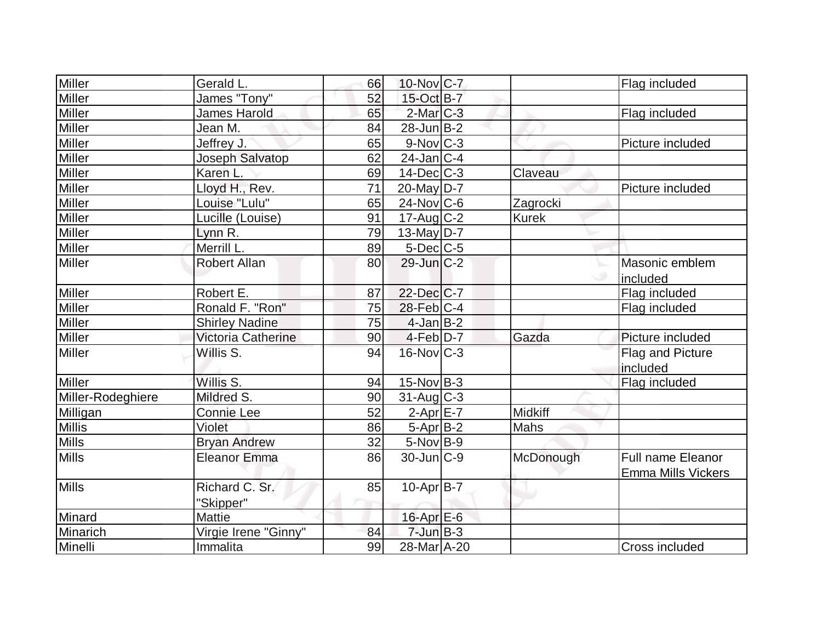| <b>Miller</b>     | Gerald L.                   | 66 | $10$ -Nov $C-7$   |              | Flag included                                         |
|-------------------|-----------------------------|----|-------------------|--------------|-------------------------------------------------------|
| Miller            | James "Tony"                | 52 | 15-Oct B-7        |              |                                                       |
| <b>Miller</b>     | <b>James Harold</b>         | 65 | $2$ -Mar $C-3$    |              | Flag included                                         |
| <b>Miller</b>     | Jean M.                     | 84 | $28$ -Jun $ B-2 $ |              |                                                       |
| Miller            | Jeffrey J.                  | 65 | $9-Nov$ $C-3$     |              | Picture included                                      |
| Miller            | Joseph Salvatop             | 62 | $24$ -Jan C-4     |              |                                                       |
| Miller            | Karen L                     | 69 | $14$ -Dec $C-3$   | Claveau      |                                                       |
| Miller            | Lloyd H., Rev.              | 71 | $20$ -May $D-7$   |              | Picture included                                      |
| <b>Miller</b>     | Louise "Lulu"               | 65 | 24-Nov C-6        | Zagrocki     |                                                       |
| Miller            | Lucille (Louise)            | 91 | $17$ -Aug C-2     | <b>Kurek</b> |                                                       |
| <b>Miller</b>     | Lynn R.                     | 79 | $13$ -May D-7     |              |                                                       |
| Miller            | Merrill L.                  | 89 | $5$ -Dec $C$ -5   |              |                                                       |
| <b>Miller</b>     | <b>Robert Allan</b>         | 80 | 29-Jun C-2        |              | Masonic emblem                                        |
|                   |                             |    |                   |              | included                                              |
| <b>Miller</b>     | Robert E.                   | 87 | 22-Dec C-7        |              | Flag included                                         |
| <b>Miller</b>     | Ronald F. "Ron"             | 75 | $28$ -Feb $C-4$   |              | Flag included                                         |
| Miller            | <b>Shirley Nadine</b>       | 75 | $4$ -Jan B-2      |              |                                                       |
| Miller            | Victoria Catherine          | 90 | $4$ -Feb $D-7$    | Gazda        | Picture included                                      |
| <b>Miller</b>     | Willis S.                   | 94 | $16$ -Nov $C-3$   |              | Flag and Picture<br>included                          |
| <b>Miller</b>     | Willis S.                   | 94 | $15$ -Nov $ B-3 $ |              | Flag included                                         |
| Miller-Rodeghiere | Mildred S.                  | 90 | $31$ -Aug C-3     |              |                                                       |
| Milligan          | <b>Connie Lee</b>           | 52 | $2-Apr$ $E-7$     | Midkiff      |                                                       |
| <b>Millis</b>     | Violet                      | 86 | $5-Apr$ B-2       | Mahs         |                                                       |
| <b>Mills</b>      | <b>Bryan Andrew</b>         | 32 | $5-Nov$ B-9       |              |                                                       |
| <b>Mills</b>      | <b>Eleanor Emma</b>         | 86 | $30$ -Jun $ C-9 $ | McDonough    | <b>Full name Eleanor</b><br><b>Emma Mills Vickers</b> |
| Mills             | Richard C. Sr.<br>"Skipper" | 85 | $10$ -Apr $ B-7 $ |              |                                                       |
| Minard            | <b>Mattie</b>               |    | 16-Apr E-6        |              |                                                       |
| Minarich          | Virgie Irene "Ginny"        | 84 | $7$ -Jun $B-3$    |              |                                                       |
| Minelli           | Immalita                    | 99 | 28-Mar A-20       |              | Cross included                                        |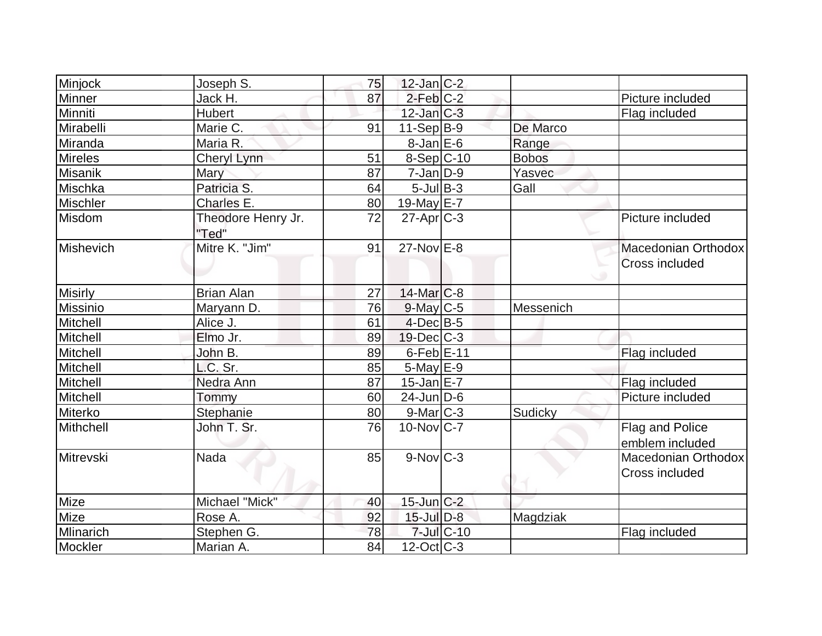| Minjock         | Joseph S.                   | 75 | $12$ -Jan $ C-2 $      |            |              |                       |
|-----------------|-----------------------------|----|------------------------|------------|--------------|-----------------------|
| Minner          | Jack H.                     | 87 | $2$ -Feb $C-2$         |            |              | Picture included      |
| Minniti         | <b>Hubert</b>               |    | $12$ -Jan $C-3$        |            |              | Flag included         |
| Mirabelli       | Marie C.                    | 91 | $11-Sep B-9$           |            | De Marco     |                       |
| Miranda         | Maria R.                    |    | $8$ -Jan $E$ -6        |            | Range        |                       |
| <b>Mireles</b>  | Cheryl Lynn                 | 51 | $8-Sep C-10$           |            | <b>Bobos</b> |                       |
| Misanik         | Mary                        | 87 | $7 - Jan$ $D-9$        |            | Yasvec       |                       |
| Mischka         | Patricia S.                 | 64 | $5$ -Jul $B$ -3        |            | Gall         |                       |
| <b>Mischler</b> | Charles E.                  | 80 | 19-May E-7             |            |              |                       |
| Misdom          | Theodore Henry Jr.<br>"Ted" | 72 | $27$ -Apr $ C-3 $      |            |              | Picture included      |
| Mishevich       | Mitre K. "Jim"              | 91 | $27$ -Nov $E-8$        |            |              | Macedonian Orthodox   |
|                 |                             |    |                        |            |              | <b>Cross included</b> |
|                 |                             |    |                        |            |              |                       |
| <b>Misirly</b>  | <b>Brian Alan</b>           | 27 | $14$ -Mar $C-8$        |            |              |                       |
| <b>Missinio</b> | Maryann D.                  | 76 | $9$ -May C-5           |            | Messenich    |                       |
| Mitchell        | Alice J.                    | 61 | $4$ -Dec $B$ -5        |            |              |                       |
| Mitchell        | Elmo Jr.                    | 89 | $19$ -Dec $ C-3 $      |            |              |                       |
| Mitchell        | John B.                     | 89 | 6-Feb E-11             |            |              | Flag included         |
| Mitchell        | L.C. Sr.                    | 85 | $5$ -May $E-9$         |            |              |                       |
| Mitchell        | Nedra Ann                   | 87 | $15$ -Jan $E-7$        |            |              | Flag included         |
| Mitchell        | Tommy                       | 60 | $24$ -Jun $D-6$        |            |              | Picture included      |
| Miterko         | Stephanie                   | 80 | $9$ -Mar $ C-3 $       |            | Sudicky      |                       |
| Mithchell       | John T. Sr.                 | 76 | $10$ -Nov $ C-7 $      |            |              | Flag and Police       |
|                 |                             |    |                        |            |              | emblem included       |
| Mitrevski       | <b>Nada</b>                 | 85 | $9-Nov$ <sub>C-3</sub> |            |              | Macedonian Orthodox   |
|                 |                             |    |                        |            |              | Cross included        |
| Mize            | Michael "Mick"              | 40 | $15$ -Jun $C-2$        |            |              |                       |
| Mize            | Rose A.                     | 92 | $15$ -Jul $D-8$        |            | Magdziak     |                       |
| Mlinarich       | Stephen G.                  | 78 |                        | 7-Jul C-10 |              | Flag included         |
| Mockler         | Marian A.                   | 84 | $12$ -Oct $ C-3 $      |            |              |                       |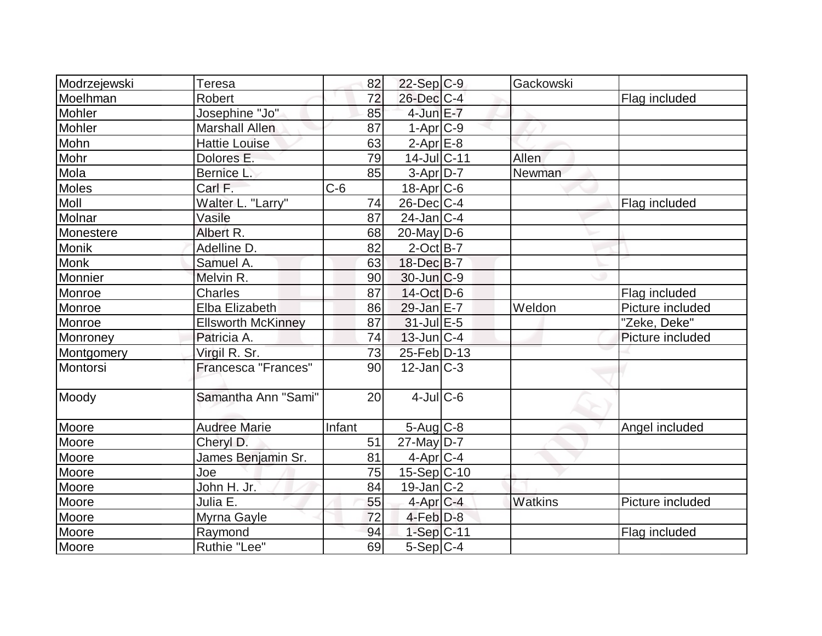| Modrzejewski | <b>Teresa</b>             | 82     | $22-Sep C-9$      | Gackowski |                  |
|--------------|---------------------------|--------|-------------------|-----------|------------------|
| Moelhman     | Robert                    | 72     | $26$ -Dec $C$ -4  |           | Flag included    |
| Mohler       | Josephine "Jo"            | 85     | $4$ -Jun $E-7$    |           |                  |
| Mohler       | <b>Marshall Allen</b>     | 87     | $1-Apr$ $C-9$     |           |                  |
| Mohn         | <b>Hattie Louise</b>      | 63     | $2-Apr$ $E-8$     |           |                  |
| Mohr         | Dolores E.                | 79     | 14-Jul C-11       | Allen     |                  |
| Mola         | Bernice L.                | 85     | $3-Apr D-7$       | Newman    |                  |
| Moles        | Carl F.                   | $C-6$  | $18$ -Apr $ C$ -6 |           |                  |
| <b>Moll</b>  | Walter L. "Larry"         | 74     | $26$ -Dec $ C-4 $ |           | Flag included    |
| Molnar       | Vasile                    | 87     | $24$ -Jan $ C-4 $ |           |                  |
| Monestere    | Albert R.                 | 68     | $20$ -May $D-6$   |           |                  |
| Monik        | Adelline D.               | 82     | $2$ -Oct B-7      |           |                  |
| <b>Monk</b>  | Samuel A.                 | 63     | 18-Dec B-7        |           |                  |
| Monnier      | Melvin R.                 | 90     | $30$ -Jun $C-9$   |           |                  |
| Monroe       | <b>Charles</b>            | 87     | $14$ -Oct $D-6$   |           | Flag included    |
| Monroe       | <b>Elba Elizabeth</b>     | 86     | $29$ -Jan $E-7$   | Weldon    | Picture included |
| Monroe       | <b>Ellsworth McKinney</b> | 87     | $31$ -Jul $E-5$   |           | "Zeke, Deke"     |
| Monroney     | Patricia A.               | 74     | $13$ -Jun $ C-4 $ |           | Picture included |
| Montgomery   | Virgil R. Sr.             | 73     | 25-Feb D-13       |           |                  |
| Montorsi     | Francesca "Frances"       | 90     | $12$ -Jan $ C-3 $ |           |                  |
| Moody        | Samantha Ann "Sami"       | 20     | $4$ -JulC-6       |           |                  |
| Moore        | <b>Audree Marie</b>       | Infant | $5$ -Aug $C$ -8   |           | Angel included   |
| Moore        | Cheryl D.                 | 51     | $27$ -May D-7     |           |                  |
| <b>Moore</b> | James Benjamin Sr.        | 81     | $4$ -Apr $C$ -4   |           |                  |
| Moore        | Joe                       | 75     | $15-Sep C-10$     |           |                  |
| Moore        | John H. Jr.               | 84     | $19$ -Jan $ C-2 $ |           |                  |
| Moore        | Julia E.                  | 55     | $4$ -Apr $C$ -4   | Watkins   | Picture included |
| Moore        | Myrna Gayle               | 72     | $4-Feb$ $D-8$     |           |                  |
| Moore        | Raymond                   | 94     | $1-Sep C-11$      |           | Flag included    |
| Moore        | Ruthie "Lee"              | 69     | $5-Sep C-4$       |           |                  |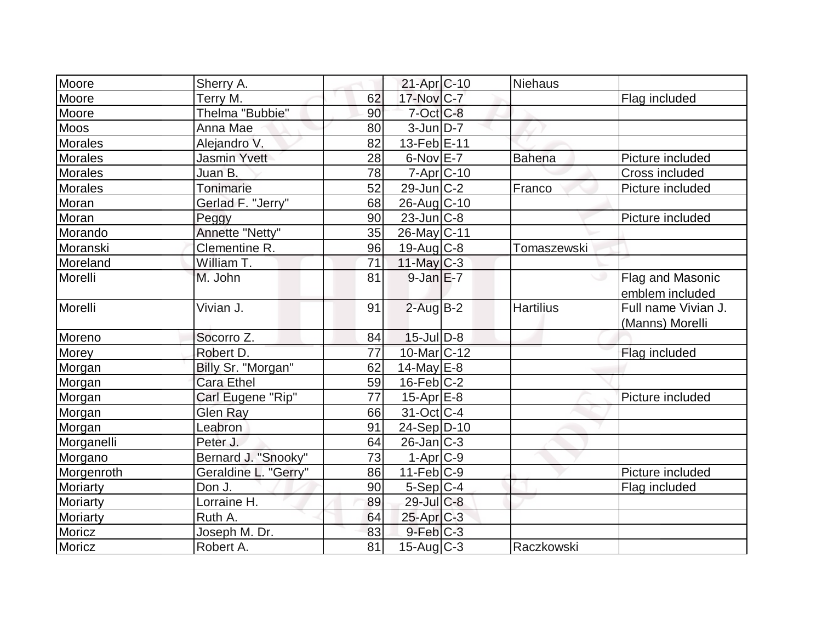| Moore          | Sherry A.            |    | 21-Apr C-10             | <b>Niehaus</b>   |                                        |
|----------------|----------------------|----|-------------------------|------------------|----------------------------------------|
| Moore          | Terry M.             | 62 | 17-Nov C-7              |                  | Flag included                          |
| Moore          | Thelma "Bubbie"      | 90 | $7$ -Oct $C$ -8         |                  |                                        |
| <b>Moos</b>    | Anna Mae             | 80 | $3$ -Jun $D-7$          |                  |                                        |
| <b>Morales</b> | Alejandro V.         | 82 | 13-Feb E-11             |                  |                                        |
| <b>Morales</b> | <b>Jasmin Yvett</b>  | 28 | $6$ -Nov $E$ -7         | <b>Bahena</b>    | Picture included                       |
| <b>Morales</b> | Juan B.              | 78 | $7 - Apr$ $C - 10$      |                  | Cross included                         |
| Morales        | Tonimarie            | 52 | $29$ -Jun $ C-2 $       | Franco           | Picture included                       |
| Moran          | Gerlad F. "Jerry"    | 68 | 26-Aug C-10             |                  |                                        |
| Moran          | Peggy                | 90 | $23$ -Jun $ C-8 $       |                  | Picture included                       |
| Morando        | Annette "Netty"      | 35 | 26-May C-11             |                  |                                        |
| Moranski       | Clementine R.        | 96 | $19$ -Aug C-8           | Tomaszewski      |                                        |
| Moreland       | William T.           | 71 | $11$ -May C-3           |                  |                                        |
| Morelli        | M. John              | 81 | $9$ -Jan $E$ -7         |                  | Flag and Masonic<br>emblem included    |
| Morelli        | Vivian J.            | 91 | $2$ -Aug $B - 2$        | <b>Hartilius</b> | Full name Vivian J.<br>(Manns) Morelli |
| Moreno         | Socorro Z.           | 84 | $15$ -Jul $D-8$         |                  |                                        |
| <b>Morey</b>   | Robert D.            | 77 | 10-Mar C-12             |                  | Flag included                          |
| Morgan         | Billy Sr. "Morgan"   | 62 | 14-May $E-8$            |                  |                                        |
| Morgan         | <b>Cara Ethel</b>    | 59 | $16$ -Feb $ C-2$        |                  |                                        |
| Morgan         | Carl Eugene "Rip"    | 77 | $15$ -Apr $E-8$         |                  | Picture included                       |
| Morgan         | Glen Ray             | 66 | $31-Oct$ <sub>C-4</sub> |                  |                                        |
| Morgan         | Leabron              | 91 | $24-Sep D-10$           |                  |                                        |
| Morganelli     | Peter J.             | 64 | $26$ -Jan $ C-3 $       |                  |                                        |
| Morgano        | Bernard J. "Snooky"  | 73 | $1-Apr$ $C-9$           |                  |                                        |
| Morgenroth     | Geraldine L. "Gerry" | 86 | $11-Feb C-9$            |                  | Picture included                       |
| Moriarty       | Don J.               | 90 | $5-Sep C-4$             |                  | Flag included                          |
| Moriarty       | Lorraine H.          | 89 | 29-Jul C-8              |                  |                                        |
| Moriarty       | Ruth A.              | 64 | 25-Apr C-3              |                  |                                        |
| Moricz         | Joseph M. Dr.        | 83 | $9$ -Feb $ C-3 $        |                  |                                        |
| Moricz         | Robert A.            | 81 | $15$ -Aug C-3           | Raczkowski       |                                        |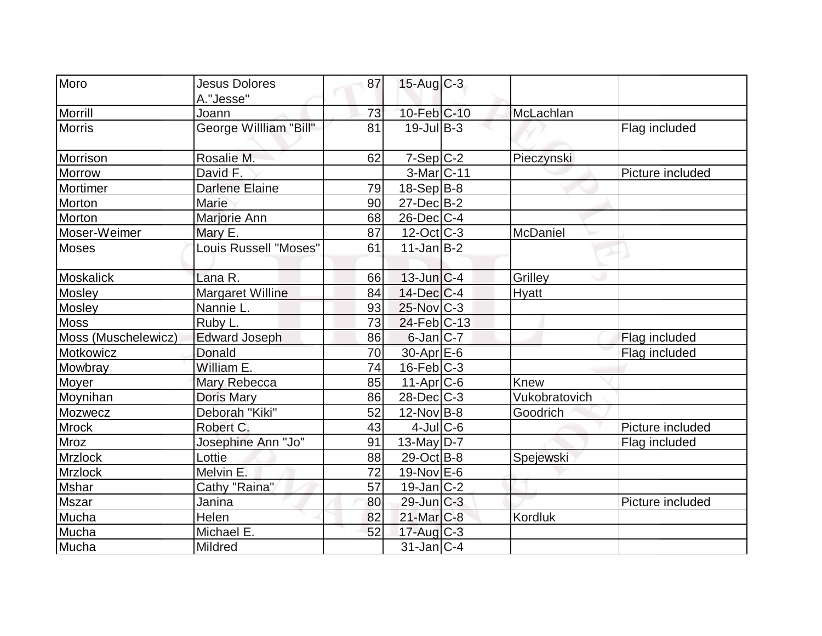| Moro                | <b>Jesus Dolores</b>         | 87 | $15$ -Aug C-3     |               |                  |
|---------------------|------------------------------|----|-------------------|---------------|------------------|
|                     | A."Jesse"                    |    |                   |               |                  |
| Morrill             | Joann                        | 73 | 10-Feb C-10       | McLachlan     |                  |
| <b>Morris</b>       | George Willliam "Bill"       | 81 | $19$ -Jul $B-3$   |               | Flag included    |
| Morrison            | Rosalie M.                   | 62 | $7-Sep C-2$       | Pieczynski    |                  |
| <b>Morrow</b>       | David F.                     |    | $3-Mar$ $C-11$    |               | Picture included |
| Mortimer            | <b>Darlene Elaine</b>        | 79 | $18-Sep B-8$      |               |                  |
| Morton              | <b>Marie</b>                 | 90 | $27 - Dec$ B-2    |               |                  |
| Morton              | Marjorie Ann                 | 68 | $26$ -Dec $C$ -4  |               |                  |
| Moser-Weimer        | Mary E.                      | 87 | $12$ -Oct $ C-3 $ | McDaniel      |                  |
| <b>Moses</b>        | <b>Louis Russell "Moses"</b> | 61 | $11$ -Jan $ B-2 $ |               |                  |
| Moskalick           | Lana R.                      | 66 | $13$ -Jun $ C-4$  | Grilley       |                  |
| Mosley              | Margaret Willine             | 84 | 14-Dec C-4        | <b>Hyatt</b>  |                  |
| Mosley              | Nannie L.                    | 93 | $25$ -Nov $ C-3 $ |               |                  |
| <b>Moss</b>         | Ruby L.                      | 73 | $24$ -Feb $ C-13$ |               |                  |
| Moss (Muschelewicz) | <b>Edward Joseph</b>         | 86 | $6$ -Jan $ C-7 $  |               | Flag included    |
| Motkowicz           | Donald                       | 70 | $30$ -Apr $E$ -6  |               | Flag included    |
| Mowbray             | William E.                   | 74 | $16$ -Feb $ C-3 $ |               |                  |
| Moyer               | Mary Rebecca                 | 85 | $11-Apr$ $C-6$    | Knew          |                  |
| Moynihan            | <b>Doris Mary</b>            | 86 | $28$ -Dec $C-3$   | Vukobratovich |                  |
| Mozwecz             | Deborah "Kiki"               | 52 | $12$ -Nov B-8     | Goodrich      |                  |
| <b>Mrock</b>        | Robert C.                    | 43 | $4$ -JulC-6       |               | Picture included |
| Mroz                | Josephine Ann "Jo"           | 91 | 13-May $D-7$      |               | Flag included    |
| <b>Mrzlock</b>      | Lottie                       | 88 | 29-Oct B-8        | Spejewski     |                  |
| Mrzlock             | Melvin E.                    | 72 | 19-Nov $E$ -6     |               |                  |
| <b>Mshar</b>        | Cathy "Raina"                | 57 | $19$ -Jan $ C-2 $ |               |                  |
| <b>Mszar</b>        | Janina                       | 80 | $29$ -Jun $ C-3 $ |               | Picture included |
| Mucha               | Helen                        | 82 | $21$ -Mar $C-8$   | Kordluk       |                  |
| Mucha               | Michael E.                   | 52 | $17$ -Aug $C-3$   |               |                  |
| Mucha               | Mildred                      |    | $31$ -Jan $ C-4$  |               |                  |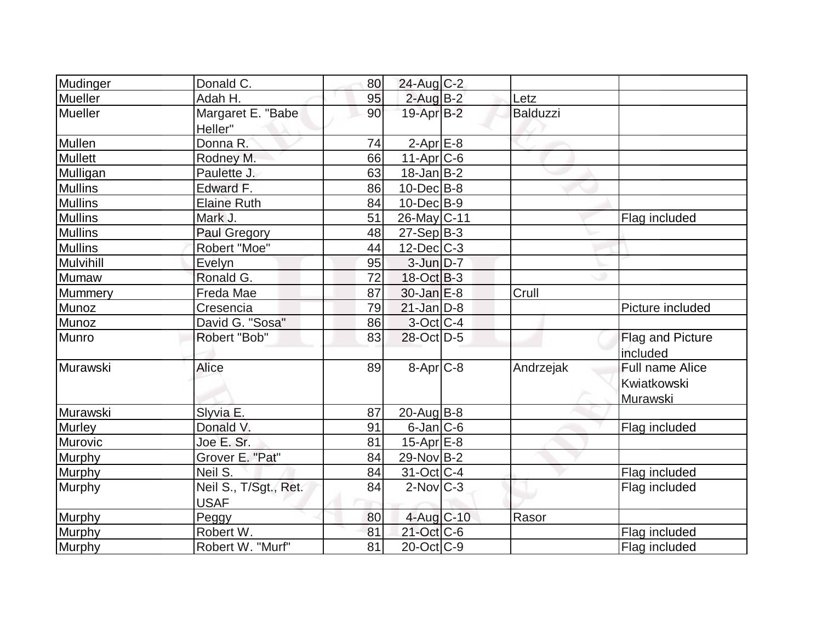| Mudinger       | Donald C.                            | 80 | 24-Aug C-2               |           |                                            |
|----------------|--------------------------------------|----|--------------------------|-----------|--------------------------------------------|
| Mueller        | Adah H.                              | 95 | $2$ -Aug $B-2$           | Letz      |                                            |
| Mueller        | Margaret E. "Babe<br>Heller"         | 90 | 19-Apr B-2               | Balduzzi  |                                            |
| Mullen         | Donna R.                             | 74 | $2$ -Apr $E$ -8          |           |                                            |
| <b>Mullett</b> | Rodney M.                            | 66 | $11-Apr$ $C-6$           |           |                                            |
| Mulligan       | Paulette J.                          | 63 | $18$ -Jan B-2            |           |                                            |
| <b>Mullins</b> | Edward F.                            | 86 | $10$ -Dec $ B-8 $        |           |                                            |
| <b>Mullins</b> | <b>Elaine Ruth</b>                   | 84 | $10$ -Dec $B - 9$        |           |                                            |
| <b>Mullins</b> | Mark J.                              | 51 | 26-May C-11              |           | Flag included                              |
| <b>Mullins</b> | Paul Gregory                         | 48 | $27-Sep B-3$             |           |                                            |
| <b>Mullins</b> | Robert "Moe"                         | 44 | $12$ -Dec $C$ -3         |           |                                            |
| Mulvihill      | Evelyn                               | 95 | $3$ -Jun $D-7$           |           |                                            |
| Mumaw          | Ronald G.                            | 72 | 18-Oct B-3               |           |                                            |
| Mummery        | Freda Mae                            | 87 | $30$ -Jan $E-8$          | Crull     |                                            |
| Munoz          | Cresencia                            | 79 | $21$ -Jan $D-8$          |           | Picture included                           |
| Munoz          | David G. "Sosa"                      | 86 | $3-Oct$ $C-4$            |           |                                            |
| Munro          | Robert "Bob"                         | 83 | 28-Oct D-5               |           | <b>Flag and Picture</b><br>included        |
| Murawski       | <b>Alice</b>                         | 89 | $8-Apr$ $C-8$            | Andrzejak | Full name Alice<br>Kwiatkowski<br>Murawski |
| Murawski       | Slyvia E.                            | 87 | 20-Aug B-8               |           |                                            |
| Murley         | Donald V.                            | 91 | $6$ -Jan $ C$ -6         |           | Flag included                              |
| Murovic        | Joe E. Sr.                           | 81 | $15$ -Apr $E$ -8         |           |                                            |
| <b>Murphy</b>  | Grover E. "Pat"                      | 84 | $29-Nov B-2$             |           |                                            |
| Murphy         | Neil S.                              | 84 | $31-Oct$ <sub>C</sub> -4 |           | Flag included                              |
| Murphy         | Neil S., T/Sgt., Ret.<br><b>USAF</b> | 84 | $2$ -Nov $ C-3 $         |           | Flag included                              |
| Murphy         | Peggy                                | 80 | 4-Aug C-10               | Rasor     |                                            |
| Murphy         | Robert W.                            | 81 | 21-Oct C-6               |           | Flag included                              |
| Murphy         | Robert W. "Murf"                     | 81 | $20$ -Oct $ C-9 $        |           | Flag included                              |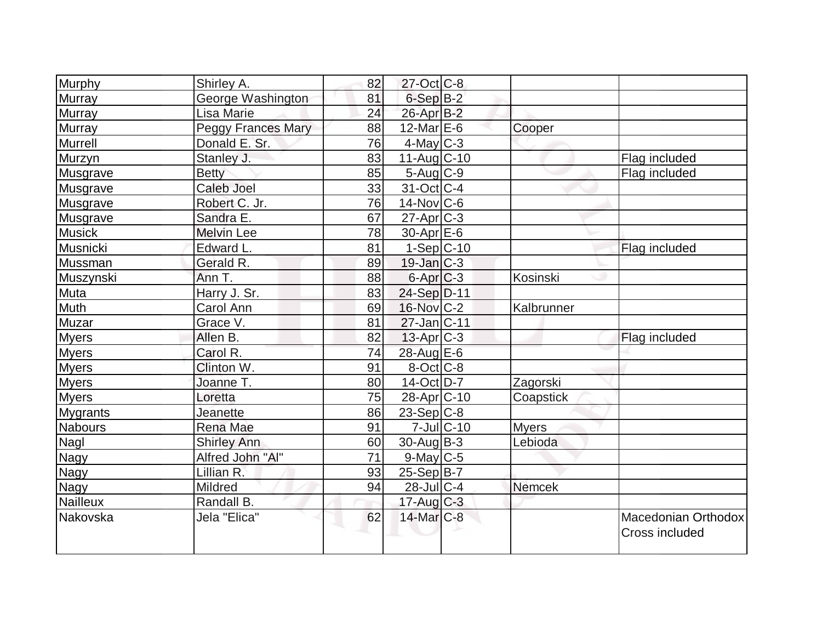| Murphy          | Shirley A.         | 82 | $27 - Oct$ <sub>C</sub> -8 |                  |               |                                       |
|-----------------|--------------------|----|----------------------------|------------------|---------------|---------------------------------------|
| <b>Murray</b>   | George Washington  | 81 | $6-Sep B-2$                |                  |               |                                       |
| <b>Murray</b>   | Lisa Marie         | 24 | 26-Apr B-2                 |                  |               |                                       |
| Murray          | Peggy Frances Mary | 88 | $12$ -Mar $E$ -6           |                  | Cooper        |                                       |
| Murrell         | Donald E. Sr.      | 76 | $4$ -May C-3               |                  |               |                                       |
| Murzyn          | Stanley J.         | 83 | $11-Aug$ $C-10$            |                  |               | Flag included                         |
| Musgrave        | <b>Betty</b>       | 85 | $5$ -Aug $C$ -9            |                  |               | Flag included                         |
| Musgrave        | Caleb Joel         | 33 | $31-Oct$ <sub>C-4</sub>    |                  |               |                                       |
| Musgrave        | Robert C. Jr.      | 76 | $14$ -Nov $ C-6$           |                  |               |                                       |
| Musgrave        | Sandra E.          | 67 | $27$ -Apr $ C-3 $          |                  |               |                                       |
| <b>Musick</b>   | <b>Melvin Lee</b>  | 78 | $30$ -Apr $E$ -6           |                  |               |                                       |
| Musnicki        | Edward L.          | 81 | $1-Sep C-10$               |                  |               | Flag included                         |
| Mussman         | Gerald R.          | 89 | $19$ -Jan $ C-3 $          |                  |               |                                       |
| Muszynski       | Ann T.             | 88 | $6$ -Apr $C$ -3            |                  | Kosinski      |                                       |
| Muta            | Harry J. Sr.       | 83 | 24-Sep D-11                |                  |               |                                       |
| Muth            | Carol Ann          | 69 | 16-Nov C-2                 |                  | Kalbrunner    |                                       |
| Muzar           | Grace V.           | 81 | $27$ -Jan $ C-11$          |                  |               |                                       |
| <b>Myers</b>    | Allen B.           | 82 | $13$ -Apr $ C-3 $          |                  |               | Flag included                         |
| <b>Myers</b>    | Carol R.           | 74 | 28-Aug E-6                 |                  |               |                                       |
| <b>Myers</b>    | Clinton W.         | 91 | $8-Cct$ $C-8$              |                  |               |                                       |
| <b>Myers</b>    | Joanne T.          | 80 | 14-Oct D-7                 |                  | Zagorski      |                                       |
| <b>Myers</b>    | Loretta            | 75 | 28-Apr <sub>C-10</sub>     |                  | Coapstick     |                                       |
| <b>Mygrants</b> | Jeanette           | 86 | $23-Sep C-8$               |                  |               |                                       |
| Nabours         | <b>Rena Mae</b>    | 91 |                            | $7$ -Jul $C$ -10 | <b>Myers</b>  |                                       |
| Nagl            | <b>Shirley Ann</b> | 60 | $30$ -Aug $B-3$            |                  | Lebioda       |                                       |
| <b>Nagy</b>     | Alfred John "Al"   | 71 | $9$ -May C-5               |                  |               |                                       |
| <b>Nagy</b>     | Lillian R.         | 93 | $25-Sep B-7$               |                  |               |                                       |
| <b>Nagy</b>     | Mildred            | 94 | $28$ -Jul $C-4$            |                  | <b>Nemcek</b> |                                       |
| Nailleux        | Randall B.         |    | $17$ -Aug $C-3$            |                  |               |                                       |
| Nakovska        | Jela "Elica"       | 62 | $14$ -Mar $C-8$            |                  |               | Macedonian Orthodox<br>Cross included |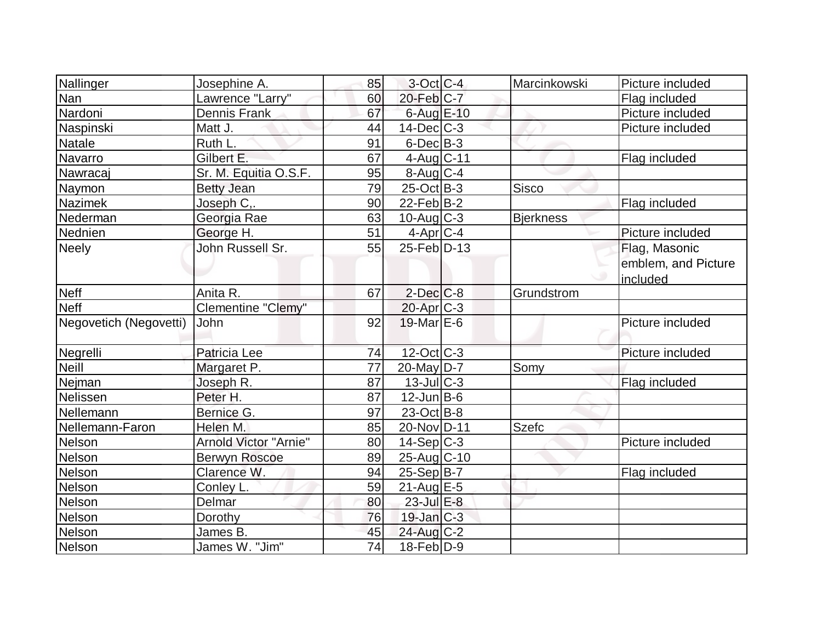| Nallinger              | Josephine A.          | 85              | $3$ -Oct C-4      | Marcinkowski     | Picture included    |
|------------------------|-----------------------|-----------------|-------------------|------------------|---------------------|
| Nan                    | Lawrence "Larry"      | 60              | $20$ -Feb $C-7$   |                  | Flag included       |
| Nardoni                | <b>Dennis Frank</b>   | 67              | 6-Aug E-10        |                  | Picture included    |
| Naspinski              | Matt J.               | 44              | $14$ -Dec $C-3$   |                  | Picture included    |
| <b>Natale</b>          | Ruth L.               | 91              | $6$ -Dec $B$ -3   |                  |                     |
| Navarro                | Gilbert E.            | 67              | $4$ -Aug $C-11$   |                  | Flag included       |
| Nawracaj               | Sr. M. Equitia O.S.F. | 95              | $8$ -Aug C-4      |                  |                     |
| Naymon                 | <b>Betty Jean</b>     | 79              | $25$ -Oct B-3     | <b>Sisco</b>     |                     |
| <b>Nazimek</b>         | Joseph C,.            | 90              | $22$ -Feb $ B-2 $ |                  | Flag included       |
| Nederman               | Georgia Rae           | 63              | $10$ -Aug $C-3$   | <b>Bjerkness</b> |                     |
| Nednien                | George H.             | 51              | $4$ -Apr $C$ -4   |                  | Picture included    |
| <b>Neely</b>           | John Russell Sr.      | 55              | 25-Feb D-13       |                  | Flag, Masonic       |
|                        |                       |                 |                   |                  | emblem, and Picture |
|                        |                       |                 |                   |                  | included            |
| <b>Neff</b>            | Anita R.              | 67              | $2$ -Dec $C$ -8   | Grundstrom       |                     |
| <b>Neff</b>            | Clementine "Clemy"    |                 | $20$ -Apr $C-3$   |                  |                     |
| Negovetich (Negovetti) | John                  | 92              | 19-Mar $E-6$      |                  | Picture included    |
| Negrelli               | Patricia Lee          | 74              | 12-Oct C-3        |                  | Picture included    |
| <b>Neill</b>           | Margaret P.           | $\overline{77}$ | $20$ -May D-7     | Somy             |                     |
| Nejman                 | Joseph R.             | 87              | $13$ -JulC-3      |                  | Flag included       |
| Nelissen               | Peter H.              | 87              | $12$ -Jun $B$ -6  |                  |                     |
| Nellemann              | Bernice G.            | 97              | $23-Oct$ B-8      |                  |                     |
| Nellemann-Faron        | Helen M.              | 85              | 20-Nov D-11       | <b>Szefc</b>     |                     |
| Nelson                 | Arnold Victor "Arnie" | 80              | $14-Sep C-3$      |                  | Picture included    |
| Nelson                 | <b>Berwyn Roscoe</b>  | 89              | 25-Aug C-10       |                  |                     |
| Nelson                 | Clarence W.           | 94              | $25-Sep B-7$      |                  | Flag included       |
| Nelson                 | Conley L.             | 59              | $21$ -Aug $E-5$   |                  |                     |
| Nelson                 | Delmar                | 80              | 23-Jul E-8        |                  |                     |
| Nelson                 | Dorothy               | 76              | $19$ -Jan $ C-3 $ |                  |                     |
| Nelson                 | James B.              | 45              | $24$ -Aug $C-2$   |                  |                     |
| Nelson                 | James W. "Jim"        | 74              | $18$ -Feb $ D-9 $ |                  |                     |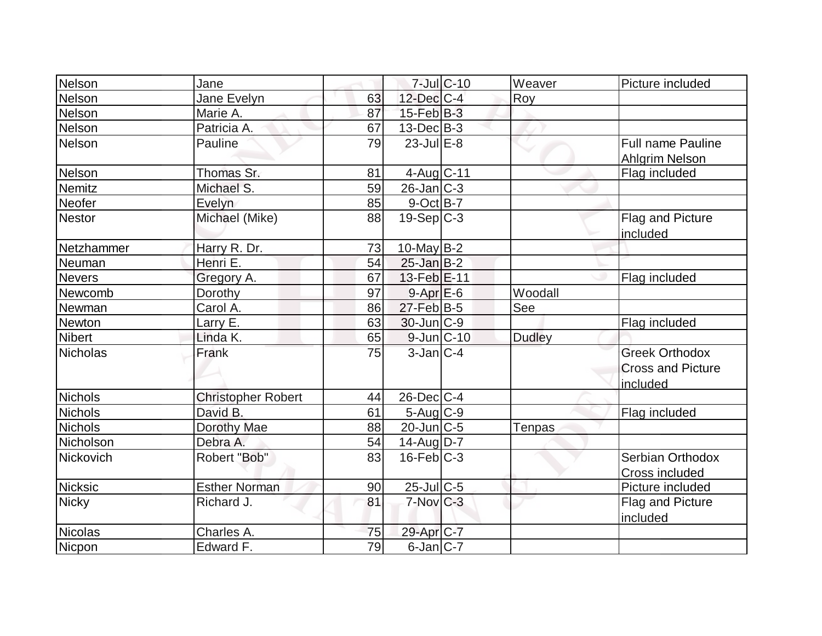| Nelson          | Jane                      |    |                        | $7$ -Jul $ C-10$ | Weaver        | Picture included                                              |
|-----------------|---------------------------|----|------------------------|------------------|---------------|---------------------------------------------------------------|
| Nelson          | Jane Evelyn               | 63 | 12-Dec C-4             |                  | Roy           |                                                               |
| Nelson          | Marie A.                  | 87 | $15$ -Feb $ B-3 $      |                  |               |                                                               |
| Nelson          | Patricia A.               | 67 | $13$ -Dec $B-3$        |                  |               |                                                               |
| Nelson          | Pauline                   | 79 | $23$ -Jul E-8          |                  |               | <b>Full name Pauline</b><br>Ahlgrim Nelson                    |
| Nelson          | Thomas Sr.                | 81 | 4-Aug C-11             |                  |               | Flag included                                                 |
| Nemitz          | Michael S.                | 59 | $26$ -Jan $ C-3 $      |                  |               |                                                               |
| Neofer          | Evelyn                    | 85 | $9$ -Oct B-7           |                  |               |                                                               |
| <b>Nestor</b>   | Michael (Mike)            | 88 | $19-Sep C-3$           |                  |               | Flag and Picture<br>included                                  |
| Netzhammer      | Harry R. Dr.              | 73 | 10-May B-2             |                  |               |                                                               |
| Neuman          | Henri E.                  | 54 | $25$ -Jan B-2          |                  |               |                                                               |
| <b>Nevers</b>   | Gregory A.                | 67 | 13-Feb E-11            |                  |               | Flag included                                                 |
| Newcomb         | Dorothy                   | 97 | $9-Apr$ $E-6$          |                  | Woodall       |                                                               |
| Newman          | Carol A.                  | 86 | $27$ -Feb $ B-5$       |                  | See           |                                                               |
| Newton          | Larry E.                  | 63 | $30$ -Jun $ C-9 $      |                  |               | Flag included                                                 |
| <b>Nibert</b>   | Linda K.                  | 65 | $9$ -Jun $ C-10 $      |                  | <b>Dudley</b> |                                                               |
| <b>Nicholas</b> | Frank                     | 75 | $3-Jan C-4$            |                  |               | <b>Greek Orthodox</b><br><b>Cross and Picture</b><br>included |
| Nichols         | <b>Christopher Robert</b> | 44 | $26$ -Dec $C$ -4       |                  |               |                                                               |
| <b>Nichols</b>  | David B.                  | 61 | $5-Aug$ $C-9$          |                  |               | Flag included                                                 |
| <b>Nichols</b>  | Dorothy Mae               | 88 | $20$ -Jun $C-5$        |                  | Tenpas        |                                                               |
| Nicholson       | Debra A.                  | 54 | $14$ -Aug $D-7$        |                  |               |                                                               |
| Nickovich       | Robert "Bob"              | 83 | $16$ -Feb $C-3$        |                  |               | Serbian Orthodox<br>Cross included                            |
| <b>Nicksic</b>  | <b>Esther Norman</b>      | 90 | $25$ -Jul C-5          |                  |               | Picture included                                              |
| <b>Nicky</b>    | Richard J.                | 81 | $7-Nov$ <sub>C-3</sub> |                  |               | Flag and Picture<br>included                                  |
| <b>Nicolas</b>  | Charles A.                | 75 | 29-Apr C-7             |                  |               |                                                               |
| Nicpon          | Edward F.                 | 79 | $6$ -Jan $C$ -7        |                  |               |                                                               |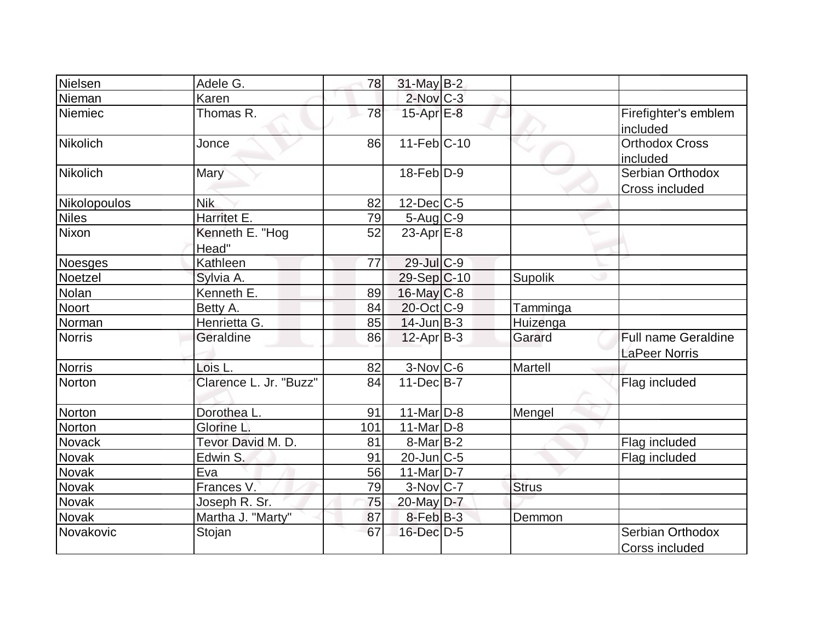| Nielsen         | Adele G.                 | 78  | $31$ -May B-2            |              |                                                    |
|-----------------|--------------------------|-----|--------------------------|--------------|----------------------------------------------------|
| Nieman          | Karen                    |     | $2$ -Nov $C-3$           |              |                                                    |
| Niemiec         | Thomas R.                | 78  | $15$ -Apr $E-8$          |              | Firefighter's emblem<br>included                   |
| <b>Nikolich</b> | Jonce                    | 86  | $11-Feb$ C-10            |              | Orthodox Cross<br>included                         |
| <b>Nikolich</b> | Mary                     |     | $18$ -Feb $D-9$          |              | Serbian Orthodox<br>Cross included                 |
| Nikolopoulos    | <b>Nik</b>               | 82  | $12$ -Dec $ C-5 $        |              |                                                    |
| <b>Niles</b>    | Harritet E.              | 79  | $5 - Aug$ <sub>C-9</sub> |              |                                                    |
| Nixon           | Kenneth E. "Hog<br>Head" | 52  | 23-Apr $E-8$             |              |                                                    |
| Noesges         | Kathleen                 | 77  | $29$ -Jul $C-9$          |              |                                                    |
| Noetzel         | Sylvia A.                |     | 29-Sep C-10              | Supolik      |                                                    |
| Nolan           | Kenneth E.               | 89  | $16$ -May $C$ -8         |              |                                                    |
| <b>Noort</b>    | Betty A.                 | 84  | 20-Oct C-9               | Tamminga     |                                                    |
| Norman          | Henrietta G.             | 85  | $14$ -Jun $B-3$          | Huizenga     |                                                    |
| <b>Norris</b>   | Geraldine                | 86  | $12$ -Apr $ B-3 $        | Garard       | <b>Full name Geraldine</b><br><b>LaPeer Norris</b> |
| <b>Norris</b>   | Lois L.                  | 82  | $3-Nov$ <sub>C-6</sub>   | Martell      |                                                    |
| Norton          | Clarence L. Jr. "Buzz"   | 84  | $11-Dec$ B-7             |              | Flag included                                      |
| Norton          | Dorothea L.              | 91  | $11$ -Mar $D-8$          | Mengel       |                                                    |
| Norton          | Glorine L.               | 101 | $11$ -Mar $D-8$          |              |                                                    |
| Novack          | Tevor David M. D.        | 81  | $8-Mar$ B-2              |              | Flag included                                      |
| Novak           | Edwin S.                 | 91  | $20$ -Jun $C-5$          |              | Flag included                                      |
| <b>Novak</b>    | Eva                      | 56  | $11$ -Mar $ D-7 $        |              |                                                    |
| Novak           | Frances V.               | 79  | $3-Nov$ C-7              | <b>Strus</b> |                                                    |
| Novak           | Joseph R. Sr.            | 75  | 20-May D-7               |              |                                                    |
| Novak           | Martha J. "Marty"        | 87  | $8$ -Feb $ B-3 $         | Demmon       |                                                    |
| Novakovic       | Stojan                   | 67  | $16$ -Dec $D-5$          |              | Serbian Orthodox<br>Corss included                 |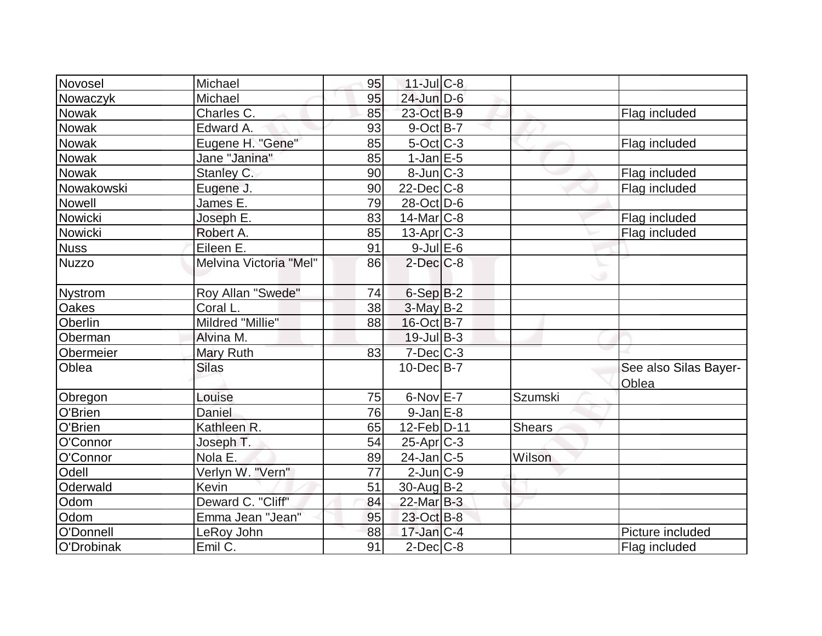| Novosel        | Michael                | 95 | $11$ -Jul C-8     |               |                                |
|----------------|------------------------|----|-------------------|---------------|--------------------------------|
| Nowaczyk       | Michael                | 95 | 24-Jun D-6        |               |                                |
| Nowak          | Charles C.             | 85 | 23-Oct B-9        |               | Flag included                  |
| Nowak          | Edward A.              | 93 | $9$ -Oct B-7      |               |                                |
| <b>Nowak</b>   | Eugene H. "Gene"       | 85 | $5$ -Oct C-3      |               | Flag included                  |
| <b>Nowak</b>   | Jane "Janina"          | 85 | $1$ -Jan $E$ -5   |               |                                |
| Nowak          | Stanley C.             | 90 | $8$ -Jun $ C-3 $  |               | Flag included                  |
| Nowakowski     | Eugene J.              | 90 | $22$ -Dec $C$ -8  |               | Flag included                  |
| <b>Nowell</b>  | James E.               | 79 | 28-Oct D-6        |               |                                |
| Nowicki        | Joseph E.              | 83 | $14$ -Mar $ C-8 $ |               | Flag included                  |
| Nowicki        | Robert A.              | 85 | $13$ -Apr $C-3$   |               | Flag included                  |
| <b>Nuss</b>    | Eileen E.              | 91 | $9$ -Jul $E$ -6   |               |                                |
| <b>Nuzzo</b>   | Melvina Victoria "Mel" | 86 | $2$ -Dec $C$ -8   |               |                                |
| <b>Nystrom</b> | Roy Allan "Swede"      | 74 | $6-Sep$ B-2       |               |                                |
| <b>Oakes</b>   | Coral L.               | 38 | $3$ -May B-2      |               |                                |
| Oberlin        | Mildred "Millie"       | 88 | 16-Oct B-7        |               |                                |
| Oberman        | Alvina M.              |    | $19$ -Jul B-3     |               |                                |
| Obermeier      | Mary Ruth              | 83 | $7$ -Dec $C$ -3   |               |                                |
| Oblea          | <b>Silas</b>           |    | $10$ -Dec $B$ -7  |               | See also Silas Bayer-<br>Oblea |
| Obregon        | Louise                 | 75 | 6-Nov E-7         | Szumski       |                                |
| O'Brien        | Daniel                 | 76 | $9$ -Jan $E-8$    |               |                                |
| O'Brien        | Kathleen R.            | 65 | $12$ -Feb $ D-11$ | <b>Shears</b> |                                |
| O'Connor       | Joseph T.              | 54 | $25$ -Apr $C-3$   |               |                                |
| O'Connor       | Nola E.                | 89 | 24-Jan C-5        | Wilson        |                                |
| Odell          | Verlyn W. "Vern"       | 77 | $2$ -Jun $ C-9 $  |               |                                |
| Oderwald       | Kevin                  | 51 | 30-Aug B-2        |               |                                |
| Odom           | Deward C. "Cliff"      | 84 | $22$ -Mar $B-3$   |               |                                |
| Odom           | Emma Jean "Jean"       | 95 | 23-Oct B-8        |               |                                |
| O'Donnell      | LeRoy John             | 88 | $17$ -Jan $ C-4 $ |               | Picture included               |
| O'Drobinak     | Emil C.                | 91 | $2$ -Dec $C$ -8   |               | Flag included                  |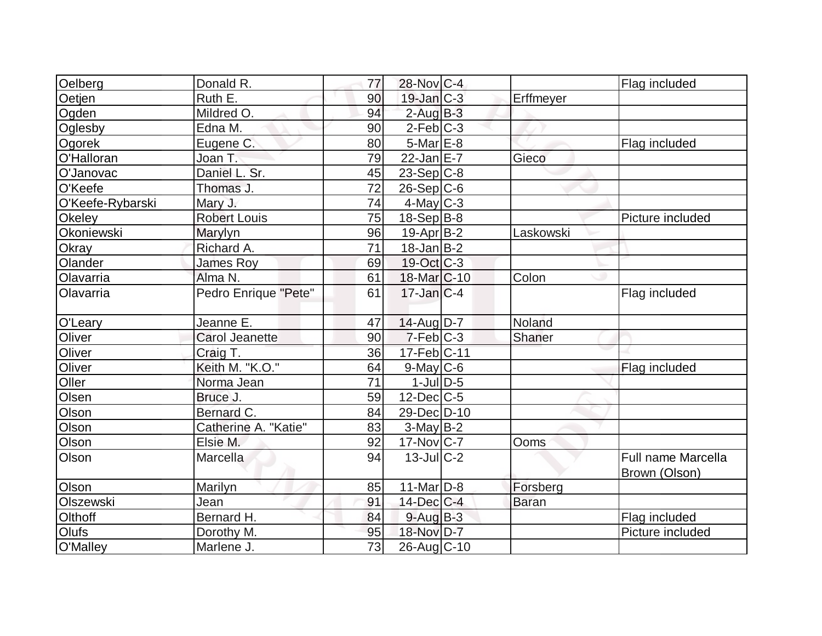| Oelberg          | Donald R.             | 77              | 28-Nov C-4               |              | Flag included                              |
|------------------|-----------------------|-----------------|--------------------------|--------------|--------------------------------------------|
| Oetjen           | Ruth E.               | 90              | $19$ -Jan $C-3$          | Erffmeyer    |                                            |
| Ogden            | Mildred O.            | 94              | $2$ -Aug $B-3$           |              |                                            |
| Oglesby          | Edna M.               | 90              | $2$ -Feb $ C-3 $         |              |                                            |
| Ogorek           | Eugene C.             | 80              | 5-Mar E-8                |              | Flag included                              |
| O'Halloran       | Joan T.               | 79              | $22$ -Jan $E-7$          | Gieco        |                                            |
| O'Janovac        | Daniel L. Sr.         | 45              | $23-Sep C-8$             |              |                                            |
| O'Keefe          | Thomas J.             | $\overline{72}$ | $26-Sep C-6$             |              |                                            |
| O'Keefe-Rybarski | Mary J.               | 74              | $4$ -May C-3             |              |                                            |
| Okeley           | <b>Robert Louis</b>   | 75              | $18-Sep B-8$             |              | Picture included                           |
| Okoniewski       | Marylyn               | 96              | $19-Apr B-2$             | Laskowski    |                                            |
| <b>Okray</b>     | Richard A.            | 71              | $18$ -Jan $ B-2 $        |              |                                            |
| Olander          | <b>James Roy</b>      | 69              | $19-Oct$ $C-3$           |              |                                            |
| Olavarria        | Alma N.               | 61              | 18-Mar <sub>IC</sub> -10 | Colon        |                                            |
| Olavarria        | Pedro Enrique "Pete"  | 61              | $17$ -Jan $ C-4 $        |              | Flag included                              |
| O'Leary          | Jeanne E.             | 47              | $14$ -Aug $D-7$          | Noland       |                                            |
| Oliver           | <b>Carol Jeanette</b> | 90              | $7-Feb$ $C-3$            | Shaner       |                                            |
| Oliver           | Craig T.              | 36              | 17-Feb C-11              |              |                                            |
| Oliver           | Keith M. "K.O."       | 64              | $9$ -May C-6             |              | Flag included                              |
| Oller            | Norma Jean            | 71              | $1$ -Jul $D-5$           |              |                                            |
| Olsen            | Bruce J.              | 59              | $12$ -Dec $C$ -5         |              |                                            |
| Olson            | Bernard C.            | 84              | 29-Dec D-10              |              |                                            |
| Olson            | Catherine A. "Katie"  | 83              | $3-May B-2$              |              |                                            |
| Olson            | Elsie M.              | 92              | $17$ -Nov $ C-7 $        | Ooms         |                                            |
| Olson            | Marcella              | 94              | $13$ -JulC-2             |              | <b>Full name Marcella</b><br>Brown (Olson) |
| Olson            | Marilyn               | 85              | $11$ -Mar $ D-8 $        | Forsberg     |                                            |
| Olszewski        | Jean                  | 91              | $14$ -Dec $ C-4 $        | <b>Baran</b> |                                            |
| Olthoff          | Bernard H.            | 84              | $9$ -Aug $B$ -3          |              | Flag included                              |
| Olufs            | Dorothy M.            | 95              | 18-Nov D-7               |              | Picture included                           |
| O'Malley         | Marlene J.            | 73              | 26-Aug C-10              |              |                                            |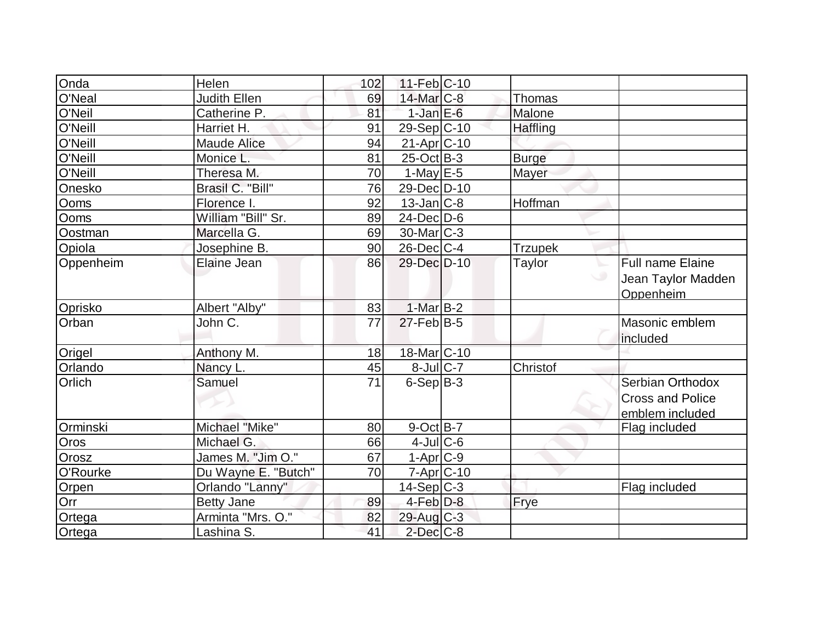| Onda      | Helen               | 102 | $11-Feb$ C-10      |                 |                         |
|-----------|---------------------|-----|--------------------|-----------------|-------------------------|
| O'Neal    | <b>Judith Ellen</b> | 69  | 14-Mar C-8         | Thomas          |                         |
| O'Neil    | Catherine P.        | 81  | $1$ -Jan $E$ -6    | Malone          |                         |
| O'Neill   | Harriet H.          | 91  | 29-Sep C-10        | <b>Haffling</b> |                         |
| O'Neill   | <b>Maude Alice</b>  | 94  | 21-Apr C-10        |                 |                         |
| O'Neill   | Monice L.           | 81  | $25$ -Oct B-3      | <b>Burge</b>    |                         |
| O'Neill   | Theresa M.          | 70  | 1-May $E-5$        | Mayer           |                         |
| Onesko    | Brasil C. "Bill"    | 76  | 29-Dec D-10        |                 |                         |
| Ooms      | Florence I.         | 92  | $13$ -Jan $ C-8 $  | Hoffman         |                         |
| Ooms      | William "Bill" Sr.  | 89  | $24$ -Dec $ D-6$   |                 |                         |
| Oostman   | Marcella G.         | 69  | $30$ -Mar $ C-3 $  |                 |                         |
| Opiola    | Josephine B.        | 90  | $26$ -Dec $ C-4 $  | <b>Trzupek</b>  |                         |
| Oppenheim | Elaine Jean         | 86  | 29-Dec D-10        | Taylor<br>╰     | Full name Elaine        |
|           |                     |     |                    | $\cup$          | Jean Taylor Madden      |
|           |                     |     |                    |                 | Oppenheim               |
| Oprisko   | Albert "Alby"       | 83  | $1-Mar$ B-2        |                 |                         |
| Orban     | John C.             | 77  | $27$ -Feb $ B-5 $  |                 | Masonic emblem          |
|           |                     |     |                    |                 | included                |
| Origel    | Anthony M.          | 18  | 18-Mar C-10        |                 |                         |
| Orlando   | Nancy L.            | 45  | $8$ -Jul $C$ -7    | Christof        |                         |
| Orlich    | Samuel              | 71  | $6-Sep B-3$        |                 | Serbian Orthodox        |
|           |                     |     |                    |                 | <b>Cross and Police</b> |
|           |                     |     |                    |                 | emblem included         |
| Orminski  | Michael "Mike"      | 80  | $9$ -Oct $B$ -7    |                 | Flag included           |
| Oros      | Michael G.          | 66  | $4$ -Jul $C$ -6    |                 |                         |
| Orosz     | James M. "Jim O."   | 67  | $1-Apr$ $C-9$      |                 |                         |
| O'Rourke  | Du Wayne E. "Butch" | 70  | $7 - Apr$ $C - 10$ |                 |                         |
| Orpen     | Orlando "Lanny"     |     | $14-Sep C-3$       |                 | Flag included           |
| Orr       | <b>Betty Jane</b>   | 89  | $4$ -Feb $D-8$     | Frye            |                         |
| Ortega    | Arminta "Mrs. O."   | 82  | $29$ -Aug C-3      |                 |                         |
| Ortega    | Lashina S.          | 41  | $2$ -Dec $C-8$     |                 |                         |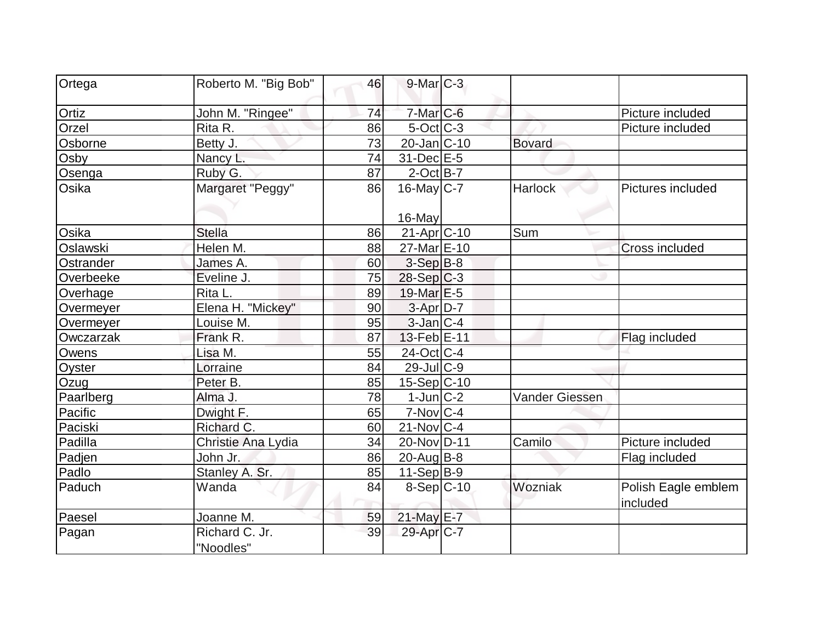| Ortega    | Roberto M. "Big Bob"        | 46 | $9$ -Mar $C-3$         |                |                                 |
|-----------|-----------------------------|----|------------------------|----------------|---------------------------------|
| Ortiz     | John M. "Ringee"            | 74 | $7$ -Mar $C$ -6        |                | Picture included                |
| Orzel     | Rita R.                     | 86 | $5$ -Oct $ C-3 $       |                | Picture included                |
| Osborne   | Betty J.                    | 73 | $20$ -Jan $ C-10$      | <b>Bovard</b>  |                                 |
| Osby      | Nancy L.                    | 74 | 31-Dec E-5             |                |                                 |
| Osenga    | Ruby G.                     | 87 | $2$ -Oct B-7           |                |                                 |
| Osika     | Margaret "Peggy"            | 86 | $16$ -May C-7          | <b>Harlock</b> | Pictures included               |
|           |                             |    | 16-May                 |                |                                 |
| Osika     | <b>Stella</b>               | 86 | $21-Apr$ C-10          | Sum            |                                 |
| Oslawski  | Helen M.                    | 88 | 27-Mar E-10            |                | <b>Cross included</b>           |
| Ostrander | James A.                    | 60 | $3-Sep B-8$            |                |                                 |
| Overbeeke | Eveline J.                  | 75 | $28-Sep C-3$           |                |                                 |
| Overhage  | Rita L.                     | 89 | 19-Mar $E-5$           |                |                                 |
| Overmeyer | Elena H. "Mickey"           | 90 | 3-Apr D-7              |                |                                 |
| Overmeyer | Louise M.                   | 95 | $3$ -Jan $ C-4 $       |                |                                 |
| Owczarzak | Frank R.                    | 87 | 13-Feb E-11            |                | Flag included                   |
| Owens     | Lisa M.                     | 55 | 24-Oct C-4             |                |                                 |
| Oyster    | Lorraine                    | 84 | $29$ -JulC-9           |                |                                 |
| Ozug      | Peter B.                    | 85 | $15-Sep C-10$          |                |                                 |
| Paarlberg | Alma J.                     | 78 | $1$ -Jun $ C-2 $       | Vander Giessen |                                 |
| Pacific   | Dwight F.                   | 65 | $7-Nov$ <sub>C-4</sub> |                |                                 |
| Paciski   | Richard C.                  | 60 | $21$ -Nov $ C-4 $      |                |                                 |
| Padilla   | Christie Ana Lydia          | 34 | 20-Nov D-11            | Camilo         | Picture included                |
| Padjen    | John Jr.                    | 86 | $20$ -Aug $B-8$        |                | Flag included                   |
| Padlo     | Stanley A. Sr.              | 85 | $11-Sep B-9$           |                |                                 |
| Paduch    | Wanda                       | 84 | $8-Sep C-10$           | Wozniak        | Polish Eagle emblem<br>included |
| Paesel    | Joanne M.                   | 59 | 21-May E-7             |                |                                 |
| Pagan     | Richard C. Jr.<br>"Noodles" | 39 | 29-Apr <sub>IC-7</sub> |                |                                 |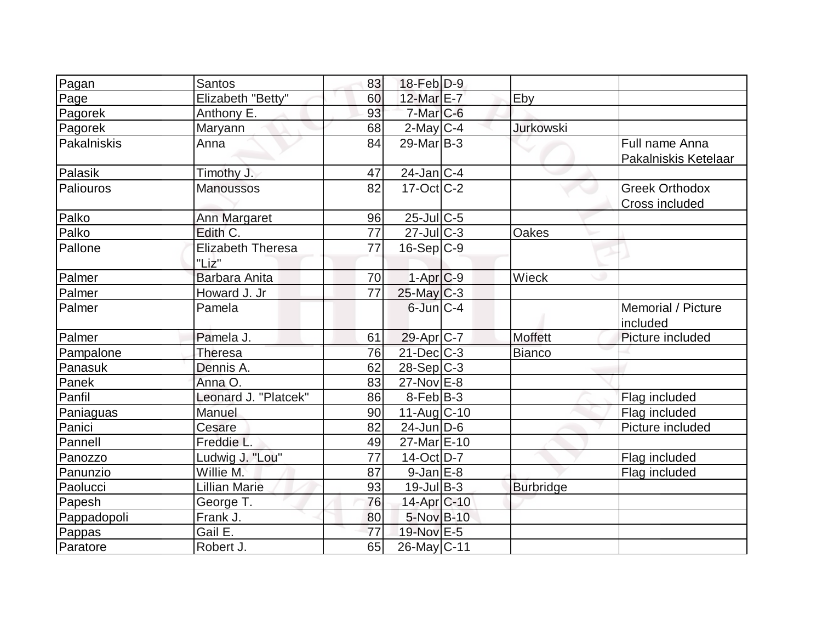| Pagan       | <b>Santos</b>                     | 83              | 18-Feb D-9             |                  |                                         |
|-------------|-----------------------------------|-----------------|------------------------|------------------|-----------------------------------------|
| Page        | Elizabeth "Betty"                 | 60              | 12-Mar E-7             | Eby              |                                         |
| Pagorek     | Anthony E.                        | 93              | $7-Mar$ C-6            |                  |                                         |
| Pagorek     | <b>Maryann</b>                    | 68              | $2$ -May C-4           | <b>Jurkowski</b> |                                         |
| Pakalniskis | Anna                              | 84              | $29$ -Mar $ B-3 $      |                  | Full name Anna<br>Pakalniskis Ketelaar  |
| Palasik     | Timothy J.                        | 47              | 24-Jan C-4             |                  |                                         |
| Paliouros   | <b>Manoussos</b>                  | 82              | $17$ -Oct $C-2$        |                  | <b>Greek Orthodox</b><br>Cross included |
| Palko       | Ann Margaret                      | 96              | $25$ -Jul C-5          |                  |                                         |
| Palko       | Edith C.                          | 77              | $27$ -Jul $ C-3 $      | Oakes            |                                         |
| Pallone     | <b>Elizabeth Theresa</b><br>"Liz" | 77              | $16-Sep C-9$           |                  |                                         |
| Palmer      | Barbara Anita                     | 70              | $1-Apr$ $C-9$          | Wieck            |                                         |
| Palmer      | Howard J. Jr                      | $\overline{77}$ | $25$ -May C-3          |                  |                                         |
| Palmer      | Pamela                            |                 | $6$ -Jun $C-4$         |                  | Memorial / Picture<br>included          |
| Palmer      | Pamela J.                         | 61              | 29-Apr <sub>IC-7</sub> | <b>Moffett</b>   | Picture included                        |
| Pampalone   | Theresa                           | 76              | $21$ -Dec $C-3$        | <b>Bianco</b>    |                                         |
| Panasuk     | Dennis A.                         | 62              | $28-Sep C-3$           |                  |                                         |
| Panek       | Anna O.                           | 83              | 27-Nov E-8             |                  |                                         |
| Panfil      | Leonard J. "Platcek"              | 86              | $8$ -Feb $ B-3 $       |                  | Flag included                           |
| Paniaguas   | <b>Manuel</b>                     | 90              | $11-Aug$ $C-10$        |                  | Flag included                           |
| Panici      | Cesare                            | 82              | $24$ -Jun $D-6$        |                  | Picture included                        |
| Pannell     | Freddie L.                        | 49              | 27-Mar E-10            |                  |                                         |
| Panozzo     | Ludwig J. "Lou"                   | 77              | 14-Oct D-7             |                  | Flag included                           |
| Panunzio    | Willie M.                         | 87              | $9$ -Jan $E-8$         |                  | Flag included                           |
| Paolucci    | <b>Lillian Marie</b>              | 93              | $19$ -Jul B-3          | <b>Burbridge</b> |                                         |
| Papesh      | George T.                         | 76              | 14-Apr C-10            |                  |                                         |
| Pappadopoli | Frank J.                          | 80              | 5-Nov B-10             |                  |                                         |
| Pappas      | Gail E.                           | 77              | 19-Nov E-5             |                  |                                         |
| Paratore    | Robert J.                         | 65              | 26-May C-11            |                  |                                         |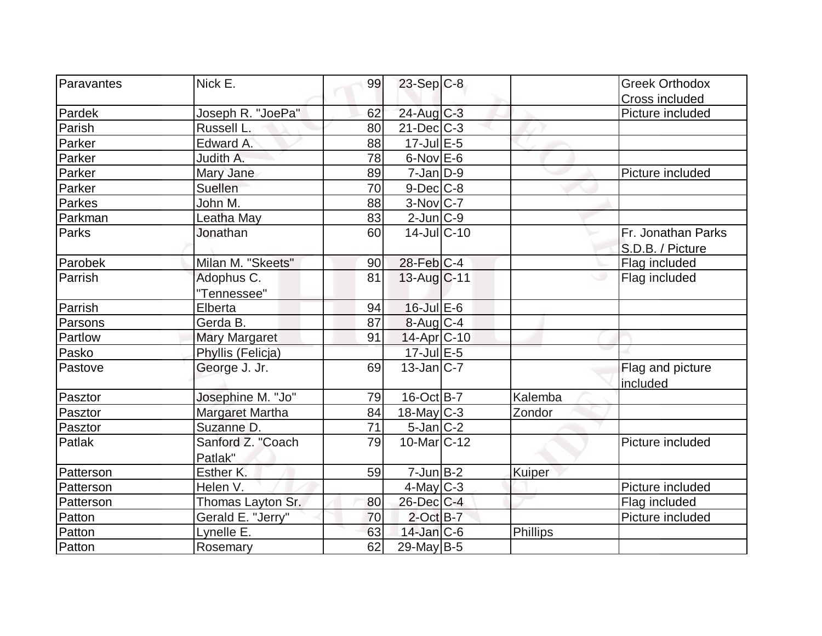| Paravantes<br>Nick E.           | 99 | $23-Sep C-8$             |               | <b>Greek Orthodox</b> |
|---------------------------------|----|--------------------------|---------------|-----------------------|
|                                 |    |                          |               | Cross included        |
| Pardek<br>Joseph R. "JoePa"     | 62 | 24-Aug C-3               |               | Picture included      |
| Parish<br>Russell L.            | 80 | $21$ -Dec $C-3$          |               |                       |
| Edward A.<br>Parker             | 88 | 17-Jul E-5               |               |                       |
| Parker<br>Judith A.             | 78 | $6$ -Nov $E$ -6          |               |                       |
| Parker<br>Mary Jane             | 89 | $7$ -Jan $ D-9$          |               | Picture included      |
| Suellen<br>Parker               | 70 | $9$ -Dec $C$ -8          |               |                       |
| John M.<br>Parkes               | 88 | $3-Nov$ $C-7$            |               |                       |
| Parkman<br>Leatha May           | 83 | $2$ -Jun $ C-9 $         |               |                       |
| Parks<br>Jonathan               | 60 | $14$ -Jul $C-10$         |               | Fr. Jonathan Parks    |
|                                 |    |                          |               | S.D.B. / Picture      |
| Parobek<br>Milan M. "Skeets"    | 90 | 28-Feb C-4               |               | Flag included         |
| Adophus C.<br>Parrish           | 81 | $13$ -Aug C-11           |               | Flag included         |
| "Tennessee"                     |    |                          |               |                       |
| Elberta<br>Parrish              | 94 | $16$ -Jul $E$ -6         |               |                       |
| Parsons<br>Gerda B.             | 87 | $8$ -Aug C-4             |               |                       |
| <b>Mary Margaret</b><br>Partlow | 91 | 14-Apr C-10              |               |                       |
| Pasko<br>Phyllis (Felicja)      |    | 17-Jul E-5               |               |                       |
| George J. Jr.<br>Pastove        | 69 | $13$ -Jan $ C-7 $        |               | Flag and picture      |
|                                 |    |                          |               | included              |
| Josephine M. "Jo"<br>Pasztor    | 79 | $16$ -Oct B-7            | Kalemba       |                       |
| Pasztor<br>Margaret Martha      | 84 | $18$ -May C-3            | Zondor        |                       |
| Suzanne D.<br>Pasztor           | 71 | $5$ -Jan $ C-2 $         |               |                       |
| Sanford Z. "Coach<br>Patlak     | 79 | 10-Mar <sub>IC</sub> -12 |               | Picture included      |
| Patlak"                         |    |                          |               |                       |
| Esther K.<br>Patterson          | 59 | $7$ -Jun $B-2$           | <b>Kuiper</b> |                       |
| Helen V.<br>Patterson           |    | $4$ -May C-3             |               | Picture included      |
| Patterson<br>Thomas Layton Sr.  | 80 | 26-Dec C-4               |               | Flag included         |
| Gerald E. "Jerry"<br>Patton     | 70 | $2$ -Oct $B-7$           |               | Picture included      |
| Patton<br>Lynelle E.            | 63 | $14$ -Jan $C-6$          | Phillips      |                       |
| Patton<br>Rosemary              | 62 | $29$ -May B-5            |               |                       |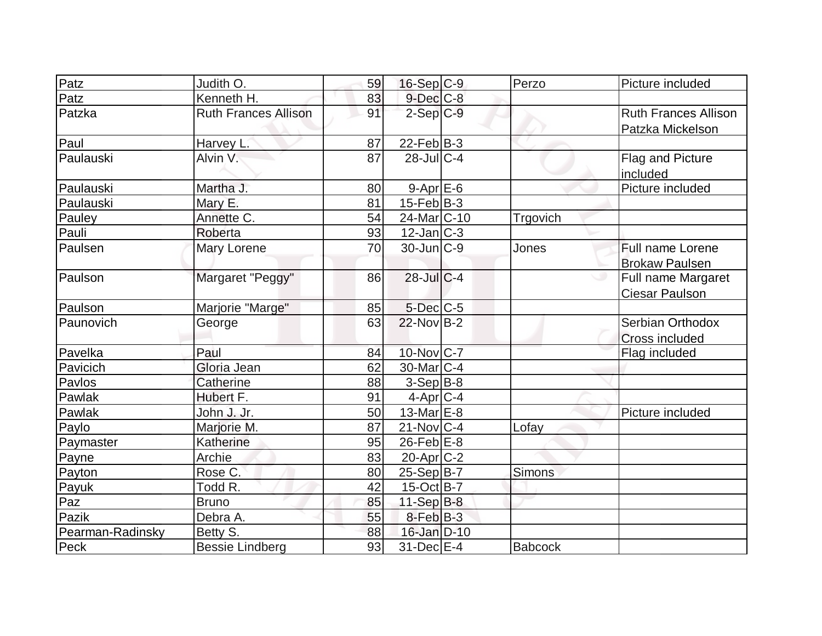| Patz             | Judith O.                   | 59 | $16-Sep C-9$             | Perzo          | Picture included            |
|------------------|-----------------------------|----|--------------------------|----------------|-----------------------------|
| Patz             | Kenneth H.                  | 83 | $9$ -Dec $C$ -8          |                |                             |
| Patzka           | <b>Ruth Frances Allison</b> | 91 | $2-Sep C-9$              |                | <b>Ruth Frances Allison</b> |
|                  |                             |    |                          |                | Patzka Mickelson            |
| Paul             | Harvey L.                   | 87 | $22$ -Feb $B-3$          |                |                             |
| Paulauski        | Alvin V.                    | 87 | $28$ -Jul C-4            |                | Flag and Picture            |
|                  |                             |    |                          |                | included                    |
| Paulauski        | Martha J.                   | 80 | $9 - Apr$ $E-6$          |                | Picture included            |
| Paulauski        | Mary E.                     | 81 | $15$ -Feb $ B-3 $        |                |                             |
| Pauley           | Annette C.                  | 54 | 24-Mar <sub>IC</sub> -10 | Trgovich       |                             |
| Pauli            | Roberta                     | 93 | $12$ -Jan $ C-3 $        |                |                             |
| Paulsen          | Mary Lorene                 | 70 | $30 - Jun$ $C-9$         | Jones          | Full name Lorene            |
|                  |                             |    |                          |                | <b>Brokaw Paulsen</b>       |
| Paulson          | Margaret "Peggy"            | 86 | $28$ -Jul C-4            |                | Full name Margaret          |
|                  |                             |    |                          |                | <b>Ciesar Paulson</b>       |
| Paulson          | Marjorie "Marge"            | 85 | $5$ -Dec $C$ -5          |                |                             |
| Paunovich        | George                      | 63 | $22$ -Nov B-2            |                | Serbian Orthodox            |
|                  |                             |    |                          |                | Cross included              |
| Pavelka          | Paul                        | 84 | $10$ -Nov $C$ -7         |                | Flag included               |
| Pavicich         | Gloria Jean                 | 62 | $30$ -Mar $ C-4 $        |                |                             |
| Pavlos           | Catherine                   | 88 | $3-Sep B-8$              |                |                             |
| Pawlak           | Hubert F.                   | 91 | $4$ -Apr $C$ -4          |                |                             |
| Pawlak           | John J. Jr.                 | 50 | 13-Mar $E-8$             |                | Picture included            |
| Paylo            | Marjorie M.                 | 87 | $21$ -Nov $ C-4 $        | Lofay          |                             |
| Paymaster        | Katherine                   | 95 | $26$ -Feb $E$ -8         |                |                             |
| Payne            | Archie                      | 83 | $20$ -Apr $C-2$          |                |                             |
| Payton           | Rose C.                     | 80 | $25-Sep B-7$             | Simons         |                             |
| Payuk            | Todd R.                     | 42 | $15$ -Oct B-7            |                |                             |
| Paz              | <b>Bruno</b>                | 85 | $11-Sep$ B-8             |                |                             |
| Pazik            | Debra A.                    | 55 | $8$ -Feb $ B-3 $         |                |                             |
| Pearman-Radinsky | Betty S.                    | 88 | 16-Jan D-10              |                |                             |
| Peck             | <b>Bessie Lindberg</b>      | 93 | 31-Dec E-4               | <b>Babcock</b> |                             |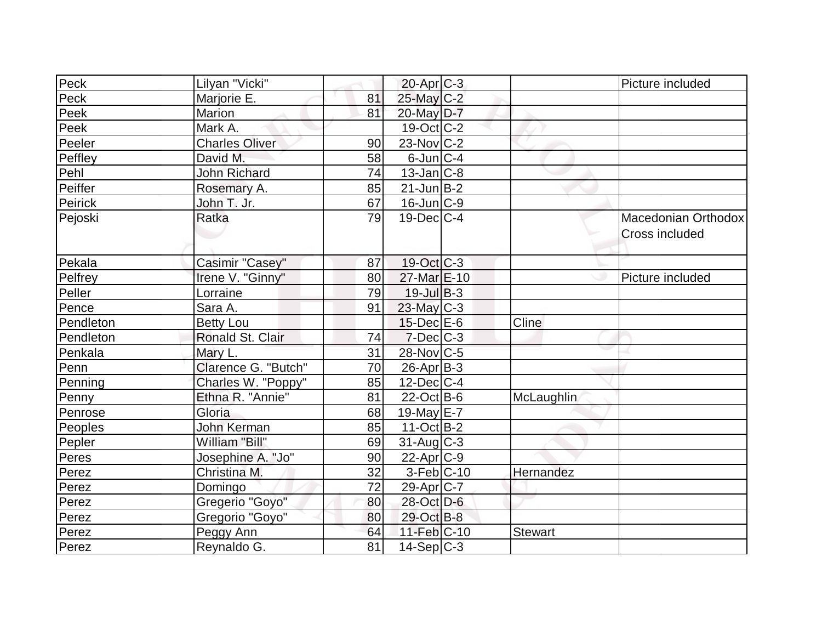| Peck      | Lilyan "Vicki"        |    | $20$ -Apr $C-3$          |                | Picture included                      |
|-----------|-----------------------|----|--------------------------|----------------|---------------------------------------|
| Peck      | Marjorie E.           | 81 | $25$ -May C-2            |                |                                       |
| Peek      | Marion                | 81 | 20-May D-7               |                |                                       |
| Peek      | Mark A.               |    | $19-Oct$ <sub>C</sub> -2 |                |                                       |
| Peeler    | <b>Charles Oliver</b> | 90 | $23$ -Nov $ C-2 $        |                |                                       |
| Peffley   | David M.              | 58 | $6$ -Jun $ C-4 $         |                |                                       |
| Pehl      | <b>John Richard</b>   | 74 | $13$ -Jan $ C-8 $        |                |                                       |
| Peiffer   | Rosemary A.           | 85 | $21$ -Jun $B-2$          |                |                                       |
| Peirick   | John T. Jr.           | 67 | $16$ -Jun $C-9$          |                |                                       |
| Pejoski   | Ratka                 | 79 | $19$ -Dec $C-4$          |                | Macedonian Orthodox<br>Cross included |
| Pekala    | Casimir "Casey"       | 87 | $19-Oct$ $C-3$           |                |                                       |
| Pelfrey   | Irene V. "Ginny"      | 80 | 27-Mar E-10              |                | Picture included                      |
| Peller    | Lorraine              | 79 | $19$ -Jul $B-3$          |                |                                       |
| Pence     | Sara A.               | 91 | 23-May C-3               |                |                                       |
| Pendleton | <b>Betty Lou</b>      |    | $15$ -Dec $E$ -6         | Cline          |                                       |
| Pendleton | Ronald St. Clair      | 74 | $7$ -Dec $C$ -3          |                |                                       |
| Penkala   | Mary L.               | 31 | 28-Nov C-5               |                |                                       |
| Penn      | Clarence G. "Butch"   | 70 | $26$ -Apr $ B-3 $        |                |                                       |
| Penning   | Charles W. "Poppy"    | 85 | $12$ -Dec $ C-4 $        |                |                                       |
| Penny     | Ethna R. "Annie"      | 81 | $22$ -Oct B-6            | McLaughlin     |                                       |
| Penrose   | Gloria                | 68 | 19-May E-7               |                |                                       |
| Peoples   | John Kerman           | 85 | $11-Oct$ B-2             |                |                                       |
| Pepler    | William "Bill"        | 69 | $31$ -Aug C-3            |                |                                       |
| Peres     | Josephine A. "Jo"     | 90 | $22$ -Apr $C-9$          |                |                                       |
| Perez     | Christina M.          | 32 | $3-Feb$ C-10             | Hernandez      |                                       |
| Perez     | Domingo               | 72 | 29-Apr <sub>IC-7</sub>   |                |                                       |
| Perez     | Gregerio "Goyo"       | 80 | 28-Oct D-6               |                |                                       |
| Perez     | Gregorio "Goyo"       | 80 | 29-Oct B-8               |                |                                       |
| Perez     | Peggy Ann             | 64 | 11-Feb C-10              | <b>Stewart</b> |                                       |
| Perez     | Reynaldo G.           | 81 | $14-Sep C-3$             |                |                                       |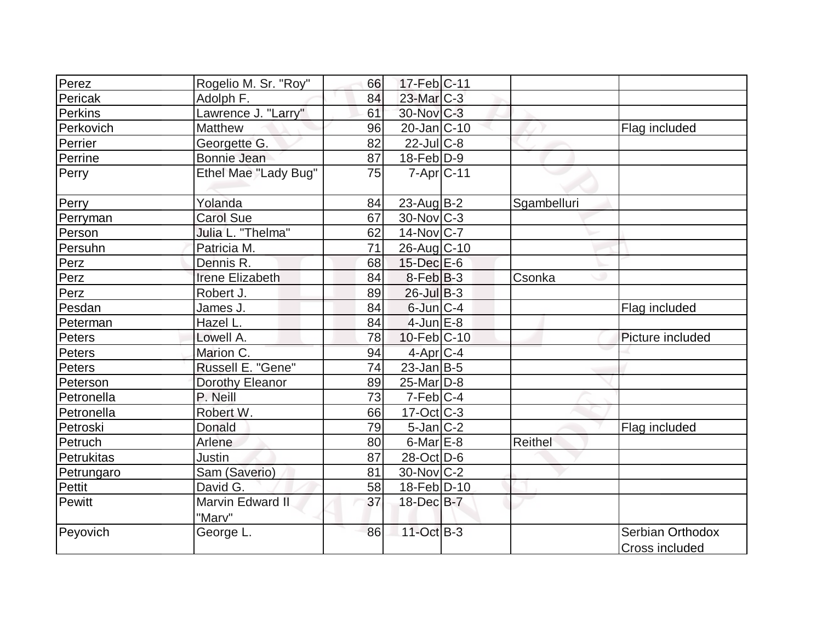| Perez      | Rogelio M. Sr. "Roy"       | 66 | $17$ -Feb $ C-11$     |             |                                    |
|------------|----------------------------|----|-----------------------|-------------|------------------------------------|
| Pericak    | Adolph F.                  | 84 | $23$ -Mar $C-3$       |             |                                    |
| Perkins    | Lawrence J. "Larry"        | 61 | $30$ -Nov $ C-3 $     |             |                                    |
| Perkovich  | <b>Matthew</b>             | 96 | $20$ -Jan $ C-10$     |             | Flag included                      |
| Perrier    | Georgette G.               | 82 | $22$ -JulC-8          |             |                                    |
| Perrine    | Bonnie Jean                | 87 | $18$ -Feb $D-9$       |             |                                    |
| Perry      | Ethel Mae "Lady Bug"       | 75 | $7 - Apr$ $C - 11$    |             |                                    |
| Perry      | Yolanda                    | 84 | 23-Aug B-2            | Sgambelluri |                                    |
| Perryman   | <b>Carol Sue</b>           | 67 | $30$ -Nov $ C-3 $     |             |                                    |
| Person     | Julia L. "Thelma"          | 62 | $14$ -Nov $ C-7 $     |             |                                    |
| Persuhn    | Patricia M.                | 71 | 26-Aug C-10           |             |                                    |
| Perz       | Dennis R.                  | 68 | 15-Dec E-6            |             |                                    |
| Perz       | <b>Irene Elizabeth</b>     | 84 | $8-Feb B-3$           | Csonka      |                                    |
| Perz       | Robert J.                  | 89 | $26$ -Jul $B-3$       |             |                                    |
| Pesdan     | James J.                   | 84 | $6$ -Jun $ C-4 $      |             | Flag included                      |
| Peterman   | Hazel L.                   | 84 | $4$ -Jun $E-8$        |             |                                    |
| Peters     | Lowell A.                  | 78 | $10$ -Feb $ C-10$     |             | Picture included                   |
| Peters     | Marion C.                  | 94 | $4$ -Apr $C$ -4       |             |                                    |
| Peters     | Russell E. "Gene"          | 74 | $23$ -Jan B-5         |             |                                    |
| Peterson   | Dorothy Eleanor            | 89 | 25-Mar <sub>D-8</sub> |             |                                    |
| Petronella | P. Neill                   | 73 | $7-Feb C-4$           |             |                                    |
| Petronella | Robert W.                  | 66 | $17-Oct$ $C-3$        |             |                                    |
| Petroski   | Donald                     | 79 | $5$ -Jan $ C-2 $      |             | Flag included                      |
| Petruch    | Arlene                     | 80 | $6$ -Mar $E-8$        | Reithel     |                                    |
| Petrukitas | Justin                     | 87 | 28-Oct D-6            |             |                                    |
| Petrungaro | Sam (Saverio)              | 81 | $30$ -Nov $ C-2 $     |             |                                    |
| Pettit     | David G.                   | 58 | 18-Feb D-10           |             |                                    |
| Pewitt     | Marvin Edward II<br>"Marv" | 37 | 18-Dec B-7            |             |                                    |
| Peyovich   | George L.                  | 86 | $11-Oct$ B-3          |             | Serbian Orthodox<br>Cross included |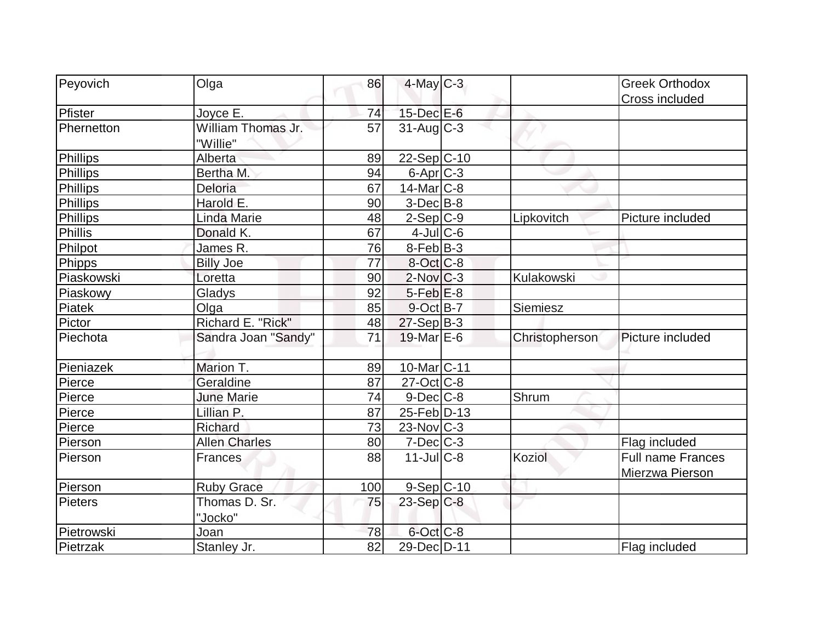| Peyovich       | Olga                           | 86              | $4$ -May C-3             |                | <b>Greek Orthodox</b>                       |
|----------------|--------------------------------|-----------------|--------------------------|----------------|---------------------------------------------|
|                |                                |                 |                          |                | Cross included                              |
| Pfister        | Joyce E.                       | 74              | $15$ -Dec $E$ -6         |                |                                             |
| Phernetton     | William Thomas Jr.<br>"Willie" | 57              | $31$ -Aug $C-3$          |                |                                             |
| Phillips       | Alberta                        | 89              | $22-Sep C-10$            |                |                                             |
| Phillips       | Bertha M.                      | 94              | $6$ -Apr $C$ -3          |                |                                             |
| Phillips       | Deloria                        | 67              | $14$ -Mar $ C-8 $        |                |                                             |
| Phillips       | Harold E.                      | 90              | $3-Dec B-8$              |                |                                             |
| Phillips       | <b>Linda Marie</b>             | 48              | $2-Sep C-9$              | Lipkovitch     | Picture included                            |
| <b>Phillis</b> | Donald K.                      | 67              | $4$ -JulC-6              |                |                                             |
| Philpot        | James R.                       | 76              | $8-Feb$ B-3              |                |                                             |
| Phipps         | <b>Billy Joe</b>               | 77              | $8-Oct$ <sub>C-8</sub>   |                |                                             |
| Piaskowski     | Loretta                        | 90              | $2$ -Nov $ C-3 $         | Kulakowski     |                                             |
| Piaskowy       | Gladys                         | 92              | $5$ -Feb $E$ -8          |                |                                             |
| Piatek         | Olga                           | 85              | 9-Oct B-7                | Siemiesz       |                                             |
| Pictor         | Richard E. "Rick"              | 48              | $27-Sep B-3$             |                |                                             |
| Piechota       | Sandra Joan "Sandy"            | 71              | $19$ -Mar $E$ -6         | Christopherson | Picture included                            |
| Pieniazek      | Marion T.                      | 89              | 10-Mar <sub>IC</sub> -11 |                |                                             |
| Pierce         | Geraldine                      | 87              | $27$ -Oct C-8            |                |                                             |
| Pierce         | <b>June Marie</b>              | 74              | $9$ -Dec $C$ -8          | Shrum          |                                             |
| Pierce         | Lillian P.                     | 87              | 25-Feb D-13              |                |                                             |
| Pierce         | Richard                        | 73              | $23$ -Nov $ C-3 $        |                |                                             |
| Pierson        | <b>Allen Charles</b>           | 80              | $7$ -Dec $C$ -3          |                | Flag included                               |
| Pierson        | <b>Frances</b>                 | 88              | $11$ -Jul $C-8$          | Koziol         | <b>Full name Frances</b><br>Mierzwa Pierson |
| Pierson        | <b>Ruby Grace</b>              | 100             | $9-Sep C-10$             |                |                                             |
| Pieters        | Thomas D. Sr.<br>"Jocko"       | 75              | $23-Sep$ C-8             |                |                                             |
| Pietrowski     | Joan                           | 78              | 6-Oct C-8                |                |                                             |
| Pietrzak       | Stanley Jr.                    | $\overline{82}$ | 29-Dec D-11              |                | Flag included                               |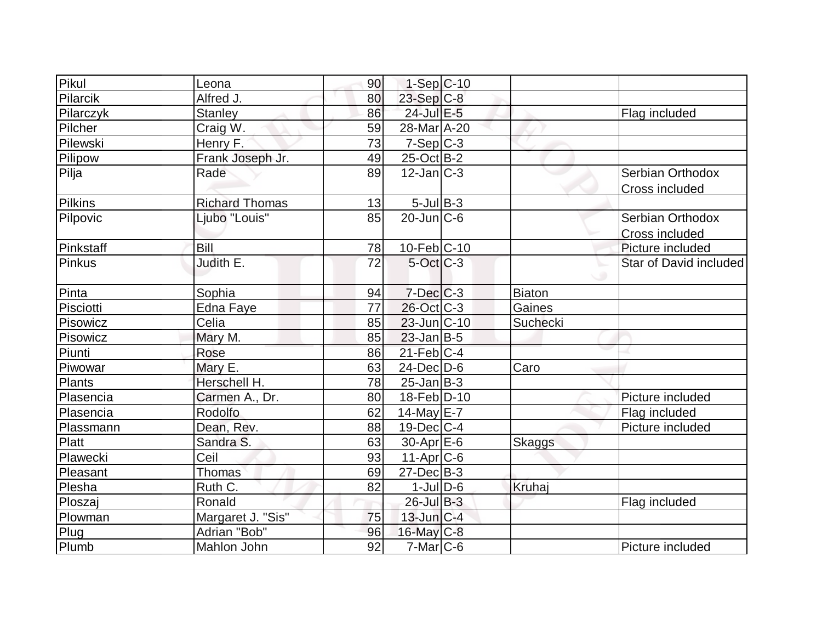| Pikul     | Leona                 | 90 | $1-Sep C-10$      |               |                        |
|-----------|-----------------------|----|-------------------|---------------|------------------------|
| Pilarcik  | Alfred J.             | 80 | $23$ -Sep C-8     |               |                        |
| Pilarczyk | <b>Stanley</b>        | 86 | 24-Jul E-5        |               | Flag included          |
| Pilcher   | Craig W.              | 59 | 28-Mar A-20       |               |                        |
| Pilewski  | Henry F.              | 73 | $7-Sep C-3$       |               |                        |
| Pilipow   | Frank Joseph Jr.      | 49 | 25-Oct B-2        |               |                        |
| Pilja     | Rade                  | 89 | $12$ -Jan $ C-3 $ |               | Serbian Orthodox       |
|           |                       |    |                   |               | Cross included         |
| Pilkins   | <b>Richard Thomas</b> | 13 | $5$ -Jul B-3      |               |                        |
| Pilpovic  | Ljubo "Louis"         | 85 | $20$ -Jun $ C$ -6 |               | Serbian Orthodox       |
|           |                       |    |                   |               | Cross included         |
| Pinkstaff | <b>Bill</b>           | 78 | $10$ -Feb $ C-10$ |               | Picture included       |
| Pinkus    | Judith E.             | 72 | $5$ -Oct $C$ -3   |               | Star of David included |
|           |                       |    |                   |               |                        |
| Pinta     | Sophia                | 94 | $7 - Dec$ $C - 3$ | Biaton        |                        |
| Pisciotti | Edna Faye             | 77 | 26-Oct C-3        | Gaines        |                        |
| Pisowicz  | Celia                 | 85 | $23$ -Jun $ C-10$ | Suchecki      |                        |
| Pisowicz  | Mary M.               | 85 | $23$ -Jan B-5     |               |                        |
| Piunti    | Rose                  | 86 | $21$ -Feb $ C-4 $ |               |                        |
| Piwowar   | Mary E.               | 63 | $24$ -Dec $D-6$   | Caro          |                        |
| Plants    | Herschell H.          | 78 | $25$ -Jan $ B-3 $ |               |                        |
| Plasencia | Carmen A., Dr.        | 80 | 18-Feb D-10       |               | Picture included       |
| Plasencia | Rodolfo               | 62 | 14-May $E-7$      |               | Flag included          |
| Plassmann | Dean, Rev.            | 88 | $19$ -Dec $ C-4 $ |               | Picture included       |
| Platt     | Sandra S.             | 63 | $30-Apr$ $E-6$    | <b>Skaggs</b> |                        |
| Plawecki  | Ceil                  | 93 | $11-Apr$ C-6      |               |                        |
| Pleasant  | Thomas                | 69 | $27 - Dec$ B-3    |               |                        |
| Plesha    | Ruth C.               | 82 | $1$ -Jul $D$ -6   | Kruhaj        |                        |
| Ploszaj   | Ronald                |    | $26$ -Jul B-3     |               | Flag included          |
| Plowman   | Margaret J. "Sis"     | 75 | $13$ -Jun $ C-4 $ |               |                        |
| Plug      | Adrian "Bob"          | 96 | $16$ -May $C-8$   |               |                        |
| Plumb     | Mahlon John           | 92 | $7$ -Mar $ C$ -6  |               | Picture included       |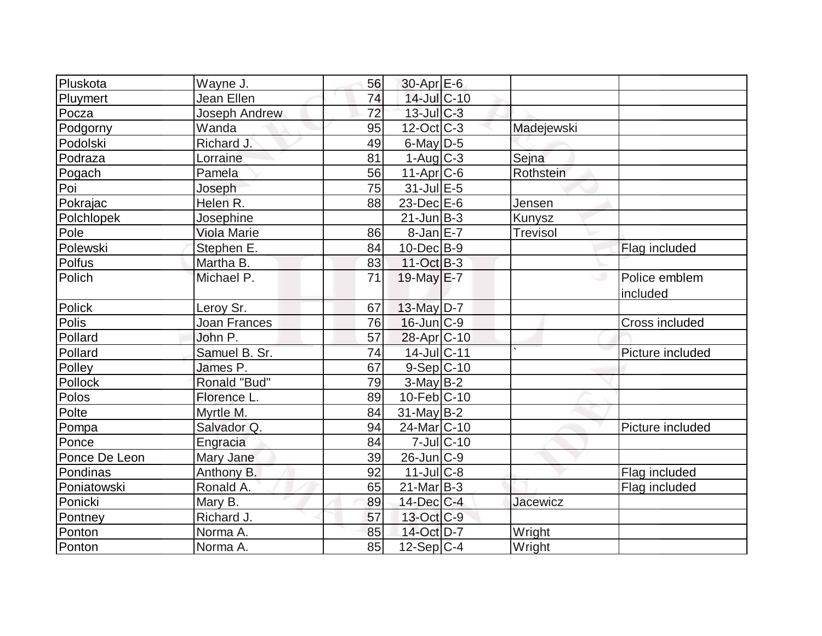| Pluskota      | Wayne J.            | 56 | $30$ -Apr $E$ -6         |                  |                 |                           |
|---------------|---------------------|----|--------------------------|------------------|-----------------|---------------------------|
| Pluymert      | Jean Ellen          | 74 | 14-Jul C-10              |                  |                 |                           |
| Pocza         | Joseph Andrew       | 72 | $13$ -Jul $C-3$          |                  |                 |                           |
| Podgorny      | Wanda               | 95 | $12$ -Oct $ C-3 $        |                  | Madejewski      |                           |
| Podolski      | Richard J.          | 49 | 6-May $D-5$              |                  |                 |                           |
| Podraza       | Lorraine            | 81 | $1-Aug C-3$              |                  | Sejna           |                           |
| Pogach        | Pamela              | 56 | $11-Apr$ $C-6$           |                  | Rothstein       |                           |
| Poi           | Joseph              | 75 | $31$ -Jul $E-5$          |                  |                 |                           |
| Pokrajac      | Helen R.            | 88 | $23$ -Dec $E-6$          |                  | Jensen          |                           |
| Polchlopek    | Josephine           |    | $21$ -Jun $B-3$          |                  | Kunysz          |                           |
| Pole          | <b>Viola Marie</b>  | 86 | $8$ -Jan $E$ -7          |                  | <b>Trevisol</b> |                           |
| Polewski      | Stephen E.          | 84 | $10$ -Dec $B - 9$        |                  |                 | Flag included             |
| Polfus        | Martha B.           | 83 | $11-Oct$ B-3             |                  |                 |                           |
| Polich        | Michael P.          | 71 | $19$ -May $E$ -7         |                  |                 | Police emblem<br>included |
| Polick        | Leroy Sr.           | 67 | 13-May D-7               |                  |                 |                           |
| Polis         | <b>Joan Frances</b> | 76 | $16$ -Jun $ C-9 $        |                  |                 | <b>Cross included</b>     |
| Pollard       | John P.             | 57 | 28-Apr <sub>C-10</sub>   |                  |                 |                           |
| Pollard       | Samuel B. Sr.       | 74 | 14-Jul C-11              |                  |                 | Picture included          |
| Polley        | James P.            | 67 | $9-Sep C-10$             |                  |                 |                           |
| Pollock       | Ronald "Bud"        | 79 | $3-May B-2$              |                  |                 |                           |
| Polos         | Florence L.         | 89 | $10$ -Feb $ C-10$        |                  |                 |                           |
| Polte         | Myrtle M.           | 84 | $31$ -May B-2            |                  |                 |                           |
| Pompa         | Salvador Q.         | 94 | 24-Mar <sub>IC</sub> -10 |                  |                 | Picture included          |
| Ponce         | Engracia            | 84 |                          | $7$ -Jul $ C-10$ |                 |                           |
| Ponce De Leon | Mary Jane           | 39 | 26-Jun C-9               |                  |                 |                           |
| Pondinas      | Anthony B.          | 92 | $11$ -Jul $C-8$          |                  |                 | Flag included             |
| Poniatowski   | Ronald A.           | 65 | $21$ -Mar $B-3$          |                  |                 | Flag included             |
| Ponicki       | Mary B.             | 89 | $14$ -Dec $C-4$          |                  | <b>Jacewicz</b> |                           |
| Pontney       | Richard J.          | 57 | 13-Oct C-9               |                  |                 |                           |
| Ponton        | Norma A.            | 85 | 14-Oct D-7               |                  | Wright          |                           |
| Ponton        | Norma A.            | 85 | $12-Sep C-4$             |                  | Wright          |                           |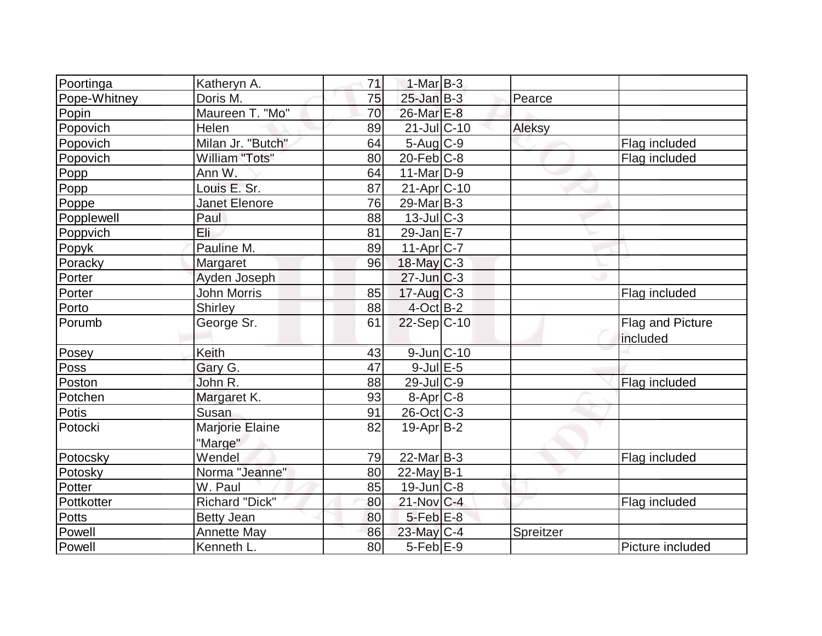| Poortinga    | Katheryn A.                | 71 | $1-Mar$ B-3       |           |                              |
|--------------|----------------------------|----|-------------------|-----------|------------------------------|
| Pope-Whitney | Doris M.                   | 75 | $25$ -Jan $B-3$   | Pearce    |                              |
| Popin        | Maureen T. "Mo"            | 70 | 26-Mar E-8        |           |                              |
| Popovich     | Helen                      | 89 | $21$ -JulC-10     | Aleksy    |                              |
| Popovich     | Milan Jr. "Butch"          | 64 | $5$ -Aug $C$ -9   |           | Flag included                |
| Popovich     | William "Tots"             | 80 | $20$ -Feb $ C-8$  |           | Flag included                |
| Popp         | Ann W.                     | 64 | $11$ -Mar $D-9$   |           |                              |
| Popp         | Louis E. Sr.               | 87 | 21-Apr C-10       |           |                              |
| Poppe        | <b>Janet Elenore</b>       | 76 | $29$ -Mar $B-3$   |           |                              |
| Popplewell   | Paul                       | 88 | $13$ -JulC-3      |           |                              |
| Poppvich     | Eli                        | 81 | $29$ -Jan $E-7$   |           |                              |
| Popyk        | Pauline M.                 | 89 | $11-Apr$ $C-7$    |           |                              |
| Poracky      | Margaret                   | 96 | $18$ -May C-3     |           |                              |
| Porter       | Ayden Joseph               |    | $27$ -Jun $C-3$   |           |                              |
| Porter       | <b>John Morris</b>         | 85 | $17$ -Aug C-3     |           | Flag included                |
| Porto        | <b>Shirley</b>             | 88 | $4$ -Oct B-2      |           |                              |
| Porumb       | George Sr.                 | 61 | $22-Sep C-10$     |           | Flag and Picture<br>included |
| Posey        | Keith                      | 43 | 9-Jun C-10        |           |                              |
| Poss         | Gary G.                    | 47 | $9$ -Jul $E$ -5   |           |                              |
|              |                            |    |                   |           |                              |
| Poston       | John R.                    | 88 | $29$ -Jul $C$ -9  |           |                              |
| Potchen      | Margaret K.                | 93 | $8 - Apr$ $C-8$   |           | Flag included                |
| Potis        | Susan                      | 91 | $26$ -Oct $C$ -3  |           |                              |
| Potocki      | Marjorie Elaine<br>"Marge" | 82 | $19-Apr B-2$      |           |                              |
| Potocsky     | Wendel                     | 79 | $22$ -Mar $ B-3 $ |           | Flag included                |
| Potosky      | Norma "Jeanne"             | 80 | 22-May $B-1$      |           |                              |
| Potter       | W. Paul                    | 85 | $19$ -Jun $ C-8$  |           |                              |
| Pottkotter   | Richard "Dick"             | 80 | 21-Nov C-4        |           | Flag included                |
| Potts        | <b>Betty Jean</b>          | 80 | $5$ -Feb $E$ -8   |           |                              |
| Powell       | <b>Annette May</b>         | 86 | 23-May C-4        | Spreitzer |                              |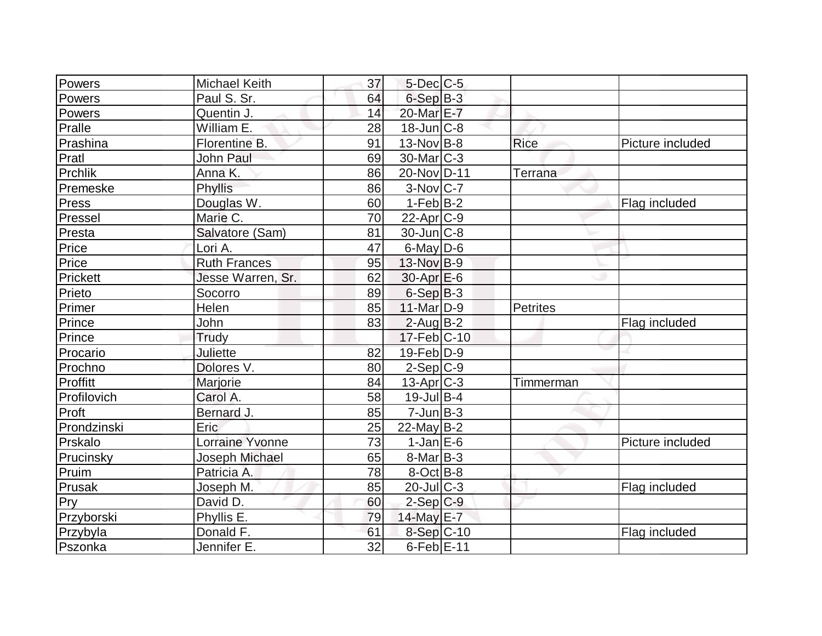| Powers      | <b>Michael Keith</b>   | 37              | $5$ -Dec $C$ -5   |                |                  |
|-------------|------------------------|-----------------|-------------------|----------------|------------------|
| Powers      | Paul S. Sr.            | 64              | $6-SepB-3$        |                |                  |
| Powers      | Quentin J.             | 14              | 20-Mar E-7        |                |                  |
| Pralle      | William E.             | 28              | $18$ -Jun $ C-8$  |                |                  |
| Prashina    | Florentine B.          | 91              | $13-Nov$ B-8      | <b>Rice</b>    | Picture included |
| Pratl       | <b>John Paul</b>       | 69              | $30$ -Mar $ C-3 $ |                |                  |
| Prchlik     | Anna K.                | 86              | 20-Nov D-11       | <b>Terrana</b> |                  |
| Premeske    | Phyllis                | 86              | $3-Nov C-7$       |                |                  |
| Press       | Douglas W.             | 60              | $1-Feb B-2$       |                | Flag included    |
| Pressel     | Marie C.               | 70              | $22$ -Apr $ C-9 $ |                |                  |
| Presta      | Salvatore (Sam)        | 81              | $30$ -Jun $ C-8$  |                |                  |
| Price       | Lori A.                | 47              | $6$ -May $D$ -6   |                |                  |
| Price       | <b>Ruth Frances</b>    | 95              | 13-Nov B-9        |                |                  |
| Prickett    | Jesse Warren, Sr.      | 62              | $30-Apr$ $E-6$    |                |                  |
| Prieto      | Socorro                | 89              | $6-Sep B-3$       |                |                  |
| Primer      | Helen                  | 85              | 11-Mar D-9        | Petrites       |                  |
| Prince      | John                   | 83              | $2$ -Aug B-2      |                | Flag included    |
| Prince      | Trudy                  |                 | $17$ -Feb $ C-10$ |                |                  |
| Procario    | Juliette               | 82              | $19$ -Feb $ D-9$  |                |                  |
| Prochno     | Dolores V.             | 80              | $2-Sep C-9$       |                |                  |
| Proffitt    | Marjorie               | 84              | $13$ -Apr $ C-3 $ | Timmerman      |                  |
| Profilovich | Carol A.               | 58              | $19$ -Jul B-4     |                |                  |
| Proft       | Bernard J.             | 85              | $7$ -Jun $B-3$    |                |                  |
| Prondzinski | <b>Eric</b>            | 25              | $22$ -May B-2     |                |                  |
| Prskalo     | <b>Lorraine Yvonne</b> | 73              | $1$ -Jan $E$ -6   |                | Picture included |
| Prucinsky   | Joseph Michael         | 65              | $8$ -Mar $ B-3 $  |                |                  |
| Pruim       | Patricia A.            | 78              | $8$ -Oct B-8      |                |                  |
| Prusak      | Joseph M.              | 85              | $20$ -Jul $C-3$   |                | Flag included    |
| Pry         | David D.               | 60              | $2-Sep C-9$       |                |                  |
| Przyborski  | Phyllis E.             | 79              | 14-May E-7        |                |                  |
| Przybyla    | Donald F.              | 61              | 8-Sep C-10        |                | Flag included    |
| Pszonka     | Jennifer E.            | $\overline{32}$ | $6$ -Feb $E-11$   |                |                  |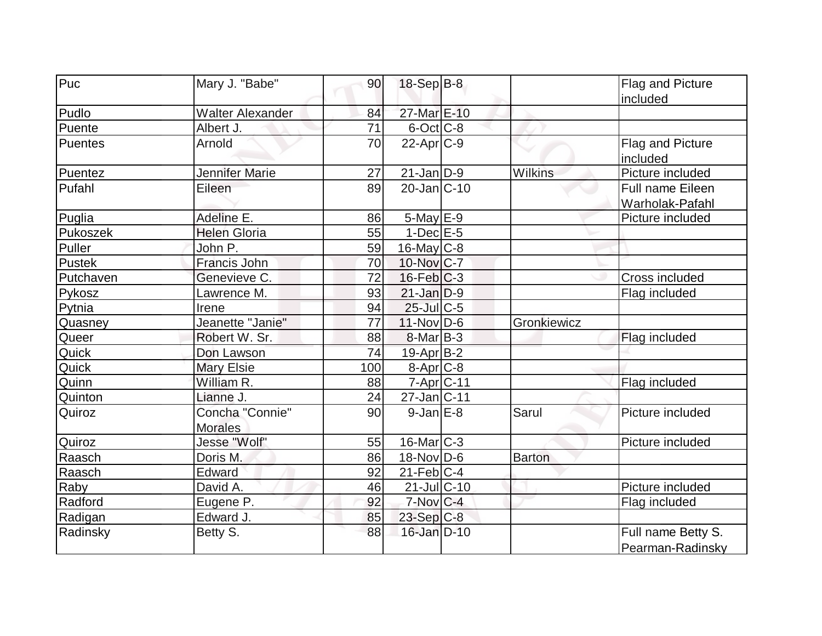| Puc       | Mary J. "Babe"          | 90  | 18-Sep B-8             |                | Flag and Picture        |
|-----------|-------------------------|-----|------------------------|----------------|-------------------------|
|           |                         |     |                        |                | included                |
| Pudlo     | <b>Walter Alexander</b> | 84  | 27-Mar E-10            |                |                         |
| Puente    | Albert J.               | 71  | $6$ -Oct $C$ -8        |                |                         |
| Puentes   | Arnold                  | 70  | $22$ -Apr $C-9$        |                | Flag and Picture        |
|           |                         |     |                        |                | included                |
| Puentez   | Jennifer Marie          | 27  | 21-Jan D-9             | <b>Wilkins</b> | Picture included        |
| Pufahl    | Eileen                  | 89  | 20-Jan C-10            |                | <b>Full name Eileen</b> |
|           |                         |     |                        |                | Warholak-Pafahl         |
| Puglia    | Adeline E.              | 86  | $5$ -May $E-9$         |                | Picture included        |
| Pukoszek  | <b>Helen Gloria</b>     | 55  | $1-Dec$ $E-5$          |                |                         |
| Puller    | John P.                 | 59  | $16$ -May C-8          |                |                         |
| Pustek    | Francis John            | 70  | 10-Nov C-7             |                |                         |
| Putchaven | Genevieve C.            | 72  | $16$ -Feb $ C-3$       |                | Cross included          |
| Pykosz    | Lawrence M.             | 93  | $21$ -Jan $ D-9 $      |                | Flag included           |
| Pytnia    | Irene                   | 94  | $25$ -Jul C-5          |                |                         |
| Quasney   | Jeanette "Janie"        | 77  | $11-Nov D-6$           | Gronkiewicz    |                         |
| Queer     | Robert W. Sr.           | 88  | $8$ -Mar $ B-3 $       |                | Flag included           |
| Quick     | Don Lawson              | 74  | 19-Apr B-2             |                |                         |
| Quick     | <b>Mary Elsie</b>       | 100 | $8-Apr$ C-8            |                |                         |
| Quinn     | William R.              | 88  | 7-Apr C-11             |                | Flag included           |
| Quinton   | Lianne J.               | 24  | 27-Jan C-11            |                |                         |
| Quiroz    | Concha "Connie"         | 90  | $9$ -Jan $E-8$         | Sarul          | Picture included        |
|           | <b>Morales</b>          |     |                        |                |                         |
| Quiroz    | Jesse "Wolf"            | 55  | $16$ -Mar $ C-3 $      |                | Picture included        |
| Raasch    | Doris M.                | 86  | $18-Nov D-6$           | <b>Barton</b>  |                         |
| Raasch    | Edward                  | 92  | $21$ -Feb $ C-4 $      |                |                         |
| Raby      | David A.                | 46  | $21$ -Jul $ C-10$      |                | Picture included        |
| Radford   | Eugene P.               | 92  | $7-Nov$ <sub>C-4</sub> |                | Flag included           |
| Radigan   | Edward J.               | 85  | $23$ -Sep C-8          |                |                         |
| Radinsky  | Betty S.                | 88  | 16-Jan D-10            |                | Full name Betty S.      |
|           |                         |     |                        |                | Pearman-Radinsky        |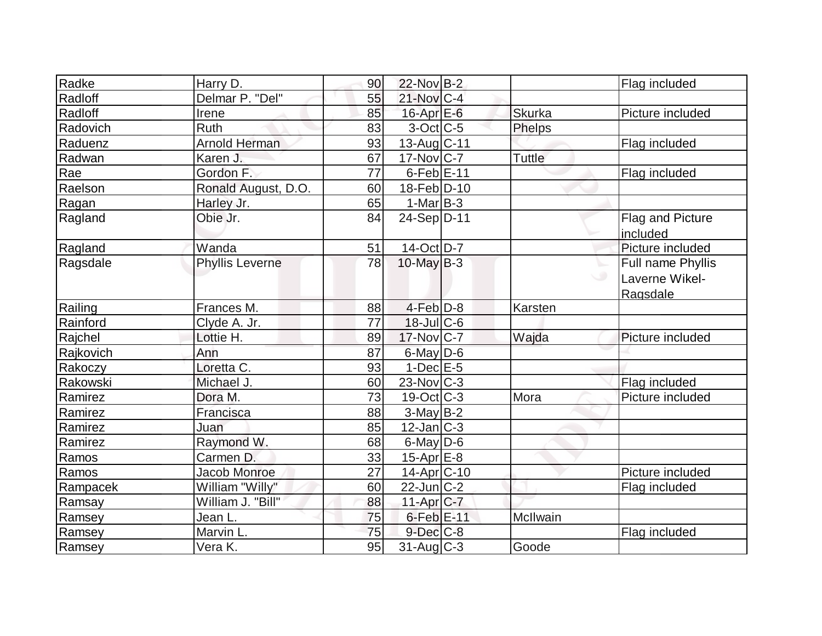| Radke     | Harry D.               | 90 | 22-Nov B-2               |               | Flag included     |
|-----------|------------------------|----|--------------------------|---------------|-------------------|
| Radloff   | Delmar P. "Del"        | 55 | $21$ -Nov $ C-4$         |               |                   |
| Radloff   | Irene                  | 85 | $16$ -Apr $E$ -6         | <b>Skurka</b> | Picture included  |
| Radovich  | Ruth                   | 83 | $3$ -Oct C-5             | <b>Phelps</b> |                   |
| Raduenz   | <b>Arnold Herman</b>   | 93 | 13-Aug C-11              |               | Flag included     |
| Radwan    | Karen J.               | 67 | $17-Nov$ C-7             | Tuttle        |                   |
| Rae       | Gordon F.              | 77 | $6$ -Feb $E$ -11         |               | Flag included     |
| Raelson   | Ronald August, D.O.    | 60 | 18-Feb D-10              |               |                   |
| Ragan     | Harley Jr.             | 65 | $1-Mar B-3$              |               |                   |
| Ragland   | Obie Jr.               | 84 | 24-Sep D-11              |               | Flag and Picture  |
|           |                        |    |                          |               | included          |
| Ragland   | Wanda                  | 51 | 14-Oct D-7               |               | Picture included  |
| Ragsdale  | <b>Phyllis Leverne</b> | 78 | 10-May $B-3$             |               | Full name Phyllis |
|           |                        |    |                          |               | Laverne Wikel-    |
|           |                        |    |                          |               | Ragsdale          |
| Railing   | Frances M.             | 88 | $4-Feb D-8$              | Karsten       |                   |
| Rainford  | Clyde A. Jr.           | 77 | $18$ -Jul $C$ -6         |               |                   |
| Rajchel   | Lottie H.              | 89 | $17$ -Nov $ C-7 $        | Wajda         | Picture included  |
| Rajkovich | Ann                    | 87 | 6-May D-6                |               |                   |
| Rakoczy   | Loretta C.             | 93 | $1-Dec$ $E-5$            |               |                   |
| Rakowski  | Michael J.             | 60 | $23$ -Nov $ C-3 $        |               | Flag included     |
| Ramirez   | Dora M.                | 73 | 19-Oct C-3               | Mora          | Picture included  |
| Ramirez   | Francisca              | 88 | $3-May B-2$              |               |                   |
| Ramirez   | Juan                   | 85 | $12$ -Jan $ C-3 $        |               |                   |
| Ramirez   | Raymond W.             | 68 | $6$ -May $D$ -6          |               |                   |
| Ramos     | Carmen D.              | 33 | 15-Apr <sub>E-8</sub>    |               |                   |
| Ramos     | <b>Jacob Monroe</b>    | 27 | 14-Apr <sub>C-10</sub>   |               | Picture included  |
| Rampacek  | William "Willy"        | 60 | $22$ -Jun $C-2$          |               | Flag included     |
| Ramsay    | William J. "Bill"      | 88 | $11-Apr$ <sub>C-7</sub>  |               |                   |
| Ramsey    | Jean L.                | 75 | 6-Feb E-11               | McIlwain      |                   |
| Ramsey    | Marvin L.              | 75 | $9$ -Dec $C$ -8          |               | Flag included     |
| Ramsey    | Vera <sub>K.</sub>     | 95 | $\overline{31}$ -Aug C-3 | Goode         |                   |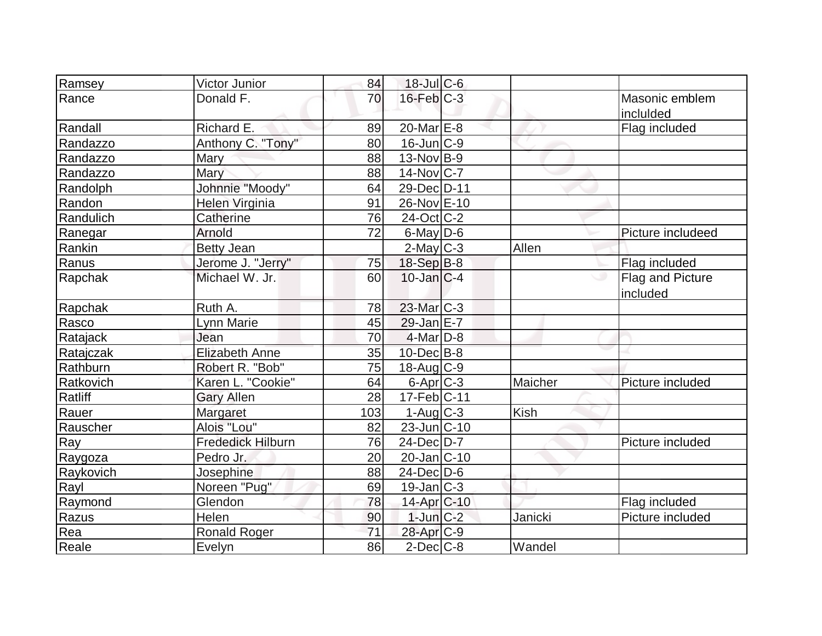| Ramsey    | Victor Junior            | 84              | $18$ -Jul C-6          |         |                   |
|-----------|--------------------------|-----------------|------------------------|---------|-------------------|
| Rance     | Donald F.                | 70              | $16$ -Feb $C-3$        |         | Masonic emblem    |
|           |                          |                 |                        |         | inclulded         |
| Randall   | Richard E.               | 89              | $20$ -Mar $E-8$        |         | Flag included     |
| Randazzo  | Anthony C. "Tony"        | 80              | $16$ -Jun $C-9$        |         |                   |
| Randazzo  | Mary                     | 88              | $13-Nov$ B-9           |         |                   |
| Randazzo  | Mary                     | 88              | 14-Nov C-7             |         |                   |
| Randolph  | Johnnie "Moody"          | 64              | 29-Dec D-11            |         |                   |
| Randon    | Helen Virginia           | 91              | 26-Nov E-10            |         |                   |
| Randulich | Catherine                | 76              | $24$ -Oct $ C-2 $      |         |                   |
| Ranegar   | Arnold                   | 72              | $6$ -May D-6           |         | Picture includeed |
| Rankin    | <b>Betty Jean</b>        |                 | $2$ -May C-3           | Allen   |                   |
| Ranus     | Jerome J. "Jerry"        | 75              | $18-Sep B-8$           |         | Flag included     |
| Rapchak   | Michael W. Jr.           | 60              | $10$ -Jan $ C-4 $      |         | Flag and Picture  |
|           |                          |                 |                        |         | included          |
| Rapchak   | Ruth A.                  | 78              | 23-Mar C-3             |         |                   |
| Rasco     | Lynn Marie               | 45              | $29$ -Jan $E-7$        |         |                   |
| Ratajack  | Jean                     | 70              | $4$ -Mar $D-8$         |         |                   |
| Ratajczak | <b>Elizabeth Anne</b>    | 35              | $10$ -Dec $B$ -8       |         |                   |
| Rathburn  | Robert R. "Bob"          | $\overline{75}$ | $18$ -Aug C-9          |         |                   |
| Ratkovich | Karen L. "Cookie"        | 64              | $6$ -Apr $C$ -3        | Maicher | Picture included  |
| Ratliff   | <b>Gary Allen</b>        | 28              | $17$ -Feb $ C-11$      |         |                   |
| Rauer     | Margaret                 | 103             | $1-Auq$ $C-3$          | Kish    |                   |
| Rauscher  | Alois "Lou"              | 82              | $23$ -Jun $ C-10$      |         |                   |
| Ray       | <b>Frededick Hilburn</b> | 76              | $24$ -Dec $D-7$        |         | Picture included  |
| Raygoza   | Pedro Jr.                | 20              | $20$ -Jan $ C-10$      |         |                   |
| Raykovich | Josephine                | 88              | 24-Dec D-6             |         |                   |
| Rayl      | Noreen "Pug"             | 69              | $19$ -Jan $ C-3 $      |         |                   |
| Raymond   | Glendon                  | 78              | 14-Apr <sub>C-10</sub> |         | Flag included     |
| Razus     | Helen                    | 90              | $1$ -Jun $C-2$         | Janicki | Picture included  |
| Rea       | <b>Ronald Roger</b>      | 71              | 28-Apr <sub>C-9</sub>  |         |                   |
| Reale     | Evelyn                   | 86              | $2$ -Dec $ C-8 $       | Wandel  |                   |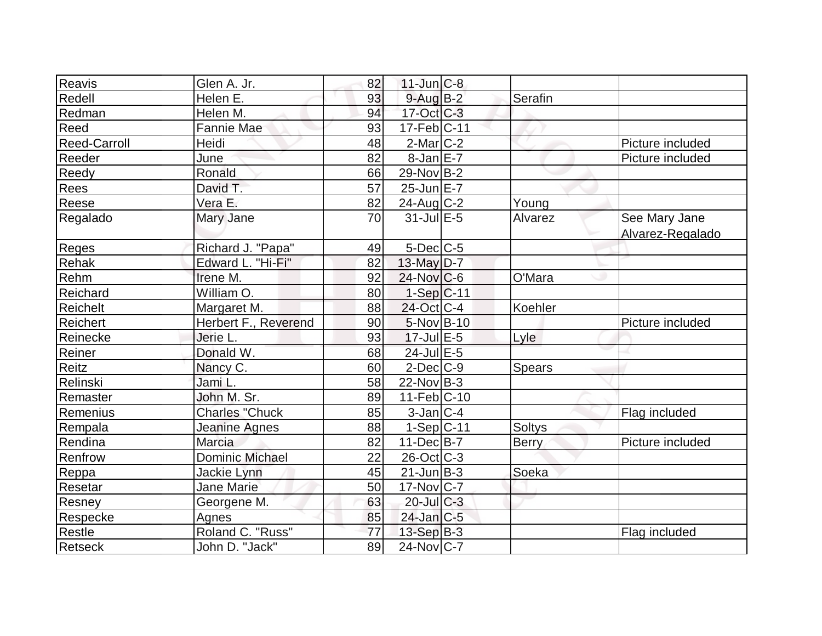| Reavis              | Glen A. Jr.                 | 82 | $11$ -Jun $C-8$            |               |                  |
|---------------------|-----------------------------|----|----------------------------|---------------|------------------|
| Redell              | Helen E.                    | 93 | $9$ -Aug B-2               | Serafin       |                  |
| Redman              | Helen M.                    | 94 | $17-Oct$ $C-3$             |               |                  |
| Reed                | Fannie Mae                  | 93 | $17 - Feb$ <sub>C-11</sub> |               |                  |
| <b>Reed-Carroll</b> | Heidi                       | 48 | $2$ -Mar $C-2$             |               | Picture included |
| Reeder              | June                        | 82 | $8$ -Jan $E-7$             |               | Picture included |
| Reedy               | Ronald                      | 66 | 29-Nov B-2                 |               |                  |
| Rees                | David T.                    | 57 | $25$ -Jun $E$ -7           |               |                  |
| Reese               | Vera E.                     | 82 | $24$ -Aug C-2              | Young         |                  |
| Regalado            | Mary Jane                   | 70 | $31$ -Jul $E-5$            | Alvarez       | See Mary Jane    |
|                     |                             |    |                            |               | Alvarez-Regalado |
| Reges               | Richard J. "Papa"           | 49 | $5$ -Dec $C$ -5            |               |                  |
| Rehak               | Edward L. "Hi-Fi"           | 82 | 13-May $D-7$               |               |                  |
| Rehm                | Irene M.                    | 92 | $24$ -Nov $ C-6 $          | O'Mara        |                  |
| Reichard            | William O.                  | 80 | $1-Sep C-11$               |               |                  |
| Reichelt            | Margaret M.                 | 88 | 24-Oct C-4                 | Koehler       |                  |
| Reichert            | <b>Herbert F., Reverend</b> | 90 | 5-Nov B-10                 |               | Picture included |
| Reinecke            | Jerie L.                    | 93 | $17$ -Jul $E$ -5           | Lyle          |                  |
| Reiner              | Donald W.                   | 68 | 24-Jul E-5                 |               |                  |
| Reitz               | Nancy C.                    | 60 | $2$ -Dec $C-9$             | <b>Spears</b> |                  |
| Relinski            | Jami L.                     | 58 | $22$ -Nov B-3              |               |                  |
| Remaster            | John M. Sr.                 | 89 | $11-Feb$ C-10              |               |                  |
| Remenius            | <b>Charles "Chuck</b>       | 85 | $3$ -Jan $ C-4 $           |               | Flag included    |
| Rempala             | Jeanine Agnes               | 88 | $1-Sep C-11$               | <b>Soltys</b> |                  |
| Rendina             | Marcia                      | 82 | $11$ -Dec $B$ -7           | <b>Berry</b>  | Picture included |
| Renfrow             | <b>Dominic Michael</b>      | 22 | 26-Oct C-3                 |               |                  |
| Reppa               | Jackie Lynn                 | 45 | $21$ -Jun $B-3$            | Soeka         |                  |
| Resetar             | <b>Jane Marie</b>           | 50 | $17$ -Nov $ C-7 $          |               |                  |
| Resney              | Georgene M.                 | 63 | $20$ -Jul $C-3$            |               |                  |
| Respecke            | Agnes                       | 85 | $24$ -Jan $ C-5$           |               |                  |
| Restle              | Roland C. "Russ"            | 77 | $13-Sep$ B-3               |               | Flag included    |
| Retseck             | John D. "Jack"              | 89 | $24$ -Nov $ C-7 $          |               |                  |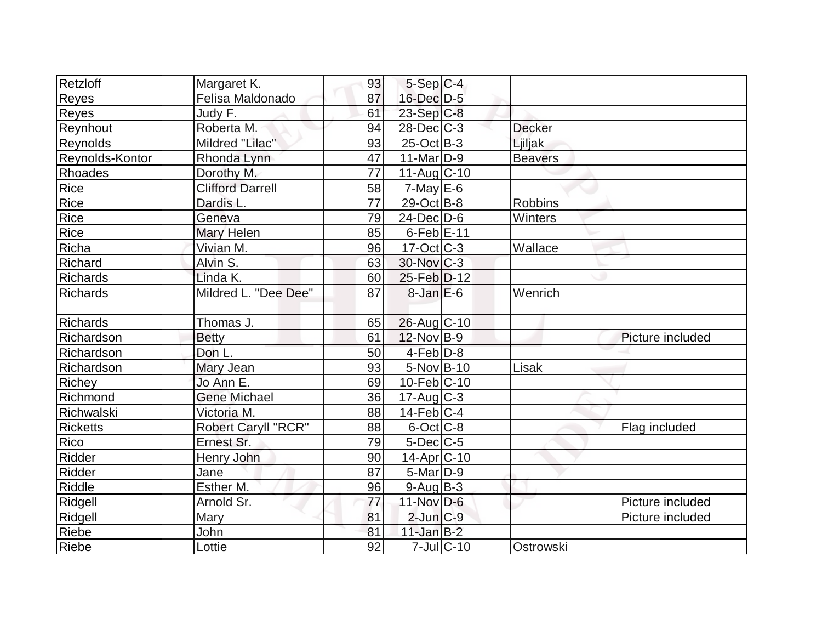| Retzloff          | Margaret K.                | 93 | $5-Sep C-4$       |                  |                |                  |
|-------------------|----------------------------|----|-------------------|------------------|----------------|------------------|
| Reyes             | Felisa Maldonado           | 87 | 16-Dec D-5        |                  |                |                  |
| Reyes             | Judy F.                    | 61 | $23-Sep C-8$      |                  |                |                  |
| Reynhout          | Roberta M.                 | 94 | $28$ -Dec $C-3$   |                  | <b>Decker</b>  |                  |
| Reynolds          | Mildred "Lilac"            | 93 | $25$ -Oct B-3     |                  | Ljiljak        |                  |
| Reynolds-Kontor   | Rhonda Lynn                | 47 | $11$ -Mar $ D-9$  |                  | <b>Beavers</b> |                  |
| Rhoades           | Dorothy M.                 | 77 | $11-Auq$ $C-10$   |                  |                |                  |
| Rice              | <b>Clifford Darrell</b>    | 58 | $7$ -May $E$ -6   |                  |                |                  |
| Rice              | Dardis L.                  | 77 | 29-Oct B-8        |                  | <b>Robbins</b> |                  |
| Rice              | Geneva                     | 79 | $24$ -Dec $D-6$   |                  | Winters        |                  |
| Rice              | Mary Helen                 | 85 | $6$ -Feb $E$ -11  |                  |                |                  |
| Richa             | Vivian M.                  | 96 | $17-Oct$ $C-3$    |                  | Wallace        |                  |
| Richard           | Alvin S.                   | 63 | 30-Nov C-3        |                  |                |                  |
| Richards          | Linda K.                   | 60 | 25-Feb D-12       |                  |                |                  |
| Richards          | Mildred L. "Dee Dee"       | 87 | $8$ -Jan $E$ -6   |                  | Wenrich        |                  |
| Richards          | Thomas J.                  | 65 | 26-Aug C-10       |                  |                |                  |
| Richardson        | <b>Betty</b>               | 61 | $12$ -Nov B-9     |                  |                | Picture included |
| <b>Richardson</b> | Don L.                     | 50 | $4-Feb D-8$       |                  |                |                  |
| Richardson        | Mary Jean                  | 93 | 5-Nov B-10        |                  | Lisak          |                  |
| Richey            | Jo Ann E.                  | 69 | $10$ -Feb $ C-10$ |                  |                |                  |
| Richmond          | <b>Gene Michael</b>        | 36 | $17$ -Aug C-3     |                  |                |                  |
| Richwalski        | Victoria M.                | 88 | $14$ -Feb $ C-4 $ |                  |                |                  |
| <b>Ricketts</b>   | <b>Robert Caryll "RCR"</b> | 88 | $6$ -Oct $ C$ -8  |                  |                | Flag included    |
| Rico              | Ernest Sr.                 | 79 | $5$ -Dec $C$ -5   |                  |                |                  |
| Ridder            | Henry John                 | 90 | 14-Apr C-10       |                  |                |                  |
| Ridder            | Jane                       | 87 | $5$ -Mar $D-9$    |                  |                |                  |
| <b>Riddle</b>     | Esther M.                  | 96 | $9$ -Aug $ B-3 $  |                  |                |                  |
| Ridgell           | Arnold Sr.                 | 77 | $11$ -Nov D-6     |                  |                | Picture included |
| Ridgell           | Mary                       | 81 | $2$ -Jun $C-9$    |                  |                | Picture included |
| Riebe             | John                       | 81 | $11$ -Jan B-2     |                  |                |                  |
| Riebe             | Lottie                     | 92 |                   | $7$ -Jul $ C-10$ | Ostrowski      |                  |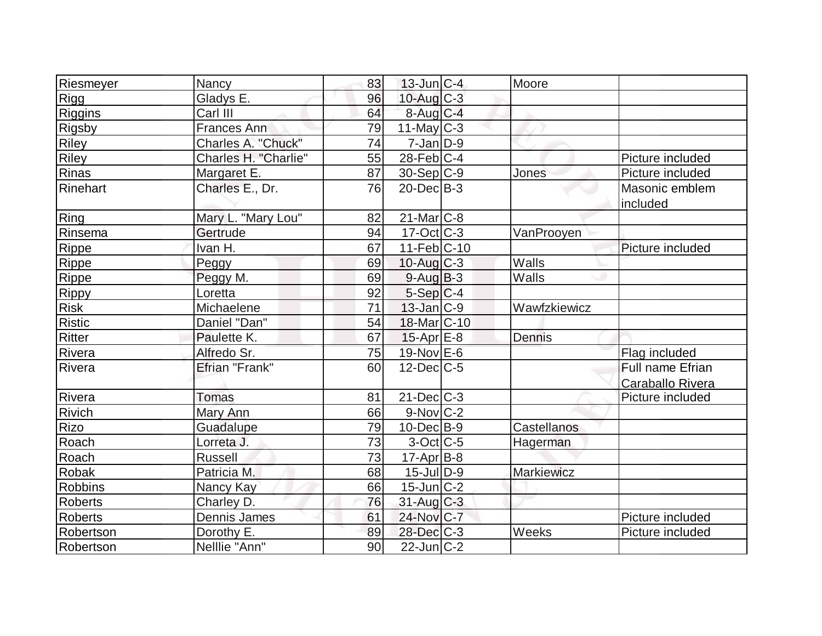| Riesmeyer      | Nancy                | 83 | $13$ -Jun $ C-4 $        | Moore             |                  |
|----------------|----------------------|----|--------------------------|-------------------|------------------|
| Rigg           | Gladys E.            | 96 | $10$ -Aug $C-3$          |                   |                  |
| <b>Riggins</b> | Carl III             | 64 | $8$ -Aug C-4             |                   |                  |
| <b>Rigsby</b>  | Frances Ann          | 79 | $11$ -May C-3            |                   |                  |
| <b>Riley</b>   | Charles A. "Chuck"   | 74 | $7 - Jan$ $D-9$          |                   |                  |
| Riley          | Charles H. "Charlie" | 55 | $28$ -Feb $C-4$          |                   | Picture included |
| Rinas          | Margaret E.          | 87 | 30-Sep C-9               | Jones             | Picture included |
| Rinehart       | Charles E., Dr.      | 76 | $20$ -Dec $B-3$          |                   | Masonic emblem   |
|                |                      |    |                          |                   | included         |
| Ring           | Mary L. "Mary Lou"   | 82 | $21$ -Mar $C-8$          |                   |                  |
| Rinsema        | Gertrude             | 94 | $17-Oct$ $C-3$           | VanProoyen        |                  |
| Rippe          | Ivan H.              | 67 | $11-Feb$ C-10            |                   | Picture included |
| Rippe          | Peggy                | 69 | $10$ -Aug $C-3$          | Walls             |                  |
| Rippe          | Peggy M.             | 69 | $9-Auq$ B-3              | Walls             |                  |
| Rippy          | Loretta              | 92 | $5-Sep C-4$              |                   |                  |
| <b>Risk</b>    | Michaelene           | 71 | $13$ -Jan $ C-9 $        | Wawfzkiewicz      |                  |
| <b>Ristic</b>  | Daniel "Dan"         | 54 | 18-Mar <sub>IC</sub> -10 |                   |                  |
| <b>Ritter</b>  | Paulette K.          | 67 | $15$ -Apr $E$ -8         | Dennis            |                  |
| Rivera         | Alfredo Sr.          | 75 | 19-Nov E-6               |                   | Flag included    |
| Rivera         | Efrian "Frank"       | 60 | $12$ -Dec $C$ -5         |                   | Full name Efrian |
|                |                      |    |                          |                   | Caraballo Rivera |
| Rivera         | Tomas                | 81 | $21$ -Dec $ C-3 $        |                   | Picture included |
| Rivich         | Mary Ann             | 66 | $9-Nov$ C-2              |                   |                  |
| Rizo           | Guadalupe            | 79 | $10$ -Dec $B-9$          | Castellanos       |                  |
| Roach          | Lorreta J.           | 73 | $3-Oct$ $C-5$            | Hagerman          |                  |
| Roach          | <b>Russell</b>       | 73 | $17$ -Apr $B$ -8         |                   |                  |
| <b>Robak</b>   | Patricia M.          | 68 | $15$ -Jul $D-9$          | <b>Markiewicz</b> |                  |
| <b>Robbins</b> | Nancy Kay            | 66 | $15$ -Jun $ C-2 $        |                   |                  |
| Roberts        | Charley D.           | 76 | $31$ -Aug C-3            |                   |                  |
| <b>Roberts</b> | Dennis James         | 61 | 24-Nov C-7               |                   | Picture included |
| Robertson      | Dorothy E.           | 89 | $28$ -Dec $C-3$          | Weeks             | Picture included |
| Robertson      | Nelllie "Ann"        | 90 | $22$ -Jun $ C-2 $        |                   |                  |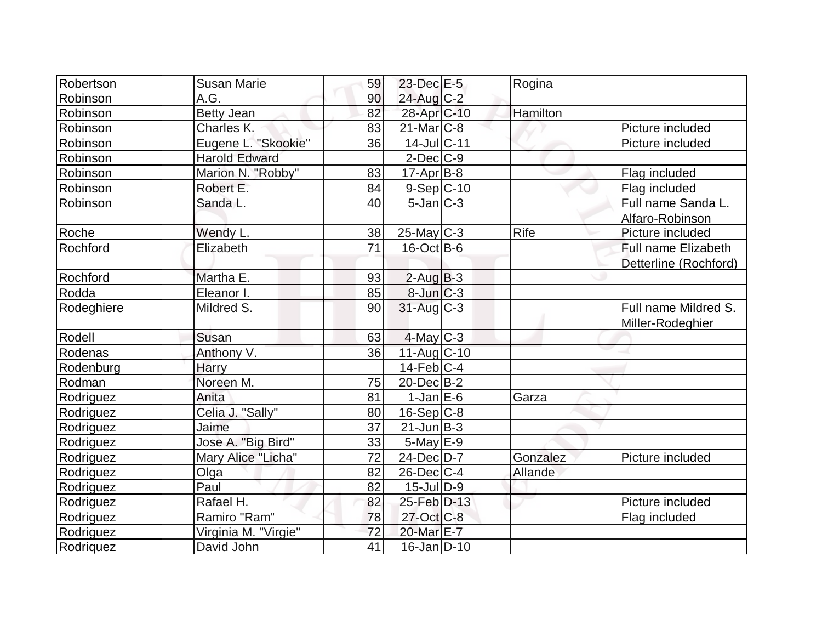| Robertson  | <b>Susan Marie</b>   | 59 | $23$ -Dec $E-5$        | Rogina   |                            |
|------------|----------------------|----|------------------------|----------|----------------------------|
| Robinson   | A.G.                 | 90 | $24$ -Aug C-2          |          |                            |
| Robinson   | <b>Betty Jean</b>    | 82 | 28-Apr <sub>C-10</sub> | Hamilton |                            |
| Robinson   | Charles K.           | 83 | $21$ -Mar $C-8$        |          | Picture included           |
| Robinson   | Eugene L. "Skookie"  | 36 | 14-Jul C-11            |          | Picture included           |
| Robinson   | <b>Harold Edward</b> |    | $2$ -Dec $C$ -9        |          |                            |
| Robinson   | Marion N. "Robby"    | 83 | $17$ -Apr $ B-8 $      |          | Flag included              |
| Robinson   | Robert E.            | 84 | $9-Sep C-10$           |          | Flag included              |
| Robinson   | Sanda L.             | 40 | $5$ -Jan $ C-3 $       |          | Full name Sanda L.         |
|            |                      |    |                        |          | Alfaro-Robinson            |
| Roche      | Wendy L.             | 38 | $25$ -May C-3          | Rife     | Picture included           |
| Rochford   | Elizabeth            | 71 | $16$ -Oct B-6          |          | <b>Full name Elizabeth</b> |
|            |                      |    |                        |          | Detterline (Rochford)      |
| Rochford   | Martha E.            | 93 | $2$ -Aug $B-3$         |          |                            |
| Rodda      | Eleanor I.           | 85 | 8-Jun C-3              |          |                            |
| Rodeghiere | Mildred S.           | 90 | 31-Aug C-3             |          | Full name Mildred S.       |
|            |                      |    |                        |          | Miller-Rodeghier           |
| Rodell     | Susan                | 63 | $4$ -May C-3           |          |                            |
| Rodenas    | Anthony V.           | 36 | 11-Aug C-10            |          |                            |
| Rodenburg  | Harry                |    | $14$ -Feb $ C-4 $      |          |                            |
| Rodman     | Noreen M.            | 75 | $20$ -Dec $B-2$        |          |                            |
| Rodriguez  | Anita                | 81 | $1-Jan$ $E-6$          | Garza    |                            |
| Rodriguez  | Celia J. "Sally"     | 80 | $16-Sep C-8$           |          |                            |
| Rodriguez  | Jaime                | 37 | $21$ -Jun $B-3$        |          |                            |
| Rodriguez  | Jose A. "Big Bird"   | 33 | $5$ -May $E-9$         |          |                            |
| Rodriguez  | Mary Alice "Licha"   | 72 | 24-Dec D-7             | Gonzalez | Picture included           |
| Rodriguez  | Olga                 | 82 | $26$ -Dec $C-4$        | Allande  |                            |
| Rodriguez  | Paul                 | 82 | $15$ -Jul $ D-9 $      |          |                            |
| Rodriguez  | Rafael H.            | 82 | 25-Feb D-13            |          | Picture included           |
| Rodriguez  | Ramiro "Ram"         | 78 | 27-Oct C-8             |          | Flag included              |
| Rodriguez  | Virginia M. "Virgie" | 72 | 20-Mar E-7             |          |                            |
| Rodriquez  | David John           | 41 | $16$ -Jan D-10         |          |                            |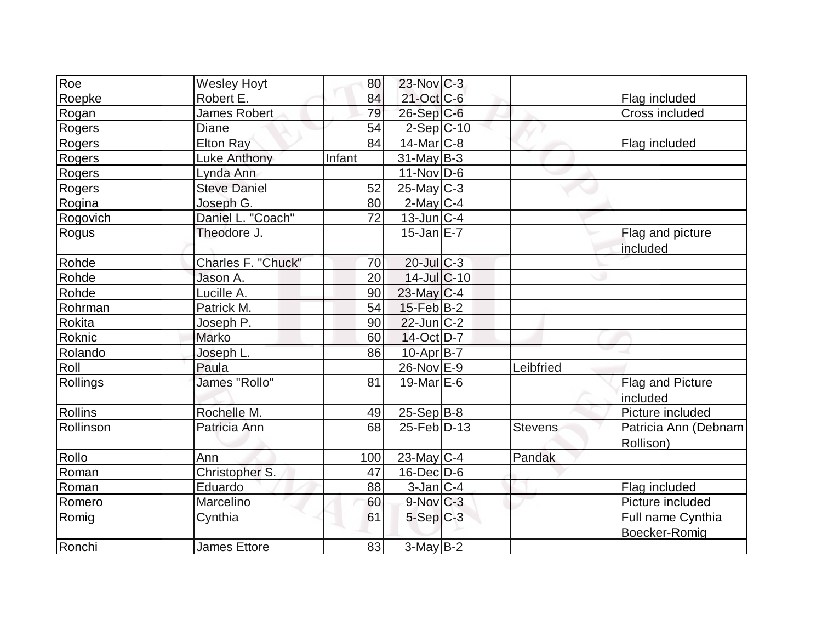| Roe       | <b>Wesley Hoyt</b>  | 80     | 23-Nov C-3        |                |                                    |
|-----------|---------------------|--------|-------------------|----------------|------------------------------------|
| Roepke    | Robert E.           | 84     | $21$ -Oct $C$ -6  |                | Flag included                      |
| Rogan     | James Robert        | 79     | $26-Sep C-6$      |                | Cross included                     |
| Rogers    | Diane               | 54     | $2-Sep$ C-10      |                |                                    |
| Rogers    | <b>Elton Ray</b>    | 84     | 14-Mar C-8        |                | Flag included                      |
| Rogers    | <b>Luke Anthony</b> | Infant | $31$ -May B-3     |                |                                    |
| Rogers    | Lynda Ann           |        | $11-Nov D-6$      |                |                                    |
| Rogers    | <b>Steve Daniel</b> | 52     | $25$ -May C-3     |                |                                    |
| Rogina    | Joseph G.           | 80     | $2$ -May C-4      |                |                                    |
| Rogovich  | Daniel L. "Coach"   | 72     | $13$ -Jun $ C-4 $ |                |                                    |
| Rogus     | Theodore J.         |        | $15$ -Jan $E$ -7  |                | Flag and picture<br>included       |
| Rohde     | Charles F. "Chuck"  | 70     | $20$ -Jul $C-3$   |                |                                    |
| Rohde     | Jason A.            | 20     | $14$ -Jul $C$ -10 |                |                                    |
| Rohde     | Lucille A.          | 90     | $23$ -May C-4     |                |                                    |
| Rohrman   | Patrick M.          | 54     | $15$ -Feb $ B-2 $ |                |                                    |
| Rokita    | Joseph P.           | 90     | $22$ -Jun $ C-2 $ |                |                                    |
| Roknic    | Marko               | 60     | 14-Oct D-7        |                |                                    |
| Rolando   | Joseph L.           | 86     | $10-Apr$ B-7      |                |                                    |
| Roll      | Paula               |        | 26-Nov E-9        | Leibfried      |                                    |
| Rollings  | James "Rollo"       | 81     | 19-Mar $E-6$      |                | Flag and Picture<br>included       |
| Rollins   | Rochelle M.         | 49     | $25-Sep B-8$      |                | Picture included                   |
| Rollinson | Patricia Ann        | 68     | $25$ -Feb $ D-13$ | <b>Stevens</b> | Patricia Ann (Debnam<br>Rollison)  |
| Rollo     | Ann                 | 100    | 23-May C-4        | Pandak         |                                    |
| Roman     | Christopher S.      | 47     | $16$ -Dec $D$ -6  |                |                                    |
| Roman     | Eduardo             | 88     | $3$ -Jan $ C-4 $  |                | Flag included                      |
| Romero    | Marcelino           | 60     | $9-Nov$ $C-3$     |                | Picture included                   |
| Romig     | Cynthia             | 61     | $5-Sep C-3$       |                | Full name Cynthia<br>Boecker-Romig |
| Ronchi    | <b>James Ettore</b> | 83     | $3$ -May $B-2$    |                |                                    |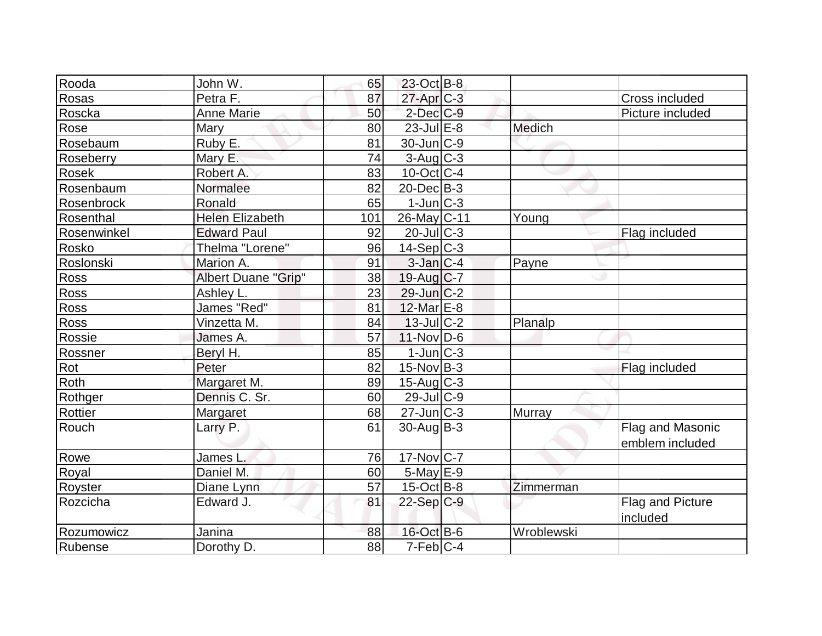| Rooda                   | John W.                    | 65  | 23-Oct B-8             |               |                              |
|-------------------------|----------------------------|-----|------------------------|---------------|------------------------------|
| Rosas                   | Petra F.                   | 87  | 27-Apr C-3             |               | <b>Cross included</b>        |
| Roscka                  | Anne Marie                 | 50  | $2$ -Dec $C$ -9        |               | Picture included             |
| Rose                    | Mary                       | 80  | $23$ -Jul $E-8$        | <b>Medich</b> |                              |
| Rosebaum                | Ruby E.                    | 81  | 30-Jun C-9             |               |                              |
| Roseberry               | Mary E.                    | 74  | $3$ -Aug $C-3$         |               |                              |
| <b>Rosek</b>            | Robert A.                  | 83  | $10$ -Oct $ C-4$       |               |                              |
| Rosenbaum               | Normalee                   | 82  | $20$ -Dec $B-3$        |               |                              |
| Rosenbrock              | Ronald                     | 65  | $1$ -Jun $C-3$         |               |                              |
| Rosenthal               | <b>Helen Elizabeth</b>     | 101 | 26-May C-11            | Young         |                              |
| Rosenwinkel             | <b>Edward Paul</b>         | 92  | $20$ -Jul $C-3$        |               | Flag included                |
| Rosko                   | Thelma "Lorene"            | 96  | $14-Sep C-3$           |               |                              |
| Roslonski               | Marion A.                  | 91  | $3$ -Jan $C-4$         | Payne         |                              |
| Ross                    | <b>Albert Duane "Grip"</b> | 38  | 19-Aug $C-7$           |               |                              |
| <b>Ross</b>             | Ashley L.                  | 23  | $29$ -Jun $C-2$        |               |                              |
| Ross                    | James "Red"                | 81  | 12-Mar E-8             |               |                              |
| <b>Ross</b>             | Vinzetta M.                | 84  | $13$ -JulC-2           | Planalp       |                              |
| Rossie                  | James A.                   | 57  | $11-Nov D-6$           |               |                              |
| Rossner                 | Beryl H.                   | 85  | $1$ -Jun $C-3$         |               |                              |
| $\overline{\text{Rot}}$ | Peter                      | 82  | $15$ -Nov $B-3$        |               | Flag included                |
| <b>Roth</b>             | Margaret M.                | 89  | $15$ -Aug C-3          |               |                              |
| Rothger                 | Dennis C. Sr.              | 60  | $29$ -Jul C-9          |               |                              |
| Rottier                 | Margaret                   | 68  | $27$ -Jun $C-3$        | Murray        |                              |
| Rouch                   | Larry P.                   | 61  | $30$ -Aug $ B-3 $      |               | Flag and Masonic             |
|                         |                            |     |                        |               | emblem included              |
| Rowe                    | James L.                   | 76  | 17-Nov C-7             |               |                              |
| Royal                   | Daniel M.                  | 60  | $5$ -May $E-9$         |               |                              |
| Royster                 | Diane Lynn                 | 57  | $15$ -Oct B-8          | Zimmerman     |                              |
| Rozcicha                | Edward J.                  | 81  | $22-Sep C-9$           |               | Flag and Picture<br>included |
| Rozumowicz              | Janina                     | 88  | $16$ -Oct B-6          | Wroblewski    |                              |
| Rubense                 | Dorothy D.                 | 88  | $7-Feb$ <sub>C-4</sub> |               |                              |
|                         |                            |     |                        |               |                              |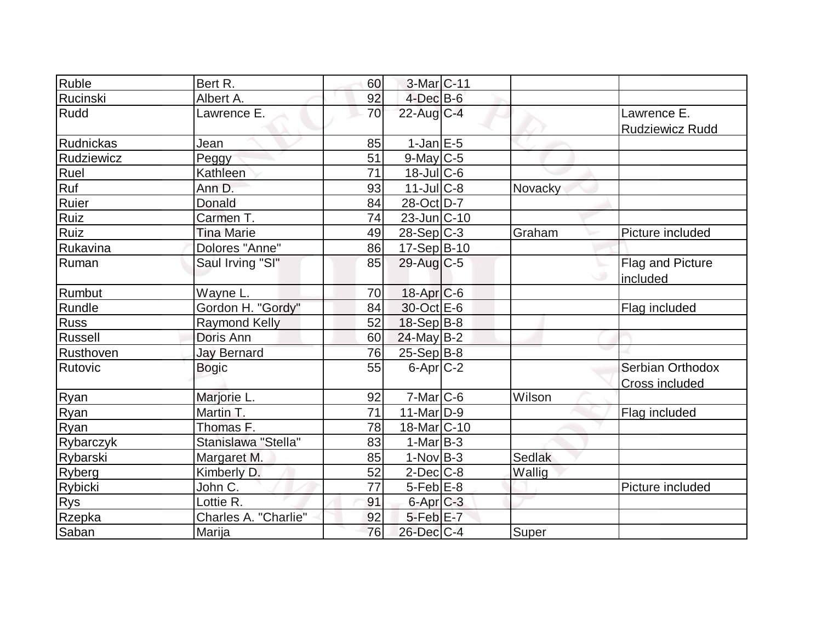| Ruble            | Bert R.              | 60 | 3-Mar C-11              |         |                                       |
|------------------|----------------------|----|-------------------------|---------|---------------------------------------|
| Rucinski         | Albert A.            | 92 | $4$ -Dec $B$ -6         |         |                                       |
| Rudd             | Lawrence E.          | 70 | $22$ -Aug C-4           |         | Lawrence E.<br><b>Rudziewicz Rudd</b> |
| Rudnickas        | Jean                 | 85 | $1$ -Jan $E$ -5         |         |                                       |
| Rudziewicz       | Peggy                | 51 | $9$ -May C-5            |         |                                       |
| Ruel             | Kathleen             | 71 | 18-Jul C-6              |         |                                       |
| Ruf              | Ann D.               | 93 | $11$ -Jul $C-8$         | Novacky |                                       |
| Ruier            | Donald               | 84 | 28-Oct D-7              |         |                                       |
| Ruiz             | Carmen T.            | 74 | $23$ -Jun $ C-10$       |         |                                       |
| Ruiz             | <b>Tina Marie</b>    | 49 | $28-Sep C-3$            | Graham  | Picture included                      |
| Rukavina         | Dolores "Anne"       | 86 | $17-Sep B-10$           |         |                                       |
| Ruman            | Saul Irving "SI"     | 85 | $29$ -Aug C-5           |         | Flag and Picture<br>included          |
| Rumbut           | Wayne L.             | 70 | $18$ -Apr $C$ -6        |         |                                       |
| Rundle           | Gordon H. "Gordy"    | 84 | 30-Oct E-6              |         | Flag included                         |
| Russ             | <b>Raymond Kelly</b> | 52 | 18-Sep B-8              |         |                                       |
| Russell          | Doris Ann            | 60 | $24$ -May B-2           |         |                                       |
| Rusthoven        | <b>Jay Bernard</b>   | 76 | $25 - Sep$ B-8          |         |                                       |
| Rutovic          | <b>Bogic</b>         | 55 | $6$ -Apr $C$ -2         |         | Serbian Orthodox<br>Cross included    |
| Ryan             | Marjorie L.          | 92 | $7-Mar$ $C-6$           | Wilson  |                                       |
| Ryan             | Martin T.            | 71 | $11-Mar$ D-9            |         | Flag included                         |
| Ryan             | Thomas F.            | 78 | 18-Mar <sub>C</sub> -10 |         |                                       |
| <b>Rybarczyk</b> | Stanislawa "Stella"  | 83 | $1-Mar$ B-3             |         |                                       |
| Rybarski         | Margaret M.          | 85 | $1-Nov$ B-3             | Sedlak  |                                       |
| Ryberg           | Kimberly D.          | 52 | $2$ -Dec $C$ -8         | Wallig  |                                       |
| Rybicki          | John C.              | 77 | $5-Feb$ $E-8$           |         | Picture included                      |
| <b>Rys</b>       | Lottie R.            | 91 | 6-Apr C-3               |         |                                       |
| Rzepka           | Charles A. "Charlie" | 92 | $5-Feb$ $E-7$           |         |                                       |
| Saban            | Marija               | 76 | 26-Dec C-4              | Super   |                                       |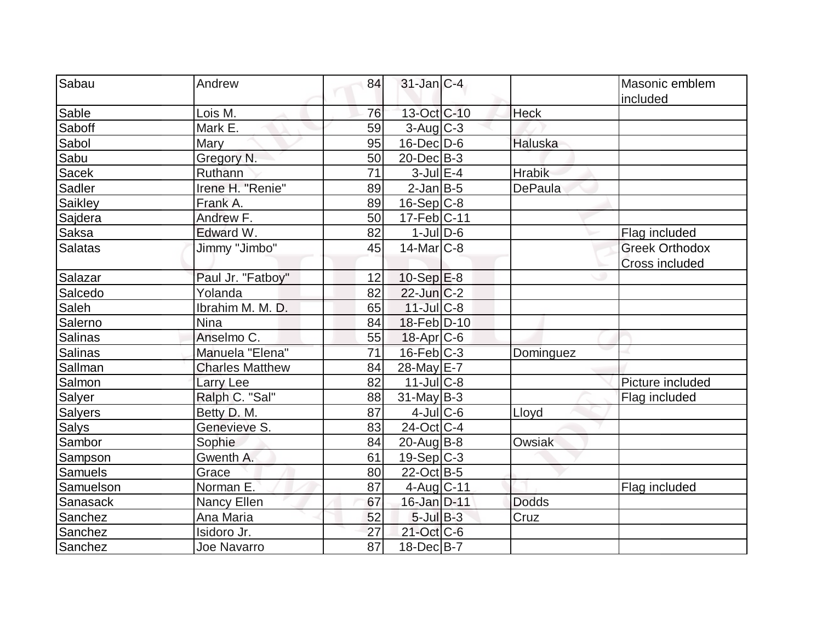| Sabau          | Andrew                 |    | $31$ -Jan $ C-4 $ |                | Masonic emblem        |
|----------------|------------------------|----|-------------------|----------------|-----------------------|
|                |                        | 84 |                   |                |                       |
| Sable          | Lois M.                | 76 | 13-Oct C-10       | <b>Heck</b>    | included              |
| Saboff         | Mark E.                | 59 | $3$ -Aug $C-3$    |                |                       |
| Sabol          | Mary                   | 95 | $16$ -Dec $D-6$   | <b>Haluska</b> |                       |
| Sabu           | Gregory N.             | 50 | $20$ -Dec $B-3$   |                |                       |
| Sacek          | Ruthann                | 71 | $3$ -Jul $E-4$    | <b>Hrabik</b>  |                       |
| Sadler         | Irene H. "Renie"       | 89 | $2$ -Jan $B$ -5   | <b>DePaula</b> |                       |
| Saikley        | Frank A.               | 89 | $16-Sep C-8$      |                |                       |
| Sajdera        | Andrew F.              | 50 | $17-Feb C-11$     |                |                       |
| Saksa          | Edward W.              | 82 | $1$ -JulD-6       |                | Flag included         |
| <b>Salatas</b> | Jimmy "Jimbo"          | 45 | $14$ -Mar $C-8$   |                | <b>Greek Orthodox</b> |
|                |                        |    |                   |                | <b>Cross included</b> |
| Salazar        | Paul Jr. "Fatboy"      | 12 | $10-Sep$ $E-8$    |                |                       |
| Salcedo        | Yolanda                | 82 | $22$ -Jun $ C-2 $ |                |                       |
| Saleh          | Ibrahim M. M. D.       | 65 | $11$ -Jul $C-8$   |                |                       |
| Salerno        | <b>Nina</b>            | 84 | 18-Feb D-10       |                |                       |
| Salinas        | Anselmo C.             | 55 | $18$ -Apr $ C$ -6 |                |                       |
| <b>Salinas</b> | Manuela "Elena"        | 71 | $16$ -Feb $C-3$   | Dominguez      |                       |
| Sallman        | <b>Charles Matthew</b> | 84 | 28-May E-7        |                |                       |
| Salmon         | Larry Lee              | 82 | $11$ -Jul $C-8$   |                | Picture included      |
| Salyer         | Ralph C. "Sal"         | 88 | $31$ -May B-3     |                | Flag included         |
| <b>Salyers</b> | Betty D. M.            | 87 | $4$ -Jul $C$ -6   | Lloyd          |                       |
| <b>Salys</b>   | Genevieve S.           | 83 | $24$ -Oct $ C-4 $ |                |                       |
| Sambor         | Sophie                 | 84 | $20$ -Aug $B$ -8  | Owsiak         |                       |
| Sampson        | Gwenth A.              | 61 | $19-Sep C-3$      |                |                       |
| Samuels        | Grace                  | 80 | $22$ -Oct B-5     |                |                       |
| Samuelson      | Norman E.              | 87 | 4-Aug C-11        |                | Flag included         |
| Sanasack       | <b>Nancy Ellen</b>     | 67 | 16-Jan D-11       | <b>Dodds</b>   |                       |
| Sanchez        | Ana Maria              | 52 | $5$ -Jul $B-3$    | Cruz           |                       |
| Sanchez        | Isidoro Jr.            | 27 | 21-Oct C-6        |                |                       |
| Sanchez        | Joe Navarro            | 87 | $18$ -Dec $B$ -7  |                |                       |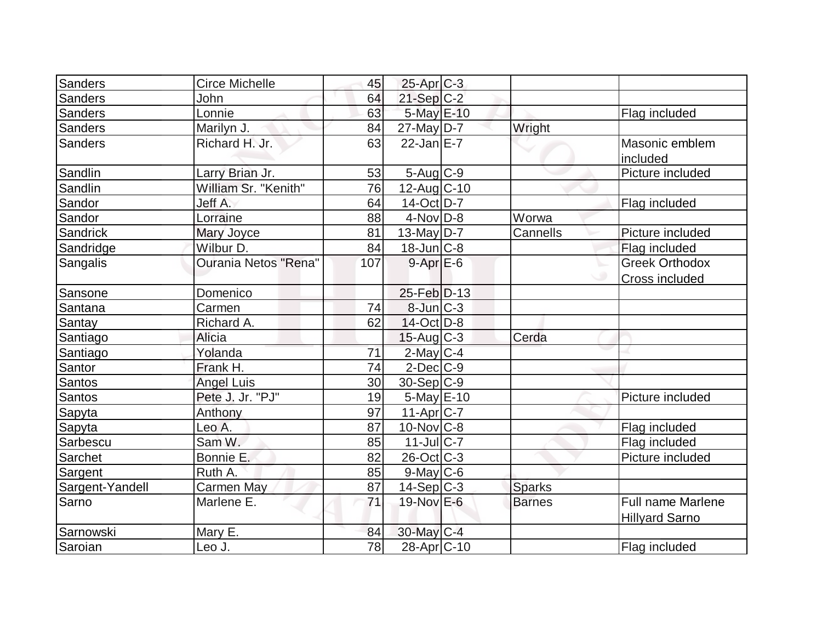| Sanders         | Circe Michelle       | 45  | $25-Apr$ $C-3$         |               |                                                   |
|-----------------|----------------------|-----|------------------------|---------------|---------------------------------------------------|
| <b>Sanders</b>  | John                 | 64  | 21-Sep C-2             |               |                                                   |
| <b>Sanders</b>  | Lonnie               | 63  | 5-May E-10             |               | Flag included                                     |
| Sanders         | Marilyn J.           | 84  | $27$ -May D-7          | Wright        |                                                   |
| <b>Sanders</b>  | Richard H. Jr.       | 63  | $22$ -Jan $E-7$        |               | Masonic emblem<br>included                        |
| Sandlin         | Larry Brian Jr.      | 53  | $5$ -Aug $C$ -9        |               | Picture included                                  |
| Sandlin         | William Sr. "Kenith" | 76  | $12$ -Aug C-10         |               |                                                   |
| Sandor          | Jeff A.              | 64  | $14-Oct$ D-7           |               | Flag included                                     |
| Sandor          | Lorraine             | 88  | $4$ -Nov $D-8$         | Worwa         |                                                   |
| Sandrick        | Mary Joyce           | 81  | $13$ -May D-7          | Cannells      | Picture included                                  |
| Sandridge       | Wilbur D.            | 84  | $18$ -Jun $C-8$        |               | Flag included                                     |
| Sangalis        | Ourania Netos "Rena" | 107 | $9 - Apr$ $E-6$        |               | <b>Greek Orthodox</b>                             |
|                 |                      |     |                        |               | Cross included                                    |
| Sansone         | Domenico             |     | 25-Feb D-13            |               |                                                   |
| Santana         | Carmen               | 74  | $8$ -Jun $C-3$         |               |                                                   |
| <b>Santay</b>   | Richard A.           | 62  | $14$ -Oct $ D-8 $      |               |                                                   |
| Santiago        | Alicia               |     | $15$ -Aug C-3          | Cerda         |                                                   |
| Santiago        | Yolanda              | 71  | $2$ -May $C$ -4        |               |                                                   |
| Santor          | Frank H.             | 74  | $2$ -Dec $C-9$         |               |                                                   |
| Santos          | <b>Angel Luis</b>    | 30  | $30-Sep C-9$           |               |                                                   |
| <b>Santos</b>   | Pete J. Jr. "PJ"     | 19  | $5$ -May $E$ -10       |               | Picture included                                  |
| Sapyta          | Anthony              | 97  | $11-Apr$ $C-7$         |               |                                                   |
| Sapyta          | Leo A.               | 87  | $10$ -Nov $ C-8 $      |               | Flag included                                     |
| Sarbescu        | Sam W.               | 85  | $11$ -JulC-7           |               | Flag included                                     |
| Sarchet         | Bonnie E.            | 82  | 26-Oct C-3             |               | Picture included                                  |
| Sargent         | Ruth A.              | 85  | $9$ -May C-6           |               |                                                   |
| Sargent-Yandell | <b>Carmen May</b>    | 87  | $14-Sep C-3$           | <b>Sparks</b> |                                                   |
| Sarno           | Marlene E.           | 71  | 19-Nov E-6             | <b>Barnes</b> | <b>Full name Marlene</b><br><b>Hillyard Sarno</b> |
| Sarnowski       | Mary E.              | 84  | 30-May C-4             |               |                                                   |
| Saroian         | Leo J.               | 78  | 28-Apr <sub>C-10</sub> |               | Flag included                                     |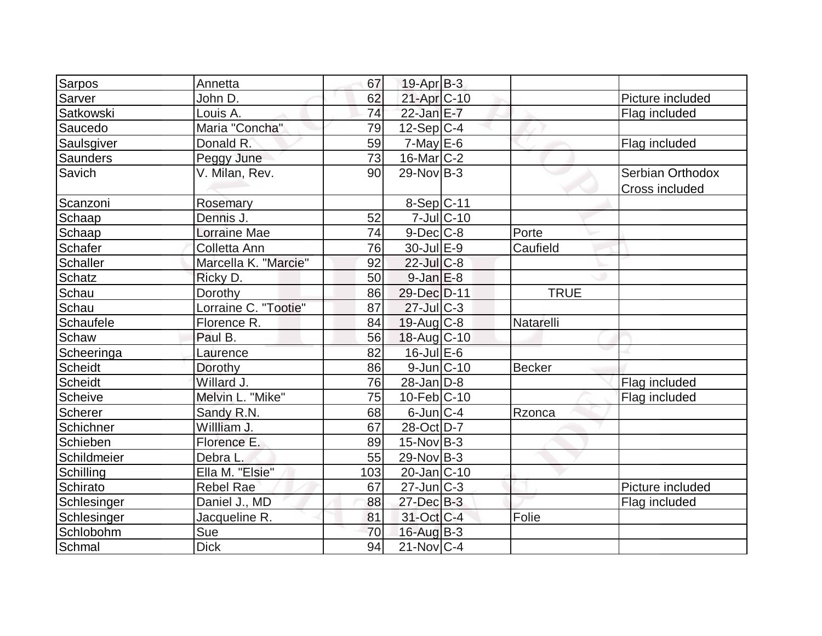| Sarpos           | Annetta              | 67  | $19-Apr$ B-3                |               |                                    |
|------------------|----------------------|-----|-----------------------------|---------------|------------------------------------|
| Sarver           | John D.              | 62  | $21-Apr$ C-10               |               | Picture included                   |
| <b>Satkowski</b> | Louis A.             | 74  | 22-Jan E-7                  |               | Flag included                      |
| Saucedo          | Maria "Concha"       | 79  | $12-Sep C-4$                |               |                                    |
| Saulsgiver       | Donald R.            | 59  | $7$ -May $E$ -6             |               | Flag included                      |
| Saunders         | Peggy June           | 73  | $16$ -Mar $ C-2 $           |               |                                    |
| Savich           | V. Milan, Rev.       | 90  | $29-Nov B-3$                |               | Serbian Orthodox<br>Cross included |
| Scanzoni         | Rosemary             |     | 8-Sep C-11                  |               |                                    |
| Schaap           | Dennis J.            | 52  | $7$ -Jul $ C-10$            |               |                                    |
| Schaap           | <b>Lorraine Mae</b>  | 74  | $9$ -Dec $C$ -8             | Porte         |                                    |
| <b>Schafer</b>   | Colletta Ann         | 76  | $30 -$ Jul $E - 9$          | Caufield      |                                    |
| Schaller         | Marcella K. "Marcie" | 92  | $22$ -Jul $C-8$             |               |                                    |
| Schatz           | Ricky D.             | 50  | $9$ -Jan $E-8$              |               |                                    |
| Schau            | Dorothy              | 86  | 29-Dec D-11                 | <b>TRUE</b>   |                                    |
| Schau            | Lorraine C. "Tootie" | 87  | $27$ -Jul $C-3$             |               |                                    |
| Schaufele        | Florence R.          | 84  | $19$ -Aug C-8               | Natarelli     |                                    |
| Schaw            | Paul B.              | 56  | 18-Aug C-10                 |               |                                    |
| Scheeringa       | Laurence             | 82  | $16$ -Jul $E$ -6            |               |                                    |
| Scheidt          | Dorothy              | 86  | $9$ -Jun $ C-10$            | <b>Becker</b> |                                    |
| Scheidt          | Willard J.           | 76  | $28$ -Jan $D-8$             |               | Flag included                      |
| Scheive          | Melvin L. "Mike"     | 75  | $10$ -Feb $ C-10$           |               | Flag included                      |
| Scherer          | Sandy R.N.           | 68  | $6$ -Jun $ C-4 $            | Rzonca        |                                    |
| Schichner        | Willliam J.          | 67  | 28-Oct D-7                  |               |                                    |
| Schieben         | Florence E.          | 89  | $15$ -Nov $ B-3 $           |               |                                    |
| Schildmeier      | Debra L.             | 55  | $29-Nov B-3$                |               |                                    |
| Schilling        | Ella M. "Elsie"      | 103 | $20$ -Jan $ C-10$           |               |                                    |
| Schirato         | <b>Rebel Rae</b>     | 67  | $27$ -Jun $\overline{C}$ -3 |               | Picture included                   |
| Schlesinger      | Daniel J., MD        | 88  | $27 - Dec$ B-3              |               | Flag included                      |
| Schlesinger      | Jacqueline R.        | 81  | 31-Oct C-4                  | Folie         |                                    |
| Schlobohm        | Sue                  | 70  | $16$ -Aug $B-3$             |               |                                    |
| Schmal           | <b>Dick</b>          | 94  | $21$ -Nov $ C-4$            |               |                                    |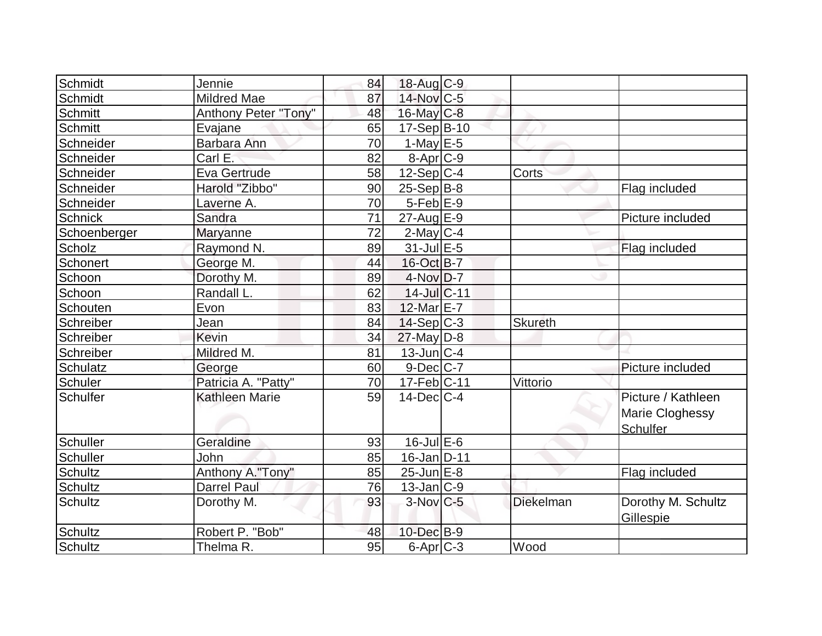| Schmidt         | Jennie                | 84 | 18-Aug C-9             |                  |                                                   |
|-----------------|-----------------------|----|------------------------|------------------|---------------------------------------------------|
| Schmidt         | <b>Mildred Mae</b>    | 87 | $14$ -Nov $ C-5 $      |                  |                                                   |
| Schmitt         | Anthony Peter "Tony"  | 48 | 16-May C-8             |                  |                                                   |
| Schmitt         | Evajane               | 65 | 17-Sep B-10            |                  |                                                   |
| Schneider       | Barbara Ann           | 70 | 1-May $E-5$            |                  |                                                   |
| Schneider       | Carl E.               | 82 | $8-Apr$ $C-9$          |                  |                                                   |
| Schneider       | Eva Gertrude          | 58 | $12-Sep C-4$           | Corts            |                                                   |
| Schneider       | Harold "Zibbo"        | 90 | $25-Sep B-8$           |                  | Flag included                                     |
| Schneider       | Laverne A.            | 70 | $5-Feb$ $E-9$          |                  |                                                   |
| <b>Schnick</b>  | Sandra                | 71 | $27$ -Aug $E-9$        |                  | Picture included                                  |
| Schoenberger    | Maryanne              | 72 | $2$ -May $C-4$         |                  |                                                   |
| Scholz          | Raymond N.            | 89 | $31$ -Jul $E-5$        |                  | Flag included                                     |
| Schonert        | George M.             | 44 | 16-Oct B-7             |                  |                                                   |
| Schoon          | Dorothy M.            | 89 | $4$ -Nov $D-7$         |                  |                                                   |
| Schoon          | Randall L.            | 62 | 14-Jul C-11            |                  |                                                   |
| Schouten        | Evon                  | 83 | 12-Mar E-7             |                  |                                                   |
| Schreiber       | Jean                  | 84 | $14-Sep C-3$           | <b>Skureth</b>   |                                                   |
| Schreiber       | Kevin                 | 34 | $27$ -May $D-8$        |                  |                                                   |
| Schreiber       | Mildred M.            | 81 | 13-Jun C-4             |                  |                                                   |
| <b>Schulatz</b> | George                | 60 | $9$ -Dec $ C-7 $       |                  | Picture included                                  |
| Schuler         | Patricia A. "Patty"   | 70 | $17$ -Feb $ C-11$      | Vittorio         |                                                   |
| Schulfer        | <b>Kathleen Marie</b> | 59 | $14$ -Dec $C$ -4       |                  | Picture / Kathleen<br>Marie Cloghessy<br>Schulfer |
| Schuller        | Geraldine             | 93 | $16$ -Jul $E$ -6       |                  |                                                   |
| Schuller        | John                  | 85 | 16-Jan D-11            |                  |                                                   |
| Schultz         | Anthony A."Tony"      | 85 | $25$ -Jun $E-8$        |                  | Flag included                                     |
| <b>Schultz</b>  | <b>Darrel Paul</b>    | 76 | $13$ -Jan $ C-9 $      |                  |                                                   |
| <b>Schultz</b>  | Dorothy M.            | 93 | $3-Nov$ <sub>C-5</sub> | <b>Diekelman</b> | Dorothy M. Schultz<br>Gillespie                   |
| Schultz         | Robert P. "Bob"       | 48 | 10-Dec B-9             |                  |                                                   |
| Schultz         | Thelma R.             | 95 | $6$ -Apr $C$ -3        | Wood             |                                                   |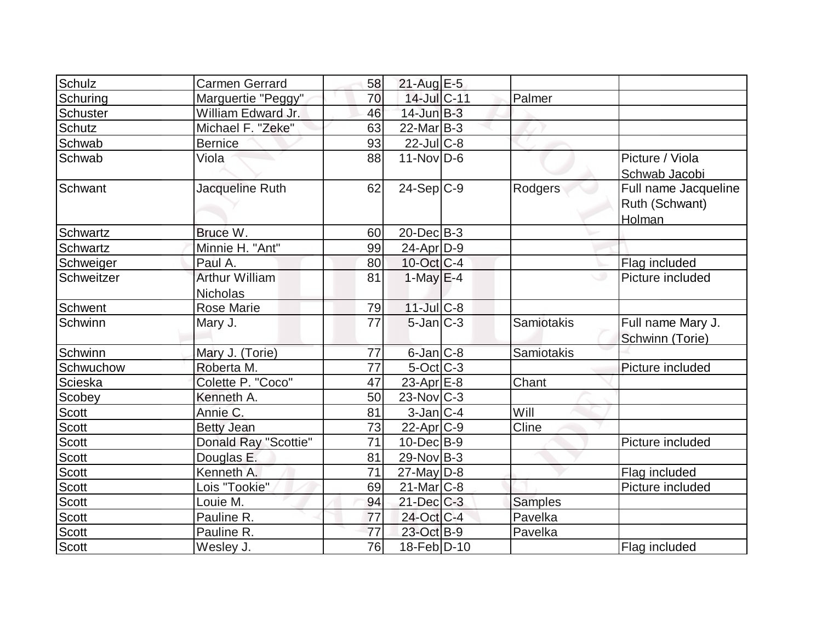| Schulz       | <b>Carmen Gerrard</b> | 58 | $21$ -Aug E-5     |                   |                        |
|--------------|-----------------------|----|-------------------|-------------------|------------------------|
| Schuring     | Marguertie "Peggy"    | 70 | 14-Jul C-11       | Palmer            |                        |
| Schuster     | William Edward Jr.    | 46 | $14$ -Jun $B-3$   |                   |                        |
| Schutz       | Michael F. "Zeke"     | 63 | $22$ -Mar $B-3$   |                   |                        |
| Schwab       | <b>Bernice</b>        | 93 | $22$ -Jul $C$ -8  |                   |                        |
| Schwab       | Viola                 | 88 | $11-Nov D-6$      |                   | Picture / Viola        |
|              |                       |    |                   |                   | Schwab Jacobi          |
| Schwant      | Jacqueline Ruth       | 62 | $24-Sep C-9$      | Rodgers           | Full name Jacqueline   |
|              |                       |    |                   |                   | Ruth (Schwant)         |
|              |                       |    |                   |                   | Holman                 |
| Schwartz     | Bruce W.              | 60 | $20$ -Dec $B-3$   |                   |                        |
| Schwartz     | Minnie H. "Ant"       | 99 | $24$ -Apr $D-9$   |                   |                        |
| Schweiger    | Paul A.               | 80 | $10$ -Oct $ C-4 $ |                   | Flag included          |
| Schweitzer   | <b>Arthur William</b> | 81 | $1-May$ $E-4$     |                   | Picture included<br>ەك |
|              | <b>Nicholas</b>       |    |                   |                   |                        |
| Schwent      | <b>Rose Marie</b>     | 79 | $11$ -Jul $C-8$   |                   |                        |
| Schwinn      | Mary J.               | 77 | $5$ -Jan $ C-3 $  | <b>Samiotakis</b> | Full name Mary J.      |
|              |                       |    |                   |                   | Schwinn (Torie)        |
| Schwinn      | Mary J. (Torie)       | 77 | $6$ -Jan $C$ -8   | Samiotakis        |                        |
| Schwuchow    | Roberta M.            | 77 | $5$ -Oct $C$ -3   |                   | Picture included       |
| Scieska      | Colette P. "Coco"     | 47 | 23-Apr $E-8$      | Chant             |                        |
| Scobey       | Kenneth A.            | 50 | $23$ -Nov $ C-3 $ |                   |                        |
| Scott        | Annie C.              | 81 | $3$ -Jan $ C-4 $  | Will              |                        |
| Scott        | <b>Betty Jean</b>     | 73 | $22$ -Apr $C-9$   | Cline             |                        |
| Scott        | Donald Ray "Scottie"  | 71 | $10$ -Dec $B - 9$ |                   | Picture included       |
| Scott        | Douglas E.            | 81 | $29$ -Nov B-3     |                   |                        |
| Scott        | Kenneth A.            | 71 | $27$ -May D-8     |                   | Flag included          |
| Scott        | Lois "Tookie"         | 69 | $21$ -Mar $C-8$   |                   | Picture included       |
| Scott        | Louie M.              | 94 | $21$ -Dec $C-3$   | <b>Samples</b>    |                        |
| Scott        | Pauline R.            | 77 | 24-Oct C-4        | Pavelka           |                        |
| <b>Scott</b> | Pauline R.            | 77 | 23-Oct B-9        | Pavelka           |                        |
| <b>Scott</b> | Wesley J.             | 76 | 18-Feb D-10       |                   | Flag included          |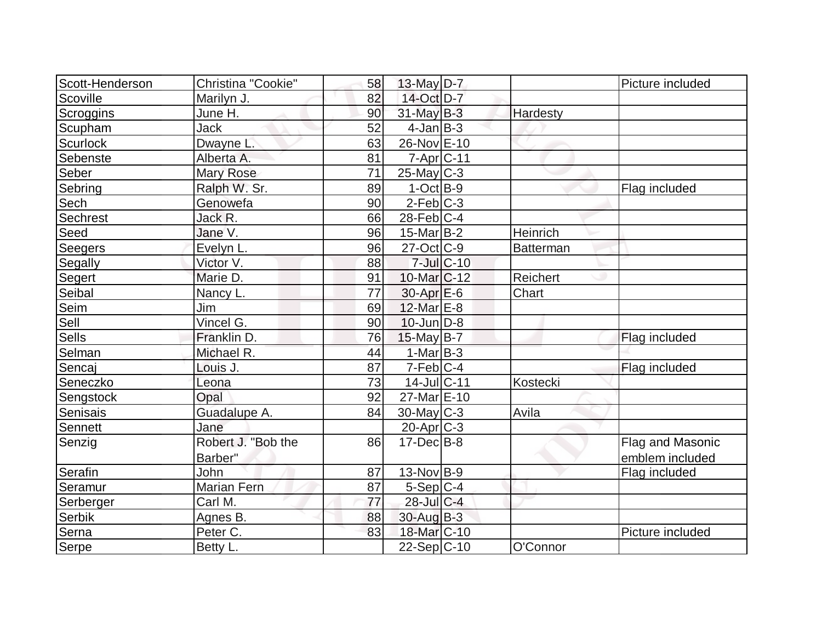| Scott-Henderson | Christina "Cookie" | 58 | 13-May $D-7$           |            |                  | Picture included     |
|-----------------|--------------------|----|------------------------|------------|------------------|----------------------|
| Scoville        | Marilyn J.         | 82 | 14-Oct D-7             |            |                  |                      |
| Scroggins       | June H.            | 90 | 31-May B-3             |            | Hardesty         |                      |
| Scupham         | <b>Jack</b>        | 52 | $4$ -Jan $ B-3 $       |            |                  |                      |
| Scurlock        | Dwayne L.          | 63 | 26-Nov E-10            |            |                  |                      |
| Sebenste        | Alberta A.         | 81 | $7 - Apr$ $C - 11$     |            |                  |                      |
| Seber           | <b>Mary Rose</b>   | 71 | $25$ -May C-3          |            |                  |                      |
| Sebring         | Ralph W. Sr.       | 89 | $1-Oct$ B-9            |            |                  | Flag included        |
| Sech            | Genowefa           | 90 | $2$ -Feb $C-3$         |            |                  |                      |
| Sechrest        | Jack R.            | 66 | $28$ -Feb $ C-4$       |            |                  |                      |
| Seed            | Jane V.            | 96 | $15$ -Mar $ B-2 $      |            | Heinrich         |                      |
| Seegers         | Evelyn L.          | 96 | $27$ -Oct $C-9$        |            | <b>Batterman</b> |                      |
| Segally         | Victor V.          | 88 |                        | 7-Jul C-10 |                  |                      |
| Segert          | Marie D.           | 91 | $10$ -Mar $C$ -12      |            | Reichert         |                      |
| Seibal          | Nancy L.           | 77 | $30$ -Apr $E$ -6       |            | Chart            |                      |
| Seim            | Jim                | 69 | 12-Mar E-8             |            |                  |                      |
| Sell            | Vincel G.          | 90 | $10$ -Jun $D-8$        |            |                  |                      |
| Sells           | Franklin D.        | 76 | $15$ -May B-7          |            |                  | <b>Flag included</b> |
| Selman          | Michael R.         | 44 | $1-Mar$ B-3            |            |                  |                      |
| Sencaj          | Louis J.           | 87 | $7-Feb$ <sub>C-4</sub> |            |                  | Flag included        |
| Seneczko        | Leona              | 73 | 14-Jul C-11            |            | Kostecki         |                      |
| Sengstock       | Opal               | 92 | 27-Mar E-10            |            |                  |                      |
| Senisais        | Guadalupe A.       | 84 | $30$ -May C-3          |            | Avila            |                      |
| Sennett         | Jane               |    | $20$ -Apr $C-3$        |            |                  |                      |
| Senzig          | Robert J. "Bob the | 86 | $17 - Dec$ B-8         |            |                  | Flag and Masonic     |
|                 | Barber"            |    |                        |            |                  | emblem included      |
| Serafin         | John               | 87 | $13-Nov B-9$           |            |                  | Flag included        |
| Seramur         | <b>Marian Fern</b> | 87 | $5-Sep C-4$            |            |                  |                      |
| Serberger       | Carl M.            | 77 | 28-Jul C-4             |            |                  |                      |
| Serbik          | Agnes B.           | 88 | 30-Aug B-3             |            |                  |                      |
| Serna           | Peter C.           | 83 | 18-Mar C-10            |            |                  | Picture included     |
| Serpe           | Betty L.           |    | $22-Sep C-10$          |            | O'Connor         |                      |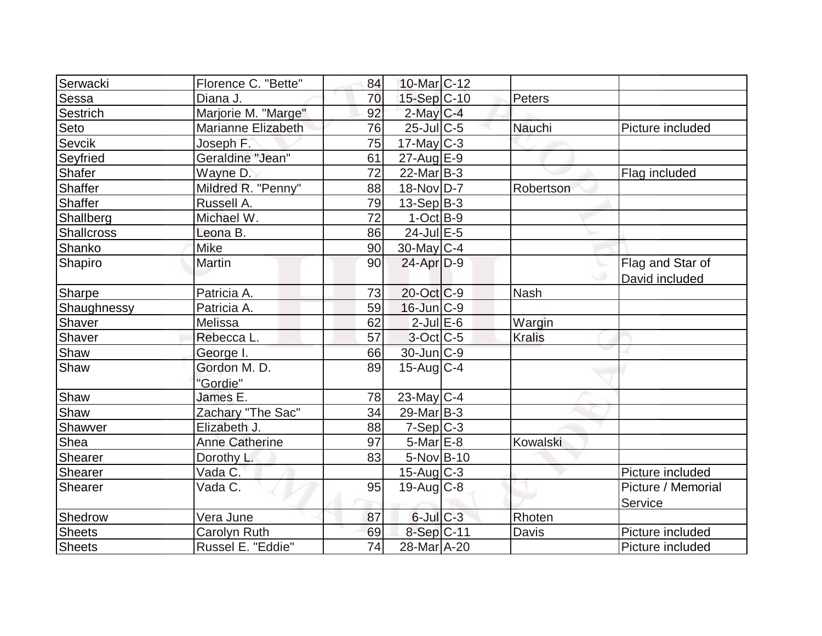| Serwacki          | Florence C. "Bette"   | 84              | 10-Mar <sub>IC</sub> -12 |               |                    |
|-------------------|-----------------------|-----------------|--------------------------|---------------|--------------------|
| Sessa             | Diana J.              | 70              | 15-Sep C-10              | Peters        |                    |
| Sestrich          | Marjorie M. "Marge"   | 92              | $2$ -May C-4             |               |                    |
| Seto              | Marianne Elizabeth    | 76              | $25$ -JulC-5             | Nauchi        | Picture included   |
| <b>Sevcik</b>     | Joseph F.             | 75              | $17$ -May C-3            |               |                    |
| Seyfried          | Geraldine "Jean"      | 61              | $27$ -Aug $E-9$          |               |                    |
| Shafer            | Wayne D.              | 72              | $22$ -Mar $B-3$          |               | Flag included      |
| Shaffer           | Mildred R. "Penny"    | 88              | 18-Nov D-7               | Robertson     |                    |
| Shaffer           | Russell A.            | 79              | $13-Sep B-3$             |               |                    |
| Shallberg         | Michael W.            | 72              | $1-Oct$ B-9              |               |                    |
| <b>Shallcross</b> | Leona B.              | 86              | $24$ -Jul $E-5$          |               |                    |
| Shanko            | Mike                  | 90              | $30$ -May C-4            |               |                    |
| Shapiro           | <b>Martin</b>         | 90              | $24$ -Apr $D-9$          |               | Flag and Star of   |
|                   |                       |                 |                          |               | David included     |
| Sharpe            | Patricia A.           | 73              | 20-Oct C-9               | <b>Nash</b>   |                    |
| Shaughnessy       | Patricia A.           | 59              | $16$ -Jun $C-9$          |               |                    |
| Shaver            | Melissa               | 62              | $2$ -Jul $E$ -6          | Wargin        |                    |
| Shaver            | Rebecca L.            | 57              | $3$ -Oct C-5             | <b>Kralis</b> |                    |
| Shaw              | George I.             | 66              | 30-Jun C-9               |               |                    |
| Shaw              | Gordon M. D.          | 89              | $15$ -Aug $C-4$          |               |                    |
|                   | "Gordie"              |                 |                          |               |                    |
| Shaw              | James E.              | 78              | $23$ -May C-4            |               |                    |
| Shaw              | Zachary "The Sac"     | 34              | $29$ -Mar $ B-3 $        |               |                    |
| Shawver           | Elizabeth J.          | 88              | $7-Sep C-3$              |               |                    |
| Shea              | <b>Anne Catherine</b> | 97              | $5$ -Mar $E$ -8          | Kowalski      |                    |
| Shearer           | Dorothy L.            | 83              | $5-Nov$ B-10             |               |                    |
| Shearer           | Vada C.               |                 | $15$ -Aug C-3            |               | Picture included   |
| Shearer           | Vada C.               | 95              | $19$ -Aug C-8            |               | Picture / Memorial |
|                   |                       |                 |                          |               | Service            |
| Shedrow           | Vera June             | 87              | $6$ -Jul $C$ -3          | Rhoten        |                    |
| <b>Sheets</b>     | Carolyn Ruth          | 69              | 8-Sep C-11               | Davis         | Picture included   |
| <b>Sheets</b>     | Russel E. "Eddie"     | $\overline{74}$ | 28-Mar A-20              |               | Picture included   |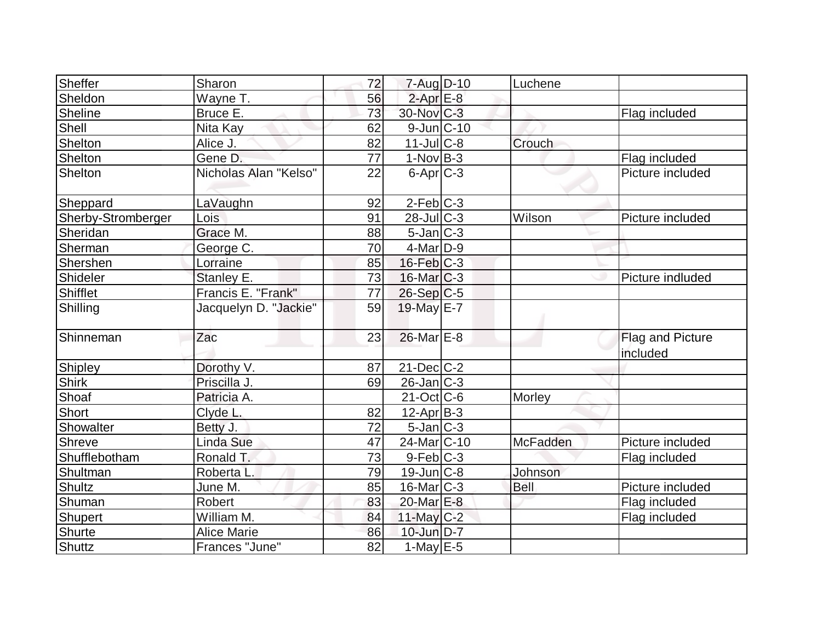| Sheffer            | Sharon                | 72 | $7 - Aug$ $D-10$       | Luchene     |                              |
|--------------------|-----------------------|----|------------------------|-------------|------------------------------|
| Sheldon            | Wayne T.              | 56 | $2$ -Apr $E-8$         |             |                              |
| Sheline            | Bruce E.              | 73 | $30$ -Nov $ C-3 $      |             | Flag included                |
| Shell              | Nita Kay              | 62 | $9$ -Jun $ C-10$       |             |                              |
| Shelton            | Alice J.              | 82 | $11$ -Jul $C-8$        | Crouch      |                              |
| Shelton            | Gene D.               | 77 | $1-NovB-3$             |             | Flag included                |
| Shelton            | Nicholas Alan "Kelso" | 22 | $6$ -Apr $C$ -3        |             | Picture included             |
| Sheppard           | LaVaughn              | 92 | $2-Feb$ C-3            |             |                              |
| Sherby-Stromberger | Lois                  | 91 | $28$ -JulC-3           | Wilson      | Picture included             |
| Sheridan           | Grace M.              | 88 | $5$ -Jan $ C-3 $       |             |                              |
| Sherman            | George C.             | 70 | $4$ -Mar $D-9$         |             |                              |
| Shershen           | Lorraine              | 85 | $16$ -Feb $C-3$        |             |                              |
| Shideler           | Stanley E.            | 73 | $16$ -Mar $C-3$        |             | Picture indluded             |
| Shifflet           | Francis E. "Frank"    | 77 | $26-Sep C-5$           |             |                              |
| Shilling           | Jacquelyn D. "Jackie" | 59 | 19-May E-7             |             |                              |
| Shinneman          | Zac                   | 23 | 26-Mar E-8             |             | Flag and Picture<br>included |
| Shipley            | Dorothy V.            | 87 | $21$ -Dec $C-2$        |             |                              |
| <b>Shirk</b>       | Priscilla J.          | 69 | $26$ -Jan $ C-3 $      |             |                              |
| <b>Shoaf</b>       | Patricia A.           |    | $21-Oct$ $C-6$         | Morley      |                              |
| Short              | Clyde L.              | 82 | $12$ -Apr $ B-3 $      |             |                              |
| Showalter          | Betty J.              | 72 | $5$ -Jan $ C-3 $       |             |                              |
| Shreve             | <b>Linda Sue</b>      | 47 | 24-Mar <sub>C-10</sub> | McFadden    | Picture included             |
| Shufflebotham      | Ronald T.             | 73 | $9-Feb$ $C-3$          |             | Flag included                |
| Shultman           | Roberta L.            | 79 | $19$ -Jun $ C-8$       | Johnson     |                              |
| <b>Shultz</b>      | June M.               | 85 | $16$ -Mar $ C-3 $      | <b>Bell</b> | Picture included             |
| Shuman             | Robert                | 83 | 20-Mar E-8             |             | Flag included                |
| <b>Shupert</b>     | William M.            | 84 | $11$ -May C-2          |             | Flag included                |
| <b>Shurte</b>      | <b>Alice Marie</b>    | 86 | 10-Jun D-7             |             |                              |
| <b>Shuttz</b>      | Frances "June"        | 82 | $1-May$ $E-5$          |             |                              |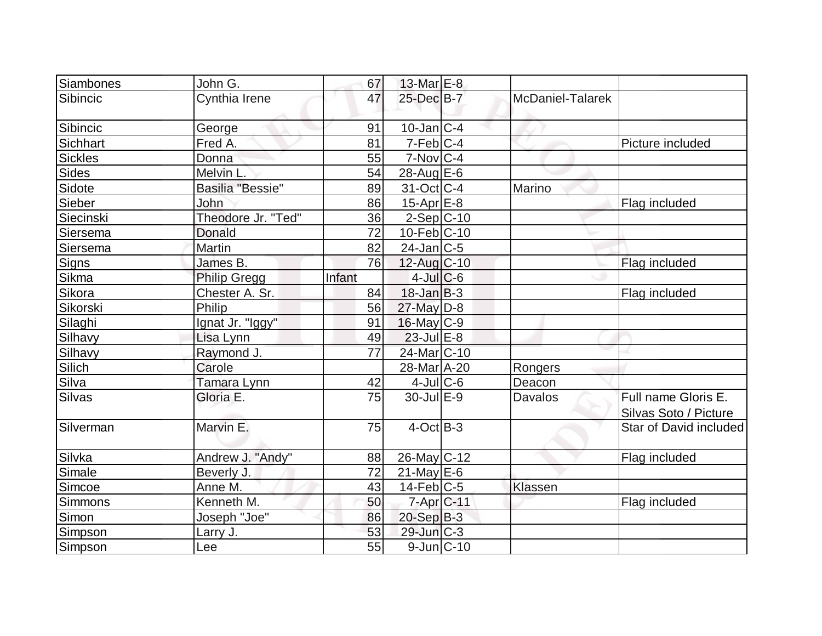| Siambones      | John G.             | 67     | 13-Mar $E-8$      |                  |                                              |
|----------------|---------------------|--------|-------------------|------------------|----------------------------------------------|
| Sibincic       | Cynthia Irene       | 47     | 25-Dec B-7        | McDaniel-Talarek |                                              |
| Sibincic       | George              | 91     | $10$ -Jan $ C-4 $ |                  |                                              |
| Sichhart       | Fred A.             | 81     | $7$ -Feb $ C-4 $  |                  | Picture included                             |
| <b>Sickles</b> | Donna               | 55     | $7-Nov$ $C-4$     |                  |                                              |
| <b>Sides</b>   | Melvin L.           | 54     | $28$ -Aug $E$ -6  |                  |                                              |
| Sidote         | Basilia "Bessie"    | 89     | $31-Oct$ $C-4$    | Marino           |                                              |
| Sieber         | John                | 86     | $15$ -Apr $E$ -8  |                  | Flag included                                |
| Siecinski      | Theodore Jr. "Ted"  | 36     | $2-Sep C-10$      |                  |                                              |
| Siersema       | <b>Donald</b>       | 72     | $10$ -Feb $ C-10$ |                  |                                              |
| Siersema       | <b>Martin</b>       | 82     | $24$ -Jan $ C-5 $ |                  |                                              |
| Signs          | James B.            | 76     | $12$ -Aug C-10    |                  | Flag included                                |
| Sikma          | <b>Philip Gregg</b> | Infant | $4$ -Jul $C$ -6   |                  |                                              |
| Sikora         | Chester A. Sr.      | 84     | $18$ -Jan $ B-3 $ |                  | Flag included                                |
| Sikorski       | Philip              | 56     | 27-May D-8        |                  |                                              |
| Silaghi        | Ignat Jr. "Iggy"    | 91     | $16$ -May $ C-9 $ |                  |                                              |
| Silhavy        | Lisa Lynn           | 49     | $23$ -Jul $E-8$   |                  |                                              |
| Silhavy        | Raymond J.          | 77     | 24-Mar C-10       |                  |                                              |
| Silich         | Carole              |        | 28-Mar A-20       | Rongers          |                                              |
| Silva          | Tamara Lynn         | 42     | $4$ -JulC-6       | Deacon           |                                              |
| Silvas         | Gloria E.           | 75     | $30$ -Jul $E-9$   | <b>Davalos</b>   | Full name Gloris E.<br>Silvas Soto / Picture |
| Silverman      | Marvin E.           | 75     | $4$ -Oct B-3      |                  | Star of David included                       |
| Silvka         | Andrew J. "Andy"    | 88     | $26$ -May C-12    |                  | Flag included                                |
| Simale         | Beverly J.          | 72     | $21$ -May E-6     |                  |                                              |
| Simcoe         | Anne M.             | 43     | $14$ -Feb $ C-5 $ | Klassen          |                                              |
| Simmons        | Kenneth M.          | 50     | $7$ -Apr $ C$ -11 |                  | Flag included                                |
| Simon          | Joseph "Joe"        | 86     | $20-Sep B-3$      |                  |                                              |
| Simpson        | Larry J.            | 53     | $29$ -Jun $C-3$   |                  |                                              |
| Simpson        | Lee                 | 55     | $9$ -Jun $ C-10$  |                  |                                              |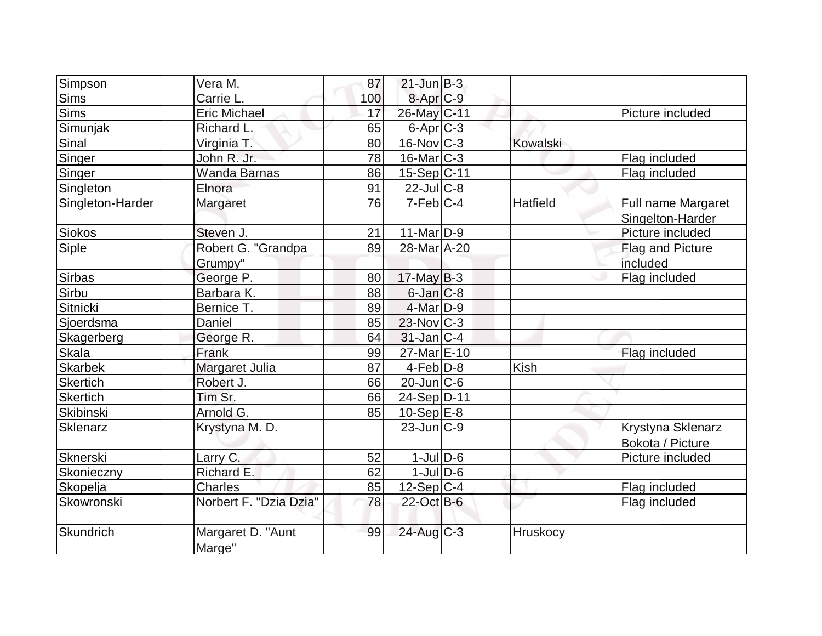| Simpson          | Vera M.                       | 87  | $21$ -Jun $B-3$      |                 |                                        |
|------------------|-------------------------------|-----|----------------------|-----------------|----------------------------------------|
| Sims             | Carrie L.                     | 100 | 8-Apr <sub>C-9</sub> |                 |                                        |
| <b>Sims</b>      | <b>Eric Michael</b>           | 17  | 26-May C-11          |                 | Picture included                       |
| Simunjak         | Richard L.                    | 65  | 6-Apr <sub>C-3</sub> |                 |                                        |
| Sinal            | Virginia T.                   | 80  | $16$ -Nov $C-3$      | Kowalski        |                                        |
| Singer           | John R. Jr.                   | 78  | $16$ -Mar $C-3$      |                 | Flag included                          |
| Singer           | <b>Wanda Barnas</b>           | 86  | $15-Sep C-11$        |                 | Flag included                          |
| Singleton        | Elnora                        | 91  | $22$ -JulC-8         |                 |                                        |
| Singleton-Harder | Margaret                      | 76  | $7$ -Feb $ C-4 $     | <b>Hatfield</b> | Full name Margaret<br>Singelton-Harder |
| Siokos           | Steven J.                     | 21  | $11$ -Mar $ D-9 $    |                 | Picture included                       |
| Siple            | Robert G. "Grandpa<br>Grumpy" | 89  | 28-Mar A-20          |                 | Flag and Picture<br>included           |
| Sirbas           | George P.                     | 80  | $17$ -May B-3        |                 | Flag included                          |
| Sirbu            | Barbara K.                    | 88  | $6$ -Jan $C$ -8      |                 |                                        |
| Sitnicki         | Bernice T.                    | 89  | 4-Mar D-9            |                 |                                        |
| Sjoerdsma        | Daniel                        | 85  | $23$ -Nov $ C-3 $    |                 |                                        |
| Skagerberg       | George R.                     | 64  | $31$ -Jan $ C-4$     |                 |                                        |
| Skala            | Frank                         | 99  | 27-Mar E-10          |                 | Flag included                          |
| <b>Skarbek</b>   | Margaret Julia                | 87  | $4$ -Feb $D-8$       | <b>Kish</b>     |                                        |
| <b>Skertich</b>  | Robert J.                     | 66  | $20$ -Jun $ C$ -6    |                 |                                        |
| Skertich         | Tim Sr.                       | 66  | 24-Sep D-11          |                 |                                        |
| <b>Skibinski</b> | Arnold G.                     | 85  | $10-Sep$ $E-8$       |                 |                                        |
| Sklenarz         | Krystyna M. D.                |     | $23$ -Jun $ C-9$     |                 | Krystyna Sklenarz<br>Bokota / Picture  |
| <b>Sknerski</b>  | Larry C.                      | 52  | $1$ -Jul $D-6$       |                 | Picture included                       |
| Skonieczny       | Richard E.                    | 62  | $1$ -Jul $D$ -6      |                 |                                        |
| Skopelja         | <b>Charles</b>                | 85  | $12-Sep C-4$         |                 | Flag included                          |
| Skowronski       | Norbert F. "Dzia Dzia"        | 78  | 22-Oct B-6           |                 | Flag included                          |
| Skundrich        | Margaret D. "Aunt<br>Marge"   | 99  | 24-Aug C-3           | <b>Hruskocy</b> |                                        |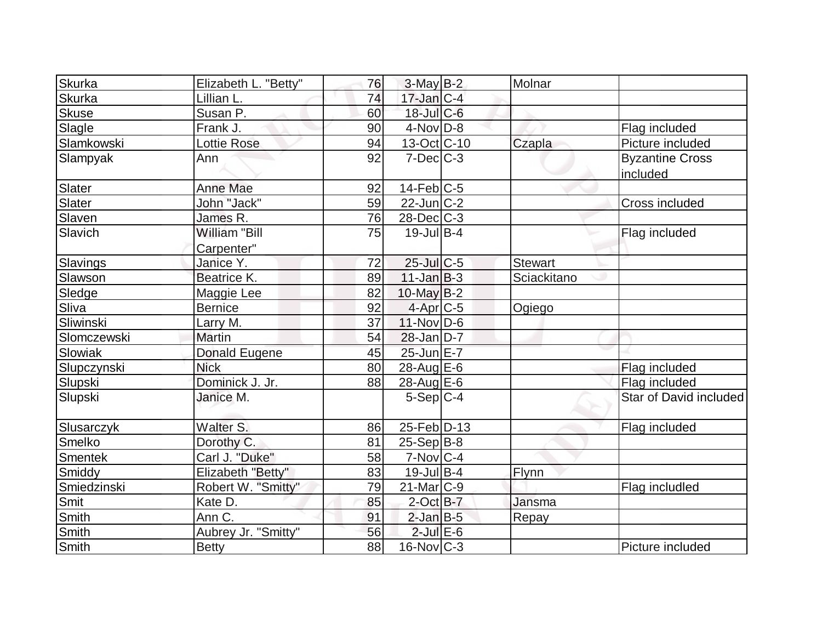| Skurka        | Elizabeth L. "Betty"               | 76 | $3$ -May $B-2$    | Molnar         |                                    |
|---------------|------------------------------------|----|-------------------|----------------|------------------------------------|
| <b>Skurka</b> | Lillian L.                         | 74 | $17$ -Jan $ C-4 $ |                |                                    |
| <b>Skuse</b>  | Susan P.                           | 60 | 18-Jul C-6        |                |                                    |
| Slagle        | Frank J.                           | 90 | $4$ -Nov $D-8$    |                | Flag included                      |
| Slamkowski    | <b>Lottie Rose</b>                 | 94 | 13-Oct C-10       | Czapla         | Picture included                   |
| Slampyak      | Ann                                | 92 | $7$ -Dec $C$ -3   |                | <b>Byzantine Cross</b><br>included |
| Slater        | <b>Anne Mae</b>                    | 92 | $14$ -Feb $ C$ -5 |                |                                    |
| Slater        | John "Jack"                        | 59 | $22$ -Jun $C-2$   |                | Cross included                     |
| Slaven        | James R.                           | 76 | 28-Dec C-3        |                |                                    |
| Slavich       | <b>William "Bill</b><br>Carpenter" | 75 | $19$ -Jul B-4     |                | Flag included                      |
| Slavings      | Janice Y.                          | 72 | 25-Jul C-5        | <b>Stewart</b> |                                    |
| Slawson       | Beatrice K.                        | 89 | $11$ -Jan $B-3$   | Sciackitano    |                                    |
| Sledge        | Maggie Lee                         | 82 | $10$ -May B-2     |                |                                    |
| Sliva         | <b>Bernice</b>                     | 92 | 4-Apr C-5         | Ogiego         |                                    |
| Sliwinski     | Larry M.                           | 37 | $11$ -Nov $ D-6$  |                |                                    |
| Slomczewski   | <b>Martin</b>                      | 54 | $28$ -Jan $D-7$   |                |                                    |
| Slowiak       | Donald Eugene                      | 45 | $25$ -Jun $E-7$   |                |                                    |
| Slupczynski   | <b>Nick</b>                        | 80 | 28-Aug $E-6$      |                | Flag included                      |
| Slupski       | Dominick J. Jr.                    | 88 | 28-Aug E-6        |                | Flag included                      |
| Slupski       | Janice M.                          |    | $5-Sep C-4$       |                | Star of David included             |
| Slusarczyk    | Walter S.                          | 86 | 25-Feb D-13       |                | Flag included                      |
| Smelko        | Dorothy C.                         | 81 | $25-Sep B-8$      |                |                                    |
| Smentek       | Carl J. "Duke"                     | 58 | $7-Nov C-4$       |                |                                    |
| Smiddy        | Elizabeth "Betty"                  | 83 | $19$ -Jul B-4     | Flynn          |                                    |
| Smiedzinski   | Robert W. "Smitty"                 | 79 | 21-Mar C-9        |                | Flag includled                     |
| Smit          | Kate D.                            | 85 | $2$ -Oct B-7      | Jansma         |                                    |
| <b>Smith</b>  | Ann C.                             | 91 | $2$ -Jan $B$ -5   | Repay          |                                    |
| Smith         | Aubrey Jr. "Smitty"                | 56 | $2$ -Jul $E$ -6   |                |                                    |
| <b>Smith</b>  | <b>Betty</b>                       | 88 | $16$ -Nov $ C-3 $ |                | Picture included                   |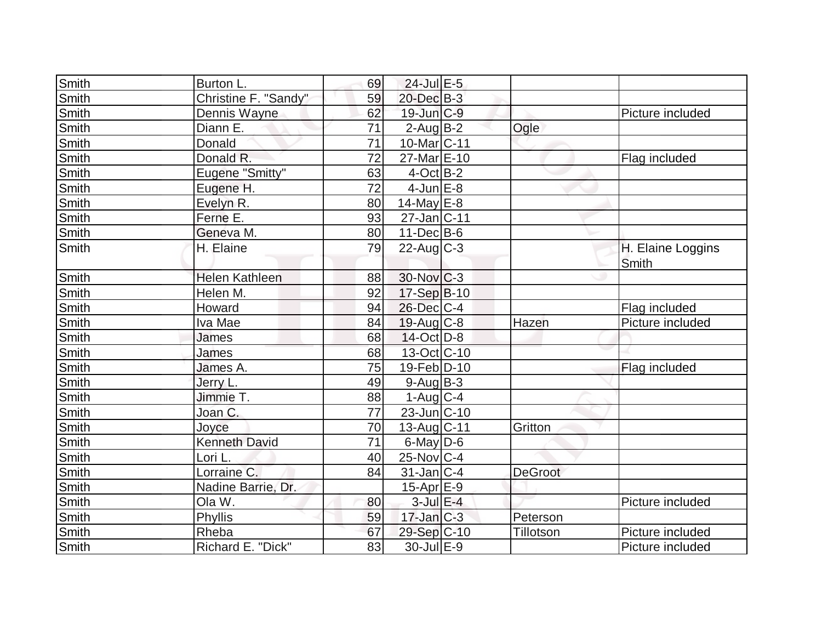| Smith        | Burton L.            | 69              | $24$ -Jul $E-5$        |                  |                   |
|--------------|----------------------|-----------------|------------------------|------------------|-------------------|
| Smith        | Christine F. "Sandy" | 59              | 20-Dec B-3             |                  |                   |
| Smith        | Dennis Wayne         | 62              | $19$ -Jun $ C-9 $      |                  | Picture included  |
| <b>Smith</b> | Diann E.             | 71              | $2$ -Aug $B-2$         | Ogle             |                   |
| Smith        | Donald               | 71              | 10-Mar C-11            |                  |                   |
| Smith        | Donald R.            | 72              | 27-Mar E-10            |                  | Flag included     |
| <b>Smith</b> | Eugene "Smitty"      | 63              | $4$ -Oct B-2           |                  |                   |
| Smith        | Eugene H.            | $\overline{72}$ | $4$ -Jun $E-8$         |                  |                   |
| Smith        | Evelyn R.            | 80              | 14-May $E-8$           |                  |                   |
| Smith        | Ferne E.             | 93              | $27$ -Jan $ C-11$      |                  |                   |
| Smith        | Geneva M.            | 80              | $11$ -Dec B-6          |                  |                   |
| Smith        | H. Elaine            | 79              | $22$ -Aug $C-3$        |                  | H. Elaine Loggins |
|              |                      |                 |                        |                  | Smith             |
| <b>Smith</b> | Helen Kathleen       | 88              | 30-Nov C-3             |                  |                   |
| Smith        | Helen M.             | 92              | 17-Sep B-10            |                  |                   |
| Smith        | Howard               | 94              | 26-Dec C-4             |                  | Flag included     |
| Smith        | Iva Mae              | 84              | $19$ -Aug C-8          | Hazen            | Picture included  |
| Smith        | James                | 68              | $14$ -Oct $D-8$        |                  |                   |
| <b>Smith</b> | James                | 68              | 13-Oct C-10            |                  |                   |
| <b>Smith</b> | James A.             | 75              | 19-Feb D-10            |                  | Flag included     |
| Smith        | Jerry L.             | 49              | $9-Auq$ B-3            |                  |                   |
| Smith        | Jimmie T.            | 88              | $1-Aug$ <sub>C-4</sub> |                  |                   |
| Smith        | Joan C.              | 77              | 23-Jun C-10            |                  |                   |
| Smith        | Joyce                | 70              | $13$ -Aug C-11         | Gritton          |                   |
| <b>Smith</b> | <b>Kenneth David</b> | 71              | $6$ -May $D$ -6        |                  |                   |
| <b>Smith</b> | Lori L.              | 40              | $25$ -Nov $C-4$        |                  |                   |
| Smith        | Lorraine C.          | 84              | $31$ -Jan $ C-4 $      | <b>DeGroot</b>   |                   |
| Smith        | Nadine Barrie, Dr.   |                 | $15$ -Apr $E-9$        |                  |                   |
| Smith        | Ola W.               | 80              | $3$ -Jul $E-4$         |                  | Picture included  |
| Smith        | Phyllis              | 59              | $17$ -Jan $C-3$        | Peterson         |                   |
| <b>Smith</b> | Rheba                | 67              | 29-Sep C-10            | <b>Tillotson</b> | Picture included  |
| Smith        | Richard E. "Dick"    | 83              | $30 -$ Jul $E - 9$     |                  | Picture included  |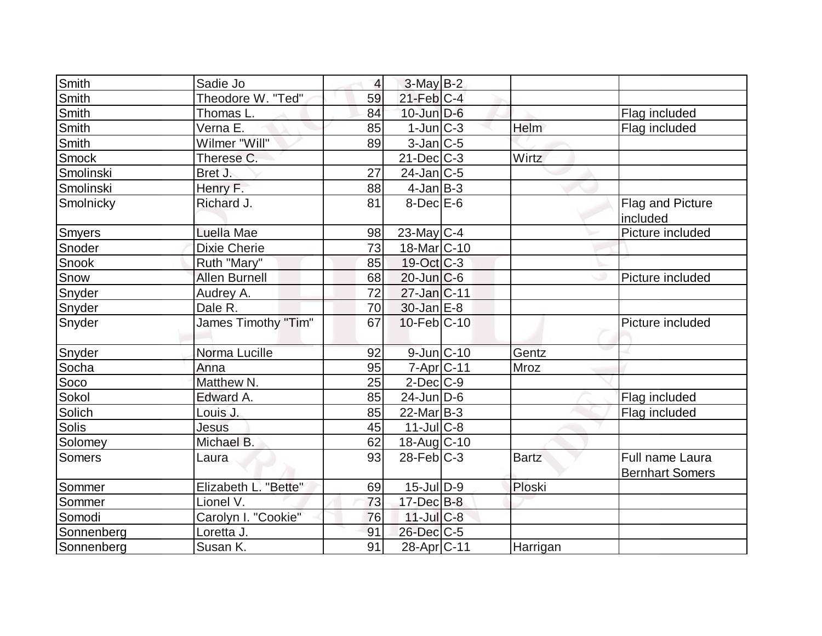| <b>Smith</b>  | Sadie Jo             | $\overline{4}$ | $3-May$ B-2       |              |                                           |
|---------------|----------------------|----------------|-------------------|--------------|-------------------------------------------|
| <b>Smith</b>  | Theodore W. "Ted"    | 59             | $21$ -Feb $ C-4 $ |              |                                           |
| Smith         | Thomas L.            | 84             | $10$ -Jun $D-6$   |              | Flag included                             |
| Smith         | Verna E.             | 85             | $1$ -Jun $ C-3 $  | Helm         | Flag included                             |
| <b>Smith</b>  | Wilmer "Will"        | 89             | $3$ -Jan $ C-5 $  |              |                                           |
| <b>Smock</b>  | Therese C.           |                | $21$ -Dec $ C-3 $ | Wirtz        |                                           |
| Smolinski     | Bret J.              | 27             | $24$ -Jan $ C-5 $ |              |                                           |
| Smolinski     | Henry F.             | 88             | $4$ -Jan $B-3$    |              |                                           |
| Smolnicky     | Richard J.           | 81             | $8$ -Dec $E$ -6   |              | Flag and Picture<br>included              |
| <b>Smyers</b> | Luella Mae           | 98             | $23$ -May C-4     |              | Picture included                          |
| Snoder        | <b>Dixie Cherie</b>  | 73             | $18$ -Mar $ C-10$ |              |                                           |
| Snook         | Ruth "Mary"          | 85             | 19-Oct C-3        |              |                                           |
| Snow          | <b>Allen Burnell</b> | 68             | $20$ -Jun $C$ -6  |              | Picture included                          |
| Snyder        | Audrey A.            | 72             | 27-Jan C-11       |              |                                           |
| Snyder        | Dale R.              | 70             | $30$ -Jan $E-8$   |              |                                           |
| Snyder        | James Timothy "Tim"  | 67             | $10$ -Feb $ C-10$ |              | Picture included                          |
| Snyder        | Norma Lucille        | 92             | $9$ -Jun $C$ -10  | Gentz        |                                           |
| Socha         | Anna                 | 95             | $7 - Apr$ $C-11$  | <b>Mroz</b>  |                                           |
| Soco          | Matthew N.           | 25             | $2$ -Dec $C-9$    |              |                                           |
| Sokol         | Edward A.            | 85             | $24$ -Jun $D-6$   |              | Flag included                             |
| Solich        | Louis J.             | 85             | $22$ -Mar $ B-3 $ |              | Flag included                             |
| Solis         | <b>Jesus</b>         | 45             | $11$ -JulC-8      |              |                                           |
| Solomey       | Michael B.           | 62             | 18-Aug C-10       |              |                                           |
| <b>Somers</b> | Laura                | 93             | $28$ -Feb $ C-3 $ | <b>Bartz</b> | Full name Laura<br><b>Bernhart Somers</b> |
| Sommer        | Elizabeth L. "Bette" | 69             | $15$ -JulD-9      | Ploski       |                                           |
| Sommer        | Lionel V.            | 73             | $17 - Dec$ B-8    |              |                                           |
| Somodi        | Carolyn I. "Cookie"  | 76             | $11$ -Jul C-8     |              |                                           |
| Sonnenberg    | Loretta J.           | 91             | $26$ -Dec $C$ -5  |              |                                           |
| Sonnenberg    | Susan K.             | 91             | 28-Apr C-11       | Harrigan     |                                           |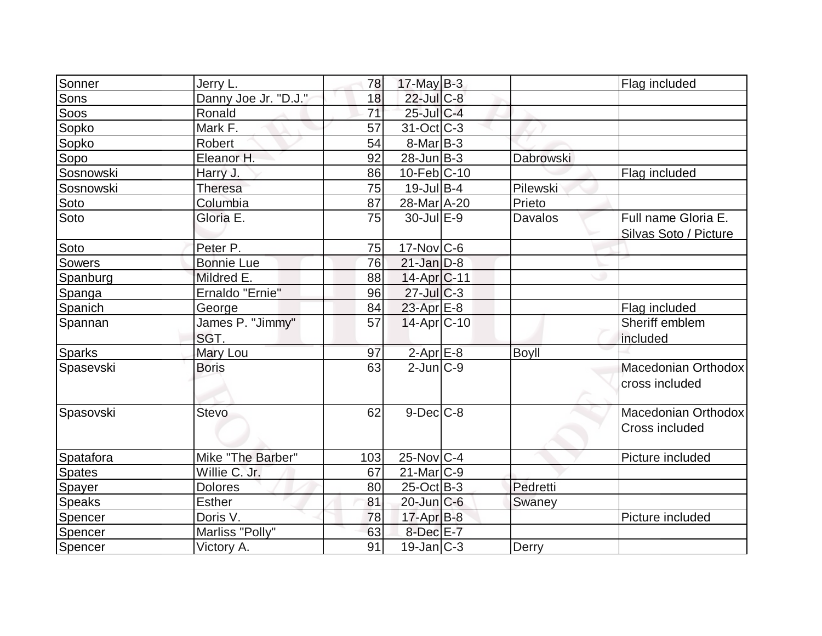| Sonner        | Jerry L.                 | 78              | $17$ -May B-3     |              | Flag included                         |
|---------------|--------------------------|-----------------|-------------------|--------------|---------------------------------------|
| Sons          | Danny Joe Jr. "D.J."     | 18              | $22$ -Jul $C-8$   |              |                                       |
| Soos          | Ronald                   | $\overline{71}$ | $25$ -Jul $C-4$   |              |                                       |
| Sopko         | Mark F.                  | 57              | $31-Oct$ $C-3$    |              |                                       |
| Sopko         | Robert                   | 54              | $8$ -Mar $ B-3 $  |              |                                       |
| Sopo          | Eleanor H.               | 92              | $28$ -Jun $ B-3 $ | Dabrowski    |                                       |
| Sosnowski     | Harry J.                 | 86              | $10$ -Feb $ C-10$ |              | Flag included                         |
| Sosnowski     | <b>Theresa</b>           | 75              | $19$ -Jul B-4     | Pilewski     |                                       |
| Soto          | Columbia                 | 87              | 28-Mar A-20       | Prieto       |                                       |
| Soto          | Gloria E.                | 75              | $30$ -Jul $E-9$   | Davalos      | Full name Gloria E.                   |
|               |                          |                 |                   |              | Silvas Soto / Picture                 |
| Soto          | Peter P.                 | 75              | $17$ -Nov $ C$ -6 |              |                                       |
| <b>Sowers</b> | <b>Bonnie Lue</b>        | 76              | $21$ -Jan $D-8$   |              |                                       |
| Spanburg      | Mildred E.               | 88              | $14$ -Apr $C-11$  |              |                                       |
| Spanga        | Ernaldo "Ernie"          | 96              | $27$ -Jul C-3     |              |                                       |
| Spanich       | George                   | 84              | $23$ -Apr $E-8$   |              | Flag included                         |
| Spannan       | James P. "Jimmy"<br>SGT. | 57              | $14$ -Apr $ C-10$ |              | Sheriff emblem<br>included            |
| <b>Sparks</b> | Mary Lou                 | 97              | $2$ -Apr $E-8$    | <b>Boyll</b> |                                       |
| Spasevski     | <b>Boris</b>             | 63              | $2$ -Jun $C-9$    |              | Macedonian Orthodox<br>cross included |
| Spasovski     | <b>Stevo</b>             | 62              | $9$ -Dec $C$ -8   |              | Macedonian Orthodox<br>Cross included |
| Spatafora     | Mike "The Barber"        | 103             | $25$ -Nov $C-4$   |              | Picture included                      |
| <b>Spates</b> | Willie C. Jr.            | 67              | $21$ -Mar $ C-9 $ |              |                                       |
| Spayer        | <b>Dolores</b>           | 80              | $25$ -Oct B-3     | Pedretti     |                                       |
| <b>Speaks</b> | <b>Esther</b>            | 81              | $20$ -Jun $C$ -6  | Swaney       |                                       |
| Spencer       | Doris V.                 | 78              | $17$ -Apr $B-8$   |              | Picture included                      |
| Spencer       | Marliss "Polly"          | 63              | 8-Dec E-7         |              |                                       |
| Spencer       | Victory A.               | 91              | $19$ -Jan $ C-3 $ | Derry        |                                       |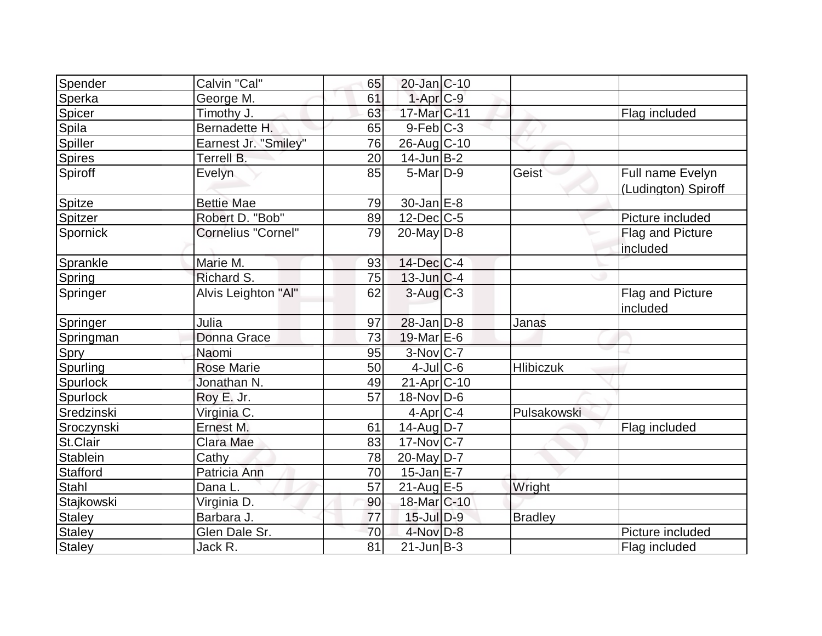| Spender         | Calvin "Cal"         | 65              | $20$ -Jan $ C-10$        |                  |                                         |
|-----------------|----------------------|-----------------|--------------------------|------------------|-----------------------------------------|
| Sperka          | George M.            | 61              | $1-Apr$ $C-9$            |                  |                                         |
| Spicer          | Timothy J.           | 63              | 17-Mar C-11              |                  | Flag included                           |
| Spila           | Bernadette H.        | 65              | $9$ -Feb $ C-3 $         |                  |                                         |
| Spiller         | Earnest Jr. "Smiley" | 76              | 26-Aug C-10              |                  |                                         |
| <b>Spires</b>   | Terrell B.           | 20              | $14$ -Jun $B-2$          |                  |                                         |
| Spiroff         | <b>Evelyn</b>        | 85              | $5$ -Mar $D-9$           | Geist            | Full name Evelyn<br>(Ludington) Spiroff |
| Spitze          | <b>Bettie Mae</b>    | 79              | $30$ -Jan $E-8$          |                  |                                         |
| Spitzer         | Robert D. "Bob"      | 89              | $12$ -Dec $ C-5 $        |                  | Picture included                        |
| Spornick        | Cornelius "Cornel"   | 79              | $20$ -May D-8            |                  | Flag and Picture<br>included            |
| Sprankle        | Marie M.             | 93              | $14$ -Dec $ C-4 $        |                  |                                         |
| Spring          | Richard S.           | 75              | $13$ -Jun $ C-4 $        |                  |                                         |
| Springer        | Alvis Leighton "Al"  | 62              | $3$ -Aug $C-3$           |                  | Flag and Picture<br>included            |
| Springer        | Julia                | 97              | $28$ -Jan $D-8$          | Janas            |                                         |
| Springman       | Donna Grace          | 73              | $19$ -Mar $E$ -6         |                  |                                         |
| Spry            | Naomi                | 95              | 3-Nov C-7                |                  |                                         |
| Spurling        | <b>Rose Marie</b>    | 50              | $4$ -Jul $C$ -6          | <b>Hlibiczuk</b> |                                         |
| Spurlock        | Jonathan N.          | 49              | $21-Apr$ <sub>C-10</sub> |                  |                                         |
| Spurlock        | Roy E. Jr.           | 57              | $18-Nov D-6$             |                  |                                         |
| Sredzinski      | Virginia C.          |                 | $4$ -Apr $C$ -4          | Pulsakowski      |                                         |
| Sroczynski      | Ernest M.            | 61              | $14$ -Aug D-7            |                  | Flag included                           |
| St.Clair        | Clara Mae            | 83              | $17$ -Nov $ C-7 $        |                  |                                         |
| Stablein        | Cathy                | 78              | 20-May D-7               |                  |                                         |
| <b>Stafford</b> | Patricia Ann         | 70              | $15$ -Jan $E-7$          |                  |                                         |
| <b>Stahl</b>    | Dana L.              | 57              | $21$ -Aug $E-5$          | Wright           |                                         |
| Stajkowski      | Virginia D.          | 90              | 18-Mar C-10              |                  |                                         |
| <b>Staley</b>   | Barbara J.           | 77              | $15$ -Jul $D-9$          | <b>Bradley</b>   |                                         |
| Staley          | Glen Dale Sr.        | 70              | 4-Nov D-8                |                  | Picture included                        |
| <b>Staley</b>   | Jack R.              | $\overline{81}$ | $21$ -Jun $B-3$          |                  | Flag included                           |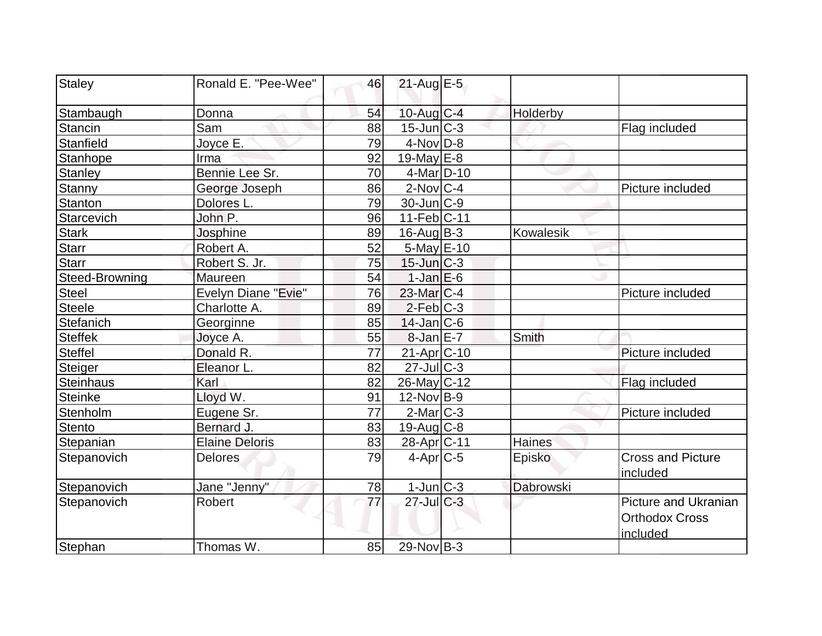| Staley                | Ronald E. "Pee-Wee"   | 46        | $21$ -Aug E-5               |           |                                                                  |
|-----------------------|-----------------------|-----------|-----------------------------|-----------|------------------------------------------------------------------|
| Stambaugh             | Donna                 | 54        | $10$ -Aug $C-4$             | Holderby  |                                                                  |
| <b>Stancin</b>        | Sam                   | 88        | $15$ -Jun $\overline{C}$ -3 |           | Flag included                                                    |
| Stanfield             | Joyce E.              | 79        | $4$ -Nov $D-8$              |           |                                                                  |
| Stanhope              | Irma                  | 92        | $19$ -May $E$ -8            |           |                                                                  |
| <b>Stanley</b>        | Bennie Lee Sr.        | 70        | $4$ -Mar $ D-10$            |           |                                                                  |
| <b>Stanny</b>         | George Joseph         | 86        | $2$ -Nov $ C-4 $            |           | Picture included                                                 |
| <b>Stanton</b>        | Dolores L.            | 79        | $30$ -Jun $ C-9$            |           |                                                                  |
| Starcevich            | John P.               | 96        | $11-Feb C-11$               |           |                                                                  |
| <b>Stark</b>          | Josphine              | 89        | $16$ -Aug $B - 3$           | Kowalesik |                                                                  |
| <b>Starr</b>          | Robert A.             | 52        | $5$ -May $E$ -10            |           |                                                                  |
| <b>Starr</b>          | Robert S. Jr.         | 75        | $15$ -Jun $ C-3 $           |           |                                                                  |
| <b>Steed-Browning</b> | Maureen               | 54        | $1$ -Jan $E$ -6             |           |                                                                  |
| <b>Steel</b>          | Evelyn Diane "Evie"   | 76        | $23$ -Mar $C-4$             |           | Picture included                                                 |
| <b>Steele</b>         | Charlotte A.          | 89        | $2-Feb C-3$                 |           |                                                                  |
| Stefanich             | Georginne             | 85        | $14$ -Jan $ C-6 $           |           |                                                                  |
| <b>Steffek</b>        | Joyce A.              | 55        | $8$ -Jan $E$ -7             | Smith     |                                                                  |
| <b>Steffel</b>        | Donald R.             | 77        | $21-Apr$ $C-10$             |           | Picture included                                                 |
| Steiger               | Eleanor L.            | 82        | $27$ -JulC-3                |           |                                                                  |
| <b>Steinhaus</b>      | Karl                  | 82        | $26$ -May C-12              |           | Flag included                                                    |
| <b>Steinke</b>        | Lloyd W.              | 91        | $12$ -Nov $ B-9 $           |           |                                                                  |
| Stenholm              | Eugene Sr.            | 77        | $2$ -Mar $ C-3 $            |           | Picture included                                                 |
| <b>Stento</b>         | Bernard J.            | 83        | $19$ -Aug $C-8$             |           |                                                                  |
| Stepanian             | <b>Elaine Deloris</b> | 83        | 28-Apr <sub>IC-11</sub>     | Haines    |                                                                  |
| Stepanovich           | <b>Delores</b>        | 79        | $4$ -Apr $C$ -5             | Episko    | <b>Cross and Picture</b><br>included                             |
| Stepanovich           | Jane "Jenny"          | <u>78</u> | $1$ -Jun $C-3$              | Dabrowski |                                                                  |
| Stepanovich           | Robert                | 77        | $27$ -Jul $C-3$             |           | <b>Picture and Ukranian</b><br><b>Orthodox Cross</b><br>included |
| Stephan               | Thomas W.             | 85        | $29-Nov B-3$                |           |                                                                  |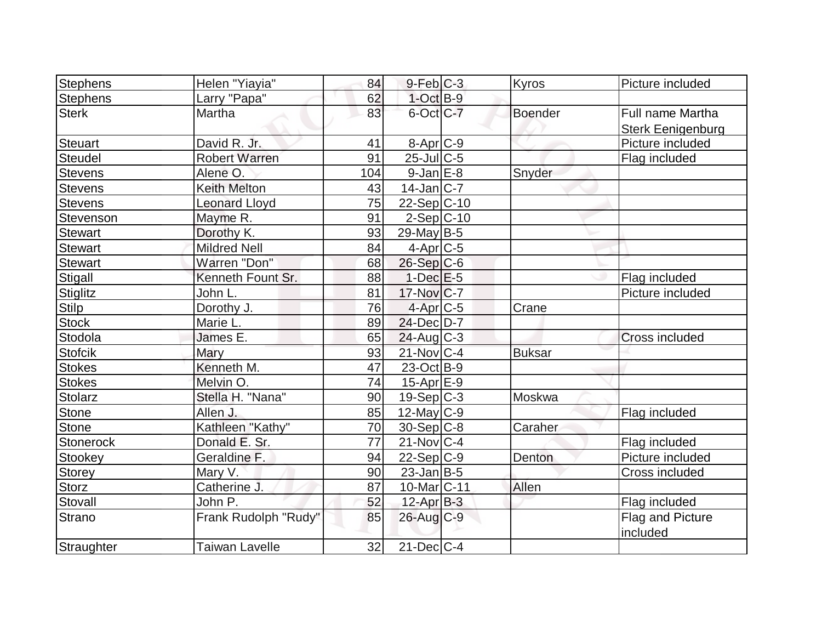| Stephens        | Helen "Yiayia"        | 84  | $9$ -Feb $C-3$           | Kyros         | Picture included         |
|-----------------|-----------------------|-----|--------------------------|---------------|--------------------------|
| <b>Stephens</b> | Larry "Papa"          | 62  | $1$ -Oct B-9             |               |                          |
| <b>Sterk</b>    | Martha                | 83  | 6-Oct C-7                | Boender       | Full name Martha         |
|                 |                       |     |                          |               | <b>Sterk Eenigenburg</b> |
| Steuart         | David R. Jr.          | 41  | $8-Apr$ $C-9$            |               | Picture included         |
| Steudel         | <b>Robert Warren</b>  | 91  | $25$ -Jul C-5            |               | Flag included            |
| <b>Stevens</b>  | Alene O               | 104 | $9$ -Jan $E-8$           | Snyder        |                          |
| <b>Stevens</b>  | <b>Keith Melton</b>   | 43  | $14$ -Jan $ C-7 $        |               |                          |
| <b>Stevens</b>  | <b>Leonard Lloyd</b>  | 75  | $22-Sep C-10$            |               |                          |
| Stevenson       | Mayme R.              | 91  | $2-Sep$ $C-10$           |               |                          |
| <b>Stewart</b>  | Dorothy K.            | 93  | $29$ -May B-5            |               |                          |
| Stewart         | <b>Mildred Nell</b>   | 84  | $4-Apr$ $C-5$            |               |                          |
| <b>Stewart</b>  | Warren "Don"          | 68  | $26$ -Sep $C$ -6         |               |                          |
| Stigall         | Kenneth Fount Sr.     | 88  | $1-Dec$ $E-5$            |               | Flag included            |
| Stiglitz        | John L.               | 81  | $17$ -Nov $ C-7 $        |               | Picture included         |
| Stilp           | Dorothy J.            | 76  | 4-Apr <sub>C-5</sub>     | Crane         |                          |
| <b>Stock</b>    | Marie L.              | 89  | 24-Dec D-7               |               |                          |
| Stodola         | James E.              | 65  | $24$ -Aug C-3            |               | Cross included           |
| <b>Stofcik</b>  | <b>Mary</b>           | 93  | $21$ -Nov $ C-4 $        | <b>Buksar</b> |                          |
| <b>Stokes</b>   | Kenneth M.            | 47  | 23-Oct B-9               |               |                          |
| <b>Stokes</b>   | Melvin O.             | 74  | $15-Apr$ $E-9$           |               |                          |
| Stolarz         | Stella H. "Nana"      | 90  | $19-Sep C-3$             | Moskwa        |                          |
| <b>Stone</b>    | Allen J.              | 85  | $12$ -May C-9            |               | Flag included            |
| Stone           | Kathleen "Kathy"      | 70  | $30-Sep C-8$             | Caraher       |                          |
| Stonerock       | Donald E. Sr.         | 77  | $21$ -Nov $ C-4$         |               | Flag included            |
| Stookey         | Geraldine F.          | 94  | $22-Sep C-9$             | Denton        | Picture included         |
| Storey          | Mary V.               | 90  | $23$ -Jan B-5            |               | Cross included           |
| <b>Storz</b>    | Catherine J.          | 87  | 10-Mar <sub>IC</sub> -11 | Allen         |                          |
| Stovall         | John P.               | 52  | $12$ -Apr $B-3$          |               | Flag included            |
| Strano          | Frank Rudolph "Rudy"  | 85  | $26$ -Aug $C-9$          |               | Flag and Picture         |
|                 |                       |     |                          |               | included                 |
| Straughter      | <b>Taiwan Lavelle</b> | 32  | $21$ -Dec $ C-4 $        |               |                          |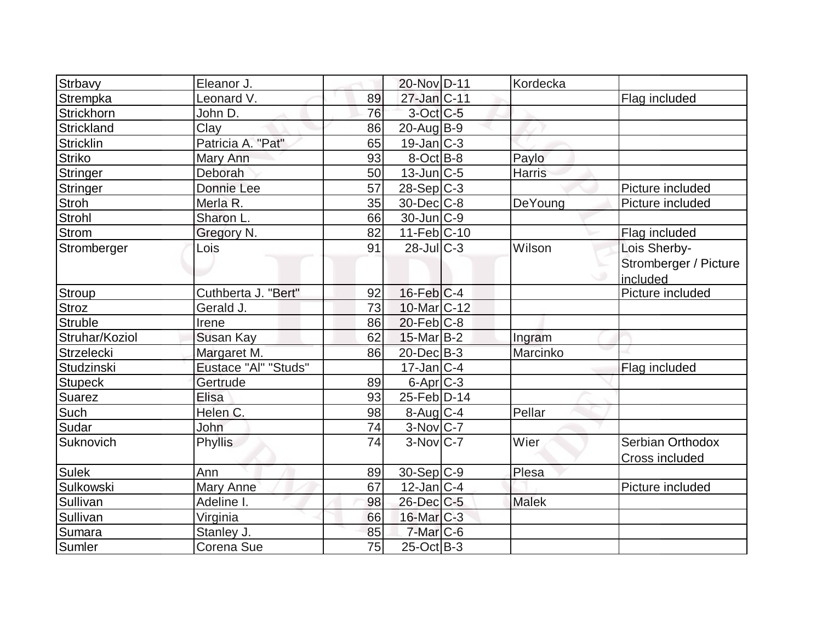| Strbavy          | Eleanor J.           |    | 20-Nov D-11            | Kordecka     |                       |
|------------------|----------------------|----|------------------------|--------------|-----------------------|
| Strempka         | Leonard V.           | 89 | 27-Jan C-11            |              | Flag included         |
| Strickhorn       | John D.              | 76 | $3$ -Oct C-5           |              |                       |
| Strickland       | Clay                 | 86 | $20$ -Aug $B-9$        |              |                       |
| Stricklin        | Patricia A. "Pat"    | 65 | $19$ -Jan $ C-3 $      |              |                       |
| <b>Striko</b>    | Mary Ann             | 93 | $8$ -Oct $B$ -8        | Paylo        |                       |
| Stringer         | Deborah              | 50 | $13$ -Jun $ C-5 $      | Harris       |                       |
| Stringer         | Donnie Lee           | 57 | $28-Sep C-3$           |              | Picture included      |
| <b>Stroh</b>     | Merla R.             | 35 | $30$ -Dec $ C-8 $      | DeYoung      | Picture included      |
| Strohl           | Sharon L.            | 66 | $30$ -Jun $ C-9 $      |              |                       |
| Strom            | Gregory N.           | 82 | $11-Feb$ C-10          |              | Flag included         |
| Stromberger      | Lois                 | 91 | $28$ -JulC-3           | Wilson       | Lois Sherby-          |
|                  |                      |    |                        |              | Stromberger / Picture |
|                  |                      |    |                        |              | included              |
| Stroup           | Cuthberta J. "Bert"  | 92 | $16$ -Feb $C-4$        |              | Picture included      |
| <b>Stroz</b>     | Gerald J.            | 73 | 10-Mar C-12            |              |                       |
| Struble          | Irene                | 86 | $20$ -Feb $ C-8$       |              |                       |
| Struhar/Koziol   | Susan Kay            | 62 | $15$ -Mar $B-2$        | Ingram       |                       |
| Strzelecki       | Margaret M.          | 86 | $20$ -Dec $B-3$        | Marcinko     |                       |
| Studzinski       | Eustace "Al" "Studs" |    | $17$ -Jan $ C-4 $      |              | Flag included         |
| <b>Stupeck</b>   | Gertrude             | 89 | $6$ -Apr $C$ -3        |              |                       |
| Suarez           | Elisa                | 93 | 25-Feb D-14            |              |                       |
| Such             | Helen C.             | 98 | $8-Aug$ <sub>C-4</sub> | Pellar       |                       |
| Sudar            | John                 | 74 | $3-Nov$ C-7            |              |                       |
| <b>Suknovich</b> | <b>Phyllis</b>       | 74 | $3-Nov$ <sub>C-7</sub> | Wier         | Serbian Orthodox      |
|                  |                      |    |                        |              | <b>Cross included</b> |
| <b>Sulek</b>     | Ann                  | 89 | $30-Sep C-9$           | Plesa        |                       |
| Sulkowski        | Mary Anne            | 67 | $12$ -Jan $ C-4 $      |              | Picture included      |
| Sullivan         | Adeline I.           | 98 | $26$ -Dec $C$ -5       | <b>Malek</b> |                       |
| Sullivan         | Virginia             | 66 | $16$ -Mar $ C-3 $      |              |                       |
| Sumara           | Stanley J.           | 85 | $7$ -Mar $ C-6$        |              |                       |
| Sumler           | Corena Sue           | 75 | $25$ -Oct B-3          |              |                       |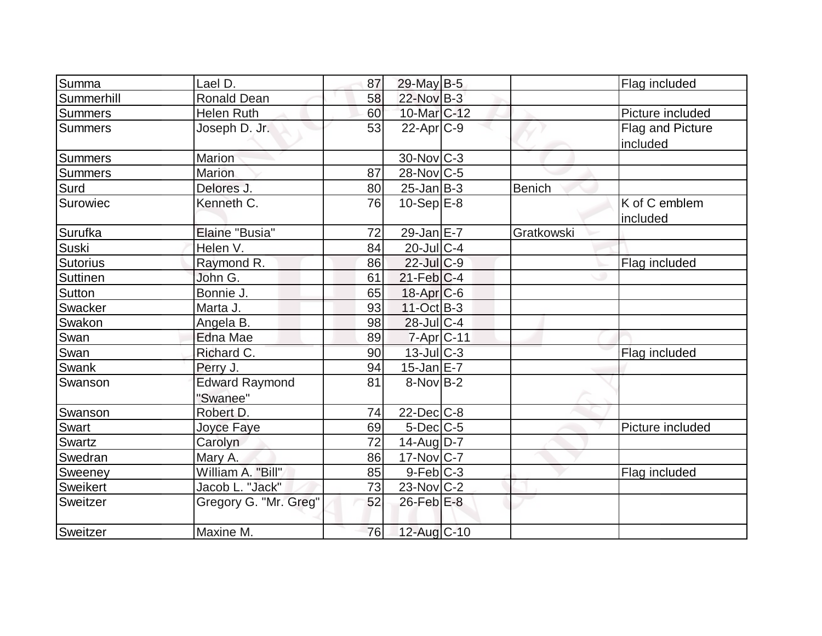| Summa           | Lael D.                           | 87 | 29-May B-5             |            | Flag included                |
|-----------------|-----------------------------------|----|------------------------|------------|------------------------------|
| Summerhill      | Ronald Dean                       | 58 | 22-Nov B-3             |            |                              |
| Summers         | <b>Helen Ruth</b>                 | 60 | 10-Mar <sub>C-12</sub> |            | Picture included             |
| <b>Summers</b>  | Joseph D. Jr.                     | 53 | $22$ -Apr $ C-9 $      |            | Flag and Picture<br>included |
| <b>Summers</b>  | Marion                            |    | 30-Nov C-3             |            |                              |
| <b>Summers</b>  | <b>Marion</b>                     | 87 | $28$ -Nov $ C-5 $      |            |                              |
| Surd            | Delores J.                        | 80 | $25$ -Jan $ B-3 $      | Benich     |                              |
| Surowiec        | Kenneth C.                        | 76 | $10-Sep$ E-8           |            | K of C emblem<br>included    |
| Surufka         | Elaine "Busia"                    | 72 | $29$ -Jan $E-7$        | Gratkowski |                              |
| Suski           | Helen V.                          | 84 | $20$ -Jul C-4          |            |                              |
| <b>Sutorius</b> | Raymond R.                        | 86 | $22$ -Jul C-9          |            | Flag included                |
| <b>Suttinen</b> | John G.                           | 61 | $21$ -Feb $ C-4$       |            |                              |
| Sutton          | Bonnie J.                         | 65 | $18$ -Apr $C$ -6       |            |                              |
| Swacker         | Marta J.                          | 93 | $11-Oct$ B-3           |            |                              |
| Swakon          | Angela B.                         | 98 | $28$ -Jul C-4          |            |                              |
| Swan            | <b>Edna Mae</b>                   | 89 | 7-Apr C-11             |            |                              |
| Swan            | Richard C.                        | 90 | $13$ -Jul $C-3$        |            | Flag included                |
| Swank           | Perry J.                          | 94 | $15$ -Jan $E$ -7       |            |                              |
| Swanson         | <b>Edward Raymond</b><br>"Swanee" | 81 | $8-Nov B-2$            |            |                              |
| Swanson         | Robert D.                         | 74 | $22$ -Dec $C$ -8       |            |                              |
| Swart           | Joyce Faye                        | 69 | $5$ -Dec $C$ -5        |            | Picture included             |
| Swartz          | Carolyn                           | 72 | 14-Aug D-7             |            |                              |
| Swedran         | Mary A.                           | 86 | 17-Nov C-7             |            |                              |
| Sweeney         | William A. "Bill"                 | 85 | $9-Feb C-3$            |            | Flag included                |
| <b>Sweikert</b> | Jacob L. "Jack"                   | 73 | $23$ -Nov $ C-2 $      |            |                              |
| Sweitzer        | Gregory G. "Mr. Greg"             | 52 | $26$ -Feb $E-8$        |            |                              |
| Sweitzer        | Maxine M.                         | 76 | 12-Aug C-10            |            |                              |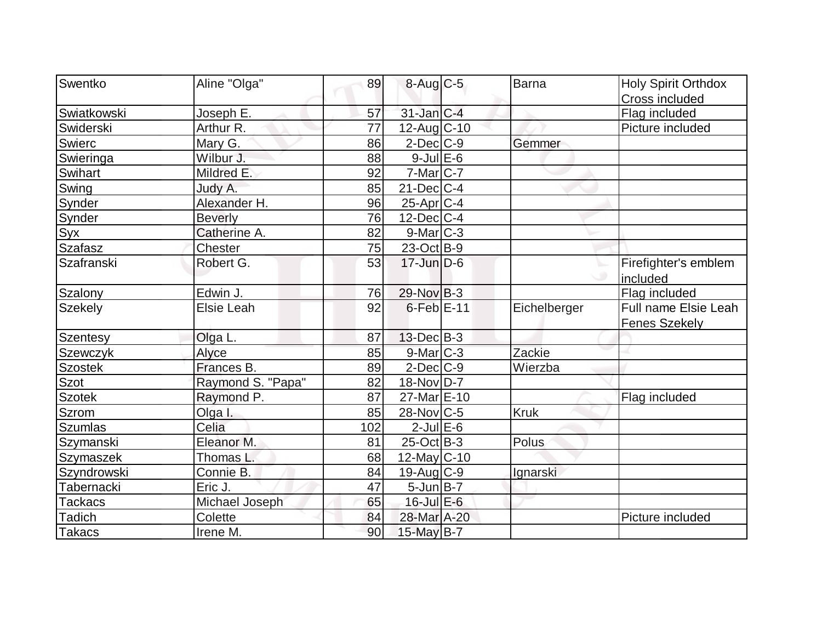| Swentko         | Aline "Olga"      | 89  |                         | Barna        |                                        |
|-----------------|-------------------|-----|-------------------------|--------------|----------------------------------------|
|                 |                   |     | 8-Aug C-5               |              | <b>Holy Spirit Orthdox</b>             |
| Swiatkowski     | Joseph E.         | 57  | $31$ -Jan $ C-4 $       |              | <b>Cross included</b><br>Flag included |
| Swiderski       | Arthur R.         | 77  | $12$ -Aug C-10          |              | Picture included                       |
| Swierc          | Mary G.           | 86  | $2$ -Dec $ C$ -9        | Gemmer       |                                        |
| Swieringa       | Wilbur J.         | 88  | $9$ -Jul $E$ -6         |              |                                        |
| <b>Swihart</b>  | Mildred E.        | 92  | $7-Mar$ $C-7$           |              |                                        |
| Swing           | Judy A.           | 85  | $21$ -Dec $ C-4 $       |              |                                        |
| Synder          | Alexander H.      | 96  | 25-Apr C-4              |              |                                        |
|                 |                   | 76  | $12$ -Dec $ C-4 $       |              |                                        |
| Synder          | <b>Beverly</b>    | 82  |                         |              |                                        |
| Syx             | Catherine A.      |     | $9$ -Mar $C-3$          |              |                                        |
| Szafasz         | Chester           | 75  | $23-Oct$ B-9            |              |                                        |
| Szafranski      | Robert G.         | 53  | $17$ -Jun $D-6$         |              | Firefighter's emblem                   |
|                 |                   |     |                         |              | included                               |
| Szalony         | Edwin J.          | 76  | 29-Nov B-3              |              | Flag included                          |
| <b>Szekely</b>  | <b>Elsie Leah</b> | 92  | $6$ -Feb $E-11$         | Eichelberger | Full name Elsie Leah                   |
|                 |                   |     |                         |              | <b>Fenes Szekely</b>                   |
| <b>Szentesy</b> | Olga L.           | 87  | $13$ -Dec $B-3$         |              |                                        |
| Szewczyk        | Alyce             | 85  | $9$ -Mar $ C-3 $        | Zackie       |                                        |
| <b>Szostek</b>  | Frances B.        | 89  | $2$ -Dec $C-9$          | Wierzba      |                                        |
| <b>Szot</b>     | Raymond S. "Papa" | 82  | 18-Nov D-7              |              |                                        |
| <b>Szotek</b>   | Raymond P.        | 87  | 27-Mar <sub>E</sub> -10 |              | Flag included                          |
| <b>Szrom</b>    | Olga I.           | 85  | $28$ -Nov $ C-5 $       | <b>Kruk</b>  |                                        |
| <b>Szumlas</b>  | Celia             | 102 | $2$ -Jul $E$ -6         |              |                                        |
| Szymanski       | Eleanor M.        | 81  | $25$ -Oct B-3           | Polus        |                                        |
| Szymaszek       | Thomas L.         | 68  | $12$ -May C-10          |              |                                        |
| Szyndrowski     | Connie B.         | 84  | $19$ -Aug C-9           | Ignarski     |                                        |
| Tabernacki      | Eric J.           | 47  | $5$ -Jun $B$ -7         |              |                                        |
| <b>Tackacs</b>  | Michael Joseph    | 65  | $16$ -Jul $E$ -6        |              |                                        |
| Tadich          | Colette           | 84  | 28-Mar A-20             |              | Picture included                       |
| Takacs          | Irene M.          | 90  | 15-May B-7              |              |                                        |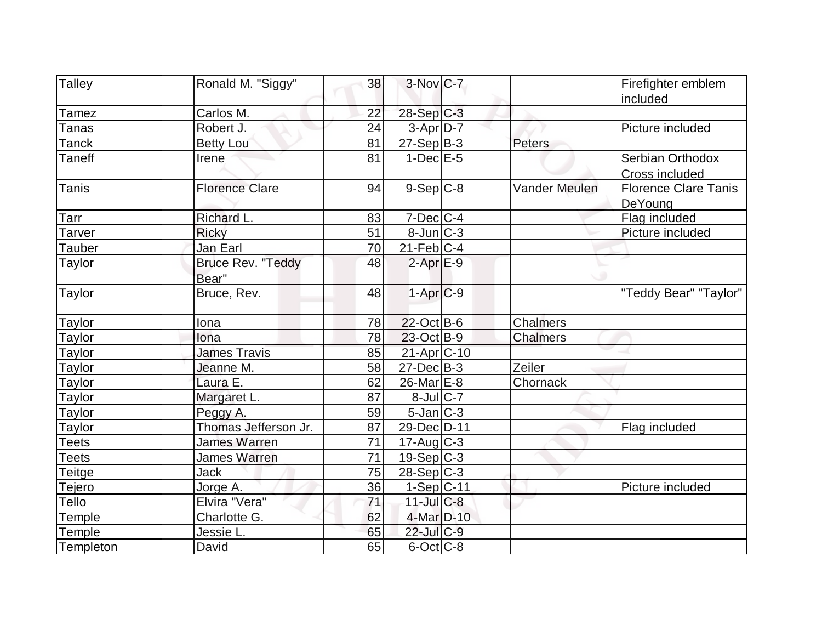| <b>Talley</b>         | Ronald M. "Siggy"     | 38 | $3-Nov$ <sub>C-7</sub>    |                      | Firefighter emblem          |
|-----------------------|-----------------------|----|---------------------------|----------------------|-----------------------------|
| Tamez                 | Carlos M.             | 22 | $28-Sep C-3$              |                      | included                    |
|                       | Robert J.             | 24 |                           |                      | Picture included            |
| Tanas<br><b>Tanck</b> |                       | 81 | 3-Apr D-7<br>$27-Sep B-3$ | Peters               |                             |
|                       | <b>Betty Lou</b>      |    |                           |                      |                             |
| <b>Taneff</b>         | Irene                 | 81 | $1-Dec$ $E-5$             |                      | Serbian Orthodox            |
|                       |                       |    |                           |                      | <b>Cross included</b>       |
| <b>Tanis</b>          | <b>Florence Clare</b> | 94 | $9-Sep C-8$               | <b>Vander Meulen</b> | <b>Florence Clare Tanis</b> |
|                       |                       |    |                           |                      | DeYoung                     |
| Tarr                  | Richard L.            | 83 | $7$ -Dec $ C-4 $          |                      | Flag included               |
| Tarver                | <b>Ricky</b>          | 51 | $8$ -Jun $ C-3 $          |                      | Picture included            |
| Tauber                | Jan Earl              | 70 | $21$ -Feb $ C-4 $         |                      |                             |
| <b>Taylor</b>         | Bruce Rev. "Teddy     | 48 | $2$ -Apr $E-9$            |                      |                             |
|                       | Bear"                 |    |                           |                      |                             |
| Taylor                | Bruce, Rev.           | 48 | $1-Apr$ $C-9$             |                      | "Teddy Bear" "Taylor"       |
|                       |                       |    |                           |                      |                             |
| <b>Taylor</b>         | Iona                  | 78 | $22$ -Oct B-6             | Chalmers             |                             |
| Taylor                | Iona                  | 78 | $23$ -Oct B-9             | Chalmers             |                             |
| <b>Taylor</b>         | <b>James Travis</b>   | 85 | 21-Apr C-10               |                      |                             |
| <b>Taylor</b>         | Jeanne M.             | 58 | $27 - Dec$ B-3            | Zeiler               |                             |
| Taylor                | Laura E.              | 62 | 26-Mar E-8                | Chornack             |                             |
| <b>Taylor</b>         | Margaret L.           | 87 | $8$ -Jul $C$ -7           |                      |                             |
| Taylor                | Peggy A.              | 59 | $5$ -Jan $C-3$            |                      |                             |
| Taylor                | Thomas Jefferson Jr.  | 87 | 29-Dec D-11               |                      | Flag included               |
| <b>Teets</b>          | <b>James Warren</b>   | 71 | $17$ -Aug C-3             |                      |                             |
| <b>Teets</b>          | <b>James Warren</b>   | 71 | 19-Sep C-3                |                      |                             |
| Teitge                | <b>Jack</b>           | 75 | $28-Sep C-3$              |                      |                             |
| Tejero                | Jorge A.              | 36 | $1-Sep C-11$              |                      | Picture included            |
| Tello                 | Elvira "Vera"         | 71 | $11$ -Jul $C-8$           |                      |                             |
| Temple                | Charlotte G.          | 62 | 4-Mar D-10                |                      |                             |
| Temple                | Jessie L.             | 65 | $22$ -Jul $C-9$           |                      |                             |
| Templeton             | David                 | 65 | $6$ -Oct $C$ -8           |                      |                             |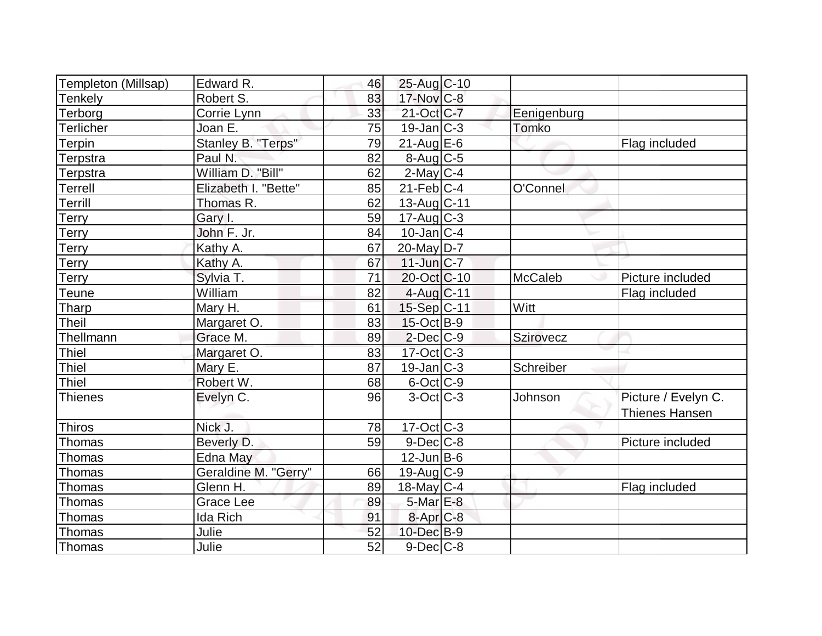| Templeton (Millsap) | Edward R.            | 46 | 25-Aug C-10            |                |                       |
|---------------------|----------------------|----|------------------------|----------------|-----------------------|
| Tenkely             | Robert S.            | 83 | $17$ -Nov $ C-8 $      |                |                       |
| Terborg             | Corrie Lynn          | 33 | $21-Oct$ $C-7$         | Eenigenburg    |                       |
| <b>Terlicher</b>    | Joan E.              | 75 | $19$ -Jan $ C-3 $      | Tomko          |                       |
| <b>Terpin</b>       | Stanley B. "Terps"   | 79 | $21$ -Aug E-6          |                | Flag included         |
| Terpstra            | Paul N.              | 82 | $8-Aug$ <sub>C-5</sub> |                |                       |
| Terpstra            | William D. "Bill"    | 62 | $2$ -May C-4           |                |                       |
| <b>Terrell</b>      | Elizabeth I. "Bette" | 85 | $21$ -Feb $ C-4 $      | O'Connel       |                       |
| Terrill             | Thomas R.            | 62 | 13-Aug C-11            |                |                       |
| Terry               | Gary I.              | 59 | $17$ -Aug C-3          |                |                       |
| Terry               | John F. Jr.          | 84 | $10$ -Jan $ C-4 $      |                |                       |
| Terry               | Kathy A.             | 67 | $20$ -May D-7          |                |                       |
| <b>Terry</b>        | Kathy A.             | 67 | $11$ -Jun $ C-7 $      |                |                       |
| Terry               | Sylvia T.            | 71 | 20-Oct C-10            | <b>McCaleb</b> | Picture included      |
| <b>Teune</b>        | William              | 82 | 4-Aug C-11             |                | Flag included         |
| Tharp               | Mary H.              | 61 | 15-Sep C-11            | Witt           |                       |
| Theil               | Margaret O.          | 83 | $15$ -Oct B-9          |                |                       |
| Thellmann           | Grace M.             | 89 | $2$ -Dec $C-9$         | Szirovecz      |                       |
| <b>Thiel</b>        | Margaret O.          | 83 | $17-Oct$ $C-3$         |                |                       |
| <b>Thiel</b>        | Mary E.              | 87 | $19$ -Jan $C-3$        | Schreiber      |                       |
| <b>Thiel</b>        | Robert W.            | 68 | $6$ -Oct $ C$ -9       |                |                       |
| <b>Thienes</b>      | Evelyn C.            | 96 | $3$ -Oct $ C-3 $       | Johnson        | Picture / Evelyn C.   |
|                     |                      |    |                        |                | <b>Thienes Hansen</b> |
| Thiros              | Nick J.              | 78 | $17-Oct$ $C-3$         |                |                       |
| Thomas              | Beverly D.           | 59 | $9$ -Dec $C$ -8        |                | Picture included      |
| Thomas              | Edna May             |    | 12-Jun B-6             |                |                       |
| Thomas              | Geraldine M. "Gerry" | 66 | $19$ -Aug $C$ -9       |                |                       |
| Thomas              | Glenn H.             | 89 | $18$ -May C-4          |                | Flag included         |
| Thomas              | Grace Lee            | 89 | $5$ -Mar $E-8$         |                |                       |
| Thomas              | Ida Rich             | 91 | 8-Apr <sub>IC-8</sub>  |                |                       |
| Thomas              | Julie                | 52 | $10$ -Dec $B-9$        |                |                       |
| Thomas              | Julie                | 52 | $9$ -Dec $C$ -8        |                |                       |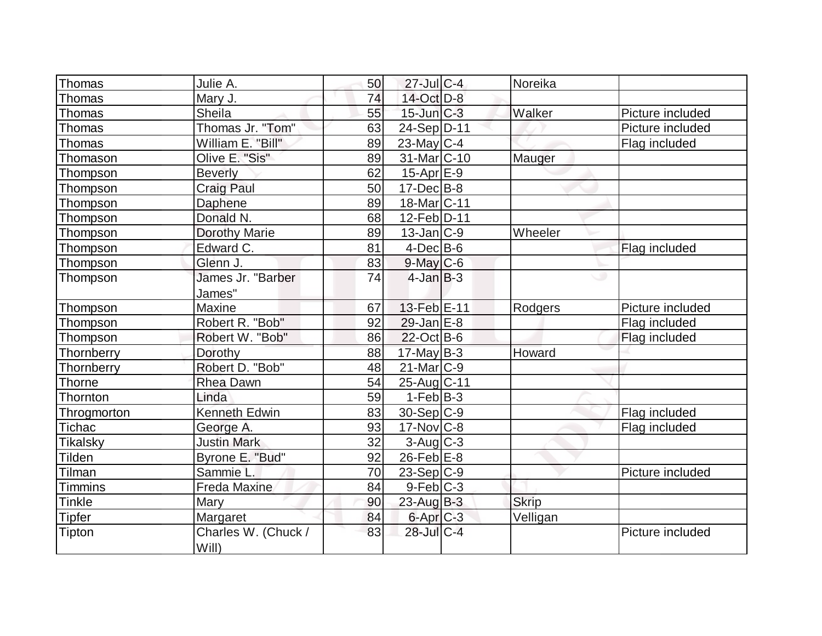| Thomas          | Julie A.                     | 50 | $27$ -Jul C-4            | Noreika      |                  |
|-----------------|------------------------------|----|--------------------------|--------------|------------------|
| Thomas          | Mary J.                      | 74 | 14-Oct D-8               |              |                  |
| Thomas          | Sheila                       | 55 | $15$ -Jun $C-3$          | Walker       | Picture included |
| Thomas          | Thomas Jr. "Tom"             | 63 | 24-Sep D-11              |              | Picture included |
| Thomas          | William E. "Bill"            | 89 | $23$ -May C-4            |              | Flag included    |
| Thomason        | Olive E. "Sis"               | 89 | 31-Mar <sub>C</sub> -10  | Mauger       |                  |
| Thompson        | <b>Beverly</b>               | 62 | $15-Apr \, E-9$          |              |                  |
| Thompson        | <b>Craig Paul</b>            | 50 | $17 - Dec$ B-8           |              |                  |
| Thompson        | Daphene                      | 89 | 18-Mar <sub>IC</sub> -11 |              |                  |
| Thompson        | Donald N.                    | 68 | 12-Feb D-11              |              |                  |
| Thompson        | <b>Dorothy Marie</b>         | 89 | $13$ -Jan $ C-9 $        | Wheeler      |                  |
| Thompson        | Edward C.                    | 81 | $4$ -Dec $B$ -6          |              | Flag included    |
| Thompson        | Glenn J.                     | 83 | $9$ -May $C$ -6          |              |                  |
| Thompson        | James Jr. "Barber            | 74 | $4$ -Jan $B-3$           |              | w                |
|                 | James"                       |    |                          |              |                  |
| Thompson        | Maxine                       | 67 | 13-Feb E-11              | Rodgers      | Picture included |
| Thompson        | Robert R. "Bob"              | 92 | $29$ -Jan $E-8$          |              | Flag included    |
| Thompson        | Robert W. "Bob"              | 86 | $22$ -Oct B-6            |              | Flag included    |
| Thornberry      | Dorothy                      | 88 | $17$ -May B-3            | Howard       |                  |
| Thornberry      | Robert D. "Bob"              | 48 | $21$ -Mar $C-9$          |              |                  |
| Thorne          | <b>Rhea Dawn</b>             | 54 | 25-Aug C-11              |              |                  |
| Thornton        | Linda                        | 59 | $1-Feb B-3$              |              |                  |
| Throgmorton     | <b>Kenneth Edwin</b>         | 83 | $30-Sep C-9$             |              | Flag included    |
| <b>Tichac</b>   | George A.                    | 93 | $17$ -Nov $ C-8$         |              | Flag included    |
| <b>Tikalsky</b> | <b>Justin Mark</b>           | 32 | $3$ -Aug $C-3$           |              |                  |
| Tilden          | Byrone E. "Bud"              | 92 | $26$ -Feb $E$ -8         |              |                  |
| Tilman          | Sammie L.                    | 70 | $23-Sep C-9$             |              | Picture included |
| <b>Timmins</b>  | Freda Maxine                 | 84 | $9$ -Feb $ C-3$          |              |                  |
| Tinkle          | Mary                         | 90 | $23$ -Aug $B-3$          | <b>Skrip</b> |                  |
| <b>Tipfer</b>   | Margaret                     | 84 | $6$ -Apr $C$ -3          | Velligan     |                  |
| Tipton          | Charles W. (Chuck /<br>Will) | 83 | 28-Jul C-4               |              | Picture included |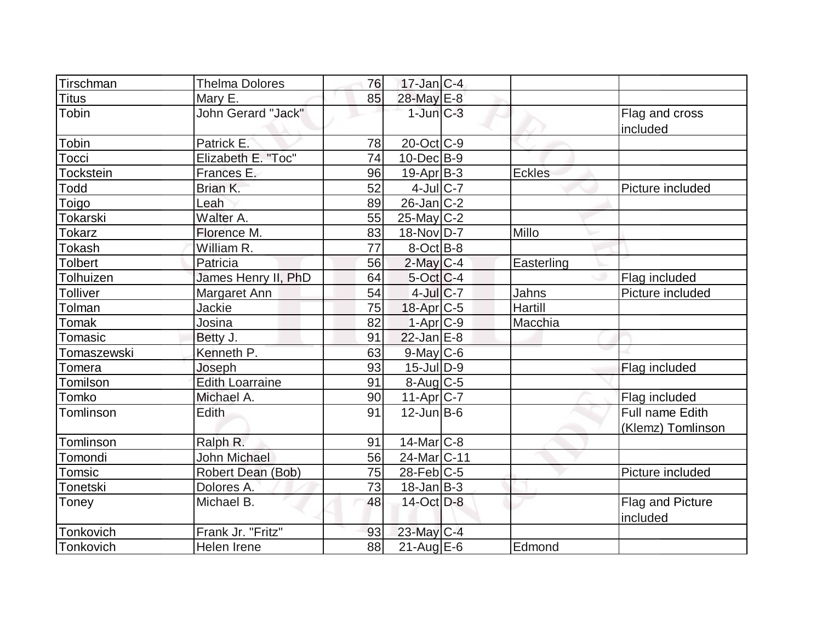| Tirschman        | <b>Thelma Dolores</b>  | 76 | $17$ -Jan C-4          |            |                                     |
|------------------|------------------------|----|------------------------|------------|-------------------------------------|
| Titus            | Mary E.                | 85 | 28-May E-8             |            |                                     |
| Tobin            | John Gerard "Jack"     |    | $1$ -Jun $C-3$         |            | Flag and cross<br>included          |
| Tobin            | Patrick E.             | 78 | 20-Oct C-9             |            |                                     |
| Tocci            | Elizabeth E. "Toc"     | 74 | $10$ -Dec $B-9$        |            |                                     |
| <b>Tockstein</b> | Frances E.             | 96 | $19$ -Apr $ B-3 $      | Eckles     |                                     |
| Todd             | Brian K.               | 52 | $4$ -Jul $C$ -7        |            | Picture included                    |
| Toigo            | Leah                   | 89 | $26$ -Jan C-2          |            |                                     |
| <b>Tokarski</b>  | Walter A.              | 55 | $25$ -May C-2          |            |                                     |
| <b>Tokarz</b>    | Florence M.            | 83 | 18-Nov D-7             | Millo      |                                     |
| <b>Tokash</b>    | William R.             | 77 | $8-Oct$ B-8            |            |                                     |
| <b>Tolbert</b>   | Patricia               | 56 | $2$ -May $C-4$         | Easterling |                                     |
| Tolhuizen        | James Henry II, PhD    | 64 | $5$ -Oct $C$ -4        |            | Flag included                       |
| Tolliver         | Margaret Ann           | 54 | $4$ -Jul $C$ -7        | Jahns      | Picture included                    |
| Tolman           | Jackie                 | 75 | 18-Apr C-5             | Hartill    |                                     |
| Tomak            | Josina                 | 82 | $1-Apr$ <sub>C-9</sub> | Macchia    |                                     |
| Tomasic          | Betty J.               | 91 | $22$ -Jan $E-8$        |            |                                     |
| Tomaszewski      | Kenneth P.             | 63 | $9$ -May $C$ -6        |            |                                     |
| Tomera           | Joseph                 | 93 | $15$ -Jul $ D-9 $      |            | Flag included                       |
| Tomilson         | <b>Edith Loarraine</b> | 91 | $8-Aug$ <sub>C-5</sub> |            |                                     |
| Tomko            | Michael A.             | 90 | $11-Apr$ C-7           |            | Flag included                       |
| Tomlinson        | <b>Edith</b>           | 91 | $12$ -Jun $B$ -6       |            | Full name Edith                     |
|                  |                        |    |                        |            | (Klemz) Tomlinson                   |
| Tomlinson        | Ralph R.               | 91 | $14$ -Mar $ C-8$       |            |                                     |
| Tomondi          | <b>John Michael</b>    | 56 | 24-Mar C-11            |            |                                     |
| Tomsic           | Robert Dean (Bob)      | 75 | $28$ -Feb $ C-5$       |            | Picture included                    |
| Tonetski         | Dolores A.             | 73 | $18$ -Jan B-3          |            |                                     |
| Toney            | Michael B.             | 48 | 14-Oct D-8             |            | <b>Flag and Picture</b><br>included |
| Tonkovich        | Frank Jr. "Fritz"      | 93 | 23-May C-4             |            |                                     |
| Tonkovich        | Helen Irene            | 88 | $21$ -Aug $E$ -6       | Edmond     |                                     |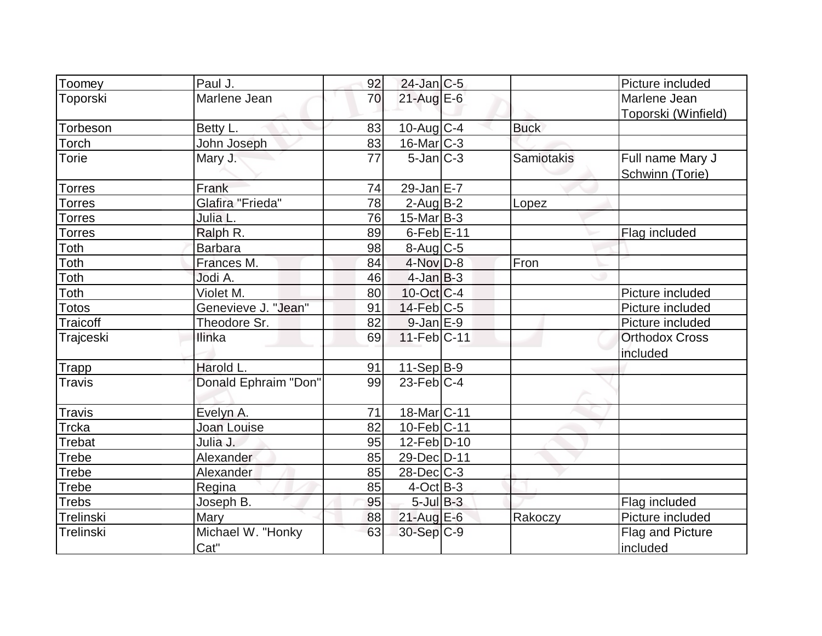| Toomey        | Paul J.              | 92 | $24$ -Jan C-5              |             | Picture included      |
|---------------|----------------------|----|----------------------------|-------------|-----------------------|
| Toporski      | Marlene Jean         | 70 | $21$ -Aug E-6              |             | Marlene Jean          |
|               |                      |    |                            |             | Toporski (Winfield)   |
| Torbeson      | Betty L.             | 83 | 10-Aug C-4                 | <b>Buck</b> |                       |
| Torch         | John Joseph          | 83 | $16$ -Mar $C-3$            |             |                       |
| <b>Torie</b>  | Mary J.              | 77 | $5$ -Jan $\overline{C}$ -3 | Samiotakis  | Full name Mary J      |
|               |                      |    |                            |             | Schwinn (Torie)       |
| <b>Torres</b> | Frank                | 74 | 29-Jan $E-7$               |             |                       |
| <b>Torres</b> | Glafira "Frieda"     | 78 | $2$ -Aug B-2               | Lopez       |                       |
| <b>Torres</b> | Julia L.             | 76 | $15$ -Mar $ B-3 $          |             |                       |
| <b>Torres</b> | Ralph R.             | 89 | $6$ -Feb $E-11$            |             | Flag included         |
| Toth          | <b>Barbara</b>       | 98 | $8$ -Aug $C$ -5            |             |                       |
| Toth          | Frances M.           | 84 | 4-Nov D-8                  | Fron        |                       |
| Toth          | Jodi A.              | 46 | $4$ -Jan B-3               |             |                       |
| Toth          | Violet M.            | 80 | $10$ -Oct $ C-4 $          |             | Picture included      |
| <b>Totos</b>  | Genevieve J. "Jean"  | 91 | $14$ -Feb $ C-5$           |             | Picture included      |
| Traicoff      | Theodore Sr.         | 82 | $9$ -Jan $E-9$             |             | Picture included      |
| Trajceski     | Ilinka               | 69 | 11-Feb C-11                |             | <b>Orthodox Cross</b> |
|               |                      |    |                            |             | included              |
| <b>Trapp</b>  | Harold L.            | 91 | 11-Sep B-9                 |             |                       |
| <b>Travis</b> | Donald Ephraim "Don" | 99 | $23$ -Feb $C-4$            |             |                       |
|               |                      |    |                            |             |                       |
| <b>Travis</b> | Evelyn A.            | 71 | 18-Mar <sub>C</sub> -11    |             |                       |
| <b>Trcka</b>  | Joan Louise          | 82 | $10-Feb$ C-11              |             |                       |
| <b>Trebat</b> | Julia J.             | 95 | 12-Feb D-10                |             |                       |
| <b>Trebe</b>  | Alexander            | 85 | 29-Dec D-11                |             |                       |
| Trebe         | Alexander            | 85 | $28$ -Dec $C-3$            |             |                       |
| Trebe         | Regina               | 85 | $4$ -Oct $B-3$             |             |                       |
| <b>Trebs</b>  | Joseph B.            | 95 | $5$ -Jul $B-3$             |             | Flag included         |
| Trelinski     | Mary                 | 88 | $21$ -Aug $E-6$            | Rakoczy     | Picture included      |
| Trelinski     | Michael W. "Honky    | 63 | 30-Sep C-9                 |             | Flag and Picture      |
|               | Cat"                 |    |                            |             | included              |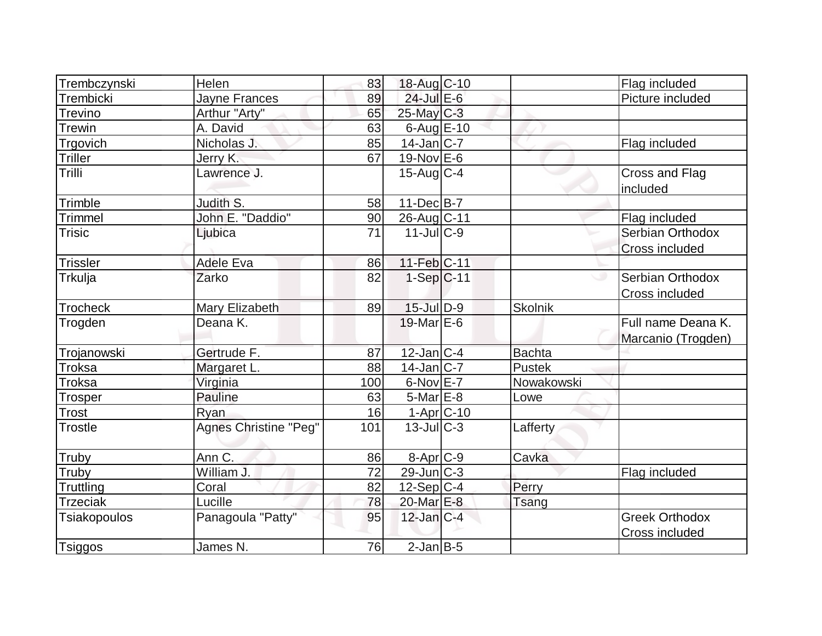|                     | Helen                        |     |                   |                |                                   |
|---------------------|------------------------------|-----|-------------------|----------------|-----------------------------------|
| Trembczynski        |                              | 83  | 18-Aug C-10       |                | Flag included                     |
| Trembicki           | Jayne Frances                | 89  | 24-Jul E-6        |                | Picture included                  |
| <b>Trevino</b>      | Arthur "Arty"                | 65  | $25$ -May C-3     |                |                                   |
| <b>Trewin</b>       | A. David                     | 63  | $6$ -Aug $E$ -10  |                |                                   |
| Trgovich            | Nicholas J.                  | 85  | $14$ -Jan $ C-7 $ |                | Flag included                     |
| <b>Triller</b>      | Jerry K.                     | 67  | $19-Nov$ E-6      |                |                                   |
| Trilli              | Lawrence J.                  |     | $15$ -Aug C-4     |                | <b>Cross and Flag</b><br>included |
| Trimble             | Judith S.                    | 58  | $11$ -Dec $B$ -7  |                |                                   |
| <b>Trimmel</b>      | John E. "Daddio"             | 90  | 26-Aug C-11       |                | Flag included                     |
| <b>Trisic</b>       | Ljubica                      | 71  | $11$ -JulC-9      |                | Serbian Orthodox                  |
|                     |                              |     |                   |                | <b>Cross included</b>             |
| <b>Trissler</b>     | Adele Eva                    | 86  | $11-Feb$ C-11     |                |                                   |
| Trkulja             | Zarko                        | 82  | $1-Sep C-11$      |                | Serbian Orthodox                  |
|                     |                              |     |                   |                | Cross included                    |
| <b>Trocheck</b>     | Mary Elizabeth               | 89  | $15$ -Jul $D-9$   | <b>Skolnik</b> |                                   |
| Trogden             | Deana K.                     |     | 19-Mar $E-6$      |                | Full name Deana K.                |
|                     |                              |     |                   |                | Marcanio (Trogden)                |
| Trojanowski         | Gertrude F.                  | 87  | $12$ -Jan $C-4$   | <b>Bachta</b>  |                                   |
| Troksa              | Margaret L.                  | 88  | $14$ -Jan $ C-7 $ | <b>Pustek</b>  |                                   |
| Troksa              | Virginia                     | 100 | $6$ -Nov $E$ -7   | Nowakowski     |                                   |
| Trosper             | Pauline                      | 63  | 5-Mar E-8         | Lowe           |                                   |
| Trost               | Rvan                         | 16  | $1-Apr$ $C-10$    |                |                                   |
| <b>Trostle</b>      | <b>Agnes Christine "Peg"</b> | 101 | $13$ -JulC-3      | Lafferty       |                                   |
| Truby               | Ann C.                       | 86  | 8-Apr C-9         | Cavka          |                                   |
| Truby               | William J.                   | 72  | $29$ -Jun $C-3$   |                | Flag included                     |
| Truttling           | Coral                        | 82  | $12$ -Sep C-4     | Perry          |                                   |
| <b>Trzeciak</b>     | Lucille                      | 78  | 20-Mar E-8        | Tsang          |                                   |
| <b>Tsiakopoulos</b> | Panagoula "Patty"            | 95  | $12$ -Jan $ C-4 $ |                | <b>Greek Orthodox</b>             |
|                     |                              |     |                   |                | <b>Cross included</b>             |
| <b>Tsiggos</b>      | James N.                     | 76  | $2$ -Jan $B$ -5   |                |                                   |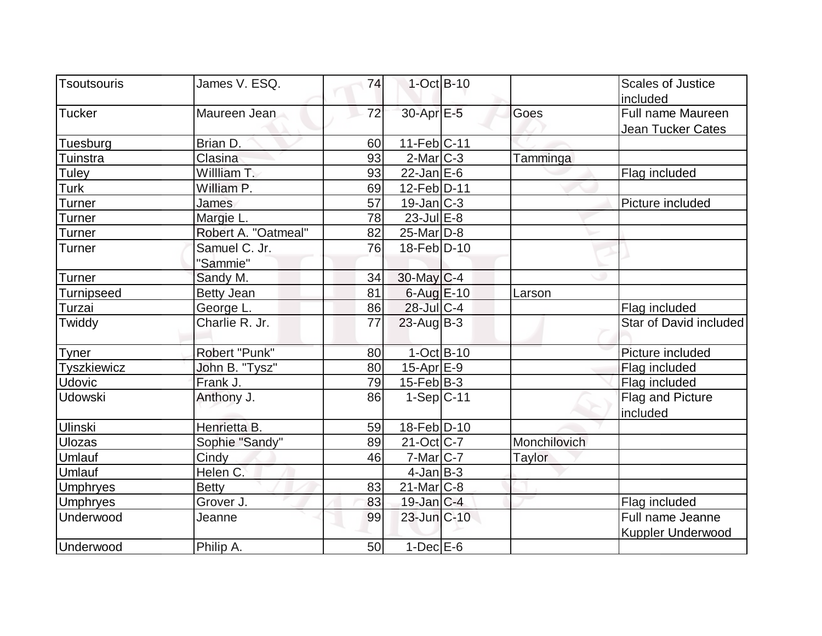| Tsoutsouris       | James V. ESQ.       | 74 | $1-Oct$ B-10       |              |              | <b>Scales of Justice</b> |
|-------------------|---------------------|----|--------------------|--------------|--------------|--------------------------|
|                   |                     |    |                    |              |              | included                 |
| <b>Tucker</b>     | Maureen Jean        | 72 | 30-Apr E-5         |              | Goes         | Full name Maureen        |
|                   |                     |    |                    |              |              | Jean Tucker Cates        |
| Tuesburg          | Brian D.            | 60 | $11-Feb C-11$      |              |              |                          |
| Tuinstra          | Clasina             | 93 | $2$ -Mar $C-3$     |              | Tamminga     |                          |
| Tuley             | Willliam T.         | 93 | $22$ -Jan E-6      |              |              | Flag included            |
| Turk              | William P.          | 69 | 12-Feb D-11        |              |              |                          |
| <b>Turner</b>     | James               | 57 | $19$ -Jan $ C-3 $  |              |              | Picture included         |
| Turner            | Margie L.           | 78 | $23$ -Jul $E-8$    |              |              |                          |
| Turner            | Robert A. "Oatmeal" | 82 | $25$ -Mar $ D-8 $  |              |              |                          |
| <b>Turner</b>     | Samuel C. Jr.       | 76 | 18-Feb D-10        |              |              |                          |
|                   | "Sammie"            |    |                    |              |              |                          |
| <b>Turner</b>     | Sandy M.            | 34 | $30$ -May C-4      |              |              |                          |
| <b>Turnipseed</b> | Betty Jean          | 81 | $6$ -Aug $E$ -10   |              | Larson       |                          |
| Turzai            | George L.           | 86 | 28-Jul C-4         |              |              | Flag included            |
| Twiddy            | Charlie R. Jr.      | 77 | $23$ -Aug B-3      |              |              | Star of David included   |
| Tyner             | Robert "Punk"       | 80 |                    | $1-Oct$ B-10 |              | Picture included         |
| Tyszkiewicz       | John B. "Tysz"      | 80 | $15$ -Apr $E-9$    |              |              | Flag included            |
| <b>Udovic</b>     | Frank J.            | 79 | $15$ -Feb $ B-3 $  |              |              | Flag included            |
| <b>Udowski</b>    | Anthony J.          | 86 | $1-Sep C-11$       |              |              | Flag and Picture         |
|                   |                     |    |                    |              |              | included                 |
| <b>Ulinski</b>    | Henrietta B.        | 59 | 18-Feb D-10        |              |              |                          |
| <b>Ulozas</b>     | Sophie "Sandy"      | 89 | $21-Oct$ $C-7$     |              | Monchilovich |                          |
| Umlauf            | Cindy               | 46 | 7-Mar C-7          |              | Taylor       |                          |
| Umlauf            | Helen C.            |    | $4$ -Jan $B-3$     |              |              |                          |
| <b>Umphryes</b>   | <b>Betty</b>        | 83 | $21$ -Mar $C-8$    |              |              |                          |
| <b>Umphryes</b>   | Grover J.           | 83 | $19$ -Jan $ C-4 $  |              |              | Flag included            |
| Underwood         | Jeanne              | 99 | $23$ -Jun $ C-10 $ |              |              | Full name Jeanne         |
|                   |                     |    |                    |              |              | <b>Kuppler Underwood</b> |
| Underwood         | Philip A.           | 50 | $1-Dec$ $E-6$      |              |              |                          |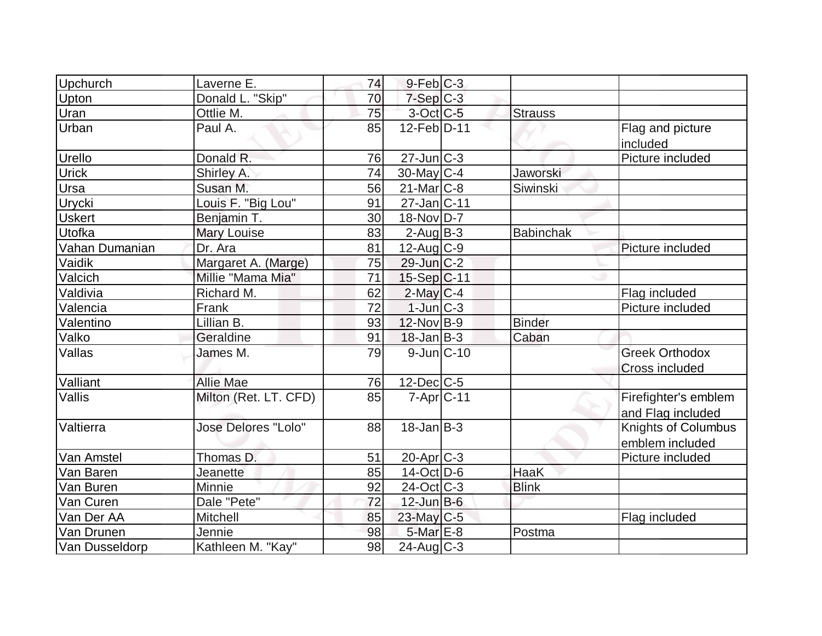| <b>Upchurch</b> | Laverne E.            | 74 | $9$ -Feb $ C-3$       |                  |                                                |
|-----------------|-----------------------|----|-----------------------|------------------|------------------------------------------------|
| Upton           | Donald L. "Skip"      | 70 | $7-Sep$ $C-3$         |                  |                                                |
| Uran            | Ottlie M.             | 75 | $3-Oct$ $C-5$         | <b>Strauss</b>   |                                                |
| Urban           | Paul A.               | 85 | 12-Feb D-11           |                  | Flag and picture<br>included                   |
| Urello          | Donald R.             | 76 | $27$ -Jun $ C-3 $     |                  | Picture included                               |
| <b>Urick</b>    | Shirley A.            | 74 | $30$ -May C-4         | Jaworski         |                                                |
| Ursa            | Susan M.              | 56 | $21$ -Mar $C-8$       | Siwinski         |                                                |
| Urycki          | Louis F. "Big Lou"    | 91 | $27$ -Jan $ C-11$     |                  |                                                |
| <b>Uskert</b>   | Benjamin T.           | 30 | 18-Nov D-7            |                  |                                                |
| Utofka          | <b>Mary Louise</b>    | 83 | $2$ -Aug $B - 3$      | <b>Babinchak</b> |                                                |
| Vahan Dumanian  | Dr. Ara               | 81 | 12-Aug C-9            |                  | Picture included                               |
| Vaidik          | Margaret A. (Marge)   | 75 | $29$ -Jun $C-2$       |                  |                                                |
| Valcich         | Millie "Mama Mia"     | 71 | $15-Sep C-11$         |                  |                                                |
| Valdivia        | Richard M.            | 62 | $2$ -May C-4          |                  | Flag included                                  |
| Valencia        | Frank                 | 72 | $1$ -Jun $ C-3 $      |                  | Picture included                               |
| Valentino       | Lillian B.            | 93 | $12$ -Nov B-9         | <b>Binder</b>    |                                                |
| Valko           | Geraldine             | 91 | $18$ -Jan $ B-3 $     | Caban            |                                                |
| Vallas          | James M.              | 79 | $9$ -Jun $C-10$       |                  | <b>Greek Orthodox</b><br><b>Cross included</b> |
| Valliant        | Allie Mae             | 76 | 12-Dec C-5            |                  |                                                |
| Vallis          | Milton (Ret. LT. CFD) | 85 | $7 - Apr$ $C - 11$    |                  | Firefighter's emblem<br>and Flag included      |
| Valtierra       | Jose Delores "Lolo"   | 88 | $18$ -Jan $ B-3 $     |                  | Knights of Columbus<br>emblem included         |
| Van Amstel      | Thomas D.             | 51 | 20-Apr <sub>C-3</sub> |                  | Picture included                               |
| Van Baren       | Jeanette              | 85 | $14$ -Oct $ D-6 $     | <b>HaaK</b>      |                                                |
| Van Buren       | Minnie                | 92 | $24$ -Oct $ C-3 $     | <b>Blink</b>     |                                                |
| Van Curen       | Dale "Pete"           | 72 | $12$ -Jun $B$ -6      |                  |                                                |
| Van Der AA      | Mitchell              | 85 | 23-May C-5            |                  | Flag included                                  |
| Van Drunen      | Jennie                | 98 | $5$ -Mar $E-8$        | Postma           |                                                |
| Van Dusseldorp  | Kathleen M. "Kay"     | 98 | $24$ -Aug C-3         |                  |                                                |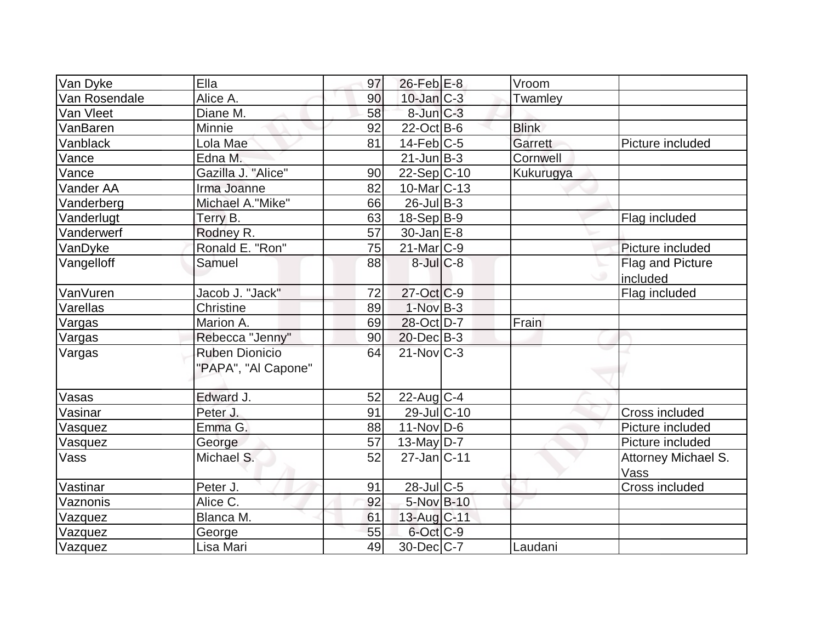| Van Dyke      | Ella                  | 97 | $26$ -Feb $E$ -8   | Vroom        |                         |
|---------------|-----------------------|----|--------------------|--------------|-------------------------|
| Van Rosendale | Alice A.              | 90 | $10$ -Jan $C-3$    | Twamley      |                         |
| Van Vleet     | Diane M.              | 58 | $8$ -Jun $C-3$     |              |                         |
| VanBaren      | Minnie                | 92 | $22$ -Oct B-6      | <b>Blink</b> |                         |
| Vanblack      | Lola Mae              | 81 | $14$ -Feb $ C-5 $  | Garrett      | Picture included        |
| Vance         | Edna M.               |    | $21$ -Jun $B-3$    | Cornwell     |                         |
| Vance         | Gazilla J. "Alice"    | 90 | $22-Sep C-10$      | Kukurugya    |                         |
| Vander AA     | Irma Joanne           | 82 | $10$ -Mar $ C-13 $ |              |                         |
| Vanderberg    | Michael A."Mike"      | 66 | $26$ -Jul B-3      |              |                         |
| Vanderlugt    | Terry B.              | 63 | $18-Sep B-9$       |              | Flag included           |
| Vanderwerf    | Rodney R.             | 57 | $30 - Jan$ $E-8$   |              |                         |
| VanDyke       | Ronald E. "Ron"       | 75 | $21$ -Mar $ C-9 $  |              | Picture included        |
| Vangelloff    | Samuel                | 88 | $8$ -Jul $C-8$     |              | <b>Flag and Picture</b> |
|               |                       |    |                    |              | included                |
| VanVuren      | Jacob J. "Jack"       | 72 | $27-Oct$ $C-9$     |              | Flag included           |
| Varellas      | Christine             | 89 | $1-Nov$ B-3        |              |                         |
| Vargas        | Marion A.             | 69 | 28-Oct D-7         | Frain        |                         |
| Vargas        | Rebecca "Jenny"       | 90 | $20$ -Dec $B-3$    |              |                         |
| Vargas        | <b>Ruben Dionicio</b> | 64 | $21$ -Nov $C-3$    |              |                         |
|               | "PAPA", "Al Capone"   |    |                    |              |                         |
| Vasas         | Edward J.             | 52 | $22$ -Aug C-4      |              |                         |
| Vasinar       | Peter J.              | 91 | 29-Jul C-10        |              | <b>Cross included</b>   |
| Vasquez       | Emma G.               | 88 | $11-Nov D-6$       |              | Picture included        |
| Vasquez       | George                | 57 | 13-May $D-7$       |              | Picture included        |
| Vass          | Michael S.            | 52 | $27$ -Jan $C-11$   |              | Attorney Michael S.     |
|               |                       |    |                    |              | Vass                    |
| Vastinar      | Peter J.              | 91 | $28$ -Jul C-5      |              | Cross included          |
| Vaznonis      | Alice C.              | 92 | 5-Nov B-10         |              |                         |
| Vazquez       | Blanca M.             | 61 | 13-Aug C-11        |              |                         |
| Vazquez       | George                | 55 | $6$ -Oct $C$ -9    |              |                         |
| Vazquez       | Lisa Mari             | 49 | 30-Dec C-7         | Laudani      |                         |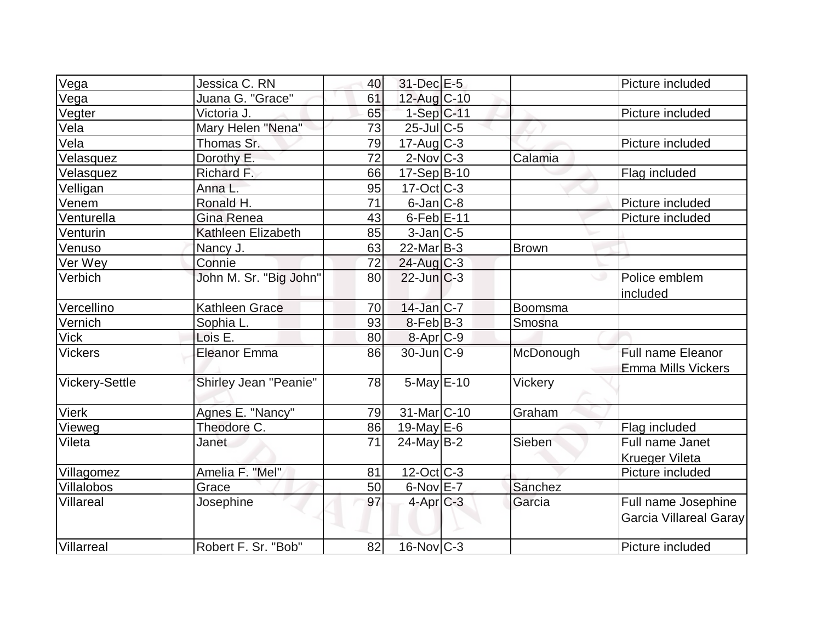|                       | Jessica C. RN          | 40 | 31-Dec E-5        |                | Picture included                                      |
|-----------------------|------------------------|----|-------------------|----------------|-------------------------------------------------------|
| Vega<br>Vega          | Juana G. "Grace"       | 61 | 12-Aug C-10       |                |                                                       |
| Vegter                | Victoria J.            | 65 | $1-Sep$ C-11      |                | Picture included                                      |
| Vela                  | Mary Helen "Nena"      | 73 | $25$ -JulC-5      |                |                                                       |
| Vela                  | Thomas Sr.             | 79 | $17$ -Aug $C-3$   |                | Picture included                                      |
| Velasquez             | Dorothy E.             | 72 | $2$ -Nov $ C-3 $  | Calamia        |                                                       |
| Velasquez             | Richard F.             | 66 | $17-Sep B-10$     |                | Flag included                                         |
| Velligan              | Anna L.                | 95 | $17-Oct$ $C-3$    |                |                                                       |
| Venem                 | Ronald H.              | 71 | $6$ -Jan $ C-8$   |                | Picture included                                      |
|                       |                        |    | $6$ -Feb $E-11$   |                |                                                       |
| Venturella            | Gina Renea             | 43 |                   |                | Picture included                                      |
| Venturin              | Kathleen Elizabeth     | 85 | $3$ -Jan $ C-5 $  |                |                                                       |
| Venuso                | Nancy J.               | 63 | $22$ -Mar $B-3$   | <b>Brown</b>   |                                                       |
| Ver Wey               | Connie                 | 72 | $24$ -Aug C-3     |                |                                                       |
| Verbich               | John M. Sr. "Big John" | 80 | $22$ -Jun $C-3$   |                | Police emblem<br>included                             |
| Vercellino            | <b>Kathleen Grace</b>  | 70 | $14$ -Jan $ C-7 $ | Boomsma        |                                                       |
| Vernich               | Sophia L.              | 93 | $8-Feb B-3$       | Smosna         |                                                       |
| Vick                  | Lois E.                | 80 | $8-Apr$ $C-9$     |                |                                                       |
| <b>Vickers</b>        | <b>Eleanor Emma</b>    | 86 | $30$ -Jun $ C-9 $ | McDonough      | <b>Full name Eleanor</b><br><b>Emma Mills Vickers</b> |
| <b>Vickery-Settle</b> | Shirley Jean "Peanie"  | 78 | $5$ -May $E$ -10  | <b>Vickery</b> |                                                       |
| <b>Vierk</b>          | Agnes E. "Nancy"       | 79 | 31-Mar C-10       | Graham         |                                                       |
| Vieweg                | Theodore C.            | 86 | 19-May $E-6$      |                | Flag included                                         |
| Vileta                | Janet                  | 71 | $24$ -May B-2     | Sieben         | Full name Janet                                       |
|                       |                        |    |                   |                | <b>Krueger Vileta</b>                                 |
| Villagomez            | Amelia F. "Mel"        | 81 | $12$ -Oct $ C-3 $ |                | Picture included                                      |
| <b>Villalobos</b>     | Grace                  | 50 | $6$ -Nov $E$ -7   | Sanchez        |                                                       |
| Villareal             | Josephine              | 97 | $4$ -Apr $C-3$    | Garcia         | Full name Josephine<br>Garcia Villareal Garay         |
| Villarreal            | Robert F. Sr. "Bob"    | 82 | $16$ -Nov $ C-3 $ |                | Picture included                                      |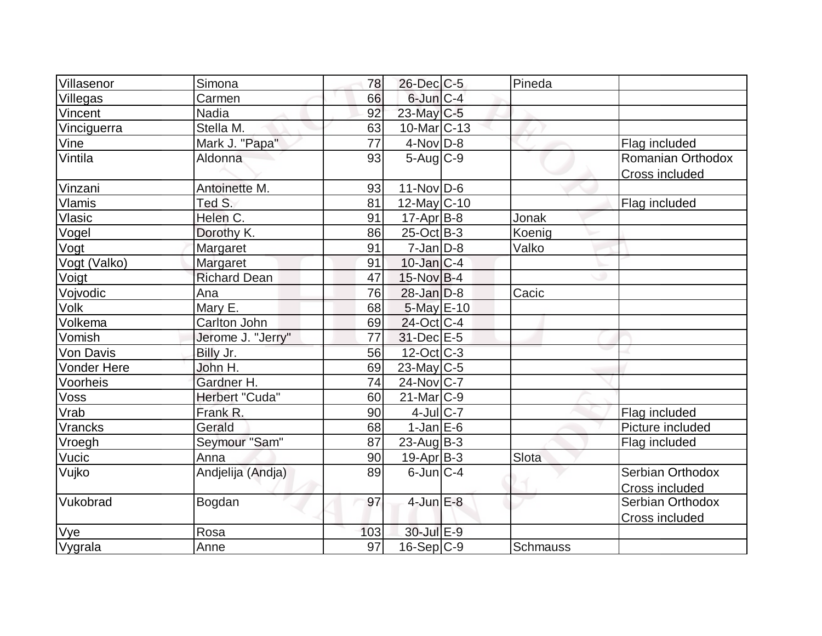| Villasenor         | Simona              | 78  | 26-Dec C-5        | Pineda   |                   |
|--------------------|---------------------|-----|-------------------|----------|-------------------|
| Villegas           | Carmen              | 66  | $6$ -Jun $C-4$    |          |                   |
| Vincent            | <b>Nadia</b>        | 92  | 23-May C-5        |          |                   |
| Vinciguerra        | Stella M.           | 63  | $10$ -Mar $ C-13$ |          |                   |
| Vine               | Mark J. "Papa"      | 77  | $4-Nov$ D-8       |          | Flag included     |
| Vintila            | Aldonna             | 93  | $5-Aug$ $C-9$     |          | Romanian Orthodox |
|                    |                     |     |                   |          | Cross included    |
| Vinzani            | Antoinette M.       | 93  | $11-Nov D-6$      |          |                   |
| <b>Vlamis</b>      | Ted S.              | 81  | 12-May C-10       |          | Flag included     |
| Vlasic             | Helen C.            | 91  | $17$ -Apr $B$ -8  | Jonak    |                   |
| Vogel              | Dorothy K.          | 86  | $25$ -Oct B-3     | Koenig   |                   |
| Vogt               | Margaret            | 91  | $7$ -Jan $ D-8 $  | Valko    |                   |
| Vogt (Valko)       | Margaret            | 91  | $10$ -Jan $ C-4 $ |          |                   |
| Voigt              | <b>Richard Dean</b> | 47  | $15$ -Nov B-4     |          |                   |
| Vojvodic           | Ana                 | 76  | $28$ -Jan $D-8$   | Cacic    |                   |
| Volk               | Mary E.             | 68  | 5-May E-10        |          |                   |
| Volkema            | <b>Carlton John</b> | 69  | $24$ -Oct C-4     |          |                   |
| Vomish             | Jerome J. "Jerry"   | 77  | 31-Dec E-5        |          |                   |
| Von Davis          | Billy Jr.           | 56  | $12$ -Oct $ C-3 $ |          |                   |
| <b>Vonder Here</b> | John H.             | 69  | $23$ -May C-5     |          |                   |
| Voorheis           | Gardner H.          | 74  | 24-Nov C-7        |          |                   |
| Voss               | Herbert "Cuda"      | 60  | $21$ -Mar $C-9$   |          |                   |
| Vrab               | Frank R.            | 90  | $4$ -Jul $C$ -7   |          | Flag included     |
| Vrancks            | Gerald              | 68  | $1-Jan$ $E-6$     |          | Picture included  |
| Vroegh             | Seymour "Sam"       | 87  | $23$ -Aug B-3     |          | Flag included     |
| Vucic              | Anna                | 90  | $19-Apr B-3$      | Slota    |                   |
| Vujko              | Andjelija (Andja)   | 89  | $6$ -Jun $C-4$    |          | Serbian Orthodox  |
|                    |                     |     |                   |          | Cross included    |
| Vukobrad           | Bogdan              | 97  | $4$ -Jun $E-8$    |          | Serbian Orthodox  |
|                    |                     |     |                   |          | Cross included    |
| Vye                | Rosa                | 103 | 30-Jul E-9        |          |                   |
| Vygrala            | Anne                | 97  | 16-Sep C-9        | Schmauss |                   |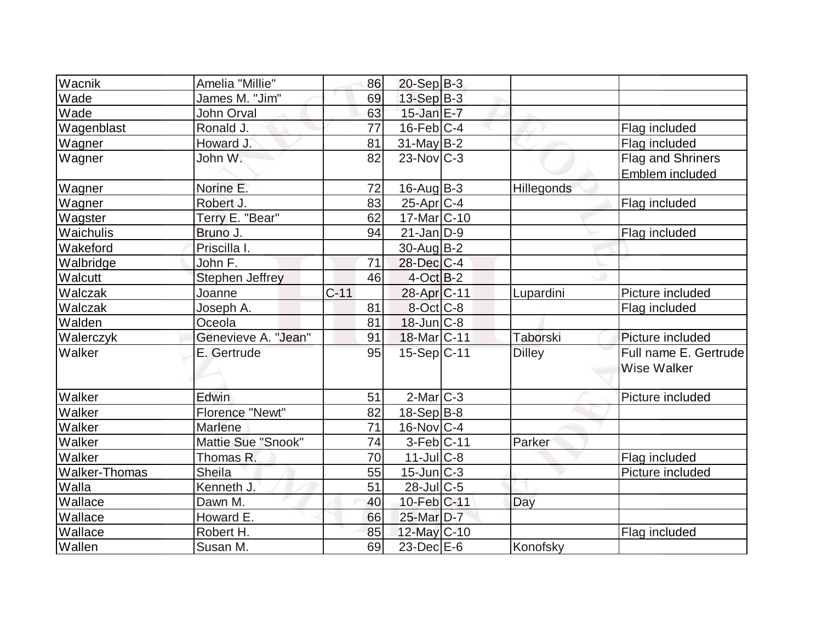| Wacnik<br>Amelia "Millie"         | 86     | $20-Sep$ B-3             |               |                       |
|-----------------------------------|--------|--------------------------|---------------|-----------------------|
| Wade<br>James M. "Jim"            | 69     | $13-Sep$ B-3             |               |                       |
| Wade<br>John Orval                | 63     | $15$ -Jan $E$ -7         |               |                       |
| Wagenblast<br>Ronald J.           | 77     | $16$ -Feb $ C-4 $        |               | Flag included         |
| Howard J.<br>Wagner               | 81     | 31-May B-2               |               | Flag included         |
| John W.<br>Wagner                 | 82     | $23$ -Nov $ C-3 $        |               | Flag and Shriners     |
|                                   |        |                          |               | Emblem included       |
| Norine E.<br>Wagner               | 72     | $16$ -Aug $B$ -3         | Hillegonds    |                       |
| Wagner<br>Robert J.               | 83     | $25$ -Apr $ C-4 $        |               | Flag included         |
| Terry E. "Bear"<br>Wagster        | 62     | 17-Mar <sub>IC</sub> -10 |               |                       |
| Waichulis<br>Bruno J.             | 94     | $21$ -Jan $D-9$          |               | Flag included         |
| Priscilla I.<br>Wakeford          |        | 30-Aug B-2               |               |                       |
| John F.<br>Walbridge              | 71     | 28-Dec C-4               |               |                       |
| <b>Stephen Jeffrey</b><br>Walcutt | 46     | $4$ -Oct B-2             |               |                       |
| Walczak<br>Joanne                 | $C-11$ | 28-Apr <sub>IC-11</sub>  | Lupardini     | Picture included      |
| Walczak<br>Joseph A.              | 81     | $8-Oct$ $C-8$            |               | Flag included         |
| Walden<br>Oceola                  | 81     | $18$ -Jun $C-8$          |               |                       |
| Genevieve A. "Jean"<br>Walerczyk  | 91     | 18-Mar <sub>IC</sub> -11 | Taborski      | Picture included      |
| Walker<br>E. Gertrude             | 95     | 15-Sep C-11              | <b>Dilley</b> | Full name E. Gertrude |
|                                   |        |                          |               | <b>Wise Walker</b>    |
|                                   |        |                          |               |                       |
| Walker<br>Edwin                   | 51     | $2$ -Mar $ C-3 $         |               | Picture included      |
| Walker<br><b>Florence "Newt"</b>  | 82     | $18-Sep B-8$             |               |                       |
| Walker<br>Marlene                 | 71     | $16$ -Nov $ C-4 $        |               |                       |
| Mattie Sue "Snook"<br>Walker      | 74     | $3-Feb C-11$             | Parker        |                       |
| Walker<br>Thomas R.               | 70     | $11$ -Jul $C$ -8         |               | Flag included         |
| Walker-Thomas<br>Sheila           | 55     | $15$ -Jun $C-3$          |               | Picture included      |
| Walla<br>Kenneth J.               | 51     | $28$ -JulC-5             |               |                       |
| Wallace<br>Dawn M.                | 40     | 10-Feb C-11              | Day           |                       |
| Wallace<br>Howard E.              | 66     | 25-Mar D-7               |               |                       |
| Wallace<br>Robert H.              | 85     | 12-May C-10              |               | Flag included         |
| Wallen<br>Susan M.                | 69     | $23$ -Dec $E$ -6         | Konofsky      |                       |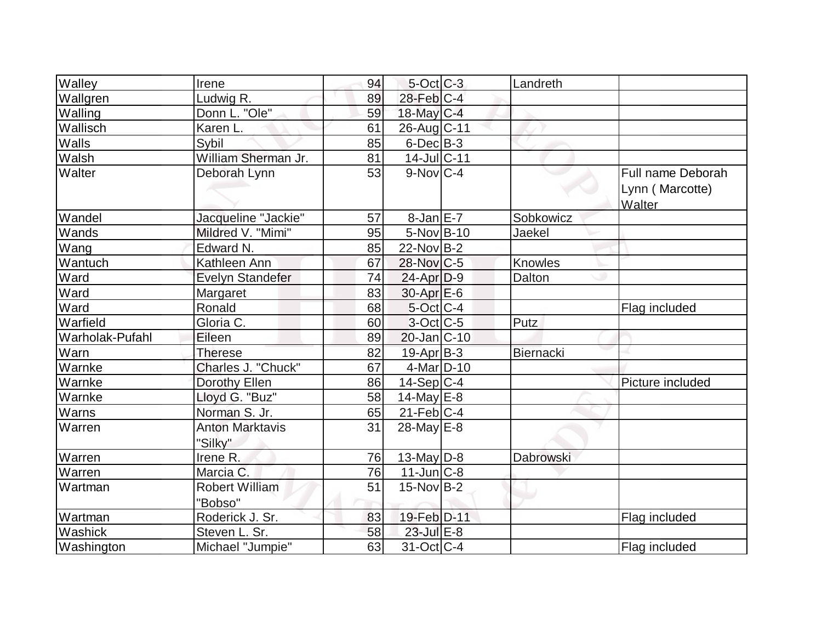| Walley          | Irene                             | 94 | $5$ -Oct $ C-3 $  | Landreth       |                                                |
|-----------------|-----------------------------------|----|-------------------|----------------|------------------------------------------------|
| Wallgren        | Ludwig R.                         | 89 | $28$ -Feb $ C-4 $ |                |                                                |
| Walling         | Donn L. "Ole"                     | 59 | 18-May $C-4$      |                |                                                |
| Wallisch        | Karen L.                          | 61 | 26-Aug C-11       |                |                                                |
| Walls           | Sybil                             | 85 | $6$ -Dec $B$ -3   |                |                                                |
| Walsh           | William Sherman Jr.               | 81 | 14-Jul C-11       |                |                                                |
| Walter          | Deborah Lynn                      | 53 | $9-Nov$ C-4       |                | Full name Deborah<br>Lynn (Marcotte)<br>Walter |
| Wandel          | Jacqueline "Jackie"               | 57 | $8$ -Jan $E$ -7   | Sobkowicz      |                                                |
| Wands           | Mildred V. "Mimi"                 | 95 | $5-Nov B-10$      | Jaekel         |                                                |
| Wang            | Edward N.                         | 85 | $22$ -Nov B-2     |                |                                                |
| Wantuch         | Kathleen Ann                      | 67 | 28-Nov C-5        | <b>Knowles</b> |                                                |
| Ward            | <b>Evelyn Standefer</b>           | 74 | $24$ -Apr $D-9$   | Dalton         |                                                |
| Ward            | Margaret                          | 83 | $30$ -Apr $E$ -6  |                |                                                |
| Ward            | Ronald                            | 68 | 5-Oct C-4         |                | Flag included                                  |
| Warfield        | Gloria C.                         | 60 | $3$ -Oct $ C$ -5  | Putz           |                                                |
| Warholak-Pufahl | Eileen                            | 89 | $20$ -Jan $ C-10$ |                |                                                |
| Warn            | <b>Therese</b>                    | 82 | $19-Apr$ B-3      | Biernacki      |                                                |
| Warnke          | Charles J. "Chuck"                | 67 | $4$ -Mar $D-10$   |                |                                                |
| Warnke          | Dorothy Ellen                     | 86 | 14-Sep C-4        |                | Picture included                               |
| Warnke          | Lloyd G. "Buz"                    | 58 | $14$ -May $E-8$   |                |                                                |
| Warns           | Norman S. Jr.                     | 65 | $21$ -Feb $ C-4 $ |                |                                                |
| Warren          | <b>Anton Marktavis</b><br>"Silky" | 31 | $28$ -May $E-8$   |                |                                                |
| Warren          | Irene R.                          | 76 | 13-May $D-8$      | Dabrowski      |                                                |
| Warren          | Marcia C.                         | 76 | $11$ -Jun $C-8$   |                |                                                |
| Wartman         | <b>Robert William</b><br>"Bobso"  | 51 | $15$ -Nov B-2     |                |                                                |
| Wartman         | Roderick J. Sr.                   | 83 | 19-Feb D-11       |                | Flag included                                  |
| Washick         | Steven L. Sr.                     | 58 | 23-Jul E-8        |                |                                                |
| Washington      | Michael "Jumpie"                  | 63 | $31-Oct$ $C-4$    |                | Flag included                                  |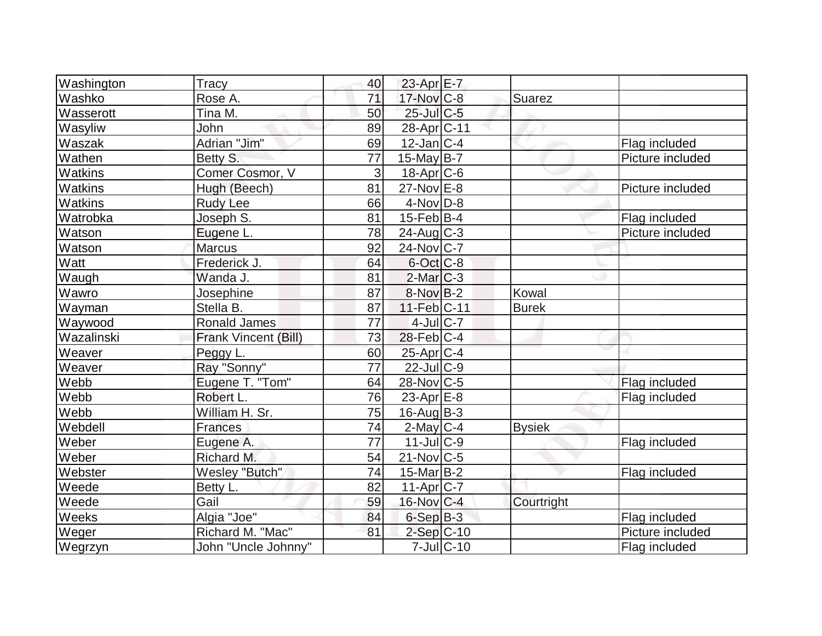| Washington     | Tracy                 | 40              | 23-Apr E-7        |                  |               |                  |
|----------------|-----------------------|-----------------|-------------------|------------------|---------------|------------------|
| Washko         | Rose A.               | 71              | 17-Nov C-8        |                  | Suarez        |                  |
| Wasserott      | Tina M.               | 50              | $25$ -Jul $C$ -5  |                  |               |                  |
| Wasyliw        | John                  | 89              | 28-Apr C-11       |                  |               |                  |
| Waszak         | Adrian "Jim"          | 69              | $12$ -Jan $ C-4 $ |                  |               | Flag included    |
| Wathen         | Betty S.              | 77              | $15$ -May B-7     |                  |               | Picture included |
| Watkins        | Comer Cosmor, V       | 3               | $18$ -Apr $ C$ -6 |                  |               |                  |
| <b>Watkins</b> | Hugh (Beech)          | 81              | $27$ -Nov $E-8$   |                  |               | Picture included |
| Watkins        | <b>Rudy Lee</b>       | 66              | $4$ -Nov $D-8$    |                  |               |                  |
| Watrobka       | Joseph S.             | 81              | $15$ -Feb $ B-4 $ |                  |               | Flag included    |
| Watson         | Eugene L.             | 78              | $24$ -Aug C-3     |                  |               | Picture included |
| Watson         | Marcus                | 92              | $24$ -Nov $ C-7 $ |                  |               |                  |
| Watt           | Frederick J.          | 64              | $6$ -Oct $ C$ -8  |                  |               |                  |
| Waugh          | Wanda J.              | 81              | $2$ -Mar $ C-3 $  |                  |               |                  |
| Wawro          | Josephine             | 87              | $8-NovB-2$        |                  | Kowal         |                  |
| Wayman         | Stella B.             | 87              | $11-Feb$ C-11     |                  | <b>Burek</b>  |                  |
| Waywood        | <b>Ronald James</b>   | 77              | $4$ -Jul $C$ -7   |                  |               |                  |
| Wazalinski     | Frank Vincent (Bill)  | 73              | $28$ -Feb $ C-4$  |                  |               |                  |
| Weaver         | Peggy L.              | 60              | $25$ -Apr $C-4$   |                  |               |                  |
| Weaver         | Ray "Sonny"           | $\overline{77}$ | $22$ -JulC-9      |                  |               |                  |
| Webb           | Eugene T. "Tom"       | 64              | 28-Nov C-5        |                  |               | Flag included    |
| Webb           | Robert L.             | 76              | 23-Apr $E-8$      |                  |               | Flag included    |
| Webb           | William H. Sr.        | 75              | $16$ -Aug $B$ -3  |                  |               |                  |
| Webdell        | <b>Frances</b>        | 74              | $2$ -May C-4      |                  | <b>Bysiek</b> |                  |
| Weber          | Eugene A.             | 77              | $11$ -JulC-9      |                  |               | Flag included    |
| Weber          | Richard M.            | 54              | $21$ -Nov $ C-5 $ |                  |               |                  |
| Webster        | <b>Wesley "Butch"</b> | 74              | $15$ -Mar $ B-2 $ |                  |               | Flag included    |
| Weede          | Betty L.              | 82              | 11-Apr C-7        |                  |               |                  |
| Weede          | Gail                  | 59              | $16$ -Nov $ C-4 $ |                  | Courtright    |                  |
| Weeks          | Algia "Joe"           | 84              | $6-SepB-3$        |                  |               | Flag included    |
| Weger          | Richard M. "Mac"      | 81              | 2-Sep C-10        |                  |               | Picture included |
| Wegrzyn        | John "Uncle Johnny"   |                 |                   | $7$ -Jul $ C-10$ |               | Flag included    |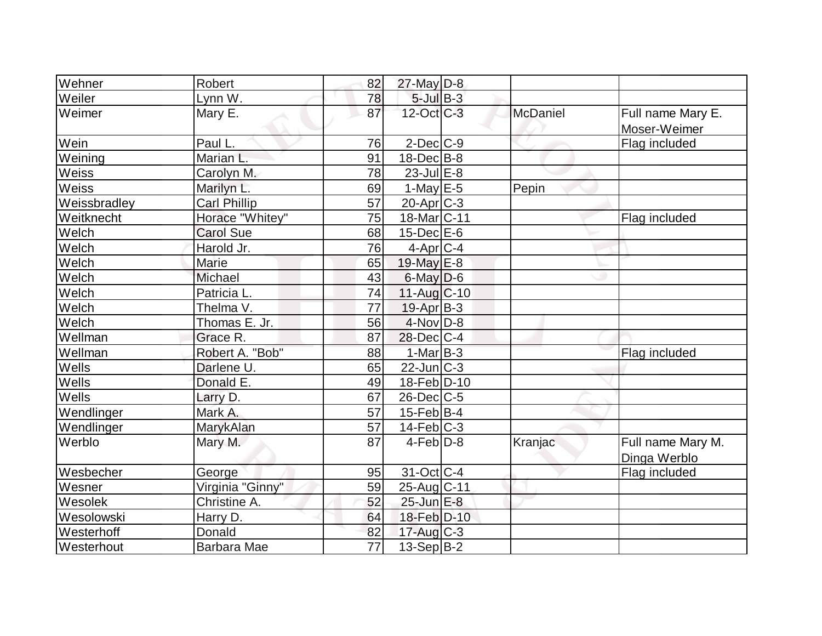| Wehner       | <b>Robert</b>       | 82              | $27$ -May $D-8$          |          |                                   |
|--------------|---------------------|-----------------|--------------------------|----------|-----------------------------------|
| Weiler       | Lynn W.             | 78              | $5$ -Jul $B-3$           |          |                                   |
| Weimer       | Mary E.             | 87              | 12-Oct C-3               | McDaniel | Full name Mary E.<br>Moser-Weimer |
| Wein         | Paul L.             | 76              | $2$ -Dec $C-9$           |          | Flag included                     |
| Weining      | Marian L.           | 91              | $18$ -Dec $B$ -8         |          |                                   |
| Weiss        | Carolyn M.          | 78              | $23$ -Jul $E-8$          |          |                                   |
| Weiss        | Marilyn L.          | 69              | $1$ -May E-5             | Pepin    |                                   |
| Weissbradley | <b>Carl Phillip</b> | 57              | $20$ -Apr $C-3$          |          |                                   |
| Weitknecht   | Horace "Whitey"     | 75              | 18-Mar <sub>IC</sub> -11 |          | Flag included                     |
| Welch        | <b>Carol Sue</b>    | 68              | $15$ -Dec $E$ -6         |          |                                   |
| Welch        | Harold Jr.          | 76              | $4$ -Apr $C$ -4          |          |                                   |
| Welch        | Marie               | 65              | 19-May E-8               |          |                                   |
| Welch        | Michael             | 43              | $6$ -May $D$ -6          |          |                                   |
| Welch        | Patricia L.         | 74              | $11-Aug$ $C-10$          |          |                                   |
| Welch        | Thelma V.           | 77              | 19-Apr B-3               |          |                                   |
| Welch        | Thomas E. Jr.       | 56              | $4$ -Nov $D-8$           |          |                                   |
| Wellman      | Grace R.            | 87              | $28$ -Dec $C-4$          |          |                                   |
| Wellman      | Robert A. "Bob"     | 88              | $1-Mar$ B-3              |          | Flag included                     |
| Wells        | Darlene U.          | 65              | $22$ -Jun $C-3$          |          |                                   |
| Wells        | Donald E.           | 49              | 18-Feb D-10              |          |                                   |
| Wells        | Larry D.            | 67              | $26$ -Dec $C$ -5         |          |                                   |
| Wendlinger   | Mark A.             | $\overline{57}$ | $15$ -Feb $B$ -4         |          |                                   |
| Wendlinger   | MarykAlan           | 57              | $14$ -Feb $ C-3 $        |          |                                   |
| Werblo       | Mary M.             | 87              | $4$ -Feb $D-8$           | Kranjac  | Full name Mary M.<br>Dinga Werblo |
| Wesbecher    | George              | 95              | 31-Oct C-4               |          | Flag included                     |
| Wesner       | Virginia "Ginny"    | 59              | 25-Aug C-11              |          |                                   |
| Wesolek      | Christine A.        | 52              | 25-Jun E-8               |          |                                   |
| Wesolowski   | Harry D.            | 64              | 18-Feb D-10              |          |                                   |
| Westerhoff   | Donald              | 82              | $17$ -Aug C-3            |          |                                   |
| Westerhout   | Barbara Mae         | 77              | 13-Sep B-2               |          |                                   |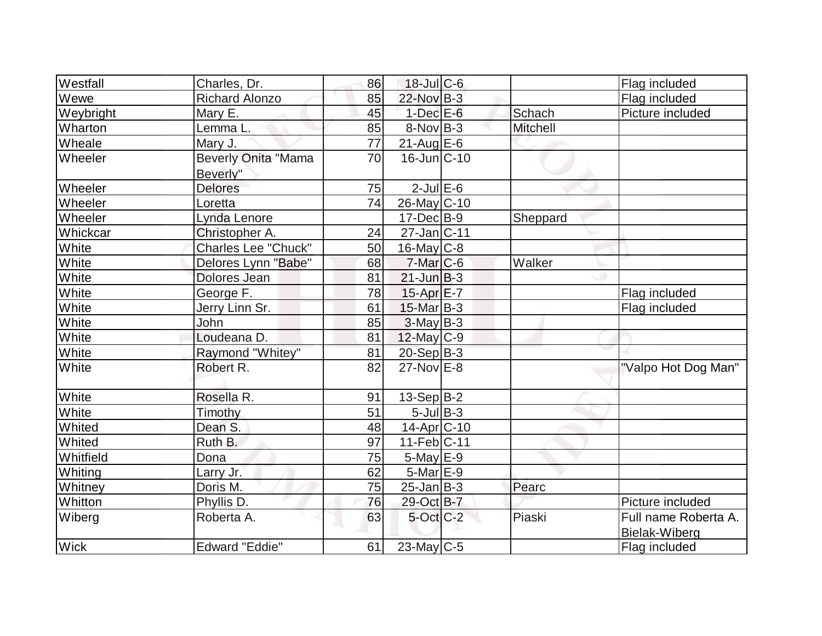| Westfall     | Charles, Dr.               | 86 | $18$ -Jul C-6     |                 | Flag included        |
|--------------|----------------------------|----|-------------------|-----------------|----------------------|
| Wewe         | <b>Richard Alonzo</b>      | 85 | 22-Nov B-3        |                 | Flag included        |
| Weybright    | Mary E.                    | 45 | $1-Dec$ E-6       | Schach          | Picture included     |
| Wharton      | Lemma L.                   | 85 | $8-Nov B-3$       | <b>Mitchell</b> |                      |
| Wheale       | Mary J.                    | 77 | $21$ -Aug $E-6$   |                 |                      |
| Wheeler      | <b>Beverly Onita "Mama</b> | 70 | $16$ -Jun $C-10$  |                 |                      |
|              | Beverly"                   |    |                   |                 |                      |
| Wheeler      | Delores                    | 75 | $2$ -Jul $E$ -6   |                 |                      |
| Wheeler      | Loretta                    | 74 | $26$ -May C-10    |                 |                      |
| Wheeler      | Lynda Lenore               |    | $17 - Dec$ B-9    | Sheppard        |                      |
| Whickcar     | Christopher A.             | 24 | $27$ -Jan $ C-11$ |                 |                      |
| White        | <b>Charles Lee "Chuck"</b> | 50 | $16$ -May C-8     |                 |                      |
| White        | Delores Lynn "Babe"        | 68 | $7$ -Mar $ C$ -6  | Walker          |                      |
| White        | Dolores Jean               | 81 | $21$ -Jun $B-3$   |                 |                      |
| White        | George F.                  | 78 | $15$ -Apr $E$ -7  |                 | Flag included        |
| <b>White</b> | Jerry Linn Sr.             | 61 | $15$ -Mar $ B-3 $ |                 | Flag included        |
| White        | John                       | 85 | $3$ -May B-3      |                 |                      |
| White        | Loudeana D.                | 81 | 12-May C-9        |                 |                      |
| White        | Raymond "Whitey"           | 81 | $20-Sep B-3$      |                 |                      |
| White        | Robert R.                  | 82 | $27$ -Nov $E-8$   |                 | "Valpo Hot Dog Man"  |
|              |                            |    |                   |                 |                      |
| White        | Rosella R.                 | 91 | $13-Sep B-2$      |                 |                      |
| White        | Timothy                    | 51 | $5$ -Jul $B$ -3   |                 |                      |
| Whited       | Dean S.                    | 48 | 14-Apr C-10       |                 |                      |
| Whited       | Ruth B.                    | 97 | 11-Feb C-11       |                 |                      |
| Whitfield    | Dona                       | 75 | $5$ -May $E$ -9   |                 |                      |
| Whiting      | Larry Jr.                  | 62 | $5$ -Mar $E-9$    |                 |                      |
| Whitney      | Doris M.                   | 75 | $25$ -Jan $ B-3 $ | Pearc           |                      |
| Whitton      | Phyllis D.                 | 76 | 29-Oct B-7        |                 | Picture included     |
| Wiberg       | Roberta A.                 | 63 | $5$ -Oct $C$ -2   | Piaski          | Full name Roberta A. |
|              |                            |    |                   |                 | Bielak-Wiberg        |
| <b>Wick</b>  | <b>Edward "Eddie"</b>      | 61 | $23$ -May C-5     |                 | Flag included        |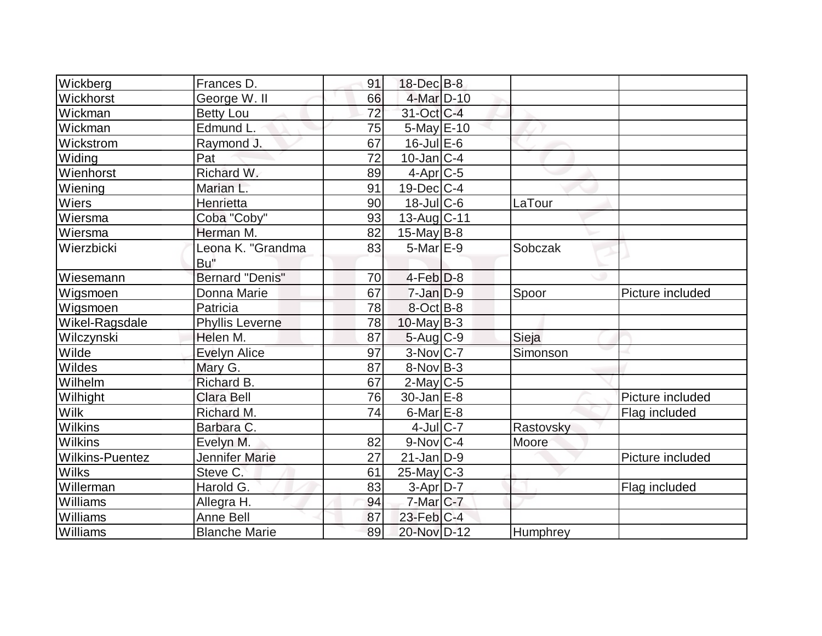| Wickberg               | Frances D.             | 91 | 18-Dec B-8             |           |                  |
|------------------------|------------------------|----|------------------------|-----------|------------------|
| Wickhorst              | George W.II            | 66 | 4-Mar D-10             |           |                  |
| Wickman                | <b>Betty Lou</b>       | 72 | 31-Oct C-4             |           |                  |
| Wickman                | Edmund L.              | 75 | $5$ -May $E$ -10       |           |                  |
| Wickstrom              | Raymond J.             | 67 | 16-Jul E-6             |           |                  |
| Widing                 | Pat                    | 72 | $10$ -Jan $ C-4$       |           |                  |
| Wienhorst              | Richard W.             | 89 | $4-Apr$ $C-5$          |           |                  |
| Wiening                | Marian L.              | 91 | $19$ -Dec $ C-4$       |           |                  |
| Wiers                  | Henrietta              | 90 | $18$ -JulC-6           | LaTour    |                  |
| Wiersma                | Coba "Coby"            | 93 | 13-Aug C-11            |           |                  |
| Wiersma                | Herman M.              | 82 | $15$ -May B-8          |           |                  |
| Wierzbicki             | Leona K. "Grandma      | 83 | $5$ -Mar $E-9$         | Sobczak   |                  |
|                        | Bu"                    |    |                        |           |                  |
| Wiesemann              | <b>Bernard "Denis"</b> | 70 | $4$ -Feb $D-8$         |           |                  |
| Wigsmoen               | Donna Marie            | 67 | $7$ -Jan $D-9$         | Spoor     | Picture included |
| Wigsmoen               | Patricia               | 78 | 8-Oct B-8              |           |                  |
| Wikel-Ragsdale         | <b>Phyllis Leverne</b> | 78 | $10$ -May B-3          |           |                  |
| Wilczynski             | Helen M.               | 87 | $5-Aug$ $C-9$          | Sieja     |                  |
| Wilde                  | <b>Evelyn Alice</b>    | 97 | $3-Nov$ C-7            | Simonson  |                  |
| Wildes                 | Mary G.                | 87 | $8-Nov B-3$            |           |                  |
| Wilhelm                | Richard B.             | 67 | $2$ -May C-5           |           |                  |
| Wilhight               | <b>Clara Bell</b>      | 76 | $30$ -Jan $ E-8 $      |           | Picture included |
| <b>Wilk</b>            | Richard M.             | 74 | $6$ -Mar $E$ -8        |           | Flag included    |
| Wilkins                | Barbara C.             |    | $4$ -Jul $C$ -7        | Rastovsky |                  |
| <b>Wilkins</b>         | Evelyn M.              | 82 | $9-Nov$ <sub>C-4</sub> | Moore     |                  |
| <b>Wilkins-Puentez</b> | <b>Jennifer Marie</b>  | 27 | $21$ -Jan $ D-9 $      |           | Picture included |
| <b>Wilks</b>           | Steve C.               | 61 | $25$ -May C-3          |           |                  |
| Willerman              | Harold G.              | 83 | $3-Apr$ D-7            |           | Flag included    |
| Williams               | Allegra H.             | 94 | 7-Mar C-7              |           |                  |
| Williams               | <b>Anne Bell</b>       | 87 | $23$ -Feb $ C-4 $      |           |                  |
| Williams               | <b>Blanche Marie</b>   | 89 | 20-Nov D-12            | Humphrey  |                  |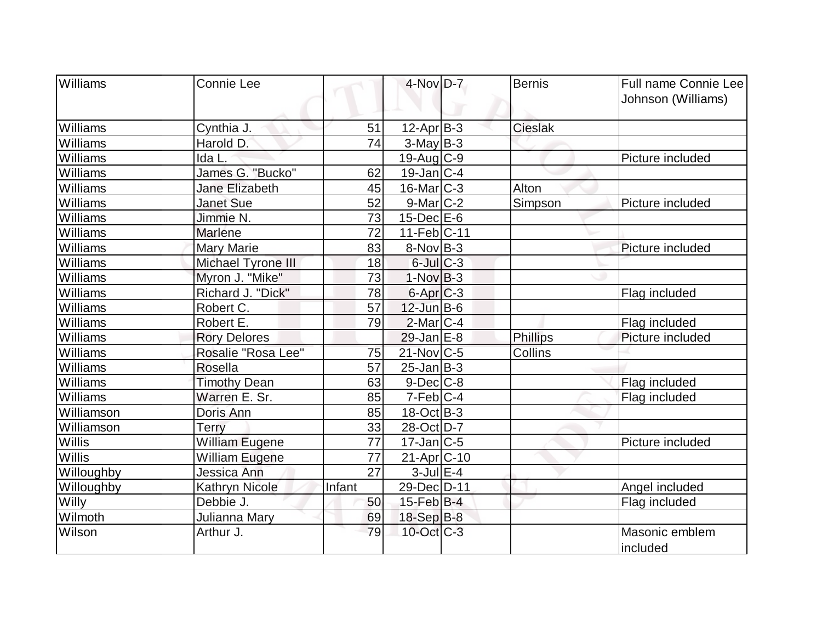| <b>Williams</b> | <b>Connie Lee</b>     |        | 4-Nov D-7              | <b>Bernis</b>  | Full name Connie Lee       |
|-----------------|-----------------------|--------|------------------------|----------------|----------------------------|
|                 |                       |        |                        |                | Johnson (Williams)         |
| Williams        | Cynthia J             | 51     | $12$ -Apr $ B-3 $      | <b>Cieslak</b> |                            |
| Williams        | Harold D.             | 74     | $3-May B-3$            |                |                            |
| Williams        | Ida L.                |        | 19-Aug C-9             |                | Picture included           |
| Williams        | James G. "Bucko"      | 62     | $19$ -Jan $ C-4$       |                |                            |
| Williams        | Jane Elizabeth        | 45     | $16$ -Mar $ C-3 $      | Alton          |                            |
| Williams        | <b>Janet Sue</b>      | 52     | $9$ -Mar $ C-2 $       | <b>Simpson</b> | Picture included           |
| Williams        | Jimmie N.             | 73     | $15$ -Dec $E$ -6       |                |                            |
| Williams        | <b>Marlene</b>        | 72     | $11$ -Feb $ C-11$      |                |                            |
| Williams        | <b>Mary Marie</b>     | 83     | $8-NovB-3$             |                | Picture included           |
| Williams        | Michael Tyrone III    | 18     | $6$ -Jul $C-3$         |                |                            |
| Williams        | Myron J. "Mike"       | 73     | $1-NovB-3$             |                |                            |
| Williams        | Richard J. "Dick"     | 78     | $6$ -Apr $C$ -3        |                | Flag included              |
| Williams        | Robert C.             | 57     | $12$ -Jun $B$ -6       |                |                            |
| Williams        | Robert E.             | 79     | $2$ -Mar $ C-4 $       |                | Flag included              |
| Williams        | <b>Rory Delores</b>   |        | $29$ -Jan $E-8$        | Phillips       | Picture included           |
| Williams        | Rosalie "Rosa Lee"    | 75     | $21$ -Nov $C-5$        | Collins        |                            |
| Williams        | <b>Rosella</b>        | 57     | $25$ -Jan $ B-3 $      |                |                            |
| Williams        | <b>Timothy Dean</b>   | 63     | $9$ -Dec $C$ -8        |                | Flag included              |
| Williams        | Warren E. Sr.         | 85     | $7-Feb$ <sub>C-4</sub> |                | Flag included              |
| Williamson      | Doris Ann             | 85     | $18-Oct$ B-3           |                |                            |
| Williamson      | <b>Terry</b>          | 33     | 28-Oct D-7             |                |                            |
| <b>Willis</b>   | <b>William Eugene</b> | 77     | $17$ -Jan $ C-5 $      |                | Picture included           |
| Willis          | <b>William Eugene</b> | 77     | 21-Apr C-10            |                |                            |
| Willoughby      | Jessica Ann           | 27     | $3$ -Jul $E-4$         |                |                            |
| Willoughby      | <b>Kathryn Nicole</b> | Infant | 29-Dec D-11            |                | Angel included             |
| <b>Willy</b>    | Debbie J.             | 50     | $15$ -Feb $ B-4 $      |                | Flag included              |
| Wilmoth         | Julianna Mary         | 69     | 18-Sep B-8             |                |                            |
| Wilson          | Arthur J.             | 79     | $10$ -Oct $C-3$        |                | Masonic emblem<br>included |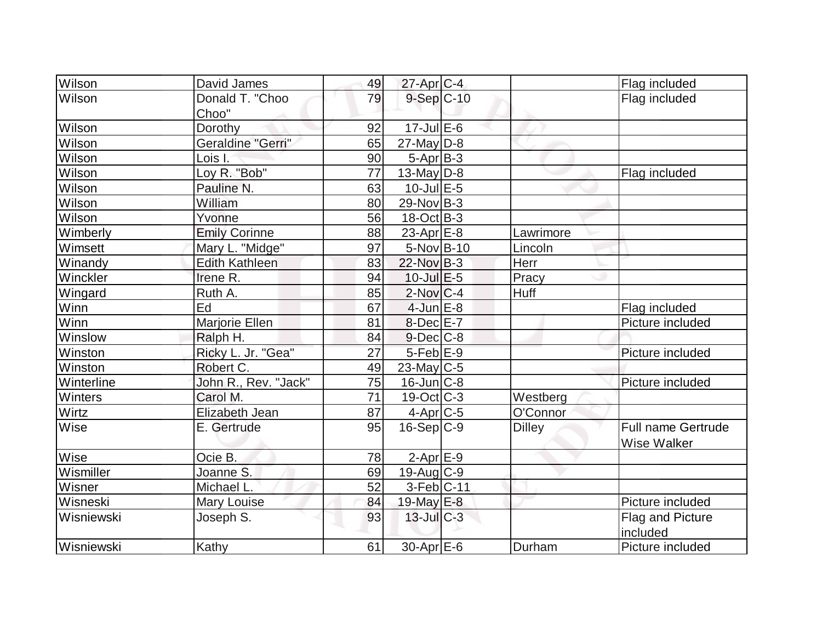| Wilson     | David James              | 49 | $27$ -Apr $C-4$   |               | Flag included                                   |
|------------|--------------------------|----|-------------------|---------------|-------------------------------------------------|
| Wilson     | Donald T. "Choo<br>Choo" | 79 | $9-Sep$ C-10      |               | Flag included                                   |
| Wilson     | Dorothy                  | 92 | $17$ -Jul $E$ -6  |               |                                                 |
| Wilson     | Geraldine "Gerri"        | 65 | $27$ -May D-8     |               |                                                 |
| Wilson     | Lois I.                  | 90 | $5-Apr$ B-3       |               |                                                 |
| Wilson     | Loy R. "Bob"             | 77 | 13-May $D-8$      |               | Flag included                                   |
| Wilson     | Pauline N.               | 63 | $10$ -Jul $E - 5$ |               |                                                 |
| Wilson     | William                  | 80 | 29-Nov B-3        |               |                                                 |
| Wilson     | Yvonne                   | 56 | $18-Oct$ B-3      |               |                                                 |
| Wimberly   | <b>Emily Corinne</b>     | 88 | 23-Apr $E-8$      | Lawrimore     |                                                 |
| Wimsett    | Mary L. "Midge"          | 97 | $5-NovB-10$       | Lincoln       |                                                 |
| Winandy    | <b>Edith Kathleen</b>    | 83 | 22-Nov B-3        | Herr          |                                                 |
| Winckler   | Irene R.                 | 94 | $10$ -Jul $E$ -5  | Pracy         |                                                 |
| Wingard    | Ruth A.                  | 85 | $2$ -Nov $ C-4$   | <b>Huff</b>   |                                                 |
| Winn       | Ed                       | 67 | $4$ -Jun $E-8$    |               | Flag included                                   |
| Winn       | Marjorie Ellen           | 81 | $8$ -Dec $E - 7$  |               | Picture included                                |
| Winslow    | Ralph H.                 | 84 | $9$ -Dec $C$ -8   |               |                                                 |
| Winston    | Ricky L. Jr. "Gea"       | 27 | $5$ -Feb $E-9$    |               | Picture included                                |
| Winston    | Robert C.                | 49 | $23$ -May C-5     |               |                                                 |
| Winterline | John R., Rev. "Jack"     | 75 | $16$ -Jun $ C-8$  |               | Picture included                                |
| Winters    | Carol M.                 | 71 | $19-Oct$ $C-3$    | Westberg      |                                                 |
| Wirtz      | Elizabeth Jean           | 87 | $4$ -Apr $C$ -5   | O'Connor      |                                                 |
| Wise       | E. Gertrude              | 95 | $16-Sep C-9$      | <b>Dilley</b> | <b>Full name Gertrude</b><br><b>Wise Walker</b> |
| Wise       | Ocie B.                  | 78 | $2$ -Apr $E-9$    |               |                                                 |
| Wismiller  | Joanne S.                | 69 | $19$ -Aug C-9     |               |                                                 |
| Wisner     | Michael L.               | 52 | $3-Feb C-11$      |               |                                                 |
| Wisneski   | <b>Mary Louise</b>       | 84 | 19-May E-8        |               | Picture included                                |
| Wisniewski | Joseph S.                | 93 | $13$ -Jul $C-3$   |               | Flag and Picture<br>included                    |
| Wisniewski | Kathy                    | 61 | 30-Apr E-6        | Durham        | Picture included                                |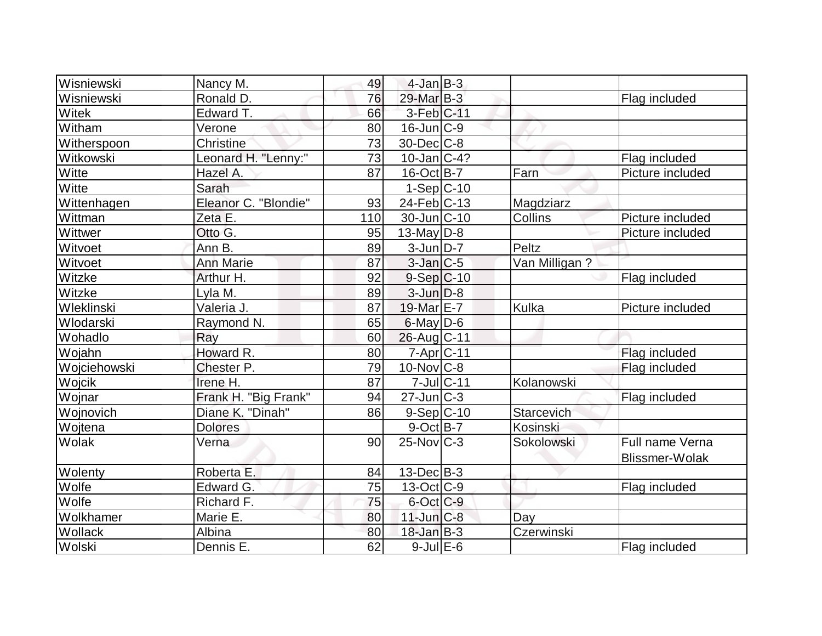| Wisniewski   | Nancy M.             | 49  | $4$ -Jan $B-3$    |               |                       |
|--------------|----------------------|-----|-------------------|---------------|-----------------------|
| Wisniewski   | Ronald D.            | 76  | 29-Mar B-3        |               | Flag included         |
| Witek        | Edward T.            | 66  | $3-Feb$ $C-11$    |               |                       |
| Witham       | Verone               | 80  | $16$ -Jun $C-9$   |               |                       |
| Witherspoon  | Christine            | 73  | $30$ -Dec $C$ -8  |               |                       |
| Witkowski    | Leonard H. "Lenny:"  | 73  | $10$ -Jan $ C-4?$ |               | Flag included         |
| Witte        | Hazel A.             | 87  | $16$ -Oct B-7     | Farn          | Picture included      |
| Witte        | Sarah                |     | $1-Sep C-10$      |               |                       |
| Wittenhagen  | Eleanor C. "Blondie" | 93  | $24$ -Feb $ C-13$ | Magdziarz     |                       |
| Wittman      | Zeta E.              | 110 | 30-Jun C-10       | Collins       | Picture included      |
| Wittwer      | Otto G.              | 95  | $13$ -May D-8     |               | Picture included      |
| Witvoet      | Ann B.               | 89  | $3$ -Jun $D-7$    | Peltz         |                       |
| Witvoet      | <b>Ann Marie</b>     | 87  | $3$ -Jan $ C-5 $  | Van Milligan? |                       |
| Witzke       | Arthur H.            | 92  | $9-Sep C-10$      |               | Flag included         |
| Witzke       | Lyla M.              | 89  | $3$ -Jun $D-8$    |               |                       |
| Wleklinski   | Valeria J.           | 87  | 19-Mar E-7        | Kulka         | Picture included      |
| Wlodarski    | Raymond N.           | 65  | $6$ -May $D$ -6   |               |                       |
| Wohadlo      | Ray                  | 60  | 26-Aug C-11       |               |                       |
| Wojahn       | Howard R.            | 80  | 7-Apr C-11        |               | Flag included         |
| Wojciehowski | Chester P.           | 79  | $10$ -Nov $C-8$   |               | Flag included         |
| Wojcik       | Irene H.             | 87  | 7-Jul C-11        | Kolanowski    |                       |
| Wojnar       | Frank H. "Big Frank" | 94  | $27$ -Jun $ C-3 $ |               | Flag included         |
| Wojnovich    | Diane K. "Dinah"     | 86  | $9-Sep C-10$      | Starcevich    |                       |
| Wojtena      | <b>Dolores</b>       |     | $9$ -Oct $ B-7 $  | Kosinski      |                       |
| Wolak        | Verna                | 90  | $25$ -Nov $ C-3 $ | Sokolowski    | Full name Verna       |
|              |                      |     |                   |               | <b>Blissmer-Wolak</b> |
| Wolenty      | Roberta E.           | 84  | $13$ -Dec $ B-3 $ |               |                       |
| Wolfe        | Edward G.            | 75  | $13-Oct$ $C-9$    |               | Flag included         |
| Wolfe        | Richard F.           | 75  | 6-Oct C-9         |               |                       |
| Wolkhamer    | Marie E.             | 80  | $11$ -Jun $C-8$   | Day           |                       |
| Wollack      | Albina               | 80  | $18$ -Jan B-3     | Czerwinski    |                       |
| Wolski       | Dennis E.            | 62  | $9$ -Jul $E$ -6   |               | Flag included         |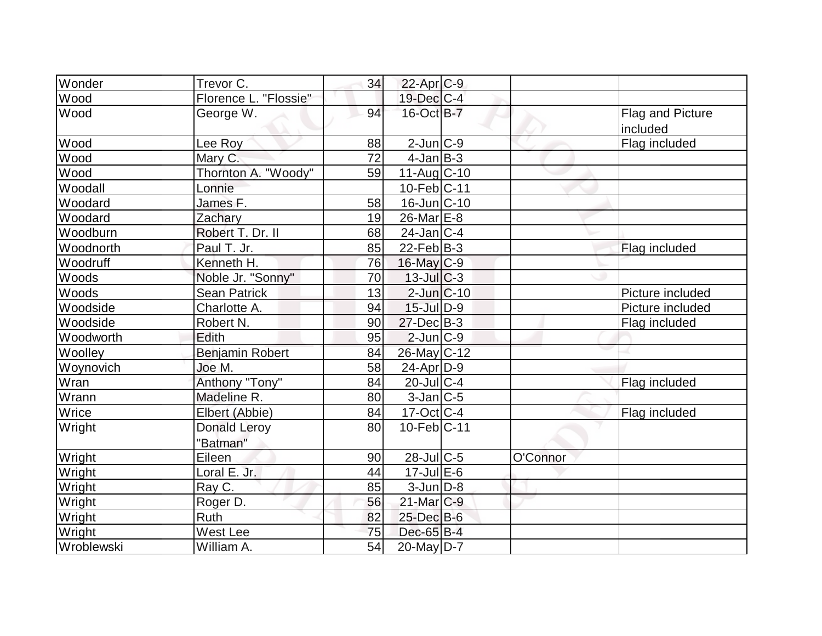| Wonder     | Trevor C.                       | 34 | $22$ -Apr $ C-9 $  |          |                              |
|------------|---------------------------------|----|--------------------|----------|------------------------------|
| Wood       | Florence L. "Flossie"           |    | 19-Dec C-4         |          |                              |
| Wood       | George W.                       | 94 | 16-Oct B-7         |          | Flag and Picture<br>included |
| Wood       | Lee Roy                         | 88 | $2$ -Jun $C-9$     |          | Flag included                |
| Wood       | Mary C.                         | 72 | $4$ -Jan $ B-3 $   |          |                              |
| Wood       | Thornton A. "Woody"             | 59 | $11-Aug$ $C-10$    |          |                              |
| Woodall    | Lonnie                          |    | 10-Feb C-11        |          |                              |
| Woodard    | James F.                        | 58 | $16$ -Jun $ C-10$  |          |                              |
| Woodard    | Zachary                         | 19 | 26-Mar E-8         |          |                              |
| Woodburn   | Robert T. Dr. II                | 68 | $24$ -Jan C-4      |          |                              |
| Woodnorth  | Paul T. Jr.                     | 85 | $22$ -Feb $ B-3 $  |          | Flag included                |
| Woodruff   | Kenneth H.                      | 76 | $16$ -May C-9      |          |                              |
| Woods      | Noble Jr. "Sonny"               | 70 | $13$ -Jul $C-3$    |          |                              |
| Woods      | <b>Sean Patrick</b>             | 13 | $2$ -Jun $ C-10$   |          | Picture included             |
| Woodside   | Charlotte A.                    | 94 | $15$ -Jul $ D-9 $  |          | Picture included             |
| Woodside   | Robert N.                       | 90 | $27 - Dec$ B-3     |          | Flag included                |
| Woodworth  | Edith                           | 95 | $2$ -Jun $ C-9 $   |          |                              |
| Woolley    | Benjamin Robert                 | 84 | 26-May C-12        |          |                              |
| Woynovich  | Joe M.                          | 58 | $24$ -Apr $D-9$    |          |                              |
| Wran       | Anthony "Tony"                  | 84 | $20$ -Jul $ C-4 $  |          | Flag included                |
| Wrann      | Madeline R.                     | 80 | $3$ -Jan $C$ -5    |          |                              |
| Wrice      | Elbert (Abbie)                  | 84 | $17$ -Oct C-4      |          | Flag included                |
| Wright     | <b>Donald Leroy</b><br>"Batman" | 80 | $10$ -Feb $ C-11$  |          |                              |
| Wright     | Eileen                          | 90 | $28$ -JulC-5       | O'Connor |                              |
| Wright     | Loral E. Jr.                    | 44 | $17 -$ Jul $E - 6$ |          |                              |
| Wright     | Ray C.                          | 85 | $3$ -Jun $D-8$     |          |                              |
| Wright     | Roger D.                        | 56 | 21-Mar C-9         |          |                              |
| Wright     | Ruth                            | 82 | 25-Dec B-6         |          |                              |
| Wright     | West Lee                        | 75 | $Dec-65$ B-4       |          |                              |
| Wroblewski | William A.                      | 54 | $20$ -May $D-7$    |          |                              |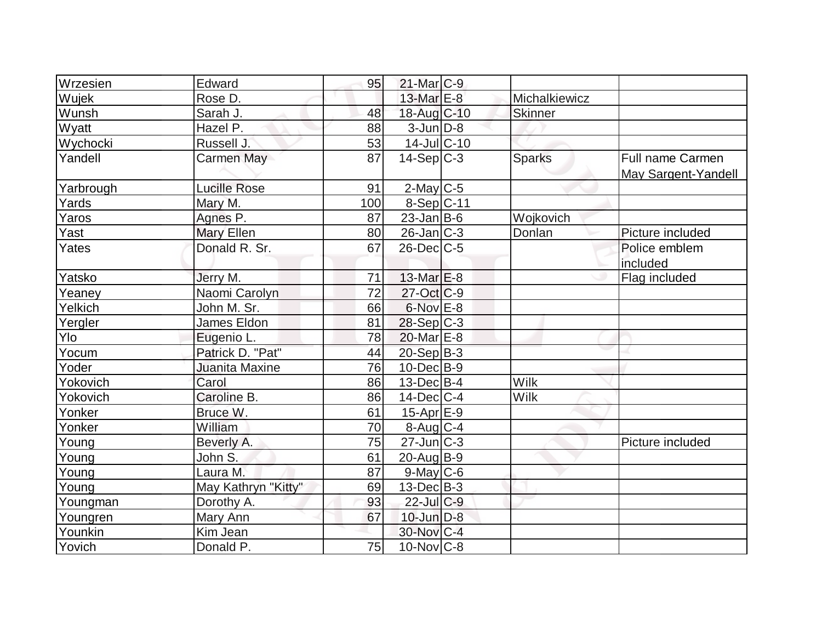| Wrzesien     | Edward              | 95  | $21$ -Mar $C-9$         |               |                                         |
|--------------|---------------------|-----|-------------------------|---------------|-----------------------------------------|
| <b>Wujek</b> | Rose D.             |     | 13-Mar $E-8$            | Michalkiewicz |                                         |
| Wunsh        | Sarah J.            | 48  | 18-Aug C-10             | Skinner       |                                         |
| Wyatt        | Hazel P.            | 88  | $3$ -Jun $D-8$          |               |                                         |
| Wychocki     | Russell J.          | 53  | $14$ -Jul $ C-10$       |               |                                         |
| Yandell      | Carmen May          | 87  | $14-Sep C-3$            | <b>Sparks</b> | Full name Carmen<br>May Sargent-Yandell |
| Yarbrough    | <b>Lucille Rose</b> | 91  | $2$ -May C-5            |               |                                         |
| Yards        | Mary M.             | 100 | $8-Sep C-11$            |               |                                         |
| Yaros        | Agnes P.            | 87  | $23$ -Jan B-6           | Wojkovich     |                                         |
| Yast         | Mary Ellen          | 80  | $26$ -Jan $ C-3 $       | Donlan        | Picture included                        |
| Yates        | Donald R. Sr.       | 67  | $26$ -Dec $C$ -5        |               | Police emblem<br>included               |
| Yatsko       | Jerry M.            | 71  | $13$ -Mar $E-8$         |               | Flag included                           |
| Yeaney       | Naomi Carolyn       | 72  | $27$ -Oct $ C$ -9       |               |                                         |
| Yelkich      | John M. Sr.         | 66  | $6$ -Nov $E-8$          |               |                                         |
| Yergler      | <b>James Eldon</b>  | 81  | $28-Sep C-3$            |               |                                         |
| Ylo          | Eugenio L.          | 78  | 20-Mar <sub>IE</sub> -8 |               |                                         |
| Yocum        | Patrick D. "Pat"    | 44  | $20-Sep B-3$            |               |                                         |
| Yoder        | Juanita Maxine      | 76  | $10$ -Dec $ B-9 $       |               |                                         |
| Yokovich     | Carol               | 86  | $13$ -Dec $B$ -4        | Wilk          |                                         |
| Yokovich     | Caroline B.         | 86  | $14$ -Dec $ C-4 $       | <b>Wilk</b>   |                                         |
| Yonker       | Bruce W.            | 61  | $15$ -Apr $E-9$         |               |                                         |
| Yonker       | William             | 70  | $8-Aug$ <sub>C-4</sub>  |               |                                         |
| Young        | Beverly A.          | 75  | $27$ -Jun $C-3$         |               | Picture included                        |
| Young        | John S.             | 61  | $20$ -Aug $B-9$         |               |                                         |
| Young        | Laura M.            | 87  | $9$ -May C-6            |               |                                         |
| Young        | May Kathryn "Kitty" | 69  | $13$ -Dec $B - 3$       |               |                                         |
| Youngman     | Dorothy A.          | 93  | 22-Jul C-9              |               |                                         |
| Youngren     | Mary Ann            | 67  | $10$ -Jun $D-8$         |               |                                         |
| Younkin      | Kim Jean            |     | 30-Nov C-4              |               |                                         |
| Yovich       | Donald P.           | 75  | $10$ -Nov $ C-8$        |               |                                         |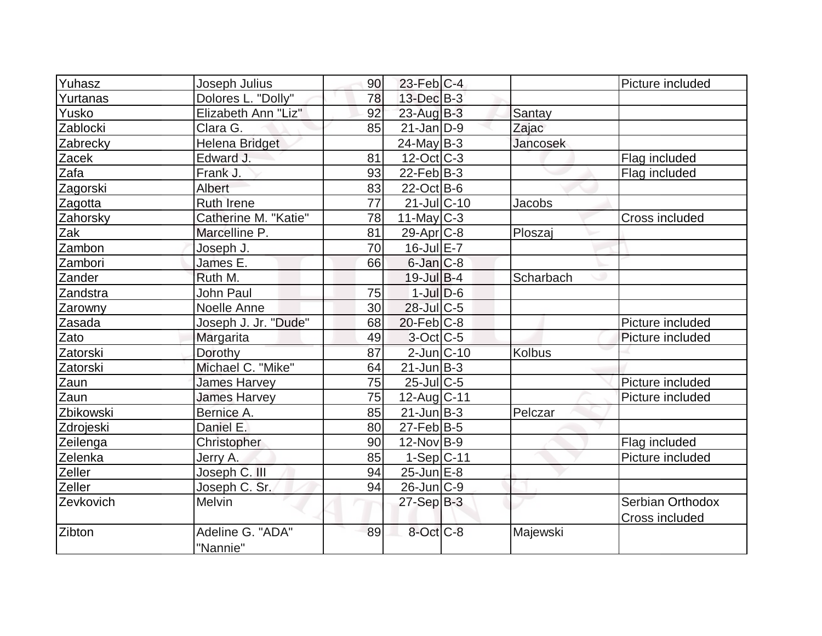| Yuhasz    | Joseph Julius                | 90 | $23$ -Feb $ C-4$  |               | Picture included      |
|-----------|------------------------------|----|-------------------|---------------|-----------------------|
| Yurtanas  | Dolores L. "Dolly"           | 78 | $13$ -Dec $B-3$   |               |                       |
| Yusko     | Elizabeth Ann "Liz"          | 92 | $23$ -Aug $B-3$   | Santay        |                       |
| Zablocki  | Clara G.                     | 85 | $21$ -Jan $ D-9 $ | Zajac         |                       |
| Zabrecky  | <b>Helena Bridget</b>        |    | $24$ -May B-3     | Jancosek      |                       |
| Zacek     | Edward J.                    | 81 | $12$ -Oct $ C-3 $ |               | Flag included         |
| Zafa      | Frank J.                     | 93 | $22$ -Feb $ B-3 $ |               | Flag included         |
| Zagorski  | Albert                       | 83 | $22$ -Oct B-6     |               |                       |
| Zagotta   | <b>Ruth Irene</b>            | 77 | $21$ -Jul $ C-10$ | Jacobs        |                       |
| Zahorsky  | Catherine M. "Katie"         | 78 | $11$ -May C-3     |               | Cross included        |
| Zak       | Marcelline P.                | 81 | $29$ -Apr $ C$ -8 | Ploszaj       |                       |
| Zambon    | Joseph J.                    | 70 | 16-Jul E-7        |               |                       |
| Zambori   | James E.                     | 66 | $6$ -Jan $C-8$    |               |                       |
| Zander    | Ruth M.                      |    | $19$ -Jul B-4     | Scharbach     |                       |
| Zandstra  | John Paul                    | 75 | $1$ -Jul $D-6$    |               |                       |
| Zarowny   | Noelle Anne                  | 30 | 28-Jul C-5        |               |                       |
| Zasada    | Joseph J. Jr. "Dude"         | 68 | $20$ -Feb $ C-8$  |               | Picture included      |
| Zato      | Margarita                    | 49 | $3$ -Oct C-5      |               | Picture included      |
| Zatorski  | Dorothy                      | 87 | $2$ -Jun $ C-10$  | <b>Kolbus</b> |                       |
| Zatorski  | Michael C. "Mike"            | 64 | $21$ -Jun $B-3$   |               |                       |
| Zaun      | <b>James Harvey</b>          | 75 | $25$ -Jul $C$ -5  |               | Picture included      |
| Zaun      | <b>James Harvey</b>          | 75 | 12-Aug C-11       |               | Picture included      |
| Zbikowski | Bernice A.                   | 85 | $21$ -Jun $B-3$   | Pelczar       |                       |
| Zdrojeski | Daniel E.                    | 80 | $27$ -Feb $ B-5 $ |               |                       |
| Zeilenga  | Christopher                  | 90 | $12$ -Nov $ B-9 $ |               | Flag included         |
| Zelenka   | Jerry A.                     | 85 | $1-Sep C-11$      |               | Picture included      |
| Zeller    | Joseph C. III                | 94 | $25$ -Jun $E-8$   |               |                       |
| Zeller    | Joseph C. Sr.                | 94 | $26$ -Jun $ C-9 $ |               |                       |
| Zevkovich | Melvin                       |    | $27-Sep B-3$      |               | Serbian Orthodox      |
|           |                              |    |                   |               | <b>Cross included</b> |
| Zibton    | Adeline G. "ADA"<br>"Nannie" | 89 | $8$ -Oct $ C-8 $  | Majewski      |                       |